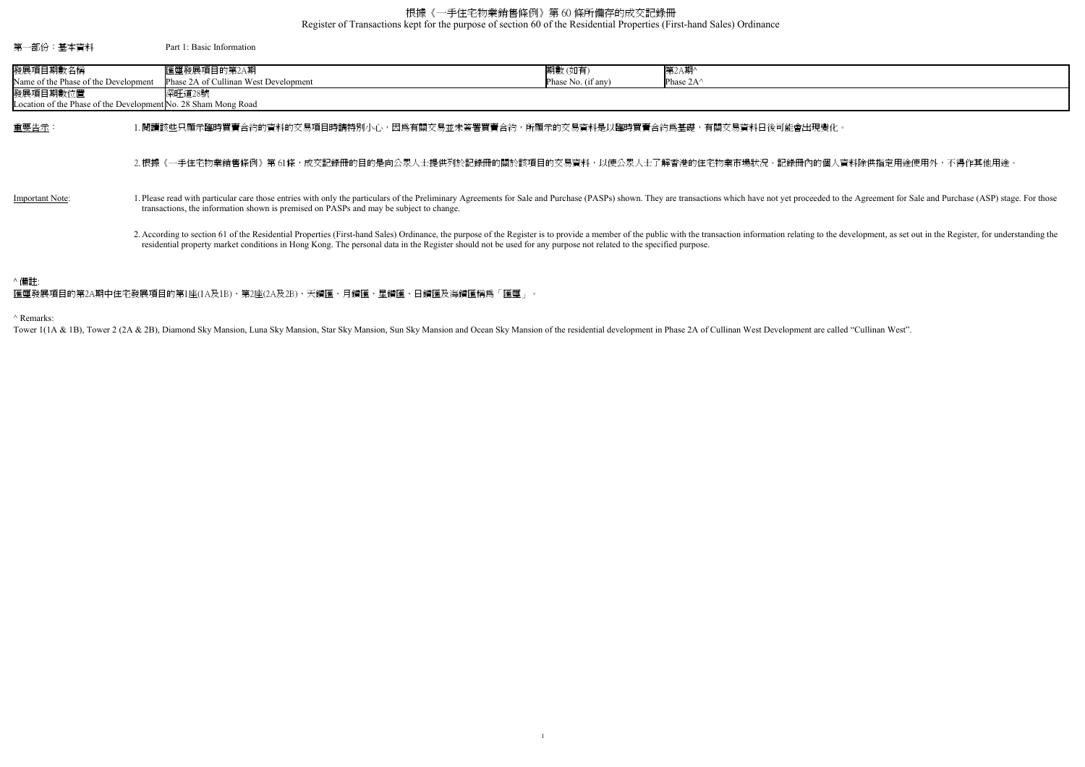Register of Transactions kept for the purpose of section 60 of the Residential Properties (First-hand Sales) Ordinance

## ^ Remarks:

Tower 1(1A & 1B), Tower 2 (2A & 2B), Diamond Sky Mansion, Luna Sky Mansion, Star Sky Mansion, Sun Sky Mansion and Ocean Sky Mansion of the residential development in Phase 2A of Cullinan West Development are called "Cullin

的個人資料除供指定用途使用外,不得作其他用途。

eded to the Agreement for Sale and Purchase (ASP) stage. For those

to the development, as set out in the Register, for understanding the

## 根據《一手住宅物業銷售條例》第 60 條所備存的成交記錄冊

| 第一部份:基本資料                                                                                                                      | Part 1: Basic Information                                                                                                                                                                                                                                                                                                                                                      |                              |                              |
|--------------------------------------------------------------------------------------------------------------------------------|--------------------------------------------------------------------------------------------------------------------------------------------------------------------------------------------------------------------------------------------------------------------------------------------------------------------------------------------------------------------------------|------------------------------|------------------------------|
| 發展項目期數名稱<br>Name of the Phase of the Development<br>發展項目期數位置<br>Location of the Phase of the Development No. 28 Sham Mong Road | 匯璽發展項目的第2A期<br>Phase 2A of Cullinan West Development<br>深旺道28號                                                                                                                                                                                                                                                                                                                 | 期數(如有)<br>Phase No. (if any) | 第2A期^<br>Phase $2A^{\wedge}$ |
| 重要告示:                                                                                                                          | l.閱讀該些只顯示臨時買賣合約的資料的交易項目時請特別小心,因爲有關交易並未簽署買賣合約,所顯示的交易資料是以臨時買賣合約爲基礎,有關交易資料日後可能會出現變化。                                                                                                                                                                                                                                                                                              |                              |                              |
|                                                                                                                                | 2.根據《一手住宅物業銷售條例》第 61條,成交記錄冊的目的是向公眾人士提供列於記錄冊的關於該項目的交易資料,以使公眾人士了解香港的住宅物業市場狀況。記錄冊內的個人資                                                                                                                                                                                                                                                                                            |                              |                              |
| <b>Important Note:</b>                                                                                                         | . Please read with particular care those entries with only the particulars of the Preliminary Agreements for Sale and Purchase (PASPs) shown. They are transactions which have not yet proceeded to the<br>transactions, the information shown is premised on PASPs and may be subject to change.                                                                              |                              |                              |
|                                                                                                                                | 2. According to section 61 of the Residential Properties (First-hand Sales) Ordinance, the purpose of the Register is to provide a member of the public with the transaction information relating to the de<br>residential property market conditions in Hong Kong. The personal data in the Register should not be used for any purpose not related to the specified purpose. |                              |                              |
| ^ 備註:                                                                                                                          |                                                                                                                                                                                                                                                                                                                                                                                |                              |                              |

匯璽發展項目的第2A期中住宅發展項目的第1座(1A及1B)、第2座(2A及2B)、天鑽匯、月鑽匯、星鑽匯、日鑽匯及海鑽匯稱為「匯璽」。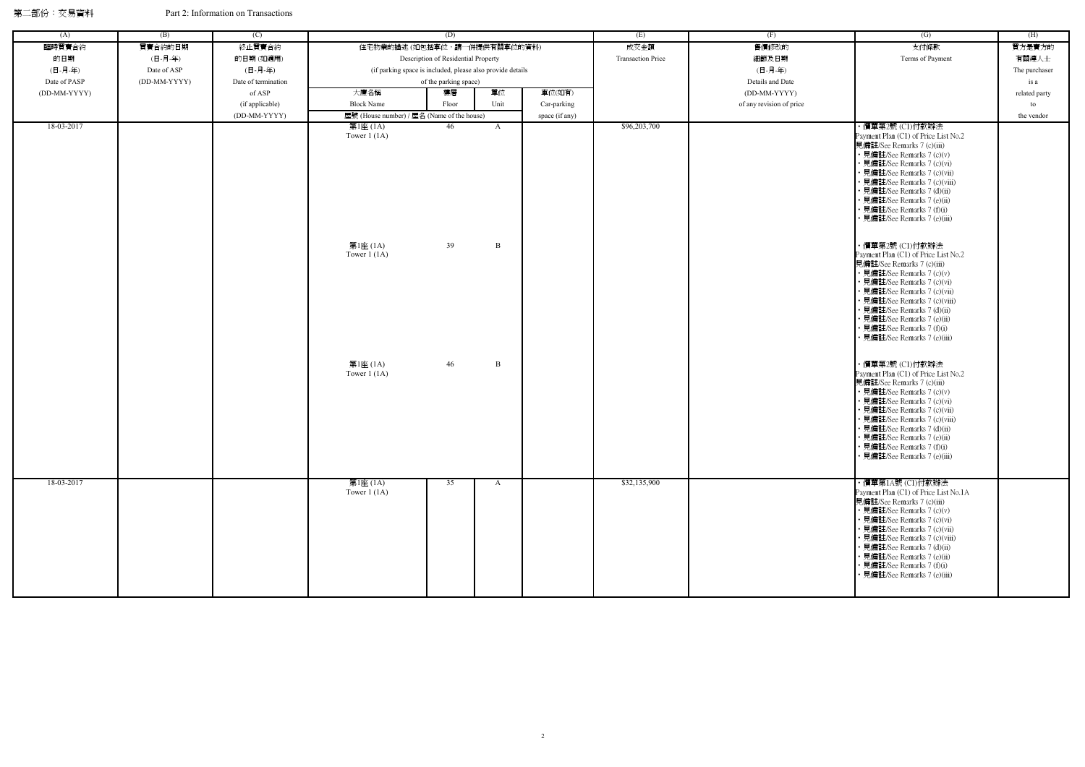第二部份:交易資料 Part 2: Information on Transactions

| (A)          | (B)          | (C)                 | (D)                                                        |                                     |              | (E)            | (F)                      | (G)                      | (H)                                                                                                                                                                                                                                                                                                                                                                             |               |
|--------------|--------------|---------------------|------------------------------------------------------------|-------------------------------------|--------------|----------------|--------------------------|--------------------------|---------------------------------------------------------------------------------------------------------------------------------------------------------------------------------------------------------------------------------------------------------------------------------------------------------------------------------------------------------------------------------|---------------|
| 臨時買賣合約       | 買賣合約的日期      | 終止買賣合約              | 住宅物業的描述 (如包括車位,請一併提供有關車位的資料)                               |                                     |              |                | 成交金額                     | 售價修改的                    | 支付條款                                                                                                                                                                                                                                                                                                                                                                            | 買方是賣方的        |
| 的日期          | (日-月-年)      | 的日期(如適用)            |                                                            | Description of Residential Property |              |                | <b>Transaction Price</b> | 細節及日期                    | Terms of Payment                                                                                                                                                                                                                                                                                                                                                                | 有關連人士         |
| (日-月-年)      | Date of ASP  | (日-月-年)             | (if parking space is included, please also provide details |                                     |              |                |                          | (日-月-年)                  |                                                                                                                                                                                                                                                                                                                                                                                 | The purchaser |
| Date of PASP | (DD-MM-YYYY) | Date of termination |                                                            | of the parking space)               |              |                |                          | Details and Date         |                                                                                                                                                                                                                                                                                                                                                                                 | is a          |
| (DD-MM-YYYY) |              | of ASP              | 大廈名稱                                                       | 樓層                                  | 單位           | 車位(如有)         |                          | (DD-MM-YYYY)             |                                                                                                                                                                                                                                                                                                                                                                                 | related party |
|              |              | (if applicable)     | <b>Block Name</b>                                          | Floor                               | Unit         | Car-parking    |                          | of any revision of price |                                                                                                                                                                                                                                                                                                                                                                                 | to            |
|              |              | (DD-MM-YYYY)        | 屋號 (House number) / 屋名 (Name of the house)                 |                                     |              | space (if any) |                          |                          |                                                                                                                                                                                                                                                                                                                                                                                 | the vendor    |
| 18-03-2017   |              |                     | 第1座 (1A)<br>Tower $1(1A)$                                  | 46                                  | $\mathbf{A}$ |                | \$96,203,700             |                          | ・價單第2號 (C1)付款辦法<br>Payment Plan (C1) of Price List No.2<br>見備註/See Remarks 7 (c)(iii)<br>• 見備註/See Remarks 7 (c)(v)<br>• 見備註/See Remarks 7 (c)(vi)<br>• 見備註/See Remarks 7 (c)(vii)<br>• 見備註/See Remarks 7 (c)(viii)<br>• 見備註/See Remarks 7 (d)(ii)<br>• 見備註/See Remarks 7 (e)(ii)<br>• 見備註/See Remarks 7 (f)(i)                                                                 |               |
|              |              |                     | 第1座 (1A)<br>Tower $1(1A)$                                  | 39                                  | B            |                |                          |                          | · 見備註/See Remarks 7 (e)(iii)<br>・價單第2號 (C1)付款辦法<br>Payment Plan (C1) of Price List No.2<br>見備註/See Remarks 7 (c)(iii)<br>• 見備註/See Remarks 7 (c)(v)<br>• 見備註/See Remarks 7 (c)(vi)<br>• 見備註/See Remarks 7 (c)(vii)<br>• 見備註/See Remarks 7 (c)(viii)<br>• 見備註/See Remarks 7 (d)(ii)<br>• 見備註/See Remarks 7 (e)(ii)<br>• 見備註/See Remarks 7 (f)(i)<br>• 見備註/See Remarks 7 (e)(iii) |               |
|              |              |                     | 第1座 (1A)<br>Tower $1(1A)$                                  | 46                                  | B            |                |                          |                          | ・價單第2號 (C1)付款辦法<br>Payment Plan (C1) of Price List No.2<br>見備註/See Remarks 7 (c)(iii)<br>• 見備註/See Remarks 7 (c)(v)<br>• 見備註/See Remarks 7 (c)(vi)<br>• 見備註/See Remarks 7 (c)(vii)<br>• 見備註/See Remarks 7 (c)(viii)<br>• 見備註/See Remarks 7 (d)(ii)<br>• 見備註/See Remarks 7 (e)(ii)<br>• 見備註/See Remarks 7 (f)(i)<br>• 見備註/See Remarks 7 (e)(iii)                                 |               |
| 18-03-2017   |              |                     | 第1座 (1A)<br>Tower $1(1A)$                                  | 35                                  | A            |                | \$32,135,900             |                          | ・價單第1A號 (C1)付款辦法<br>Payment Plan (C1) of Price List No.1A<br>見備註/See Remarks 7 (c)(iii)<br>• 見備註/See Remarks 7 (c)(v)<br>• 見備註/See Remarks 7 (c)(vi)<br>• 見備註/See Remarks 7 (c)(vii)<br>• 見備註/See Remarks 7 (c)(viii)<br>• 見備註/See Remarks 7 (d)(ii)<br>• 見備註/See Remarks 7 (e)(ii)<br>• 見備註/See Remarks 7 (f)(i)<br>• 見備註/See Remarks 7 (e)(iii)                               |               |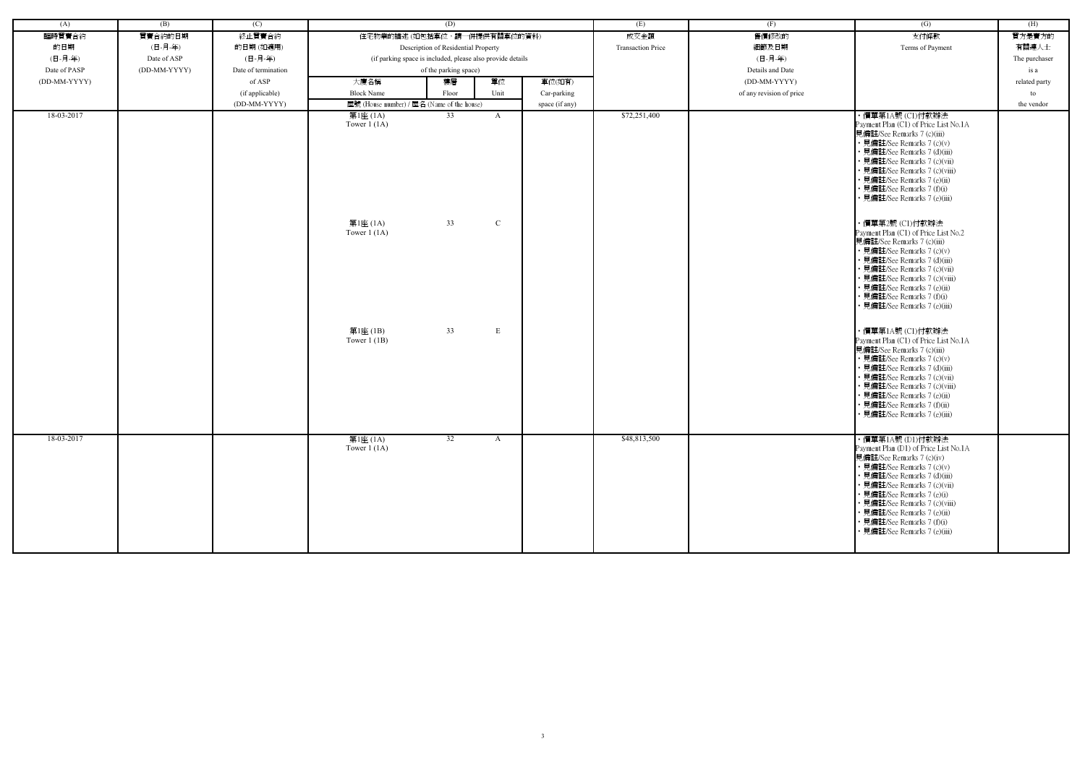| (A)          | (B)          | (C)                 |                                            | (D)                                                        |               |                | (E)                      | (F)                      | $\overline{(G)}$                                                                                                                                                                                                                                                                                                                                 | (H)           |
|--------------|--------------|---------------------|--------------------------------------------|------------------------------------------------------------|---------------|----------------|--------------------------|--------------------------|--------------------------------------------------------------------------------------------------------------------------------------------------------------------------------------------------------------------------------------------------------------------------------------------------------------------------------------------------|---------------|
| 臨時買賣合約       | 買賣合約的日期      | 終止買賣合約              | 住宅物業的描述 (如包括車位,請一併提供有關車位的資料)               |                                                            |               |                | 成交金額                     | 售價修改的                    | 支付條款                                                                                                                                                                                                                                                                                                                                             | 買方是賣方的        |
| 的日期          | (日-月-年)      | 的日期(如適用)            |                                            | Description of Residential Property                        |               |                | <b>Transaction Price</b> | 細節及日期                    | Terms of Payment                                                                                                                                                                                                                                                                                                                                 | 有關連人士         |
| (日-月-年)      | Date of ASP  | (日-月-年)             |                                            | (if parking space is included, please also provide details |               |                |                          | (日-月-年)                  |                                                                                                                                                                                                                                                                                                                                                  | The purchaser |
| Date of PASP | (DD-MM-YYYY) | Date of termination |                                            | of the parking space)                                      |               |                |                          | Details and Date         |                                                                                                                                                                                                                                                                                                                                                  | is a          |
| (DD-MM-YYYY) |              | of ASP              | 大廈名稱                                       | 樓層                                                         | 單位            | 車位(如有)         |                          | (DD-MM-YYYY)             |                                                                                                                                                                                                                                                                                                                                                  | related party |
|              |              | (if applicable)     | <b>Block Name</b>                          | Floor                                                      | Unit          | Car-parking    |                          | of any revision of price |                                                                                                                                                                                                                                                                                                                                                  | to            |
|              |              | (DD-MM-YYYY)        | 屋號 (House number) / 屋名 (Name of the house) |                                                            |               | space (if any) |                          |                          |                                                                                                                                                                                                                                                                                                                                                  | the vendor    |
| 18-03-2017   |              |                     | 第1座 (1A)<br>Tower $1(1A)$                  | 33                                                         | $\mathbf{A}$  |                | \$72,251,400             |                          | ・價單第1A號 (C1)付款辦法<br>Payment Plan (C1) of Price List No.1A<br>見備註/See Remarks 7 (c)(iii)<br>• 見備註/See Remarks 7 (c)(v)<br>• 見備註/See Remarks 7 (d)(iii)<br>• 見備註/See Remarks 7 (c)(vii)<br>· 見備註/See Remarks 7 (c)(viii)<br>• 見備註/See Remarks 7 (e)(ii)<br>• 見備註/See Remarks 7 (f)(i)<br>見備註/See Remarks 7 (e)(iii)                                |               |
|              |              |                     | 第1座 (1A)<br>Tower $1(1A)$                  | 33                                                         | $\mathcal{C}$ |                |                          |                          | ・價單第2號 (C1)付款辦法<br>Payment Plan (C1) of Price List No.2<br>見備註/See Remarks 7 (c)(iii)<br>• 見備註/See Remarks 7 (c)(v)<br>• 見備註/See Remarks 7 (d)(iii)<br>· 見備註/See Remarks 7 (c)(vii)<br>· 見備註/See Remarks 7 (c)(viii)<br>• 見備註/See Remarks 7 (e)(ii)<br>• 見備註/See Remarks 7 (f)(i)<br>· 見備註/See Remarks 7 (e)(iii)                                |               |
|              |              |                     | 第1座(1B)<br>Tower $1$ (1B)                  | 33                                                         | E             |                |                          |                          | ・價單第1A號 (C1)付款辦法<br>Payment Plan (C1) of Price List No.1A<br>見備註/See Remarks 7 (c)(iii)<br>• 見備註/See Remarks 7 (c)(v)<br>• 見備註/See Remarks 7 (d)(iii)<br>· 見備註/See Remarks 7 (c)(vii)<br>• 見備註/See Remarks 7 (c)(viii)<br>• 見備註/See Remarks 7 (e)(ii)<br>· 見備註/See Remarks 7 (f)(ii)<br>• 見備註/See Remarks 7 (e)(iii)                             |               |
| 18-03-2017   |              |                     | 第1座(IA)<br>Tower $1(1A)$                   | 32                                                         | A             |                | \$48,813,500             |                          | ・價單第1A號 (D1)付款辦法<br>Payment Plan (D1) of Price List No.1A<br>見備註/See Remarks 7 (c)(iv)<br>• 見備註/See Remarks 7 (c)(v)<br>• 見備註/See Remarks 7 (d)(iii)<br>• 見備註/See Remarks 7 (c)(vii)<br>• 見備註/See Remarks 7 (e)(i)<br>• 見備註/See Remarks 7 (c)(viii)<br>• 見備註/See Remarks 7 (e)(ii)<br>• 見備註/See Remarks 7 (f)(i)<br>• 見備註/See Remarks 7 (e)(iii) |               |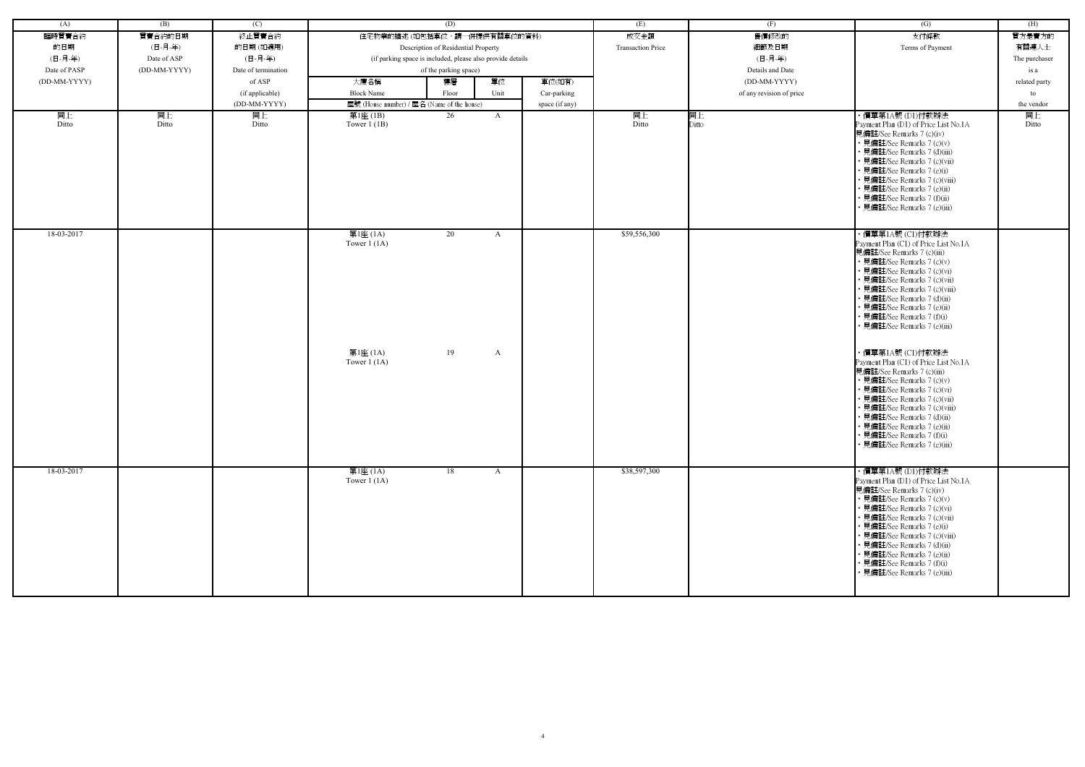|              | (B)          | (C)                 |                                                        | (D)                                                        |              |                |                          |                          |                                                                                                                                                                                                                                                                                                                                                                                                                                                                                                                                                                                                                                                                        |               |
|--------------|--------------|---------------------|--------------------------------------------------------|------------------------------------------------------------|--------------|----------------|--------------------------|--------------------------|------------------------------------------------------------------------------------------------------------------------------------------------------------------------------------------------------------------------------------------------------------------------------------------------------------------------------------------------------------------------------------------------------------------------------------------------------------------------------------------------------------------------------------------------------------------------------------------------------------------------------------------------------------------------|---------------|
| (A)          |              |                     |                                                        |                                                            |              |                | (E)                      | (F)                      | (G)                                                                                                                                                                                                                                                                                                                                                                                                                                                                                                                                                                                                                                                                    | (H)           |
| 臨時買賣合約       | 買賣合約的日期      | 終止買賣合約              |                                                        | 住宅物業的描述 (如包括車位,請一併提供有關車位的資料)                               |              |                | 成交金額                     | 售價修改的                    | 支付條款                                                                                                                                                                                                                                                                                                                                                                                                                                                                                                                                                                                                                                                                   | 買方是賣方的        |
| 的日期          | (日-月-年)      | 的日期(如適用)            |                                                        | Description of Residential Property                        |              |                | <b>Transaction Price</b> | 細節及日期                    | Terms of Payment                                                                                                                                                                                                                                                                                                                                                                                                                                                                                                                                                                                                                                                       | 有關連人士         |
| (日-月-年)      | Date of ASP  | (日-月-年)             |                                                        | (if parking space is included, please also provide details |              |                |                          | (日-月-年)                  |                                                                                                                                                                                                                                                                                                                                                                                                                                                                                                                                                                                                                                                                        | The purchaser |
| Date of PASP | (DD-MM-YYYY) | Date of termination |                                                        | of the parking space)                                      |              |                |                          | Details and Date         |                                                                                                                                                                                                                                                                                                                                                                                                                                                                                                                                                                                                                                                                        | is a          |
| (DD-MM-YYYY) |              | of ASP              | 大廈名稱                                                   | 樓層                                                         | 單位           | 車位(如有)         |                          | (DD-MM-YYYY)             |                                                                                                                                                                                                                                                                                                                                                                                                                                                                                                                                                                                                                                                                        | related party |
|              |              | (if applicable)     | <b>Block Name</b>                                      | Floor                                                      | Unit         | Car-parking    |                          | of any revision of price |                                                                                                                                                                                                                                                                                                                                                                                                                                                                                                                                                                                                                                                                        | to            |
|              |              | (DD-MM-YYYY)        |                                                        | 屋號 (House number) / 屋名 (Name of the house)                 |              | space (if any) |                          |                          |                                                                                                                                                                                                                                                                                                                                                                                                                                                                                                                                                                                                                                                                        | the vendor    |
| 同上           | 同上           | 同上                  | 第1座 (1B)                                               | 26                                                         | $\mathbf{A}$ |                | 同上                       | 同上                       | ・價單第1A號 (D1)付款辦法                                                                                                                                                                                                                                                                                                                                                                                                                                                                                                                                                                                                                                                       | 同上            |
| Ditto        | Ditto        | Ditto               | Tower $1$ (1B)                                         |                                                            |              |                | Ditto                    | Ditto                    | Payment Plan (D1) of Price List No.1A<br>見備註/See Remarks 7 (c)(iv)<br>• 見備註/See Remarks 7 (c)(v)<br>• 見備註/See Remarks 7 (d)(iii)<br>· 見備註/See Remarks 7 (c)(vii)<br>• 見備註/See Remarks 7 (e)(i)<br>• 見備註/See Remarks 7 (c)(viii)<br>• 見備註/See Remarks 7 (e)(ii)<br>• 見備註/See Remarks 7 (f)(ii)<br>· 見備註/See Remarks 7 (e)(iii)                                                                                                                                                                                                                                                                                                                                          | Ditto         |
| 18-03-2017   |              |                     | 第1座 (1A)<br>Tower $1(1A)$<br>第1座 (1A)<br>Tower $1(1A)$ | 20<br>19                                                   | A<br>A       |                | \$59,556,300             |                          | ・價單第1A號 (C1)付款辦法<br>Payment Plan (C1) of Price List No.1A<br>見備註/See Remarks 7 (c)(iii)<br>• 見備註/See Remarks 7 (c)(v)<br>• 見備註/See Remarks 7 (c)(vi)<br>• 見備註/See Remarks 7 (c)(vii)<br>• 見備註/See Remarks 7 (c)(viii)<br>• 見備註/See Remarks 7 (d)(ii)<br>• 見備註/See Remarks 7 (e)(ii)<br>• 見備註/See Remarks 7 (f)(i)<br>· 見備註/See Remarks 7 (e)(iii)<br>・價單第1A號 (C1)付款辦法<br>Payment Plan (C1) of Price List No.1A<br>見備註/See Remarks 7 (c)(iii)<br>• 見備註/See Remarks 7 (c)(v)<br>• 見備註/See Remarks 7 (c)(vi)<br>• 見備註/See Remarks 7 (c)(vii)<br>• 見備註/See Remarks 7 (c)(viii)<br>• 見備註/See Remarks 7 (d)(ii)<br>• 見備註/See Remarks 7 (e)(ii)<br>• 見備註/See Remarks 7 (f)(i) |               |
| 18-03-2017   |              |                     | 第1座 (1A)                                               | 18                                                         | $\mathbf{A}$ |                | \$38,597,300             |                          | • 見備註/See Remarks 7 (e)(iii)<br>・價單第1A號 (D1)付款辦法                                                                                                                                                                                                                                                                                                                                                                                                                                                                                                                                                                                                                       |               |
|              |              |                     | Tower $1(1A)$                                          |                                                            |              |                |                          |                          | Payment Plan (D1) of Price List No.1A<br>見備註/See Remarks 7 (c)(iv)<br>• 見備註/See Remarks 7 (c)(v)<br>• 見備註/See Remarks 7 (c)(vi)<br>• 見備註/See Remarks 7 (c)(vii)<br>• 見備註/See Remarks 7 (e)(i)<br>• 見備註/See Remarks 7 (c)(viii)<br>• 見備註/See Remarks 7 (d)(ii)<br>• 見備註/See Remarks 7 (e)(ii)<br>• 見備註/See Remarks 7 (f)(i)<br>• 見備註/See Remarks 7 (e)(iii)                                                                                                                                                                                                                                                                                                             |               |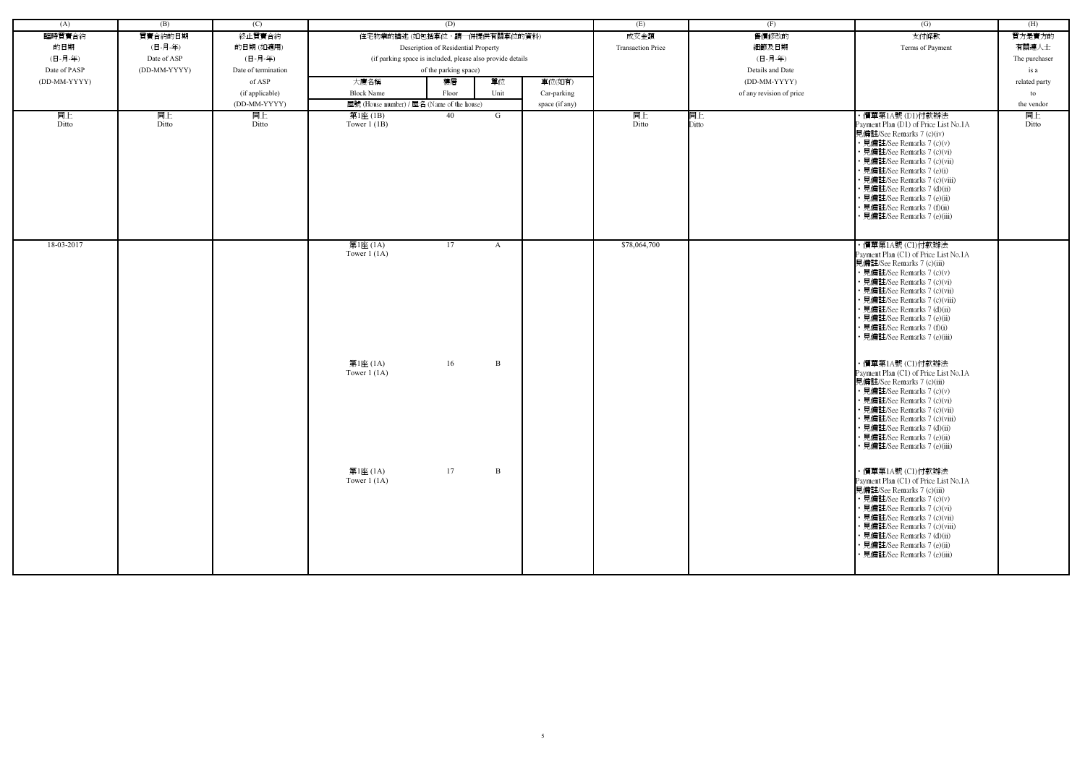| (A)          | (B)          | (C)                 | (D)                                                    |                                                            |                | (E)                      | (F)                      | (G)                                                                                                                                                                                                                                                                                                                                                                                                                                                                                                                                                                                                                                                                      | (H)           |
|--------------|--------------|---------------------|--------------------------------------------------------|------------------------------------------------------------|----------------|--------------------------|--------------------------|--------------------------------------------------------------------------------------------------------------------------------------------------------------------------------------------------------------------------------------------------------------------------------------------------------------------------------------------------------------------------------------------------------------------------------------------------------------------------------------------------------------------------------------------------------------------------------------------------------------------------------------------------------------------------|---------------|
| 臨時買賣合約       | 買賣合約的日期      | 終止買賣合約              |                                                        | 住宅物業的描述 (如包括車位,請一併提供有關車位的資料)                               |                | 成交金額                     | 售價修改的                    | 支付條款                                                                                                                                                                                                                                                                                                                                                                                                                                                                                                                                                                                                                                                                     | 買方是賣方的        |
|              |              |                     |                                                        |                                                            |                |                          |                          |                                                                                                                                                                                                                                                                                                                                                                                                                                                                                                                                                                                                                                                                          |               |
| 的日期          | (日-月-年)      | 的日期(如適用)            |                                                        | Description of Residential Property                        |                | <b>Transaction Price</b> | 細節及日期                    | Terms of Payment                                                                                                                                                                                                                                                                                                                                                                                                                                                                                                                                                                                                                                                         | 有關連人士         |
| (日-月-年)      | Date of ASP  | (日-月-年)             |                                                        | (if parking space is included, please also provide details |                |                          | (日-月-年)                  |                                                                                                                                                                                                                                                                                                                                                                                                                                                                                                                                                                                                                                                                          | The purchaser |
| Date of PASP | (DD-MM-YYYY) | Date of termination |                                                        | of the parking space)                                      |                |                          | Details and Date         |                                                                                                                                                                                                                                                                                                                                                                                                                                                                                                                                                                                                                                                                          | is a          |
| (DD-MM-YYYY) |              | of ASP              | 大廈名稱                                                   | 單位<br>樓層                                                   | 車位(如有)         |                          | (DD-MM-YYYY)             |                                                                                                                                                                                                                                                                                                                                                                                                                                                                                                                                                                                                                                                                          | related party |
|              |              | (if applicable)     | <b>Block Name</b>                                      | Unit<br>Floor                                              | Car-parking    |                          | of any revision of price |                                                                                                                                                                                                                                                                                                                                                                                                                                                                                                                                                                                                                                                                          | to            |
|              |              | (DD-MM-YYYY)        |                                                        | 屋號 (House number) / 屋名 (Name of the house)                 | space (if any) |                          |                          |                                                                                                                                                                                                                                                                                                                                                                                                                                                                                                                                                                                                                                                                          | the vendor    |
| 同上<br>Ditto  | 同上<br>Ditto  | 同上<br>Ditto         | 第1座(1B)<br>Tower $1(1B)$                               | 40<br>G                                                    |                | 同上<br>Ditto              | 同上<br>Ditto              | ・價單第1A號 (D1)付款辦法<br>Payment Plan (D1) of Price List No.1A<br>見備註/See Remarks 7 (c)(iv)<br>• 見備註/See Remarks 7 (c)(v)<br>· 見備註/See Remarks 7 (c)(vi)<br>• 見備註/See Remarks 7 (c)(vii)<br>• 見備註/See Remarks 7 (e)(i)<br>• 見備註/See Remarks 7 (c)(viii)<br>• 見備註/See Remarks 7 (d)(ii)<br>• 見備註/See Remarks 7 (e)(ii)<br>• 見備註/See Remarks 7 (f)(ii)<br>見備註/See Remarks 7 (e)(iii)                                                                                                                                                                                                                                                                                            | 同上<br>Ditto   |
| 18-03-2017   |              |                     | 第1座 (1A)<br>Tower $1(1A)$<br>第1座 (1A)<br>Tower $1(1A)$ | 17<br>A<br>16<br>B                                         |                | \$78,064,700             |                          | ・價單第1A號 (C1)付款辦法<br>Payment Plan (C1) of Price List No.1A<br>見備註/See Remarks 7 (c)(iii)<br>• 見備註/See Remarks 7 (c)(v)<br>• 見備註/See Remarks 7 (c)(vi)<br>• 見備註/See Remarks 7 (c)(vii)<br>• 見備註/See Remarks 7 (c)(viii)<br>• 見備註/See Remarks 7 (d)(ii)<br>• 見備註/See Remarks 7 (e)(ii)<br>• 見備註/See Remarks 7 (f)(i)<br>• 見備註/See Remarks 7 (e)(iii)<br>・價單第1A號 (C1)付款辦法<br>Payment Plan (C1) of Price List No.1A<br>見備註/See Remarks 7 (c)(iii)<br>• 見備註/See Remarks 7 (c)(v)<br>• 見備註/See Remarks 7 (c)(vi)<br>• 見備註/See Remarks 7 (c)(vii)<br>• 見備註/See Remarks 7 (c)(viii)<br>• 見備註/See Remarks 7 (d)(ii)<br>• 見備註/See Remarks 7 (e)(ii)<br>• 見備註/See Remarks 7 (e)(iii) |               |
|              |              |                     | 第1座 (1A)<br>Tower $1(1A)$                              | 17<br>$\, {\bf B}$                                         |                |                          |                          | ・價單第1A號 (C1)付款辦法<br>Payment Plan (C1) of Price List No.1A<br>見備註/See Remarks 7 (c)(iii)<br>• 見備註/See Remarks 7 (c)(v)<br>• 見備註/See Remarks 7 (c)(vi)<br>• 見備註/See Remarks 7 (c)(vii)<br>• 見備註/See Remarks 7 (c)(viii)<br>• 見備註/See Remarks 7 (d)(ii)<br>• 見備註/See Remarks 7 (e)(ii)<br>• 見備註/See Remarks 7 (e)(iii)                                                                                                                                                                                                                                                                                                                                                      |               |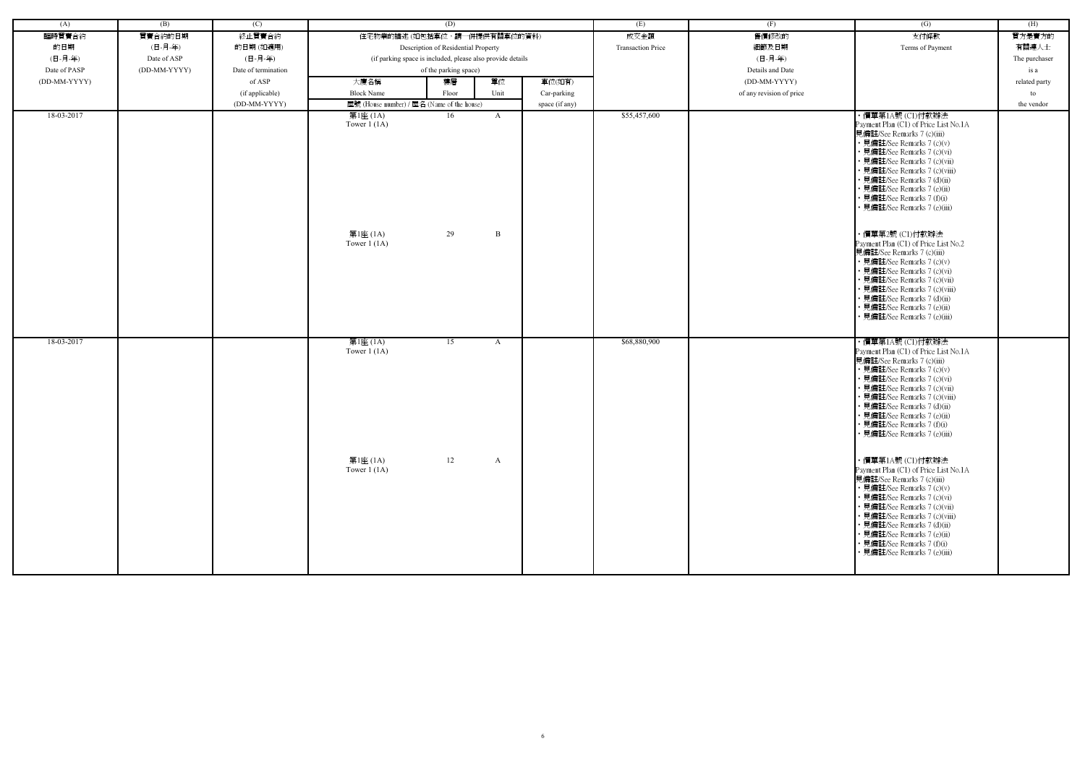| (A)          | (B)          | (C)                 |                                                        | (D)                                                        |        |                | (E)                      | (F)                      | (G)                                                                                                                                                                                                                                                                                                                                                                                                                                                                                                                                                                                                                                                | (H)           |
|--------------|--------------|---------------------|--------------------------------------------------------|------------------------------------------------------------|--------|----------------|--------------------------|--------------------------|----------------------------------------------------------------------------------------------------------------------------------------------------------------------------------------------------------------------------------------------------------------------------------------------------------------------------------------------------------------------------------------------------------------------------------------------------------------------------------------------------------------------------------------------------------------------------------------------------------------------------------------------------|---------------|
| 臨時買賣合約       | 買賣合約的日期      | 終止買賣合約              |                                                        | 住宅物業的描述 (如包括車位,請一併提供有關車位的資料)                               |        |                | 成交金額                     | 售價修改的                    | 支付條款                                                                                                                                                                                                                                                                                                                                                                                                                                                                                                                                                                                                                                               | 買方是賣方的        |
| 的日期          | (日-月-年)      | 的日期(如適用)            |                                                        | Description of Residential Property                        |        |                | <b>Transaction Price</b> | 細節及日期                    | Terms of Payment                                                                                                                                                                                                                                                                                                                                                                                                                                                                                                                                                                                                                                   | 有關連人士         |
| (日-月-年)      | Date of ASP  | (日-月-年)             |                                                        | (if parking space is included, please also provide details |        |                |                          | (日-月-年)                  |                                                                                                                                                                                                                                                                                                                                                                                                                                                                                                                                                                                                                                                    | The purchaser |
| Date of PASP | (DD-MM-YYYY) | Date of termination |                                                        | of the parking space)                                      |        |                |                          | Details and Date         |                                                                                                                                                                                                                                                                                                                                                                                                                                                                                                                                                                                                                                                    | is a          |
| (DD-MM-YYYY) |              | of ASP              | 大廈名稱                                                   | 樓層                                                         | 單位     | 車位(如有)         |                          | (DD-MM-YYYY)             |                                                                                                                                                                                                                                                                                                                                                                                                                                                                                                                                                                                                                                                    | related party |
|              |              | (if applicable)     | <b>Block Name</b>                                      | Floor                                                      | Unit   | Car-parking    |                          | of any revision of price |                                                                                                                                                                                                                                                                                                                                                                                                                                                                                                                                                                                                                                                    | to            |
|              |              | (DD-MM-YYYY)        | 屋號 (House number) / 屋名 (Name of the house)             |                                                            |        | space (if any) |                          |                          |                                                                                                                                                                                                                                                                                                                                                                                                                                                                                                                                                                                                                                                    | the vendor    |
| 18-03-2017   |              |                     | 第1座 (1A)<br>Tower $1(1A)$<br>第1座 (1A)<br>Tower $1(1A)$ | 16<br>29                                                   | A<br>B |                | \$55,457,600             |                          | ・價單第1A號 (C1)付款辦法<br>Payment Plan (C1) of Price List No.1A<br>見備註/See Remarks 7 (c)(iii)<br>• 見備註/See Remarks 7 (c)(v)<br>見備註/See Remarks 7 (c)(vi)<br>• 見備註/See Remarks 7 (c)(vii)<br>見備註/See Remarks 7 (c)(viii)<br>見備註/See Remarks 7 (d)(ii)<br>· 見備註/See Remarks 7 (e)(ii)<br>見備註/See Remarks 7 (f)(i)<br>見備註/See Remarks 7 (e)(iii)<br>·價單第2號 (C1)付款辦法<br>Payment Plan (C1) of Price List No.2<br>見備註/See Remarks 7 (c)(iii)<br>• 見備註/See Remarks 7 (c)(v)<br>• 見備註/See Remarks 7 (c)(vi)<br>見備註/See Remarks 7 (c)(vii)<br>見備註/See Remarks 7 (c)(viii)<br>見備註/See Remarks 7 (d)(ii)<br>見備註/See Remarks 7 (e)(ii)<br>見備註/See Remarks 7 (e)(iii) |               |
| 18-03-2017   |              |                     | 第1座 (1A)<br>Tower $1(1A)$                              | 15                                                         | A      |                | \$68,880,900             |                          | ・價單第1A號 (C1)付款辦法<br>Payment Plan (C1) of Price List No.1A                                                                                                                                                                                                                                                                                                                                                                                                                                                                                                                                                                                          |               |
|              |              |                     |                                                        |                                                            |        |                |                          |                          | 見備註/See Remarks 7 (c)(iii)<br>• 見備註/See Remarks 7 (c)(v)<br>見備註/See Remarks 7 (c)(vi)<br>見備註/See Remarks 7 (c)(vii)<br>見備註/See Remarks 7 (c)(viii)<br>見備註/See Remarks 7 (d)(ii)<br>見備註/See Remarks 7 (e)(ii)<br>見備註/See Remarks 7 (f)(i)<br>• 見備註/See Remarks 7 (e)(iii)                                                                                                                                                                                                                                                                                                                                                                           |               |
|              |              |                     | 第1座 (1A)<br>Tower $1(1A)$                              | 12                                                         | A      |                |                          |                          | ・價單第1A號 (C1)付款辦法<br>Payment Plan (C1) of Price List No.1A<br>見備註/See Remarks 7 (c)(iii)<br>• 見備註/See Remarks 7 (c)(v)<br>• 見備註/See Remarks 7 (c)(vi)<br>· 見備註/See Remarks 7 (c)(vii)<br>• 見備註/See Remarks 7 (c)(viii)<br>• 見備註/See Remarks 7 (d)(ii)<br>見備註/See Remarks 7 (e)(ii)<br>• 見備註/See Remarks 7 (f)(i)<br>• 見備註/See Remarks 7 (e)(iii)                                                                                                                                                                                                                                                                                                    |               |

| (G)                                                                                                                                                                                                                                                                                                                                                                                                                                                                                                                                                                                                     | (H)           |
|---------------------------------------------------------------------------------------------------------------------------------------------------------------------------------------------------------------------------------------------------------------------------------------------------------------------------------------------------------------------------------------------------------------------------------------------------------------------------------------------------------------------------------------------------------------------------------------------------------|---------------|
| 支付條款                                                                                                                                                                                                                                                                                                                                                                                                                                                                                                                                                                                                    | 買方是賣方的        |
|                                                                                                                                                                                                                                                                                                                                                                                                                                                                                                                                                                                                         |               |
| Terms of Payment                                                                                                                                                                                                                                                                                                                                                                                                                                                                                                                                                                                        | 有關連人士         |
|                                                                                                                                                                                                                                                                                                                                                                                                                                                                                                                                                                                                         | The purchaser |
|                                                                                                                                                                                                                                                                                                                                                                                                                                                                                                                                                                                                         | is a          |
|                                                                                                                                                                                                                                                                                                                                                                                                                                                                                                                                                                                                         | related party |
|                                                                                                                                                                                                                                                                                                                                                                                                                                                                                                                                                                                                         | to            |
|                                                                                                                                                                                                                                                                                                                                                                                                                                                                                                                                                                                                         | the vendor    |
| ・價單第1A號 (C1)付款辦法<br>Payment Plan (C1) of Price List No.1A<br>見備註/See Remarks 7 (c)(iii)<br>• 見備註/See Remarks 7 (c)(v)<br>• 見備註/See Remarks 7 (c)(vi)<br>• 見備註/See Remarks 7 (c)(vii)<br>• 見備註/See Remarks 7 (c)(viii)<br>• 見備註/See Remarks 7 (d)(ii)<br>• 見備註/See Remarks 7 (e)(ii)<br>• 見備註/See Remarks 7 (f)(i)<br>• 見備註/See Remarks 7 (e)(iii)<br>・價單第2號 (C1)付款辦法<br>Payment Plan (C1) of Price List No.2<br>見備註/See Remarks 7 (c)(iii)<br>• 見備註/See Remarks 7 (c)(v)<br>• 見備註/See Remarks 7 (c)(vi)<br>• 見備註/See Remarks 7 (c)(vii)<br>• 見備註/See Remarks 7 (c)(viii)<br>• 見備註/See Remarks 7 (d)(ii) |               |
| • 見備註/See Remarks 7 (e)(iii)<br>・價單第1A號 (C1)付款辦法<br>Payment Plan (C1) of Price List No.1A<br>見備註/See Remarks 7 (c)(iii)<br>• 見備註/See Remarks 7 (c)(v)<br>• 見備註/See Remarks 7 (c)(vi)                                                                                                                                                                                                                                                                                                                                                                                                                    |               |
| • 見備註/See Remarks 7 (c)(vii)<br>• 見備註/See Remarks 7 (c)(viii)<br>• 見備註/See Remarks 7 (d)(ii)<br>• 見備註/See Remarks 7 (e)(ii)<br>• 見備註/See Remarks 7 (f)(i)<br>• 見備註/See Remarks 7 (e)(iii)                                                                                                                                                                                                                                                                                                                                                                                                               |               |
| ・價單第1A號 (C1)付款辦法<br>Payment Plan (C1) of Price List No.1A<br>見備註/See Remarks 7 (c)(iii)<br>• 見備註/See Remarks 7 (c)(v)<br>• 見備註/See Remarks 7 (c)(vi)<br>• 見備註/See Remarks 7 (c)(vii)<br>• 見備註/See Remarks 7 (c)(viii)<br>• 見備註/See Remarks 7 (d)(ii)<br>• 見備註/See Remarks 7 (e)(ii)<br>• 見備註/See Remarks 7 (f)(i)<br>• 見備註/See Remarks 7 (e)(iii)                                                                                                                                                                                                                                                       |               |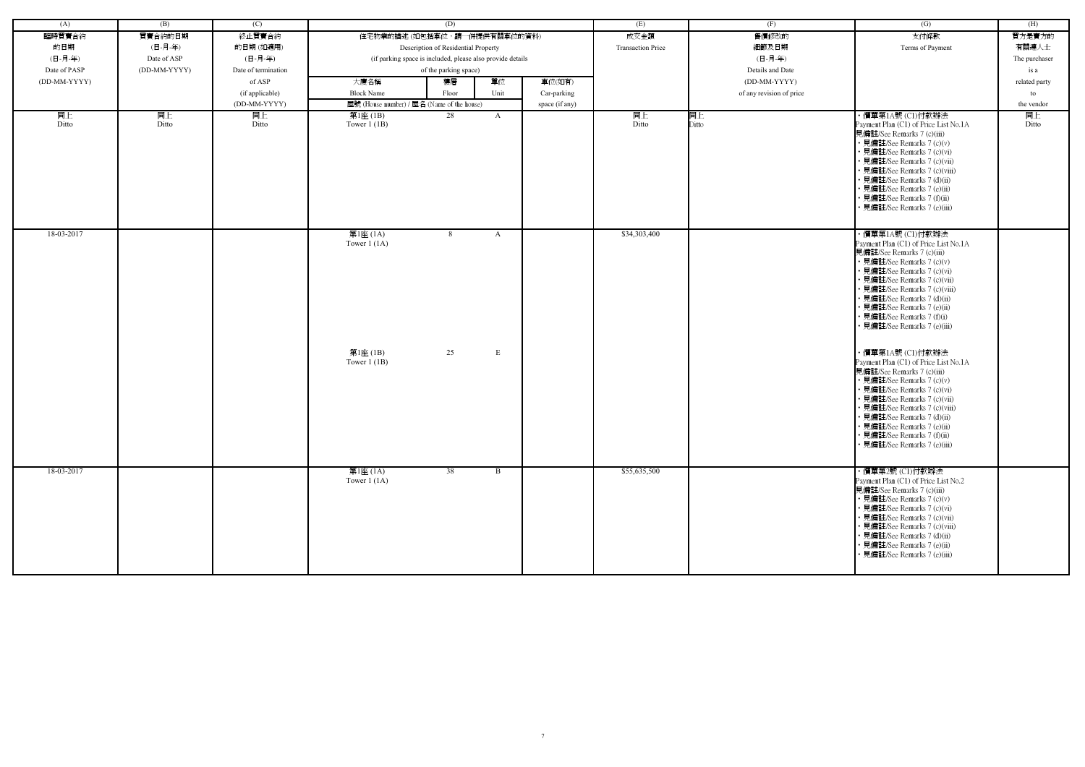| (A)          | (B)          | (C)                 |                            | (D)                                                        |              |                | (E)                      | (F)                      | (G)                                                                                                                                                                                                                                                                                                                                                | (H)           |
|--------------|--------------|---------------------|----------------------------|------------------------------------------------------------|--------------|----------------|--------------------------|--------------------------|----------------------------------------------------------------------------------------------------------------------------------------------------------------------------------------------------------------------------------------------------------------------------------------------------------------------------------------------------|---------------|
| 臨時買賣合約       | 買賣合約的日期      | 終止買賣合約              |                            | 住宅物業的描述 (如包括車位,請一併提供有關車位的資料)                               |              |                | 成交金額                     | 售價修改的                    | 支付條款                                                                                                                                                                                                                                                                                                                                               | 買方是賣方的        |
|              |              |                     |                            |                                                            |              |                |                          |                          |                                                                                                                                                                                                                                                                                                                                                    |               |
| 的日期          | (日-月-年)      | 的日期(如適用)            |                            | Description of Residential Property                        |              |                | <b>Transaction Price</b> | 細節及日期                    | Terms of Payment                                                                                                                                                                                                                                                                                                                                   | 有關連人士         |
| (日-月-年)      | Date of ASP  | (日-月-年)             |                            | (if parking space is included, please also provide details |              |                |                          | (日-月-年)                  |                                                                                                                                                                                                                                                                                                                                                    | The purchaser |
| Date of PASP | (DD-MM-YYYY) | Date of termination |                            | of the parking space)                                      |              |                |                          | Details and Date         |                                                                                                                                                                                                                                                                                                                                                    | is a          |
| (DD-MM-YYYY) |              | of ASP              | 大廈名稱                       | 樓層                                                         | 單位           | 車位(如有)         |                          | (DD-MM-YYYY)             |                                                                                                                                                                                                                                                                                                                                                    | related party |
|              |              | (if applicable)     | <b>Block Name</b>          | Floor                                                      | Unit         | Car-parking    |                          | of any revision of price |                                                                                                                                                                                                                                                                                                                                                    | to            |
|              |              | (DD-MM-YYYY)        |                            | 屋號 (House number) / 屋名 (Name of the house)                 |              | space (if any) |                          |                          |                                                                                                                                                                                                                                                                                                                                                    | the vendor    |
| 同上<br>Ditto  | 同上<br>Ditto  | 同上<br>Ditto         | 第1座 (1B)<br>Tower $1$ (1B) | 28                                                         | $\mathbf{A}$ |                | 同上<br>Ditto              | 同上<br>Ditto              | ・價單第1A號 (C1)付款辦法<br>Payment Plan (C1) of Price List No.1A<br>見備註/See Remarks 7 (c)(iii)<br>• 見備註/See Remarks 7 (c)(v)<br>• 見備註/See Remarks 7 (c)(vi)<br>· 見備註/See Remarks 7 (c)(vii)<br>· 見備註/See Remarks 7 (c)(viii)                                                                                                                              | 同上<br>Ditto   |
|              |              |                     |                            |                                                            |              |                |                          |                          | • 見備註/See Remarks 7 (d)(ii)<br>• 見備註/See Remarks 7 (e)(ii)<br>· 見備註/See Remarks 7 (f)(ii)<br>· 見備註/See Remarks 7 (e)(iii)                                                                                                                                                                                                                          |               |
| 18-03-2017   |              |                     | 第1座 (1A)<br>Tower $1(1A)$  | 8                                                          | $\mathbf{A}$ |                | \$34,303,400             |                          | ・價單第1A號 (C1)付款辦法<br>Payment Plan (C1) of Price List No.1A<br>見備註/See Remarks 7 (c)(iii)<br>• 見備註/See Remarks 7 (c)(v)<br>• 見備註/See Remarks 7 (c)(vi)<br>· 見備註/See Remarks 7 (c)(vii)<br>• 見備註/See Remarks 7 (c)(viii)<br>· 見備註/See Remarks 7 (d)(ii)<br>· 見備註/See Remarks 7 (e)(ii)<br>• 見備註/See Remarks 7 (f)(i)<br>· 見備註/See Remarks 7 (e)(iii)  |               |
|              |              |                     | 第1座 (1B)<br>Tower $1$ (1B) | 25                                                         | ${\bf E}$    |                |                          |                          | ・價單第1A號 (C1)付款辦法<br>Payment Plan (C1) of Price List No.1A<br>見備註/See Remarks 7 (c)(iii)<br>• 見備註/See Remarks 7 (c)(v)<br>· 見備註/See Remarks 7 (c)(vi)<br>• 見備註/See Remarks 7 (c)(vii)<br>· 見備註/See Remarks 7 (c)(viii)<br>• 見備註/See Remarks 7 (d)(ii)<br>• 見備註/See Remarks 7 (e)(ii)<br>• 見備註/See Remarks 7 (f)(ii)<br>· 見備註/See Remarks 7 (e)(iii) |               |
| 18-03-2017   |              |                     | 第1座 (1A)<br>Tower $1(1A)$  | 38                                                         | $\mathbf{B}$ |                | \$55,635,500             |                          | ・價單第2號 (C1)付款辦法<br>Payment Plan (C1) of Price List No.2<br>見備註/See Remarks 7 (c)(iii)<br>• 見備註/See Remarks 7 (c)(v)<br>• 見備註/See Remarks 7 (c)(vi)<br>• 見備註/See Remarks 7 (c)(vii)<br>• 見備註/See Remarks 7 (c)(viii)<br>• 見備註/See Remarks 7 (d)(ii)<br>• 見備註/See Remarks 7 (e)(ii)<br>• 見備註/See Remarks 7 (e)(iii)                                  |               |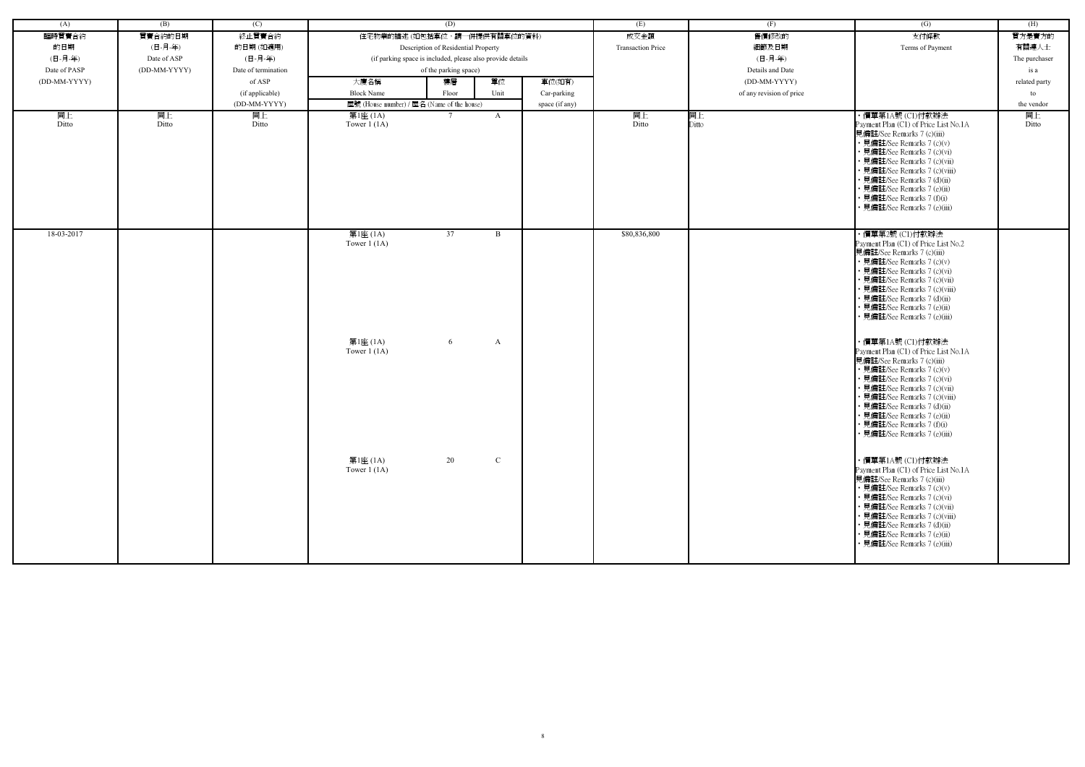| (A)          | (B)          | (C)                 |                            | (D)                                                        |              |                | (E)                      | (F)                      | $\left( G\right)$                                                                                                                                                                                                                                                                                                                                 | (H)           |
|--------------|--------------|---------------------|----------------------------|------------------------------------------------------------|--------------|----------------|--------------------------|--------------------------|---------------------------------------------------------------------------------------------------------------------------------------------------------------------------------------------------------------------------------------------------------------------------------------------------------------------------------------------------|---------------|
| 臨時買賣合約       | 買賣合約的日期      | 終止買賣合約              |                            | 住宅物業的描述 (如包括車位,請一併提供有關車位的資料)                               |              |                | 成交金額                     | 售價修改的                    | 支付條款                                                                                                                                                                                                                                                                                                                                              | 買方是賣方的        |
| 的日期          | (日-月-年)      | 的日期(如適用)            |                            | Description of Residential Property                        |              |                | <b>Transaction Price</b> | 細節及日期                    | Terms of Payment                                                                                                                                                                                                                                                                                                                                  | 有關連人士         |
| (日-月-年)      | Date of ASP  | (日-月-年)             |                            | (if parking space is included, please also provide details |              |                |                          | (日-月-年)                  |                                                                                                                                                                                                                                                                                                                                                   |               |
|              |              |                     |                            |                                                            |              |                |                          |                          |                                                                                                                                                                                                                                                                                                                                                   | The purchaser |
| Date of PASP | (DD-MM-YYYY) | Date of termination |                            | of the parking space)                                      |              |                |                          | Details and Date         |                                                                                                                                                                                                                                                                                                                                                   | is a          |
| (DD-MM-YYYY) |              | of ASP              | 大廈名稱                       | 樓層                                                         | 單位           | 車位(如有)         |                          | (DD-MM-YYYY)             |                                                                                                                                                                                                                                                                                                                                                   | related party |
|              |              | (if applicable)     | <b>Block Name</b>          | Floor                                                      | Unit         | Car-parking    |                          | of any revision of price |                                                                                                                                                                                                                                                                                                                                                   | to            |
|              |              | (DD-MM-YYYY)        |                            | 屋號 (House number) / 屋名 (Name of the house)                 |              | space (if any) |                          |                          |                                                                                                                                                                                                                                                                                                                                                   | the vendor    |
| 同上<br>Ditto  | 同上<br>Ditto  | 同上<br>Ditto         | 第1座 (1A)<br>Tower $1(1A)$  | $7\phantom{0}$                                             | A            |                | 同上<br>Ditto              | 同上<br>Ditto              | ・價單第1A號 (C1)付款辦法<br>Payment Plan (C1) of Price List No.1A<br>見備註/See Remarks 7 (c)(iii)<br>• 見備註/See Remarks 7 (c)(v)<br>· 見備註/See Remarks 7 (c)(vi)<br>· 見備註/See Remarks 7 (c)(vii)<br>• 見備註/See Remarks 7 (c)(viii)<br>· 見備註/See Remarks 7 (d)(ii)<br>· 見備註/See Remarks 7 (e)(ii)<br>• 見備註/See Remarks 7 (f)(i)<br>· 見備註/See Remarks 7 (e)(iii) | 同上<br>Ditto   |
| 18-03-2017   |              |                     | 第1座 (1A)<br>Tower $1(1A)$  | 37                                                         | $\mathbf{B}$ |                | \$80,836,800             |                          | ・價單第2號 (C1)付款辦法<br>Payment Plan (C1) of Price List No.2<br>見備註/See Remarks 7 (c)(iii)<br>• 見備註/See Remarks 7 (c)(v)<br>• 見備註/See Remarks 7 (c)(vi)<br>• 見備註/See Remarks 7 (c)(vii)<br>• 見備註/See Remarks 7 (c)(viii)<br>· 見備註/See Remarks 7 (d)(ii)<br>• 見備註/See Remarks 7 (e)(ii)<br>· 見備註/See Remarks 7 (e)(iii)                                 |               |
|              |              |                     | 第1座 (1A)<br>Tower $1$ (1A) | 6                                                          | A            |                |                          |                          | ・價單第1A號 (C1)付款辦法<br>Payment Plan (C1) of Price List No.1A<br>見備註/See Remarks 7 (c)(iii)<br>• 見備註/See Remarks 7 (c)(v)<br>• 見備註/See Remarks 7 (c)(vi)<br>• 見備註/See Remarks 7 (c)(vii)<br>• 見備註/See Remarks 7 (c)(viii)<br>· 見備註/See Remarks 7 (d)(ii)<br>• 見備註/See Remarks 7 (e)(ii)<br>• 見備註/See Remarks 7 (f)(i)<br>• 見備註/See Remarks 7 (e)(iii) |               |
|              |              |                     | 第1座 (1A)<br>Tower $1(1A)$  | 20                                                         | $\mathbf C$  |                |                          |                          | ・價單第1A號 (C1)付款辦法<br>Payment Plan (C1) of Price List No.1A<br>見備註/See Remarks 7 (c)(iii)<br>• 見備註/See Remarks 7 (c)(v)<br>• 見備註/See Remarks 7 (c)(vi)<br>• 見備註/See Remarks 7 (c)(vii)<br>• 見備註/See Remarks 7 (c)(viii)<br>• 見備註/See Remarks 7 (d)(ii)<br>• 見備註/See Remarks 7 (e)(ii)<br>· 見備註/See Remarks 7 (e)(iii)                               |               |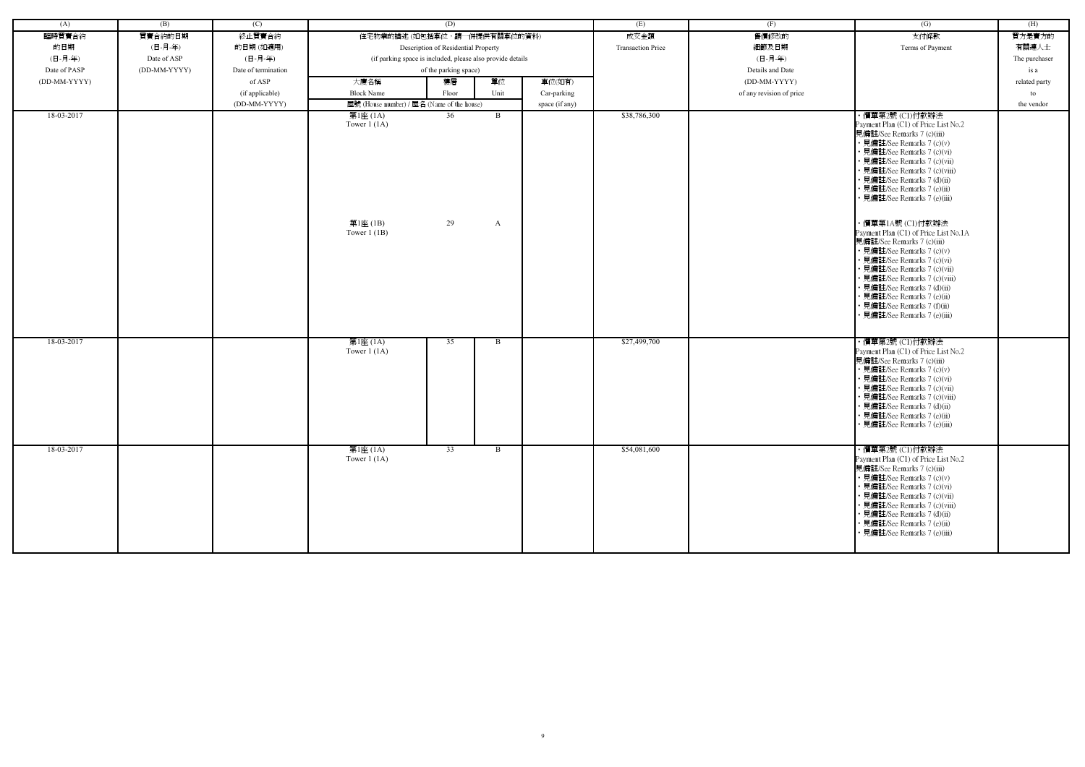| (A)          | (B)          | (C)                 |                                                         | (D)                                                        |        |                | (E)                      | (F)                      | $\overline{(G)}$                                                                                                                                                                                                                                                                                                                                                                                                                                                                                                                                                                                                                        | (H)           |
|--------------|--------------|---------------------|---------------------------------------------------------|------------------------------------------------------------|--------|----------------|--------------------------|--------------------------|-----------------------------------------------------------------------------------------------------------------------------------------------------------------------------------------------------------------------------------------------------------------------------------------------------------------------------------------------------------------------------------------------------------------------------------------------------------------------------------------------------------------------------------------------------------------------------------------------------------------------------------------|---------------|
| 臨時買賣合約       | 買賣合約的日期      | 終止買賣合約              | 住宅物業的描述 (如包括車位,請一併提供有關車位的資料)                            |                                                            |        |                | 成交金額                     | 售價修改的                    | 支付條款                                                                                                                                                                                                                                                                                                                                                                                                                                                                                                                                                                                                                                    | 買方是賣方的        |
| 的日期          | (日-月-年)      | 的日期(如適用)            |                                                         | Description of Residential Property                        |        |                | <b>Transaction Price</b> | 細節及日期                    | Terms of Payment                                                                                                                                                                                                                                                                                                                                                                                                                                                                                                                                                                                                                        | 有關連人士         |
| (日-月-年)      | Date of ASP  | (日-月-年)             |                                                         | (if parking space is included, please also provide details |        |                |                          | (日-月-年)                  |                                                                                                                                                                                                                                                                                                                                                                                                                                                                                                                                                                                                                                         | The purchaser |
| Date of PASP | (DD-MM-YYYY) | Date of termination |                                                         | of the parking space)                                      |        |                |                          | Details and Date         |                                                                                                                                                                                                                                                                                                                                                                                                                                                                                                                                                                                                                                         | is a          |
| (DD-MM-YYYY) |              | of ASP              | 大廈名稱                                                    | 樓層                                                         | 單位     | 車位(如有)         |                          | (DD-MM-YYYY)             |                                                                                                                                                                                                                                                                                                                                                                                                                                                                                                                                                                                                                                         | related party |
|              |              | (if applicable)     | <b>Block Name</b>                                       | Floor                                                      | Unit   | Car-parking    |                          | of any revision of price |                                                                                                                                                                                                                                                                                                                                                                                                                                                                                                                                                                                                                                         | to            |
|              |              | (DD-MM-YYYY)        | 屋號 (House number) / 屋名 (Name of the house)              |                                                            |        | space (if any) |                          |                          |                                                                                                                                                                                                                                                                                                                                                                                                                                                                                                                                                                                                                                         | the vendor    |
| 18-03-2017   |              |                     | 第1座 (1A)<br>Tower $1(1A)$<br>第1座 (1B)<br>Tower $1$ (1B) | 36<br>29                                                   | B<br>A |                | \$38,786,300             |                          | ・價單第2號 (C1)付款辦法<br>Payment Plan (C1) of Price List No.2<br>見備註/See Remarks 7 (c)(iii)<br>• 見備註/See Remarks 7 (c)(v)<br>• 見備註/See Remarks 7 (c)(vi)<br>· 見備註/See Remarks 7 (c)(vii)<br>• 見備註/See Remarks 7 (c)(viii)<br>• 見備註/See Remarks 7 (d)(ii)<br>• 見備註/See Remarks 7 (e)(ii)<br>• 見備註/See Remarks 7 (e)(iii)<br>・價單第1A號 (C1)付款辦法<br>Payment Plan (C1) of Price List No.1A<br>見備註/See Remarks 7 (c)(iii)<br>• 見備註/See Remarks 7 (c)(v)<br>• 見備註/See Remarks 7 (c)(vi)<br>· 見備註/See Remarks 7 (c)(vii)<br>• 見備註/See Remarks 7 (c)(viii)<br>• 見備註/See Remarks 7 (d)(ii)<br>• 見備註/See Remarks 7 (e)(ii)<br>• 見備註/See Remarks 7 (f)(ii) |               |
| 18-03-2017   |              |                     |                                                         | 35                                                         | B      |                | \$27,499,700             |                          | • 見備註/See Remarks 7 (e)(iii)<br>・價單第2號 (C1)付款辦法                                                                                                                                                                                                                                                                                                                                                                                                                                                                                                                                                                                         |               |
|              |              |                     | 第1座 (1A)<br>Tower $1(1A)$                               |                                                            |        |                |                          |                          | Payment Plan (C1) of Price List No.2<br>見備註/See Remarks 7 (c)(iii)<br>• 見備註/See Remarks 7 (c)(v)<br>• 見備註/See Remarks 7 (c)(vi)<br>• 見備註/See Remarks 7 (c)(vii)<br>• 見備註/See Remarks 7 (c)(viii)<br>• 見備註/See Remarks 7 (d)(ii)<br>• 見備註/See Remarks 7 (e)(ii)<br>• 見備註/See Remarks 7 (e)(iii)                                                                                                                                                                                                                                                                                                                                          |               |
| 18-03-2017   |              |                     | 第1座 (1A)<br>Tower $1(1A)$                               | $\overline{33}$                                            | B      |                | \$54,081,600             |                          | ・價單第2號 (C1)付款辦法<br>Payment Plan (C1) of Price List No.2<br>見備註/See Remarks 7 (c)(iii)<br>• 見備註/See Remarks 7 (c)(v)<br>• 見備註/See Remarks 7 (c)(vi)<br>• 見備註/See Remarks 7 (c)(vii)<br>• 見備註/See Remarks 7 (c)(viii)<br>• 見備註/See Remarks 7 (d)(ii)<br>• 見備註/See Remarks 7 (e)(ii)<br>• 見備註/See Remarks 7 (e)(iii)                                                                                                                                                                                                                                                                                                                       |               |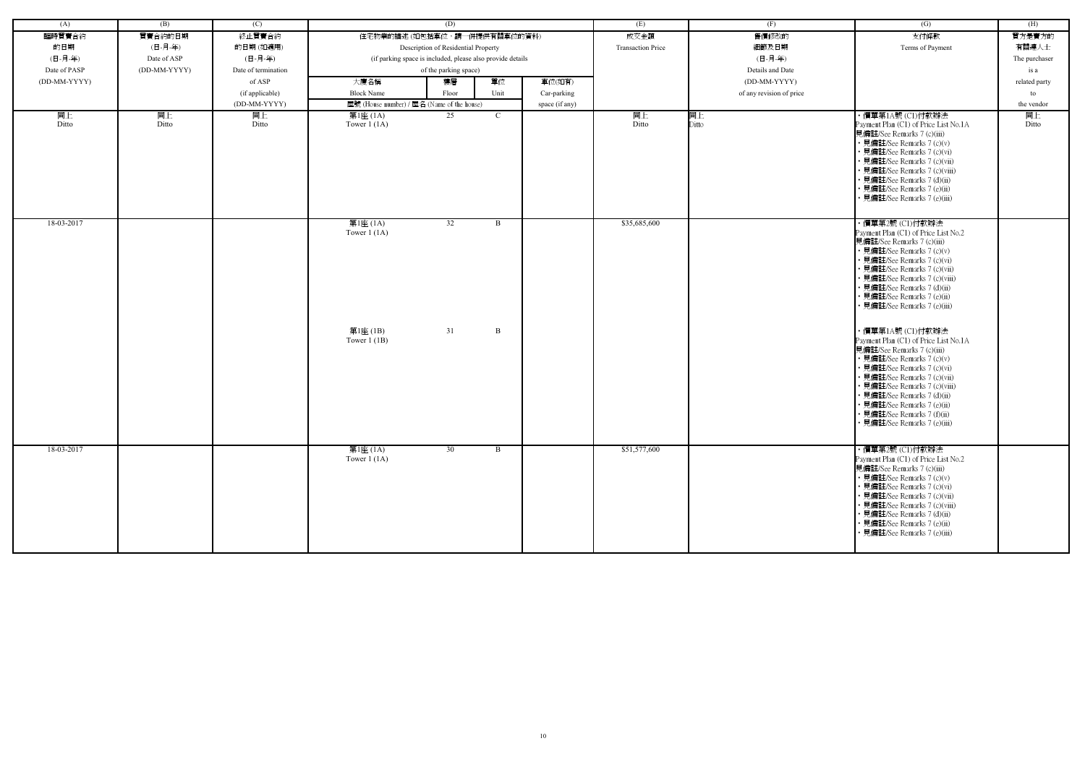| (A)          | (B)          | (C)                 |                                            | (D)                                                        |              |                | (E)                      | (F)                      | (G)                                                                 | (H)           |
|--------------|--------------|---------------------|--------------------------------------------|------------------------------------------------------------|--------------|----------------|--------------------------|--------------------------|---------------------------------------------------------------------|---------------|
| 臨時買賣合約       | 買賣合約的日期      | 終止買賣合約              |                                            | 住宅物業的描述 (如包括車位,請一併提供有關車位的資料)                               |              |                | 成交金額                     | 售價修改的                    | 支付條款                                                                | 買方是賣方的        |
| 的日期          | (日-月-年)      | 的日期(如適用)            |                                            | Description of Residential Property                        |              |                | <b>Transaction Price</b> | 細節及日期                    | Terms of Payment                                                    | 有關連人士         |
| (日-月-年)      | Date of ASP  | (日-月-年)             |                                            | (if parking space is included, please also provide details |              |                |                          | (日-月-年)                  |                                                                     | The purchaser |
| Date of PASP | (DD-MM-YYYY) | Date of termination |                                            | of the parking space)                                      |              |                |                          | Details and Date         |                                                                     | is a          |
| (DD-MM-YYYY) |              | of ASP              | 大廈名稱                                       | 樓層                                                         | 單位           | 車位(如有)         |                          | (DD-MM-YYYY)             |                                                                     | related party |
|              |              | (if applicable)     | <b>Block Name</b>                          | Floor                                                      | Unit         | Car-parking    |                          | of any revision of price |                                                                     | to            |
|              |              | (DD-MM-YYYY)        | 屋號 (House number) / 屋名 (Name of the house) |                                                            |              | space (if any) |                          |                          |                                                                     | the vendor    |
| 同上           | 同上           | 同上                  | 第1座 (1A)                                   | 25                                                         | $\mathbf{C}$ |                | 同上                       | 同上                       | ・價單第1A號 (C1)付款辦法                                                    | 同上            |
| Ditto        | Ditto        | Ditto               | Tower $1(1A)$                              |                                                            |              |                | Ditto                    | Ditto                    | Payment Plan (C1) of Price List No.1A                               | Ditto         |
|              |              |                     |                                            |                                                            |              |                |                          |                          | 見備註/See Remarks 7 (c)(iii)                                          |               |
|              |              |                     |                                            |                                                            |              |                |                          |                          | • 見備註/See Remarks 7 (c)(v)                                          |               |
|              |              |                     |                                            |                                                            |              |                |                          |                          | • 見備註/See Remarks 7 (c)(vi)<br>• 見備註/See Remarks 7 (c)(vii)         |               |
|              |              |                     |                                            |                                                            |              |                |                          |                          | · 見備註/See Remarks 7 (c)(viii)                                       |               |
|              |              |                     |                                            |                                                            |              |                |                          |                          | • 見備註/See Remarks 7 (d)(ii)                                         |               |
|              |              |                     |                                            |                                                            |              |                |                          |                          | • 見備註/See Remarks 7 (e)(ii)                                         |               |
|              |              |                     |                                            |                                                            |              |                |                          |                          | 見備註/See Remarks 7 (e)(iii)                                          |               |
|              |              |                     |                                            |                                                            |              |                |                          |                          |                                                                     |               |
| 18-03-2017   |              |                     | 第1座 (1A)                                   | 32                                                         | $\mathbf{B}$ |                | \$35,685,600             |                          | ・價單第2號 (C1)付款辦法                                                     |               |
|              |              |                     | Tower $1(1A)$                              |                                                            |              |                |                          |                          | Payment Plan (C1) of Price List No.2                                |               |
|              |              |                     |                                            |                                                            |              |                |                          |                          | 見備註/See Remarks 7 (c)(iii)                                          |               |
|              |              |                     |                                            |                                                            |              |                |                          |                          | • 見備註/See Remarks 7 (c)(v)<br>• 見備註/See Remarks 7 (c)(vi)           |               |
|              |              |                     |                                            |                                                            |              |                |                          |                          | • 見備註/See Remarks 7 (c)(vii)                                        |               |
|              |              |                     |                                            |                                                            |              |                |                          |                          | • 見備註/See Remarks 7 (c)(viii)                                       |               |
|              |              |                     |                                            |                                                            |              |                |                          |                          | • 見備註/See Remarks 7 (d)(ii)                                         |               |
|              |              |                     |                                            |                                                            |              |                |                          |                          | • 見備註/See Remarks 7 (e)(ii)                                         |               |
|              |              |                     |                                            |                                                            |              |                |                          |                          | • 見備註/See Remarks 7 (e)(iii)                                        |               |
|              |              |                     |                                            |                                                            |              |                |                          |                          |                                                                     |               |
|              |              |                     | 第1座(1B)                                    | 31                                                         | B            |                |                          |                          | ・價單第1A號 (C1)付款辦法                                                    |               |
|              |              |                     | Tower $1$ (1B)                             |                                                            |              |                |                          |                          | Payment Plan (C1) of Price List No.1A<br>見備註/See Remarks 7 (c)(iii) |               |
|              |              |                     |                                            |                                                            |              |                |                          |                          | • 見備註/See Remarks 7 (c)(v)                                          |               |
|              |              |                     |                                            |                                                            |              |                |                          |                          | • 見備註/See Remarks 7 (c)(vi)                                         |               |
|              |              |                     |                                            |                                                            |              |                |                          |                          | • 見備註/See Remarks 7 (c)(vii)                                        |               |
|              |              |                     |                                            |                                                            |              |                |                          |                          | • 見備註/See Remarks 7 (c)(viii)                                       |               |
|              |              |                     |                                            |                                                            |              |                |                          |                          | • 見備註/See Remarks 7 (d)(ii)                                         |               |
|              |              |                     |                                            |                                                            |              |                |                          |                          | · 見備註/See Remarks 7 (e)(ii)<br>• 見備註/See Remarks 7 (f)(ii)          |               |
|              |              |                     |                                            |                                                            |              |                |                          |                          | • 見備註/See Remarks 7 (e)(iii)                                        |               |
|              |              |                     |                                            |                                                            |              |                |                          |                          |                                                                     |               |
| 18-03-2017   |              |                     | 第1座 (1A)                                   | 30                                                         | $\mathbf{B}$ |                | \$51,577,600             |                          | ・價單第2號 (C1)付款辦法                                                     |               |
|              |              |                     | Tower $1(1A)$                              |                                                            |              |                |                          |                          | Payment Plan (C1) of Price List No.2                                |               |
|              |              |                     |                                            |                                                            |              |                |                          |                          | 見備註/See Remarks 7 (c)(iii)                                          |               |
|              |              |                     |                                            |                                                            |              |                |                          |                          | • 見備註/See Remarks 7 (c)(v)                                          |               |
|              |              |                     |                                            |                                                            |              |                |                          |                          | • 見備註/See Remarks 7 (c)(vi)                                         |               |
|              |              |                     |                                            |                                                            |              |                |                          |                          | • 見備註/See Remarks 7 (c)(vii)                                        |               |
|              |              |                     |                                            |                                                            |              |                |                          |                          | • 見備註/See Remarks 7 (c)(viii)<br>• 見備註/See Remarks 7 (d)(ii)        |               |
|              |              |                     |                                            |                                                            |              |                |                          |                          | • 見備註/See Remarks 7 (e)(ii)                                         |               |
|              |              |                     |                                            |                                                            |              |                |                          |                          | • 見備註/See Remarks 7 (e)(iii)                                        |               |
|              |              |                     |                                            |                                                            |              |                |                          |                          |                                                                     |               |
|              |              |                     |                                            |                                                            |              |                |                          |                          |                                                                     |               |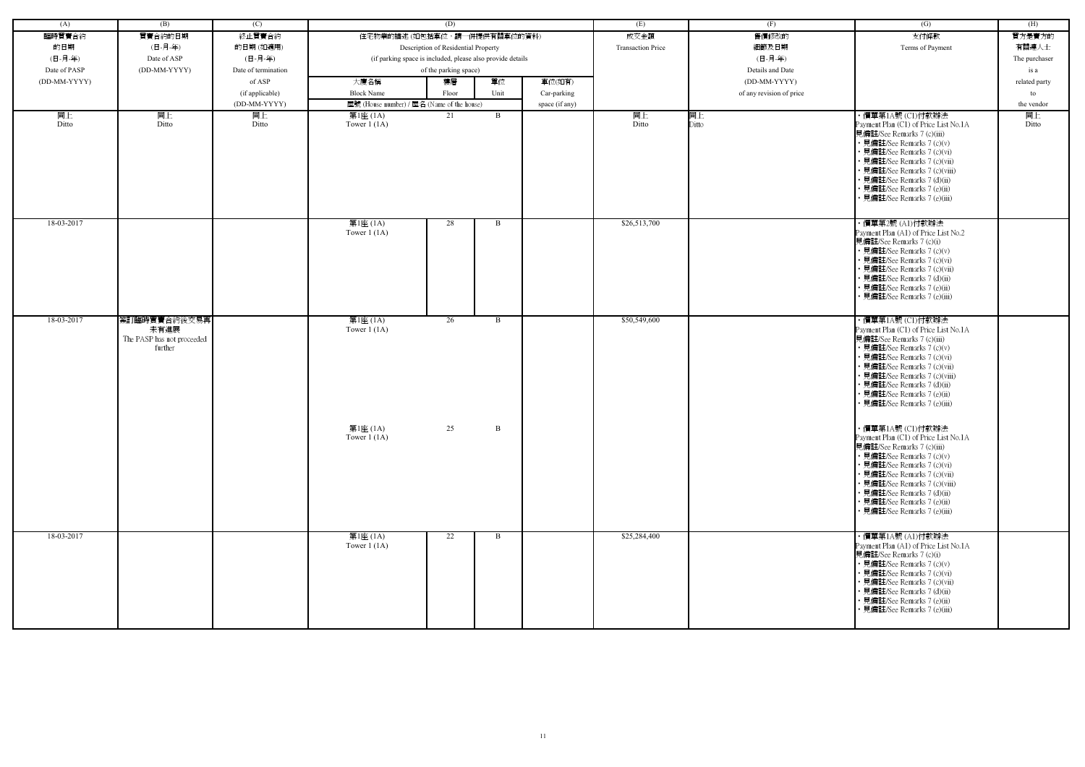| (A)          | (B)                                                           | (C)                 |                                                            | (D)                                 |              |                | (E)                      | (F)                      | (G)                                                                                                                                                                                                                                                                                                                 | (H)           |
|--------------|---------------------------------------------------------------|---------------------|------------------------------------------------------------|-------------------------------------|--------------|----------------|--------------------------|--------------------------|---------------------------------------------------------------------------------------------------------------------------------------------------------------------------------------------------------------------------------------------------------------------------------------------------------------------|---------------|
| 臨時買賣合約       | 買賣合約的日期                                                       | 終止買賣合約              | 住宅物業的描述 (如包括車位,請一併提供有關車位的資料)                               |                                     |              |                | 成交金額                     | 售價修改的                    | 支付條款                                                                                                                                                                                                                                                                                                                | 買方是賣方的        |
| 的日期          | (日-月-年)                                                       | 的日期(如適用)            |                                                            | Description of Residential Property |              |                | <b>Transaction Price</b> | 細節及日期                    | Terms of Payment                                                                                                                                                                                                                                                                                                    | 有關連人士         |
| (日-月-年)      | Date of ASP                                                   | (日-月-年)             | (if parking space is included, please also provide details |                                     |              |                |                          | (日-月-年)                  |                                                                                                                                                                                                                                                                                                                     | The purchaser |
| Date of PASP | (DD-MM-YYYY)                                                  | Date of termination |                                                            | of the parking space)               |              |                |                          | Details and Date         |                                                                                                                                                                                                                                                                                                                     | is a          |
| (DD-MM-YYYY) |                                                               | of ASP              | 大廈名稱                                                       | 樓層                                  | 單位           | 車位(如有)         |                          | (DD-MM-YYYY)             |                                                                                                                                                                                                                                                                                                                     | related party |
|              |                                                               | (if applicable)     | <b>Block Name</b>                                          | Floor                               | Unit         | Car-parking    |                          | of any revision of price |                                                                                                                                                                                                                                                                                                                     | to            |
|              |                                                               | (DD-MM-YYYY)        | 屋號 (House number) / 屋名 (Name of the house)                 |                                     |              | space (if any) |                          |                          |                                                                                                                                                                                                                                                                                                                     | the vendor    |
| 同上           | 同上                                                            | 同上                  | 第1座 (1A)                                                   | 21                                  | B            |                | 同上                       | 同上                       | ・價單第1A號 (C1)付款辦法                                                                                                                                                                                                                                                                                                    | 同上            |
| Ditto        | Ditto                                                         | Ditto               | Tower $1(1A)$                                              |                                     |              |                | Ditto                    | Ditto                    | Payment Plan (C1) of Price List No.1A<br>見備註/See Remarks 7 (c)(iii)<br>• 見備註/See Remarks 7 (c)(v)<br>• 見備註/See Remarks 7 (c)(vi)<br>• 見備註/See Remarks 7 (c)(vii)<br>• 見備註/See Remarks 7 (c)(viii)<br>• 見備註/See Remarks 7 (d)(ii)<br>• 見備註/See Remarks 7 (e)(ii)<br>見備註/See Remarks 7 (e)(iii)                       | Ditto         |
| 18-03-2017   |                                                               |                     | 第1座 (1A)<br>Tower $1(1A)$                                  | 28                                  | B            |                | \$26,513,700             |                          | ・價單第2號 (A1)付款辦法<br>Payment Plan (A1) of Price List No.2<br>見備註/See Remarks 7 (c)(i)<br>• 見備註/See Remarks 7 (c)(v)<br>• 見備註/See Remarks 7 (c)(vi)<br>• 見備註/See Remarks 7 (c)(vii)<br>• 見備註/See Remarks 7 (d)(ii)<br>• 見備註/See Remarks 7 (e)(ii)<br>• 見備註/See Remarks 7 (e)(iii)                                      |               |
| 18-03-2017   | 簽訂臨時買賣合約後交易再<br>未有進展<br>The PASP has not proceeded<br>further |                     | 第1座 (1A)<br>Tower $1(1A)$                                  | 26                                  | B            |                | \$50,549,600             |                          | ・價單第1A號 (C1)付款辦法<br>Payment Plan (C1) of Price List No.1A<br>見備註/See Remarks 7 (c)(iii)<br>• 見備註/See Remarks 7 (c)(v)<br>• 見備註/See Remarks 7 (c)(vi)<br>• 見備註/See Remarks 7 (c)(vii)<br>• 見備註/See Remarks 7 (c)(viii)<br>• 見備註/See Remarks 7 (d)(ii)<br>• 見備註/See Remarks 7 (e)(ii)<br>• 見備註/See Remarks 7 (e)(iii) |               |
|              |                                                               |                     | 第1座 (1A)<br>Tower $1(1A)$                                  | 25                                  | $\mathbf{B}$ |                |                          |                          | ・價單第1A號 (C1)付款辦法<br>Payment Plan (C1) of Price List No.1A<br>見備註/See Remarks 7 (c)(iii)<br>• 見備註/See Remarks 7 (c)(v)<br>• 見備註/See Remarks 7 (c)(vi)<br>• 見備註/See Remarks 7 (c)(vii)<br>• 見備註/See Remarks 7 (c)(viii)<br>• 見備註/See Remarks 7 (d)(ii)<br>• 見備註/See Remarks 7 (e)(ii)<br>• 見備註/See Remarks 7 (e)(iii) |               |
| 18-03-2017   |                                                               |                     | 第1座 (1A)<br>Tower $1(1A)$                                  | 22                                  | B            |                | \$25,284,400             |                          | ・價單第1A號 (A1)付款辦法<br>Payment Plan (A1) of Price List No.1A<br>見備註/See Remarks 7 (c)(i)<br>• 見備註/See Remarks 7 (c)(v)<br>• 見備註/See Remarks 7 (c)(vi)<br>• 見備註/See Remarks 7 (c)(vii)<br>• 見備註/See Remarks 7 (d)(ii)<br>• 見備註/See Remarks 7 (e)(ii)<br>· 見備註/See Remarks 7 (e)(iii)                                    |               |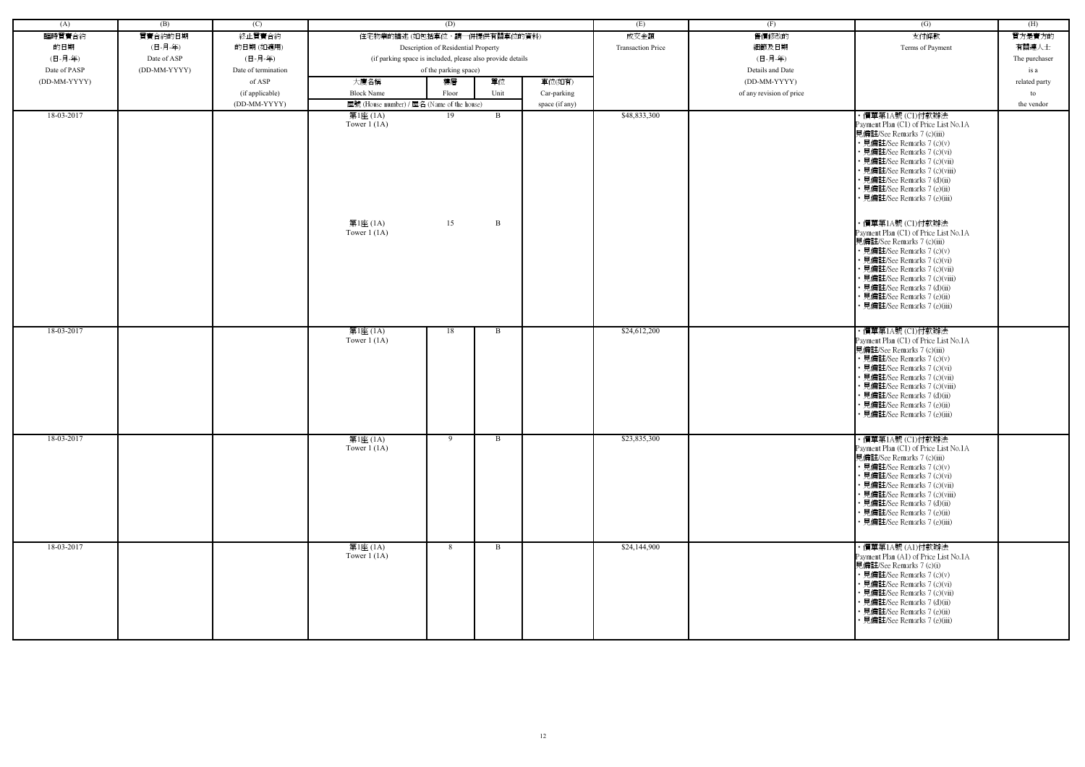| (A)          | (B)          | (C)                 |                                                            | (D)                                 |              |                | (E)                      | (F)                      | $\overline{(G)}$                                                                                                                                                                                                                                                                                                    | (H)           |
|--------------|--------------|---------------------|------------------------------------------------------------|-------------------------------------|--------------|----------------|--------------------------|--------------------------|---------------------------------------------------------------------------------------------------------------------------------------------------------------------------------------------------------------------------------------------------------------------------------------------------------------------|---------------|
| 臨時買賣合約       | 買賣合約的日期      | 終止買賣合約              | 住宅物業的描述 (如包括車位,請一併提供有關車位的資料)                               |                                     |              |                | 成交金額                     | 售價修改的                    | 支付條款                                                                                                                                                                                                                                                                                                                | 買方是賣方的        |
| 的日期          | (日-月-年)      | 的日期(如適用)            |                                                            | Description of Residential Property |              |                | <b>Transaction Price</b> | 細節及日期                    | Terms of Payment                                                                                                                                                                                                                                                                                                    | 有關連人士         |
| (日-月-年)      | Date of ASP  | (日-月-年)             | (if parking space is included, please also provide details |                                     |              |                |                          | (日-月-年)                  |                                                                                                                                                                                                                                                                                                                     | The purchaser |
| Date of PASP | (DD-MM-YYYY) | Date of termination |                                                            | of the parking space)               |              |                |                          | Details and Date         |                                                                                                                                                                                                                                                                                                                     | is a          |
| (DD-MM-YYYY) |              | of ASP              | 大廈名稱                                                       | 樓層                                  | 單位           | 車位(如有)         |                          | (DD-MM-YYYY)             |                                                                                                                                                                                                                                                                                                                     | related party |
|              |              | (if applicable)     | <b>Block Name</b>                                          | Floor                               | Unit         | Car-parking    |                          | of any revision of price |                                                                                                                                                                                                                                                                                                                     | to            |
|              |              | (DD-MM-YYYY)        | 屋號 (House number) / 屋名 (Name of the house)                 |                                     |              | space (if any) |                          |                          |                                                                                                                                                                                                                                                                                                                     | the vendor    |
| 18-03-2017   |              |                     | 第1座 (1A)                                                   | 19                                  | $\mathbf{B}$ |                | \$48,833,300             |                          | ・價單第1A號 (C1)付款辦法                                                                                                                                                                                                                                                                                                    |               |
|              |              |                     | Tower $1(1A)$                                              |                                     |              |                |                          |                          | Payment Plan (C1) of Price List No.1A<br>見備註/See Remarks 7 (c)(iii)<br>• 見備註/See Remarks 7 (c)(v)<br>• 見備註/See Remarks 7 (c)(vi)<br>• 見備註/See Remarks 7 (c)(vii)<br>• 見備註/See Remarks 7 (c)(viii)<br>• 見備註/See Remarks 7 (d)(ii)<br>• 見備註/See Remarks 7 (e)(ii)<br>• 見備註/See Remarks 7 (e)(iii)                     |               |
|              |              |                     | 第1座 (1A)<br>Tower $1(1A)$                                  | 15                                  | B            |                |                          |                          | ・價單第1A號 (C1)付款辦法<br>Payment Plan (C1) of Price List No.1A<br>見備註/See Remarks 7 (c)(iii)<br>• 見備註/See Remarks 7 (c)(v)<br>• 見備註/See Remarks 7 (c)(vi)<br>• 見備註/See Remarks 7 (c)(vii)<br>• 見備註/See Remarks 7 (c)(viii)<br>• 見備註/See Remarks 7 (d)(ii)<br>• 見備註/See Remarks 7 (e)(ii)<br>· 見備註/See Remarks 7 (e)(iii) |               |
| 18-03-2017   |              |                     | 第1座 (1A)<br>Tower $1(1A)$                                  | 18                                  | B            |                | \$24,612,200             |                          | ・價單第1A號 (C1)付款辦法<br>Payment Plan (C1) of Price List No.1A<br>見備註/See Remarks 7 (c)(iii)<br>• 見備註/See Remarks 7 (c)(v)<br>• 見備註/See Remarks 7 (c)(vi)<br>• 見備註/See Remarks 7 (c)(vii)<br>• 見備註/See Remarks 7 (c)(viii)<br>• 見備註/See Remarks 7 (d)(ii)<br>· 見備註/See Remarks 7 (e)(ii)<br>• 見備註/See Remarks 7 (e)(iii) |               |
| 18-03-2017   |              |                     | 第1座 (1A)<br>Tower $1(1A)$                                  | 9                                   | B            |                | \$23,835,300             |                          | ・價單第1A號 (C1)付款辦法<br>Payment Plan (C1) of Price List No.1A<br>見備註/See Remarks 7 (c)(iii)<br>• 見備註/See Remarks 7 (c)(v)<br>• 見備註/See Remarks 7 (c)(vi)<br>• 見備註/See Remarks 7 (c)(vii)<br>• 見備註/See Remarks 7 (c)(viii)<br>• 見備註/See Remarks 7 (d)(ii)<br>• 見備註/See Remarks 7 (e)(ii)<br>• 見備註/See Remarks 7 (e)(iii) |               |
| 18-03-2017   |              |                     | 第1座 (1A)<br>Tower $1(1A)$                                  | 8                                   | B            |                | \$24,144,900             |                          | ・價單第1A號 (A1)付款辦法<br>Payment Plan (A1) of Price List No.1A<br>見備註/See Remarks 7 (c)(i)<br>• 見備註/See Remarks 7 (c)(v)<br>• 見備註/See Remarks 7 (c)(vi)<br>• 見備註/See Remarks 7 (c)(vii)<br>• 見備註/See Remarks 7 (d)(ii)<br>• 見備註/See Remarks 7 (e)(ii)<br>• 見備註/See Remarks 7 (e)(iii)                                    |               |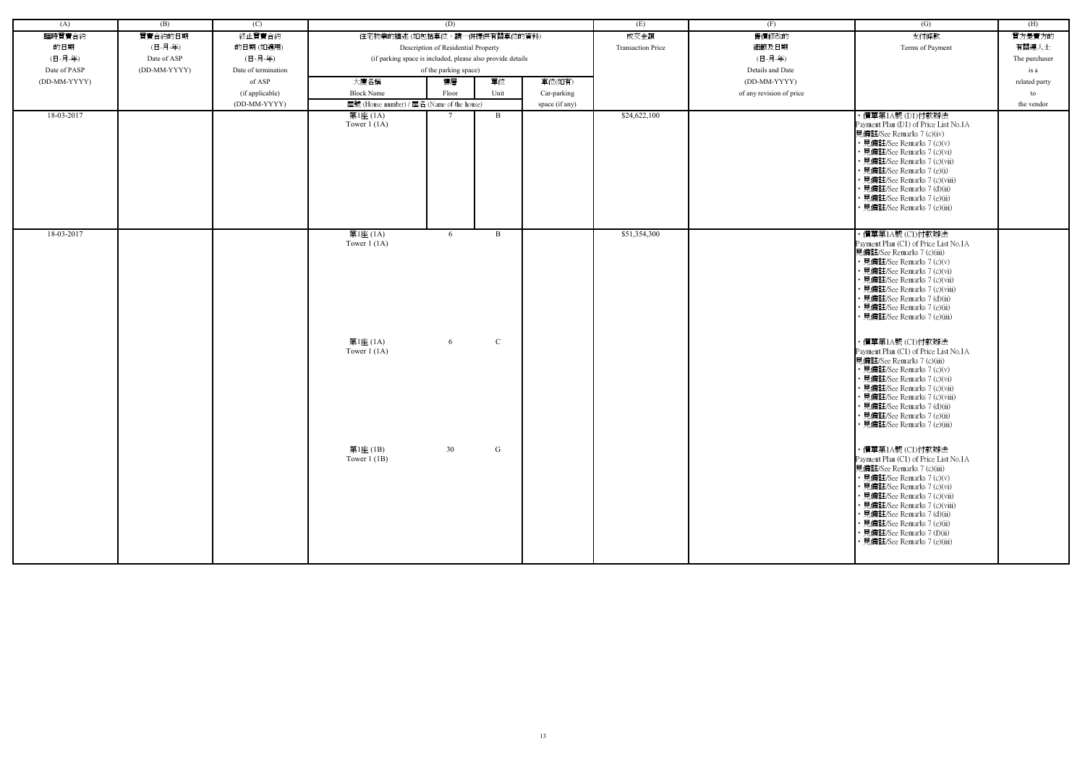| (A)          | (B)          | (C)                 |                                            | (D)                                                        |              |                | (E)                      | (F)                      | (G)                                                                                                                                                                                                                                                                                                                                                | (H)           |
|--------------|--------------|---------------------|--------------------------------------------|------------------------------------------------------------|--------------|----------------|--------------------------|--------------------------|----------------------------------------------------------------------------------------------------------------------------------------------------------------------------------------------------------------------------------------------------------------------------------------------------------------------------------------------------|---------------|
| 臨時買賣合約       | 買賣合約的日期      | 終止買賣合約              | 住宅物業的描述 (如包括車位,請一併提供有關車位的資料)               |                                                            |              |                | 成交金額                     | 售價修改的                    | 支付條款                                                                                                                                                                                                                                                                                                                                               | 買方是賣方的        |
| 的日期          | (日-月-年)      | 的日期(如適用)            |                                            | Description of Residential Property                        |              |                | <b>Transaction Price</b> | 細節及日期                    | Terms of Payment                                                                                                                                                                                                                                                                                                                                   | 有關連人士         |
| (日-月-年)      | Date of ASP  | (日-月-年)             |                                            | (if parking space is included, please also provide details |              |                |                          | (日-月-年)                  |                                                                                                                                                                                                                                                                                                                                                    | The purchaser |
| Date of PASP | (DD-MM-YYYY) | Date of termination |                                            | of the parking space)                                      |              |                |                          | Details and Date         |                                                                                                                                                                                                                                                                                                                                                    | is a          |
| (DD-MM-YYYY) |              | of ASP              | 大廈名稱                                       | 樓層                                                         | 單位           | 車位(如有)         |                          | (DD-MM-YYYY)             |                                                                                                                                                                                                                                                                                                                                                    | related party |
|              |              | (if applicable)     | <b>Block Name</b>                          | Floor                                                      | Unit         | Car-parking    |                          | of any revision of price |                                                                                                                                                                                                                                                                                                                                                    | to            |
|              |              | (DD-MM-YYYY)        | 屋號 (House number) / 屋名 (Name of the house) |                                                            |              | space (if any) |                          |                          |                                                                                                                                                                                                                                                                                                                                                    | the vendor    |
| 18-03-2017   |              |                     | 第1座 (1A)<br>Tower $1(1A)$                  |                                                            | $\mathbf{B}$ |                | \$24,622,100             |                          | ・價單第1A號 (D1)付款辦法<br>Payment Plan (D1) of Price List No.1A<br>見備註/See Remarks 7 (c)(iv)<br>• 見備註/See Remarks 7 (c)(v)<br>· 見備註/See Remarks 7 (c)(vi)<br>· 見備註/See Remarks 7 (c)(vii)<br>• 見備註/See Remarks 7 (e)(i)<br>· 見備註/See Remarks 7 (c)(viii)                                                                                                 |               |
|              |              |                     |                                            |                                                            |              |                |                          |                          | • 見備註/See Remarks 7 (d)(ii)<br>• 見備註/See Remarks 7 (e)(ii)<br>見備註/See Remarks 7 (e)(iii)                                                                                                                                                                                                                                                           |               |
| 18-03-2017   |              |                     | 第1座 (1A)<br>Tower $1(1A)$                  | 6                                                          | $\mathbf{B}$ |                | \$51,354,300             |                          | ・價單第1A號 (C1)付款辦法<br>Payment Plan (C1) of Price List No.1A<br>見備註/See Remarks 7 (c)(iii)<br>• 見備註/See Remarks 7 (c)(v)<br>• 見備註/See Remarks 7 (c)(vi)<br>• 見備註/See Remarks 7 (c)(vii)<br>· 見備註/See Remarks 7 (c)(viii)<br>• 見備註/See Remarks 7 (d)(ii)<br>• 見備註/See Remarks 7 (e)(ii)<br>• 見備註/See Remarks 7 (e)(iii)                                |               |
|              |              |                     | 第1座 (1A)<br>Tower $1$ (1A)                 | 6                                                          | ${\bf C}$    |                |                          |                          | ・價單第1A號 (C1)付款辦法<br>Payment Plan (C1) of Price List No.1A<br>見備註/See Remarks 7 (c)(iii)<br>• 見備註/See Remarks 7 (c)(v)<br>• 見備註/See Remarks 7 (c)(vi)<br>• 見備註/See Remarks 7 (c)(vii)<br>• 見備註/See Remarks 7 (c)(viii)<br>• 見備註/See Remarks 7 (d)(ii)<br>• 見備註/See Remarks 7 (e)(ii)<br>• 見備註/See Remarks 7 (e)(iii)                                |               |
|              |              |                     | 第1座 (1B)<br>Tower $1$ (1B)                 | 30                                                         | G            |                |                          |                          | ・價單第1A號 (C1)付款辦法<br>Payment Plan (C1) of Price List No.1A<br>見備註/See Remarks 7 (c)(iii)<br>• 見備註/See Remarks 7 (c)(v)<br>• 見備註/See Remarks 7 (c)(vi)<br>• 見備註/See Remarks 7 (c)(vii)<br>• 見備註/See Remarks 7 (c)(viii)<br>• 見備註/See Remarks 7 (d)(ii)<br>• 見備註/See Remarks 7 (e)(ii)<br>• 見備註/See Remarks 7 (f)(ii)<br>• 見備註/See Remarks 7 (e)(iii) |               |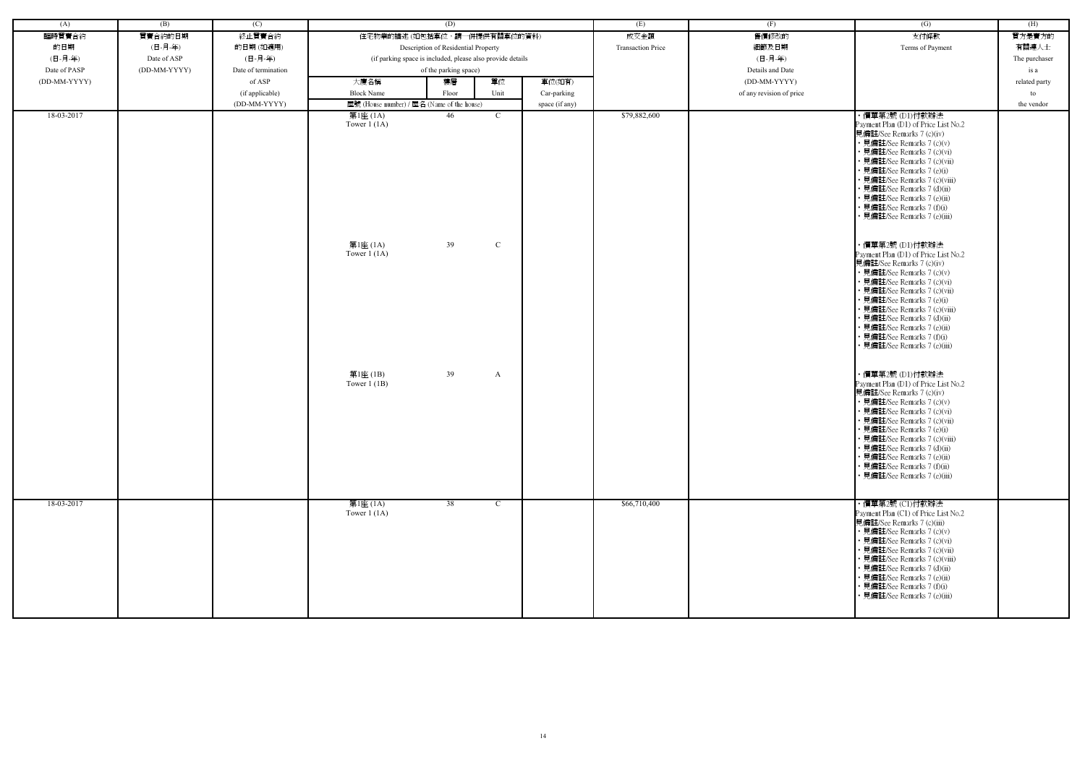| (A)          | (B)          | (C)                             |                           | (D)                                                         |                | (E)                      | (F)                      | $\overline{(G)}$                                                                                                                                                                                                                                                                                                                                                            | (H)              |
|--------------|--------------|---------------------------------|---------------------------|-------------------------------------------------------------|----------------|--------------------------|--------------------------|-----------------------------------------------------------------------------------------------------------------------------------------------------------------------------------------------------------------------------------------------------------------------------------------------------------------------------------------------------------------------------|------------------|
| 臨時買賣合約       | 買賣合約的日期      | 終止買賣合約                          |                           | 住宅物業的描述(如包括車位,請一併提供有關車位的資料)                                 |                | 成交金額                     | 售價修改的                    | 支付條款                                                                                                                                                                                                                                                                                                                                                                        | 買方是賣方的           |
| 的日期          | (日-月-年)      | 的日期(如適用)                        |                           | Description of Residential Property                         |                | <b>Transaction Price</b> | 細節及日期                    | Terms of Payment                                                                                                                                                                                                                                                                                                                                                            | 有關連人士            |
| (日-月-年)      | Date of ASP  | (日-月-年)                         |                           | (if parking space is included, please also provide details  |                |                          | (日-月-年)                  |                                                                                                                                                                                                                                                                                                                                                                             | The purchaser    |
| Date of PASP | (DD-MM-YYYY) | Date of termination             |                           | of the parking space)                                       |                |                          | Details and Date         |                                                                                                                                                                                                                                                                                                                                                                             | is a             |
| (DD-MM-YYYY) |              | of ASP                          | 大廈名稱<br><b>Block Name</b> | 單位<br>樓層                                                    | 車位(如有)         |                          | (DD-MM-YYYY)             |                                                                                                                                                                                                                                                                                                                                                                             | related party    |
|              |              | (if applicable)<br>(DD-MM-YYYY) |                           | Unit<br>Floor<br>屋號 (House number) / 屋名 (Name of the house) | Car-parking    |                          | of any revision of price |                                                                                                                                                                                                                                                                                                                                                                             | to<br>the vendor |
| 18-03-2017   |              |                                 | 第1座 (1A)                  | 46<br>$\mathcal{C}$                                         | space (if any) | \$79,882,600             |                          | ・價單第2號 (D1)付款辦法                                                                                                                                                                                                                                                                                                                                                             |                  |
|              |              |                                 | Tower $1(1A)$             |                                                             |                |                          |                          | Payment Plan (D1) of Price List No.2<br>見備註/See Remarks 7 (c)(iv)<br>• 見備註/See Remarks 7 (c)(v)<br>· 見備註/See Remarks 7 (c)(vi)<br>· 見備註/See Remarks 7 (c)(vii)<br>見備註/See Remarks 7 (e)(i)<br>· 見備註/See Remarks 7 (c)(viii)<br>見備註/See Remarks 7 (d)(ii)<br>· 見備註/See Remarks 7 (e)(ii)<br>• 見備註/See Remarks 7 (f)(i)<br>見備註/See Remarks 7 (e)(iii)                         |                  |
|              |              |                                 | 第1座 (1A)<br>Tower $1(1A)$ | 39<br>$\mathcal{C}$                                         |                |                          |                          | ・價單第2號 (D1)付款辦法<br>Payment Plan (D1) of Price List No.2<br>見備註/See Remarks 7 (c)(iv)<br>• 見備註/See Remarks 7 (c)(v)<br>· 見備註/See Remarks 7 (c)(vi)<br>· 見備註/See Remarks 7 (c)(vii)<br>見備註/See Remarks 7 (e)(i)<br>見備註/See Remarks 7 (c)(viii)<br>· 見備註/See Remarks 7 (d)(ii)<br>• 見備註/See Remarks 7 (e)(ii)<br>• 見備註/See Remarks 7 (f)(i)<br>見備註/See Remarks 7 (e)(iii)      |                  |
|              |              |                                 | 第1座(1B)<br>Tower $1$ (1B) | 39<br>A                                                     |                |                          |                          | ・價單第2號 (D1)付款辦法<br>Payment Plan (D1) of Price List No.2<br>見備註/See Remarks 7 (c)(iv)<br>• 見備註/See Remarks 7 (c)(v)<br>• 見備註/See Remarks 7 (c)(vi)<br>• 見備註/See Remarks 7 (c)(vii)<br>· 見備註/See Remarks 7 (e)(i)<br>· 見備註/See Remarks 7 (c)(viii)<br>• 見備註/See Remarks 7 (d)(ii)<br>· 見備註/See Remarks 7 (e)(ii)<br>見備註/See Remarks 7 (f)(ii)<br>• 見備註/See Remarks 7 (e)(iii) |                  |
| 18-03-2017   |              |                                 | 第1座 (1A)<br>Tower $1(1A)$ | 38<br>$\mathbf{C}$                                          |                | \$66,710,400             |                          | ・價單第2號 (C1)付款辦法<br>Payment Plan (C1) of Price List No.2<br>見備註/See Remarks 7 (c)(iii)<br>• 見備註/See Remarks 7 (c)(v)<br>• 見備註/See Remarks 7 (c)(vi)<br>• 見備註/See Remarks 7 (c)(vii)<br>· 見備註/See Remarks 7 (c)(viii)<br>• 見備註/See Remarks 7 (d)(ii)<br>· 見備註/See Remarks 7 (e)(ii)<br>· 見備註/See Remarks 7 (f)(i)<br>• 見備註/See Remarks 7 (e)(iii)                             |                  |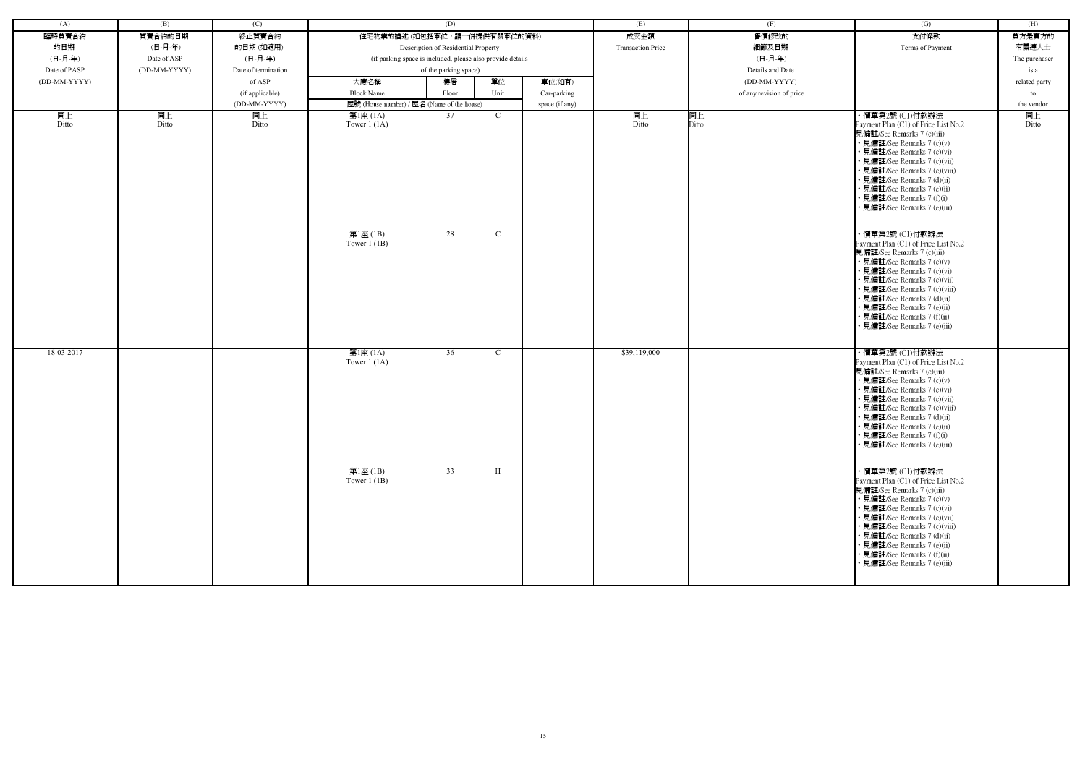| (A)          | (B)          | (C)                 |                                                         | (D)                                                        |                             |                | (E)                      | (F)                      | $\overline{(G)}$                                                                                                                                                                                                                                                                                                                                                                                                                                                                                                                                                                                                                                                                                    | (H)           |
|--------------|--------------|---------------------|---------------------------------------------------------|------------------------------------------------------------|-----------------------------|----------------|--------------------------|--------------------------|-----------------------------------------------------------------------------------------------------------------------------------------------------------------------------------------------------------------------------------------------------------------------------------------------------------------------------------------------------------------------------------------------------------------------------------------------------------------------------------------------------------------------------------------------------------------------------------------------------------------------------------------------------------------------------------------------------|---------------|
| 臨時買賣合約       | 買賣合約的日期      | 終止買賣合約              |                                                         | 住宅物業的描述(如包括車位,請一併提供有關車位的資料)                                |                             |                | 成交金額                     | 售價修改的                    | 支付條款                                                                                                                                                                                                                                                                                                                                                                                                                                                                                                                                                                                                                                                                                                | 買方是賣方的        |
| 的日期          | (日-月-年)      | 的日期(如適用)            |                                                         | Description of Residential Property                        |                             |                | <b>Transaction Price</b> | 細節及日期                    | Terms of Payment                                                                                                                                                                                                                                                                                                                                                                                                                                                                                                                                                                                                                                                                                    | 有關連人士         |
| (日-月-年)      | Date of ASP  | (日-月-年)             |                                                         | (if parking space is included, please also provide details |                             |                |                          | (日-月-年)                  |                                                                                                                                                                                                                                                                                                                                                                                                                                                                                                                                                                                                                                                                                                     | The purchaser |
| Date of PASP | (DD-MM-YYYY) | Date of termination |                                                         | of the parking space)                                      |                             |                |                          | Details and Date         |                                                                                                                                                                                                                                                                                                                                                                                                                                                                                                                                                                                                                                                                                                     | is a          |
| (DD-MM-YYYY) |              | of ASP              | 大廈名稱                                                    | 樓層                                                         | 單位                          | 車位(如有)         |                          | (DD-MM-YYYY)             |                                                                                                                                                                                                                                                                                                                                                                                                                                                                                                                                                                                                                                                                                                     | related party |
|              |              | (if applicable)     | <b>Block Name</b>                                       | Floor                                                      | Unit                        | Car-parking    |                          | of any revision of price |                                                                                                                                                                                                                                                                                                                                                                                                                                                                                                                                                                                                                                                                                                     | to            |
|              |              | (DD-MM-YYYY)        | 屋號 (House number) / 屋名 (Name of the house)              |                                                            |                             | space (if any) |                          |                          |                                                                                                                                                                                                                                                                                                                                                                                                                                                                                                                                                                                                                                                                                                     | the vendor    |
| 同上<br>Ditto  | 同上<br>Ditto  | 同上<br>Ditto         | 第1座 (1A)<br>Tower $1(1A)$<br>第1座 (1B)<br>Tower $1$ (1B) | 37<br>28                                                   | $\mathbf{C}$<br>$\mathbf C$ |                | 同上<br>Ditto              | 同上<br>Ditto              | ・價單第2號 (C1)付款辦法<br>Payment Plan (C1) of Price List No.2<br>見備註/See Remarks 7 (c)(iii)<br>• 見備註/See Remarks 7 (c)(v)<br>• 見備註/See Remarks 7 (c)(vi)<br>• 見備註/See Remarks 7 (c)(vii)<br>• 見備註/See Remarks 7 (c)(viii)<br>• 見備註/See Remarks 7 (d)(ii)<br>• 見備註/See Remarks 7 (e)(ii)<br>• 見備註/See Remarks 7 (f)(i)<br>• 見備註/See Remarks 7 (e)(iii)<br>・價單第2號 (C1)付款辦法<br>Payment Plan (C1) of Price List No.2<br>見備註/See Remarks 7 (c)(iii)<br>• 見備註/See Remarks 7 (c)(v)<br>· 見備註/See Remarks 7 (c)(vi)<br>• 見備註/See Remarks 7 (c)(vii)<br>• 見備註/See Remarks 7 (c)(viii)<br>• 見備註/See Remarks 7 (d)(ii)<br>• 見備註/See Remarks 7 (e)(ii)<br>· 見備註/See Remarks 7 (f)(ii)<br>· 見備註/See Remarks 7 (e)(iii) | 同上<br>Ditto   |
| 18-03-2017   |              |                     | 第1座 (1A)<br>Tower $1(1A)$<br>第1座 (1B)<br>Tower $1$ (1B) | 36<br>33                                                   | $\mathbf{C}$<br>H           |                | \$39,119,000             |                          | ・價單第2號 (C1)付款辦法<br>Payment Plan (C1) of Price List No.2<br>見備註/See Remarks 7 (c)(iii)<br>• 見備註/See Remarks 7 (c)(v)<br>• 見備註/See Remarks 7 (c)(vi)<br>· 見備註/See Remarks 7 (c)(vii)<br>見備註/See Remarks 7 (c)(viii)<br>• 見備註/See Remarks 7 (d)(ii)<br>• 見備註/See Remarks 7 (e)(ii)<br>• 見備註/See Remarks 7 (f)(i)<br>• 見備註/See Remarks 7 (e)(iii)<br>・價單第2號 (C1)付款辦法<br>Payment Plan (C1) of Price List No.2<br>見備註/See Remarks 7 (c)(iii)<br>• 見備註/See Remarks 7 (c)(v)<br>• 見備註/See Remarks 7 (c)(vi)<br>• 見備註/See Remarks 7 (c)(vii)<br>• 見備註/See Remarks 7 (c)(viii)<br>• 見備註/See Remarks 7 (d)(ii)<br>• 見備註/See Remarks 7 (e)(ii)<br>• 見備註/See Remarks 7 (f)(ii)<br>• 見備註/See Remarks 7 (e)(iii)   |               |

| (G)                                                                                                                                                                                                                                                                                                                                                                                                                                                                                                                                   | (H)           |
|---------------------------------------------------------------------------------------------------------------------------------------------------------------------------------------------------------------------------------------------------------------------------------------------------------------------------------------------------------------------------------------------------------------------------------------------------------------------------------------------------------------------------------------|---------------|
| 支付條款                                                                                                                                                                                                                                                                                                                                                                                                                                                                                                                                  | 買方是賣方的        |
| Terms of Payment                                                                                                                                                                                                                                                                                                                                                                                                                                                                                                                      | 有關連人士         |
|                                                                                                                                                                                                                                                                                                                                                                                                                                                                                                                                       | The purchaser |
|                                                                                                                                                                                                                                                                                                                                                                                                                                                                                                                                       | is a          |
|                                                                                                                                                                                                                                                                                                                                                                                                                                                                                                                                       |               |
|                                                                                                                                                                                                                                                                                                                                                                                                                                                                                                                                       | related party |
|                                                                                                                                                                                                                                                                                                                                                                                                                                                                                                                                       | to            |
|                                                                                                                                                                                                                                                                                                                                                                                                                                                                                                                                       | the vendor    |
| ・價單第2號 (C1)付款辦法<br>Payment Plan (C1) of Price List No.2<br>見備註/See Remarks 7 (c)(iii)<br>• 見備註/See Remarks 7 (c)(v)<br>• 見備註/See Remarks 7 (c)(vi)<br>• 見備註/See Remarks 7 (c)(vii)<br>• 見備註/See Remarks 7 (c)(viii)<br>• 見備註/See Remarks 7 (d)(ii)<br>• 見備註/See Remarks 7 (e)(ii)<br>• 見備註/See Remarks 7 (f)(i)<br>• 見備註/See Remarks 7 (e)(iii)<br>・價單第2號 (C1)付款辦法<br>Payment Plan (C1) of Price List No.2<br>見備註/See Remarks 7 (c)(iii)<br>• 見備註/See Remarks 7 (c)(v)<br>• 見備註/See Remarks 7 (c)(vi)<br>• 見備註/See Remarks 7 (c)(vii) | 同上<br>Ditto   |
| • 見備註/See Remarks 7 (c)(viii)<br>• 見備註/See Remarks 7 (d)(ii)<br>• 見備註/See Remarks 7 (e)(ii)<br>• 見備註/See Remarks 7 (f)(ii)<br>• 見備註/See Remarks 7 (e)(iii)<br>・價單第2號 (C1)付款辦法                                                                                                                                                                                                                                                                                                                                                         |               |
| Payment Plan (C1) of Price List No.2<br>見備註/See Remarks 7 (c)(iii)<br>• 見備註/See Remarks 7 (c)(v)<br>見備註/See Remarks 7 (c)(vi)<br>見備註/See Remarks 7 (c)(vii)<br>• 見備註/See Remarks 7 (c)(viii)<br>• 見備註/See Remarks 7 (d)(ii)<br>見備註/See Remarks 7 (e)(ii)<br>• 見備註/See Remarks 7 (f)(i)<br>• 見備註/See Remarks 7 (e)(iii)                                                                                                                                                                                                                |               |
| ・價單第2號 (C1)付款辦法<br>Payment Plan (C1) of Price List No.2<br>見備註/See Remarks 7 (c)(iii)<br>• 見備註/See Remarks 7 (c)(v)<br>見備註/See Remarks 7 (c)(vi)<br>• 見備註/See Remarks 7 (c)(vii)<br>• 見備註/See Remarks 7 (c)(viii)<br>• 見備註/See Remarks 7 (d)(ii)<br>• 見備註/See Remarks 7 (e)(ii)<br>• 見備註/See Remarks 7 (f)(ii)<br>• 見備註/See Remarks 7 (e)(iii)                                                                                                                                                                                        |               |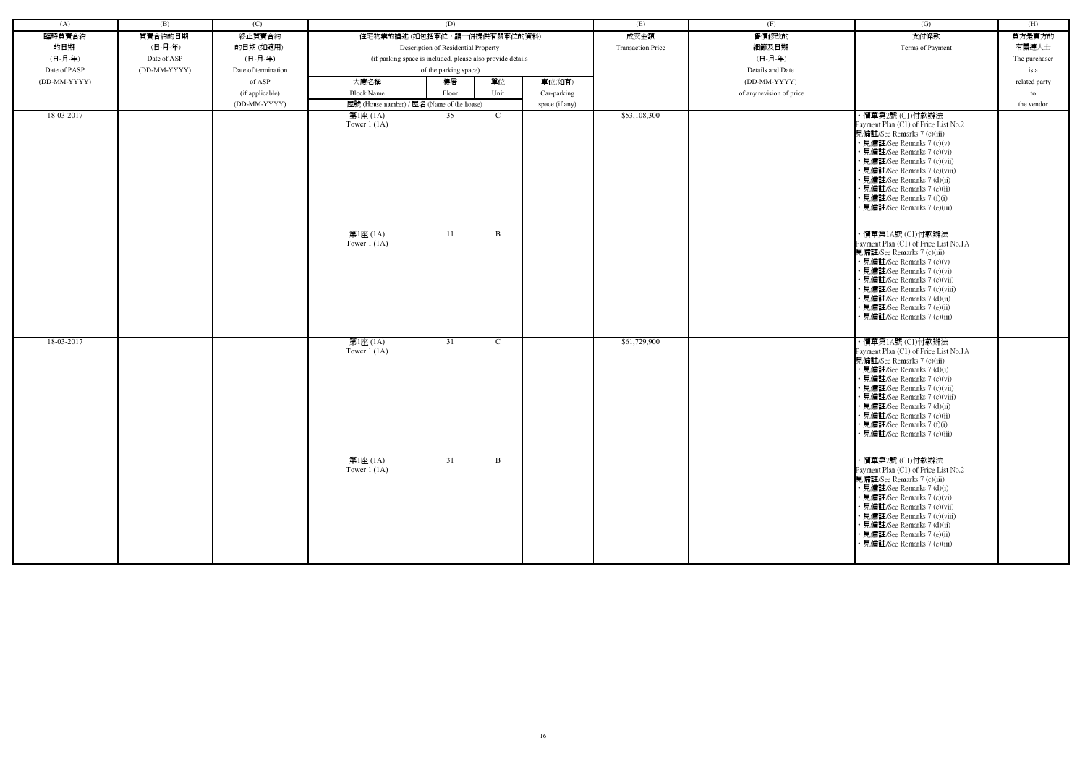| (A)          | (B)          | (C)                 |                                            | (D)                                                        |              |                | (E)                      | (F)                      | $\overline{(G)}$                                                                                                                                                                                                                                                                                                                      | (H)           |
|--------------|--------------|---------------------|--------------------------------------------|------------------------------------------------------------|--------------|----------------|--------------------------|--------------------------|---------------------------------------------------------------------------------------------------------------------------------------------------------------------------------------------------------------------------------------------------------------------------------------------------------------------------------------|---------------|
| 臨時買賣合約       | 買賣合約的日期      | 終止買賣合約              |                                            | 住宅物業的描述 (如包括車位,請一併提供有關車位的資料)                               |              |                | 成交金額                     | 售價修改的                    | 支付條款                                                                                                                                                                                                                                                                                                                                  | 買方是賣方的        |
| 的日期          | (日-月-年)      | 的日期(如適用)            |                                            | Description of Residential Property                        |              |                | <b>Transaction Price</b> | 細節及日期                    | Terms of Payment                                                                                                                                                                                                                                                                                                                      | 有關連人士         |
| (日-月-年)      | Date of ASP  | (日-月-年)             |                                            | (if parking space is included, please also provide details |              |                |                          | (日-月-年)                  |                                                                                                                                                                                                                                                                                                                                       | The purchaser |
| Date of PASP | (DD-MM-YYYY) | Date of termination |                                            | of the parking space)                                      |              |                |                          | Details and Date         |                                                                                                                                                                                                                                                                                                                                       | is a          |
| (DD-MM-YYYY) |              | of ASP              | 大廈名稱                                       | 樓層                                                         | 單位           | 車位(如有)         |                          | (DD-MM-YYYY)             |                                                                                                                                                                                                                                                                                                                                       | related party |
|              |              |                     |                                            |                                                            |              |                |                          |                          |                                                                                                                                                                                                                                                                                                                                       |               |
|              |              | (if applicable)     | <b>Block Name</b>                          | Floor                                                      | Unit         | Car-parking    |                          | of any revision of price |                                                                                                                                                                                                                                                                                                                                       | to            |
|              |              | (DD-MM-YYYY)        | 屋號 (House number) / 屋名 (Name of the house) |                                                            |              | space (if any) |                          |                          |                                                                                                                                                                                                                                                                                                                                       | the vendor    |
| 18-03-2017   |              |                     | 第1座 (1A)<br>Tower $1(1A)$                  | 35                                                         | $\mathbf{C}$ |                | \$53,108,300             |                          | ・價單第2號 (C1)付款辦法<br>Payment Plan (C1) of Price List No.2<br>見備註/See Remarks 7 (c)(iii)<br>• 見備註/See Remarks 7 (c)(v)<br>見備註/See Remarks 7 (c)(vi)<br>• 見備註/See Remarks 7 (c)(vii)<br>見備註/See Remarks 7 (c)(viii)<br>見備註/See Remarks 7 (d)(ii)<br>見備註/See Remarks 7 (e)(ii)<br>見備註/See Remarks 7 (f)(i)<br>見備註/See Remarks 7 (e)(iii)   |               |
|              |              |                     | 第1座 (1A)<br>Tower $1$ (1A)                 | 11                                                         | $\mathbf{B}$ |                |                          |                          | ・價單第1A號 (C1)付款辦法<br>Payment Plan (C1) of Price List No.1A<br>見備註/See Remarks 7 (c)(iii)<br>• 見備註/See Remarks 7 (c)(v)<br>見備註/See Remarks 7 (c)(vi)<br>· 見備註/See Remarks 7 (c)(vii)<br>見備註/See Remarks 7 (c)(viii)<br>· 見備註/See Remarks 7 (d)(ii)<br>見備註/See Remarks 7 (e)(ii)<br>見備註/See Remarks 7 (e)(iii)                           |               |
| 18-03-2017   |              |                     | 第1座 (1A)<br>Tower $1(1A)$                  | 31                                                         | $\mathbf{C}$ |                | \$61,729,900             |                          | ・價單第1A號 (C1)付款辦法<br>Payment Plan (C1) of Price List No.1A<br>見備註/See Remarks 7 (c)(iii)<br>• 見備註/See Remarks 7 (d)(i)<br>見備註/See Remarks 7 (c)(vi)<br>見備註/See Remarks 7 (c)(vii)<br>見備註/See Remarks 7 (c)(viii)<br>見備註/See Remarks 7 (d)(ii)<br>見備註/See Remarks 7 (e)(ii)<br>見備註/See Remarks 7 (f)(i)<br>• 見備註/See Remarks 7 (e)(iii) |               |
|              |              |                     | 第1座 (1A)<br>Tower $1(1A)$                  | 31                                                         | $\mathbf{B}$ |                |                          |                          | ・價單第2號 (C1)付款辦法<br>Payment Plan (C1) of Price List No.2<br>見備註/See Remarks 7 (c)(iii)<br>• 見備註/See Remarks 7 (d)(i)<br>• 見備註/See Remarks 7 (c)(vi)<br>· 見備註/See Remarks 7 (c)(vii)<br>• 見備註/See Remarks 7 (c)(viii)<br>見備註/See Remarks 7 (d)(ii)<br>見備註/See Remarks 7 (e)(ii)<br>• 見備註/See Remarks 7 (e)(iii)                         |               |

| $\overline{(G)}$                                              | (H)           |
|---------------------------------------------------------------|---------------|
|                                                               | 買方是賣方的        |
| 支付條款                                                          |               |
| Terms of Payment                                              | 有關連人士         |
|                                                               | The purchaser |
|                                                               | is a          |
|                                                               | related party |
|                                                               | to            |
|                                                               | the vendor    |
| ・價單第2號 (C1)付款辦法                                               |               |
| Payment Plan (C1) of Price List No.2                          |               |
| 見備註/See Remarks 7 (c)(iii)                                    |               |
| • 見備註/See Remarks 7 (c)(v)<br>• 見備註/See Remarks 7 (c)(vi)     |               |
| • 見備註/See Remarks 7 (c)(vii)                                  |               |
| • 見備註/See Remarks 7 (c)(viii)                                 |               |
| • 見備註/See Remarks 7 (d)(ii)                                   |               |
| • 見備註/See Remarks 7 (e)(ii)                                   |               |
| • 見備註/See Remarks 7 (f)(i)                                    |               |
| • 見備註/See Remarks 7 (e)(iii)                                  |               |
|                                                               |               |
| ・價單第1A號 (C1)付款辦法                                              |               |
| Payment Plan (C1) of Price List No.1A                         |               |
| 見備註/See Remarks 7 (c)(iii)                                    |               |
| • 見備註/See Remarks 7 (c)(v)                                    |               |
| • 見備註/See Remarks 7 (c)(vi)                                   |               |
| • 見備註/See Remarks 7 (c)(vii)<br>• 見備註/See Remarks 7 (c)(viii) |               |
| • 見備註/See Remarks 7 (d)(ii)                                   |               |
| • 見備註/See Remarks 7 (e)(ii)                                   |               |
| • 見備註/See Remarks 7 (e)(iii)                                  |               |
|                                                               |               |
| ・價單第1A號 (C1)付款辦法                                              |               |
| Payment Plan (C1) of Price List No.1A                         |               |
| 見備註/See Remarks 7 (c)(iii)                                    |               |
| ・見備註/See Remarks 7 (d)(i)                                     |               |
| • 見備註/See Remarks 7 (c)(vi)                                   |               |
| • 見備註/See Remarks 7 (c)(vii)<br>• 見備註/See Remarks 7 (c)(viii) |               |
| 見備註/See Remarks 7 (d)(ii)                                     |               |
| • 見備註/See Remarks 7 (e)(ii)                                   |               |
| 見備註/See Remarks 7 (f)(i)                                      |               |
| • 見備註/See Remarks 7 (e)(iii)                                  |               |
|                                                               |               |
| ・價單第2號 (C1)付款辦法                                               |               |
| Payment Plan (C1) of Price List No.2                          |               |
| 見備註/See Remarks 7 (c)(iii)                                    |               |
| • 見備註/See Remarks 7 (d)(i)                                    |               |
| • 見備註/See Remarks 7 (c)(vi)                                   |               |
| • 見備註/See Remarks 7 (c)(vii)                                  |               |
| • 見備註/See Remarks 7 (c)(viii)<br>• 見備註/See Remarks 7 (d)(ii)  |               |
| • 見備註/See Remarks 7 (e)(ii)                                   |               |
| • 見備註/See Remarks 7 (e)(iii)                                  |               |
|                                                               |               |
|                                                               |               |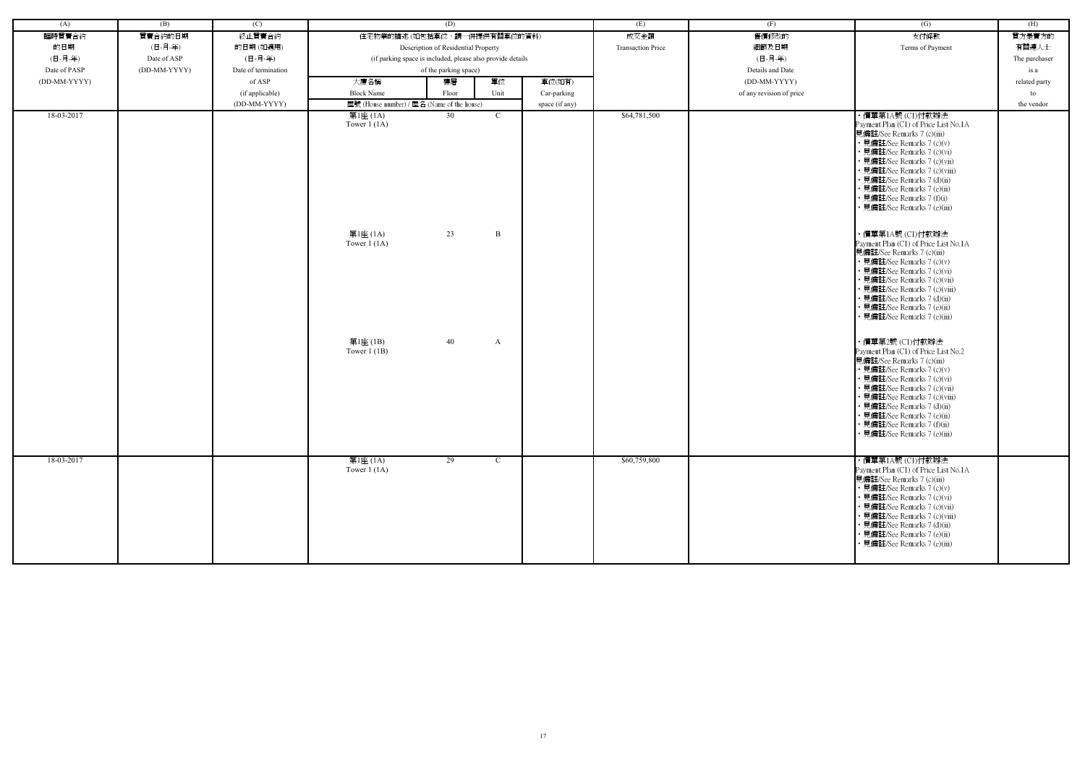| (A)          | (B)          | (C)                 |                                            | (D)                                                        |              |                | (E)                      |                          | (G)                                                                                                                                                                                                                                                                                                                                              | (H)           |
|--------------|--------------|---------------------|--------------------------------------------|------------------------------------------------------------|--------------|----------------|--------------------------|--------------------------|--------------------------------------------------------------------------------------------------------------------------------------------------------------------------------------------------------------------------------------------------------------------------------------------------------------------------------------------------|---------------|
|              | 買賣合約的日期      |                     | 住宅物業的描述 (如包括車位,請一併提供有關車位的資料)               |                                                            |              |                |                          | (F)                      |                                                                                                                                                                                                                                                                                                                                                  |               |
| 臨時買賣合約       |              | 終止買賣合約              |                                            |                                                            |              |                | 成交金額                     | 售價修改的                    | 支付條款                                                                                                                                                                                                                                                                                                                                             | 買方是賣方的        |
| 的日期          | (日-月-年)      | 的日期(如適用)            |                                            | Description of Residential Property                        |              |                | <b>Transaction Price</b> | 細節及日期                    | Terms of Payment                                                                                                                                                                                                                                                                                                                                 | 有關連人士         |
| (日-月-年)      | Date of ASP  | (日-月-年)             |                                            | (if parking space is included, please also provide details |              |                |                          | (日-月-年)                  |                                                                                                                                                                                                                                                                                                                                                  | The purchaser |
| Date of PASP | (DD-MM-YYYY) | Date of termination |                                            | of the parking space)                                      |              |                |                          | Details and Date         |                                                                                                                                                                                                                                                                                                                                                  | is a          |
| (DD-MM-YYYY) |              | of ASP              | 大廈名稱                                       | 樓層                                                         | 單位           | 車位(如有)         |                          | (DD-MM-YYYY)             |                                                                                                                                                                                                                                                                                                                                                  | related party |
|              |              | (if applicable)     | <b>Block Name</b>                          | Floor                                                      | Unit         | Car-parking    |                          | of any revision of price |                                                                                                                                                                                                                                                                                                                                                  | to            |
|              |              | (DD-MM-YYYY)        | 屋號 (House number) / 屋名 (Name of the house) |                                                            |              | space (if any) |                          |                          |                                                                                                                                                                                                                                                                                                                                                  | the vendor    |
| 18-03-2017   |              |                     | 第1座 (1A)<br>Tower $1(1A)$                  | 30                                                         | C            |                | \$64,781,500             |                          | ・價單第1A號 (C1)付款辦法<br>Payment Plan (C1) of Price List No.1A<br>見備註/See Remarks 7 (c)(iii)<br>• 見備註/See Remarks 7 (c)(v)<br>• 見備註/See Remarks 7 (c)(vi)<br>• 見備註/See Remarks 7 (c)(vii)<br>· 見備註/See Remarks 7 (c)(viii)<br>• 見備註/See Remarks 7 (d)(ii)                                                                                             |               |
|              |              |                     | 第1座 (1A)                                   | 23                                                         | B            |                |                          |                          | • 見備註/See Remarks 7 (e)(ii)<br>• 見備註/See Remarks 7 (f)(i)<br>• 見備註/See Remarks 7 (e)(iii)<br>・價單第1A號 (C1)付款辦法                                                                                                                                                                                                                                    |               |
|              |              |                     | Tower $1(1A)$                              |                                                            |              |                |                          |                          | Payment Plan (C1) of Price List No.1A<br>見備註/See Remarks 7 (c)(iii)<br>• 見備註/See Remarks 7 (c)(v)<br>• 見備註/See Remarks 7 (c)(vi)<br>· 見備註/See Remarks 7 (c)(vii)<br>• 見備註/See Remarks 7 (c)(viii)<br>• 見備註/See Remarks 7 (d)(ii)<br>• 見備註/See Remarks 7 (e)(ii)<br>• 見備註/See Remarks 7 (e)(iii)                                                  |               |
|              |              |                     | 第1座(1B)<br>Tower $1$ (1B)                  | 40                                                         | A            |                |                          |                          | ・價單第2號 (C1)付款辦法<br>Payment Plan (C1) of Price List No.2<br>見備註/See Remarks 7 (c)(iii)<br>• 見備註/See Remarks 7 (c)(v)<br>• 見備註/See Remarks 7 (c)(vi)<br>• 見備註/See Remarks 7 (c)(vii)<br>• 見備註/See Remarks 7 (c)(viii)<br>• 見備註/See Remarks 7 (d)(ii)<br>• 見備註/See Remarks 7 (e)(ii)<br>• 見備註/See Remarks 7 (f)(ii)<br>• 見備註/See Remarks 7 (e)(iii) |               |
| 18-03-2017   |              |                     | 第1座 (1A)<br>Tower $1(1A)$                  | 29                                                         | $\mathbf{C}$ |                | \$60,759,800             |                          | ・價單第1A號 (C1)付款辦法<br>Payment Plan (C1) of Price List No.1A<br>見備註/See Remarks 7 (c)(iii)<br>• 見備註/See Remarks 7 (c)(v)<br>• 見備註/See Remarks 7 (c)(vi)<br>• 見備註/See Remarks 7 (c)(vii)<br>• 見備註/See Remarks 7 (c)(viii)<br>• 見備註/See Remarks 7 (d)(ii)<br>· 見備註/See Remarks 7 (e)(ii)<br>• 見備註/See Remarks 7 (e)(iii)                              |               |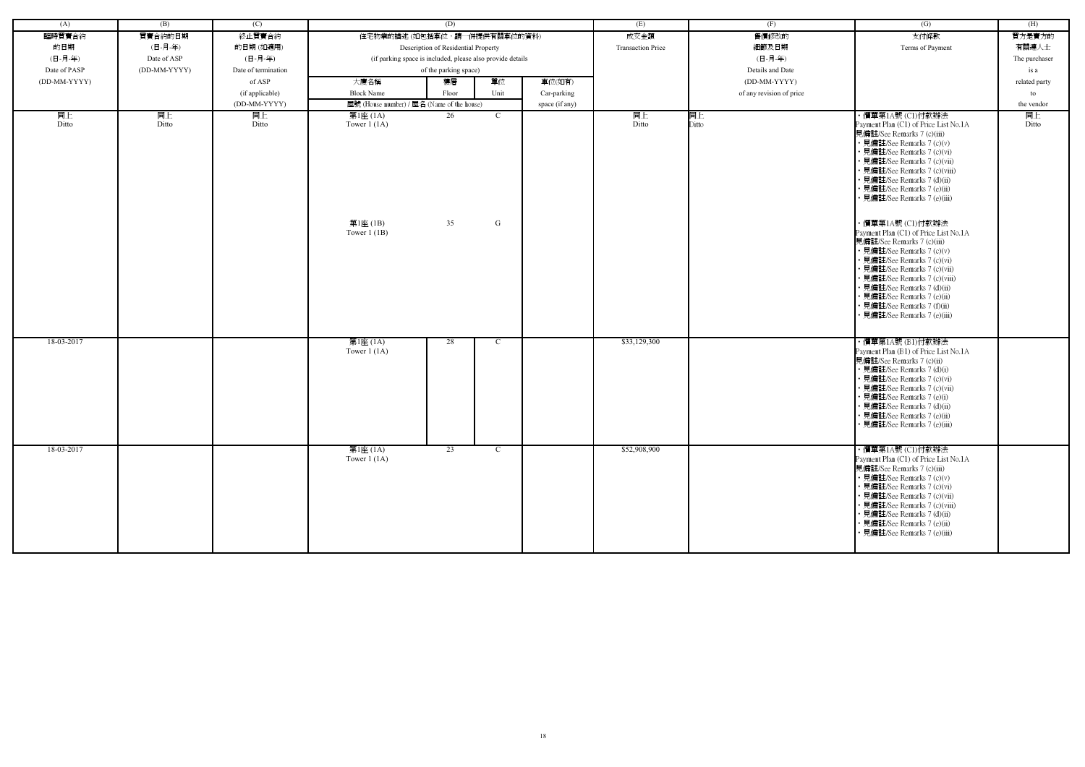| (A)          | (B)          | (C)                 |                                            | (D)                                                        |               |                | (E)                      | (F)                      | (G)                                                                                                                                                                                                                                                                                                                                                                                                                                                                                                                                                                                                                                                   | (H)           |
|--------------|--------------|---------------------|--------------------------------------------|------------------------------------------------------------|---------------|----------------|--------------------------|--------------------------|-------------------------------------------------------------------------------------------------------------------------------------------------------------------------------------------------------------------------------------------------------------------------------------------------------------------------------------------------------------------------------------------------------------------------------------------------------------------------------------------------------------------------------------------------------------------------------------------------------------------------------------------------------|---------------|
| 臨時買賣合約       | 買賣合約的日期      | 終止買賣合約              | 住宅物業的描述 (如包括車位,請一併提供有關車位的資料)               |                                                            |               |                | 成交金額                     | 售價修改的                    | 支付條款                                                                                                                                                                                                                                                                                                                                                                                                                                                                                                                                                                                                                                                  | 買方是賣方的        |
| 的日期          | (日-月-年)      | 的日期(如適用)            |                                            | Description of Residential Property                        |               |                | <b>Transaction Price</b> | 細節及日期                    | Terms of Payment                                                                                                                                                                                                                                                                                                                                                                                                                                                                                                                                                                                                                                      | 有關連人士         |
| (日-月-年)      | Date of ASP  | (日-月-年)             |                                            | (if parking space is included, please also provide details |               |                |                          | (日-月-年)                  |                                                                                                                                                                                                                                                                                                                                                                                                                                                                                                                                                                                                                                                       | The purchaser |
| Date of PASP | (DD-MM-YYYY) | Date of termination |                                            | of the parking space)                                      |               |                |                          | Details and Date         |                                                                                                                                                                                                                                                                                                                                                                                                                                                                                                                                                                                                                                                       | is a          |
| (DD-MM-YYYY) |              | of ASP              | 大廈名稱                                       | 樓層                                                         | 單位            | 車位(如有)         |                          | (DD-MM-YYYY)             |                                                                                                                                                                                                                                                                                                                                                                                                                                                                                                                                                                                                                                                       | related party |
|              |              | (if applicable)     | <b>Block Name</b>                          | Floor                                                      | Unit          | Car-parking    |                          | of any revision of price |                                                                                                                                                                                                                                                                                                                                                                                                                                                                                                                                                                                                                                                       | to            |
|              |              | (DD-MM-YYYY)        | 屋號 (House number) / 屋名 (Name of the house) |                                                            |               | space (if any) |                          |                          |                                                                                                                                                                                                                                                                                                                                                                                                                                                                                                                                                                                                                                                       | the vendor    |
| 同上           | 同上           | 同上                  | 第1座 (1A)                                   | 26                                                         | $\mathcal{C}$ |                | 同上                       | 同上                       | ・價單第1A號 (C1)付款辦法                                                                                                                                                                                                                                                                                                                                                                                                                                                                                                                                                                                                                                      | 同上            |
| Ditto        | Ditto        | Ditto               | Tower $1(1A)$<br>第1座(1B)<br>Tower $1$ (1B) | 35                                                         | G             |                | Ditto                    | Ditto                    | Payment Plan (C1) of Price List No.1A<br>見備註/See Remarks 7 (c)(iii)<br>• 見備註/See Remarks 7 (c)(v)<br>• 見備註/See Remarks 7 (c)(vi)<br>· 見備註/See Remarks 7 (c)(vii)<br>• 見備註/See Remarks 7 (c)(viii)<br>• 見備註/See Remarks 7 (d)(ii)<br>• 見備註/See Remarks 7 (e)(ii)<br>• 見備註/See Remarks 7 (e)(iii)<br>・價單第1A號 (C1)付款辦法<br>Payment Plan (C1) of Price List No.1A<br>見備註/See Remarks 7 (c)(iii)<br>• 見備註/See Remarks 7 (c)(v)<br>• 見備註/See Remarks 7 (c)(vi)<br>• 見備註/See Remarks 7 (c)(vii)<br>• 見備註/See Remarks 7 (c)(viii)<br>• 見備註/See Remarks 7 (d)(ii)<br>• 見備註/See Remarks 7 (e)(ii)<br>• 見備註/See Remarks 7 (f)(ii)<br>• 見備註/See Remarks 7 (e)(iii) | Ditto         |
| 18-03-2017   |              |                     | 第1座 (1A)<br>Tower $1(1A)$                  | 28                                                         | $\mathcal{C}$ |                | \$33,129,300             |                          | ・價單第1A號 (B1)付款辦法<br>Payment Plan (B1) of Price List No.1A<br>見備註/See Remarks 7 (c)(ii)<br>• 見備註/See Remarks 7 (d)(i)<br>• 見備註/See Remarks 7 (c)(vi)<br>• 見備註/See Remarks 7 (c)(vii)<br>• 見備註/See Remarks 7 (e)(i)<br>• 見備註/See Remarks 7 (d)(ii)<br>• 見備註/See Remarks 7 (e)(ii)<br>• 見備註/See Remarks 7 (e)(iii)                                                                                                                                                                                                                                                                                                                                       |               |
| 18-03-2017   |              |                     | 第1座 (1A)<br>Tower $1(1A)$                  | $\overline{23}$                                            | $\mathcal{C}$ |                | \$52,908,900             |                          | ・價單第1A號 (C1)付款辦法<br>Payment Plan (C1) of Price List No.1A<br>見備註/See Remarks 7 (c)(iii)<br>• 見備註/See Remarks 7 (c)(v)<br>• 見備註/See Remarks 7 (c)(vi)<br>• 見備註/See Remarks 7 (c)(vii)<br>• 見備註/See Remarks 7 (c)(viii)<br>• 見備註/See Remarks 7 (d)(ii)<br>• 見備註/See Remarks 7 (e)(ii)<br>• 見備註/See Remarks 7 (e)(iii)                                                                                                                                                                                                                                                                                                                                   |               |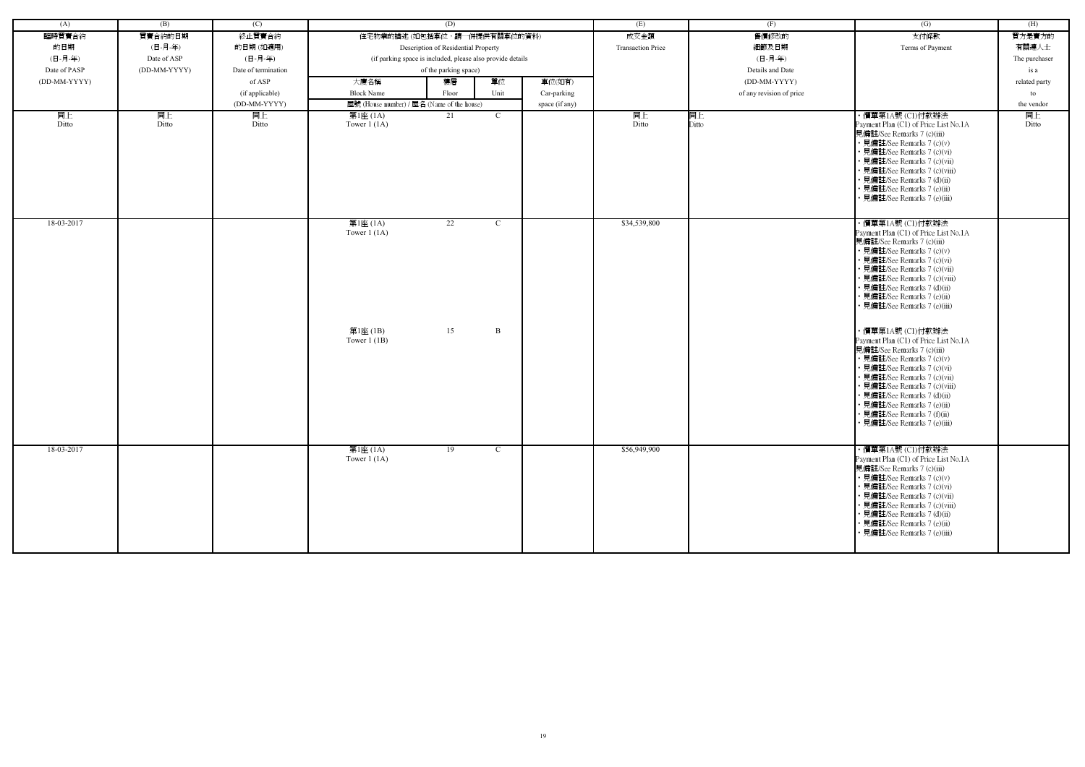| (A)          | (B)          | (C)                 |                                                        | (D)                                                        |                    |                | (E)                      | (F)                      | (G)                                                                                                                                                                                                                                                                                                                                                                                                                                                                                                                                                                                                                                                                       | (H)           |
|--------------|--------------|---------------------|--------------------------------------------------------|------------------------------------------------------------|--------------------|----------------|--------------------------|--------------------------|---------------------------------------------------------------------------------------------------------------------------------------------------------------------------------------------------------------------------------------------------------------------------------------------------------------------------------------------------------------------------------------------------------------------------------------------------------------------------------------------------------------------------------------------------------------------------------------------------------------------------------------------------------------------------|---------------|
| 臨時買賣合約       | 買賣合約的日期      | 終止買賣合約              |                                                        | 住宅物業的描述 (如包括車位,請一併提供有關車位的資料)                               |                    |                | 成交金額                     | 售價修改的                    | 支付條款                                                                                                                                                                                                                                                                                                                                                                                                                                                                                                                                                                                                                                                                      | 買方是賣方的        |
| 的日期          | (日-月-年)      | 的日期(如適用)            |                                                        | Description of Residential Property                        |                    |                | <b>Transaction Price</b> | 細節及日期                    | Terms of Payment                                                                                                                                                                                                                                                                                                                                                                                                                                                                                                                                                                                                                                                          | 有關連人士         |
| (日-月-年)      | Date of ASP  | (日-月-年)             |                                                        | (if parking space is included, please also provide details |                    |                |                          | (日-月-年)                  |                                                                                                                                                                                                                                                                                                                                                                                                                                                                                                                                                                                                                                                                           | The purchaser |
| Date of PASP | (DD-MM-YYYY) | Date of termination |                                                        | of the parking space)                                      |                    |                |                          | Details and Date         |                                                                                                                                                                                                                                                                                                                                                                                                                                                                                                                                                                                                                                                                           | is a          |
| (DD-MM-YYYY) |              | of ASP              | 大廈名稱                                                   | 樓層                                                         | 單位                 | 車位(如有)         |                          | (DD-MM-YYYY)             |                                                                                                                                                                                                                                                                                                                                                                                                                                                                                                                                                                                                                                                                           | related party |
|              |              |                     | <b>Block Name</b>                                      | Floor                                                      | Unit               |                |                          | of any revision of price |                                                                                                                                                                                                                                                                                                                                                                                                                                                                                                                                                                                                                                                                           |               |
|              |              | (if applicable)     |                                                        |                                                            |                    | Car-parking    |                          |                          |                                                                                                                                                                                                                                                                                                                                                                                                                                                                                                                                                                                                                                                                           | to            |
|              |              | (DD-MM-YYYY)        | 屋號 (House number) / 屋名 (Name of the house)             | 21                                                         | $\mathcal{C}$      | space (if any) |                          |                          | ・價單第1A號 (C1)付款辦法                                                                                                                                                                                                                                                                                                                                                                                                                                                                                                                                                                                                                                                          | the vendor    |
| 同上<br>Ditto  | 同上<br>Ditto  | 同上<br>Ditto         | 第1座 (1A)<br>Tower $1(1A)$                              |                                                            |                    |                | 同上<br>Ditto              | 同上<br>Ditto              | Payment Plan (C1) of Price List No.1A<br>見備註/See Remarks 7 (c)(iii)<br>• 見備註/See Remarks 7 (c)(v)<br>• 見備註/See Remarks 7 (c)(vi)<br>• 見備註/See Remarks 7 (c)(vii)<br>· 見備註/See Remarks 7 (c)(viii)<br>• 見備註/See Remarks 7 (d)(ii)<br>• 見備註/See Remarks 7 (e)(ii)<br>見備註/See Remarks 7 (e)(iii)                                                                                                                                                                                                                                                                                                                                                                             | 同上<br>Ditto   |
| 18-03-2017   |              |                     | 第1座 (1A)<br>Tower $1(1A)$<br>第1座(1B)<br>Tower $1$ (1B) | 22<br>15                                                   | $\mathcal{C}$<br>B |                | \$34,539,800             |                          | ・價單第1A號 (C1)付款辦法<br>Payment Plan (C1) of Price List No.1A<br>見備註/See Remarks 7 (c)(iii)<br>• 見備註/See Remarks 7 (c)(v)<br>• 見備註/See Remarks 7 (c)(vi)<br>• 見備註/See Remarks 7 (c)(vii)<br>• 見備註/See Remarks 7 (c)(viii)<br>• 見備註/See Remarks 7 (d)(ii)<br>• 見備註/See Remarks 7 (e)(ii)<br>• 見備註/See Remarks 7 (e)(iii)<br>・價單第1A號 (C1)付款辦法<br>Payment Plan (C1) of Price List No.1A<br>見備註/See Remarks 7 (c)(iii)<br>• 見備註/See Remarks 7 (c)(v)<br>• 見備註/See Remarks 7 (c)(vi)<br>• 見備註/See Remarks 7 (c)(vii)<br>• 見備註/See Remarks 7 (c)(viii)<br>• 見備註/See Remarks 7 (d)(ii)<br>• 見備註/See Remarks 7 (e)(ii)<br>• 見備註/See Remarks 7 (f)(ii)<br>• 見備註/See Remarks 7 (e)(iii) |               |
| 18-03-2017   |              |                     | 第1座 (1A)<br>Tower $1(1A)$                              | 19                                                         | $\mathcal{C}$      |                | \$56,949,900             |                          | ・價單第1A號 (C1)付款辦法<br>Payment Plan (C1) of Price List No.1A<br>見備註/See Remarks 7 (c)(iii)<br>• 見備註/See Remarks 7 (c)(v)<br>• 見備註/See Remarks 7 (c)(vi)<br>• 見備註/See Remarks 7 (c)(vii)<br>• 見備註/See Remarks 7 (c)(viii)<br>• 見備註/See Remarks 7 (d)(ii)<br>• 見備註/See Remarks 7 (e)(ii)<br>• 見備註/See Remarks 7 (e)(iii)                                                                                                                                                                                                                                                                                                                                                       |               |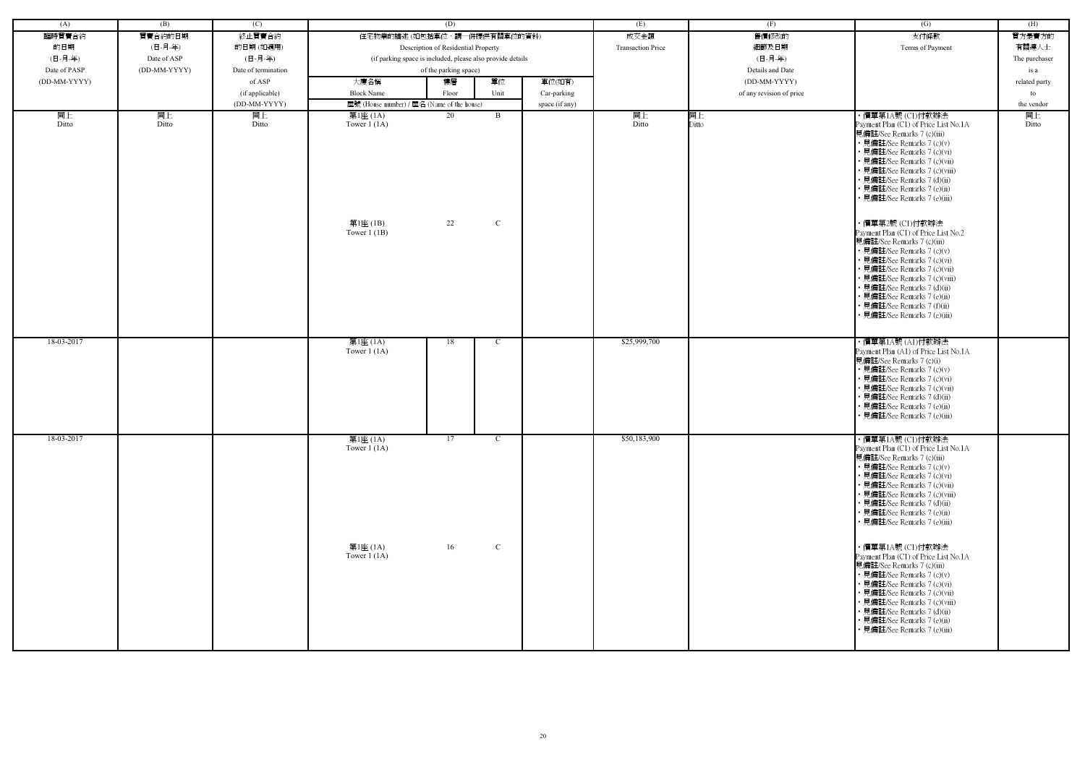| (A)          | (B)          | (C)                 |                                            | (D)                                                        |               |                | (E)                      | (F)                      | (G)                                                                                                                                                                                                                                                                                                                                              | (H)              |
|--------------|--------------|---------------------|--------------------------------------------|------------------------------------------------------------|---------------|----------------|--------------------------|--------------------------|--------------------------------------------------------------------------------------------------------------------------------------------------------------------------------------------------------------------------------------------------------------------------------------------------------------------------------------------------|------------------|
| 臨時買賣合約       | 買賣合約的日期      | 終止買賣合約              | 住宅物業的描述(如包括車位,請一併提供有關車位的資料)                |                                                            |               |                | 成交金額                     | 售價修改的                    | 支付條款                                                                                                                                                                                                                                                                                                                                             | 買方是賣方的           |
| 的日期          | (日-月-年)      | 的日期(如適用)            |                                            | Description of Residential Property                        |               |                | <b>Transaction Price</b> | 細節及日期                    | Terms of Payment                                                                                                                                                                                                                                                                                                                                 | 有關連人士            |
| (日-月-年)      | Date of ASP  | (日-月-年)             |                                            | (if parking space is included, please also provide details |               |                |                          | (日-月-年)                  |                                                                                                                                                                                                                                                                                                                                                  | The purchaser    |
| Date of PASP | (DD-MM-YYYY) | Date of termination |                                            | of the parking space)                                      |               |                |                          | Details and Date         |                                                                                                                                                                                                                                                                                                                                                  | is a             |
| (DD-MM-YYYY) |              | of ASP              | 大廈名稱                                       | 樓層                                                         | 單位            | 車位(如有)         |                          | (DD-MM-YYYY)             |                                                                                                                                                                                                                                                                                                                                                  | related party    |
|              |              | (if applicable)     | <b>Block Name</b>                          | Floor                                                      | Unit          | Car-parking    |                          | of any revision of price |                                                                                                                                                                                                                                                                                                                                                  |                  |
|              |              | (DD-MM-YYYY)        | 屋號 (House number) / 屋名 (Name of the house) |                                                            |               |                |                          |                          |                                                                                                                                                                                                                                                                                                                                                  | to<br>the vendor |
| 同上           | 同上           | 同上                  | 第1座 (1A)                                   | 20                                                         | B             | space (if any) | 同上                       | 同上                       | ・價單第1A號 (C1)付款辦法                                                                                                                                                                                                                                                                                                                                 | 同上               |
| Ditto        | Ditto        | Ditto               | Tower $1(1A)$                              |                                                            |               |                | Ditto                    | Ditto                    | Payment Plan (C1) of Price List No.1A<br>見備註/See Remarks 7 (c)(iii)<br>• 見備註/See Remarks 7 (c)(v)<br>• 見備註/See Remarks 7 (c)(vi)<br>• 見備註/See Remarks 7 (c)(vii)<br>· 見備註/See Remarks 7 (c)(viii)<br>• 見備註/See Remarks 7 (d)(ii)<br>• 見備註/See Remarks 7 (e)(ii)<br>· 見備註/See Remarks 7 (e)(iii)                                                  | Ditto            |
|              |              |                     | 第1座 (1B)<br>Tower $1$ (1B)                 | 22                                                         | $\mathcal{C}$ |                |                          |                          | ·價單第2號 (C1)付款辦法<br>Payment Plan (C1) of Price List No.2<br>見備註/See Remarks 7 (c)(iii)<br>• 見備註/See Remarks 7 (c)(v)<br>• 見備註/See Remarks 7 (c)(vi)<br>· 見備註/See Remarks 7 (c)(vii)<br>· 見備註/See Remarks 7 (c)(viii)<br>• 見備註/See Remarks 7 (d)(ii)<br>· 見備註/See Remarks 7 (e)(ii)<br>· 見備註/See Remarks 7 (f)(ii)<br>· 見備註/See Remarks 7 (e)(iii) |                  |
| 18-03-2017   |              |                     | 第1座 (1A)<br>Tower $1(1A)$                  | 18                                                         | C             |                | \$25,999,700             |                          | ・價單第1A號 (A1)付款辦法<br>Payment Plan (A1) of Price List No.1A<br>見備註/See Remarks 7 (c)(i)<br>• 見備註/See Remarks 7 (c)(v)<br>• 見備註/See Remarks 7 (c)(vi)<br>· 見備註/See Remarks 7 (c)(vii)<br>• 見備註/See Remarks 7 (d)(ii)<br>· 見備註/See Remarks 7 (e)(ii)<br>· 見備註/See Remarks 7 (e)(iii)                                                                 |                  |
| 18-03-2017   |              |                     | 第1座 (1A)<br>Tower $1(1A)$                  | 17                                                         | C             |                | \$50,183,900             |                          | ・價單第1A號 (C1)付款辦法<br>Payment Plan (C1) of Price List No.1A<br>見備註/See Remarks 7 (c)(iii)<br>• 見備註/See Remarks 7 (c)(v)<br>• 見備註/See Remarks 7 (c)(vi)<br>· 見備註/See Remarks 7 (c)(vii)<br>• 見備註/See Remarks 7 (c)(viii)<br>• 見備註/See Remarks 7 (d)(ii)<br>• 見備註/See Remarks 7 (e)(ii)<br>• 見備註/See Remarks 7 (e)(iii)                              |                  |
|              |              |                     | 第1座 (1A)<br>Tower $1(1A)$                  | 16                                                         | $\mathbf{C}$  |                |                          |                          | ・價單第1A號 (C1)付款辦法<br>Payment Plan (C1) of Price List No.1A<br>見備註/See Remarks 7 (c)(iii)<br>• 見備註/See Remarks 7 (c)(v)<br>• 見備註/See Remarks 7 (c)(vi)<br>• 見備註/See Remarks 7 (c)(vii)<br>• 見備註/See Remarks 7 (c)(viii)<br>• 見備註/See Remarks 7 (d)(ii)<br>• 見備註/See Remarks 7 (e)(ii)<br>• 見備註/See Remarks 7 (e)(iii)                              |                  |

| (G)                                                                                                                                                                                                                                                                                                                                                                                                                                           | (H)              |
|-----------------------------------------------------------------------------------------------------------------------------------------------------------------------------------------------------------------------------------------------------------------------------------------------------------------------------------------------------------------------------------------------------------------------------------------------|------------------|
| 支付條款                                                                                                                                                                                                                                                                                                                                                                                                                                          | 買方是賣方的           |
| Terms of Payment                                                                                                                                                                                                                                                                                                                                                                                                                              | 有關連人士            |
|                                                                                                                                                                                                                                                                                                                                                                                                                                               | The purchaser    |
|                                                                                                                                                                                                                                                                                                                                                                                                                                               | is a             |
|                                                                                                                                                                                                                                                                                                                                                                                                                                               | related party    |
|                                                                                                                                                                                                                                                                                                                                                                                                                                               | to<br>the vendor |
| ・價單第1A號 (C1)付款辦法                                                                                                                                                                                                                                                                                                                                                                                                                              | 同上               |
| Payment Plan (C1) of Price List No.1A<br>見備註/See Remarks 7 (c)(iii)<br>• 見備註/See Remarks 7 (c)(v)<br>• 見備註/See Remarks 7 (c)(vi)<br>• 見備註/See Remarks 7 (c)(vii)<br>• 見備註/See Remarks 7 (c)(viii)<br>• 見備註/See Remarks 7 (d)(ii)<br>• 見備註/See Remarks 7 (e)(ii)                                                                                                                                                                               | Ditto            |
| • 見備註/See Remarks 7 (e)(iii)<br>・價單第2號 (C1)付款辦法<br>Payment Plan (C1) of Price List No.2<br>見備註/See Remarks 7 (c)(iii)<br>• 見備註/See Remarks 7 (c)(v)<br>• 見備註/See Remarks 7 (c)(vi)<br>• 見備註/See Remarks 7 (c)(vii)<br>• 見備註/See Remarks 7 (c)(viii)<br>• 見備註/See Remarks 7 (d)(ii)<br>• 見備註/See Remarks 7 (e)(ii)<br>• 見備註/See Remarks 7 (f)(ii)<br>• 見備註/See Remarks 7 (e)(iii)<br>・價單第1A號 (A1)付款辦法<br>Payment Plan (A1) of Price List No.1A |                  |
| 見備註/See Remarks 7 (c)(i)<br>• 見備註/See Remarks 7 (c)(v)<br>• 見備註/See Remarks 7 (c)(vi)<br>• 見備註/See Remarks 7 (c)(vii)<br>• 見備註/See Remarks 7 (d)(ii)<br>• 見備註/See Remarks 7 (e)(ii)<br>• 見備註/See Remarks 7 (e)(iii)                                                                                                                                                                                                                           |                  |
| ・價單第1A號 (C1)付款辦法<br>Payment Plan (C1) of Price List No.1A<br>見備註/See Remarks 7 (c)(iii)<br>• 見備註/See Remarks 7 (c)(v)<br>• 見備註/See Remarks 7 (c)(vi)<br>• 見備註/See Remarks 7 (c)(vii)<br>• 見備註/See Remarks 7 (c)(viii)<br>• 見備註/See Remarks 7 (d)(ii)<br>• 見備註/See Remarks 7 (e)(ii)<br>• 見備註/See Remarks 7 (e)(iii)                                                                                                                           |                  |
| ・價單第1A號 (C1)付款辦法<br>Payment Plan (C1) of Price List No.1A<br>見備註/See Remarks 7 (c)(iii)<br>• 見備註/See Remarks 7 (c)(v)<br>• 見備註/See Remarks 7 (c)(vi)<br>• 見備註/See Remarks 7 (c)(vii)<br>• 見備註/See Remarks 7 (c)(viii)<br>• 見備註/See Remarks 7 (d)(ii)<br>• 見備註/See Remarks 7 (e)(ii)<br>• 見備註/See Remarks 7 (e)(iii)                                                                                                                           |                  |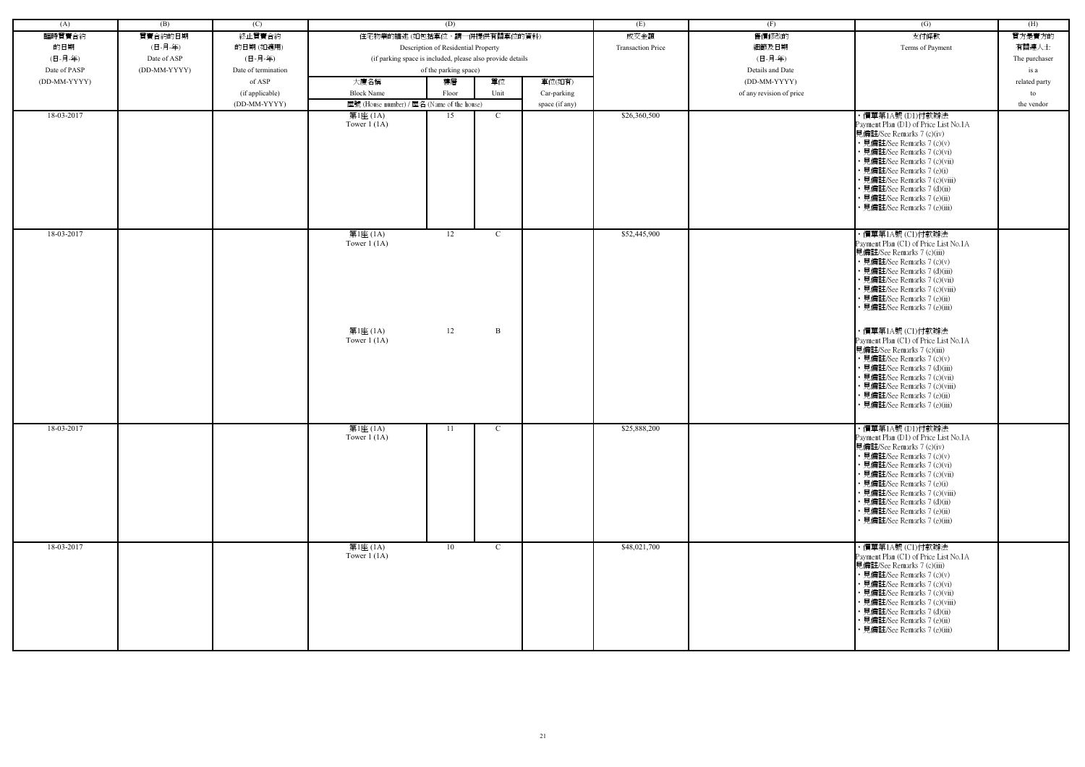| (A)          | (B)          | (C)                 |                                                            | (D)                                 |               |                | (E)                      | (F)                      | (G)                                                                                                                                                                                                                                                                                                                                              | (H)           |
|--------------|--------------|---------------------|------------------------------------------------------------|-------------------------------------|---------------|----------------|--------------------------|--------------------------|--------------------------------------------------------------------------------------------------------------------------------------------------------------------------------------------------------------------------------------------------------------------------------------------------------------------------------------------------|---------------|
| 臨時買賣合約       | 買賣合約的日期      | 終止買賣合約              | 住宅物業的描述 (如包括車位,請一併提供有關車位的資料)                               |                                     |               |                | 成交金額                     | 售價修改的                    | 支付條款                                                                                                                                                                                                                                                                                                                                             | 買方是賣方的        |
| 的日期          | (日-月-年)      | 的日期(如適用)            |                                                            | Description of Residential Property |               |                | <b>Transaction Price</b> | 細節及日期                    | Terms of Payment                                                                                                                                                                                                                                                                                                                                 | 有關連人士         |
| (日-月-年)      | Date of ASP  | (日-月-年)             | (if parking space is included, please also provide details |                                     |               |                |                          | (日-月-年)                  |                                                                                                                                                                                                                                                                                                                                                  | The purchaser |
| Date of PASP | (DD-MM-YYYY) | Date of termination |                                                            | of the parking space)               |               |                |                          | Details and Date         |                                                                                                                                                                                                                                                                                                                                                  | is a          |
| (DD-MM-YYYY) |              | of ASP              | 大廈名稱                                                       | 樓層                                  | 單位            | 車位(如有)         |                          | (DD-MM-YYYY)             |                                                                                                                                                                                                                                                                                                                                                  | related party |
|              |              |                     | <b>Block Name</b>                                          |                                     | Unit          |                |                          |                          |                                                                                                                                                                                                                                                                                                                                                  |               |
|              |              | (if applicable)     |                                                            | Floor                               |               | Car-parking    |                          | of any revision of price |                                                                                                                                                                                                                                                                                                                                                  | to            |
| 18-03-2017   |              | (DD-MM-YYYY)        | 屋號 (House number) / 屋名 (Name of the house)                 |                                     |               | space (if any) |                          |                          |                                                                                                                                                                                                                                                                                                                                                  | the vendor    |
|              |              |                     | 第1座 (1A)<br>Tower $1(1A)$                                  | 15                                  | $\mathcal{C}$ |                | \$26,360,500             |                          | ・價單第1A號 (D1)付款辦法<br>Payment Plan (D1) of Price List No.1A<br>見備註/See Remarks 7 (c)(iv)<br>• 見備註/See Remarks 7 (c)(v)<br>• 見備註/See Remarks 7 (c)(vi)<br>• 見備註/See Remarks 7 (c)(vii)<br>• 見備註/See Remarks 7 (e)(i)<br>• 見備註/See Remarks 7 (c)(viii)<br>• 見備註/See Remarks 7 (d)(ii)<br>• 見備註/See Remarks 7 (e)(ii)<br>• 見備註/See Remarks 7 (e)(iii) |               |
| 18-03-2017   |              |                     | 第1座 (1A)<br>Tower $1(1A)$                                  | 12                                  | C             |                | \$52,445,900             |                          | ・價單第1A號 (C1)付款辦法<br>Payment Plan (C1) of Price List No.1A<br>見備註/See Remarks 7 (c)(iii)<br>• 見備註/See Remarks 7 (c)(v)<br>• 見備註/See Remarks 7 (d)(iii)<br>• 見備註/See Remarks 7 (c)(vii)<br>• 見備註/See Remarks 7 (c)(viii)<br>• 見備註/See Remarks 7 (e)(ii)<br>• 見備註/See Remarks 7 (e)(iii)                                                            |               |
|              |              |                     | 第1座 (1A)<br>Tower $1$ (1A)                                 | 12                                  | B             |                |                          |                          | ・價單第1A號 (C1)付款辦法<br>Payment Plan (C1) of Price List No.1A<br>見備註/See Remarks 7 (c)(iii)<br>• 見備註/See Remarks 7 (c)(v)<br>• 見備註/See Remarks 7 (d)(iii)<br>• 見備註/See Remarks 7 (c)(vii)<br>• 見備註/See Remarks 7 (c)(viii)<br>• 見備註/See Remarks 7 (e)(ii)<br>• 見備註/See Remarks 7 (e)(iii)                                                            |               |
| 18-03-2017   |              |                     | 第1座 (1A)<br>Tower $1(1A)$                                  | 11                                  | $\mathbf{C}$  |                | \$25,888,200             |                          | ・價單第1A號 (D1)付款辦法<br>Payment Plan (D1) of Price List No.1A<br>見備註/See Remarks 7 (c)(iv)<br>• 見備註/See Remarks 7 (c)(v)<br>• 見備註/See Remarks 7 (c)(vi)<br>• 見備註/See Remarks 7 (c)(vii)<br>• 見備註/See Remarks 7 (e)(i)<br>• 見備註/See Remarks 7 (c)(viii)<br>• 見備註/See Remarks 7 (d)(ii)<br>• 見備註/See Remarks 7 (e)(ii)<br>• 見備註/See Remarks 7 (e)(iii) |               |
| 18-03-2017   |              |                     | 第1座 (1A)<br>Tower $1(1A)$                                  | 10                                  | $\mathcal{C}$ |                | \$48,021,700             |                          | ・價單第1A號 (C1)付款辦法<br>Payment Plan (C1) of Price List No.1A<br>見備註/See Remarks 7 (c)(iii)<br>• 見備註/See Remarks 7 (c)(v)<br>• 見備註/See Remarks 7 (c)(vi)<br>• 見備註/See Remarks 7 (c)(vii)<br>• 見備註/See Remarks 7 (c)(viii)<br>• 見備註/See Remarks 7 (d)(ii)<br>• 見備註/See Remarks 7 (e)(ii)<br>• 見備註/See Remarks 7 (e)(iii)                              |               |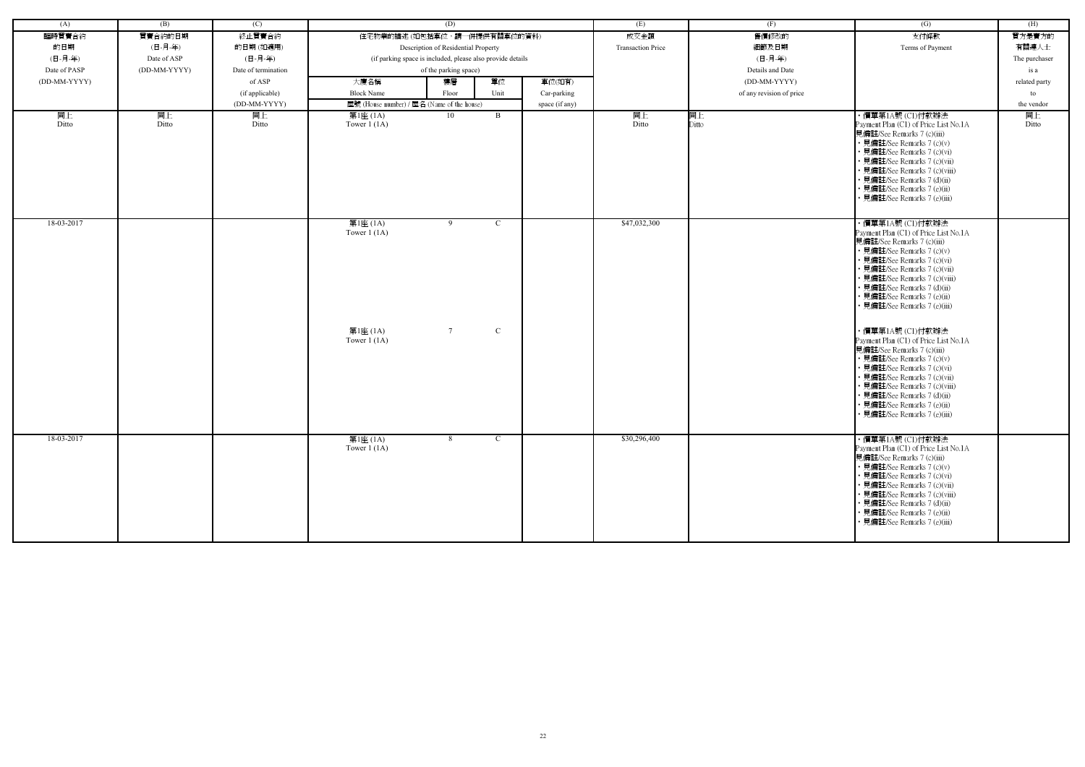| (A)          | (B)          | (C)                 |                                                        | (D)                                                        |                              |                | (E)                      | (F)                      | (G)                                                                                                                                                                                                                                                                                                                                                                                                                                                                                                                                                                                                                                        | (H)           |
|--------------|--------------|---------------------|--------------------------------------------------------|------------------------------------------------------------|------------------------------|----------------|--------------------------|--------------------------|--------------------------------------------------------------------------------------------------------------------------------------------------------------------------------------------------------------------------------------------------------------------------------------------------------------------------------------------------------------------------------------------------------------------------------------------------------------------------------------------------------------------------------------------------------------------------------------------------------------------------------------------|---------------|
| 臨時買賣合約       | 買賣合約的日期      | 終止買賣合約              |                                                        | 住宅物業的描述 (如包括車位,請一併提供有關車位的資料)                               |                              |                | 成交金額                     | 售價修改的                    | 支付條款                                                                                                                                                                                                                                                                                                                                                                                                                                                                                                                                                                                                                                       | 買方是賣方的        |
| 的日期          | (日-月-年)      | 的日期(如適用)            |                                                        | Description of Residential Property                        |                              |                | <b>Transaction Price</b> | 細節及日期                    | Terms of Payment                                                                                                                                                                                                                                                                                                                                                                                                                                                                                                                                                                                                                           | 有關連人士         |
| (日-月-年)      | Date of ASP  | (日-月-年)             |                                                        | (if parking space is included, please also provide details |                              |                |                          | (日-月-年)                  |                                                                                                                                                                                                                                                                                                                                                                                                                                                                                                                                                                                                                                            | The purchaser |
| Date of PASP | (DD-MM-YYYY) | Date of termination |                                                        | of the parking space)                                      |                              |                |                          | Details and Date         |                                                                                                                                                                                                                                                                                                                                                                                                                                                                                                                                                                                                                                            | is a          |
| (DD-MM-YYYY) |              | of ASP              | 大廈名稱                                                   | 樓層                                                         | 單位                           | 車位(如有)         |                          | (DD-MM-YYYY)             |                                                                                                                                                                                                                                                                                                                                                                                                                                                                                                                                                                                                                                            | related party |
|              |              | (if applicable)     | <b>Block Name</b>                                      | Floor                                                      | Unit                         | Car-parking    |                          | of any revision of price |                                                                                                                                                                                                                                                                                                                                                                                                                                                                                                                                                                                                                                            | to            |
|              |              | (DD-MM-YYYY)        | 屋號 (House number) / 屋名 (Name of the house)             |                                                            |                              | space (if any) |                          |                          |                                                                                                                                                                                                                                                                                                                                                                                                                                                                                                                                                                                                                                            | the vendor    |
| 同上<br>Ditto  | 同上<br>Ditto  | 同上<br>Ditto         | 第1座 (1A)<br>Tower $1(1A)$                              | 10                                                         | B                            |                | 同上<br>Ditto              | 同上<br>Ditto              | ・價單第1A號 (C1)付款辦法<br>Payment Plan (C1) of Price List No.1A<br>見備註/See Remarks 7 (c)(iii)<br>• 見備註/See Remarks 7 (c)(v)<br>• 見備註/See Remarks 7 (c)(vi)<br>• 見備註/See Remarks 7 (c)(vii)<br>• 見備註/See Remarks 7 (c)(viii)<br>• 見備註/See Remarks 7 (d)(ii)<br>• 見備註/See Remarks 7 (e)(ii)<br>見備註/See Remarks 7 (e)(iii)                                                                                                                                                                                                                                                                                                                          | 同上<br>Ditto   |
| 18-03-2017   |              |                     | 第1座 (1A)<br>Tower $1(1A)$<br>第1座 (1A)<br>Tower $1(1A)$ | 9<br>$7\overline{ }$                                       | $\mathcal{C}$<br>$\mathbf C$ |                | \$47,032,300             |                          | ・價單第1A號 (C1)付款辦法<br>Payment Plan (C1) of Price List No.1A<br>見備註/See Remarks 7 (c)(iii)<br>• 見備註/See Remarks 7 (c)(v)<br>• 見備註/See Remarks 7 (c)(vi)<br>· 見備註/See Remarks 7 (c)(vii)<br>• 見備註/See Remarks 7 (c)(viii)<br>• 見備註/See Remarks 7 (d)(ii)<br>• 見備註/See Remarks 7 (e)(ii)<br>• 見備註/See Remarks 7 (e)(iii)<br>・價單第1A號 (C1)付款辦法<br>Payment Plan (C1) of Price List No.1A<br>見備註/See Remarks 7 (c)(iii)<br>• 見備註/See Remarks 7 (c)(v)<br>• 見備註/See Remarks 7 (c)(vi)<br>• 見備註/See Remarks 7 (c)(vii)<br>• 見備註/See Remarks 7 (c)(viii)<br>• 見備註/See Remarks 7 (d)(ii)<br>• 見備註/See Remarks 7 (e)(ii)<br>· 見備註/See Remarks 7 (e)(iii) |               |
| 18-03-2017   |              |                     | 第1座 (1A)<br>Tower $1(1A)$                              | 8                                                          | $\mathbf{C}$                 |                | \$30,296,400             |                          | ・價單第1A號 (C1)付款辦法<br>Payment Plan (C1) of Price List No.1A<br>見備註/See Remarks 7 (c)(iii)<br>• 見備註/See Remarks 7 (c)(v)<br>• 見備註/See Remarks 7 (c)(vi)<br>• 見備註/See Remarks 7 (c)(vii)<br>• 見備註/See Remarks 7 (c)(viii)<br>• 見備註/See Remarks 7 (d)(ii)<br>• 見備註/See Remarks 7 (e)(ii)<br>• 見備註/See Remarks 7 (e)(iii)                                                                                                                                                                                                                                                                                                                        |               |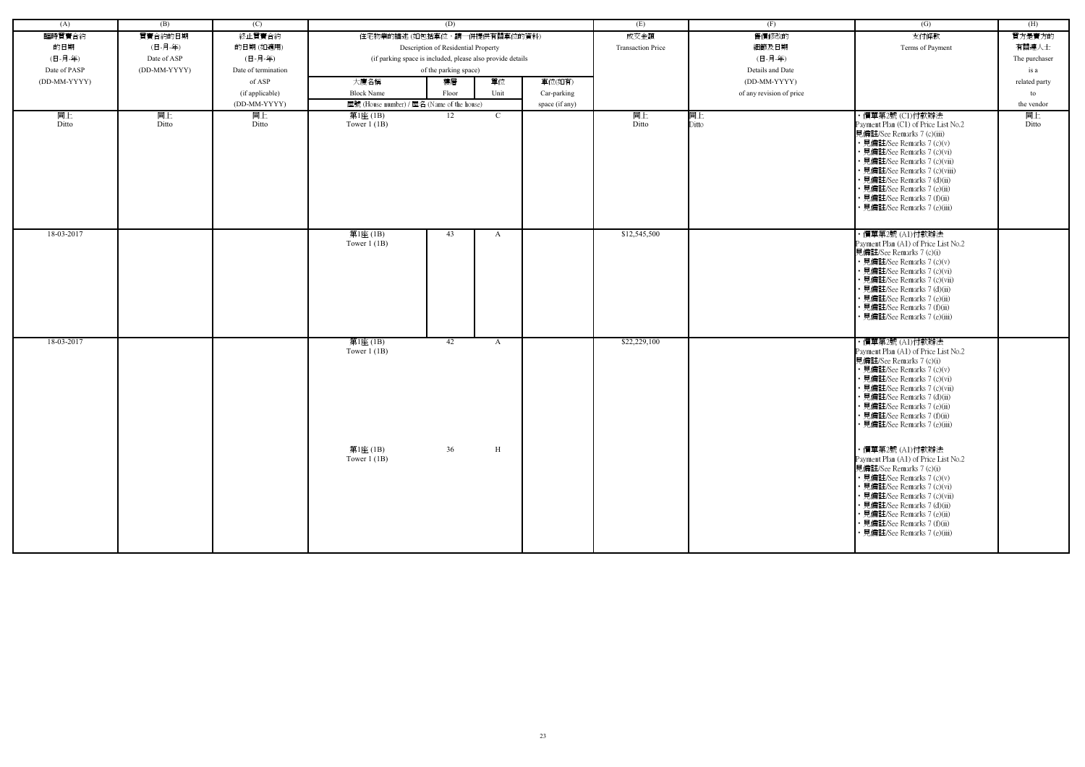| (A)          | (B)          | (C)                 |                                            | (D)                                                        |              |                | (E)                      | (F)                      | $\left( G\right)$                                                                                                                                                                                                                                                                                                             | (H)           |
|--------------|--------------|---------------------|--------------------------------------------|------------------------------------------------------------|--------------|----------------|--------------------------|--------------------------|-------------------------------------------------------------------------------------------------------------------------------------------------------------------------------------------------------------------------------------------------------------------------------------------------------------------------------|---------------|
| 臨時買賣合約       | 買賣合約的日期      | 終止買賣合約              | 住宅物業的描述 (如包括車位,請一併提供有關車位的資料)               |                                                            |              |                | 成交金額                     | 售價修改的                    | 支付條款                                                                                                                                                                                                                                                                                                                          | 買方是賣方的        |
| 的日期          | (日-月-年)      | 的日期(如適用)            |                                            | Description of Residential Property                        |              |                | <b>Transaction Price</b> | 細節及日期                    | Terms of Payment                                                                                                                                                                                                                                                                                                              | 有關連人士         |
| (日-月-年)      | Date of ASP  | (日-月-年)             |                                            | (if parking space is included, please also provide details |              |                |                          | (日-月-年)                  |                                                                                                                                                                                                                                                                                                                               | The purchaser |
| Date of PASP | (DD-MM-YYYY) | Date of termination |                                            | of the parking space)                                      |              |                |                          | Details and Date         |                                                                                                                                                                                                                                                                                                                               | is a          |
| (DD-MM-YYYY) |              | of ASP              | 大廈名稱                                       | 樓層                                                         | 單位           | 車位(如有)         |                          | (DD-MM-YYYY)             |                                                                                                                                                                                                                                                                                                                               | related party |
|              |              | (if applicable)     | <b>Block Name</b>                          | Floor                                                      | Unit         | Car-parking    |                          | of any revision of price |                                                                                                                                                                                                                                                                                                                               | to            |
|              |              | (DD-MM-YYYY)        | 屋號 (House number) / 屋名 (Name of the house) |                                                            |              |                |                          |                          |                                                                                                                                                                                                                                                                                                                               | the vendor    |
| 同上           | 同上           | 同上                  | 第1座 (1B)                                   | 12                                                         | $\mathbf{C}$ | space (if any) | 同上                       | 同上                       | ・價單第2號 (C1)付款辦法                                                                                                                                                                                                                                                                                                               | 同上            |
| Ditto        | Ditto        | Ditto               | Tower $1$ (1B)                             |                                                            |              |                | Ditto                    | Ditto                    | Payment Plan (C1) of Price List No.2<br>見備註/See Remarks 7 (c)(iii)<br>• 見備註/See Remarks 7 (c)(v)<br>· 見備註/See Remarks 7 (c)(vi)<br>· 見備註/See Remarks 7 (c)(vii)<br>• 見備註/See Remarks 7 (c)(viii)<br>· 見備註/See Remarks 7 (d)(ii)<br>· 見備註/See Remarks 7 (e)(ii)<br>• 見備註/See Remarks 7 (f)(ii)<br>· 見備註/See Remarks 7 (e)(iii) | Ditto         |
| 18-03-2017   |              |                     | 第1座 (1B)<br>Tower $1$ (1B)                 | 43                                                         | $\mathbf{A}$ |                | \$12,545,500             |                          | ・價單第2號 (A1)付款辦法<br>Payment Plan (A1) of Price List No.2<br>見備註/See Remarks 7 (c)(i)<br>• 見備註/See Remarks 7 (c)(v)<br>• 見備註/See Remarks 7 (c)(vi)<br>• 見備註/See Remarks 7 (c)(vii)<br>• 見備註/See Remarks 7 (d)(ii)<br>· 見備註/See Remarks 7 (e)(ii)<br>• 見備註/See Remarks 7 (f)(ii)<br>見備註/See Remarks 7 (e)(iii)                   |               |
| 18-03-2017   |              |                     | 第1座(1B)<br>Tower $1$ (1B)                  | 42                                                         | A            |                | \$22,229,100             |                          | ・價單第2號 (A1)付款辦法<br>Payment Plan (A1) of Price List No.2<br>見備註/See Remarks 7 (c)(i)<br>• 見備註/See Remarks 7 (c)(v)<br>• 見備註/See Remarks 7 (c)(vi)<br>• 見備註/See Remarks 7 (c)(vii)<br>• 見備註/See Remarks 7 (d)(ii)<br>· 見備註/See Remarks 7 (e)(ii)<br>• 見備註/See Remarks 7 (f)(ii)<br>• 見備註/See Remarks 7 (e)(iii)                 |               |
|              |              |                     | 第1座 (1B)<br>Tower $1$ (1B)                 | 36                                                         | H            |                |                          |                          | ・價單第2號 (A1)付款辦法<br>Payment Plan (A1) of Price List No.2<br>見備註/See Remarks 7 (c)(i)<br>• 見備註/See Remarks 7 (c)(v)<br>• 見備註/See Remarks 7 (c)(vi)<br>• 見備註/See Remarks 7 (c)(vii)<br>• 見備註/See Remarks 7 (d)(ii)<br>• 見備註/See Remarks 7 (e)(ii)<br>• 見備註/See Remarks 7 (f)(ii)<br>• 見備註/See Remarks 7 (e)(iii)                 |               |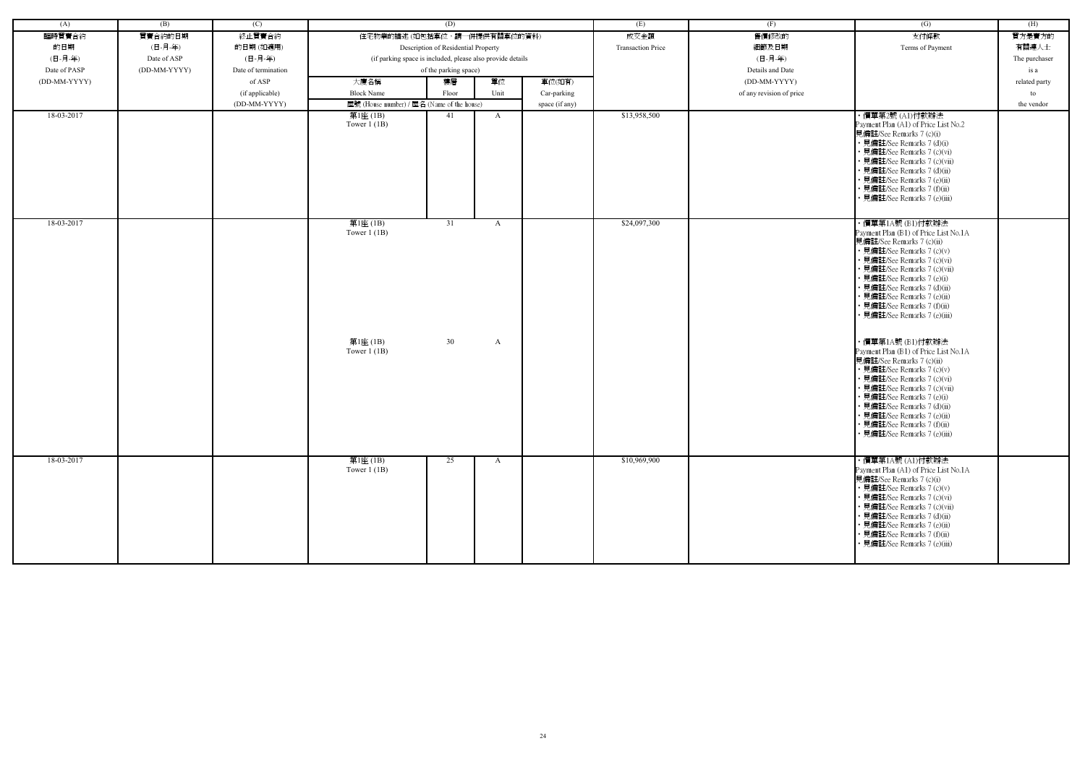| (A)          | (B)          | (C)                 |                                                            | (D)                                 |              |                | (E)                      | (F)                      | (G)                                                                                                                                                                                                                                                                                                                                            | (H)           |
|--------------|--------------|---------------------|------------------------------------------------------------|-------------------------------------|--------------|----------------|--------------------------|--------------------------|------------------------------------------------------------------------------------------------------------------------------------------------------------------------------------------------------------------------------------------------------------------------------------------------------------------------------------------------|---------------|
| 臨時買賣合約       | 買賣合約的日期      | 終止買賣合約              | 住宅物業的描述 (如包括車位,請一併提供有關車位的資料)                               |                                     |              |                | 成交金額                     | 售價修改的                    | 支付條款                                                                                                                                                                                                                                                                                                                                           | 買方是賣方的        |
| 的日期          | (日-月-年)      | 的日期(如適用)            |                                                            | Description of Residential Property |              |                | <b>Transaction Price</b> | 細節及日期                    | Terms of Payment                                                                                                                                                                                                                                                                                                                               | 有關連人士         |
| (日-月-年)      | Date of ASP  | (日-月-年)             | (if parking space is included, please also provide details |                                     |              |                |                          | (日-月-年)                  |                                                                                                                                                                                                                                                                                                                                                | The purchaser |
| Date of PASP | (DD-MM-YYYY) | Date of termination |                                                            | of the parking space)               |              |                |                          | Details and Date         |                                                                                                                                                                                                                                                                                                                                                | is a          |
| (DD-MM-YYYY) |              | of ASP              | 大廈名稱                                                       | 樓層                                  | 單位           | 車位(如有)         |                          | (DD-MM-YYYY)             |                                                                                                                                                                                                                                                                                                                                                | related party |
|              |              | (if applicable)     | <b>Block Name</b>                                          | Floor                               | Unit         | Car-parking    |                          | of any revision of price |                                                                                                                                                                                                                                                                                                                                                | to            |
|              |              | (DD-MM-YYYY)        | 屋號 (House number) / 屋名 (Name of the house)                 |                                     |              | space (if any) |                          |                          |                                                                                                                                                                                                                                                                                                                                                | the vendor    |
| 18-03-2017   |              |                     | 第1座 (1B)                                                   | 41                                  | $\mathbf{A}$ |                | \$13,958,500             |                          | ・價單第2號 (A1)付款辦法                                                                                                                                                                                                                                                                                                                                |               |
|              |              |                     | Tower $1(1B)$                                              |                                     |              |                |                          |                          | Payment Plan (A1) of Price List No.2<br>見備註/See Remarks 7 (c)(i)<br>• 見備註/See Remarks 7 (d)(i)<br>• 見備註/See Remarks 7 (c)(vi)<br>· 見備註/See Remarks 7 (c)(vii)<br>· 見備註/See Remarks 7 (d)(ii)                                                                                                                                                   |               |
|              |              |                     |                                                            |                                     |              |                |                          |                          | • 見備註/See Remarks 7 (e)(ii)<br>· 見備註/See Remarks 7 (f)(ii)<br>見備註/See Remarks 7 (e)(iii)                                                                                                                                                                                                                                                       |               |
| 18-03-2017   |              |                     | 第1座(1B)<br>Tower $1(1B)$                                   | 31                                  | A            |                | \$24,097,300             |                          | ・價單第1A號 (B1)付款辦法<br>Payment Plan (B1) of Price List No.1A<br>見備註/See Remarks 7 (c)(ii)<br>• 見備註/See Remarks 7 (c)(v)<br>· 見備註/See Remarks 7 (c)(vi)<br>· 見備註/See Remarks 7 (c)(vii)<br>• 見備註/See Remarks 7 (e)(i)<br>· 見備註/See Remarks 7 (d)(ii)<br>· 見備註/See Remarks 7 (e)(ii)<br>• 見備註/See Remarks 7 (f)(ii)<br>· 見備註/See Remarks 7 (e)(iii) |               |
|              |              |                     | 第1座(1B)<br>Tower $1$ (1B)                                  | 30                                  | $\mathbf{A}$ |                |                          |                          | ・價單第1A號 (B1)付款辦法<br>Payment Plan (B1) of Price List No.1A<br>見備註/See Remarks 7 (c)(ii)<br>• 見備註/See Remarks 7 (c)(v)<br>• 見備註/See Remarks 7 (c)(vi)<br>• 見備註/See Remarks 7 (c)(vii)<br>• 見備註/See Remarks 7 (e)(i)<br>· 見備註/See Remarks 7 (d)(ii)<br>• 見備註/See Remarks 7 (e)(ii)<br>• 見備註/See Remarks 7 (f)(ii)<br>• 見備註/See Remarks 7 (e)(iii) |               |
| 18-03-2017   |              |                     | 第1座 (1B)<br>Tower $1$ (1B)                                 | 25                                  | $\mathbf{A}$ |                | \$10,969,900             |                          | ・價單第1A號 (A1)付款辦法<br>Payment Plan (A1) of Price List No.1A<br>見備註/See Remarks 7 (c)(i)<br>• 見備註/See Remarks 7 (c)(v)<br>• 見備註/See Remarks 7 (c)(vi)<br>• 見備註/See Remarks 7 (c)(vii)<br>• 見備註/See Remarks 7 (d)(ii)<br>• 見備註/See Remarks 7 (e)(ii)<br>• 見備註/See Remarks 7 (f)(ii)<br>• 見備註/See Remarks 7 (e)(iii)                                |               |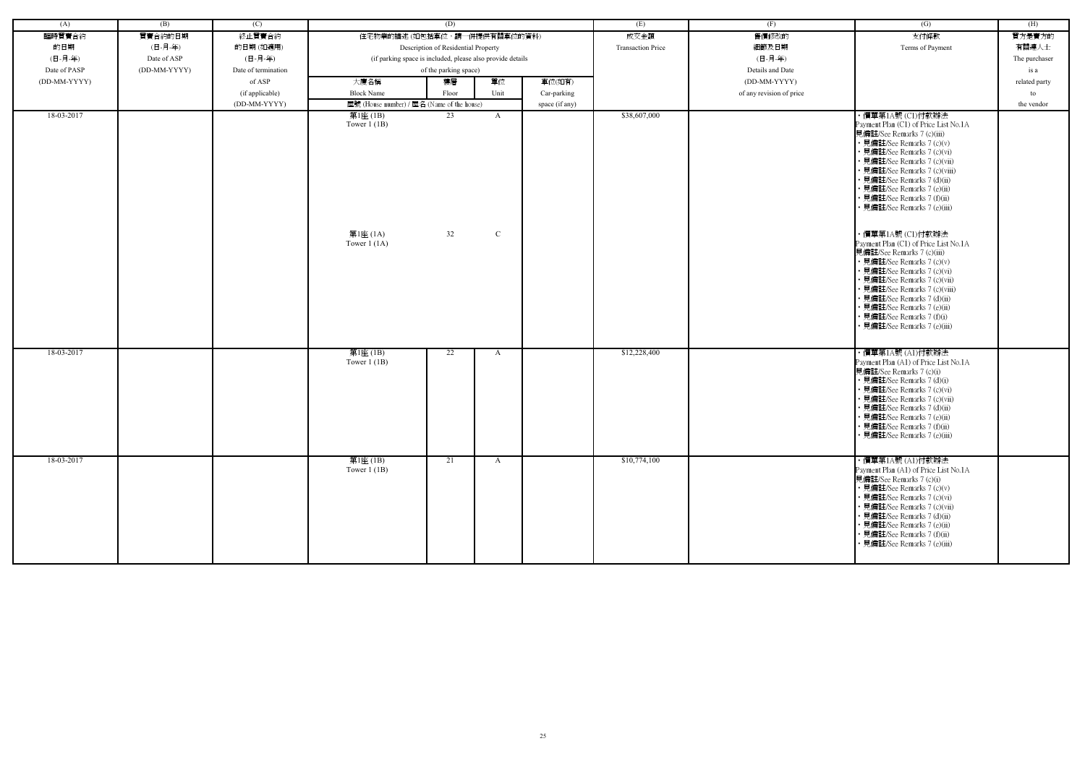| (A)          | (B)          | (C)                 |                                                            | (D)                                 |              |                | (E)                      | (F)                      | $\overline{(G)}$                                                                                                                                                                                                                                                                                                                              | (H)           |
|--------------|--------------|---------------------|------------------------------------------------------------|-------------------------------------|--------------|----------------|--------------------------|--------------------------|-----------------------------------------------------------------------------------------------------------------------------------------------------------------------------------------------------------------------------------------------------------------------------------------------------------------------------------------------|---------------|
| 臨時買賣合約       | 買賣合約的日期      | 終止買賣合約              | 住宅物業的描述 (如包括車位,請一併提供有關車位的資料)                               |                                     |              |                | 成交金額                     | 售價修改的                    | 支付條款                                                                                                                                                                                                                                                                                                                                          | 買方是賣方的        |
| 的日期          | (日-月-年)      | 的日期(如適用)            |                                                            | Description of Residential Property |              |                | <b>Transaction Price</b> | 細節及日期                    | Terms of Payment                                                                                                                                                                                                                                                                                                                              | 有關連人士         |
| (日-月-年)      | Date of ASP  | (日-月-年)             | (if parking space is included, please also provide details |                                     |              |                |                          | (日-月-年)                  |                                                                                                                                                                                                                                                                                                                                               | The purchaser |
| Date of PASP | (DD-MM-YYYY) | Date of termination |                                                            | of the parking space)               |              |                |                          | Details and Date         |                                                                                                                                                                                                                                                                                                                                               | is a          |
| (DD-MM-YYYY) |              | of ASP              | 大廈名稱                                                       | 樓層                                  | 單位           | 車位(如有)         |                          | (DD-MM-YYYY)             |                                                                                                                                                                                                                                                                                                                                               | related party |
|              |              | (if applicable)     | <b>Block Name</b>                                          | Floor                               | Unit         | Car-parking    |                          | of any revision of price |                                                                                                                                                                                                                                                                                                                                               | to            |
|              |              | (DD-MM-YYYY)        | 屋號 (House number) / 屋名 (Name of the house)                 |                                     |              |                |                          |                          |                                                                                                                                                                                                                                                                                                                                               | the vendor    |
| 18-03-2017   |              |                     | 第1座(1B)                                                    | 23                                  | $\mathbf{A}$ | space (if any) | \$38,607,000             |                          | ・價單第1A號 (C1)付款辦法                                                                                                                                                                                                                                                                                                                              |               |
|              |              |                     | Tower $1$ (1B)                                             |                                     |              |                |                          |                          | Payment Plan (C1) of Price List No.1A<br>見備註/See Remarks 7 (c)(iii)<br>• 見備註/See Remarks 7 (c)(v)<br>• 見備註/See Remarks 7 (c)(vi)<br>· 見備註/See Remarks 7 (c)(vii)<br>· 見備註/See Remarks 7 (c)(viii)<br>• 見備註/See Remarks 7 (d)(ii)<br>• 見備註/See Remarks 7 (e)(ii)<br>• 見備註/See Remarks 7 (f)(ii)<br>• 見備註/See Remarks 7 (e)(iii)                |               |
|              |              |                     | 第1座 (1A)<br>Tower $1(1A)$                                  | 32                                  | $\mathbf C$  |                |                          |                          | ・價單第1A號 (C1)付款辦法<br>Payment Plan (C1) of Price List No.1A<br>見備註/See Remarks 7 (c)(iii)<br>• 見備註/See Remarks 7 (c)(v)<br>• 見備註/See Remarks 7 (c)(vi)<br>見備註/See Remarks 7 (c)(vii)<br>• 見備註/See Remarks 7 (c)(viii)<br>• 見備註/See Remarks 7 (d)(ii)<br>• 見備註/See Remarks 7 (e)(ii)<br>• 見備註/See Remarks 7 (f)(i)<br>見備註/See Remarks 7 (e)(iii) |               |
| 18-03-2017   |              |                     | 第1座(1B)<br>Tower $1$ (1B)                                  | 22                                  | A            |                | \$12,228,400             |                          | ・價單第1A號 (A1)付款辦法<br>Payment Plan (A1) of Price List No.1A<br>見備註/See Remarks 7 (c)(i)<br>• 見備註/See Remarks 7 (d)(i)<br>• 見備註/See Remarks 7 (c)(vi)<br>• 見備註/See Remarks 7 (c)(vii)<br>• 見備註/See Remarks 7 (d)(ii)<br>• 見備註/See Remarks 7 (e)(ii)<br>• 見備註/See Remarks 7 (f)(ii)<br>• 見備註/See Remarks 7 (e)(iii)                               |               |
| 18-03-2017   |              |                     | 第1座(1B)<br>Tower $1(1B)$                                   | 21                                  | A            |                | \$10,774,100             |                          | ・價單第1A號 (A1)付款辦法<br>Payment Plan (A1) of Price List No.1A<br>見備註/See Remarks 7 (c)(i)<br>• 見備註/See Remarks 7 (c)(v)<br>• 見備註/See Remarks 7 (c)(vi)<br>• 見備註/See Remarks 7 (c)(vii)<br>• 見備註/See Remarks 7 (d)(ii)<br>• 見備註/See Remarks 7 (e)(ii)<br>• 見備註/See Remarks 7 (f)(ii)<br>見備註/See Remarks 7 (e)(iii)                                 |               |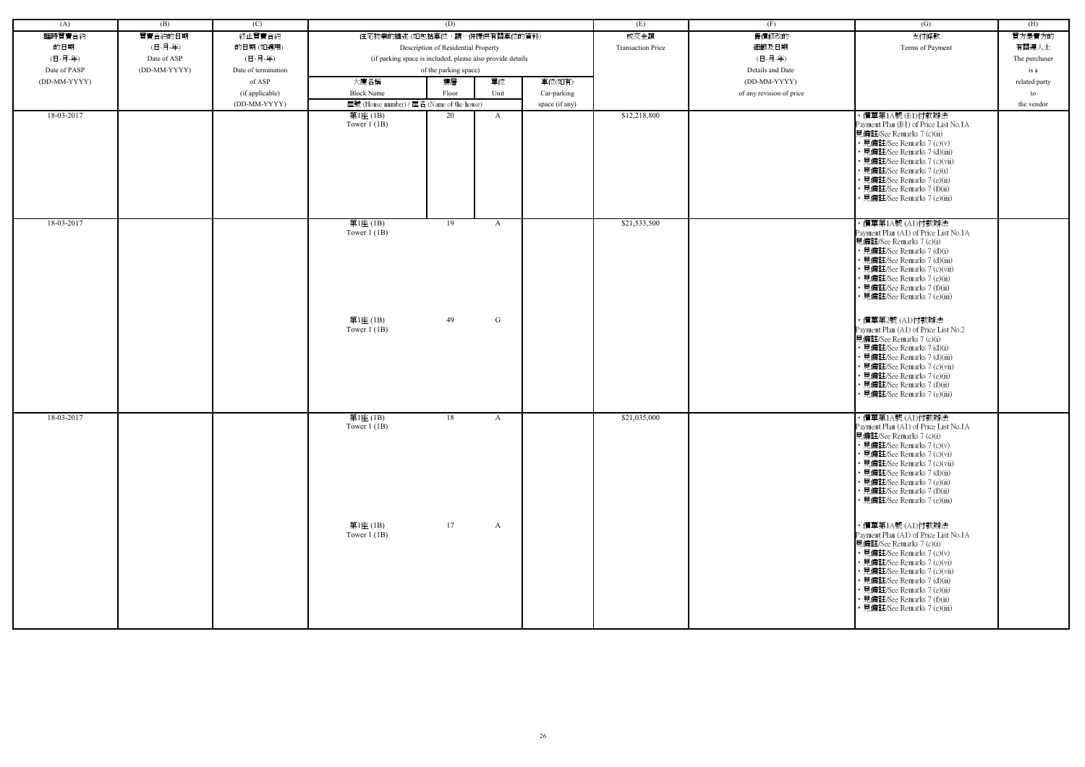| (A)          | (B)          | (C)                 |                                                            | (D)                                 |              |                | (E)                      | (F)                      | (G)                                                                                                                                                                                                                                                                                                             | (H)           |
|--------------|--------------|---------------------|------------------------------------------------------------|-------------------------------------|--------------|----------------|--------------------------|--------------------------|-----------------------------------------------------------------------------------------------------------------------------------------------------------------------------------------------------------------------------------------------------------------------------------------------------------------|---------------|
|              | 買賣合約的日期      |                     | 住宅物業的描述(如包括車位,請一併提供有關車位的資料)                                |                                     |              |                | 成交金額                     | 售價修改的                    | 支付條款                                                                                                                                                                                                                                                                                                            |               |
| 臨時買賣合約       |              | 終止買賣合約              |                                                            |                                     |              |                |                          |                          |                                                                                                                                                                                                                                                                                                                 | 買方是賣方的        |
| 的日期          | (日-月-年)      | 的日期(如適用)            |                                                            | Description of Residential Property |              |                | <b>Transaction Price</b> | 細節及日期                    | Terms of Payment                                                                                                                                                                                                                                                                                                | 有關連人士         |
| (日-月-年)      | Date of ASP  | (日-月-年)             | (if parking space is included, please also provide details |                                     |              |                |                          | (日-月-年)                  |                                                                                                                                                                                                                                                                                                                 | The purchaser |
| Date of PASP | (DD-MM-YYYY) | Date of termination |                                                            | of the parking space)               |              |                |                          | Details and Date         |                                                                                                                                                                                                                                                                                                                 | is a          |
| (DD-MM-YYYY) |              | of ASP              | 大廈名稱                                                       | 樓層                                  | 單位           | 車位(如有)         |                          | (DD-MM-YYYY)             |                                                                                                                                                                                                                                                                                                                 | related party |
|              |              | (if applicable)     | <b>Block Name</b>                                          | Floor                               | Unit         | Car-parking    |                          | of any revision of price |                                                                                                                                                                                                                                                                                                                 | to            |
|              |              | (DD-MM-YYYY)        | 屋號 (House number) / 屋名 (Name of the house)                 |                                     |              | space (if any) |                          |                          |                                                                                                                                                                                                                                                                                                                 | the vendor    |
| 18-03-2017   |              |                     | 第1座(1B)<br>Tower $1$ (1B)                                  | 20                                  | A            |                | \$12,218,800             |                          | ・價單第1A號 (B1)付款辦法<br>Payment Plan (B1) of Price List No.1A<br>見備註/See Remarks 7 (c)(ii)<br>• 見備註/See Remarks 7 (c)(v)<br>· 見備註/See Remarks 7 (d)(iii)<br>見備註/See Remarks 7 (c)(vii)<br>· 見備註/See Remarks 7 (e)(i)<br>• 見備註/See Remarks 7 (e)(ii)<br>• 見備註/See Remarks 7 (f)(ii)<br>· 見備註/See Remarks 7 (e)(iii)  |               |
| 18-03-2017   |              |                     | 第1座(1B)<br>Tower $1$ (1B)                                  | 19                                  | A            |                | \$21,533,500             |                          | ・價單第1A號 (A1)付款辦法<br>Payment Plan (A1) of Price List No.1A<br>見備註/See Remarks 7 (c)(i)<br>• 見備註/See Remarks 7 (d)(i)<br>• 見備註/See Remarks 7 (d)(iii)<br>· 見備註/See Remarks 7 (c)(vii)<br>• 見備註/See Remarks 7 (e)(ii)<br>• 見備註/See Remarks 7 (f)(ii)<br>· 見備註/See Remarks 7 (e)(iii)                               |               |
|              |              |                     | 第1座 (1B)<br>Tower $1$ (1B)                                 | 49                                  | G            |                |                          |                          | ・價單第2號 (A1)付款辦法<br>Payment Plan (A1) of Price List No.2<br>見備註/See Remarks 7 (c)(i)<br>• 見備註/See Remarks 7 (d)(i)<br>· 見備註/See Remarks 7 (d)(iii)<br>• 見備註/See Remarks 7 (c)(vii)<br>· 見備註/See Remarks 7 (e)(ii)<br>· 見備註/See Remarks 7 (f)(ii)<br>見備註/See Remarks 7 (e)(iii)                                   |               |
| 18-03-2017   |              |                     | 第1座(1B)<br>Tower $1$ (1B)                                  | 18                                  | $\mathbf{A}$ |                | \$21,035,000             |                          | ・價單第1A號 (A1)付款辦法<br>Payment Plan (A1) of Price List No.1A<br>見備註/See Remarks 7 (c)(i)<br>• 見備註/See Remarks 7 (c)(v)<br>• 見備註/See Remarks 7 (c)(vi)<br>• 見備註/See Remarks 7 (c)(vii)<br>• 見備註/See Remarks 7 (d)(ii)<br>• 見備註/See Remarks 7 (e)(ii)<br>• 見備註/See Remarks 7 (f)(ii)<br>• 見備註/See Remarks 7 (e)(iii) |               |
|              |              |                     | 第1座 (1B)<br>Tower $1$ (1B)                                 | 17                                  | A            |                |                          |                          | ・價單第1A號 (A1)付款辦法<br>Payment Plan (A1) of Price List No.1A<br>見備註/See Remarks 7 (c)(i)<br>• 見備註/See Remarks 7 (c)(v)<br>• 見備註/See Remarks 7 (c)(vi)<br>• 見備註/See Remarks 7 (c)(vii)<br>· 見備註/See Remarks 7 (d)(ii)<br>• 見備註/See Remarks 7 (e)(ii)<br>• 見備註/See Remarks 7 (f)(ii)<br>見備註/See Remarks 7 (e)(iii)   |               |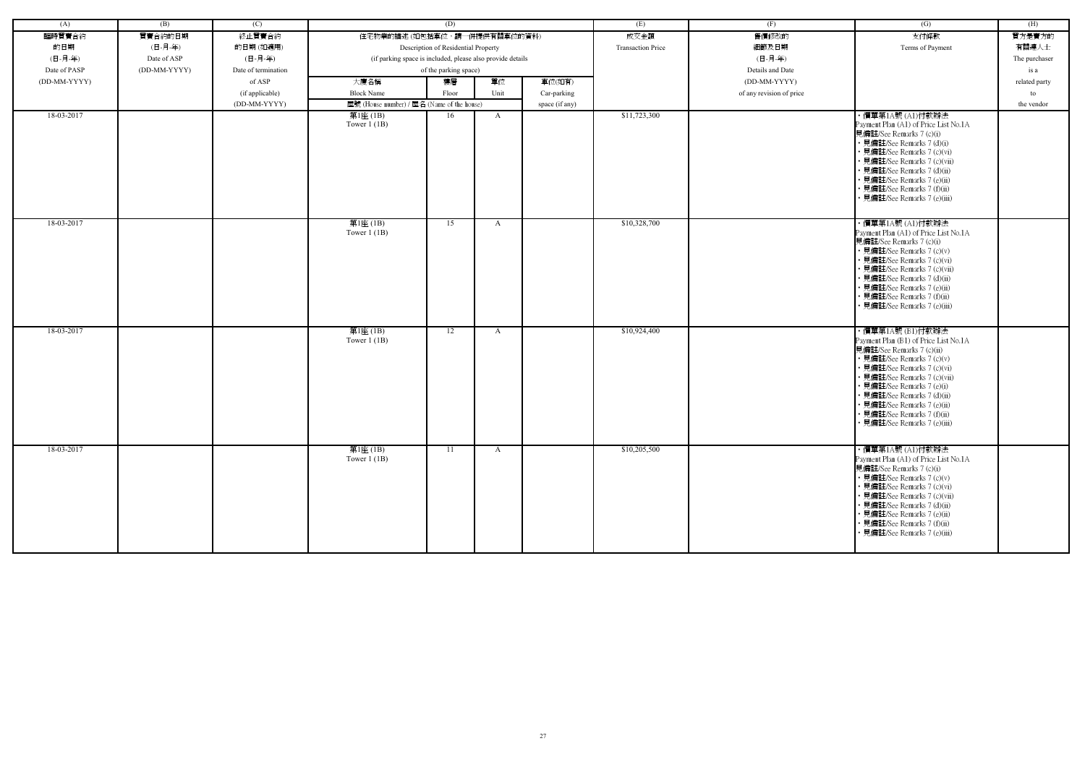| (A)          | (B)          | (C)                 |                                                            | (D)                                 |              |                | (E)                      | (F)                      | $\left( G\right)$                                                                                                                                                                                                                                                                                                                              | (H)           |
|--------------|--------------|---------------------|------------------------------------------------------------|-------------------------------------|--------------|----------------|--------------------------|--------------------------|------------------------------------------------------------------------------------------------------------------------------------------------------------------------------------------------------------------------------------------------------------------------------------------------------------------------------------------------|---------------|
| 臨時買賣合約       | 買賣合約的日期      | 終止買賣合約              | 住宅物業的描述 (如包括車位,請一併提供有關車位的資料)                               |                                     |              |                | 成交金額                     | 售價修改的                    | 支付條款                                                                                                                                                                                                                                                                                                                                           | 買方是賣方的        |
| 的日期          | (日-月-年)      | 的日期(如適用)            |                                                            | Description of Residential Property |              |                | <b>Transaction Price</b> | 細節及日期                    | Terms of Payment                                                                                                                                                                                                                                                                                                                               | 有關連人士         |
| (日-月-年)      | Date of ASP  | (日-月-年)             | (if parking space is included, please also provide details |                                     |              |                |                          | (日-月-年)                  |                                                                                                                                                                                                                                                                                                                                                | The purchaser |
| Date of PASP | (DD-MM-YYYY) | Date of termination |                                                            | of the parking space)               |              |                |                          | Details and Date         |                                                                                                                                                                                                                                                                                                                                                | is a          |
| (DD-MM-YYYY) |              | of ASP              | 大廈名稱                                                       | 樓層                                  | 單位           | 車位(如有)         |                          | (DD-MM-YYYY)             |                                                                                                                                                                                                                                                                                                                                                | related party |
|              |              | (if applicable)     | <b>Block Name</b>                                          | Floor                               | Unit         | Car-parking    |                          | of any revision of price |                                                                                                                                                                                                                                                                                                                                                | to            |
|              |              | (DD-MM-YYYY)        | 屋號 (House number) / 屋名 (Name of the house)                 |                                     |              | space (if any) |                          |                          |                                                                                                                                                                                                                                                                                                                                                | the vendor    |
| 18-03-2017   |              |                     | 第1座 (1B)<br>Tower $1$ (1B)                                 | 16                                  | $\mathbf{A}$ |                | \$11,723,300             |                          | ・價單第1A號 (A1)付款辦法<br>Payment Plan (A1) of Price List No.1A<br>見備註/See Remarks 7 (c)(i)<br>• 見備註/See Remarks 7 (d)(i)<br>· 見備註/See Remarks 7 (c)(vi)<br>· 見備註/See Remarks 7 (c)(vii)<br>• 見備註/See Remarks 7 (d)(ii)                                                                                                                              |               |
|              |              |                     |                                                            |                                     |              |                |                          |                          | · 見備註/See Remarks 7 (e)(ii)<br>· 見備註/See Remarks 7 (f)(ii)<br>· 見備註/See Remarks 7 (e)(iii)                                                                                                                                                                                                                                                     |               |
| 18-03-2017   |              |                     | 第1座(1B)<br>Tower $1$ (1B)                                  | 15                                  | $\mathbf{A}$ |                | \$10,328,700             |                          | ・價單第1A號 (A1)付款辦法<br>Payment Plan (A1) of Price List No.1A<br>見備註/See Remarks 7 (c)(i)<br>• 見備註/See Remarks 7 (c)(v)<br>• 見備註/See Remarks 7 (c)(vi)<br>• 見備註/See Remarks 7 (c)(vii)<br>• 見備註/See Remarks 7 (d)(ii)<br>· 見備註/See Remarks 7 (e)(ii)<br>· 見備註/See Remarks 7 (f)(ii)<br>· 見備註/See Remarks 7 (e)(iii)                                |               |
| 18-03-2017   |              |                     | 第1座(1B)<br>Tower $1$ (1B)                                  | 12                                  | $\mathbf{A}$ |                | \$10,924,400             |                          | ・價單第1A號 (B1)付款辦法<br>Payment Plan (B1) of Price List No.1A<br>見備註/See Remarks 7 (c)(ii)<br>• 見備註/See Remarks 7 (c)(v)<br>• 見備註/See Remarks 7 (c)(vi)<br>• 見備註/See Remarks 7 (c)(vii)<br>• 見備註/See Remarks 7 (e)(i)<br>· 見備註/See Remarks 7 (d)(ii)<br>· 見備註/See Remarks 7 (e)(ii)<br>• 見備註/See Remarks 7 (f)(ii)<br>• 見備註/See Remarks 7 (e)(iii) |               |
| 18-03-2017   |              |                     | 第1座(1B)<br>Tower $1$ (1B)                                  | 11                                  | $\mathbf{A}$ |                | \$10,205,500             |                          | ・價單第1A號 (A1)付款辦法<br>Payment Plan (A1) of Price List No.1A<br>見備註/See Remarks 7 (c)(i)<br>• 見備註/See Remarks 7 (c)(v)<br>• 見備註/See Remarks 7 (c)(vi)<br>• 見備註/See Remarks 7 (c)(vii)<br>• 見備註/See Remarks 7 (d)(ii)<br>• 見備註/See Remarks 7 (e)(ii)<br>• 見備註/See Remarks 7 (f)(ii)<br>· 見備註/See Remarks 7 (e)(iii)                                |               |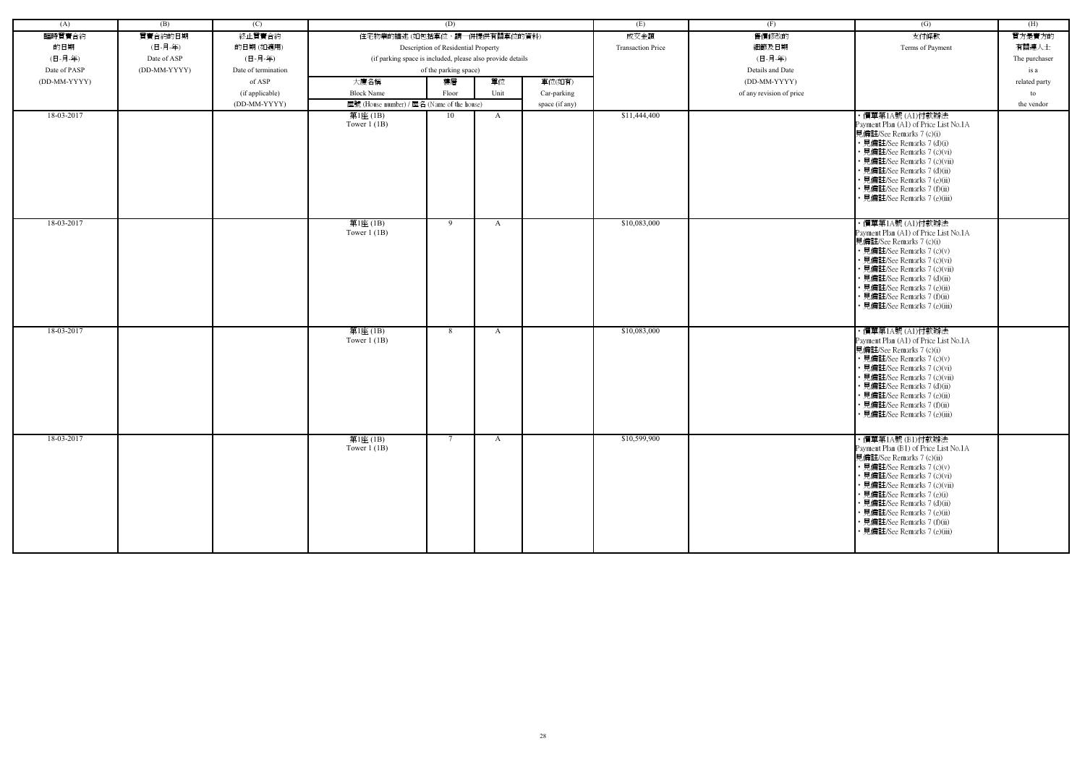| (A)          | (B)          | (C)                 |                                                            | (D)                                 |              |                | (E)                      | (F)                      | (G)                                                         | (H)           |
|--------------|--------------|---------------------|------------------------------------------------------------|-------------------------------------|--------------|----------------|--------------------------|--------------------------|-------------------------------------------------------------|---------------|
| 臨時買賣合約       | 買賣合約的日期      | 終止買賣合約              | 住宅物業的描述 (如包括車位,請一併提供有關車位的資料)                               |                                     |              |                | 成交金額                     | 售價修改的                    | 支付條款                                                        | 買方是賣方的        |
| 的日期          | (日-月-年)      | 的日期(如適用)            |                                                            | Description of Residential Property |              |                | <b>Transaction Price</b> | 細節及日期                    | Terms of Payment                                            | 有關連人士         |
| (日-月-年)      | Date of ASP  | (日-月-年)             | (if parking space is included, please also provide details |                                     |              |                |                          | (日-月-年)                  |                                                             | The purchaser |
| Date of PASP | (DD-MM-YYYY) | Date of termination |                                                            | of the parking space)               |              |                |                          | Details and Date         |                                                             | is a          |
| (DD-MM-YYYY) |              | of ASP              | 大廈名稱                                                       | 樓層                                  | 單位           | 車位(如有)         |                          | (DD-MM-YYYY)             |                                                             | related party |
|              |              | (if applicable)     | <b>Block Name</b>                                          | Floor                               | Unit         | Car-parking    |                          | of any revision of price |                                                             | to            |
|              |              | (DD-MM-YYYY)        | 屋號 (House number) / 屋名 (Name of the house)                 |                                     |              | space (if any) |                          |                          |                                                             | the vendor    |
| 18-03-2017   |              |                     | 第1座 (1B)                                                   | 10                                  | $\mathbf{A}$ |                | \$11,444,400             |                          | ・價單第1A號 (A1)付款辦法                                            |               |
|              |              |                     | Tower $1$ (1B)                                             |                                     |              |                |                          |                          | Payment Plan (A1) of Price List No.1A                       |               |
|              |              |                     |                                                            |                                     |              |                |                          |                          | 見備註/See Remarks 7 (c)(i)                                    |               |
|              |              |                     |                                                            |                                     |              |                |                          |                          | • 見備註/See Remarks 7 (d)(i)<br>· 見備註/See Remarks 7 (c)(vi)   |               |
|              |              |                     |                                                            |                                     |              |                |                          |                          | · 見備註/See Remarks 7 (c)(vii)                                |               |
|              |              |                     |                                                            |                                     |              |                |                          |                          | • 見備註/See Remarks 7 (d)(ii)                                 |               |
|              |              |                     |                                                            |                                     |              |                |                          |                          | • 見備註/See Remarks 7 (e)(ii)                                 |               |
|              |              |                     |                                                            |                                     |              |                |                          |                          | 見備註/See Remarks 7 (f)(ii)<br>· 見備註/See Remarks 7 (e)(iii)   |               |
|              |              |                     |                                                            |                                     |              |                |                          |                          |                                                             |               |
|              |              |                     |                                                            |                                     |              |                |                          |                          |                                                             |               |
| 18-03-2017   |              |                     | 第1座(1B)<br>Tower $1$ (1B)                                  | 9                                   | $\mathbf{A}$ |                | \$10,083,000             |                          | ・價單第1A號 (A1)付款辦法<br>Payment Plan (A1) of Price List No.1A   |               |
|              |              |                     |                                                            |                                     |              |                |                          |                          | 見備註/See Remarks 7 (c)(i)                                    |               |
|              |              |                     |                                                            |                                     |              |                |                          |                          | • 見備註/See Remarks 7 (c)(v)                                  |               |
|              |              |                     |                                                            |                                     |              |                |                          |                          | • 見備註/See Remarks 7 (c)(vi)                                 |               |
|              |              |                     |                                                            |                                     |              |                |                          |                          | • 見備註/See Remarks 7 (c)(vii)<br>• 見備註/See Remarks 7 (d)(ii) |               |
|              |              |                     |                                                            |                                     |              |                |                          |                          | • 見備註/See Remarks 7 (e)(ii)                                 |               |
|              |              |                     |                                                            |                                     |              |                |                          |                          | · 見備註/See Remarks 7 (f)(ii)                                 |               |
|              |              |                     |                                                            |                                     |              |                |                          |                          | · 見備註/See Remarks 7 (e)(iii)                                |               |
|              |              |                     |                                                            |                                     |              |                |                          |                          |                                                             |               |
| 18-03-2017   |              |                     | 第1座(1B)                                                    | 8                                   | A            |                | \$10,083,000             |                          | ・價單第1A號 (A1)付款辦法                                            |               |
|              |              |                     | Tower $1$ (1B)                                             |                                     |              |                |                          |                          | Payment Plan (A1) of Price List No.1A                       |               |
|              |              |                     |                                                            |                                     |              |                |                          |                          | 見備註/See Remarks 7 (c)(i)<br>• 見備註/See Remarks 7 (c)(v)      |               |
|              |              |                     |                                                            |                                     |              |                |                          |                          | • 見備註/See Remarks 7 (c)(vi)                                 |               |
|              |              |                     |                                                            |                                     |              |                |                          |                          | • 見備註/See Remarks 7 (c)(vii)                                |               |
|              |              |                     |                                                            |                                     |              |                |                          |                          | • 見備註/See Remarks 7 (d)(ii)                                 |               |
|              |              |                     |                                                            |                                     |              |                |                          |                          | 見備註/See Remarks 7 (e)(ii)                                   |               |
|              |              |                     |                                                            |                                     |              |                |                          |                          | • 見備註/See Remarks 7 (f)(ii)<br>見備註/See Remarks 7 (e)(iii)   |               |
|              |              |                     |                                                            |                                     |              |                |                          |                          |                                                             |               |
| 18-03-2017   |              |                     |                                                            | $7\phantom{.0}$                     |              |                | \$10,599,900             |                          |                                                             |               |
|              |              |                     | 第1座(1B)<br>Tower $1$ (1B)                                  |                                     | $\mathbf{A}$ |                |                          |                          | ・價單第1A號 (B1)付款辦法<br>Payment Plan (B1) of Price List No.1A   |               |
|              |              |                     |                                                            |                                     |              |                |                          |                          | 見備註/See Remarks 7 (c)(ii)                                   |               |
|              |              |                     |                                                            |                                     |              |                |                          |                          | • 見備註/See Remarks 7 (c)(v)                                  |               |
|              |              |                     |                                                            |                                     |              |                |                          |                          | • 見備註/See Remarks 7 (c)(vi)                                 |               |
|              |              |                     |                                                            |                                     |              |                |                          |                          | • 見備註/See Remarks 7 (c)(vii)<br>• 見備註/See Remarks 7 (e)(i)  |               |
|              |              |                     |                                                            |                                     |              |                |                          |                          | • 見備註/See Remarks 7 (d)(ii)                                 |               |
|              |              |                     |                                                            |                                     |              |                |                          |                          | • 見備註/See Remarks 7 (e)(ii)                                 |               |
|              |              |                     |                                                            |                                     |              |                |                          |                          | • 見備註/See Remarks 7 (f)(ii)                                 |               |
|              |              |                     |                                                            |                                     |              |                |                          |                          | • 見備註/See Remarks 7 (e)(iii)                                |               |
|              |              |                     |                                                            |                                     |              |                |                          |                          |                                                             |               |
|              |              |                     |                                                            |                                     |              |                |                          |                          |                                                             |               |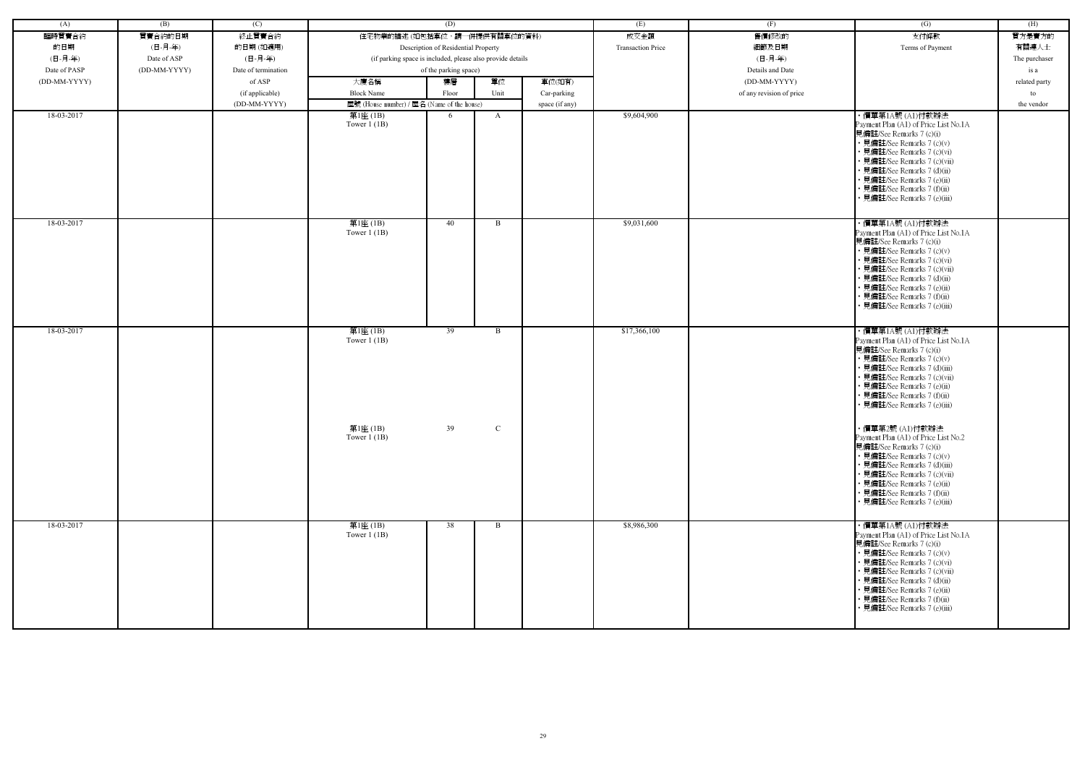| (A)          | (B)          | (C)                 |                                                            | (D)                                 |              |                | (E)                      | (F)                      | (G)                                                                                                                                                                                                                                                                                                             | (H)           |
|--------------|--------------|---------------------|------------------------------------------------------------|-------------------------------------|--------------|----------------|--------------------------|--------------------------|-----------------------------------------------------------------------------------------------------------------------------------------------------------------------------------------------------------------------------------------------------------------------------------------------------------------|---------------|
| 臨時買賣合約       | 買賣合約的日期      | 終止買賣合約              | 住宅物業的描述 (如包括車位,請一併提供有關車位的資料)                               |                                     |              |                | 成交金額                     | 售價修改的                    | 支付條款                                                                                                                                                                                                                                                                                                            | 買方是賣方的        |
|              |              |                     |                                                            |                                     |              |                | <b>Transaction Price</b> |                          |                                                                                                                                                                                                                                                                                                                 |               |
| 的日期          | (日-月-年)      | 的日期(如適用)            |                                                            | Description of Residential Property |              |                |                          | 細節及日期                    | Terms of Payment                                                                                                                                                                                                                                                                                                | 有關連人士         |
| (日-月-年)      | Date of ASP  | (日-月-年)             | (if parking space is included, please also provide details |                                     |              |                |                          | (日-月-年)                  |                                                                                                                                                                                                                                                                                                                 | The purchaser |
| Date of PASP | (DD-MM-YYYY) | Date of termination |                                                            | of the parking space)               |              |                |                          | Details and Date         |                                                                                                                                                                                                                                                                                                                 | is a          |
| (DD-MM-YYYY) |              | of ASP              | 大廈名稱                                                       | 樓層                                  | 單位           | 車位(如有)         |                          | (DD-MM-YYYY)             |                                                                                                                                                                                                                                                                                                                 | related party |
|              |              | (if applicable)     | <b>Block Name</b>                                          | Floor                               | Unit         | Car-parking    |                          | of any revision of price |                                                                                                                                                                                                                                                                                                                 | to            |
|              |              | (DD-MM-YYYY)        | 屋號 (House number) / 屋名 (Name of the house)                 |                                     |              | space (if any) |                          |                          |                                                                                                                                                                                                                                                                                                                 | the vendor    |
| 18-03-2017   |              |                     | 第1座 $(1B)$<br>Tower $1$ (1B)                               | 6                                   | $\mathbf{A}$ |                | \$9,604,900              |                          | ・價單第1A號 (A1)付款辦法<br>Payment Plan (A1) of Price List No.1A<br>見備註/See Remarks 7 (c)(i)<br>• 見備註/See Remarks 7 (c)(v)<br>• 見備註/See Remarks 7 (c)(vi)<br>• 見備註/See Remarks 7 (c)(vii)<br>• 見備註/See Remarks 7 (d)(ii)<br>• 見備註/See Remarks 7 (e)(ii)<br>• 見備註/See Remarks 7 (f)(ii)<br>· 見備註/See Remarks 7 (e)(iii) |               |
| 18-03-2017   |              |                     | 第1座(1B)<br>Tower $1(1B)$                                   | 40                                  | B            |                | \$9,031,600              |                          | ・價單第1A號 (A1)付款辦法<br>Payment Plan (A1) of Price List No.1A<br>見備註/See Remarks 7 (c)(i)<br>• 見備註/See Remarks 7 (c)(v)<br>• 見備註/See Remarks 7 (c)(vi)<br>• 見備註/See Remarks 7 (c)(vii)<br>• 見備註/See Remarks 7 (d)(ii)<br>• 見備註/See Remarks 7 (e)(ii)<br>• 見備註/See Remarks 7 (f)(ii)<br>• 見備註/See Remarks 7 (e)(iii) |               |
| 18-03-2017   |              |                     | 第1座(1B)<br>Tower $1$ (1B)                                  | 39                                  | $\mathbf{B}$ |                | \$17,366,100             |                          | ・價單第1A號 (A1)付款辦法<br>Payment Plan (A1) of Price List No.1A<br>見備註/See Remarks 7 (c)(i)<br>• 見備註/See Remarks 7 (c)(v)<br>• 見備註/See Remarks 7 (d)(iii)<br>• 見備註/See Remarks 7 (c)(vii)<br>• 見備註/See Remarks 7 (e)(ii)<br>• 見備註/See Remarks 7 (f)(ii)<br>• 見備註/See Remarks 7 (e)(iii)                               |               |
|              |              |                     | 第1座 (1B)<br>Tower $1$ (1B)                                 | 39                                  | $\mathbf C$  |                |                          |                          | ・價單第2號 (A1)付款辦法<br>Payment Plan (A1) of Price List No.2<br>見備註/See Remarks 7 (c)(i)<br>• 見備註/See Remarks 7 (c)(v)<br>• 見備註/See Remarks 7 (d)(iii)<br>• 見備註/See Remarks 7 (c)(vii)<br>• 見備註/See Remarks 7 (e)(ii)<br>• 見備註/See Remarks 7 (f)(ii)<br>• 見備註/See Remarks 7 (e)(iii)                                 |               |
| 18-03-2017   |              |                     | 第1座(1B)<br>Tower $1$ (1B)                                  | 38                                  | B            |                | \$8,986,300              |                          | ・價單第1A號 (A1)付款辦法<br>Payment Plan (A1) of Price List No.1A<br>見備註/See Remarks 7 (c)(i)<br>• 見備註/See Remarks 7 (c)(v)<br>• 見備註/See Remarks 7 (c)(vi)<br>• 見備註/See Remarks 7 (c)(vii)<br>• 見備註/See Remarks 7 (d)(ii)<br>• 見備註/See Remarks 7 (e)(ii)<br>• 見備註/See Remarks 7 (f)(ii)<br>• 見備註/See Remarks 7 (e)(iii) |               |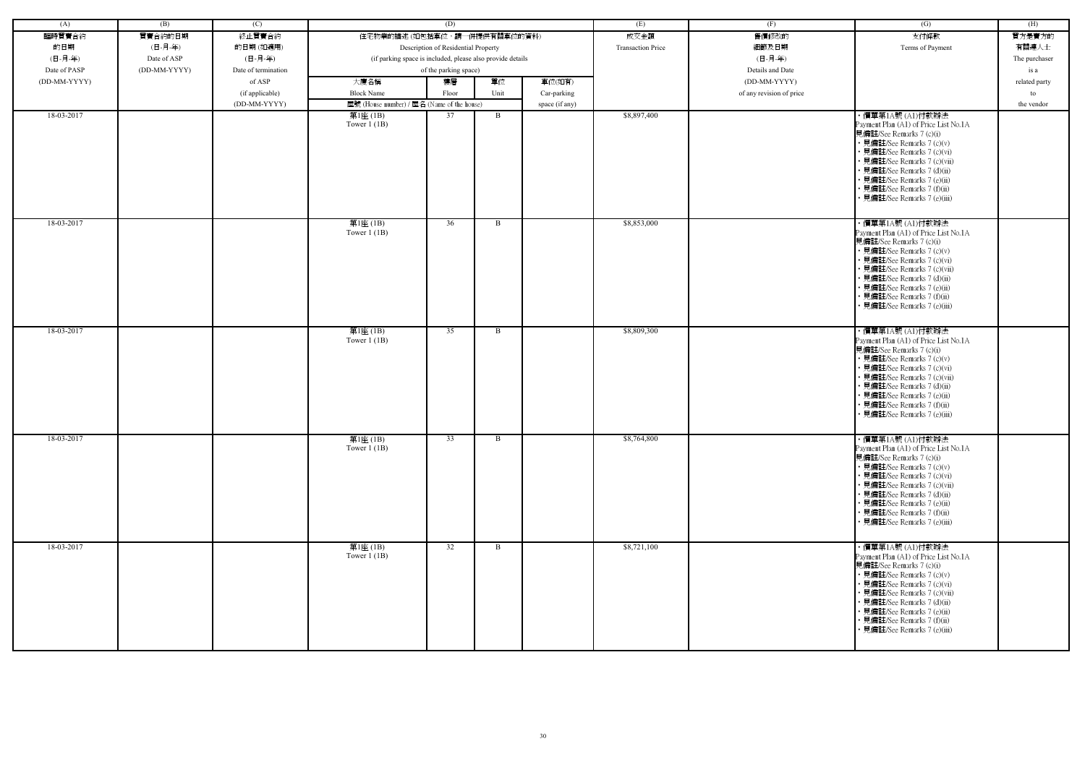| (A)          | (B)          | (C)                 |                                                            | (D)                                 |      |                | (E)                      | (F)                      | (G)                                                                                                                                                                                                                                                                                                             | (H)           |
|--------------|--------------|---------------------|------------------------------------------------------------|-------------------------------------|------|----------------|--------------------------|--------------------------|-----------------------------------------------------------------------------------------------------------------------------------------------------------------------------------------------------------------------------------------------------------------------------------------------------------------|---------------|
| 臨時買賣合約       | 買賣合約的日期      | 終止買賣合約              | 住宅物業的描述 (如包括車位,請一併提供有關車位的資料)                               |                                     |      |                | 成交金額                     | 售價修改的                    | 支付條款                                                                                                                                                                                                                                                                                                            | 買方是賣方的        |
| 的日期          | (日-月-年)      | 的日期(如適用)            |                                                            | Description of Residential Property |      |                | <b>Transaction Price</b> | 細節及日期                    | Terms of Payment                                                                                                                                                                                                                                                                                                | 有關連人士         |
| (日-月-年)      | Date of ASP  | (日-月-年)             | (if parking space is included, please also provide details |                                     |      |                |                          | (日-月-年)                  |                                                                                                                                                                                                                                                                                                                 | The purchaser |
| Date of PASP | (DD-MM-YYYY) | Date of termination |                                                            | of the parking space)               |      |                |                          | Details and Date         |                                                                                                                                                                                                                                                                                                                 | is a          |
| (DD-MM-YYYY) |              | of ASP              | 大廈名稱                                                       | 樓層                                  | 單位   | 車位(如有)         |                          | (DD-MM-YYYY)             |                                                                                                                                                                                                                                                                                                                 | related party |
|              |              | (if applicable)     | <b>Block Name</b>                                          | Floor                               | Unit | Car-parking    |                          | of any revision of price |                                                                                                                                                                                                                                                                                                                 | to            |
|              |              | (DD-MM-YYYY)        | 屋號 (House number) / 屋名 (Name of the house)                 |                                     |      | space (if any) |                          |                          |                                                                                                                                                                                                                                                                                                                 | the vendor    |
| 18-03-2017   |              |                     | 第1座 (1B)                                                   | 37                                  | B    |                | \$8,897,400              |                          | ・價單第1A號 (A1)付款辦法                                                                                                                                                                                                                                                                                                |               |
|              |              |                     | Tower $1$ (1B)                                             |                                     |      |                |                          |                          | Payment Plan (A1) of Price List No.1A<br>見備註/See Remarks 7 (c)(i)<br>• 見備註/See Remarks 7 (c)(v)<br>• 見備註/See Remarks 7 (c)(vi)<br>• 見備註/See Remarks 7 (c)(vii)<br>• 見備註/See Remarks 7 (d)(ii)<br>• 見備註/See Remarks 7 (e)(ii)<br>• 見備註/See Remarks 7 (f)(ii)<br>見備註/See Remarks 7 (e)(iii)                       |               |
| 18-03-2017   |              |                     | 第1座(1B)<br>Tower $1$ (1B)                                  | 36                                  | B    |                | \$8,853,000              |                          | ・價單第1A號 (A1)付款辦法<br>Payment Plan (A1) of Price List No.1A<br>見備註/See Remarks 7 (c)(i)<br>• 見備註/See Remarks 7 (c)(v)<br>• 見備註/See Remarks 7 (c)(vi)<br>• 見備註/See Remarks 7 (c)(vii)<br>• 見備註/See Remarks 7 (d)(ii)<br>· 見備註/See Remarks 7 (e)(ii)<br>• 見備註/See Remarks 7 (f)(ii)<br>• 見備註/See Remarks 7 (e)(iii) |               |
| 18-03-2017   |              |                     | 第1座(1B)<br>Tower $1$ (1B)                                  | 35                                  | B    |                | \$8,809,300              |                          | ・價單第1A號 (A1)付款辦法<br>Payment Plan (A1) of Price List No.1A<br>見備註/See Remarks 7 (c)(i)<br>• 見備註/See Remarks 7 (c)(v)<br>• 見備註/See Remarks 7 (c)(vi)<br>• 見備註/See Remarks 7 (c)(vii)<br>• 見備註/See Remarks 7 (d)(ii)<br>· 見備註/See Remarks 7 (e)(ii)<br>• 見備註/See Remarks 7 (f)(ii)<br>• 見備註/See Remarks 7 (e)(iii) |               |
| 18-03-2017   |              |                     | 第1座(1B)<br>Tower $1$ (1B)                                  | 33                                  | B    |                | \$8,764,800              |                          | ・價單第1A號 (A1)付款辦法<br>Payment Plan (A1) of Price List No.1A<br>見備註/See Remarks 7 (c)(i)<br>• 見備註/See Remarks 7 (c)(v)<br>• 見備註/See Remarks 7 (c)(vi)<br>• 見備註/See Remarks 7 (c)(vii)<br>• 見備註/See Remarks 7 (d)(ii)<br>• 見備註/See Remarks 7 (e)(ii)<br>• 見備註/See Remarks 7 (f)(ii)<br>• 見備註/See Remarks 7 (e)(iii) |               |
| 18-03-2017   |              |                     | 第1座(1B)<br>Tower $1$ (1B)                                  | $\overline{32}$                     | B    |                | \$8,721,100              |                          | ・價單第1A號 (A1)付款辦法<br>Payment Plan (A1) of Price List No.1A<br>見備註/See Remarks 7 (c)(i)<br>• 見備註/See Remarks 7 (c)(v)<br>• 見備註/See Remarks 7 (c)(vi)<br>• 見備註/See Remarks 7 (c)(vii)<br>• 見備註/See Remarks 7 (d)(ii)<br>• 見備註/See Remarks 7 (e)(ii)<br>• 見備註/See Remarks 7 (f)(ii)<br>• 見備註/See Remarks 7 (e)(iii) |               |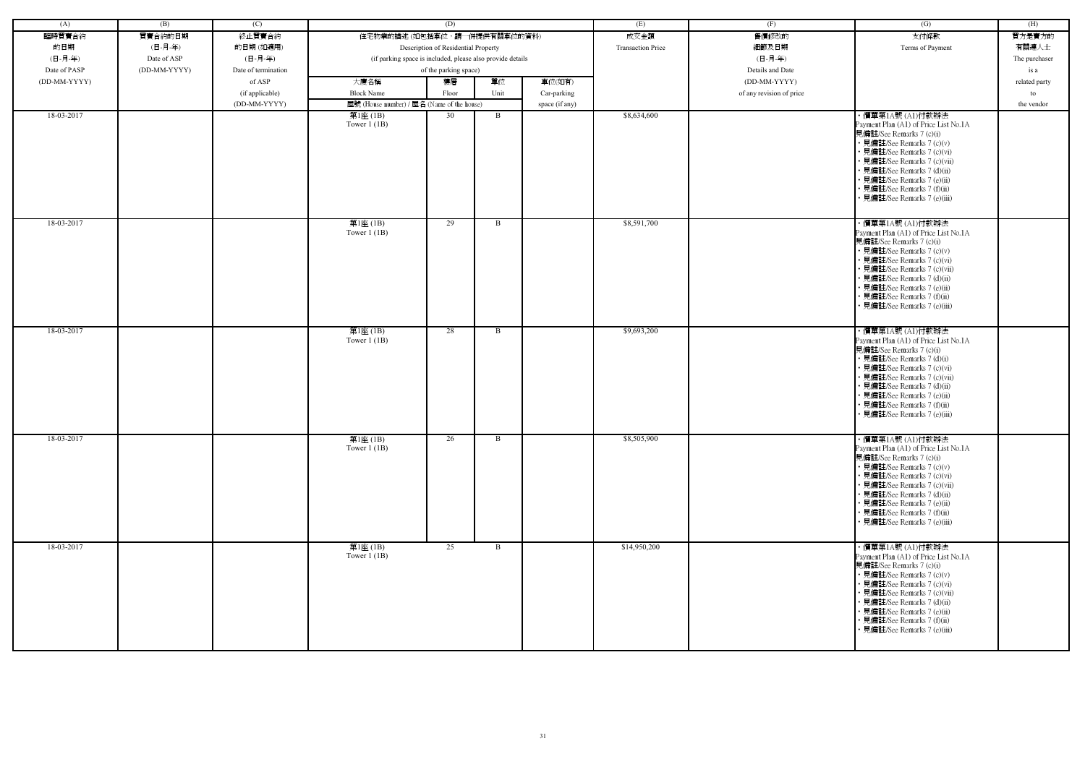| (A)          | (B)          | (C)                 |                                                            | (D)                                 |      |                | (E)                      | (F)                      | (G)                                                                                                                                                                                                                                                                                                             | (H)           |
|--------------|--------------|---------------------|------------------------------------------------------------|-------------------------------------|------|----------------|--------------------------|--------------------------|-----------------------------------------------------------------------------------------------------------------------------------------------------------------------------------------------------------------------------------------------------------------------------------------------------------------|---------------|
| 臨時買賣合約       | 買賣合約的日期      | 終止買賣合約              | 住宅物業的描述(如包括車位,請一併提供有關車位的資料)                                |                                     |      |                | 成交金額                     | 售價修改的                    | 支付條款                                                                                                                                                                                                                                                                                                            | 買方是賣方的        |
| 的日期          | (日-月-年)      | 的日期(如適用)            |                                                            | Description of Residential Property |      |                | <b>Transaction Price</b> | 細節及日期                    | Terms of Payment                                                                                                                                                                                                                                                                                                | 有關連人士         |
| (日-月-年)      | Date of ASP  | (日-月-年)             | (if parking space is included, please also provide details |                                     |      |                |                          | (日-月-年)                  |                                                                                                                                                                                                                                                                                                                 | The purchaser |
| Date of PASP | (DD-MM-YYYY) | Date of termination |                                                            | of the parking space)               |      |                |                          | Details and Date         |                                                                                                                                                                                                                                                                                                                 | is a          |
| (DD-MM-YYYY) |              | of ASP              | 大廈名稱                                                       | 樓層                                  | 單位   | 車位(如有)         |                          | (DD-MM-YYYY)             |                                                                                                                                                                                                                                                                                                                 | related party |
|              |              | (if applicable)     | <b>Block Name</b>                                          | Floor                               | Unit | Car-parking    |                          | of any revision of price |                                                                                                                                                                                                                                                                                                                 | to            |
|              |              | (DD-MM-YYYY)        | 屋號 (House number) / 屋名 (Name of the house)                 |                                     |      | space (if any) |                          |                          |                                                                                                                                                                                                                                                                                                                 | the vendor    |
| 18-03-2017   |              |                     | 第1座(1B)                                                    | 30                                  | B    |                | \$8,634,600              |                          | ・價單第1A號 (A1)付款辦法                                                                                                                                                                                                                                                                                                |               |
|              |              |                     | Tower $1$ (1B)                                             |                                     |      |                |                          |                          | Payment Plan (A1) of Price List No.1A<br>見備註/See Remarks 7 (c)(i)<br>• 見備註/See Remarks 7 (c)(v)<br>• 見備註/See Remarks 7 (c)(vi)<br>• 見備註/See Remarks 7 (c)(vii)<br>• 見備註/See Remarks 7 (d)(ii)<br>• 見備註/See Remarks 7 (e)(ii)<br>• 見備註/See Remarks 7 (f)(ii)<br>• 見備註/See Remarks 7 (e)(iii)                     |               |
| 18-03-2017   |              |                     | 第1座(1B)<br>Tower $1$ (1B)                                  | 29                                  | B    |                | \$8,591,700              |                          | ・價單第1A號 (A1)付款辦法<br>Payment Plan (A1) of Price List No.1A<br>見備註/See Remarks 7 (c)(i)<br>• 見備註/See Remarks 7 (c)(v)<br>• 見備註/See Remarks 7 (c)(vi)<br>• 見備註/See Remarks 7 (c)(vii)<br>• 見備註/See Remarks 7 (d)(ii)<br>• 見備註/See Remarks 7 (e)(ii)<br>• 見備註/See Remarks 7 (f)(ii)<br>• 見備註/See Remarks 7 (e)(iii) |               |
| 18-03-2017   |              |                     | 第1座(1B)<br>Tower $1$ (1B)                                  | 28                                  | B    |                | \$9,693,200              |                          | ・價單第1A號 (A1)付款辦法<br>Payment Plan (A1) of Price List No.1A<br>見備註/See Remarks 7 (c)(i)<br>• 見備註/See Remarks 7 (d)(i)<br>• 見備註/See Remarks 7 (c)(vi)<br>• 見備註/See Remarks 7 (c)(vii)<br>• 見備註/See Remarks 7 (d)(ii)<br>• 見備註/See Remarks 7 (e)(ii)<br>• 見備註/See Remarks 7 (f)(ii)<br>見備註/See Remarks 7 (e)(iii)   |               |
| 18-03-2017   |              |                     | 第1座(1B)<br>Tower $1$ (1B)                                  | 26                                  | B    |                | \$8,505,900              |                          | ・價單第1A號 (A1)付款辦法<br>Payment Plan (A1) of Price List No.1A<br>見備註/See Remarks 7 (c)(i)<br>• 見備註/See Remarks 7 (c)(v)<br>• 見備註/See Remarks 7 (c)(vi)<br>• 見備註/See Remarks 7 (c)(vii)<br>• 見備註/See Remarks 7 (d)(ii)<br>• 見備註/See Remarks 7 (e)(ii)<br>• 見備註/See Remarks 7 (f)(ii)<br>• 見備註/See Remarks 7 (e)(iii) |               |
| 18-03-2017   |              |                     | 第1座(1B)<br>Tower $1$ (1B)                                  | 25                                  | B    |                | \$14,950,200             |                          | ・價單第1A號 (A1)付款辦法<br>Payment Plan (A1) of Price List No.1A<br>見備註/See Remarks 7 (c)(i)<br>• 見備註/See Remarks 7 (c)(v)<br>• 見備註/See Remarks 7 (c)(vi)<br>• 見備註/See Remarks 7 (c)(vii)<br>• 見備註/See Remarks 7 (d)(ii)<br>• 見備註/See Remarks 7 (e)(ii)<br>• 見備註/See Remarks 7 (f)(ii)<br>• 見備註/See Remarks 7 (e)(iii) |               |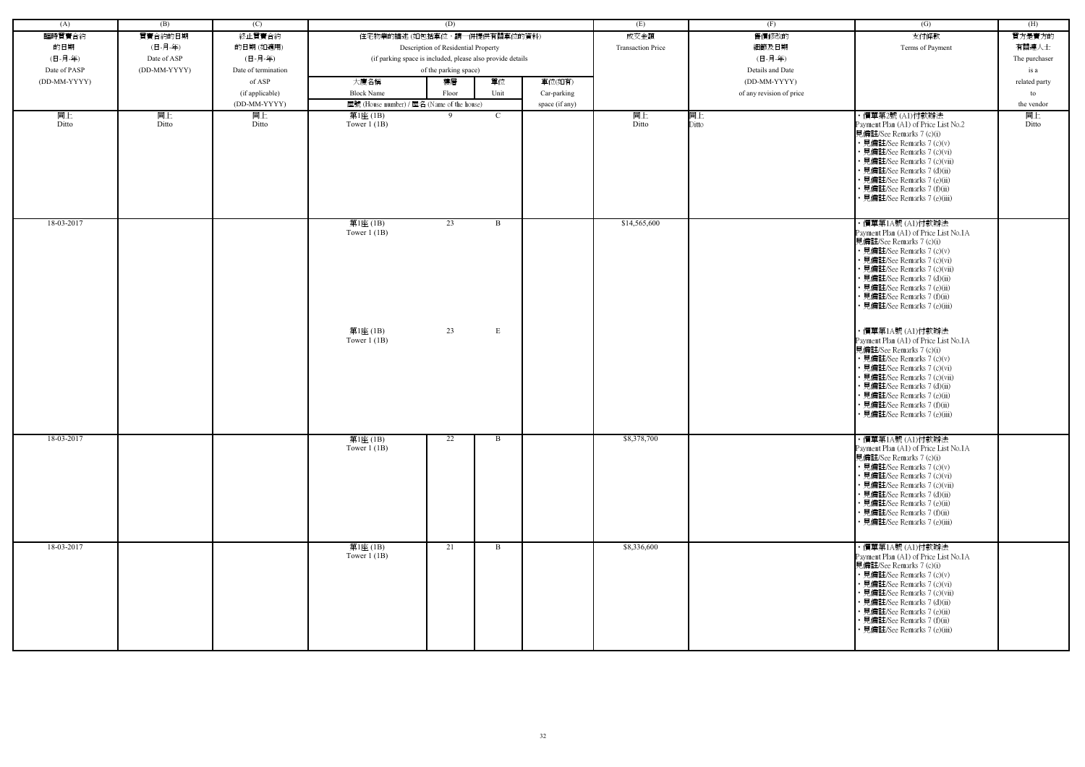| (A)          | (B)          | (C)                 |                                                            | (D)                                 |                   |                | (E)                      | (F)                      | (G)                                                                                                                                                                                                                                                                                                                                 | (H)           |
|--------------|--------------|---------------------|------------------------------------------------------------|-------------------------------------|-------------------|----------------|--------------------------|--------------------------|-------------------------------------------------------------------------------------------------------------------------------------------------------------------------------------------------------------------------------------------------------------------------------------------------------------------------------------|---------------|
| 臨時買賣合約       | 買賣合約的日期      | 終止買賣合約              | 住宅物業的描述(如包括車位,請一併提供有關車位的資料)                                |                                     |                   |                | 成交金額                     | 售價修改的                    | 支付條款                                                                                                                                                                                                                                                                                                                                | 買方是賣方的        |
| 的日期          | (日-月-年)      | 的日期(如適用)            |                                                            | Description of Residential Property |                   |                | <b>Transaction Price</b> | 細節及日期                    | Terms of Payment                                                                                                                                                                                                                                                                                                                    | 有關連人士         |
| (日-月-年)      | Date of ASP  | (日-月-年)             | (if parking space is included, please also provide details |                                     |                   |                |                          | (日-月-年)                  |                                                                                                                                                                                                                                                                                                                                     | The purchaser |
| Date of PASP | (DD-MM-YYYY) | Date of termination |                                                            | of the parking space)               |                   |                |                          | Details and Date         |                                                                                                                                                                                                                                                                                                                                     |               |
|              |              |                     |                                                            |                                     |                   |                |                          |                          |                                                                                                                                                                                                                                                                                                                                     | is a          |
| (DD-MM-YYYY) |              | of ASP              | 大廈名稱                                                       | 樓層                                  | 單位                | 車位(如有)         |                          | (DD-MM-YYYY)             |                                                                                                                                                                                                                                                                                                                                     | related party |
|              |              | (if applicable)     | <b>Block Name</b>                                          | Floor                               | Unit              | Car-parking    |                          | of any revision of price |                                                                                                                                                                                                                                                                                                                                     | to            |
|              |              | (DD-MM-YYYY)        | 屋號 (House number) / 屋名 (Name of the house)                 |                                     |                   | space (if any) |                          |                          |                                                                                                                                                                                                                                                                                                                                     | the vendor    |
| 同上<br>Ditto  | 同上<br>Ditto  | 同上<br>Ditto         | 第1座 (1B)<br>Tower $1$ (1B)                                 | $\mathbf{Q}$                        | C                 |                | 同上<br>Ditto              | 同上<br>Ditto              | ・價單第2號 (A1)付款辦法<br>Payment Plan (A1) of Price List No.2<br>見備註/See Remarks 7 (c)(i)<br>• 見備註/See Remarks 7 (c)(v)<br>• 見備註/See Remarks 7 (c)(vi)<br>• 見備註/See Remarks 7 (c)(vii)<br>• 見備註/See Remarks 7 (d)(ii)<br>• 見備註/See Remarks 7 (e)(ii)<br>• 見備註/See Remarks 7 (f)(ii)<br>· 見備註/See Remarks 7 (e)(iii)                       | 同上<br>Ditto   |
| 18-03-2017   |              |                     | 第1座(1B)<br>Tower $1$ (1B)<br>第1座(1B)                       | 23<br>23                            | $\mathbf{B}$<br>E |                | \$14,565,600             |                          | ・價單第1A號 (A1)付款辦法<br>Payment Plan (A1) of Price List No.1A<br>見備註/See Remarks 7 (c)(i)<br>• 見備註/See Remarks 7 (c)(v)<br>• 見備註/See Remarks 7 (c)(vi)<br>• 見備註/See Remarks 7 (c)(vii)<br>• 見備註/See Remarks 7 (d)(ii)<br>• 見備註/See Remarks 7 (e)(ii)<br>• 見備註/See Remarks 7 (f)(ii)<br>• 見備註/See Remarks 7 (e)(iii)<br>・價單第1A號 (A1)付款辦法 |               |
|              |              |                     | Tower $1$ (1B)                                             |                                     |                   |                |                          |                          | Payment Plan (A1) of Price List No.1A<br>見備註/See Remarks 7 (c)(i)<br>• 見備註/See Remarks 7 (c)(v)<br>• 見備註/See Remarks 7 (c)(vi)<br>• 見備註/See Remarks 7 (c)(vii)<br>• 見備註/See Remarks 7 (d)(ii)<br>• 見備註/See Remarks 7 (e)(ii)<br>• 見備註/See Remarks 7 (f)(ii)<br>• 見備註/See Remarks 7 (e)(iii)                                         |               |
| 18-03-2017   |              |                     | 第1座(1B)<br>Tower $1$ (1B)                                  | 22                                  | B                 |                | \$8,378,700              |                          | ・價單第1A號 (A1)付款辦法<br>Payment Plan (A1) of Price List No.1A<br>見備註/See Remarks 7 (c)(i)<br>• 見備註/See Remarks 7 (c)(v)<br>• 見備註/See Remarks 7 (c)(vi)<br>• 見備註/See Remarks 7 (c)(vii)<br>• 見備註/See Remarks 7 (d)(ii)<br>• 見備註/See Remarks 7 (e)(ii)<br>• 見備註/See Remarks 7 (f)(ii)<br>• 見備註/See Remarks 7 (e)(iii)                     |               |
| 18-03-2017   |              |                     | 第1座(1B)<br>Tower $1(1B)$                                   | 21                                  | $\overline{B}$    |                | \$8,336,600              |                          | ・價單第1A號 (A1)付款辦法<br>Payment Plan (A1) of Price List No.1A<br>見備註/See Remarks 7 (c)(i)<br>• 見備註/See Remarks 7 (c)(v)<br>• 見備註/See Remarks 7 (c)(vi)<br>• 見備註/See Remarks 7 (c)(vii)<br>• 見備註/See Remarks 7 (d)(ii)<br>• 見備註/See Remarks 7 (e)(ii)<br>• 見備註/See Remarks 7 (f)(ii)<br>• 見備註/See Remarks 7 (e)(iii)                     |               |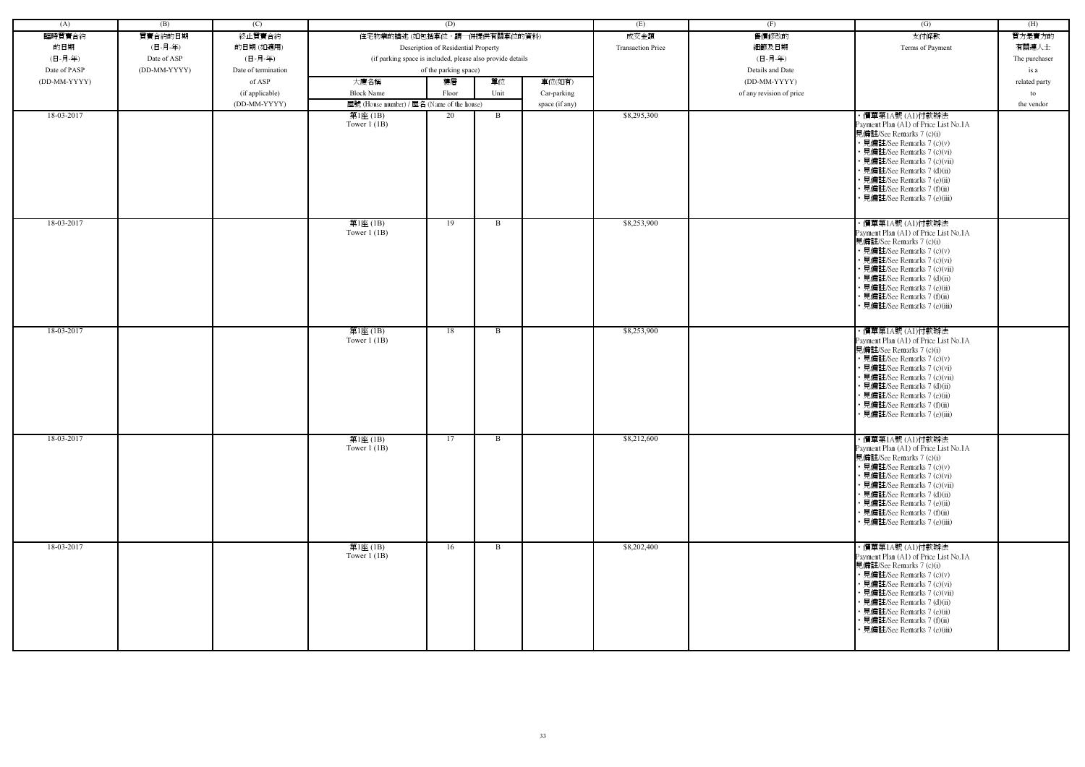| (A)          | (B)          | (C)                 |                                                            | (D)                   |      |                | (E)                      | (F)                      | (G)                                                                                                                                                                                                                                                                                                             | (H)           |
|--------------|--------------|---------------------|------------------------------------------------------------|-----------------------|------|----------------|--------------------------|--------------------------|-----------------------------------------------------------------------------------------------------------------------------------------------------------------------------------------------------------------------------------------------------------------------------------------------------------------|---------------|
| 臨時買賣合約       | 買賣合約的日期      | 終止買賣合約              | 住宅物業的描述 (如包括車位,請一併提供有關車位的資料)                               |                       |      |                | 成交金額                     | 售價修改的                    | 支付條款                                                                                                                                                                                                                                                                                                            | 買方是賣方的        |
| 的日期          | (日-月-年)      | 的日期(如適用)            | Description of Residential Property                        |                       |      |                | <b>Transaction Price</b> | 細節及日期                    | Terms of Payment                                                                                                                                                                                                                                                                                                | 有關連人士         |
| (日-月-年)      | Date of ASP  | (日-月-年)             | (if parking space is included, please also provide details |                       |      |                |                          | (日-月-年)                  |                                                                                                                                                                                                                                                                                                                 | The purchaser |
| Date of PASP | (DD-MM-YYYY) | Date of termination |                                                            | of the parking space) |      |                |                          | Details and Date         |                                                                                                                                                                                                                                                                                                                 | is a          |
| (DD-MM-YYYY) |              | of ASP              | 大廈名稱                                                       | 樓層                    | 單位   | 車位(如有)         |                          | (DD-MM-YYYY)             |                                                                                                                                                                                                                                                                                                                 | related party |
|              |              | (if applicable)     | <b>Block Name</b>                                          | Floor                 | Unit | Car-parking    |                          | of any revision of price |                                                                                                                                                                                                                                                                                                                 | to            |
|              |              | (DD-MM-YYYY)        | 屋號 (House number) / 屋名 (Name of the house)                 |                       |      | space (if any) |                          |                          |                                                                                                                                                                                                                                                                                                                 | the vendor    |
| 18-03-2017   |              |                     | 第1座 (1B)                                                   | 20                    | B    |                | \$8,295,300              |                          | ・價單第1A號 (A1)付款辦法                                                                                                                                                                                                                                                                                                |               |
|              |              |                     | Tower $1$ (1B)                                             |                       |      |                |                          |                          | Payment Plan (A1) of Price List No.1A<br>見備註/See Remarks 7 (c)(i)<br>• 見備註/See Remarks 7 (c)(v)<br>• 見備註/See Remarks 7 (c)(vi)<br>• 見備註/See Remarks 7 (c)(vii)<br>• 見備註/See Remarks 7 (d)(ii)<br>• 見備註/See Remarks 7 (e)(ii)<br>• 見備註/See Remarks 7 (f)(ii)<br>見備註/See Remarks 7 (e)(iii)                       |               |
| 18-03-2017   |              |                     | 第1座(1B)<br>Tower $1$ (1B)                                  | 19                    | B    |                | \$8,253,900              |                          | ・價單第1A號 (A1)付款辦法<br>Payment Plan (A1) of Price List No.1A<br>見備註/See Remarks 7 (c)(i)<br>• 見備註/See Remarks 7 (c)(v)<br>• 見備註/See Remarks 7 (c)(vi)<br>• 見備註/See Remarks 7 (c)(vii)<br>• 見備註/See Remarks 7 (d)(ii)<br>· 見備註/See Remarks 7 (e)(ii)<br>• 見備註/See Remarks 7 (f)(ii)<br>• 見備註/See Remarks 7 (e)(iii) |               |
| 18-03-2017   |              |                     | 第1座(1B)<br>Tower $1$ (1B)                                  | 18                    | B    |                | \$8,253,900              |                          | ・價單第1A號 (A1)付款辦法<br>Payment Plan (A1) of Price List No.1A<br>見備註/See Remarks 7 (c)(i)<br>• 見備註/See Remarks 7 (c)(v)<br>• 見備註/See Remarks 7 (c)(vi)<br>• 見備註/See Remarks 7 (c)(vii)<br>• 見備註/See Remarks 7 (d)(ii)<br>· 見備註/See Remarks 7 (e)(ii)<br>• 見備註/See Remarks 7 (f)(ii)<br>• 見備註/See Remarks 7 (e)(iii) |               |
| 18-03-2017   |              |                     | 第1座(1B)<br>Tower $1$ (1B)                                  | 17                    | B    |                | \$8,212,600              |                          | ・價單第1A號 (A1)付款辦法<br>Payment Plan (A1) of Price List No.1A<br>見備註/See Remarks 7 (c)(i)<br>• 見備註/See Remarks 7 (c)(v)<br>• 見備註/See Remarks 7 (c)(vi)<br>• 見備註/See Remarks 7 (c)(vii)<br>• 見備註/See Remarks 7 (d)(ii)<br>• 見備註/See Remarks 7 (e)(ii)<br>• 見備註/See Remarks 7 (f)(ii)<br>• 見備註/See Remarks 7 (e)(iii) |               |
| 18-03-2017   |              |                     | 第1座(1B)<br>Tower $1$ (1B)                                  | 16                    | B    |                | \$8,202,400              |                          | ・價單第1A號 (A1)付款辦法<br>Payment Plan (A1) of Price List No.1A<br>見備註/See Remarks 7 (c)(i)<br>• 見備註/See Remarks 7 (c)(v)<br>• 見備註/See Remarks 7 (c)(vi)<br>• 見備註/See Remarks 7 (c)(vii)<br>• 見備註/See Remarks 7 (d)(ii)<br>• 見備註/See Remarks 7 (e)(ii)<br>• 見備註/See Remarks 7 (f)(ii)<br>• 見備註/See Remarks 7 (e)(iii) |               |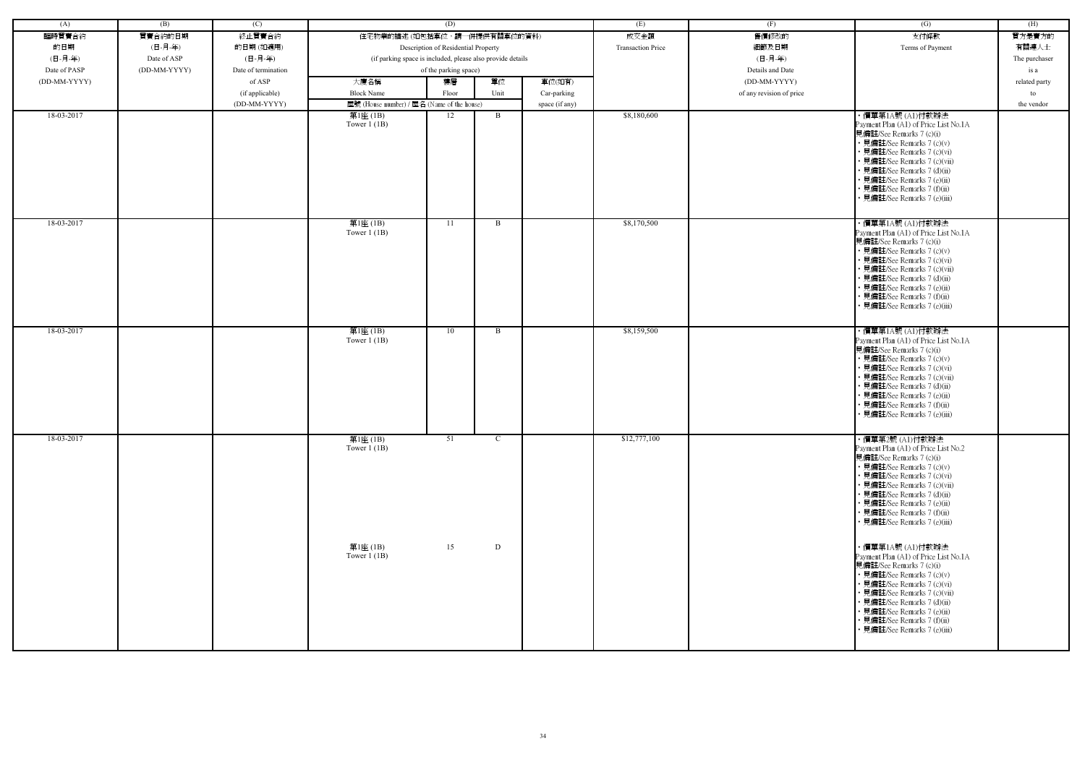| (A)          | (B)          | (C)                 |                                                                                     | (D)                                 |              |                | (E)                      | (F)                      | (G)                                                                                                                                                                                                                                                                                                             | (H)           |
|--------------|--------------|---------------------|-------------------------------------------------------------------------------------|-------------------------------------|--------------|----------------|--------------------------|--------------------------|-----------------------------------------------------------------------------------------------------------------------------------------------------------------------------------------------------------------------------------------------------------------------------------------------------------------|---------------|
| 臨時買賣合約       | 買賣合約的日期      | 終止買賣合約              | 住宅物業的描述(如包括車位,請一併提供有關車位的資料)                                                         |                                     |              |                | 成交金額                     | 售價修改的                    | 支付條款                                                                                                                                                                                                                                                                                                            | 買方是賣方的        |
| 的日期          | (日-月-年)      | 的日期(如適用)            |                                                                                     | Description of Residential Property |              |                | <b>Transaction Price</b> | 細節及日期                    | Terms of Payment                                                                                                                                                                                                                                                                                                | 有關連人士         |
| (日-月-年)      | Date of ASP  | (日-月-年)             |                                                                                     |                                     |              |                |                          | (日-月-年)                  |                                                                                                                                                                                                                                                                                                                 | The purchaser |
| Date of PASP | (DD-MM-YYYY) | Date of termination | (if parking space is included, please also provide details<br>of the parking space) |                                     |              |                |                          | Details and Date         |                                                                                                                                                                                                                                                                                                                 | is a          |
| (DD-MM-YYYY) |              | of ASP              | 大廈名稱                                                                                | 樓層                                  | 單位           | 車位(如有)         |                          | (DD-MM-YYYY)             |                                                                                                                                                                                                                                                                                                                 |               |
|              |              |                     |                                                                                     |                                     |              |                |                          |                          |                                                                                                                                                                                                                                                                                                                 | related party |
|              |              | (if applicable)     | <b>Block Name</b>                                                                   | Floor                               | Unit         | Car-parking    |                          | of any revision of price |                                                                                                                                                                                                                                                                                                                 | to            |
| 18-03-2017   |              | (DD-MM-YYYY)        | 屋號 (House number) / 屋名 (Name of the house)                                          |                                     |              | space (if any) | \$8,180,600              |                          |                                                                                                                                                                                                                                                                                                                 | the vendor    |
|              |              |                     | 第1座 (1B)<br>Tower $1(1B)$                                                           | 12                                  | B            |                |                          |                          | ・價單第1A號 (A1)付款辦法<br>Payment Plan (A1) of Price List No.1A<br>見備註/See Remarks 7 (c)(i)<br>• 見備註/See Remarks 7 (c)(v)<br>• 見備註/See Remarks 7 (c)(vi)<br>· 見備註/See Remarks 7 (c)(vii)<br>· 見備註/See Remarks 7 (d)(ii)<br>• 見備註/See Remarks 7 (e)(ii)<br>• 見備註/See Remarks 7 (f)(ii)<br>· 見備註/See Remarks 7 (e)(iii) |               |
| 18-03-2017   |              |                     | 第1座(1B)<br>Tower $1$ (1B)                                                           | 11                                  | B            |                | \$8,170,500              |                          | ・價單第1A號 (A1)付款辦法<br>Payment Plan (A1) of Price List No.1A<br>見備註/See Remarks 7 (c)(i)<br>• 見備註/See Remarks 7 (c)(v)<br>• 見備註/See Remarks 7 (c)(vi)<br>· 見備註/See Remarks 7 (c)(vii)<br>• 見備註/See Remarks 7 (d)(ii)<br>• 見備註/See Remarks 7 (e)(ii)<br>· 見備註/See Remarks 7 (f)(ii)<br>· 見備註/See Remarks 7 (e)(iii) |               |
| 18-03-2017   |              |                     | 第1座(1B)<br>Tower $1$ (1B)                                                           | 10                                  | B            |                | \$8,159,500              |                          | ・價單第1A號 (A1)付款辦法<br>Payment Plan (A1) of Price List No.1A<br>見備註/See Remarks 7 (c)(i)<br>• 見備註/See Remarks 7 (c)(v)<br>• 見備註/See Remarks 7 (c)(vi)<br>• 見備註/See Remarks 7 (c)(vii)<br>· 見備註/See Remarks 7 (d)(ii)<br>· 見備註/See Remarks 7 (e)(ii)<br>• 見備註/See Remarks 7 (f)(ii)<br>· 見備註/See Remarks 7 (e)(iii) |               |
| 18-03-2017   |              |                     | 第1座(1B)<br>Tower $1$ (1B)                                                           | 51                                  | $\mathbf{C}$ |                | \$12,777,100             |                          | ・價單第2號 (A1)付款辦法<br>Payment Plan (A1) of Price List No.2<br>見備註/See Remarks 7 (c)(i)<br>• 見備註/See Remarks 7 (c)(v)<br>• 見備註/See Remarks 7 (c)(vi)<br>• 見備註/See Remarks 7 (c)(vii)<br>• 見備註/See Remarks 7 (d)(ii)<br>• 見備註/See Remarks 7 (e)(ii)<br>• 見備註/See Remarks 7 (f)(ii)<br>• 見備註/See Remarks 7 (e)(iii)   |               |
|              |              |                     | 第1座 (1B)<br>Tower $1$ (1B)                                                          | 15                                  | D            |                |                          |                          | ・價單第1A號 (A1)付款辦法<br>Payment Plan (A1) of Price List No.1A<br>見備註/See Remarks 7 (c)(i)<br>• 見備註/See Remarks 7 (c)(v)<br>• 見備註/See Remarks 7 (c)(vi)<br>• 見備註/See Remarks 7 (c)(vii)<br>• 見備註/See Remarks 7 (d)(ii)<br>• 見備註/See Remarks 7 (e)(ii)<br>• 見備註/See Remarks 7 (f)(ii)<br>• 見備註/See Remarks 7 (e)(iii) |               |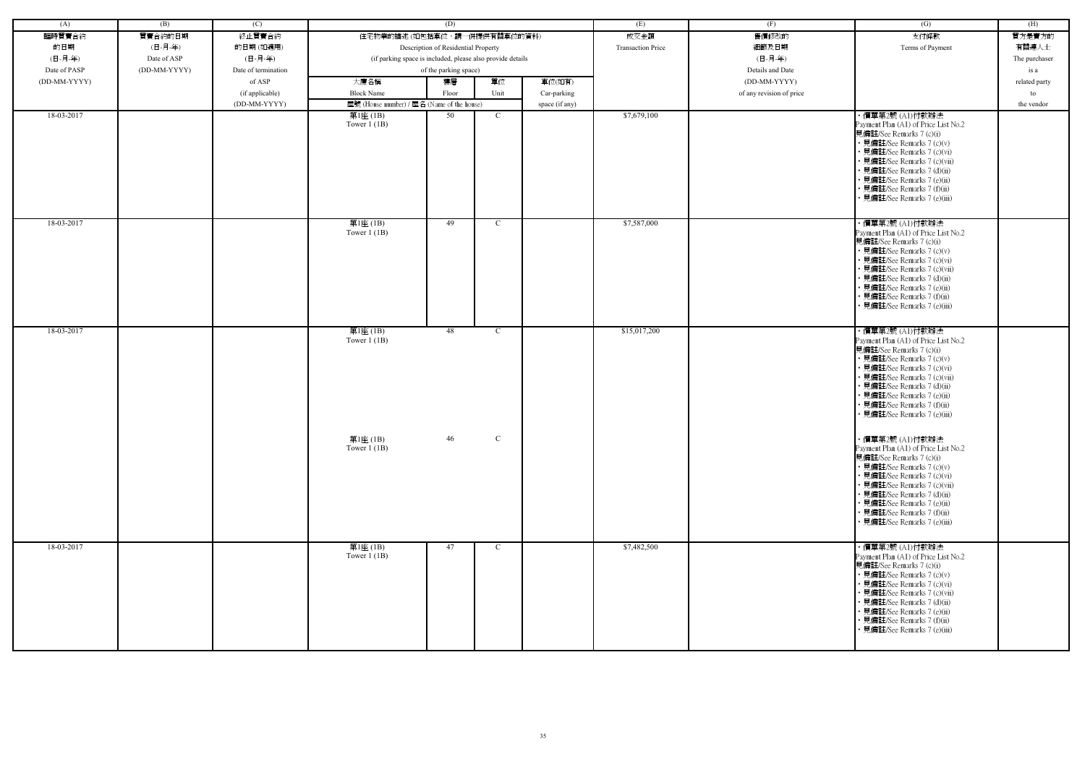| (A)          | (B)          | (C)                 |                                                            | (D)                   |                            |                | (E)                      | (F)                      | (G)                                                                                                                                                                                                                                                                                                                              | (H)           |
|--------------|--------------|---------------------|------------------------------------------------------------|-----------------------|----------------------------|----------------|--------------------------|--------------------------|----------------------------------------------------------------------------------------------------------------------------------------------------------------------------------------------------------------------------------------------------------------------------------------------------------------------------------|---------------|
| 臨時買賣合約       | 買賣合約的日期      | 終止買賣合約              | 住宅物業的描述 (如包括車位,請一併提供有關車位的資料)                               |                       |                            |                | 成交金額                     | 售價修改的                    | 支付條款                                                                                                                                                                                                                                                                                                                             | 買方是賣方的        |
| 的日期          | (日-月-年)      | 的日期(如適用)            | Description of Residential Property                        |                       |                            |                | <b>Transaction Price</b> | 細節及日期                    | Terms of Payment                                                                                                                                                                                                                                                                                                                 | 有關連人士         |
| (日-月-年)      | Date of ASP  | (日-月-年)             | (if parking space is included, please also provide details |                       |                            |                |                          | (日-月-年)                  |                                                                                                                                                                                                                                                                                                                                  | The purchaser |
| Date of PASP | (DD-MM-YYYY) | Date of termination |                                                            | of the parking space) |                            |                |                          | Details and Date         |                                                                                                                                                                                                                                                                                                                                  | is a          |
| (DD-MM-YYYY) |              | of ASP              | 大廈名稱                                                       | 樓層                    | 單位                         | 車位(如有)         |                          | (DD-MM-YYYY)             |                                                                                                                                                                                                                                                                                                                                  | related party |
|              |              | (if applicable)     | <b>Block Name</b>                                          | Floor                 | Unit                       | Car-parking    |                          | of any revision of price |                                                                                                                                                                                                                                                                                                                                  | to            |
|              |              | (DD-MM-YYYY)        | 屋號 (House number) / 屋名 (Name of the house)                 |                       |                            | space (if any) |                          |                          |                                                                                                                                                                                                                                                                                                                                  | the vendor    |
| 18-03-2017   |              |                     | 第1座 (1B)                                                   | 50                    | $\mathbf C$                |                | \$7,679,100              |                          | ・價單第2號 (A1)付款辦法                                                                                                                                                                                                                                                                                                                  |               |
|              |              |                     | Tower $1$ (1B)                                             |                       |                            |                |                          |                          | Payment Plan (A1) of Price List No.2<br>見備註/See Remarks 7 (c)(i)<br>• 見備註/See Remarks 7 (c)(v)<br>• 見備註/See Remarks 7 (c)(vi)<br>• 見備註/See Remarks 7 (c)(vii)<br>• 見備註/See Remarks 7 (d)(ii)<br>• 見備註/See Remarks 7 (e)(ii)<br>• 見備註/See Remarks 7 (f)(ii)<br>· 見備註/See Remarks 7 (e)(iii)                                       |               |
| 18-03-2017   |              |                     | 第1座(1B)<br>Tower $1(1B)$                                   | 49                    | $\mathbf C$                |                | \$7,587,000              |                          | ・價單第2號 (A1)付款辦法<br>Payment Plan (A1) of Price List No.2<br>見備註/See Remarks 7 (c)(i)<br>• 見備註/See Remarks 7 (c)(v)<br>• 見備註/See Remarks 7 (c)(vi)<br>• 見備註/See Remarks 7 (c)(vii)<br>• 見備註/See Remarks 7 (d)(ii)<br>• 見備註/See Remarks 7 (e)(ii)<br>· 見備註/See Remarks 7 (f)(ii)<br>• 見備註/See Remarks 7 (e)(iii)                    |               |
| 18-03-2017   |              |                     | 第1座(1B)<br>Tower $1$ (1B)<br>第1座 (1B)                      | 48<br>46              | $\mathcal{C}$<br>${\bf C}$ |                | \$15,017,200             |                          | ・價單第2號 (A1)付款辦法<br>Payment Plan (A1) of Price List No.2<br>見備註/See Remarks 7 (c)(i)<br>• 見備註/See Remarks 7 (c)(v)<br>• 見備註/See Remarks 7 (c)(vi)<br>• 見備註/See Remarks 7 (c)(vii)<br>• 見備註/See Remarks 7 (d)(ii)<br>· 見備註/See Remarks 7 (e)(ii)<br>• 見備註/See Remarks 7 (f)(ii)<br>• 見備註/See Remarks 7 (e)(iii)<br>・價單第2號 (A1)付款辦法 |               |
|              |              |                     | Tower $1$ (1B)                                             |                       |                            |                |                          |                          | Payment Plan (A1) of Price List No.2<br>見備註/See Remarks 7 (c)(i)<br>• 見備註/See Remarks 7 (c)(v)<br>• 見備註/See Remarks 7 (c)(vi)<br>• 見備註/See Remarks 7 (c)(vii)<br>• 見備註/See Remarks 7 (d)(ii)<br>• 見備註/See Remarks 7 (e)(ii)<br>• 見備註/See Remarks 7 (f)(ii)<br>• 見備註/See Remarks 7 (e)(iii)                                       |               |
| 18-03-2017   |              |                     | 第1座(1B)<br>Tower $1$ (1B)                                  | 47                    | $\mathbf C$                |                | \$7,482,500              |                          | ・價單第2號 (A1)付款辦法<br>Payment Plan (A1) of Price List No.2<br>見備註/See Remarks 7 (c)(i)<br>• 見備註/See Remarks 7 (c)(v)<br>• 見備註/See Remarks 7 (c)(vi)<br>• 見備註/See Remarks 7 (c)(vii)<br>• 見備註/See Remarks 7 (d)(ii)<br>• 見備註/See Remarks 7 (e)(ii)<br>• 見備註/See Remarks 7 (f)(ii)<br>見備註/See Remarks 7 (e)(iii)                      |               |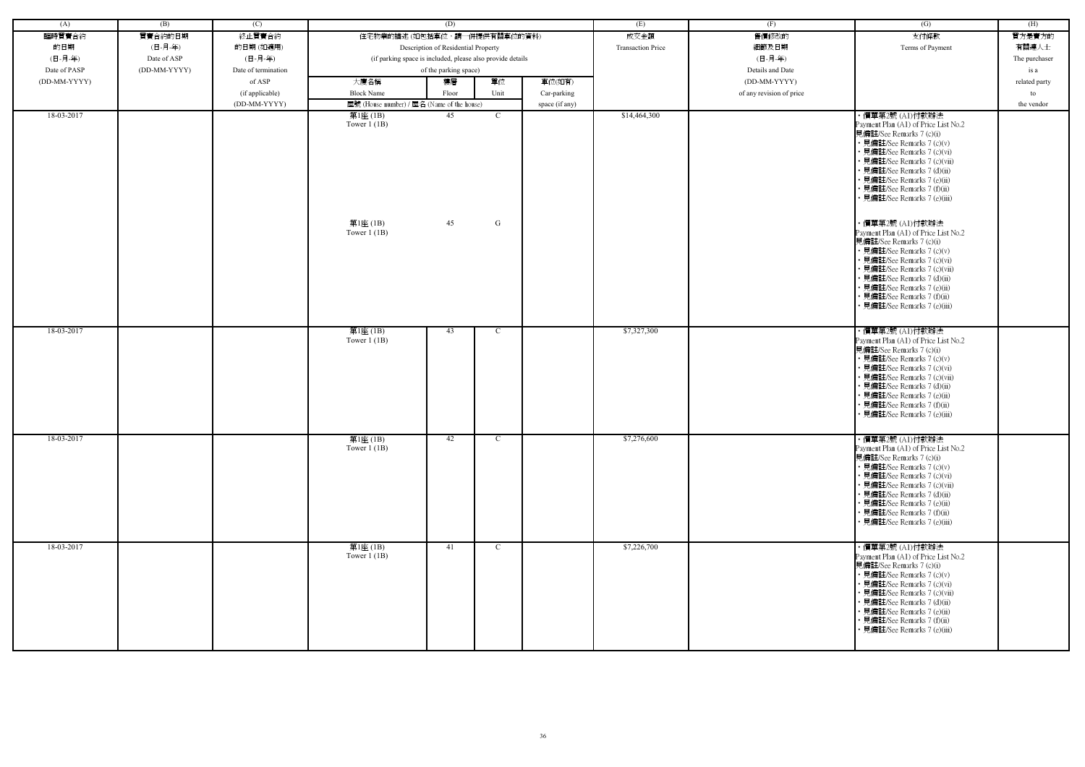| (A)          | (B)          | (C)                 |                                                            | (D)      |                    |                | (E)                      | (F)                      | $\overline{(G)}$                                                                                                                                                                                                                                                                                                                                                                                                                                                                                                                                                                                                             | (H)           |
|--------------|--------------|---------------------|------------------------------------------------------------|----------|--------------------|----------------|--------------------------|--------------------------|------------------------------------------------------------------------------------------------------------------------------------------------------------------------------------------------------------------------------------------------------------------------------------------------------------------------------------------------------------------------------------------------------------------------------------------------------------------------------------------------------------------------------------------------------------------------------------------------------------------------------|---------------|
| 臨時買賣合約       | 買賣合約的日期      | 終止買賣合約              | 住宅物業的描述 (如包括車位,請一併提供有關車位的資料)                               |          |                    |                | 成交金額                     | 售價修改的                    | 支付條款                                                                                                                                                                                                                                                                                                                                                                                                                                                                                                                                                                                                                         | 買方是賣方的        |
| 的日期          | (日-月-年)      | 的日期(如適用)            | Description of Residential Property                        |          |                    |                | <b>Transaction Price</b> | 細節及日期                    | Terms of Payment                                                                                                                                                                                                                                                                                                                                                                                                                                                                                                                                                                                                             | 有關連人士         |
| (日-月-年)      | Date of ASP  | (日-月-年)             | (if parking space is included, please also provide details |          |                    |                |                          | (日-月-年)                  |                                                                                                                                                                                                                                                                                                                                                                                                                                                                                                                                                                                                                              | The purchaser |
| Date of PASP | (DD-MM-YYYY) | Date of termination | of the parking space)                                      |          |                    |                |                          | Details and Date         |                                                                                                                                                                                                                                                                                                                                                                                                                                                                                                                                                                                                                              | is a          |
| (DD-MM-YYYY) |              | of ASP              | 大廈名稱                                                       | 樓層       | 單位                 | 車位(如有)         |                          | (DD-MM-YYYY)             |                                                                                                                                                                                                                                                                                                                                                                                                                                                                                                                                                                                                                              | related party |
|              |              | (if applicable)     | <b>Block Name</b>                                          | Floor    | Unit               | Car-parking    |                          | of any revision of price |                                                                                                                                                                                                                                                                                                                                                                                                                                                                                                                                                                                                                              | to            |
|              |              | (DD-MM-YYYY)        | 屋號 (House number) / 屋名 (Name of the house)                 |          |                    | space (if any) |                          |                          |                                                                                                                                                                                                                                                                                                                                                                                                                                                                                                                                                                                                                              | the vendor    |
| 18-03-2017   |              |                     | 第1座(1B)<br>Tower $1$ (1B)<br>第1座(1B)<br>Tower $1$ (1B)     | 45<br>45 | $\mathcal{C}$<br>G |                | \$14,464,300             |                          | ・價單第2號 (A1)付款辦法<br>Payment Plan (A1) of Price List No.2<br>見備註/See Remarks 7 (c)(i)<br>• 見備註/See Remarks 7 (c)(v)<br>• 見備註/See Remarks 7 (c)(vi)<br>• 見備註/See Remarks 7 (c)(vii)<br>• 見備註/See Remarks 7 (d)(ii)<br>• 見備註/See Remarks 7 (e)(ii)<br>• 見備註/See Remarks 7 (f)(ii)<br>• 見備註/See Remarks 7 (e)(iii)<br>・價單第2號 (A1)付款辦法<br>Payment Plan (A1) of Price List No.2<br>見備註/See Remarks 7 (c)(i)<br>• 見備註/See Remarks 7 (c)(v)<br>• 見備註/See Remarks 7 (c)(vi)<br>• 見備註/See Remarks 7 (c)(vii)<br>• 見備註/See Remarks 7 (d)(ii)<br>• 見備註/See Remarks 7 (e)(ii)<br>• 見備註/See Remarks 7 (f)(ii)<br>見備註/See Remarks 7 (e)(iii) |               |
| 18-03-2017   |              |                     | 第1座(1B)<br>Tower $1$ (1B)                                  | 43       | $\mathcal{C}$      |                | \$7,327,300              |                          | ・價單第2號 (A1)付款辦法<br>Payment Plan (A1) of Price List No.2<br>見備註/See Remarks 7 (c)(i)<br>• 見備註/See Remarks 7 (c)(v)<br>• 見備註/See Remarks 7 (c)(vi)<br>· 見備註/See Remarks 7 (c)(vii)<br>• 見備註/See Remarks 7 (d)(ii)<br>• 見備註/See Remarks 7 (e)(ii)<br>• 見備註/See Remarks 7 (f)(ii)<br>• 見備註/See Remarks 7 (e)(iii)                                                                                                                                                                                                                                                                                                                |               |
| 18-03-2017   |              |                     | 第1座(1B)<br>Tower $1$ (1B)                                  | 42       | $\mathcal{C}$      |                | \$7,276,600              |                          | ・價單第2號(A1)付款辦法<br>Payment Plan (A1) of Price List No.2<br>見備註/See Remarks 7 (c)(i)<br>• 見備註/See Remarks 7 (c)(v)<br>• 見備註/See Remarks 7 (c)(vi)<br>• 見備註/See Remarks 7 (c)(vii)<br>• 見備註/See Remarks 7 (d)(ii)<br>• 見備註/See Remarks 7 (e)(ii)<br>• 見備註/See Remarks 7 (f)(ii)<br>• 見備註/See Remarks 7 (e)(iii)                                                                                                                                                                                                                                                                                                                 |               |
| 18-03-2017   |              |                     | 第1座(1B)<br>Tower $1$ (1B)                                  | 41       | $\mathcal{C}$      |                | \$7,226,700              |                          | · 價單第2號 (A1)付款辦法<br>Payment Plan (A1) of Price List No.2<br>見備註/See Remarks 7 (c)(i)<br>• 見備註/See Remarks 7 (c)(v)<br>• 見備註/See Remarks 7 (c)(vi)<br>• 見備註/See Remarks 7 (c)(vii)<br>• 見備註/See Remarks 7 (d)(ii)<br>• 見備註/See Remarks 7 (e)(ii)<br>• 見備註/See Remarks 7 (f)(ii)<br>• 見備註/See Remarks 7 (e)(iii)                                                                                                                                                                                                                                                                                                               |               |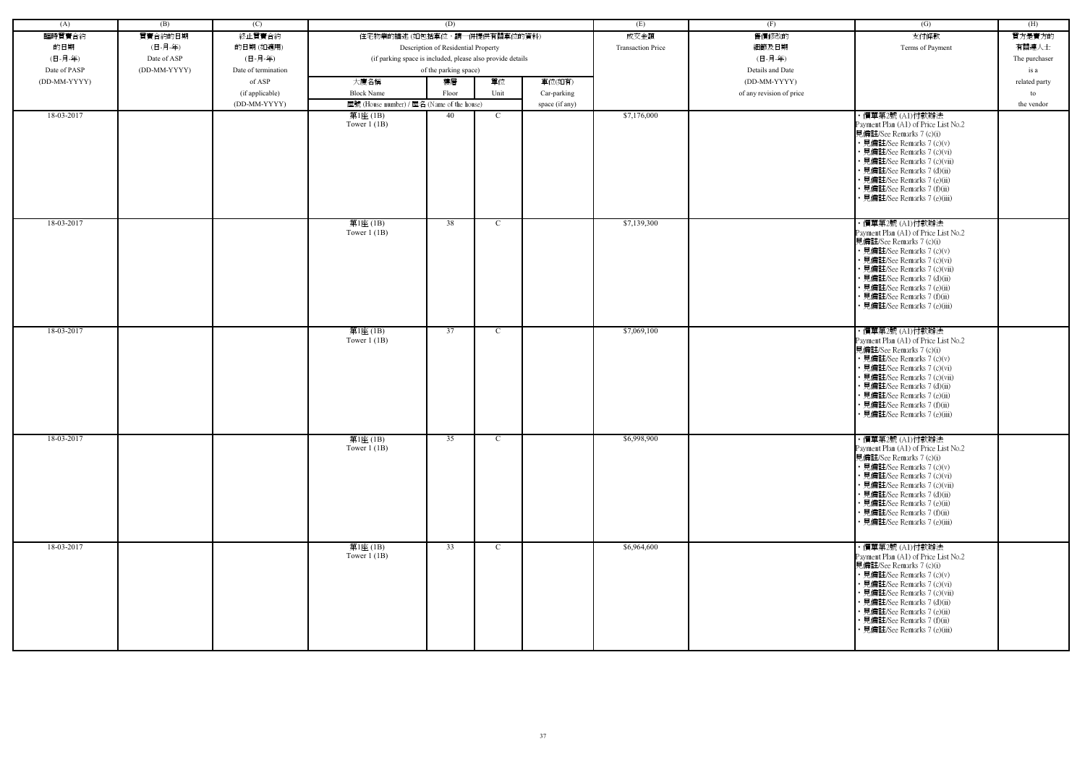| (A)          | (B)          | (C)                 |                                                            | (D)                                 |               |                | (E)                      | (F)                      | (G)                                                                                                                                                                                                                                                                                                            | (H)           |
|--------------|--------------|---------------------|------------------------------------------------------------|-------------------------------------|---------------|----------------|--------------------------|--------------------------|----------------------------------------------------------------------------------------------------------------------------------------------------------------------------------------------------------------------------------------------------------------------------------------------------------------|---------------|
| 臨時買賣合約       | 買賣合約的日期      | 終止買賣合約              | 住宅物業的描述 (如包括車位,請一併提供有關車位的資料)                               |                                     |               |                | 成交金額                     | 售價修改的                    | 支付條款                                                                                                                                                                                                                                                                                                           | 買方是賣方的        |
| 的日期          | (日-月-年)      | 的日期(如適用)            |                                                            | Description of Residential Property |               |                | <b>Transaction Price</b> | 細節及日期                    | Terms of Payment                                                                                                                                                                                                                                                                                               | 有關連人士         |
| (日-月-年)      | Date of ASP  | (日-月-年)             | (if parking space is included, please also provide details |                                     |               |                |                          | (日-月-年)                  |                                                                                                                                                                                                                                                                                                                | The purchaser |
| Date of PASP | (DD-MM-YYYY) | Date of termination |                                                            | of the parking space)               |               |                |                          | Details and Date         |                                                                                                                                                                                                                                                                                                                | is a          |
| (DD-MM-YYYY) |              | of ASP              | 大廈名稱                                                       | 樓層                                  | 單位            | 車位(如有)         |                          | (DD-MM-YYYY)             |                                                                                                                                                                                                                                                                                                                | related party |
|              |              | (if applicable)     | <b>Block Name</b>                                          | Floor                               | Unit          | Car-parking    |                          | of any revision of price |                                                                                                                                                                                                                                                                                                                | to            |
|              |              | (DD-MM-YYYY)        | 屋號 (House number) / 屋名 (Name of the house)                 |                                     |               | space (if any) |                          |                          |                                                                                                                                                                                                                                                                                                                | the vendor    |
| 18-03-2017   |              |                     | 第1座 (1B)<br>Tower $1$ (1B)                                 | 40                                  | C             |                | \$7,176,000              |                          | ・價單第2號 (A1)付款辦法<br>Payment Plan (A1) of Price List No.2<br>見備註/See Remarks 7 (c)(i)<br>• 見備註/See Remarks 7 (c)(v)<br>• 見備註/See Remarks 7 (c)(vi)<br>• 見備註/See Remarks 7 (c)(vii)<br>• 見備註/See Remarks 7 (d)(ii)<br>• 見備註/See Remarks 7 (e)(ii)<br>• 見備註/See Remarks 7 (f)(ii)<br>見備註/See Remarks 7 (e)(iii)    |               |
| 18-03-2017   |              |                     | 第1座(1B)<br>Tower $1$ (1B)                                  | 38                                  | $\mathcal{C}$ |                | \$7,139,300              |                          | · 價單第2號 (A1)付款辦法<br>Payment Plan (A1) of Price List No.2<br>見備註/See Remarks 7 (c)(i)<br>• 見備註/See Remarks 7 (c)(v)<br>• 見備註/See Remarks 7 (c)(vi)<br>• 見備註/See Remarks 7 (c)(vii)<br>• 見備註/See Remarks 7 (d)(ii)<br>· 見備註/See Remarks 7 (e)(ii)<br>• 見備註/See Remarks 7 (f)(ii)<br>• 見備註/See Remarks 7 (e)(iii) |               |
| 18-03-2017   |              |                     | 第1座(1B)<br>Tower $1$ (1B)                                  | 37                                  | C             |                | \$7,069,100              |                          | ・價單第2號 (A1)付款辦法<br>Payment Plan (A1) of Price List No.2<br>見備註/See Remarks 7 (c)(i)<br>• 見備註/See Remarks 7 (c)(v)<br>• 見備註/See Remarks 7 (c)(vi)<br>• 見備註/See Remarks 7 (c)(vii)<br>• 見備註/See Remarks 7 (d)(ii)<br>· 見備註/See Remarks 7 (e)(ii)<br>• 見備註/See Remarks 7 (f)(ii)<br>• 見備註/See Remarks 7 (e)(iii)  |               |
| 18-03-2017   |              |                     | 第1座(1B)<br>Tower $1$ (1B)                                  | 35                                  | $\mathbf{C}$  |                | \$6,998,900              |                          | ・價單第2號 (A1)付款辦法<br>Payment Plan (A1) of Price List No.2<br>見備註/See Remarks 7 (c)(i)<br>• 見備註/See Remarks 7 (c)(v)<br>• 見備註/See Remarks 7 (c)(vi)<br>• 見備註/See Remarks 7 (c)(vii)<br>• 見備註/See Remarks 7 (d)(ii)<br>• 見備註/See Remarks 7 (e)(ii)<br>• 見備註/See Remarks 7 (f)(ii)<br>• 見備註/See Remarks 7 (e)(iii)  |               |
| 18-03-2017   |              |                     | 第1座(1B)<br>Tower $1$ (1B)                                  | 33                                  | $\mathcal{C}$ |                | \$6,964,600              |                          | ・價單第2號 (A1)付款辦法<br>Payment Plan (A1) of Price List No.2<br>見備註/See Remarks 7 (c)(i)<br>• 見備註/See Remarks 7 (c)(v)<br>• 見備註/See Remarks 7 (c)(vi)<br>• 見備註/See Remarks 7 (c)(vii)<br>• 見備註/See Remarks 7 (d)(ii)<br>• 見備註/See Remarks 7 (e)(ii)<br>• 見備註/See Remarks 7 (f)(ii)<br>• 見備註/See Remarks 7 (e)(iii)  |               |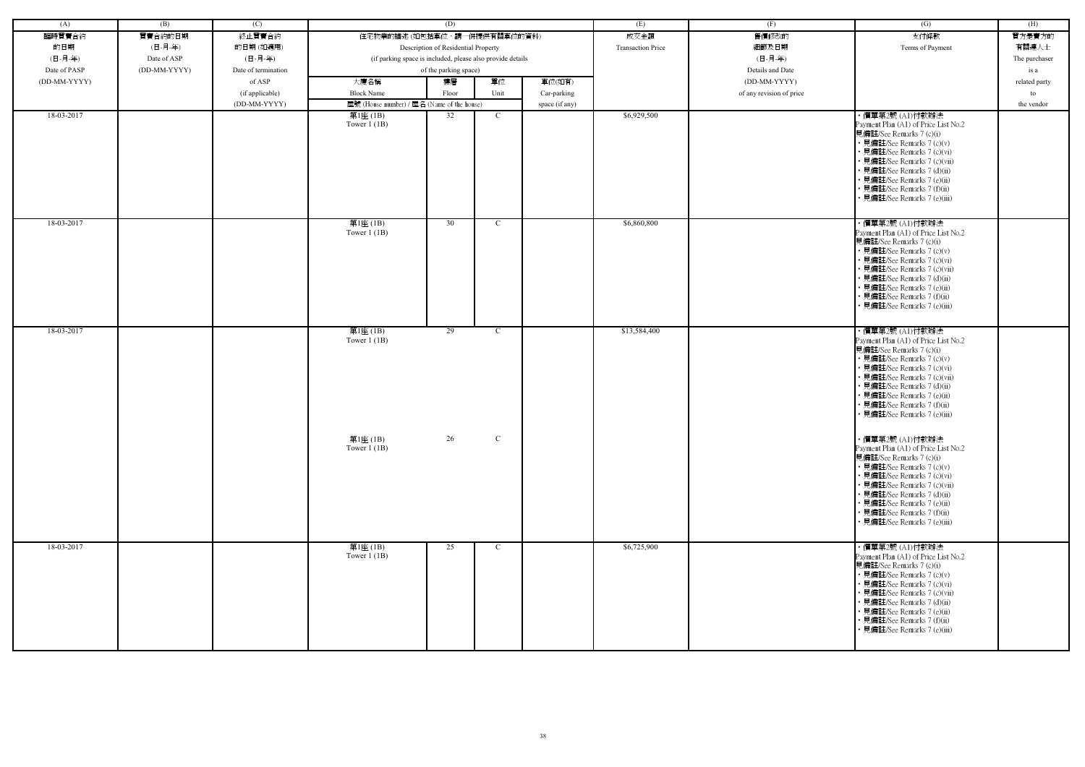| (A)          | (B)          | (C)                 |                                                            | (D)                                 |             |                | (E)                      | (F)                      | (G)                                                                                                                                                                                                                                                                                                            | (H)           |
|--------------|--------------|---------------------|------------------------------------------------------------|-------------------------------------|-------------|----------------|--------------------------|--------------------------|----------------------------------------------------------------------------------------------------------------------------------------------------------------------------------------------------------------------------------------------------------------------------------------------------------------|---------------|
| 臨時買賣合約       | 買賣合約的日期      | 終止買賣合約              | 住宅物業的描述 (如包括車位,請一併提供有關車位的資料)                               |                                     |             |                | 成交金額                     | 售價修改的                    | 支付條款                                                                                                                                                                                                                                                                                                           | 買方是賣方的        |
| 的日期          | (日-月-年)      | 的日期(如適用)            |                                                            | Description of Residential Property |             |                | <b>Transaction Price</b> | 細節及日期                    | Terms of Payment                                                                                                                                                                                                                                                                                               | 有關連人士         |
| (日-月-年)      | Date of ASP  | (日-月-年)             | (if parking space is included, please also provide details |                                     |             |                |                          | (日-月-年)                  |                                                                                                                                                                                                                                                                                                                | The purchaser |
| Date of PASP | (DD-MM-YYYY) | Date of termination |                                                            | of the parking space)               |             |                |                          | Details and Date         |                                                                                                                                                                                                                                                                                                                | is a          |
| (DD-MM-YYYY) |              | of ASP              | 大廈名稱                                                       | 樓層                                  | 單位          | 車位(如有)         |                          | (DD-MM-YYYY)             |                                                                                                                                                                                                                                                                                                                | related party |
|              |              |                     | <b>Block Name</b>                                          | Floor                               | Unit        |                |                          |                          |                                                                                                                                                                                                                                                                                                                |               |
|              |              | (if applicable)     |                                                            |                                     |             | Car-parking    |                          | of any revision of price |                                                                                                                                                                                                                                                                                                                | to            |
|              |              | (DD-MM-YYYY)        | 屋號 (House number) / 屋名 (Name of the house)                 |                                     |             | space (if any) |                          |                          |                                                                                                                                                                                                                                                                                                                | the vendor    |
| 18-03-2017   |              |                     | 第1座 (1B)<br>Tower $1$ (1B)                                 | 32                                  | C.          |                | \$6,929,500              |                          | ・價單第2號 (A1)付款辦法<br>Payment Plan (A1) of Price List No.2<br>見備註/See Remarks 7 (c)(i)<br>• 見備註/See Remarks 7 (c)(v)<br>• 見備註/See Remarks 7 (c)(vi)<br>• 見備註/See Remarks 7 (c)(vii)<br>• 見備註/See Remarks 7 (d)(ii)<br>• 見備註/See Remarks 7 (e)(ii)<br>• 見備註/See Remarks 7 (f)(ii)<br>· 見備註/See Remarks 7 (e)(iii)  |               |
| 18-03-2017   |              |                     | 第1座(1B)<br>Tower $1(1B)$                                   | 30                                  | C.          |                | \$6,860,800              |                          | ・價單第2號 (A1)付款辦法<br>Payment Plan (A1) of Price List No.2<br>見備註/See Remarks 7 (c)(i)<br>• 見備註/See Remarks 7 (c)(v)<br>• 見備註/See Remarks 7 (c)(vi)<br>• 見備註/See Remarks 7 (c)(vii)<br>• 見備註/See Remarks 7 (d)(ii)<br>• 見備註/See Remarks 7 (e)(ii)<br>• 見備註/See Remarks 7 (f)(ii)<br>• 見備註/See Remarks 7 (e)(iii)  |               |
| 18-03-2017   |              |                     | 第1座(1B)<br>Tower $1$ (1B)                                  | 29                                  | $\mathbf C$ |                | \$13,584,400             |                          | ・價單第2號 (A1)付款辦法<br>Payment Plan (A1) of Price List No.2<br>見備註/See Remarks 7 (c)(i)<br>• 見備註/See Remarks 7 (c)(v)<br>• 見備註/See Remarks 7 (c)(vi)<br>• 見備註/See Remarks 7 (c)(vii)<br>• 見備註/See Remarks 7 (d)(ii)<br>• 見備註/See Remarks 7 (e)(ii)<br>• 見備註/See Remarks 7 (f)(ii)<br>• 見備註/See Remarks 7 (e)(iii)  |               |
|              |              |                     | 第1座 (1B)<br>Tower $1$ (1B)                                 | 26                                  | $\mathbf C$ |                |                          |                          | · 價單第2號 (A1)付款辦法<br>Payment Plan (A1) of Price List No.2<br>見備註/See Remarks 7 (c)(i)<br>• 見備註/See Remarks 7 (c)(v)<br>• 見備註/See Remarks 7 (c)(vi)<br>• 見備註/See Remarks 7 (c)(vii)<br>• 見備註/See Remarks 7 (d)(ii)<br>• 見備註/See Remarks 7 (e)(ii)<br>• 見備註/See Remarks 7 (f)(ii)<br>• 見備註/See Remarks 7 (e)(iii) |               |
| 18-03-2017   |              |                     | 第1座(1B)<br>Tower $1$ (1B)                                  | 25                                  | C.          |                | \$6,725,900              |                          | ・價單第2號 (A1)付款辦法<br>Payment Plan (A1) of Price List No.2<br>見備註/See Remarks 7 (c)(i)<br>• 見備註/See Remarks 7 (c)(v)<br>• 見備註/See Remarks 7 (c)(vi)<br>• 見備註/See Remarks 7 (c)(vii)<br>• 見備註/See Remarks 7 (d)(ii)<br>• 見備註/See Remarks 7 (e)(ii)<br>• 見備註/See Remarks 7 (f)(ii)<br>見備註/See Remarks 7 (e)(iii)    |               |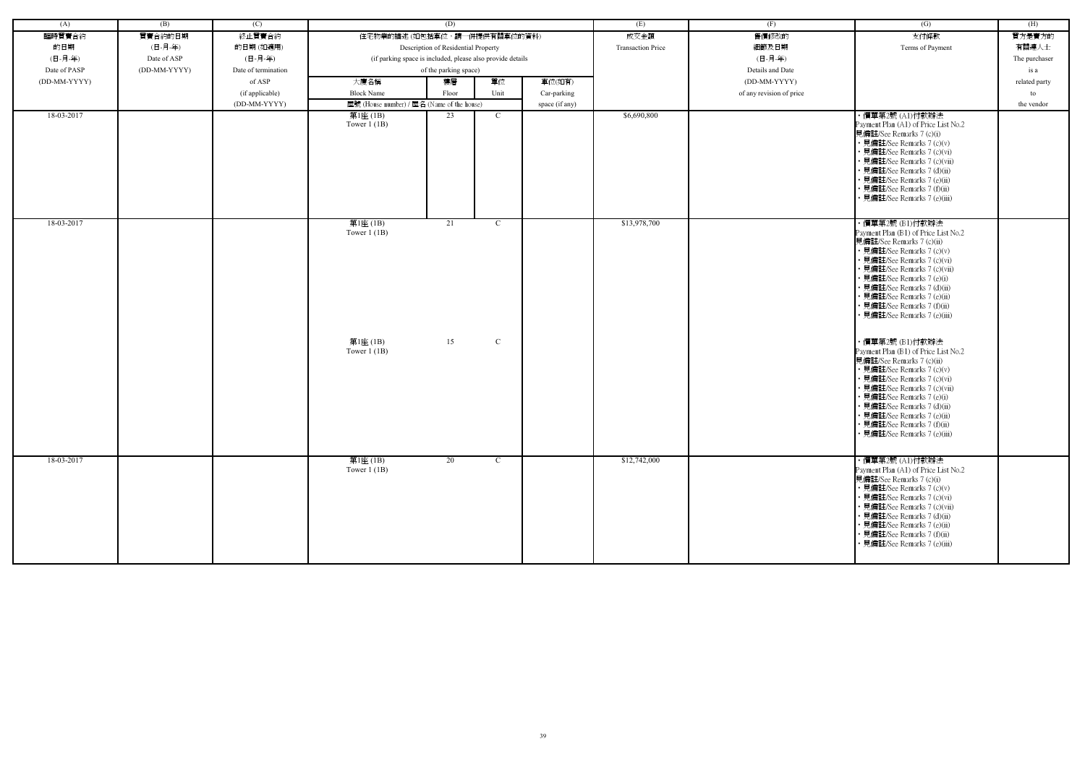| (A)          | (B)          | (C)                 |                                                            | (D)                                 |              |                | (E)                      | (F)                      | (G)                                                                                                                                                                                                                                                                                                                                        | (H)           |
|--------------|--------------|---------------------|------------------------------------------------------------|-------------------------------------|--------------|----------------|--------------------------|--------------------------|--------------------------------------------------------------------------------------------------------------------------------------------------------------------------------------------------------------------------------------------------------------------------------------------------------------------------------------------|---------------|
| 臨時買賣合約       | 買賣合約的日期      | 終止買賣合約              | 住宅物業的描述 (如包括車位,請一併提供有關車位的資料)                               |                                     |              |                | 成交金額                     | 售價修改的                    | 支付條款                                                                                                                                                                                                                                                                                                                                       | 買方是賣方的        |
| 的日期          | (日-月-年)      | 的日期(如適用)            |                                                            | Description of Residential Property |              |                | <b>Transaction Price</b> | 細節及日期                    | Terms of Payment                                                                                                                                                                                                                                                                                                                           | 有關連人士         |
| (日-月-年)      | Date of ASP  | (日-月-年)             | (if parking space is included, please also provide details |                                     |              |                |                          | (日-月-年)                  |                                                                                                                                                                                                                                                                                                                                            | The purchaser |
| Date of PASP | (DD-MM-YYYY) | Date of termination |                                                            | of the parking space)               |              |                |                          | Details and Date         |                                                                                                                                                                                                                                                                                                                                            | is a          |
| (DD-MM-YYYY) |              | of ASP              | 大廈名稱                                                       | 樓層                                  | 單位           | 車位(如有)         |                          | (DD-MM-YYYY)             |                                                                                                                                                                                                                                                                                                                                            | related party |
|              |              | (if applicable)     | <b>Block Name</b>                                          | Floor                               | Unit         | Car-parking    |                          | of any revision of price |                                                                                                                                                                                                                                                                                                                                            | to            |
|              |              | (DD-MM-YYYY)        | 屋號 (House number) / 屋名 (Name of the house)                 |                                     |              | space (if any) |                          |                          |                                                                                                                                                                                                                                                                                                                                            | the vendor    |
| 18-03-2017   |              |                     | 第1座 (1B)                                                   | 23                                  | $\mathbf{C}$ |                | \$6,690,800              |                          | ・價單第2號 (Al)付款辦法                                                                                                                                                                                                                                                                                                                            |               |
|              |              |                     | Tower $1$ (1B)                                             |                                     |              |                |                          |                          | Payment Plan (A1) of Price List No.2<br>見備註/See Remarks 7 (c)(i)<br>• 見備註/See Remarks 7 (c)(v)<br>• 見備註/See Remarks 7 (c)(vi)<br>見備註/See Remarks 7 (c)(vii)<br>· 見備註/See Remarks 7 (d)(ii)<br>• 見備註/See Remarks 7 (e)(ii)<br>見備註/See Remarks 7 (f)(ii)<br>· 見備註/See Remarks 7 (e)(iii)                                                     |               |
| 18-03-2017   |              |                     | 第1座(1B)<br>Tower $1(1B)$                                   | 21                                  | $\mathbf{C}$ |                | \$13,978,700             |                          | ・價單第2號 (B1)付款辦法<br>Payment Plan (B1) of Price List No.2<br>見備註/See Remarks 7 (c)(ii)<br>• 見備註/See Remarks 7 (c)(v)<br>見備註/See Remarks 7 (c)(vi)<br>· 見備註/See Remarks 7 (c)(vii)<br>• 見備註/See Remarks 7 (e)(i)<br>見備註/See Remarks 7 (d)(ii)<br>· 見備註/See Remarks 7 (e)(ii)<br>• 見備註/See Remarks 7 (f)(ii)<br>見備註/See Remarks 7 (e)(iii)     |               |
|              |              |                     | 第1座(1B)<br>Tower $1$ (1B)                                  | 15                                  | ${\bf C}$    |                |                          |                          | ・價單第2號 (B1)付款辦法<br>Payment Plan (B1) of Price List No.2<br>見備註/See Remarks 7 (c)(ii)<br>• 見備註/See Remarks 7 (c)(v)<br>· 見備註/See Remarks 7 (c)(vi)<br>• 見備註/See Remarks 7 (c)(vii)<br>• 見備註/See Remarks 7 (e)(i)<br>見備註/See Remarks 7 (d)(ii)<br>• 見備註/See Remarks 7 (e)(ii)<br>• 見備註/See Remarks 7 (f)(ii)<br>• 見備註/See Remarks 7 (e)(iii) |               |
| 18-03-2017   |              |                     | 第1座 (1B)<br>Tower $1$ (1B)                                 | 20                                  | $\mathbf{C}$ |                | \$12,742,000             |                          | ・價單第2號 (A1)付款辦法<br>Payment Plan (A1) of Price List No.2<br>見備註/See Remarks 7 (c)(i)<br>• 見備註/See Remarks 7 (c)(v)<br>• 見備註/See Remarks 7 (c)(vi)<br>• 見備註/See Remarks 7 (c)(vii)<br>• 見備註/See Remarks 7 (d)(ii)<br>• 見備註/See Remarks 7 (e)(ii)<br>• 見備註/See Remarks 7 (f)(ii)<br>• 見備註/See Remarks 7 (e)(iii)                              |               |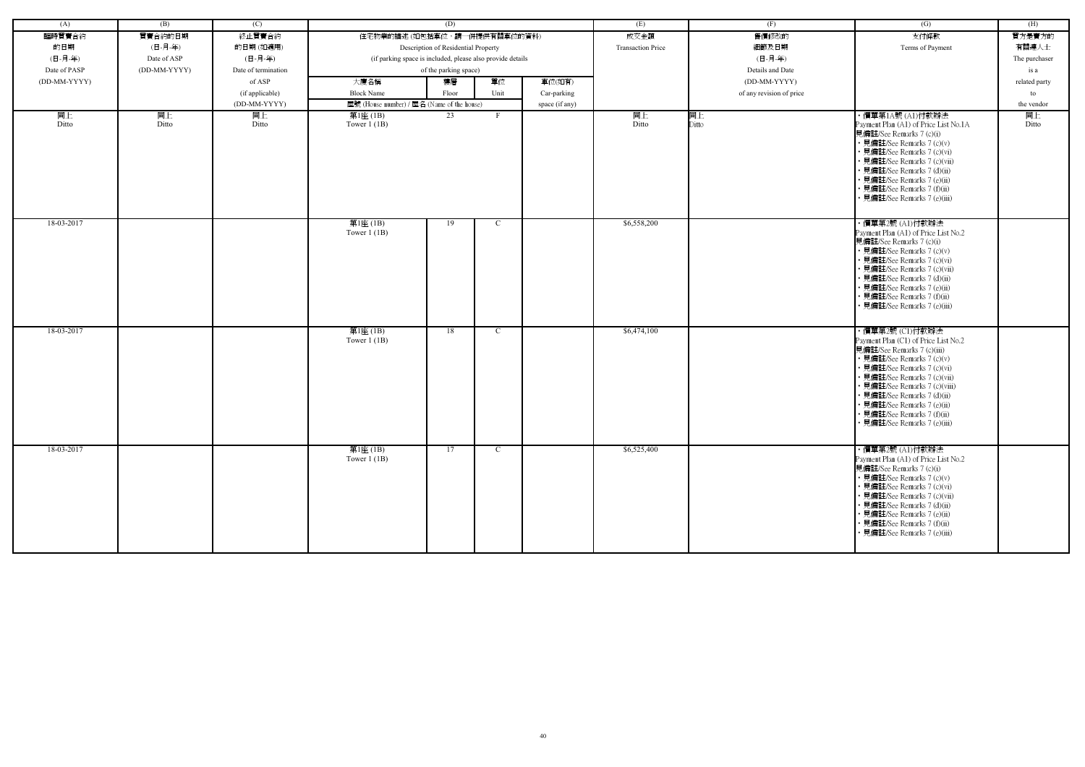| (A)          | (B)          | (C)                 |                                                            | (D)                                 |              |                | (E)                      | (F)                      | (G)                                                         | (H)           |
|--------------|--------------|---------------------|------------------------------------------------------------|-------------------------------------|--------------|----------------|--------------------------|--------------------------|-------------------------------------------------------------|---------------|
| 臨時買賣合約       | 買賣合約的日期      | 終止買賣合約              | 住宅物業的描述 (如包括車位,請一併提供有關車位的資料)                               |                                     |              |                | 成交金額                     | 售價修改的                    | 支付條款                                                        | 買方是賣方的        |
| 的日期          | (日-月-年)      | 的日期(如適用)            |                                                            | Description of Residential Property |              |                | <b>Transaction Price</b> | 細節及日期                    | Terms of Payment                                            | 有關連人士         |
| (日-月-年)      | Date of ASP  | (日-月-年)             | (if parking space is included, please also provide details |                                     |              |                |                          | (日-月-年)                  |                                                             | The purchaser |
| Date of PASP | (DD-MM-YYYY) | Date of termination |                                                            | of the parking space)               |              |                |                          | Details and Date         |                                                             | is a          |
| (DD-MM-YYYY) |              | of ASP              | 大廈名稱                                                       | 樓層                                  | 單位           | 車位(如有)         |                          | (DD-MM-YYYY)             |                                                             | related party |
|              |              | (if applicable)     | <b>Block Name</b>                                          | Floor                               | Unit         | Car-parking    |                          | of any revision of price |                                                             | to            |
|              |              | (DD-MM-YYYY)        | 屋號 (House number) / 屋名 (Name of the house)                 |                                     |              | space (if any) |                          |                          |                                                             | the vendor    |
| 同上           | 同上           | 同上                  | 第1座 (1B)                                                   | 23                                  | F            |                | 同上                       | 同上                       | ・價單第1A號 (A1)付款辦法                                            | 同上            |
| Ditto        | Ditto        | Ditto               | Tower $1$ (1B)                                             |                                     |              |                | Ditto                    | Ditto                    | Payment Plan (A1) of Price List No.1A                       | Ditto         |
|              |              |                     |                                                            |                                     |              |                |                          |                          | 見備註/See Remarks 7 (c)(i)<br>• 見備註/See Remarks 7 (c)(v)      |               |
|              |              |                     |                                                            |                                     |              |                |                          |                          | · 見備註/See Remarks 7 (c)(vi)                                 |               |
|              |              |                     |                                                            |                                     |              |                |                          |                          | · 見備註/See Remarks 7 (c)(vii)                                |               |
|              |              |                     |                                                            |                                     |              |                |                          |                          | • 見備註/See Remarks 7 (d)(ii)                                 |               |
|              |              |                     |                                                            |                                     |              |                |                          |                          | · 見備註/See Remarks 7 (e)(ii)<br>• 見備註/See Remarks 7 (f)(ii)  |               |
|              |              |                     |                                                            |                                     |              |                |                          |                          | · 見備註/See Remarks 7 (e)(iii)                                |               |
|              |              |                     |                                                            |                                     |              |                |                          |                          |                                                             |               |
| 18-03-2017   |              |                     | 第1座(1B)                                                    | 19                                  | $\mathbf C$  |                | \$6,558,200              |                          | ・價單第2號 (A1)付款辦法                                             |               |
|              |              |                     | Tower $1$ (1B)                                             |                                     |              |                |                          |                          | Payment Plan (A1) of Price List No.2                        |               |
|              |              |                     |                                                            |                                     |              |                |                          |                          | 見備註/See Remarks 7 (c)(i)<br>• 見備註/See Remarks 7 (c)(v)      |               |
|              |              |                     |                                                            |                                     |              |                |                          |                          | • 見備註/See Remarks 7 (c)(vi)                                 |               |
|              |              |                     |                                                            |                                     |              |                |                          |                          | • 見備註/See Remarks 7 (c)(vii)                                |               |
|              |              |                     |                                                            |                                     |              |                |                          |                          | • 見備註/See Remarks 7 (d)(ii)                                 |               |
|              |              |                     |                                                            |                                     |              |                |                          |                          | · 見備註/See Remarks 7 (e)(ii)<br>· 見備註/See Remarks 7 (f)(ii)  |               |
|              |              |                     |                                                            |                                     |              |                |                          |                          | · 見備註/See Remarks 7 (e)(iii)                                |               |
|              |              |                     |                                                            |                                     |              |                |                          |                          |                                                             |               |
| 18-03-2017   |              |                     | 第1座(1B)                                                    | 18                                  | $\mathbf{C}$ |                | \$6,474,100              |                          | ・價單第2號 (C1)付款辦法                                             |               |
|              |              |                     | Tower $1$ (1B)                                             |                                     |              |                |                          |                          | Payment Plan (C1) of Price List No.2                        |               |
|              |              |                     |                                                            |                                     |              |                |                          |                          | 見備註/See Remarks 7 (c)(iii)                                  |               |
|              |              |                     |                                                            |                                     |              |                |                          |                          | • 見備註/See Remarks 7 (c)(v)<br>• 見備註/See Remarks 7 (c)(vi)   |               |
|              |              |                     |                                                            |                                     |              |                |                          |                          | • 見備註/See Remarks 7 (c)(vii)                                |               |
|              |              |                     |                                                            |                                     |              |                |                          |                          | · 見備註/See Remarks 7 (c)(viii)                               |               |
|              |              |                     |                                                            |                                     |              |                |                          |                          | · 見備註/See Remarks 7 (d)(ii)                                 |               |
|              |              |                     |                                                            |                                     |              |                |                          |                          | · 見備註/See Remarks 7 (e)(ii)<br>• 見備註/See Remarks 7 (f)(ii)  |               |
|              |              |                     |                                                            |                                     |              |                |                          |                          | • 見備註/See Remarks 7 (e)(iii)                                |               |
|              |              |                     |                                                            |                                     |              |                |                          |                          |                                                             |               |
| 18-03-2017   |              |                     | 第1座(1B)                                                    | 17                                  | $\mathbf{C}$ |                | \$6,525,400              |                          | ・價單第2號 (A1)付款辦法                                             |               |
|              |              |                     | Tower $1$ (1B)                                             |                                     |              |                |                          |                          | Payment Plan (A1) of Price List No.2                        |               |
|              |              |                     |                                                            |                                     |              |                |                          |                          | 見備註/See Remarks 7 (c)(i)                                    |               |
|              |              |                     |                                                            |                                     |              |                |                          |                          | • 見備註/See Remarks 7 (c)(v)                                  |               |
|              |              |                     |                                                            |                                     |              |                |                          |                          | • 見備註/See Remarks 7 (c)(vi)<br>• 見備註/See Remarks 7 (c)(vii) |               |
|              |              |                     |                                                            |                                     |              |                |                          |                          | • 見備註/See Remarks 7 (d)(ii)                                 |               |
|              |              |                     |                                                            |                                     |              |                |                          |                          | • 見備註/See Remarks 7 (e)(ii)                                 |               |
|              |              |                     |                                                            |                                     |              |                |                          |                          | • 見備註/See Remarks 7 (f)(ii)                                 |               |
|              |              |                     |                                                            |                                     |              |                |                          |                          | · 見備註/See Remarks 7 (e)(iii)                                |               |
|              |              |                     |                                                            |                                     |              |                |                          |                          |                                                             |               |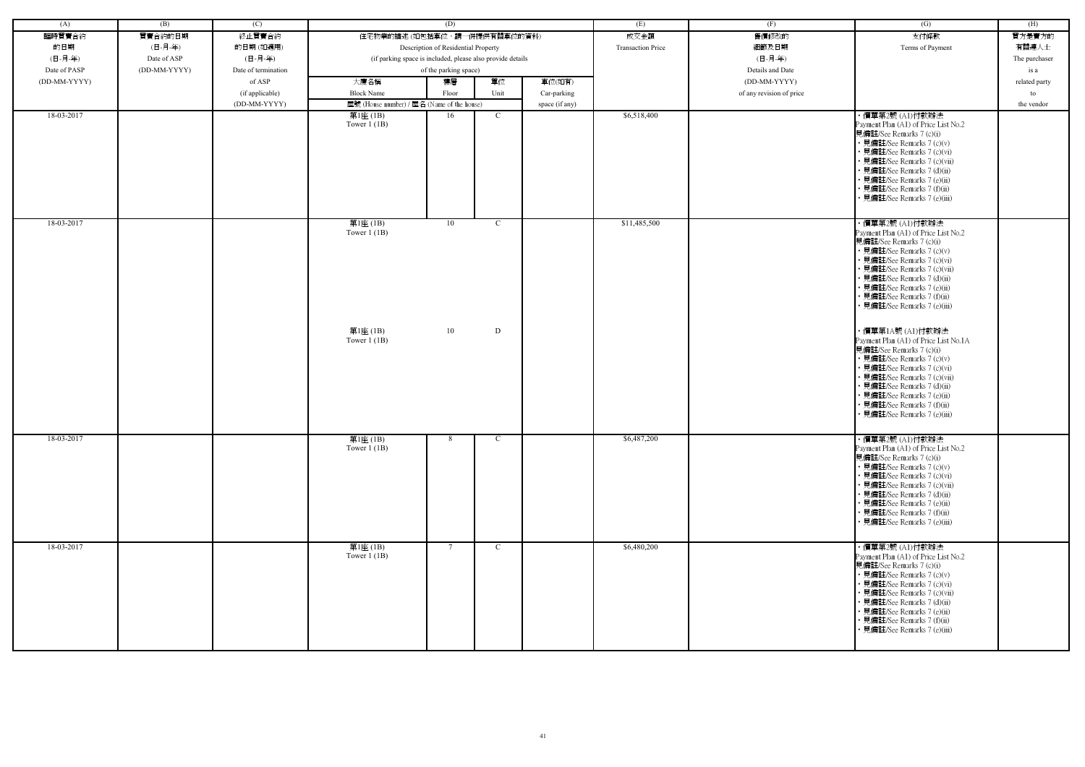| (A)          | (B)          | (C)                 |                                            | (D)                                                        |                | (E)                      | (F)                      | (G)                                                                                                                                                                                                                                                                                                             | (H)           |
|--------------|--------------|---------------------|--------------------------------------------|------------------------------------------------------------|----------------|--------------------------|--------------------------|-----------------------------------------------------------------------------------------------------------------------------------------------------------------------------------------------------------------------------------------------------------------------------------------------------------------|---------------|
| 臨時買賣合約       | 買賣合約的日期      | 終止買賣合約              |                                            | 住宅物業的描述 (如包括車位,請一併提供有關車位的資料)                               |                | 成交金額                     | 售價修改的                    | 支付條款                                                                                                                                                                                                                                                                                                            | 買方是賣方的        |
| 的日期          | (日-月-年)      | 的日期(如適用)            |                                            | Description of Residential Property                        |                | <b>Transaction Price</b> | 細節及日期                    | Terms of Payment                                                                                                                                                                                                                                                                                                | 有關連人士         |
| (日-月-年)      | Date of ASP  | (日-月-年)             |                                            | (if parking space is included, please also provide details |                |                          | (日-月-年)                  |                                                                                                                                                                                                                                                                                                                 | The purchaser |
| Date of PASP | (DD-MM-YYYY) | Date of termination |                                            | of the parking space)                                      |                |                          | Details and Date         |                                                                                                                                                                                                                                                                                                                 | is a          |
| (DD-MM-YYYY) |              | of ASP              | 大廈名稱                                       | 單位<br>樓層                                                   | 車位(如有)         |                          | (DD-MM-YYYY)             |                                                                                                                                                                                                                                                                                                                 | related party |
|              |              | (if applicable)     | <b>Block Name</b>                          | Unit<br>Floor                                              | Car-parking    |                          | of any revision of price |                                                                                                                                                                                                                                                                                                                 | to            |
|              |              | (DD-MM-YYYY)        | 屋號 (House number) / 屋名 (Name of the house) |                                                            | space (if any) |                          |                          |                                                                                                                                                                                                                                                                                                                 | the vendor    |
| 18-03-2017   |              |                     | 第1座 (1B)                                   | 16<br>$\mathbf C$                                          |                | \$6,518,400              |                          | ・價單第2號 (A1)付款辦法                                                                                                                                                                                                                                                                                                 |               |
|              |              |                     | Tower $1$ (1B)                             |                                                            |                |                          |                          | Payment Plan (A1) of Price List No.2<br>見備註/See Remarks 7 (c)(i)<br>• 見備註/See Remarks 7 (c)(v)<br>• 見備註/See Remarks 7 (c)(vi)<br>• 見備註/See Remarks 7 (c)(vii)<br>· 見備註/See Remarks 7 (d)(ii)<br>• 見備註/See Remarks 7 (e)(ii)<br>• 見備註/See Remarks 7 (f)(ii)<br>• 見備註/See Remarks 7 (e)(iii)                      |               |
| 18-03-2017   |              |                     | 第1座(1B)<br>Tower $1(1B)$                   | 10<br>$\mathcal{C}$                                        |                | \$11,485,500             |                          | ・價單第2號 (A1)付款辦法<br>Payment Plan (A1) of Price List No.2<br>見備註/See Remarks 7 (c)(i)<br>• 見備註/See Remarks 7 (c)(v)<br>• 見備註/See Remarks 7 (c)(vi)<br>· 見備註/See Remarks 7 (c)(vii)<br>• 見備註/See Remarks 7 (d)(ii)<br>• 見備註/See Remarks 7 (e)(ii)<br>• 見備註/See Remarks 7 (f)(ii)<br>• 見備註/See Remarks 7 (e)(iii)   |               |
|              |              |                     | 第1座(1B)<br>Tower $1$ (1B)                  | 10<br>D                                                    |                |                          |                          | ・價單第1A號 (A1)付款辦法<br>Payment Plan (A1) of Price List No.1A<br>見備註/See Remarks 7 (c)(i)<br>• 見備註/See Remarks 7 (c)(v)<br>• 見備註/See Remarks 7 (c)(vi)<br>• 見備註/See Remarks 7 (c)(vii)<br>• 見備註/See Remarks 7 (d)(ii)<br>• 見備註/See Remarks 7 (e)(ii)<br>• 見備註/See Remarks 7 (f)(ii)<br>• 見備註/See Remarks 7 (e)(iii) |               |
| 18-03-2017   |              |                     | 第1座(1B)<br>Tower $1$ (1B)                  | 8<br>$\mathcal{C}$                                         |                | \$6,487,200              |                          | ・價單第2號 (A1)付款辦法<br>Payment Plan (A1) of Price List No.2<br>見備註/See Remarks 7 (c)(i)<br>• 見備註/See Remarks 7 (c)(v)<br>• 見備註/See Remarks 7 (c)(vi)<br>• 見備註/See Remarks 7 (c)(vii)<br>• 見備註/See Remarks 7 (d)(ii)<br>• 見備註/See Remarks 7 (e)(ii)<br>• 見備註/See Remarks 7 (f)(ii)<br>• 見備註/See Remarks 7 (e)(iii)   |               |
| 18-03-2017   |              |                     | 第1座(1B)<br>Tower $1$ (1B)                  | $7\phantom{.0}$<br>$\mathcal{C}$                           |                | \$6,480,200              |                          | ・價單第2號 (A1)付款辦法<br>Payment Plan (A1) of Price List No.2<br>見備註/See Remarks 7 (c)(i)<br>• 見備註/See Remarks 7 (c)(v)<br>• 見備註/See Remarks 7 (c)(vi)<br>• 見備註/See Remarks 7 (c)(vii)<br>• 見備註/See Remarks 7 (d)(ii)<br>• 見備註/See Remarks 7 (e)(ii)<br>• 見備註/See Remarks 7 (f)(ii)<br>· 見備註/See Remarks 7 (e)(iii)   |               |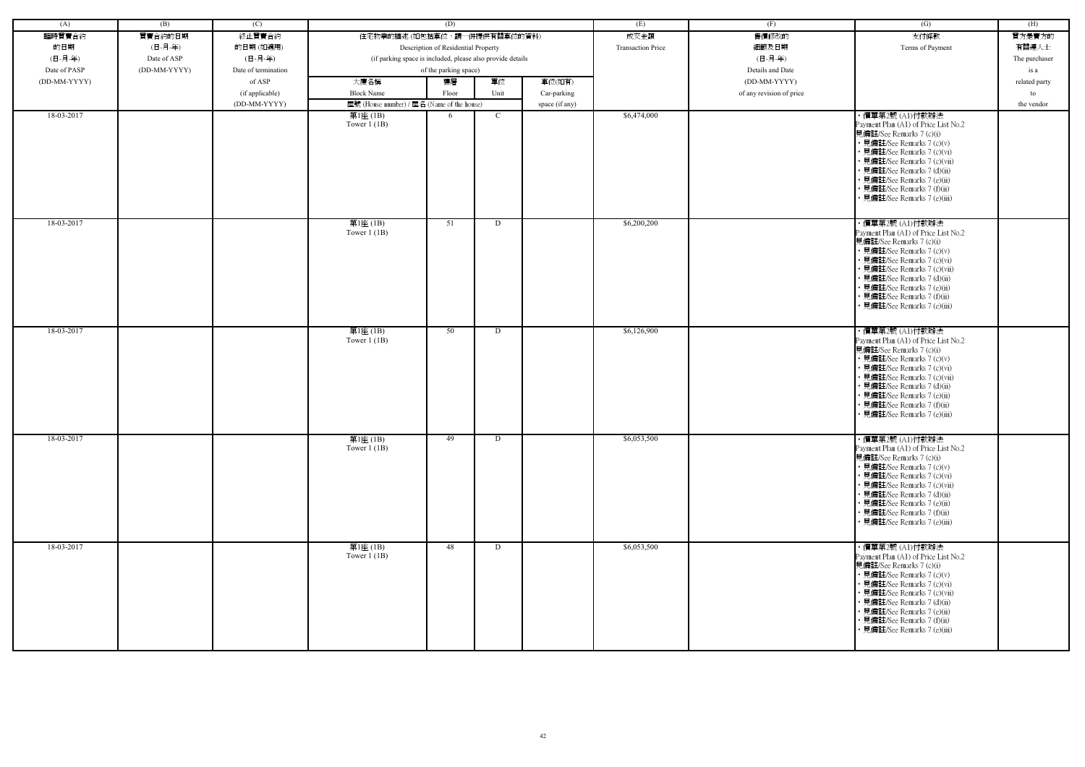| (A)          | (B)          | (C)                 |                                                            | (D)                                 |      |                | (E)                      | (F)                      | (G)                                                                                                                                                                                                                                                                                                            | (H)           |
|--------------|--------------|---------------------|------------------------------------------------------------|-------------------------------------|------|----------------|--------------------------|--------------------------|----------------------------------------------------------------------------------------------------------------------------------------------------------------------------------------------------------------------------------------------------------------------------------------------------------------|---------------|
| 臨時買賣合約       | 買賣合約的日期      | 終止買賣合約              | 住宅物業的描述 (如包括車位,請一併提供有關車位的資料)                               |                                     |      |                | 成交金額                     | 售價修改的                    | 支付條款                                                                                                                                                                                                                                                                                                           | 買方是賣方的        |
| 的日期          | (日-月-年)      | 的日期(如適用)            |                                                            | Description of Residential Property |      |                | <b>Transaction Price</b> | 細節及日期                    | Terms of Payment                                                                                                                                                                                                                                                                                               | 有關連人士         |
| (日-月-年)      | Date of ASP  | (日-月-年)             | (if parking space is included, please also provide details |                                     |      |                |                          | (日-月-年)                  |                                                                                                                                                                                                                                                                                                                | The purchaser |
| Date of PASP | (DD-MM-YYYY) | Date of termination |                                                            | of the parking space)               |      |                |                          | Details and Date         |                                                                                                                                                                                                                                                                                                                |               |
|              |              |                     |                                                            |                                     |      |                |                          |                          |                                                                                                                                                                                                                                                                                                                | is a          |
| (DD-MM-YYYY) |              | of ASP              | 大廈名稱                                                       | 樓層                                  | 單位   | 車位(如有)         |                          | (DD-MM-YYYY)             |                                                                                                                                                                                                                                                                                                                | related party |
|              |              | (if applicable)     | <b>Block Name</b>                                          | Floor                               | Unit | Car-parking    |                          | of any revision of price |                                                                                                                                                                                                                                                                                                                | to            |
|              |              | (DD-MM-YYYY)        | 屋號 (House number) / 屋名 (Name of the house)                 |                                     |      | space (if any) |                          |                          |                                                                                                                                                                                                                                                                                                                | the vendor    |
| 18-03-2017   |              |                     | 第1座 (1B)<br>Tower $1$ (1B)                                 | 6                                   | C    |                | \$6,474,000              |                          | ・價單第2號 (A1)付款辦法<br>Payment Plan (A1) of Price List No.2<br>見備註/See Remarks 7 (c)(i)<br>• 見備註/See Remarks 7 (c)(v)<br>• 見備註/See Remarks 7 (c)(vi)<br>• 見備註/See Remarks 7 (c)(vii)<br>• 見備註/See Remarks 7 (d)(ii)<br>• 見備註/See Remarks 7 (e)(ii)<br>• 見備註/See Remarks 7 (f)(ii)<br>見備註/See Remarks 7 (e)(iii)    |               |
| 18-03-2017   |              |                     | 第1座(1B)<br>Tower $1$ (1B)                                  | 51                                  | D    |                | \$6,200,200              |                          | · 價單第2號 (A1)付款辦法<br>Payment Plan (A1) of Price List No.2<br>見備註/See Remarks 7 (c)(i)<br>• 見備註/See Remarks 7 (c)(v)<br>• 見備註/See Remarks 7 (c)(vi)<br>• 見備註/See Remarks 7 (c)(vii)<br>• 見備註/See Remarks 7 (d)(ii)<br>· 見備註/See Remarks 7 (e)(ii)<br>• 見備註/See Remarks 7 (f)(ii)<br>• 見備註/See Remarks 7 (e)(iii) |               |
| 18-03-2017   |              |                     | 第1座(1B)<br>Tower $1$ (1B)                                  | 50                                  | D    |                | \$6,126,900              |                          | ・價單第2號 (A1)付款辦法<br>Payment Plan (A1) of Price List No.2<br>見備註/See Remarks 7 (c)(i)<br>• 見備註/See Remarks 7 (c)(v)<br>• 見備註/See Remarks 7 (c)(vi)<br>• 見備註/See Remarks 7 (c)(vii)<br>• 見備註/See Remarks 7 (d)(ii)<br>· 見備註/See Remarks 7 (e)(ii)<br>• 見備註/See Remarks 7 (f)(ii)<br>• 見備註/See Remarks 7 (e)(iii)  |               |
| 18-03-2017   |              |                     | 第1座(1B)<br>Tower $1$ (1B)                                  | 49                                  | D    |                | \$6,053,500              |                          | ・價單第2號 (A1)付款辦法<br>Payment Plan (A1) of Price List No.2<br>見備註/See Remarks 7 (c)(i)<br>• 見備註/See Remarks 7 (c)(v)<br>• 見備註/See Remarks 7 (c)(vi)<br>• 見備註/See Remarks 7 (c)(vii)<br>• 見備註/See Remarks 7 (d)(ii)<br>• 見備註/See Remarks 7 (e)(ii)<br>• 見備註/See Remarks 7 (f)(ii)<br>• 見備註/See Remarks 7 (e)(iii)  |               |
| 18-03-2017   |              |                     | 第1座(1B)<br>Tower $1$ (1B)                                  | 48                                  | D    |                | \$6,053,500              |                          | ・價單第2號 (A1)付款辦法<br>Payment Plan (A1) of Price List No.2<br>見備註/See Remarks 7 (c)(i)<br>• 見備註/See Remarks 7 (c)(v)<br>• 見備註/See Remarks 7 (c)(vi)<br>• 見備註/See Remarks 7 (c)(vii)<br>• 見備註/See Remarks 7 (d)(ii)<br>• 見備註/See Remarks 7 (e)(ii)<br>• 見備註/See Remarks 7 (f)(ii)<br>• 見備註/See Remarks 7 (e)(iii)  |               |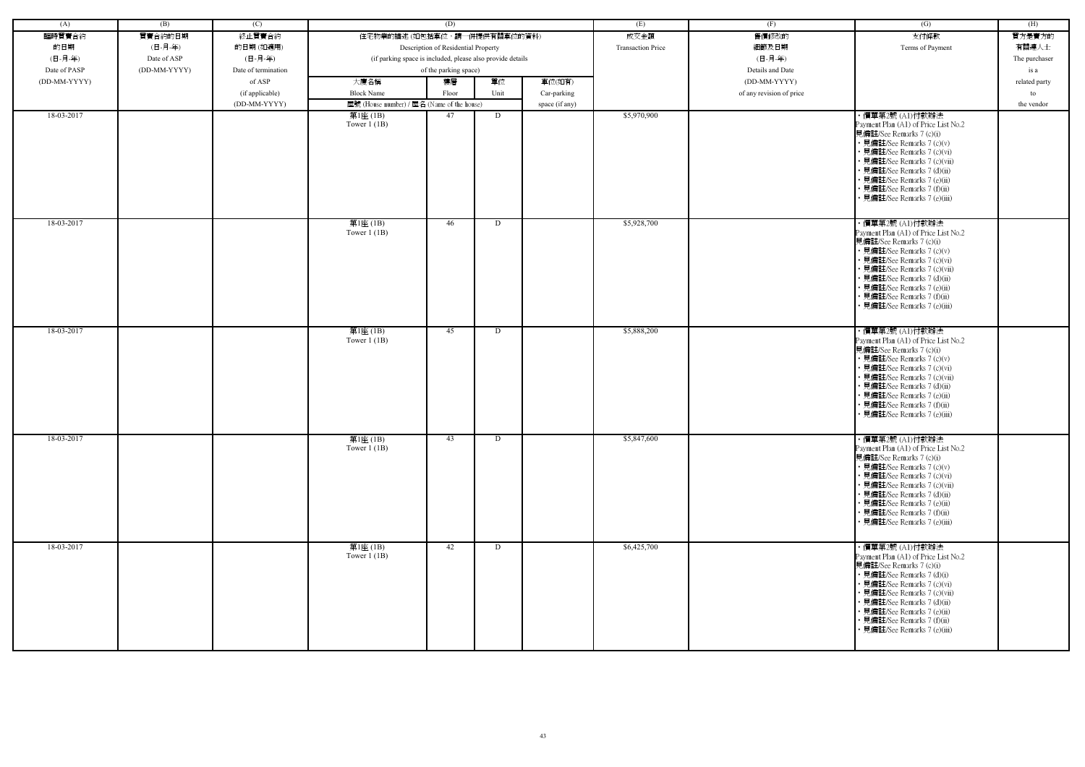| (A)          | (B)          | (C)                 |                                                            | (D)                                 |      |                | (E)                      | (F)                      | (G)                                                                                                                                                                                                                                                                                                            | (H)           |
|--------------|--------------|---------------------|------------------------------------------------------------|-------------------------------------|------|----------------|--------------------------|--------------------------|----------------------------------------------------------------------------------------------------------------------------------------------------------------------------------------------------------------------------------------------------------------------------------------------------------------|---------------|
| 臨時買賣合約       | 買賣合約的日期      | 終止買賣合約              | 住宅物業的描述 (如包括車位,請一併提供有關車位的資料)                               |                                     |      |                | 成交金額                     | 售價修改的                    | 支付條款                                                                                                                                                                                                                                                                                                           | 買方是賣方的        |
| 的日期          | (日-月-年)      | 的日期(如適用)            |                                                            | Description of Residential Property |      |                | <b>Transaction Price</b> | 細節及日期                    | Terms of Payment                                                                                                                                                                                                                                                                                               | 有關連人士         |
| (日-月-年)      | Date of ASP  | (日-月-年)             | (if parking space is included, please also provide details |                                     |      |                |                          | (日-月-年)                  |                                                                                                                                                                                                                                                                                                                | The purchaser |
| Date of PASP | (DD-MM-YYYY) | Date of termination |                                                            | of the parking space)               |      |                |                          | Details and Date         |                                                                                                                                                                                                                                                                                                                | is a          |
| (DD-MM-YYYY) |              | of ASP              | 大廈名稱                                                       | 樓層                                  | 單位   | 車位(如有)         |                          | (DD-MM-YYYY)             |                                                                                                                                                                                                                                                                                                                | related party |
|              |              |                     | <b>Block Name</b>                                          |                                     | Unit |                |                          |                          |                                                                                                                                                                                                                                                                                                                |               |
|              |              | (if applicable)     |                                                            | Floor                               |      | Car-parking    |                          | of any revision of price |                                                                                                                                                                                                                                                                                                                | to            |
|              |              | (DD-MM-YYYY)        | 屋號 (House number) / 屋名 (Name of the house)                 |                                     |      | space (if any) |                          |                          |                                                                                                                                                                                                                                                                                                                | the vendor    |
| 18-03-2017   |              |                     | 第1座 (1B)<br>Tower $1$ (1B)                                 | 47                                  | D    |                | \$5,970,900              |                          | ・價單第2號 (A1)付款辦法<br>Payment Plan (A1) of Price List No.2<br>見備註/See Remarks 7 (c)(i)<br>• 見備註/See Remarks 7 (c)(v)<br>• 見備註/See Remarks 7 (c)(vi)<br>• 見備註/See Remarks 7 (c)(vii)<br>• 見備註/See Remarks 7 (d)(ii)<br>• 見備註/See Remarks 7 (e)(ii)<br>• 見備註/See Remarks 7 (f)(ii)<br>見備註/See Remarks 7 (e)(iii)    |               |
| 18-03-2017   |              |                     | 第1座(1B)<br>Tower $1$ (1B)                                  | 46                                  | D    |                | \$5,928,700              |                          | · 價單第2號 (A1)付款辦法<br>Payment Plan (A1) of Price List No.2<br>見備註/See Remarks 7 (c)(i)<br>• 見備註/See Remarks 7 (c)(v)<br>• 見備註/See Remarks 7 (c)(vi)<br>• 見備註/See Remarks 7 (c)(vii)<br>• 見備註/See Remarks 7 (d)(ii)<br>· 見備註/See Remarks 7 (e)(ii)<br>• 見備註/See Remarks 7 (f)(ii)<br>• 見備註/See Remarks 7 (e)(iii) |               |
| 18-03-2017   |              |                     | 第1座(1B)<br>Tower $1$ (1B)                                  | 45                                  | D    |                | \$5,888,200              |                          | ・價單第2號 (A1)付款辦法<br>Payment Plan (A1) of Price List No.2<br>見備註/See Remarks 7 (c)(i)<br>• 見備註/See Remarks 7 (c)(v)<br>• 見備註/See Remarks 7 (c)(vi)<br>• 見備註/See Remarks 7 (c)(vii)<br>• 見備註/See Remarks 7 (d)(ii)<br>· 見備註/See Remarks 7 (e)(ii)<br>• 見備註/See Remarks 7 (f)(ii)<br>• 見備註/See Remarks 7 (e)(iii)  |               |
| 18-03-2017   |              |                     | 第1座(1B)<br>Tower $1$ (1B)                                  | 43                                  | D    |                | \$5,847,600              |                          | ・價單第2號 (A1)付款辦法<br>Payment Plan (A1) of Price List No.2<br>見備註/See Remarks 7 (c)(i)<br>• 見備註/See Remarks 7 (c)(v)<br>• 見備註/See Remarks 7 (c)(vi)<br>• 見備註/See Remarks 7 (c)(vii)<br>• 見備註/See Remarks 7 (d)(ii)<br>• 見備註/See Remarks 7 (e)(ii)<br>• 見備註/See Remarks 7 (f)(ii)<br>• 見備註/See Remarks 7 (e)(iii)  |               |
| 18-03-2017   |              |                     | 第1座(1B)<br>Tower $1$ (1B)                                  | 42                                  | D    |                | \$6,425,700              |                          | ・價單第2號 (A1)付款辦法<br>Payment Plan (A1) of Price List No.2<br>見備註/See Remarks 7 (c)(i)<br>• 見備註/See Remarks 7 (d)(i)<br>• 見備註/See Remarks 7 (c)(vi)<br>• 見備註/See Remarks 7 (c)(vii)<br>• 見備註/See Remarks 7 (d)(ii)<br>• 見備註/See Remarks 7 (e)(ii)<br>• 見備註/See Remarks 7 (f)(ii)<br>• 見備註/See Remarks 7 (e)(iii)  |               |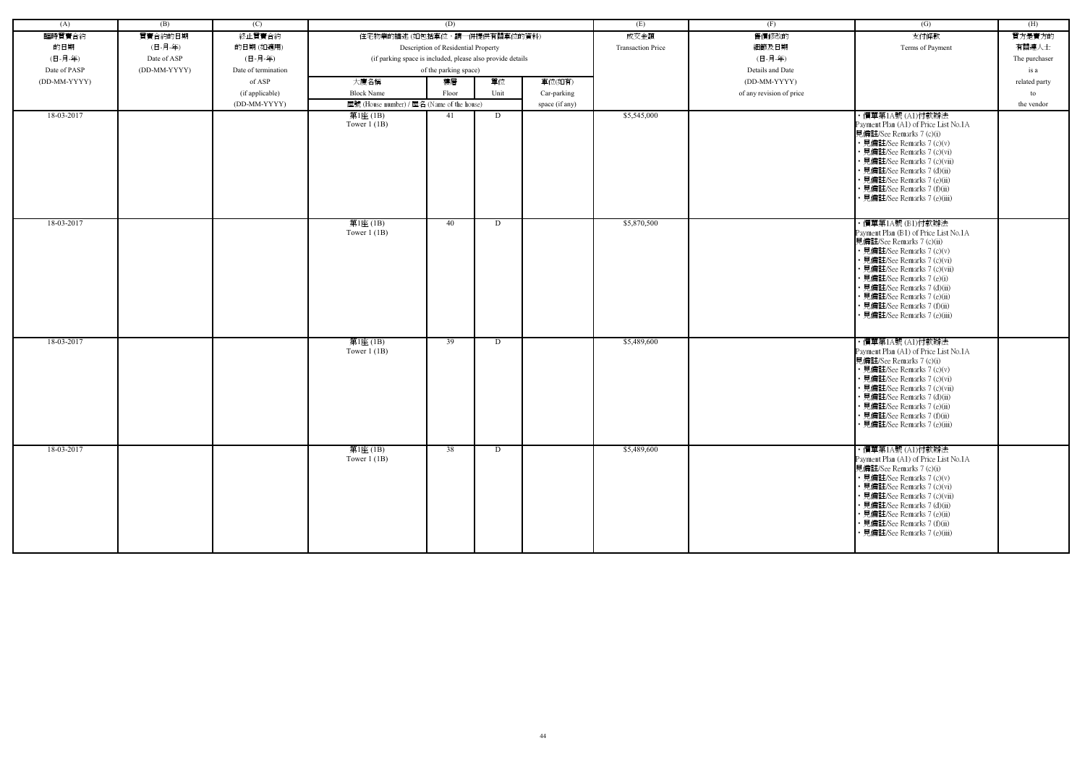| (A)          | (B)          | (C)                 |                                                            | (D)                                 |      |                | (E)                      | (F)                      | (G)                                                         | (H)           |
|--------------|--------------|---------------------|------------------------------------------------------------|-------------------------------------|------|----------------|--------------------------|--------------------------|-------------------------------------------------------------|---------------|
| 臨時買賣合約       | 買賣合約的日期      | 終止買賣合約              | 住宅物業的描述 (如包括車位,請一併提供有關車位的資料)                               |                                     |      |                | 成交金額                     | 售價修改的                    | 支付條款                                                        | 買方是賣方的        |
| 的日期          | (日-月-年)      | 的日期(如適用)            |                                                            | Description of Residential Property |      |                | <b>Transaction Price</b> | 細節及日期                    | Terms of Payment                                            | 有關連人士         |
| (日-月-年)      | Date of ASP  | (日-月-年)             | (if parking space is included, please also provide details |                                     |      |                |                          | (日-月-年)                  |                                                             | The purchaser |
| Date of PASP | (DD-MM-YYYY) | Date of termination |                                                            | of the parking space)               |      |                |                          | Details and Date         |                                                             | is a          |
| (DD-MM-YYYY) |              | of ASP              | 大廈名稱                                                       | 樓層                                  | 單位   | 車位(如有)         |                          | (DD-MM-YYYY)             |                                                             | related party |
|              |              | (if applicable)     | <b>Block Name</b>                                          | Floor                               | Unit | Car-parking    |                          | of any revision of price |                                                             | to            |
|              |              | (DD-MM-YYYY)        | 屋號 (House number) / 屋名 (Name of the house)                 |                                     |      | space (if any) |                          |                          |                                                             | the vendor    |
| 18-03-2017   |              |                     | 第1座 (1B)                                                   | 41                                  | D    |                | \$5,545,000              |                          | ・價單第1A號 (A1)付款辦法                                            |               |
|              |              |                     | Tower $1$ (1B)                                             |                                     |      |                |                          |                          | Payment Plan (A1) of Price List No.1A                       |               |
|              |              |                     |                                                            |                                     |      |                |                          |                          | 見備註/See Remarks 7 (c)(i)                                    |               |
|              |              |                     |                                                            |                                     |      |                |                          |                          | • 見備註/See Remarks 7 (c)(v)                                  |               |
|              |              |                     |                                                            |                                     |      |                |                          |                          | • 見備註/See Remarks 7 (c)(vi)<br>· 見備註/See Remarks 7 (c)(vii) |               |
|              |              |                     |                                                            |                                     |      |                |                          |                          | • 見備註/See Remarks 7 (d)(ii)                                 |               |
|              |              |                     |                                                            |                                     |      |                |                          |                          | • 見備註/See Remarks 7 (e)(ii)                                 |               |
|              |              |                     |                                                            |                                     |      |                |                          |                          | · 見備註/See Remarks 7 (f)(ii)                                 |               |
|              |              |                     |                                                            |                                     |      |                |                          |                          | · 見備註/See Remarks 7 (e)(iii)                                |               |
|              |              |                     |                                                            |                                     |      |                |                          |                          |                                                             |               |
| 18-03-2017   |              |                     | 第1座(1B)                                                    | 40                                  | D    |                | \$5,870,500              |                          | ・價單第1A號 (B1)付款辦法                                            |               |
|              |              |                     | Tower $1$ (1B)                                             |                                     |      |                |                          |                          | Payment Plan (B1) of Price List No.1A                       |               |
|              |              |                     |                                                            |                                     |      |                |                          |                          | 見備註/See Remarks 7 (c)(ii)<br>• 見備註/See Remarks 7 (c)(v)     |               |
|              |              |                     |                                                            |                                     |      |                |                          |                          | • 見備註/See Remarks 7 (c)(vi)                                 |               |
|              |              |                     |                                                            |                                     |      |                |                          |                          | • 見備註/See Remarks 7 (c)(vii)                                |               |
|              |              |                     |                                                            |                                     |      |                |                          |                          | • 見備註/See Remarks 7 (e)(i)                                  |               |
|              |              |                     |                                                            |                                     |      |                |                          |                          | · 見備註/See Remarks 7 (d)(ii)                                 |               |
|              |              |                     |                                                            |                                     |      |                |                          |                          | · 見備註/See Remarks 7 (e)(ii)<br>• 見備註/See Remarks 7 (f)(ii)  |               |
|              |              |                     |                                                            |                                     |      |                |                          |                          | · 見備註/See Remarks 7 (e)(iii)                                |               |
|              |              |                     |                                                            |                                     |      |                |                          |                          |                                                             |               |
| 18-03-2017   |              |                     | 第1座(1B)                                                    | 39                                  | D    |                | \$5,489,600              |                          | ・價單第1A號 (A1)付款辦法                                            |               |
|              |              |                     | Tower $1$ (1B)                                             |                                     |      |                |                          |                          | Payment Plan (A1) of Price List No.1A                       |               |
|              |              |                     |                                                            |                                     |      |                |                          |                          | 見備註/See Remarks 7 (c)(i)                                    |               |
|              |              |                     |                                                            |                                     |      |                |                          |                          | • 見備註/See Remarks 7 (c)(v)                                  |               |
|              |              |                     |                                                            |                                     |      |                |                          |                          | · 見備註/See Remarks 7 (c)(vi)                                 |               |
|              |              |                     |                                                            |                                     |      |                |                          |                          | • 見備註/See Remarks 7 (c)(vii)<br>• 見備註/See Remarks 7 (d)(ii) |               |
|              |              |                     |                                                            |                                     |      |                |                          |                          | · 見備註/See Remarks 7 (e)(ii)                                 |               |
|              |              |                     |                                                            |                                     |      |                |                          |                          | • 見備註/See Remarks 7 (f)(ii)                                 |               |
|              |              |                     |                                                            |                                     |      |                |                          |                          | • 見備註/See Remarks 7 (e)(iii)                                |               |
|              |              |                     |                                                            |                                     |      |                |                          |                          |                                                             |               |
| 18-03-2017   |              |                     | 第1座(1B)                                                    | 38                                  | D    |                | \$5,489,600              |                          | ・價單第1A號 (A1)付款辦法                                            |               |
|              |              |                     | Tower $1$ (1B)                                             |                                     |      |                |                          |                          | Payment Plan (A1) of Price List No.1A                       |               |
|              |              |                     |                                                            |                                     |      |                |                          |                          | 見備註/See Remarks 7 (c)(i)                                    |               |
|              |              |                     |                                                            |                                     |      |                |                          |                          | • 見備註/See Remarks 7 (c)(v)                                  |               |
|              |              |                     |                                                            |                                     |      |                |                          |                          | • 見備註/See Remarks 7 (c)(vi)<br>• 見備註/See Remarks 7 (c)(vii) |               |
|              |              |                     |                                                            |                                     |      |                |                          |                          | • 見備註/See Remarks 7 (d)(ii)                                 |               |
|              |              |                     |                                                            |                                     |      |                |                          |                          | • 見備註/See Remarks 7 (e)(ii)                                 |               |
|              |              |                     |                                                            |                                     |      |                |                          |                          | • 見備註/See Remarks 7 (f)(ii)                                 |               |
|              |              |                     |                                                            |                                     |      |                |                          |                          | · 見備註/See Remarks 7 (e)(iii)                                |               |
|              |              |                     |                                                            |                                     |      |                |                          |                          |                                                             |               |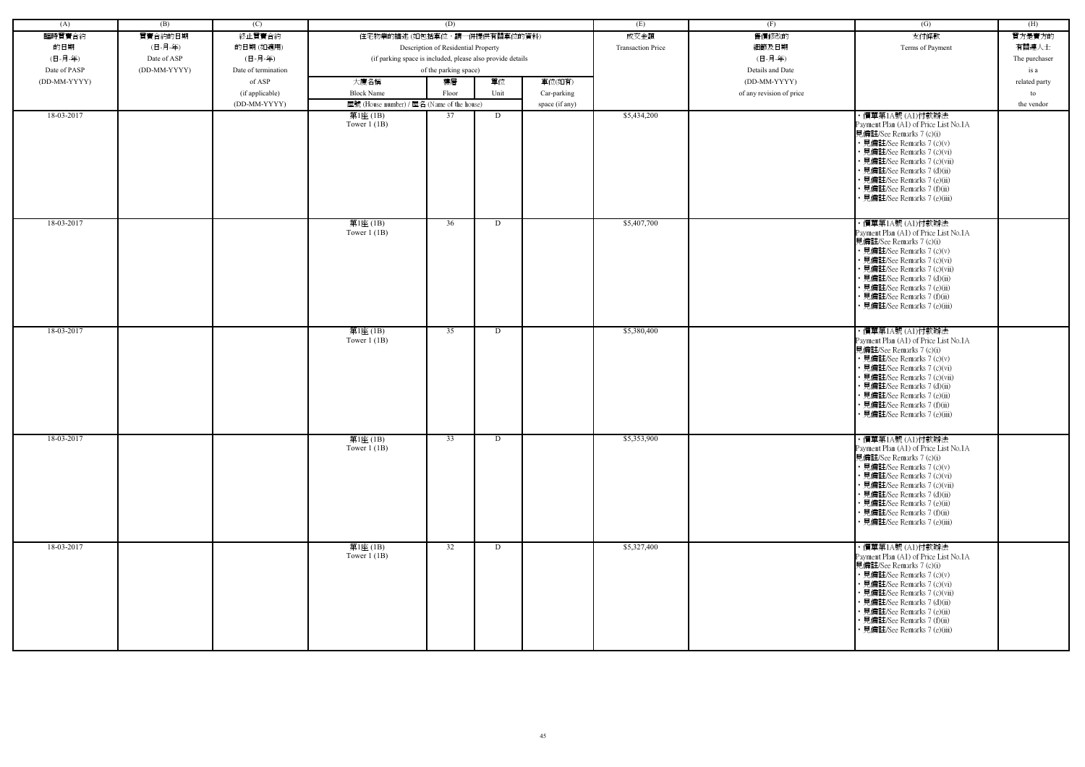| (A)          | (B)          | (C)                 |                                                            | (D)                                 |      |                | (E)                      | (F)                      | (G)                                                                                                                                                                                                                                                                                                             | (H)           |
|--------------|--------------|---------------------|------------------------------------------------------------|-------------------------------------|------|----------------|--------------------------|--------------------------|-----------------------------------------------------------------------------------------------------------------------------------------------------------------------------------------------------------------------------------------------------------------------------------------------------------------|---------------|
| 臨時買賣合約       | 買賣合約的日期      | 終止買賣合約              | 住宅物業的描述 (如包括車位,請一併提供有關車位的資料)                               |                                     |      |                | 成交金額                     | 售價修改的                    | 支付條款                                                                                                                                                                                                                                                                                                            | 買方是賣方的        |
| 的日期          | (日-月-年)      | 的日期(如適用)            |                                                            | Description of Residential Property |      |                | <b>Transaction Price</b> | 細節及日期                    | Terms of Payment                                                                                                                                                                                                                                                                                                | 有關連人士         |
| (日-月-年)      | Date of ASP  | (日-月-年)             | (if parking space is included, please also provide details |                                     |      |                |                          | (日-月-年)                  |                                                                                                                                                                                                                                                                                                                 | The purchaser |
| Date of PASP | (DD-MM-YYYY) | Date of termination |                                                            | of the parking space)               |      |                |                          | Details and Date         |                                                                                                                                                                                                                                                                                                                 | is a          |
| (DD-MM-YYYY) |              | of ASP              | 大廈名稱                                                       | 樓層                                  | 單位   | 車位(如有)         |                          | (DD-MM-YYYY)             |                                                                                                                                                                                                                                                                                                                 | related party |
|              |              | (if applicable)     | <b>Block Name</b>                                          | Floor                               | Unit | Car-parking    |                          | of any revision of price |                                                                                                                                                                                                                                                                                                                 | to            |
|              |              | (DD-MM-YYYY)        | 屋號 (House number) / 屋名 (Name of the house)                 |                                     |      | space (if any) |                          |                          |                                                                                                                                                                                                                                                                                                                 | the vendor    |
| 18-03-2017   |              |                     | 第1座 (1B)                                                   | 37                                  | D    |                | \$5,434,200              |                          | ・價單第1A號 (A1)付款辦法                                                                                                                                                                                                                                                                                                |               |
|              |              |                     | Tower $1$ (1B)                                             |                                     |      |                |                          |                          | Payment Plan (A1) of Price List No.1A<br>見備註/See Remarks 7 (c)(i)<br>• 見備註/See Remarks 7 (c)(v)<br>• 見備註/See Remarks 7 (c)(vi)<br>• 見備註/See Remarks 7 (c)(vii)<br>• 見備註/See Remarks 7 (d)(ii)<br>• 見備註/See Remarks 7 (e)(ii)<br>• 見備註/See Remarks 7 (f)(ii)<br>見備註/See Remarks 7 (e)(iii)                       |               |
| 18-03-2017   |              |                     | 第1座(1B)<br>Tower $1$ (1B)                                  | 36                                  | D    |                | \$5,407,700              |                          | ・價單第1A號 (A1)付款辦法<br>Payment Plan (A1) of Price List No.1A<br>見備註/See Remarks 7 (c)(i)<br>• 見備註/See Remarks 7 (c)(v)<br>• 見備註/See Remarks 7 (c)(vi)<br>• 見備註/See Remarks 7 (c)(vii)<br>• 見備註/See Remarks 7 (d)(ii)<br>· 見備註/See Remarks 7 (e)(ii)<br>• 見備註/See Remarks 7 (f)(ii)<br>• 見備註/See Remarks 7 (e)(iii) |               |
| 18-03-2017   |              |                     | 第1座(1B)<br>Tower $1$ (1B)                                  | 35                                  | D    |                | \$5,380,400              |                          | ・價單第1A號 (A1)付款辦法<br>Payment Plan (A1) of Price List No.1A<br>見備註/See Remarks 7 (c)(i)<br>• 見備註/See Remarks 7 (c)(v)<br>• 見備註/See Remarks 7 (c)(vi)<br>• 見備註/See Remarks 7 (c)(vii)<br>• 見備註/See Remarks 7 (d)(ii)<br>· 見備註/See Remarks 7 (e)(ii)<br>• 見備註/See Remarks 7 (f)(ii)<br>• 見備註/See Remarks 7 (e)(iii) |               |
| 18-03-2017   |              |                     | 第1座(1B)<br>Tower $1$ (1B)                                  | 33                                  | D    |                | \$5,353,900              |                          | ・價單第1A號 (A1)付款辦法<br>Payment Plan (A1) of Price List No.1A<br>見備註/See Remarks 7 (c)(i)<br>• 見備註/See Remarks 7 (c)(v)<br>• 見備註/See Remarks 7 (c)(vi)<br>• 見備註/See Remarks 7 (c)(vii)<br>• 見備註/See Remarks 7 (d)(ii)<br>• 見備註/See Remarks 7 (e)(ii)<br>• 見備註/See Remarks 7 (f)(ii)<br>• 見備註/See Remarks 7 (e)(iii) |               |
| 18-03-2017   |              |                     | 第1座(1B)<br>Tower $1$ (1B)                                  | $\overline{32}$                     | D    |                | \$5,327,400              |                          | ・價單第1A號 (A1)付款辦法<br>Payment Plan (A1) of Price List No.1A<br>見備註/See Remarks 7 (c)(i)<br>• 見備註/See Remarks 7 (c)(v)<br>• 見備註/See Remarks 7 (c)(vi)<br>• 見備註/See Remarks 7 (c)(vii)<br>• 見備註/See Remarks 7 (d)(ii)<br>• 見備註/See Remarks 7 (e)(ii)<br>• 見備註/See Remarks 7 (f)(ii)<br>• 見備註/See Remarks 7 (e)(iii) |               |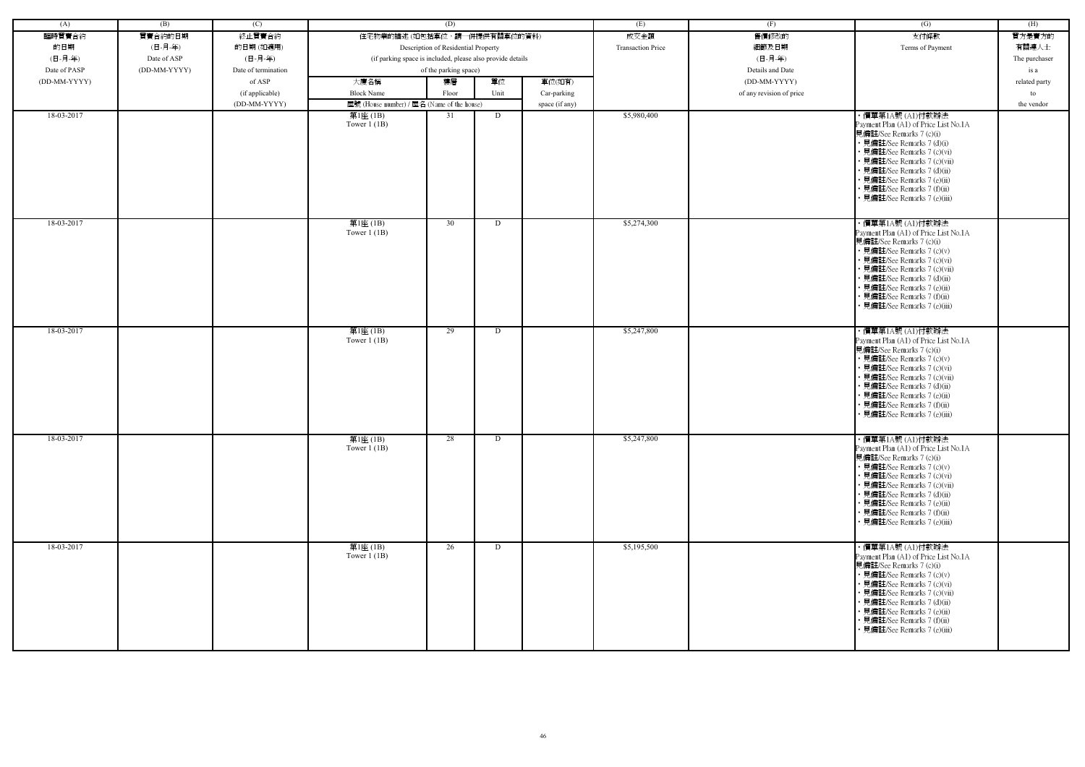| (A)          | (B)          | (C)                 |                                                            | (D)                                 |      |                | (E)                      | (F)                      | (G)                                                                                                                                                                                                                                                                                                             | (H)           |
|--------------|--------------|---------------------|------------------------------------------------------------|-------------------------------------|------|----------------|--------------------------|--------------------------|-----------------------------------------------------------------------------------------------------------------------------------------------------------------------------------------------------------------------------------------------------------------------------------------------------------------|---------------|
| 臨時買賣合約       | 買賣合約的日期      | 終止買賣合約              | 住宅物業的描述 (如包括車位,請一併提供有關車位的資料)                               |                                     |      |                | 成交金額                     | 售價修改的                    | 支付條款                                                                                                                                                                                                                                                                                                            | 買方是賣方的        |
| 的日期          | (日-月-年)      | 的日期(如適用)            |                                                            | Description of Residential Property |      |                | <b>Transaction Price</b> | 細節及日期                    | Terms of Payment                                                                                                                                                                                                                                                                                                | 有關連人士         |
| (日-月-年)      | Date of ASP  | (日-月-年)             | (if parking space is included, please also provide details |                                     |      |                |                          | (日-月-年)                  |                                                                                                                                                                                                                                                                                                                 | The purchaser |
| Date of PASP | (DD-MM-YYYY) | Date of termination |                                                            | of the parking space)               |      |                |                          | Details and Date         |                                                                                                                                                                                                                                                                                                                 | is a          |
| (DD-MM-YYYY) |              | of ASP              | 大廈名稱                                                       | 樓層                                  | 單位   | 車位(如有)         |                          | (DD-MM-YYYY)             |                                                                                                                                                                                                                                                                                                                 | related party |
|              |              |                     | <b>Block Name</b>                                          |                                     | Unit |                |                          |                          |                                                                                                                                                                                                                                                                                                                 |               |
|              |              | (if applicable)     |                                                            | Floor                               |      | Car-parking    |                          | of any revision of price |                                                                                                                                                                                                                                                                                                                 | to            |
|              |              | (DD-MM-YYYY)        | 屋號 (House number) / 屋名 (Name of the house)                 |                                     |      | space (if any) |                          |                          |                                                                                                                                                                                                                                                                                                                 | the vendor    |
| 18-03-2017   |              |                     | 第1座 (1B)<br>Tower $1$ (1B)                                 | 31                                  | D    |                | \$5,980,400              |                          | ・價單第1A號 (A1)付款辦法<br>Payment Plan (A1) of Price List No.1A<br>見備註/See Remarks 7 (c)(i)<br>• 見備註/See Remarks 7 (d)(i)<br>• 見備註/See Remarks 7 (c)(vi)<br>• 見備註/See Remarks 7 (c)(vii)<br>• 見備註/See Remarks 7 (d)(ii)<br>• 見備註/See Remarks 7 (e)(ii)<br>• 見備註/See Remarks 7 (f)(ii)<br>見備註/See Remarks 7 (e)(iii)   |               |
| 18-03-2017   |              |                     | 第1座(1B)<br>Tower $1$ (1B)                                  | 30                                  | D    |                | \$5,274,300              |                          | ・價單第1A號 (A1)付款辦法<br>Payment Plan (A1) of Price List No.1A<br>見備註/See Remarks 7 (c)(i)<br>• 見備註/See Remarks 7 (c)(v)<br>• 見備註/See Remarks 7 (c)(vi)<br>• 見備註/See Remarks 7 (c)(vii)<br>• 見備註/See Remarks 7 (d)(ii)<br>· 見備註/See Remarks 7 (e)(ii)<br>• 見備註/See Remarks 7 (f)(ii)<br>• 見備註/See Remarks 7 (e)(iii) |               |
| 18-03-2017   |              |                     | 第1座(1B)<br>Tower $1$ (1B)                                  | 29                                  | D    |                | \$5,247,800              |                          | ・價單第1A號 (A1)付款辦法<br>Payment Plan (A1) of Price List No.1A<br>見備註/See Remarks 7 (c)(i)<br>• 見備註/See Remarks 7 (c)(v)<br>• 見備註/See Remarks 7 (c)(vi)<br>• 見備註/See Remarks 7 (c)(vii)<br>• 見備註/See Remarks 7 (d)(ii)<br>· 見備註/See Remarks 7 (e)(ii)<br>• 見備註/See Remarks 7 (f)(ii)<br>• 見備註/See Remarks 7 (e)(iii) |               |
| 18-03-2017   |              |                     | 第1座(1B)<br>Tower $1$ (1B)                                  | 28                                  | D    |                | \$5,247,800              |                          | ・價單第1A號 (A1)付款辦法<br>Payment Plan (A1) of Price List No.1A<br>見備註/See Remarks 7 (c)(i)<br>• 見備註/See Remarks 7 (c)(v)<br>• 見備註/See Remarks 7 (c)(vi)<br>• 見備註/See Remarks 7 (c)(vii)<br>• 見備註/See Remarks 7 (d)(ii)<br>• 見備註/See Remarks 7 (e)(ii)<br>• 見備註/See Remarks 7 (f)(ii)<br>• 見備註/See Remarks 7 (e)(iii) |               |
| 18-03-2017   |              |                     | 第1座(1B)<br>Tower $1$ (1B)                                  | 26                                  | D    |                | \$5,195,500              |                          | ・價單第1A號 (A1)付款辦法<br>Payment Plan (A1) of Price List No.1A<br>見備註/See Remarks 7 (c)(i)<br>• 見備註/See Remarks 7 (c)(v)<br>• 見備註/See Remarks 7 (c)(vi)<br>• 見備註/See Remarks 7 (c)(vii)<br>• 見備註/See Remarks 7 (d)(ii)<br>• 見備註/See Remarks 7 (e)(ii)<br>• 見備註/See Remarks 7 (f)(ii)<br>• 見備註/See Remarks 7 (e)(iii) |               |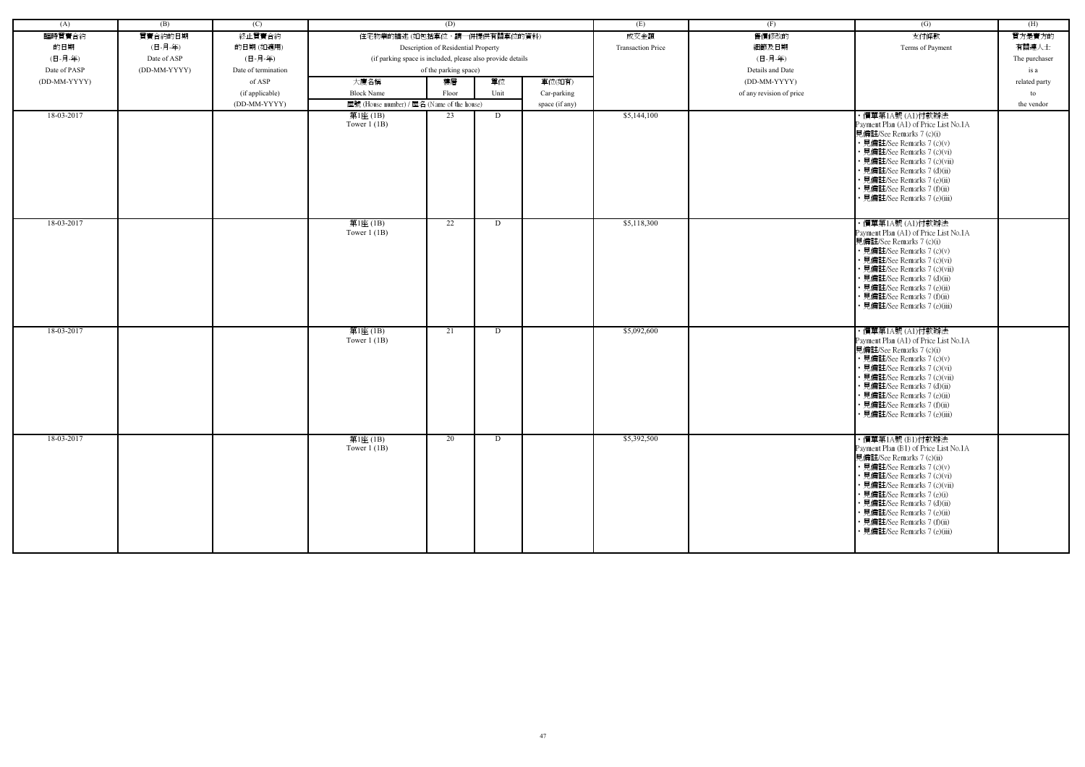| (A)          | (B)          | (C)                 |                                                            | (D)                                 |      |                | (E)                      | (F)                      | (G)                                                                                                                                                                                                                                                                                                                                            | (H)           |
|--------------|--------------|---------------------|------------------------------------------------------------|-------------------------------------|------|----------------|--------------------------|--------------------------|------------------------------------------------------------------------------------------------------------------------------------------------------------------------------------------------------------------------------------------------------------------------------------------------------------------------------------------------|---------------|
| 臨時買賣合約       | 買賣合約的日期      | 終止買賣合約              | 住宅物業的描述 (如包括車位,請一併提供有關車位的資料)                               |                                     |      |                | 成交金額                     | 售價修改的                    | 支付條款                                                                                                                                                                                                                                                                                                                                           | 買方是賣方的        |
| 的日期          | (日-月-年)      | 的日期(如適用)            |                                                            | Description of Residential Property |      |                | <b>Transaction Price</b> | 細節及日期                    | Terms of Payment                                                                                                                                                                                                                                                                                                                               | 有關連人士         |
| (日-月-年)      | Date of ASP  | (日-月-年)             | (if parking space is included, please also provide details |                                     |      |                |                          | (日-月-年)                  |                                                                                                                                                                                                                                                                                                                                                | The purchaser |
| Date of PASP | (DD-MM-YYYY) | Date of termination |                                                            | of the parking space)               |      |                |                          | Details and Date         |                                                                                                                                                                                                                                                                                                                                                | is a          |
| (DD-MM-YYYY) |              | of ASP              | 大廈名稱                                                       | 樓層                                  | 單位   | 車位(如有)         |                          | (DD-MM-YYYY)             |                                                                                                                                                                                                                                                                                                                                                | related party |
|              |              | (if applicable)     | <b>Block Name</b>                                          | Floor                               | Unit | Car-parking    |                          | of any revision of price |                                                                                                                                                                                                                                                                                                                                                | to            |
|              |              | (DD-MM-YYYY)        | 屋號 (House number) / 屋名 (Name of the house)                 |                                     |      | space (if any) |                          |                          |                                                                                                                                                                                                                                                                                                                                                | the vendor    |
| 18-03-2017   |              |                     | 第1座(1B)                                                    | 23                                  | D    |                | \$5,144,100              |                          | ・價單第1A號 (A1)付款辦法                                                                                                                                                                                                                                                                                                                               |               |
|              |              |                     | Tower $1(1B)$                                              |                                     |      |                |                          |                          | Payment Plan (A1) of Price List No.1A<br>見備註/See Remarks 7 (c)(i)<br>• 見備註/See Remarks 7 (c)(v)<br>· 見備註/See Remarks 7 (c)(vi)<br>• 見備註/See Remarks 7 (c)(vii)<br>• 見備註/See Remarks 7 (d)(ii)<br>• 見備註/See Remarks 7 (e)(ii)<br>• 見備註/See Remarks 7 (f)(ii)<br>· 見備註/See Remarks 7 (e)(iii)                                                    |               |
| 18-03-2017   |              |                     | 第1座(1B)<br>Tower $1$ (1B)                                  | 22                                  | D    |                | \$5,118,300              |                          | ・價單第1A號 (A1)付款辦法<br>Payment Plan (A1) of Price List No.1A<br>見備註/See Remarks 7 (c)(i)<br>• 見備註/See Remarks 7 (c)(v)<br>• 見備註/See Remarks 7 (c)(vi)<br>• 見備註/See Remarks 7 (c)(vii)<br>• 見備註/See Remarks 7 (d)(ii)<br>• 見備註/See Remarks 7 (e)(ii)<br>• 見備註/See Remarks 7 (f)(ii)<br>· 見備註/See Remarks 7 (e)(iii)                                |               |
| 18-03-2017   |              |                     | 第1座(1B)<br>Tower $1$ (1B)                                  | 21                                  | D    |                | \$5,092,600              |                          | ・價單第1A號 (A1)付款辦法<br>Payment Plan (A1) of Price List No.1A<br>見備註/See Remarks 7 (c)(i)<br>• 見備註/See Remarks 7 (c)(v)<br>• 見備註/See Remarks 7 (c)(vi)<br>• 見備註/See Remarks 7 (c)(vii)<br>• 見備註/See Remarks 7 (d)(ii)<br>• 見備註/See Remarks 7 (e)(ii)<br>• 見備註/See Remarks 7 (f)(ii)<br>見備註/See Remarks 7 (e)(iii)                                  |               |
| 18-03-2017   |              |                     | 第1座(1B)<br>Tower $1$ (1B)                                  | 20                                  | D    |                | \$5,392,500              |                          | ・價單第1A號 (B1)付款辦法<br>Payment Plan (B1) of Price List No.1A<br>見備註/See Remarks 7 (c)(ii)<br>• 見備註/See Remarks 7 (c)(v)<br>• 見備註/See Remarks 7 (c)(vi)<br>• 見備註/See Remarks 7 (c)(vii)<br>• 見備註/See Remarks 7 (e)(i)<br>• 見備註/See Remarks 7 (d)(ii)<br>• 見備註/See Remarks 7 (e)(ii)<br>• 見備註/See Remarks 7 (f)(ii)<br>• 見備註/See Remarks 7 (e)(iii) |               |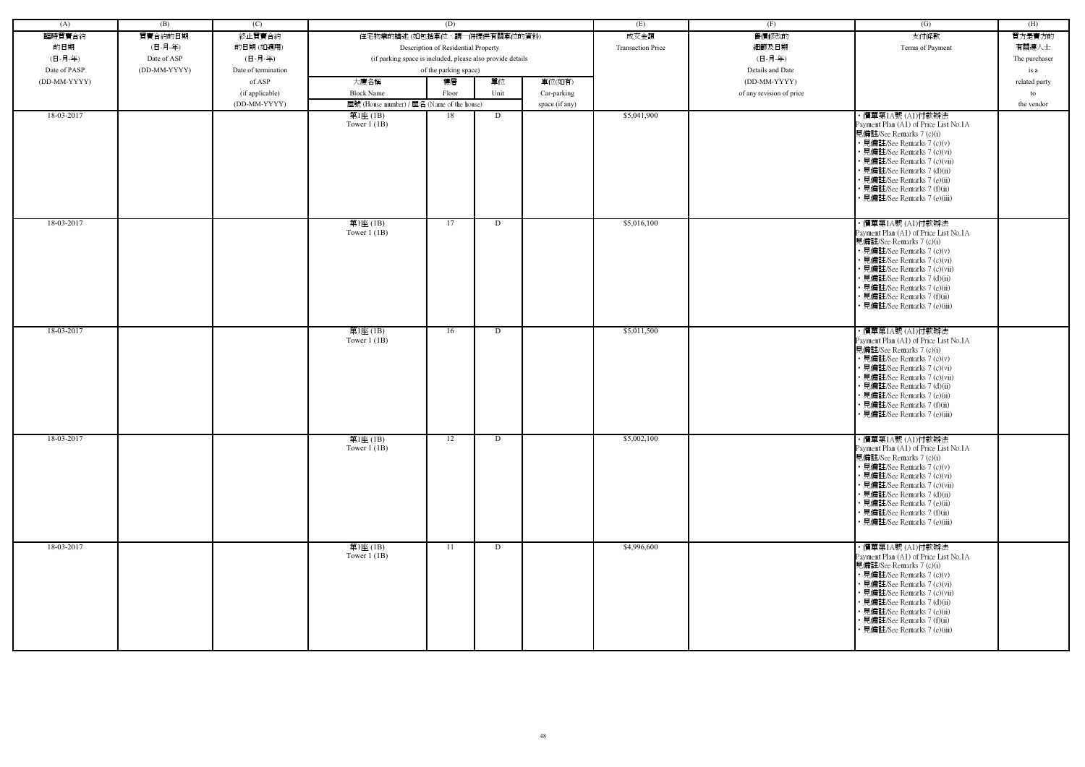| (A)          | (B)          | (C)                 |                                                            | (D)                                 |      |                | (E)                      | (F)                      | (G)                                                                                                                                                                                                                                                                                                             | (H)           |
|--------------|--------------|---------------------|------------------------------------------------------------|-------------------------------------|------|----------------|--------------------------|--------------------------|-----------------------------------------------------------------------------------------------------------------------------------------------------------------------------------------------------------------------------------------------------------------------------------------------------------------|---------------|
| 臨時買賣合約       | 買賣合約的日期      | 終止買賣合約              | 住宅物業的描述 (如包括車位,請一併提供有關車位的資料)                               |                                     |      |                | 成交金額                     | 售價修改的                    | 支付條款                                                                                                                                                                                                                                                                                                            | 買方是賣方的        |
| 的日期          | (日-月-年)      | 的日期(如適用)            |                                                            | Description of Residential Property |      |                | <b>Transaction Price</b> | 細節及日期                    | Terms of Payment                                                                                                                                                                                                                                                                                                | 有關連人士         |
| (日-月-年)      | Date of ASP  | (日-月-年)             | (if parking space is included, please also provide details |                                     |      |                |                          | (日-月-年)                  |                                                                                                                                                                                                                                                                                                                 | The purchaser |
| Date of PASP | (DD-MM-YYYY) | Date of termination |                                                            | of the parking space)               |      |                |                          | Details and Date         |                                                                                                                                                                                                                                                                                                                 | is a          |
| (DD-MM-YYYY) |              | of ASP              | 大廈名稱                                                       | 樓層                                  | 單位   | 車位(如有)         |                          | (DD-MM-YYYY)             |                                                                                                                                                                                                                                                                                                                 | related party |
|              |              | (if applicable)     | <b>Block Name</b>                                          | Floor                               | Unit | Car-parking    |                          | of any revision of price |                                                                                                                                                                                                                                                                                                                 | to            |
|              |              | (DD-MM-YYYY)        | 屋號 (House number) / 屋名 (Name of the house)                 |                                     |      | space (if any) |                          |                          |                                                                                                                                                                                                                                                                                                                 | the vendor    |
| 18-03-2017   |              |                     | 第1座 (1B)                                                   | 18                                  | D    |                | \$5,041,900              |                          | ・價單第1A號 (A1)付款辦法                                                                                                                                                                                                                                                                                                |               |
|              |              |                     | Tower $1$ (1B)                                             |                                     |      |                |                          |                          | Payment Plan (A1) of Price List No.1A<br>見備註/See Remarks 7 (c)(i)<br>• 見備註/See Remarks 7 (c)(v)<br>• 見備註/See Remarks 7 (c)(vi)<br>• 見備註/See Remarks 7 (c)(vii)<br>• 見備註/See Remarks 7 (d)(ii)<br>• 見備註/See Remarks 7 (e)(ii)<br>• 見備註/See Remarks 7 (f)(ii)<br>見備註/See Remarks 7 (e)(iii)                       |               |
| 18-03-2017   |              |                     | 第1座(1B)<br>Tower $1$ (1B)                                  | 17                                  | D    |                | \$5,016,100              |                          | ・價單第1A號 (A1)付款辦法<br>Payment Plan (A1) of Price List No.1A<br>見備註/See Remarks 7 (c)(i)<br>• 見備註/See Remarks 7 (c)(v)<br>• 見備註/See Remarks 7 (c)(vi)<br>• 見備註/See Remarks 7 (c)(vii)<br>• 見備註/See Remarks 7 (d)(ii)<br>· 見備註/See Remarks 7 (e)(ii)<br>• 見備註/See Remarks 7 (f)(ii)<br>• 見備註/See Remarks 7 (e)(iii) |               |
| 18-03-2017   |              |                     | 第1座(1B)<br>Tower $1$ (1B)                                  | 16                                  | D    |                | \$5,011,500              |                          | ・價單第1A號 (A1)付款辦法<br>Payment Plan (A1) of Price List No.1A<br>見備註/See Remarks 7 (c)(i)<br>• 見備註/See Remarks 7 (c)(v)<br>• 見備註/See Remarks 7 (c)(vi)<br>• 見備註/See Remarks 7 (c)(vii)<br>• 見備註/See Remarks 7 (d)(ii)<br>· 見備註/See Remarks 7 (e)(ii)<br>• 見備註/See Remarks 7 (f)(ii)<br>• 見備註/See Remarks 7 (e)(iii) |               |
| 18-03-2017   |              |                     | 第1座(1B)<br>Tower $1$ (1B)                                  | 12                                  | D    |                | \$5,002,100              |                          | ・價單第1A號 (A1)付款辦法<br>Payment Plan (A1) of Price List No.1A<br>見備註/See Remarks 7 (c)(i)<br>• 見備註/See Remarks 7 (c)(v)<br>• 見備註/See Remarks 7 (c)(vi)<br>• 見備註/See Remarks 7 (c)(vii)<br>• 見備註/See Remarks 7 (d)(ii)<br>• 見備註/See Remarks 7 (e)(ii)<br>• 見備註/See Remarks 7 (f)(ii)<br>• 見備註/See Remarks 7 (e)(iii) |               |
| 18-03-2017   |              |                     | 第1座(1B)<br>Tower $1$ (1B)                                  | 11                                  | D    |                | \$4,996,600              |                          | ・價單第1A號 (A1)付款辦法<br>Payment Plan (A1) of Price List No.1A<br>見備註/See Remarks 7 (c)(i)<br>• 見備註/See Remarks 7 (c)(v)<br>• 見備註/See Remarks 7 (c)(vi)<br>• 見備註/See Remarks 7 (c)(vii)<br>• 見備註/See Remarks 7 (d)(ii)<br>• 見備註/See Remarks 7 (e)(ii)<br>• 見備註/See Remarks 7 (f)(ii)<br>• 見備註/See Remarks 7 (e)(iii) |               |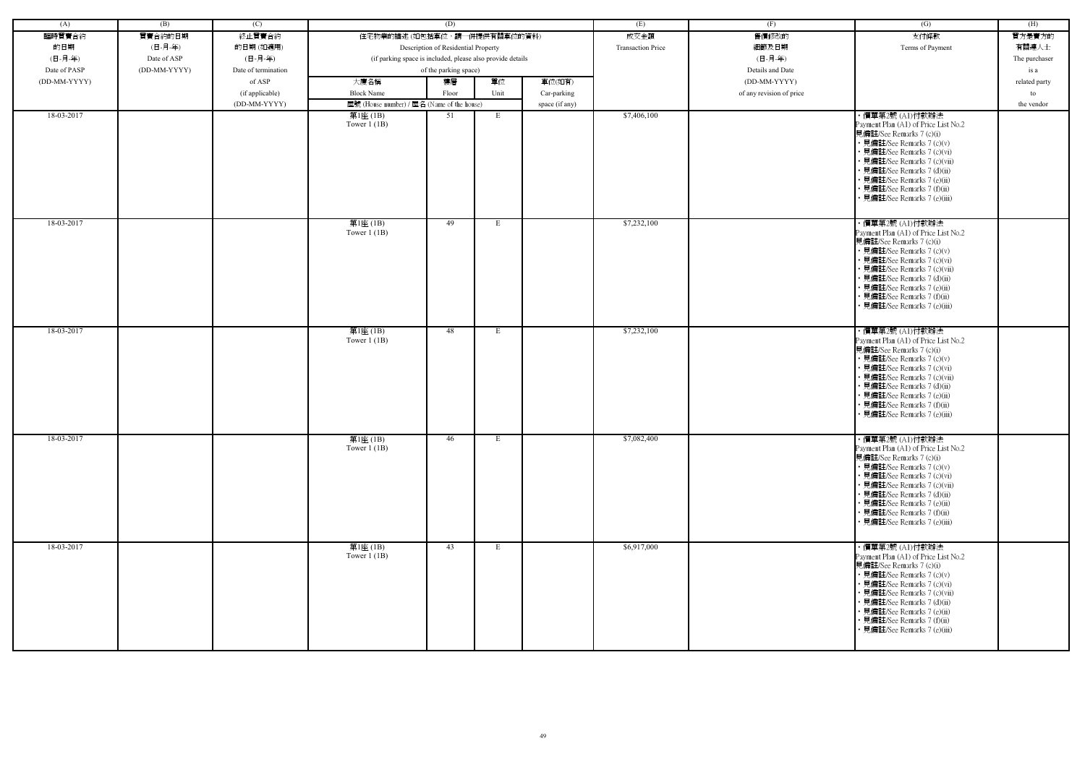| (A)          | (B)          | (C)                 |                                                            | (D)                                 |      |                | (E)                      | (F)                      | (G)                                                                                                                                                                                                                                                                                                            | (H)           |
|--------------|--------------|---------------------|------------------------------------------------------------|-------------------------------------|------|----------------|--------------------------|--------------------------|----------------------------------------------------------------------------------------------------------------------------------------------------------------------------------------------------------------------------------------------------------------------------------------------------------------|---------------|
| 臨時買賣合約       | 買賣合約的日期      | 終止買賣合約              | 住宅物業的描述 (如包括車位,請一併提供有關車位的資料)                               |                                     |      |                | 成交金額                     | 售價修改的                    | 支付條款                                                                                                                                                                                                                                                                                                           | 買方是賣方的        |
| 的日期          | (日-月-年)      | 的日期(如適用)            |                                                            | Description of Residential Property |      |                | <b>Transaction Price</b> | 細節及日期                    | Terms of Payment                                                                                                                                                                                                                                                                                               | 有關連人士         |
| (日-月-年)      | Date of ASP  | (日-月-年)             | (if parking space is included, please also provide details |                                     |      |                |                          | (日-月-年)                  |                                                                                                                                                                                                                                                                                                                | The purchaser |
| Date of PASP | (DD-MM-YYYY) | Date of termination |                                                            | of the parking space)               |      |                |                          | Details and Date         |                                                                                                                                                                                                                                                                                                                | is a          |
| (DD-MM-YYYY) |              | of ASP              | 大廈名稱                                                       | 樓層                                  | 單位   | 車位(如有)         |                          | (DD-MM-YYYY)             |                                                                                                                                                                                                                                                                                                                | related party |
|              |              | (if applicable)     | <b>Block Name</b>                                          | Floor                               | Unit | Car-parking    |                          | of any revision of price |                                                                                                                                                                                                                                                                                                                | to            |
|              |              | (DD-MM-YYYY)        | 屋號 (House number) / 屋名 (Name of the house)                 |                                     |      | space (if any) |                          |                          |                                                                                                                                                                                                                                                                                                                | the vendor    |
| 18-03-2017   |              |                     | 第1座 (1B)                                                   | 51                                  | E    |                | \$7,406,100              |                          | ・價單第2號 (A1)付款辦法                                                                                                                                                                                                                                                                                                |               |
|              |              |                     | Tower $1$ (1B)                                             |                                     |      |                |                          |                          | Payment Plan (A1) of Price List No.2<br>見備註/See Remarks 7 (c)(i)<br>• 見備註/See Remarks 7 (c)(v)<br>• 見備註/See Remarks 7 (c)(vi)<br>• 見備註/See Remarks 7 (c)(vii)<br>• 見備註/See Remarks 7 (d)(ii)<br>• 見備註/See Remarks 7 (e)(ii)<br>• 見備註/See Remarks 7 (f)(ii)<br>見備註/See Remarks 7 (e)(iii)                       |               |
| 18-03-2017   |              |                     | 第1座(1B)<br>Tower $1$ (1B)                                  | 49                                  | E    |                | \$7,232,100              |                          | · 價單第2號 (A1)付款辦法<br>Payment Plan (A1) of Price List No.2<br>見備註/See Remarks 7 (c)(i)<br>• 見備註/See Remarks 7 (c)(v)<br>• 見備註/See Remarks 7 (c)(vi)<br>• 見備註/See Remarks 7 (c)(vii)<br>• 見備註/See Remarks 7 (d)(ii)<br>· 見備註/See Remarks 7 (e)(ii)<br>• 見備註/See Remarks 7 (f)(ii)<br>• 見備註/See Remarks 7 (e)(iii) |               |
| 18-03-2017   |              |                     | 第1座(1B)<br>Tower $1$ (1B)                                  | 48                                  | E    |                | \$7,232,100              |                          | ・價單第2號 (A1)付款辦法<br>Payment Plan (A1) of Price List No.2<br>見備註/See Remarks 7 (c)(i)<br>• 見備註/See Remarks 7 (c)(v)<br>• 見備註/See Remarks 7 (c)(vi)<br>• 見備註/See Remarks 7 (c)(vii)<br>• 見備註/See Remarks 7 (d)(ii)<br>· 見備註/See Remarks 7 (e)(ii)<br>• 見備註/See Remarks 7 (f)(ii)<br>• 見備註/See Remarks 7 (e)(iii)  |               |
| 18-03-2017   |              |                     | 第1座(1B)<br>Tower $1$ (1B)                                  | 46                                  | E    |                | \$7,082,400              |                          | ・價單第2號 (A1)付款辦法<br>Payment Plan (A1) of Price List No.2<br>見備註/See Remarks 7 (c)(i)<br>• 見備註/See Remarks 7 (c)(v)<br>• 見備註/See Remarks 7 (c)(vi)<br>• 見備註/See Remarks 7 (c)(vii)<br>• 見備註/See Remarks 7 (d)(ii)<br>• 見備註/See Remarks 7 (e)(ii)<br>• 見備註/See Remarks 7 (f)(ii)<br>• 見備註/See Remarks 7 (e)(iii)  |               |
| 18-03-2017   |              |                     | 第1座(1B)<br>Tower $1$ (1B)                                  | 43                                  | E    |                | \$6,917,000              |                          | ・價單第2號 (A1)付款辦法<br>Payment Plan (A1) of Price List No.2<br>見備註/See Remarks 7 (c)(i)<br>• 見備註/See Remarks 7 (c)(v)<br>• 見備註/See Remarks 7 (c)(vi)<br>• 見備註/See Remarks 7 (c)(vii)<br>• 見備註/See Remarks 7 (d)(ii)<br>• 見備註/See Remarks 7 (e)(ii)<br>• 見備註/See Remarks 7 (f)(ii)<br>• 見備註/See Remarks 7 (e)(iii)  |               |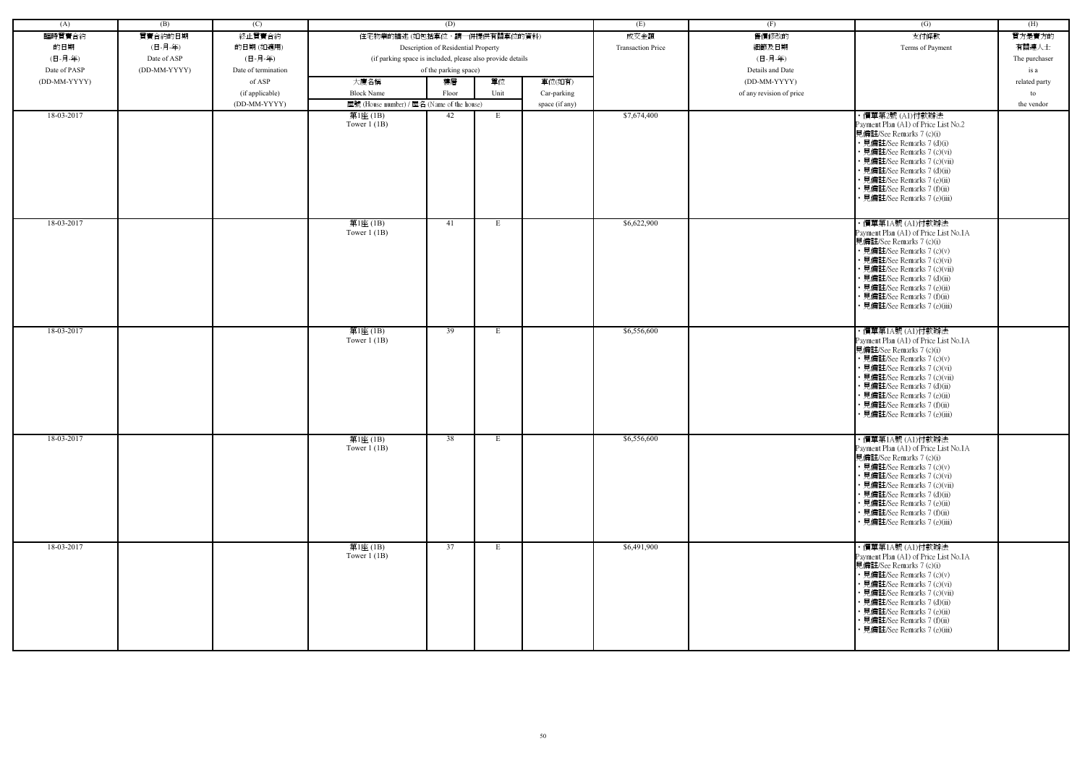| (A)          | (B)          | (C)                 |                                                            | (D)                                 |      |                | (E)                      | (F)                      | (G)                                                                                                                                                                                                                                                                                                             | (H)           |
|--------------|--------------|---------------------|------------------------------------------------------------|-------------------------------------|------|----------------|--------------------------|--------------------------|-----------------------------------------------------------------------------------------------------------------------------------------------------------------------------------------------------------------------------------------------------------------------------------------------------------------|---------------|
| 臨時買賣合約       | 買賣合約的日期      | 終止買賣合約              | 住宅物業的描述 (如包括車位,請一併提供有關車位的資料)                               |                                     |      |                | 成交金額                     | 售價修改的                    | 支付條款                                                                                                                                                                                                                                                                                                            | 買方是賣方的        |
| 的日期          | (日-月-年)      | 的日期(如適用)            |                                                            | Description of Residential Property |      |                | <b>Transaction Price</b> | 細節及日期                    | Terms of Payment                                                                                                                                                                                                                                                                                                | 有關連人士         |
| (日-月-年)      | Date of ASP  | (日-月-年)             | (if parking space is included, please also provide details |                                     |      |                |                          | (日-月-年)                  |                                                                                                                                                                                                                                                                                                                 | The purchaser |
| Date of PASP | (DD-MM-YYYY) | Date of termination |                                                            | of the parking space)               |      |                |                          | Details and Date         |                                                                                                                                                                                                                                                                                                                 | is a          |
| (DD-MM-YYYY) |              | of ASP              | 大廈名稱                                                       | 樓層                                  | 單位   | 車位(如有)         |                          | (DD-MM-YYYY)             |                                                                                                                                                                                                                                                                                                                 | related party |
|              |              |                     | <b>Block Name</b>                                          |                                     | Unit |                |                          |                          |                                                                                                                                                                                                                                                                                                                 |               |
|              |              | (if applicable)     |                                                            | Floor                               |      | Car-parking    |                          | of any revision of price |                                                                                                                                                                                                                                                                                                                 | to            |
|              |              | (DD-MM-YYYY)        | 屋號 (House number) / 屋名 (Name of the house)                 |                                     |      | space (if any) |                          |                          |                                                                                                                                                                                                                                                                                                                 | the vendor    |
| 18-03-2017   |              |                     | 第1座 (1B)<br>Tower $1$ (1B)                                 | 42                                  | E    |                | \$7,674,400              |                          | ・價單第2號 (A1)付款辦法<br>Payment Plan (A1) of Price List No.2<br>見備註/See Remarks 7 (c)(i)<br>• 見備註/See Remarks 7 (d)(i)<br>• 見備註/See Remarks 7 (c)(vi)<br>• 見備註/See Remarks 7 (c)(vii)<br>• 見備註/See Remarks 7 (d)(ii)<br>• 見備註/See Remarks 7 (e)(ii)<br>• 見備註/See Remarks 7 (f)(ii)<br>見備註/See Remarks 7 (e)(iii)     |               |
| 18-03-2017   |              |                     | 第1座(1B)<br>Tower $1$ (1B)                                  | 41                                  | E    |                | \$6,622,900              |                          | ・價單第1A號 (A1)付款辦法<br>Payment Plan (A1) of Price List No.1A<br>見備註/See Remarks 7 (c)(i)<br>• 見備註/See Remarks 7 (c)(v)<br>• 見備註/See Remarks 7 (c)(vi)<br>• 見備註/See Remarks 7 (c)(vii)<br>• 見備註/See Remarks 7 (d)(ii)<br>· 見備註/See Remarks 7 (e)(ii)<br>• 見備註/See Remarks 7 (f)(ii)<br>• 見備註/See Remarks 7 (e)(iii) |               |
| 18-03-2017   |              |                     | 第1座(1B)<br>Tower $1$ (1B)                                  | 39                                  | E    |                | \$6,556,600              |                          | ・價單第1A號 (A1)付款辦法<br>Payment Plan (A1) of Price List No.1A<br>見備註/See Remarks 7 (c)(i)<br>• 見備註/See Remarks 7 (c)(v)<br>• 見備註/See Remarks 7 (c)(vi)<br>• 見備註/See Remarks 7 (c)(vii)<br>• 見備註/See Remarks 7 (d)(ii)<br>· 見備註/See Remarks 7 (e)(ii)<br>• 見備註/See Remarks 7 (f)(ii)<br>• 見備註/See Remarks 7 (e)(iii) |               |
| 18-03-2017   |              |                     | 第1座(1B)<br>Tower $1$ (1B)                                  | 38                                  | E    |                | \$6,556,600              |                          | ・價單第1A號 (A1)付款辦法<br>Payment Plan (A1) of Price List No.1A<br>見備註/See Remarks 7 (c)(i)<br>• 見備註/See Remarks 7 (c)(v)<br>• 見備註/See Remarks 7 (c)(vi)<br>• 見備註/See Remarks 7 (c)(vii)<br>• 見備註/See Remarks 7 (d)(ii)<br>• 見備註/See Remarks 7 (e)(ii)<br>• 見備註/See Remarks 7 (f)(ii)<br>• 見備註/See Remarks 7 (e)(iii) |               |
| 18-03-2017   |              |                     | 第1座(1B)<br>Tower $1$ (1B)                                  | 37                                  | E    |                | \$6,491,900              |                          | ・價單第1A號 (A1)付款辦法<br>Payment Plan (A1) of Price List No.1A<br>見備註/See Remarks 7 (c)(i)<br>• 見備註/See Remarks 7 (c)(v)<br>• 見備註/See Remarks 7 (c)(vi)<br>• 見備註/See Remarks 7 (c)(vii)<br>• 見備註/See Remarks 7 (d)(ii)<br>• 見備註/See Remarks 7 (e)(ii)<br>• 見備註/See Remarks 7 (f)(ii)<br>• 見備註/See Remarks 7 (e)(iii) |               |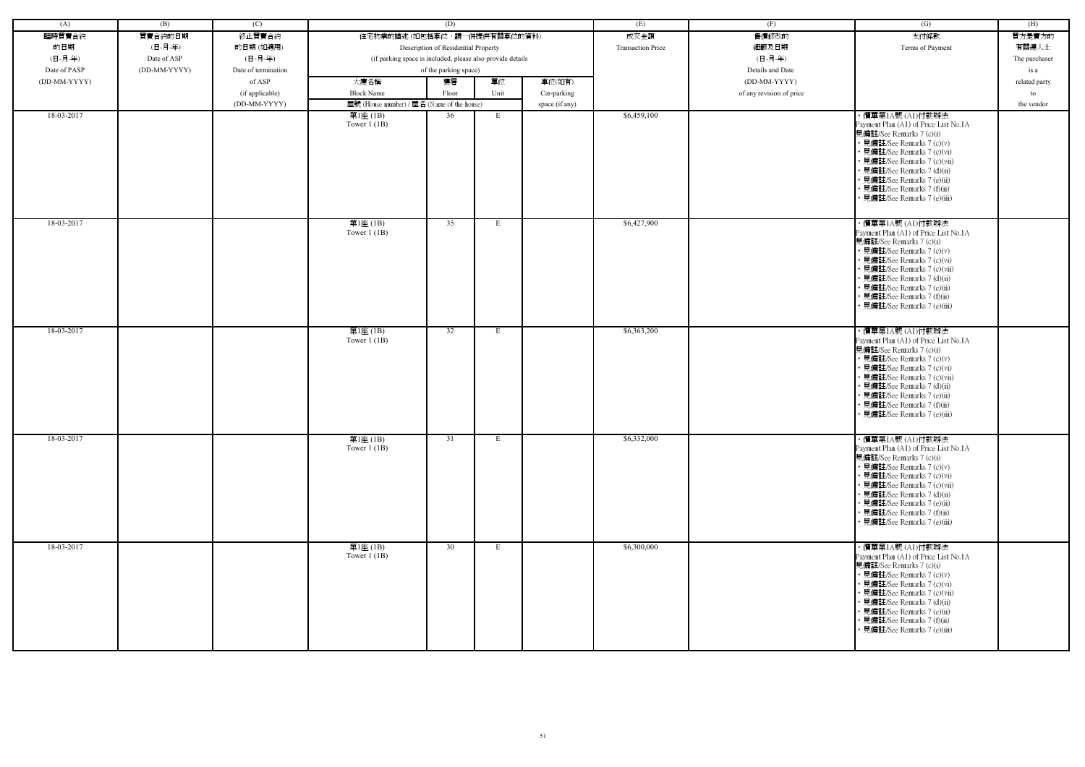| (A)          | (B)          | (C)                 |                                                            | (D)                                 |      |                | (E)                      | (F)                      | (G)                                                                                                                                                                                                                                                                                                             | (H)           |
|--------------|--------------|---------------------|------------------------------------------------------------|-------------------------------------|------|----------------|--------------------------|--------------------------|-----------------------------------------------------------------------------------------------------------------------------------------------------------------------------------------------------------------------------------------------------------------------------------------------------------------|---------------|
| 臨時買賣合約       | 買賣合約的日期      | 終止買賣合約              | 住宅物業的描述 (如包括車位,請一併提供有關車位的資料)                               |                                     |      |                | 成交金額                     | 售價修改的                    | 支付條款                                                                                                                                                                                                                                                                                                            | 買方是賣方的        |
| 的日期          | (日-月-年)      | 的日期(如適用)            |                                                            | Description of Residential Property |      |                | <b>Transaction Price</b> | 細節及日期                    | Terms of Payment                                                                                                                                                                                                                                                                                                | 有關連人士         |
| (日-月-年)      | Date of ASP  | (日-月-年)             | (if parking space is included, please also provide details |                                     |      |                |                          | (日-月-年)                  |                                                                                                                                                                                                                                                                                                                 | The purchaser |
| Date of PASP | (DD-MM-YYYY) | Date of termination |                                                            | of the parking space)               |      |                |                          | Details and Date         |                                                                                                                                                                                                                                                                                                                 | is a          |
| (DD-MM-YYYY) |              | of ASP              | 大廈名稱                                                       | 樓層                                  | 單位   | 車位(如有)         |                          | (DD-MM-YYYY)             |                                                                                                                                                                                                                                                                                                                 | related party |
|              |              |                     | <b>Block Name</b>                                          |                                     | Unit |                |                          |                          |                                                                                                                                                                                                                                                                                                                 |               |
|              |              | (if applicable)     |                                                            | Floor                               |      | Car-parking    |                          | of any revision of price |                                                                                                                                                                                                                                                                                                                 | to            |
|              |              | (DD-MM-YYYY)        | 屋號 (House number) / 屋名 (Name of the house)                 |                                     |      | space (if any) |                          |                          |                                                                                                                                                                                                                                                                                                                 | the vendor    |
| 18-03-2017   |              |                     | 第1座 (1B)<br>Tower $1$ (1B)                                 | 36                                  | E    |                | \$6,459,100              |                          | ・價單第1A號 (A1)付款辦法<br>Payment Plan (A1) of Price List No.1A<br>見備註/See Remarks 7 (c)(i)<br>• 見備註/See Remarks 7 (c)(v)<br>• 見備註/See Remarks 7 (c)(vi)<br>• 見備註/See Remarks 7 (c)(vii)<br>• 見備註/See Remarks 7 (d)(ii)<br>• 見備註/See Remarks 7 (e)(ii)<br>• 見備註/See Remarks 7 (f)(ii)<br>見備註/See Remarks 7 (e)(iii)   |               |
| 18-03-2017   |              |                     | 第1座(1B)<br>Tower $1$ (1B)                                  | 35                                  | E    |                | \$6,427,900              |                          | ・價單第1A號 (A1)付款辦法<br>Payment Plan (A1) of Price List No.1A<br>見備註/See Remarks 7 (c)(i)<br>• 見備註/See Remarks 7 (c)(v)<br>• 見備註/See Remarks 7 (c)(vi)<br>• 見備註/See Remarks 7 (c)(vii)<br>• 見備註/See Remarks 7 (d)(ii)<br>· 見備註/See Remarks 7 (e)(ii)<br>• 見備註/See Remarks 7 (f)(ii)<br>• 見備註/See Remarks 7 (e)(iii) |               |
| 18-03-2017   |              |                     | 第1座(1B)<br>Tower $1$ (1B)                                  | 32                                  | E    |                | \$6,363,200              |                          | ・價單第1A號 (A1)付款辦法<br>Payment Plan (A1) of Price List No.1A<br>見備註/See Remarks 7 (c)(i)<br>• 見備註/See Remarks 7 (c)(v)<br>• 見備註/See Remarks 7 (c)(vi)<br>• 見備註/See Remarks 7 (c)(vii)<br>• 見備註/See Remarks 7 (d)(ii)<br>· 見備註/See Remarks 7 (e)(ii)<br>• 見備註/See Remarks 7 (f)(ii)<br>• 見備註/See Remarks 7 (e)(iii) |               |
| 18-03-2017   |              |                     | 第1座(1B)<br>Tower $1$ (1B)                                  | 31                                  | E    |                | \$6,332,000              |                          | ・價單第1A號 (A1)付款辦法<br>Payment Plan (A1) of Price List No.1A<br>見備註/See Remarks 7 (c)(i)<br>• 見備註/See Remarks 7 (c)(v)<br>• 見備註/See Remarks 7 (c)(vi)<br>• 見備註/See Remarks 7 (c)(vii)<br>• 見備註/See Remarks 7 (d)(ii)<br>• 見備註/See Remarks 7 (e)(ii)<br>• 見備註/See Remarks 7 (f)(ii)<br>• 見備註/See Remarks 7 (e)(iii) |               |
| 18-03-2017   |              |                     | 第1座(1B)<br>Tower $1$ (1B)                                  | 30                                  | E    |                | \$6,300,000              |                          | ・價單第1A號 (A1)付款辦法<br>Payment Plan (A1) of Price List No.1A<br>見備註/See Remarks 7 (c)(i)<br>• 見備註/See Remarks 7 (c)(v)<br>• 見備註/See Remarks 7 (c)(vi)<br>• 見備註/See Remarks 7 (c)(vii)<br>• 見備註/See Remarks 7 (d)(ii)<br>• 見備註/See Remarks 7 (e)(ii)<br>• 見備註/See Remarks 7 (f)(ii)<br>• 見備註/See Remarks 7 (e)(iii) |               |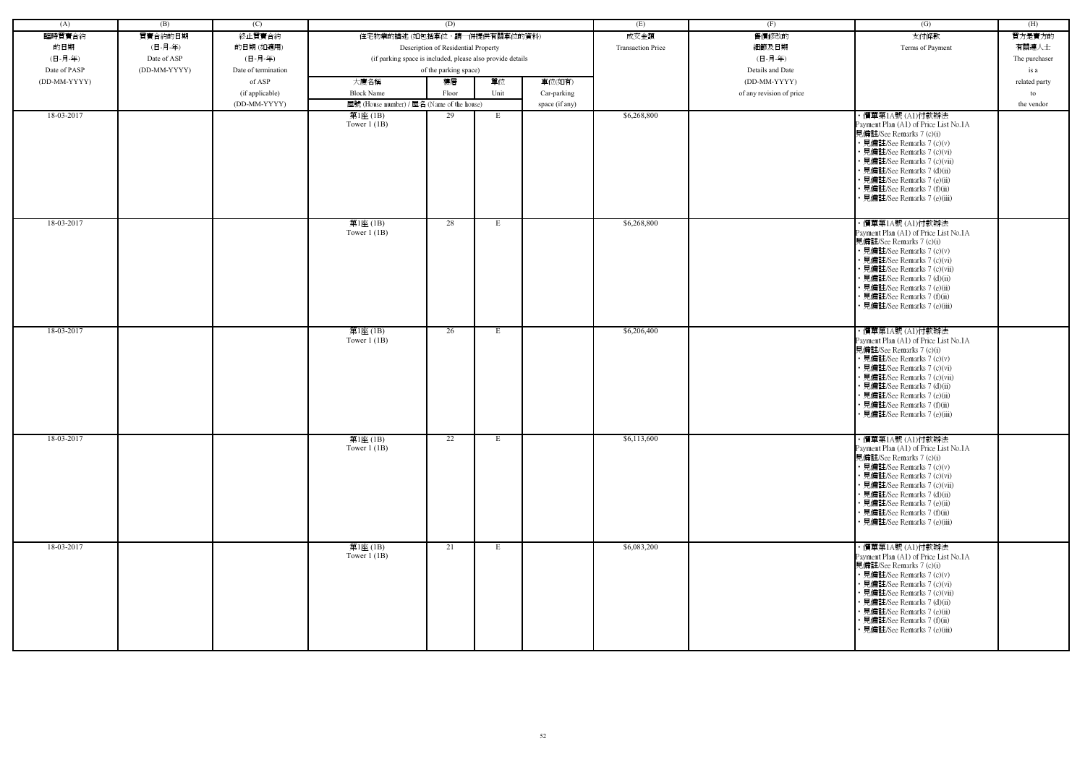| (A)          | (B)          | (C)                 |                                                            | (D)                                 |      |                | (E)                      | (F)                      | (G)                                                                                                                                                                                                                                                                                                             | (H)           |
|--------------|--------------|---------------------|------------------------------------------------------------|-------------------------------------|------|----------------|--------------------------|--------------------------|-----------------------------------------------------------------------------------------------------------------------------------------------------------------------------------------------------------------------------------------------------------------------------------------------------------------|---------------|
| 臨時買賣合約       | 買賣合約的日期      | 終止買賣合約              | 住宅物業的描述 (如包括車位,請一併提供有關車位的資料)                               |                                     |      |                | 成交金額                     | 售價修改的                    | 支付條款                                                                                                                                                                                                                                                                                                            | 買方是賣方的        |
| 的日期          | (日-月-年)      | 的日期(如適用)            |                                                            | Description of Residential Property |      |                | <b>Transaction Price</b> | 細節及日期                    | Terms of Payment                                                                                                                                                                                                                                                                                                | 有關連人士         |
| (日-月-年)      | Date of ASP  | (日-月-年)             | (if parking space is included, please also provide details |                                     |      |                |                          | (日-月-年)                  |                                                                                                                                                                                                                                                                                                                 | The purchaser |
| Date of PASP | (DD-MM-YYYY) | Date of termination |                                                            | of the parking space)               |      |                |                          | Details and Date         |                                                                                                                                                                                                                                                                                                                 | is a          |
| (DD-MM-YYYY) |              | of ASP              | 大廈名稱                                                       | 樓層                                  | 單位   | 車位(如有)         |                          | (DD-MM-YYYY)             |                                                                                                                                                                                                                                                                                                                 | related party |
|              |              | (if applicable)     | <b>Block Name</b>                                          | Floor                               | Unit | Car-parking    |                          | of any revision of price |                                                                                                                                                                                                                                                                                                                 | to            |
|              |              | (DD-MM-YYYY)        | 屋號 (House number) / 屋名 (Name of the house)                 |                                     |      | space (if any) |                          |                          |                                                                                                                                                                                                                                                                                                                 | the vendor    |
| 18-03-2017   |              |                     | 第1座 (1B)                                                   | 29                                  | E    |                | \$6,268,800              |                          | ・價單第1A號 (A1)付款辦法                                                                                                                                                                                                                                                                                                |               |
|              |              |                     | Tower $1$ (1B)                                             |                                     |      |                |                          |                          | Payment Plan (A1) of Price List No.1A<br>見備註/See Remarks 7 (c)(i)<br>• 見備註/See Remarks 7 (c)(v)<br>• 見備註/See Remarks 7 (c)(vi)<br>• 見備註/See Remarks 7 (c)(vii)<br>• 見備註/See Remarks 7 (d)(ii)<br>• 見備註/See Remarks 7 (e)(ii)<br>• 見備註/See Remarks 7 (f)(ii)<br>見備註/See Remarks 7 (e)(iii)                       |               |
| 18-03-2017   |              |                     | 第1座(1B)<br>Tower $1$ (1B)                                  | 28                                  | E    |                | \$6,268,800              |                          | ・價單第1A號 (A1)付款辦法<br>Payment Plan (A1) of Price List No.1A<br>見備註/See Remarks 7 (c)(i)<br>• 見備註/See Remarks 7 (c)(v)<br>• 見備註/See Remarks 7 (c)(vi)<br>• 見備註/See Remarks 7 (c)(vii)<br>• 見備註/See Remarks 7 (d)(ii)<br>· 見備註/See Remarks 7 (e)(ii)<br>• 見備註/See Remarks 7 (f)(ii)<br>• 見備註/See Remarks 7 (e)(iii) |               |
| 18-03-2017   |              |                     | 第1座(1B)<br>Tower $1$ (1B)                                  | 26                                  | E    |                | \$6,206,400              |                          | ・價單第1A號 (A1)付款辦法<br>Payment Plan (A1) of Price List No.1A<br>見備註/See Remarks 7 (c)(i)<br>• 見備註/See Remarks 7 (c)(v)<br>• 見備註/See Remarks 7 (c)(vi)<br>• 見備註/See Remarks 7 (c)(vii)<br>• 見備註/See Remarks 7 (d)(ii)<br>· 見備註/See Remarks 7 (e)(ii)<br>• 見備註/See Remarks 7 (f)(ii)<br>• 見備註/See Remarks 7 (e)(iii) |               |
| 18-03-2017   |              |                     | 第1座(1B)<br>Tower $1$ (1B)                                  | 22                                  | E    |                | \$6,113,600              |                          | ・價單第1A號 (A1)付款辦法<br>Payment Plan (A1) of Price List No.1A<br>見備註/See Remarks 7 (c)(i)<br>• 見備註/See Remarks 7 (c)(v)<br>• 見備註/See Remarks 7 (c)(vi)<br>• 見備註/See Remarks 7 (c)(vii)<br>• 見備註/See Remarks 7 (d)(ii)<br>• 見備註/See Remarks 7 (e)(ii)<br>• 見備註/See Remarks 7 (f)(ii)<br>• 見備註/See Remarks 7 (e)(iii) |               |
| 18-03-2017   |              |                     | 第1座(1B)<br>Tower $1$ (1B)                                  | 21                                  | E    |                | \$6,083,200              |                          | ・價單第1A號 (A1)付款辦法<br>Payment Plan (A1) of Price List No.1A<br>見備註/See Remarks 7 (c)(i)<br>• 見備註/See Remarks 7 (c)(v)<br>• 見備註/See Remarks 7 (c)(vi)<br>• 見備註/See Remarks 7 (c)(vii)<br>• 見備註/See Remarks 7 (d)(ii)<br>• 見備註/See Remarks 7 (e)(ii)<br>• 見備註/See Remarks 7 (f)(ii)<br>• 見備註/See Remarks 7 (e)(iii) |               |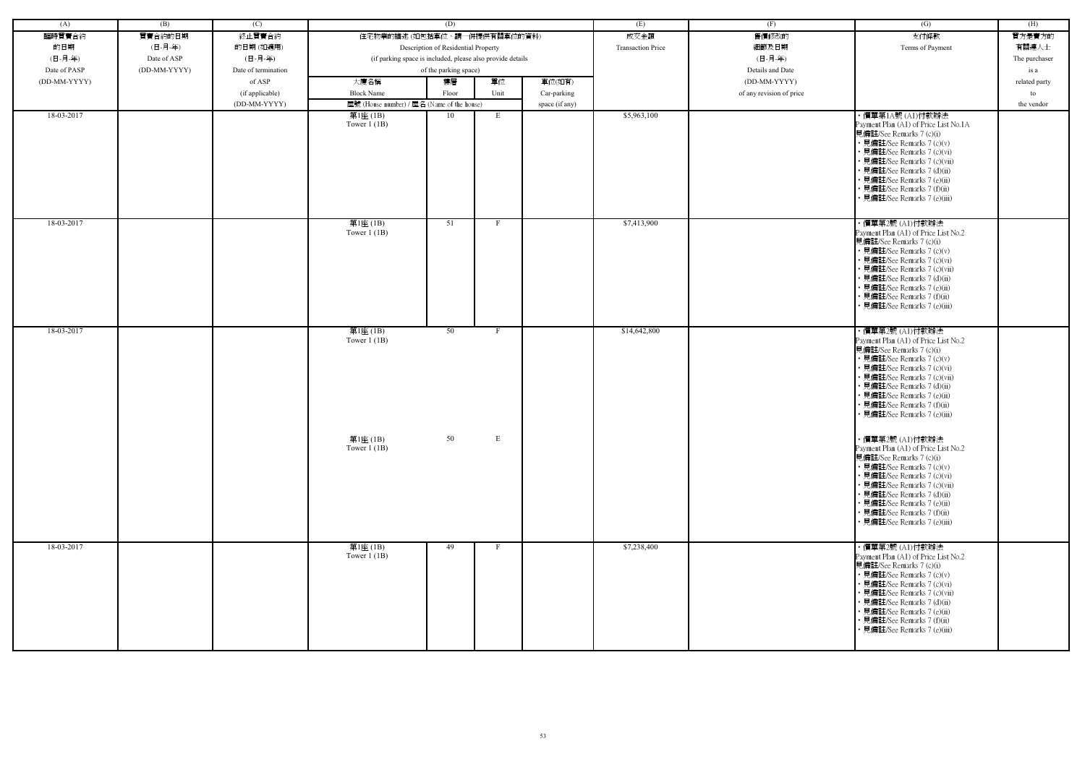| (A)          | (B)          | (C)                 |                                                            | (D)                                 |              |                | (E)                      | (F)                      | (G)                                                                                                                                                                                                                                                                                                             | (H)           |
|--------------|--------------|---------------------|------------------------------------------------------------|-------------------------------------|--------------|----------------|--------------------------|--------------------------|-----------------------------------------------------------------------------------------------------------------------------------------------------------------------------------------------------------------------------------------------------------------------------------------------------------------|---------------|
| 臨時買賣合約       | 買賣合約的日期      | 終止買賣合約              | 住宅物業的描述 (如包括車位,請一併提供有關車位的資料)                               |                                     |              |                | 成交金額                     | 售價修改的                    | 支付條款                                                                                                                                                                                                                                                                                                            | 買方是賣方的        |
| 的日期          | (日-月-年)      | 的日期(如適用)            |                                                            | Description of Residential Property |              |                | <b>Transaction Price</b> | 細節及日期                    | Terms of Payment                                                                                                                                                                                                                                                                                                | 有關連人士         |
| (日-月-年)      | Date of ASP  | (日-月-年)             | (if parking space is included, please also provide details |                                     |              |                |                          | (日-月-年)                  |                                                                                                                                                                                                                                                                                                                 | The purchaser |
| Date of PASP | (DD-MM-YYYY) | Date of termination |                                                            | of the parking space)               |              |                |                          | Details and Date         |                                                                                                                                                                                                                                                                                                                 | is a          |
| (DD-MM-YYYY) |              | of ASP              | 大廈名稱                                                       | 樓層                                  | 單位           | 車位(如有)         |                          | (DD-MM-YYYY)             |                                                                                                                                                                                                                                                                                                                 | related party |
|              |              |                     | <b>Block Name</b>                                          | Floor                               | Unit         |                |                          |                          |                                                                                                                                                                                                                                                                                                                 |               |
|              |              | (if applicable)     |                                                            |                                     |              | Car-parking    |                          | of any revision of price |                                                                                                                                                                                                                                                                                                                 | to            |
| 18-03-2017   |              | (DD-MM-YYYY)        | 屋號 (House number) / 屋名 (Name of the house)                 |                                     |              | space (if any) | \$5,963,100              |                          |                                                                                                                                                                                                                                                                                                                 | the vendor    |
|              |              |                     | 第1座 (1B)<br>Tower $1$ (1B)                                 | 10                                  | E            |                |                          |                          | ・價單第1A號 (A1)付款辦法<br>Payment Plan (A1) of Price List No.1A<br>見備註/See Remarks 7 (c)(i)<br>• 見備註/See Remarks 7 (c)(v)<br>• 見備註/See Remarks 7 (c)(vi)<br>• 見備註/See Remarks 7 (c)(vii)<br>• 見備註/See Remarks 7 (d)(ii)<br>• 見備註/See Remarks 7 (e)(ii)<br>• 見備註/See Remarks 7 (f)(ii)<br>· 見備註/See Remarks 7 (e)(iii) |               |
| 18-03-2017   |              |                     | 第1座(1B)<br>Tower $1(1B)$                                   | 51                                  | $\mathbf{F}$ |                | \$7,413,900              |                          | ・價單第2號 (A1)付款辦法<br>Payment Plan (A1) of Price List No.2<br>見備註/See Remarks 7 (c)(i)<br>• 見備註/See Remarks 7 (c)(v)<br>• 見備註/See Remarks 7 (c)(vi)<br>• 見備註/See Remarks 7 (c)(vii)<br>• 見備註/See Remarks 7 (d)(ii)<br>• 見備註/See Remarks 7 (e)(ii)<br>• 見備註/See Remarks 7 (f)(ii)<br>• 見備註/See Remarks 7 (e)(iii)   |               |
| 18-03-2017   |              |                     | 第1座(1B)<br>Tower $1$ (1B)                                  | 50                                  | F            |                | \$14,642,800             |                          | ・價單第2號 (A1)付款辦法<br>Payment Plan (A1) of Price List No.2<br>見備註/See Remarks 7 (c)(i)<br>• 見備註/See Remarks 7 (c)(v)<br>• 見備註/See Remarks 7 (c)(vi)<br>• 見備註/See Remarks 7 (c)(vii)<br>• 見備註/See Remarks 7 (d)(ii)<br>• 見備註/See Remarks 7 (e)(ii)<br>• 見備註/See Remarks 7 (f)(ii)<br>• 見備註/See Remarks 7 (e)(iii)   |               |
|              |              |                     | 第1座 (1B)<br>Tower $1$ (1B)                                 | 50                                  | $\mathbf E$  |                |                          |                          | · 價單第2號 (A1)付款辦法<br>Payment Plan (A1) of Price List No.2<br>見備註/See Remarks 7 (c)(i)<br>• 見備註/See Remarks 7 (c)(v)<br>• 見備註/See Remarks 7 (c)(vi)<br>• 見備註/See Remarks 7 (c)(vii)<br>• 見備註/See Remarks 7 (d)(ii)<br>• 見備註/See Remarks 7 (e)(ii)<br>• 見備註/See Remarks 7 (f)(ii)<br>• 見備註/See Remarks 7 (e)(iii)  |               |
| 18-03-2017   |              |                     | 第1座(1B)<br>Tower $1$ (1B)                                  | 49                                  | F            |                | \$7,238,400              |                          | ・價單第2號 (A1)付款辦法<br>Payment Plan (A1) of Price List No.2<br>見備註/See Remarks 7 (c)(i)<br>• 見備註/See Remarks 7 (c)(v)<br>• 見備註/See Remarks 7 (c)(vi)<br>• 見備註/See Remarks 7 (c)(vii)<br>• 見備註/See Remarks 7 (d)(ii)<br>• 見備註/See Remarks 7 (e)(ii)<br>• 見備註/See Remarks 7 (f)(ii)<br>見備註/See Remarks 7 (e)(iii)     |               |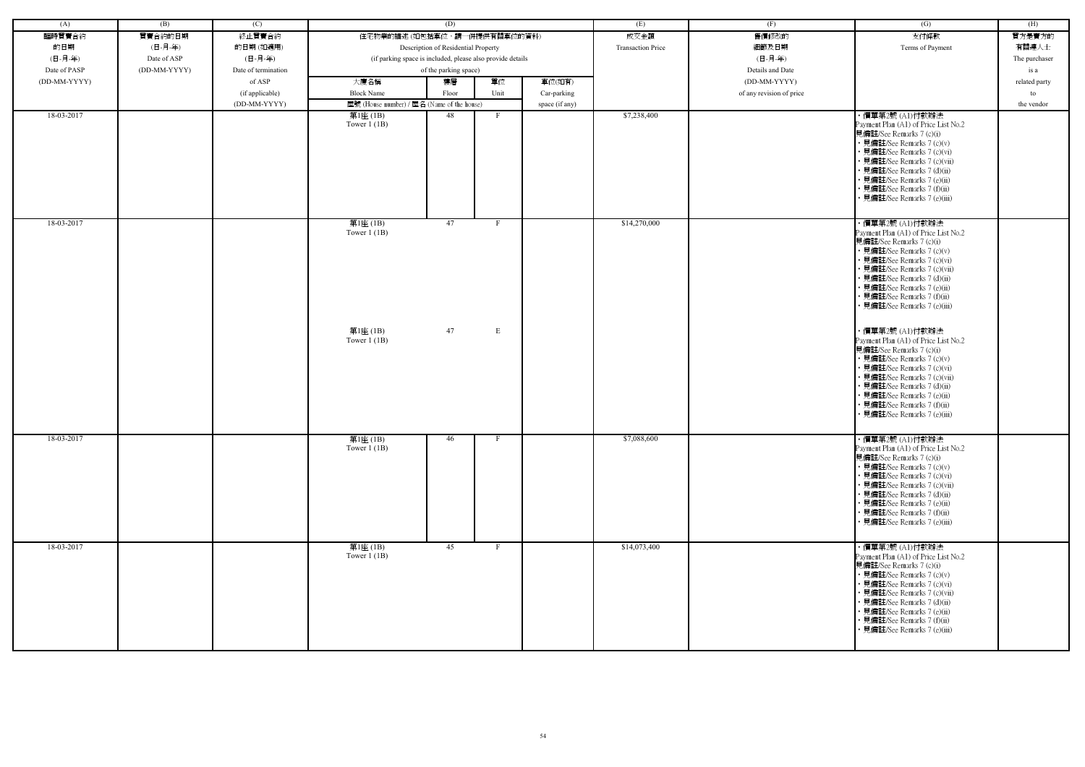| (A)          | (B)          | (C)                 |                                            | (D)                                                        |                | (E)                      | (F)                      | (G)                                                                                                                                                                                                                                                                                                           | (H)           |
|--------------|--------------|---------------------|--------------------------------------------|------------------------------------------------------------|----------------|--------------------------|--------------------------|---------------------------------------------------------------------------------------------------------------------------------------------------------------------------------------------------------------------------------------------------------------------------------------------------------------|---------------|
| 臨時買賣合約       | 買賣合約的日期      | 終止買賣合約              |                                            | 住宅物業的描述 (如包括車位,請一併提供有關車位的資料)                               |                | 成交金額                     | 售價修改的                    | 支付條款                                                                                                                                                                                                                                                                                                          | 買方是賣方的        |
| 的日期          | (日-月-年)      | 的日期(如適用)            |                                            | Description of Residential Property                        |                | <b>Transaction Price</b> | 細節及日期                    | Terms of Payment                                                                                                                                                                                                                                                                                              | 有關連人士         |
| (日-月-年)      | Date of ASP  | (日-月-年)             |                                            | (if parking space is included, please also provide details |                |                          | (日-月-年)                  |                                                                                                                                                                                                                                                                                                               | The purchaser |
| Date of PASP | (DD-MM-YYYY) | Date of termination |                                            | of the parking space)                                      |                |                          | Details and Date         |                                                                                                                                                                                                                                                                                                               | is a          |
| (DD-MM-YYYY) |              | of ASP              | 大廈名稱                                       | 單位<br>樓層                                                   | 車位(如有)         |                          | $(DD-MM-YYYY)$           |                                                                                                                                                                                                                                                                                                               | related party |
|              |              | (if applicable)     | <b>Block Name</b>                          | Unit<br>Floor                                              | Car-parking    |                          | of any revision of price |                                                                                                                                                                                                                                                                                                               | to            |
|              |              | (DD-MM-YYYY)        | 屋號 (House number) / 屋名 (Name of the house) |                                                            | space (if any) |                          |                          |                                                                                                                                                                                                                                                                                                               | the vendor    |
| 18-03-2017   |              |                     | 第1座(1B)                                    | 48<br>$\Gamma$                                             |                | \$7,238,400              |                          | ・價單第2號 (A1)付款辦法                                                                                                                                                                                                                                                                                               |               |
|              |              |                     | Tower $1$ (1B)                             |                                                            |                |                          |                          | Payment Plan (A1) of Price List No.2<br>見備註/See Remarks 7 (c)(i)<br>• 見備註/See Remarks 7 (c)(v)<br>• 見備註/See Remarks 7 (c)(vi)<br>• 見備註/See Remarks 7 (c)(vii)<br>· 見備註/See Remarks 7 (d)(ii)<br>• 見備註/See Remarks 7 (e)(ii)<br>• 見備註/See Remarks 7 (f)(ii)<br>· 見備註/See Remarks 7 (e)(iii)                    |               |
| 18-03-2017   |              |                     | 第1座(1B)<br>Tower $1$ (1B)                  | 47<br>F                                                    |                | \$14,270,000             |                          | ・價單第2號 (A1)付款辦法<br>Payment Plan (A1) of Price List No.2<br>見備註/See Remarks 7 (c)(i)<br>• 見備註/See Remarks 7 (c)(v)<br>• 見備註/See Remarks 7 (c)(vi)<br>• 見備註/See Remarks 7 (c)(vii)<br>• 見備註/See Remarks 7 (d)(ii)<br>• 見備註/See Remarks 7 (e)(ii)<br>• 見備註/See Remarks 7 (f)(ii)<br>• 見備註/See Remarks 7 (e)(iii) |               |
|              |              |                     | 第1座(1B)<br>Tower $1$ (1B)                  | 47<br>Е                                                    |                |                          |                          | ・價單第2號 (A1)付款辦法<br>Payment Plan (A1) of Price List No.2<br>見備註/See Remarks 7 (c)(i)<br>• 見備註/See Remarks 7 (c)(v)<br>• 見備註/See Remarks 7 (c)(vi)<br>• 見備註/See Remarks 7 (c)(vii)<br>• 見備註/See Remarks 7 (d)(ii)<br>• 見備註/See Remarks 7 (e)(ii)<br>• 見備註/See Remarks 7 (f)(ii)<br>• 見備註/See Remarks 7 (e)(iii) |               |
| 18-03-2017   |              |                     | 第1座(1B)<br>Tower $1$ (1B)                  | 46                                                         |                | \$7,088,600              |                          | ・價單第2號 (A1)付款辦法<br>Payment Plan (A1) of Price List No.2<br>見備註/See Remarks 7 (c)(i)<br>• 見備註/See Remarks 7 (c)(v)<br>• 見備註/See Remarks 7 (c)(vi)<br>• 見備註/See Remarks 7 (c)(vii)<br>• 見備註/See Remarks 7 (d)(ii)<br>• 見備註/See Remarks 7 (e)(ii)<br>• 見備註/See Remarks 7 (f)(ii)<br>• 見備註/See Remarks 7 (e)(iii) |               |
| 18-03-2017   |              |                     | 第1座(1B)<br>Tower $1$ (1B)                  | 45<br>$\mathbf{F}$                                         |                | \$14,073,400             |                          | ・價單第2號 (A1)付款辦法<br>Payment Plan (A1) of Price List No.2<br>見備註/See Remarks 7 (c)(i)<br>• 見備註/See Remarks 7 (c)(v)<br>• 見備註/See Remarks 7 (c)(vi)<br>• 見備註/See Remarks 7 (c)(vii)<br>• 見備註/See Remarks 7 (d)(ii)<br>• 見備註/See Remarks 7 (e)(ii)<br>• 見備註/See Remarks 7 (f)(ii)<br>• 見備註/See Remarks 7 (e)(iii) |               |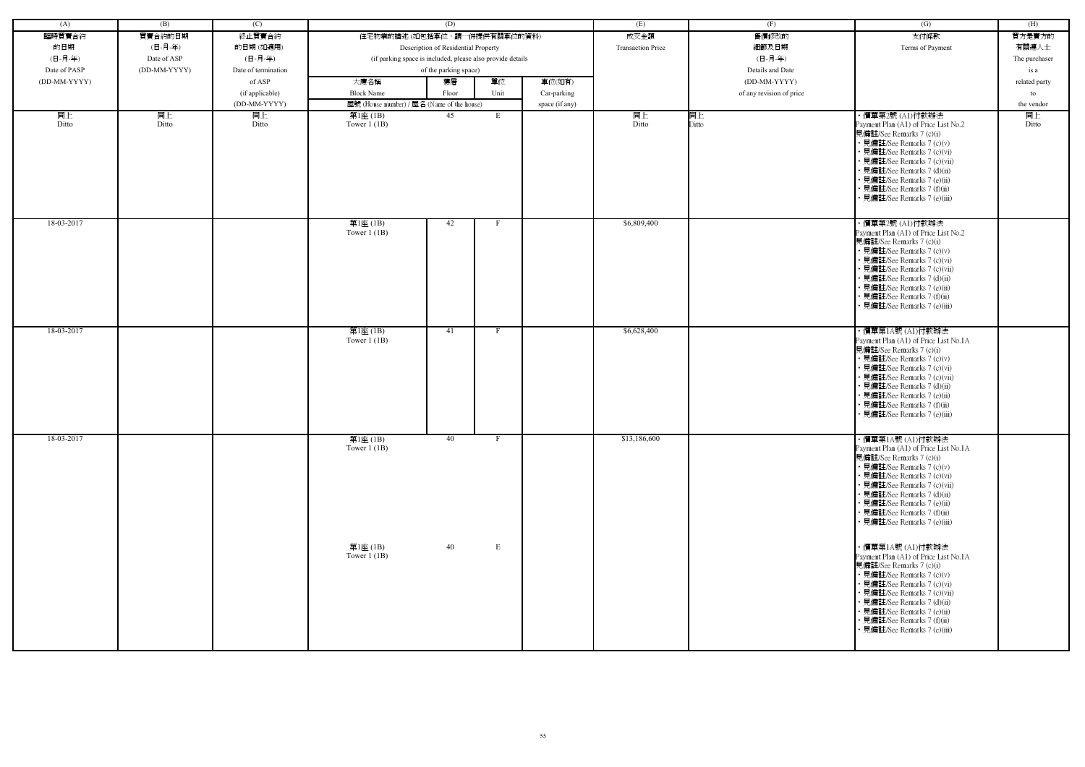| (A)          | (B)          | (C)                 |                                            | (D)                                                        |              |                | (E)                      | (F)                      | (G)                                                                                                                                                                                                                                                                                                             | (H)           |
|--------------|--------------|---------------------|--------------------------------------------|------------------------------------------------------------|--------------|----------------|--------------------------|--------------------------|-----------------------------------------------------------------------------------------------------------------------------------------------------------------------------------------------------------------------------------------------------------------------------------------------------------------|---------------|
| 臨時買賣合約       | 買賣合約的日期      | 終止買賣合約              | 住宅物業的描述 (如包括車位,請一併提供有關車位的資料)               |                                                            |              |                | 成交金額                     | 售價修改的                    | 支付條款                                                                                                                                                                                                                                                                                                            | 買方是賣方的        |
| 的日期          | (日-月-年)      | 的日期(如適用)            |                                            | Description of Residential Property                        |              |                | <b>Transaction Price</b> | 細節及日期                    | Terms of Payment                                                                                                                                                                                                                                                                                                | 有關連人士         |
| (日-月-年)      | Date of ASP  | (日-月-年)             |                                            | (if parking space is included, please also provide details |              |                |                          | (日-月-年)                  |                                                                                                                                                                                                                                                                                                                 | The purchaser |
| Date of PASP | (DD-MM-YYYY) | Date of termination |                                            | of the parking space)                                      |              |                |                          | Details and Date         |                                                                                                                                                                                                                                                                                                                 | is a          |
|              |              | of ASP              |                                            |                                                            |              |                |                          |                          |                                                                                                                                                                                                                                                                                                                 |               |
| (DD-MM-YYYY) |              |                     | 大廈名稱                                       | 樓層                                                         | 單位           | 車位(如有)         |                          | (DD-MM-YYYY)             |                                                                                                                                                                                                                                                                                                                 | related party |
|              |              | (if applicable)     | <b>Block Name</b>                          | Floor                                                      | Unit         | Car-parking    |                          | of any revision of price |                                                                                                                                                                                                                                                                                                                 | to            |
|              |              | (DD-MM-YYYY)        | 屋號 (House number) / 屋名 (Name of the house) |                                                            |              | space (if any) |                          |                          |                                                                                                                                                                                                                                                                                                                 | the vendor    |
| 同上<br>Ditto  | 同上<br>Ditto  | 同上<br>Ditto         | 第1座 (1B)<br>Tower $1$ (1B)                 | 45                                                         | E            |                | 同上<br>Ditto              | 同上<br>Ditto              | ・價單第2號 (A1)付款辦法<br>Payment Plan (A1) of Price List No.2<br>見備註/See Remarks 7 (c)(i)<br>• 見備註/See Remarks 7 (c)(v)<br>• 見備註/See Remarks 7 (c)(vi)<br>· 見備註/See Remarks 7 (c)(vii)<br>• 見備註/See Remarks 7 (d)(ii)<br>• 見備註/See Remarks 7 (e)(ii)<br>• 見備註/See Remarks 7 (f)(ii)<br>• 見備註/See Remarks 7 (e)(iii)   | 同上<br>Ditto   |
| 18-03-2017   |              |                     | 第1座(1B)<br>Tower $1$ (1B)                  | 42                                                         | $\mathbf{F}$ |                | \$6,809,400              |                          | ・價單第2號 (A1)付款辦法<br>Payment Plan (A1) of Price List No.2<br>見備註/See Remarks 7 (c)(i)<br>• 見備註/See Remarks 7 (c)(v)<br>• 見備註/See Remarks 7 (c)(vi)<br>• 見備註/See Remarks 7 (c)(vii)<br>• 見備註/See Remarks 7 (d)(ii)<br>• 見備註/See Remarks 7 (e)(ii)<br>• 見備註/See Remarks 7 (f)(ii)<br>• 見備註/See Remarks 7 (e)(iii)   |               |
| 18-03-2017   |              |                     | 第1座(1B)<br>Tower $1$ (1B)                  | 41                                                         | F            |                | \$6,628,400              |                          | ・價單第1A號 (A1)付款辦法<br>Payment Plan (A1) of Price List No.1A<br>見備註/See Remarks 7 (c)(i)<br>• 見備註/See Remarks 7 (c)(v)<br>• 見備註/See Remarks 7 (c)(vi)<br>• 見備註/See Remarks 7 (c)(vii)<br>• 見備註/See Remarks 7 (d)(ii)<br>• 見備註/See Remarks 7 (e)(ii)<br>• 見備註/See Remarks 7 (f)(ii)<br>· 見備註/See Remarks 7 (e)(iii) |               |
| 18-03-2017   |              |                     | 第1座(1B)<br>Tower $1$ (1B)                  | 40                                                         | F            |                | \$13,186,600             |                          | ・價單第1A號 (A1)付款辦法<br>Payment Plan (A1) of Price List No.1A<br>見備註/See Remarks 7 (c)(i)<br>• 見備註/See Remarks 7 (c)(v)<br>• 見備註/See Remarks 7 (c)(vi)<br>• 見備註/See Remarks 7 (c)(vii)<br>• 見備註/See Remarks 7 (d)(ii)<br>• 見備註/See Remarks 7 (e)(ii)<br>• 見備註/See Remarks 7 (f)(ii)<br>• 見備註/See Remarks 7 (e)(iii) |               |
|              |              |                     | 第1座 (1B)<br>Tower $1$ (1B)                 | 40                                                         | $\mathbf E$  |                |                          |                          | ・價單第1A號 (A1)付款辦法<br>Payment Plan (A1) of Price List No.1A<br>見備註/See Remarks 7 (c)(i)<br>• 見備註/See Remarks 7 (c)(v)<br>• 見備註/See Remarks 7 (c)(vi)<br>• 見備註/See Remarks 7 (c)(vii)<br>• 見備註/See Remarks 7 (d)(ii)<br>• 見備註/See Remarks 7 (e)(ii)<br>• 見備註/See Remarks 7 (f)(ii)<br>• 見備註/See Remarks 7 (e)(iii) |               |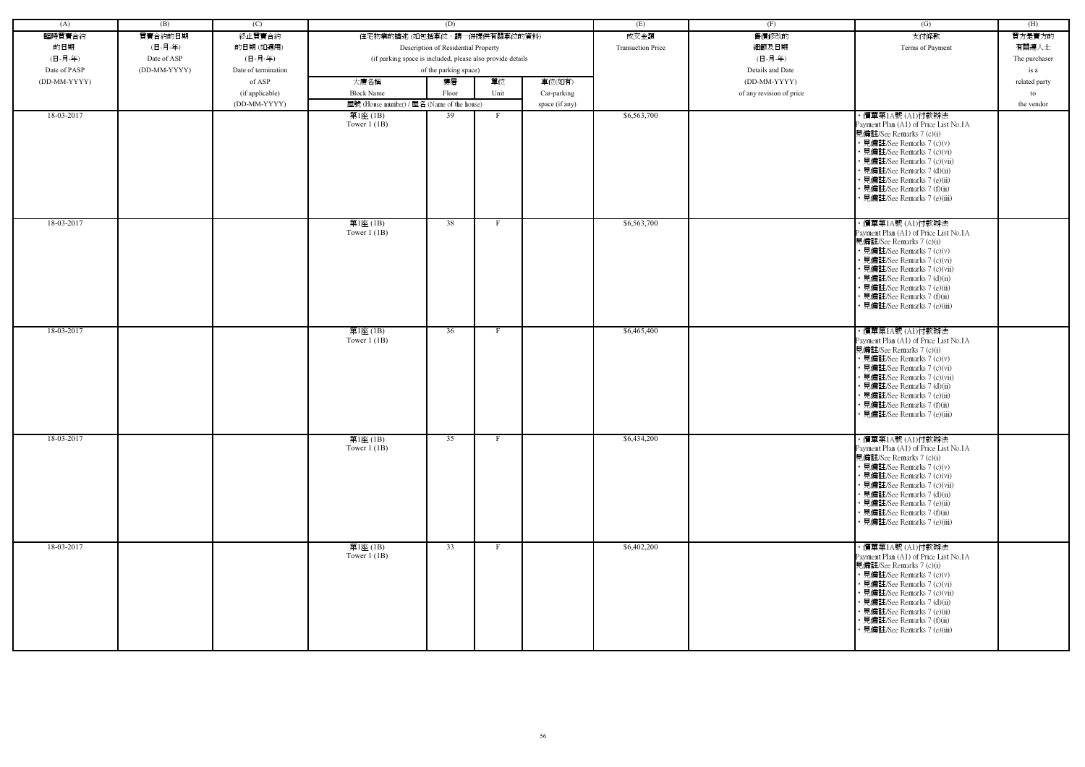| (A)          | (B)          | (C)                 |                                                            | (D)                                 |      |                | (E)                      | (F)                      | (G)                                                                                                                                                                                                                                                                                                             | (H)           |
|--------------|--------------|---------------------|------------------------------------------------------------|-------------------------------------|------|----------------|--------------------------|--------------------------|-----------------------------------------------------------------------------------------------------------------------------------------------------------------------------------------------------------------------------------------------------------------------------------------------------------------|---------------|
| 臨時買賣合約       | 買賣合約的日期      | 終止買賣合約              | 住宅物業的描述 (如包括車位,請一併提供有關車位的資料)                               |                                     |      |                | 成交金額                     | 售價修改的                    | 支付條款                                                                                                                                                                                                                                                                                                            | 買方是賣方的        |
| 的日期          | (日-月-年)      | 的日期(如適用)            |                                                            | Description of Residential Property |      |                | <b>Transaction Price</b> | 細節及日期                    | Terms of Payment                                                                                                                                                                                                                                                                                                | 有關連人士         |
| (日-月-年)      | Date of ASP  | (日-月-年)             | (if parking space is included, please also provide details |                                     |      |                |                          | (日-月-年)                  |                                                                                                                                                                                                                                                                                                                 | The purchaser |
| Date of PASP | (DD-MM-YYYY) | Date of termination |                                                            | of the parking space)               |      |                |                          | Details and Date         |                                                                                                                                                                                                                                                                                                                 | is a          |
| (DD-MM-YYYY) |              | of ASP              | 大廈名稱                                                       | 樓層                                  | 單位   | 車位(如有)         |                          | (DD-MM-YYYY)             |                                                                                                                                                                                                                                                                                                                 | related party |
|              |              | (if applicable)     | <b>Block Name</b>                                          | Floor                               | Unit | Car-parking    |                          | of any revision of price |                                                                                                                                                                                                                                                                                                                 | to            |
|              |              | (DD-MM-YYYY)        | 屋號 (House number) / 屋名 (Name of the house)                 |                                     |      | space (if any) |                          |                          |                                                                                                                                                                                                                                                                                                                 | the vendor    |
| 18-03-2017   |              |                     | 第1座 (1B)                                                   | 39                                  |      |                | \$6,563,700              |                          | ・價單第1A號 (A1)付款辦法                                                                                                                                                                                                                                                                                                |               |
|              |              |                     | Tower $1$ (1B)                                             |                                     |      |                |                          |                          | Payment Plan (A1) of Price List No.1A<br>見備註/See Remarks 7 (c)(i)<br>• 見備註/See Remarks 7 (c)(v)<br>• 見備註/See Remarks 7 (c)(vi)<br>• 見備註/See Remarks 7 (c)(vii)<br>• 見備註/See Remarks 7 (d)(ii)<br>• 見備註/See Remarks 7 (e)(ii)<br>• 見備註/See Remarks 7 (f)(ii)<br>見備註/See Remarks 7 (e)(iii)                       |               |
| 18-03-2017   |              |                     | 第1座(1B)<br>Tower $1$ (1B)                                  | 38                                  | F    |                | \$6,563,700              |                          | ・價單第1A號 (A1)付款辦法<br>Payment Plan (A1) of Price List No.1A<br>見備註/See Remarks 7 (c)(i)<br>• 見備註/See Remarks 7 (c)(v)<br>• 見備註/See Remarks 7 (c)(vi)<br>• 見備註/See Remarks 7 (c)(vii)<br>• 見備註/See Remarks 7 (d)(ii)<br>· 見備註/See Remarks 7 (e)(ii)<br>• 見備註/See Remarks 7 (f)(ii)<br>• 見備註/See Remarks 7 (e)(iii) |               |
| 18-03-2017   |              |                     | 第1座(1B)<br>Tower $1$ (1B)                                  | 36                                  |      |                | \$6,465,400              |                          | ・價單第1A號 (A1)付款辦法<br>Payment Plan (A1) of Price List No.1A<br>見備註/See Remarks 7 (c)(i)<br>• 見備註/See Remarks 7 (c)(v)<br>• 見備註/See Remarks 7 (c)(vi)<br>• 見備註/See Remarks 7 (c)(vii)<br>• 見備註/See Remarks 7 (d)(ii)<br>· 見備註/See Remarks 7 (e)(ii)<br>• 見備註/See Remarks 7 (f)(ii)<br>• 見備註/See Remarks 7 (e)(iii) |               |
| 18-03-2017   |              |                     | 第1座(1B)<br>Tower $1$ (1B)                                  | 35                                  |      |                | \$6,434,200              |                          | ・價單第1A號 (A1)付款辦法<br>Payment Plan (A1) of Price List No.1A<br>見備註/See Remarks 7 (c)(i)<br>• 見備註/See Remarks 7 (c)(v)<br>• 見備註/See Remarks 7 (c)(vi)<br>• 見備註/See Remarks 7 (c)(vii)<br>• 見備註/See Remarks 7 (d)(ii)<br>• 見備註/See Remarks 7 (e)(ii)<br>• 見備註/See Remarks 7 (f)(ii)<br>• 見備註/See Remarks 7 (e)(iii) |               |
| 18-03-2017   |              |                     | 第1座(1B)<br>Tower $1$ (1B)                                  | 33                                  |      |                | \$6,402,200              |                          | ・價單第1A號 (A1)付款辦法<br>Payment Plan (A1) of Price List No.1A<br>見備註/See Remarks 7 (c)(i)<br>• 見備註/See Remarks 7 (c)(v)<br>• 見備註/See Remarks 7 (c)(vi)<br>• 見備註/See Remarks 7 (c)(vii)<br>• 見備註/See Remarks 7 (d)(ii)<br>• 見備註/See Remarks 7 (e)(ii)<br>• 見備註/See Remarks 7 (f)(ii)<br>• 見備註/See Remarks 7 (e)(iii) |               |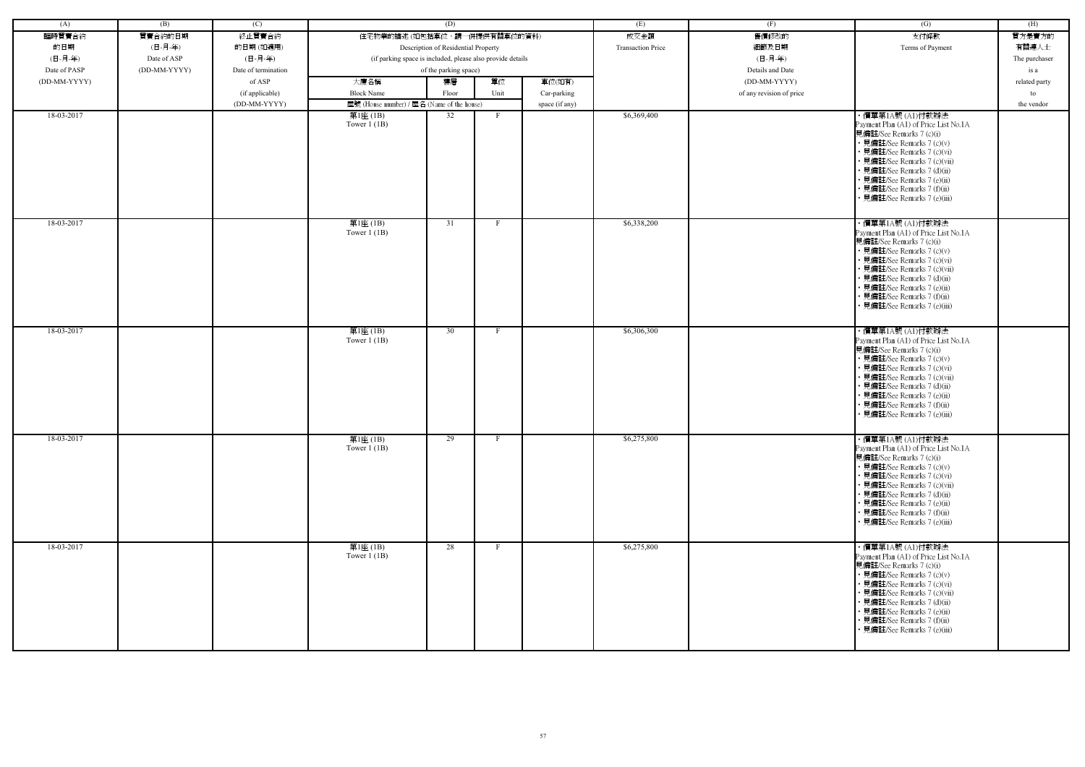| (A)          | (B)          | (C)                 |                                                            | (D)                                 |      |                | (E)                      | (F)                      | (G)                                                                                                                                                                                                                                                                                                             | (H)           |
|--------------|--------------|---------------------|------------------------------------------------------------|-------------------------------------|------|----------------|--------------------------|--------------------------|-----------------------------------------------------------------------------------------------------------------------------------------------------------------------------------------------------------------------------------------------------------------------------------------------------------------|---------------|
| 臨時買賣合約       | 買賣合約的日期      | 終止買賣合約              | 住宅物業的描述 (如包括車位,請一併提供有關車位的資料)                               |                                     |      |                | 成交金額                     | 售價修改的                    | 支付條款                                                                                                                                                                                                                                                                                                            | 買方是賣方的        |
| 的日期          | (日-月-年)      | 的日期(如適用)            |                                                            | Description of Residential Property |      |                | <b>Transaction Price</b> | 細節及日期                    | Terms of Payment                                                                                                                                                                                                                                                                                                | 有關連人士         |
| (日-月-年)      | Date of ASP  | (日-月-年)             | (if parking space is included, please also provide details |                                     |      |                |                          | (日-月-年)                  |                                                                                                                                                                                                                                                                                                                 | The purchaser |
| Date of PASP | (DD-MM-YYYY) | Date of termination |                                                            | of the parking space)               |      |                |                          | Details and Date         |                                                                                                                                                                                                                                                                                                                 | is a          |
| (DD-MM-YYYY) |              | of ASP              | 大廈名稱                                                       | 樓層                                  | 單位   | 車位(如有)         |                          | (DD-MM-YYYY)             |                                                                                                                                                                                                                                                                                                                 | related party |
|              |              | (if applicable)     | <b>Block Name</b>                                          | Floor                               | Unit | Car-parking    |                          | of any revision of price |                                                                                                                                                                                                                                                                                                                 | to            |
|              |              | (DD-MM-YYYY)        | 屋號 (House number) / 屋名 (Name of the house)                 |                                     |      | space (if any) |                          |                          |                                                                                                                                                                                                                                                                                                                 | the vendor    |
| 18-03-2017   |              |                     | 第1座 (1B)                                                   | 32                                  |      |                | \$6,369,400              |                          | ・價單第1A號 (A1)付款辦法                                                                                                                                                                                                                                                                                                |               |
|              |              |                     | Tower $1$ (1B)                                             |                                     |      |                |                          |                          | Payment Plan (A1) of Price List No.1A<br>見備註/See Remarks 7 (c)(i)<br>• 見備註/See Remarks 7 (c)(v)<br>• 見備註/See Remarks 7 (c)(vi)<br>• 見備註/See Remarks 7 (c)(vii)<br>• 見備註/See Remarks 7 (d)(ii)<br>• 見備註/See Remarks 7 (e)(ii)<br>• 見備註/See Remarks 7 (f)(ii)<br>見備註/See Remarks 7 (e)(iii)                       |               |
| 18-03-2017   |              |                     | 第1座(1B)<br>Tower $1$ (1B)                                  | 31                                  | F    |                | \$6,338,200              |                          | ・價單第1A號 (A1)付款辦法<br>Payment Plan (A1) of Price List No.1A<br>見備註/See Remarks 7 (c)(i)<br>• 見備註/See Remarks 7 (c)(v)<br>• 見備註/See Remarks 7 (c)(vi)<br>• 見備註/See Remarks 7 (c)(vii)<br>• 見備註/See Remarks 7 (d)(ii)<br>· 見備註/See Remarks 7 (e)(ii)<br>• 見備註/See Remarks 7 (f)(ii)<br>• 見備註/See Remarks 7 (e)(iii) |               |
| 18-03-2017   |              |                     | 第1座(1B)<br>Tower $1$ (1B)                                  | 30                                  |      |                | \$6,306,300              |                          | ・價單第1A號 (A1)付款辦法<br>Payment Plan (A1) of Price List No.1A<br>見備註/See Remarks 7 (c)(i)<br>• 見備註/See Remarks 7 (c)(v)<br>• 見備註/See Remarks 7 (c)(vi)<br>• 見備註/See Remarks 7 (c)(vii)<br>• 見備註/See Remarks 7 (d)(ii)<br>· 見備註/See Remarks 7 (e)(ii)<br>• 見備註/See Remarks 7 (f)(ii)<br>• 見備註/See Remarks 7 (e)(iii) |               |
| 18-03-2017   |              |                     | 第1座(1B)<br>Tower $1$ (1B)                                  | 29                                  |      |                | \$6,275,800              |                          | ・價單第1A號 (A1)付款辦法<br>Payment Plan (A1) of Price List No.1A<br>見備註/See Remarks 7 (c)(i)<br>• 見備註/See Remarks 7 (c)(v)<br>• 見備註/See Remarks 7 (c)(vi)<br>• 見備註/See Remarks 7 (c)(vii)<br>• 見備註/See Remarks 7 (d)(ii)<br>• 見備註/See Remarks 7 (e)(ii)<br>• 見備註/See Remarks 7 (f)(ii)<br>• 見備註/See Remarks 7 (e)(iii) |               |
| 18-03-2017   |              |                     | 第1座(1B)<br>Tower $1$ (1B)                                  | 28                                  |      |                | \$6,275,800              |                          | ・價單第1A號 (A1)付款辦法<br>Payment Plan (A1) of Price List No.1A<br>見備註/See Remarks 7 (c)(i)<br>• 見備註/See Remarks 7 (c)(v)<br>• 見備註/See Remarks 7 (c)(vi)<br>• 見備註/See Remarks 7 (c)(vii)<br>• 見備註/See Remarks 7 (d)(ii)<br>• 見備註/See Remarks 7 (e)(ii)<br>• 見備註/See Remarks 7 (f)(ii)<br>• 見備註/See Remarks 7 (e)(iii) |               |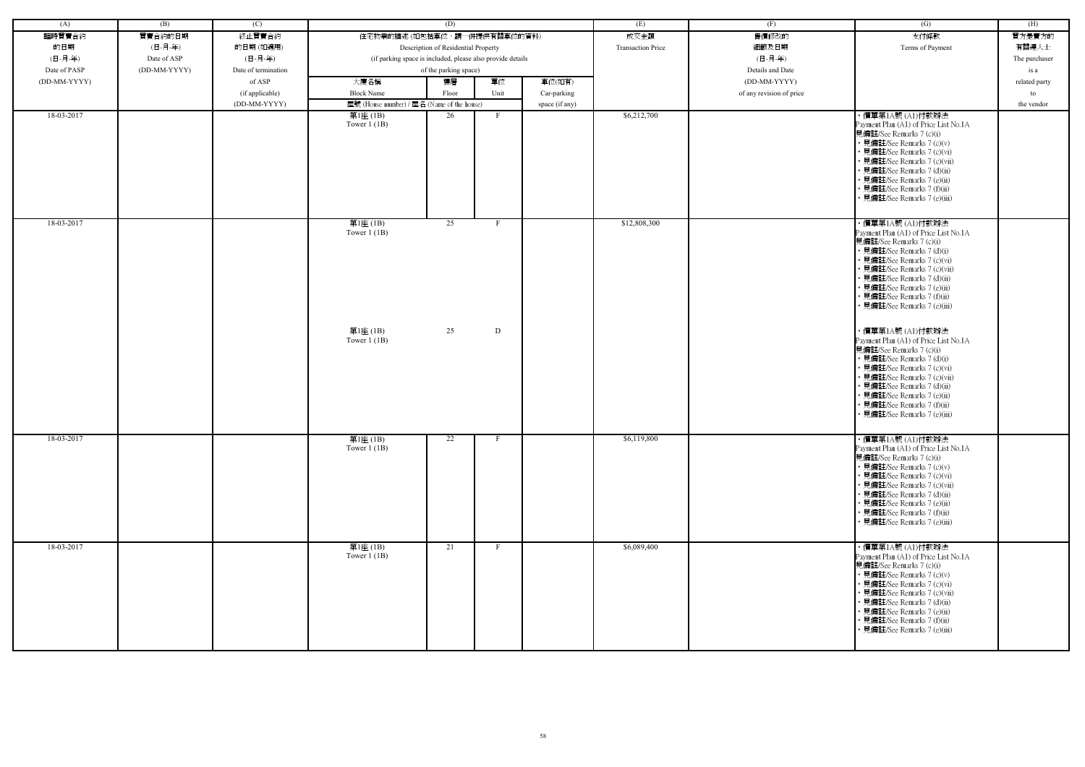| (A)          | (B)          | (C)                 |                                                            | (D)                                 |              |                | (E)                      | (F)                      | (G)                                                                                                                                                                                                                                                                                                                                 | (H)           |
|--------------|--------------|---------------------|------------------------------------------------------------|-------------------------------------|--------------|----------------|--------------------------|--------------------------|-------------------------------------------------------------------------------------------------------------------------------------------------------------------------------------------------------------------------------------------------------------------------------------------------------------------------------------|---------------|
| 臨時買賣合約       | 買賣合約的日期      | 終止買賣合約              | 住宅物業的描述 (如包括車位,請一併提供有關車位的資料)                               |                                     |              |                | 成交金額                     | 售價修改的                    | 支付條款                                                                                                                                                                                                                                                                                                                                | 買方是賣方的        |
| 的日期          | (日-月-年)      | 的日期(如適用)            |                                                            | Description of Residential Property |              |                | <b>Transaction Price</b> | 細節及日期                    | Terms of Payment                                                                                                                                                                                                                                                                                                                    | 有關連人士         |
| (日-月-年)      | Date of ASP  | (日-月-年)             | (if parking space is included, please also provide details |                                     |              |                |                          | (日-月-年)                  |                                                                                                                                                                                                                                                                                                                                     | The purchaser |
| Date of PASP | (DD-MM-YYYY) | Date of termination |                                                            | of the parking space)               |              |                |                          | Details and Date         |                                                                                                                                                                                                                                                                                                                                     | is a          |
| (DD-MM-YYYY) |              | of ASP              | 大廈名稱                                                       | 樓層                                  | 單位           | 車位(如有)         |                          | (DD-MM-YYYY)             |                                                                                                                                                                                                                                                                                                                                     | related party |
|              |              | (if applicable)     | <b>Block Name</b>                                          | Floor                               | Unit         | Car-parking    |                          | of any revision of price |                                                                                                                                                                                                                                                                                                                                     | to            |
|              |              | (DD-MM-YYYY)        | 屋號 (House number) / 屋名 (Name of the house)                 |                                     |              | space (if any) |                          |                          |                                                                                                                                                                                                                                                                                                                                     | the vendor    |
| 18-03-2017   |              |                     | 第1座 (1B)                                                   | 26                                  | F            |                | \$6,212,700              |                          | ・價單第1A號 (A1)付款辦法                                                                                                                                                                                                                                                                                                                    |               |
|              |              |                     | Tower $1$ (1B)                                             |                                     |              |                |                          |                          | Payment Plan (A1) of Price List No.1A<br>見備註/See Remarks 7 (c)(i)<br>• 見備註/See Remarks 7 (c)(v)<br>• 見備註/See Remarks 7 (c)(vi)<br>• 見備註/See Remarks 7 (c)(vii)<br>· 見備註/See Remarks 7 (d)(ii)<br>• 見備註/See Remarks 7 (e)(ii)<br>• 見備註/See Remarks 7 (f)(ii)<br>• 見備註/See Remarks 7 (e)(iii)                                         |               |
| 18-03-2017   |              |                     | 第1座(1B)<br>Tower $1(1B)$<br>第1座(1B)                        | 25<br>25                            | F<br>D       |                | \$12,808,300             |                          | ・價單第1A號 (A1)付款辦法<br>Payment Plan (A1) of Price List No.1A<br>見備註/See Remarks 7 (c)(i)<br>• 見備註/See Remarks 7 (d)(i)<br>• 見備註/See Remarks 7 (c)(vi)<br>· 見備註/See Remarks 7 (c)(vii)<br>• 見備註/See Remarks 7 (d)(ii)<br>• 見備註/See Remarks 7 (e)(ii)<br>• 見備註/See Remarks 7 (f)(ii)<br>• 見備註/See Remarks 7 (e)(iii)<br>・價單第1A號 (A1)付款辦法 |               |
|              |              |                     | Tower $1$ (1B)                                             |                                     |              |                |                          |                          | Payment Plan (A1) of Price List No.1A<br>見備註/See Remarks 7 (c)(i)<br>• 見備註/See Remarks 7 (d)(i)<br>• 見備註/See Remarks 7 (c)(vi)<br>• 見備註/See Remarks 7 (c)(vii)<br>• 見備註/See Remarks 7 (d)(ii)<br>• 見備註/See Remarks 7 (e)(ii)<br>• 見備註/See Remarks 7 (f)(ii)<br>• 見備註/See Remarks 7 (e)(iii)                                         |               |
| 18-03-2017   |              |                     | 第1座(1B)<br>Tower $1$ (1B)                                  | 22                                  |              |                | \$6,119,800              |                          | ・價單第1A號 (A1)付款辦法<br>Payment Plan (A1) of Price List No.1A<br>見備註/See Remarks 7 (c)(i)<br>• 見備註/See Remarks 7 (c)(v)<br>• 見備註/See Remarks 7 (c)(vi)<br>• 見備註/See Remarks 7 (c)(vii)<br>• 見備註/See Remarks 7 (d)(ii)<br>• 見備註/See Remarks 7 (e)(ii)<br>• 見備註/See Remarks 7 (f)(ii)<br>• 見備註/See Remarks 7 (e)(iii)                     |               |
| 18-03-2017   |              |                     | 第1座(1B)<br>Tower $1$ (1B)                                  | 21                                  | $\mathbf{F}$ |                | \$6,089,400              |                          | ・價單第1A號 (A1)付款辦法<br>Payment Plan (A1) of Price List No.1A<br>見備註/See Remarks 7 (c)(i)<br>• 見備註/See Remarks 7 (c)(v)<br>• 見備註/See Remarks 7 (c)(vi)<br>• 見備註/See Remarks 7 (c)(vii)<br>• 見備註/See Remarks 7 (d)(ii)<br>• 見備註/See Remarks 7 (e)(ii)<br>• 見備註/See Remarks 7 (f)(ii)<br>· 見備註/See Remarks 7 (e)(iii)                     |               |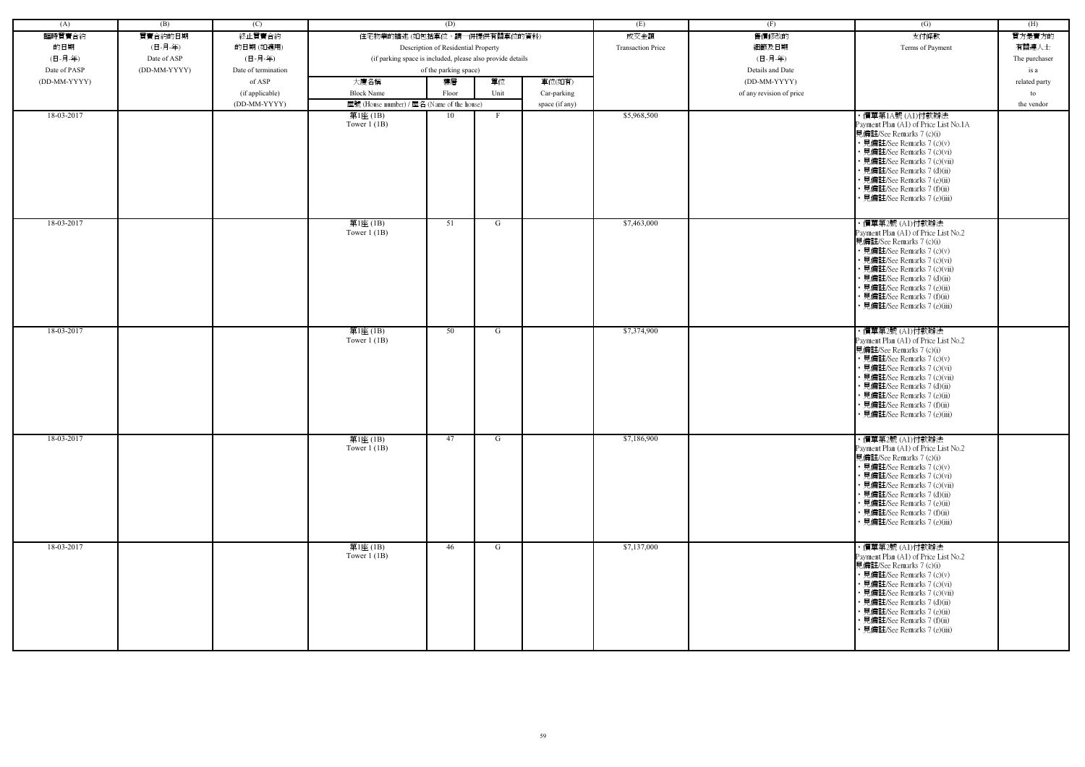| (A)          | (B)          | (C)                 |                                                            | (D)                                 |      |                | (E)                      | (F)                      | (G)                                                                                                                                                                                                                                                                                                           | (H)           |
|--------------|--------------|---------------------|------------------------------------------------------------|-------------------------------------|------|----------------|--------------------------|--------------------------|---------------------------------------------------------------------------------------------------------------------------------------------------------------------------------------------------------------------------------------------------------------------------------------------------------------|---------------|
| 臨時買賣合約       | 買賣合約的日期      | 終止買賣合約              | 住宅物業的描述(如包括車位,請一併提供有關車位的資料)                                |                                     |      |                | 成交金額                     | 售價修改的                    | 支付條款                                                                                                                                                                                                                                                                                                          | 買方是賣方的        |
| 的日期          | (日-月-年)      | 的日期(如適用)            |                                                            | Description of Residential Property |      |                | <b>Transaction Price</b> | 細節及日期                    | Terms of Payment                                                                                                                                                                                                                                                                                              | 有關連人士         |
| (日-月-年)      | Date of ASP  | (日-月-年)             | (if parking space is included, please also provide details |                                     |      |                |                          | (日-月-年)                  |                                                                                                                                                                                                                                                                                                               | The purchaser |
| Date of PASP | (DD-MM-YYYY) | Date of termination |                                                            | of the parking space)               |      |                |                          | Details and Date         |                                                                                                                                                                                                                                                                                                               | is a          |
| (DD-MM-YYYY) |              | of ASP              | 大廈名稱                                                       | 樓層                                  | 單位   | 車位(如有)         |                          | (DD-MM-YYYY)             |                                                                                                                                                                                                                                                                                                               | related party |
|              |              | (if applicable)     | <b>Block Name</b>                                          | Floor                               | Unit | Car-parking    |                          | of any revision of price |                                                                                                                                                                                                                                                                                                               | to            |
|              |              | (DD-MM-YYYY)        | 屋號 (House number) / 屋名 (Name of the house)                 |                                     |      | space (if any) |                          |                          |                                                                                                                                                                                                                                                                                                               | the vendor    |
| 18-03-2017   |              |                     | 第1座(1B)                                                    | 10                                  |      |                | \$5,968,500              |                          | ・價單第1A號 (A1)付款辦法                                                                                                                                                                                                                                                                                              |               |
|              |              |                     | Tower $1$ (1B)                                             |                                     |      |                |                          |                          | Payment Plan (A1) of Price List No.1A<br>見備註/See Remarks 7 (c)(i)<br>• 見備註/See Remarks 7 (c)(v)<br>• 見備註/See Remarks 7 (c)(vi)<br>• 見備註/See Remarks 7 (c)(vii)<br>• 見備註/See Remarks 7 (d)(ii)<br>• 見備註/See Remarks 7 (e)(ii)<br>• 見備註/See Remarks 7 (f)(ii)<br>• 見備註/See Remarks 7 (e)(iii)                   |               |
| 18-03-2017   |              |                     | 第1座(1B)<br>Tower $1$ (1B)                                  | 51                                  | G    |                | \$7,463,000              |                          | ・價單第2號 (A1)付款辦法<br>Payment Plan (A1) of Price List No.2<br>見備註/See Remarks 7 (c)(i)<br>• 見備註/See Remarks 7 (c)(v)<br>• 見備註/See Remarks 7 (c)(vi)<br>• 見備註/See Remarks 7 (c)(vii)<br>• 見備註/See Remarks 7 (d)(ii)<br>• 見備註/See Remarks 7 (e)(ii)<br>• 見備註/See Remarks 7 (f)(ii)<br>• 見備註/See Remarks 7 (e)(iii) |               |
| 18-03-2017   |              |                     | 第1座(1B)<br>Tower $1$ (1B)                                  | 50                                  | G    |                | \$7,374,900              |                          | ・價單第2號 (A1)付款辦法<br>Payment Plan (A1) of Price List No.2<br>見備註/See Remarks 7 (c)(i)<br>• 見備註/See Remarks 7 (c)(v)<br>• 見備註/See Remarks 7 (c)(vi)<br>• 見備註/See Remarks 7 (c)(vii)<br>• 見備註/See Remarks 7 (d)(ii)<br>• 見備註/See Remarks 7 (e)(ii)<br>• 見備註/See Remarks 7 (f)(ii)<br>見備註/See Remarks 7 (e)(iii)   |               |
| 18-03-2017   |              |                     | 第1座(1B)<br>Tower $1$ (1B)                                  | 47                                  | G    |                | \$7,186,900              |                          | ・價單第2號 (A1)付款辦法<br>Payment Plan (A1) of Price List No.2<br>見備註/See Remarks 7 (c)(i)<br>• 見備註/See Remarks 7 (c)(v)<br>• 見備註/See Remarks 7 (c)(vi)<br>• 見備註/See Remarks 7 (c)(vii)<br>• 見備註/See Remarks 7 (d)(ii)<br>• 見備註/See Remarks 7 (e)(ii)<br>• 見備註/See Remarks 7 (f)(ii)<br>• 見備註/See Remarks 7 (e)(iii) |               |
| 18-03-2017   |              |                     | 第1座(1B)<br>Tower $1$ (1B)                                  | 46                                  | G    |                | \$7,137,000              |                          | ・價單第2號 (A1)付款辦法<br>Payment Plan (A1) of Price List No.2<br>見備註/See Remarks 7 (c)(i)<br>• 見備註/See Remarks 7 (c)(v)<br>• 見備註/See Remarks 7 (c)(vi)<br>• 見備註/See Remarks 7 (c)(vii)<br>• 見備註/See Remarks 7 (d)(ii)<br>• 見備註/See Remarks 7 (e)(ii)<br>• 見備註/See Remarks 7 (f)(ii)<br>• 見備註/See Remarks 7 (e)(iii) |               |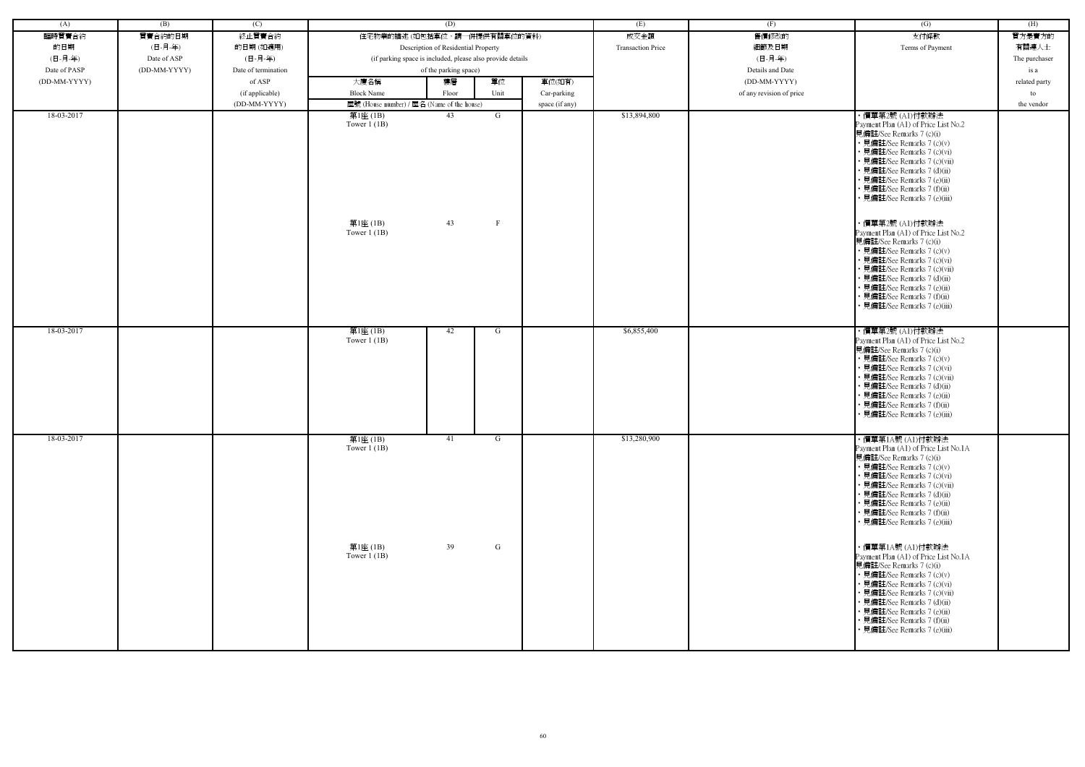| (A)          | (B)          | (C)                 |                                                         | (D)                                                        |                   |                | (E)                      | (F)                      | $\overline{(G)}$                                                                                                                                                                                                                                                                                                                                                                                                                                                                                                                                                                                                               | (H)           |
|--------------|--------------|---------------------|---------------------------------------------------------|------------------------------------------------------------|-------------------|----------------|--------------------------|--------------------------|--------------------------------------------------------------------------------------------------------------------------------------------------------------------------------------------------------------------------------------------------------------------------------------------------------------------------------------------------------------------------------------------------------------------------------------------------------------------------------------------------------------------------------------------------------------------------------------------------------------------------------|---------------|
| 臨時買賣合約       | 買賣合約的日期      | 終止買賣合約              | 住宅物業的描述 (如包括車位,請一併提供有關車位的資料)                            |                                                            |                   |                | 成交金額                     | 售價修改的                    | 支付條款                                                                                                                                                                                                                                                                                                                                                                                                                                                                                                                                                                                                                           | 買方是賣方的        |
| 的日期          | (日-月-年)      | 的日期(如適用)            |                                                         | Description of Residential Property                        |                   |                | <b>Transaction Price</b> | 細節及日期                    | Terms of Payment                                                                                                                                                                                                                                                                                                                                                                                                                                                                                                                                                                                                               | 有關連人士         |
| (日-月-年)      | Date of ASP  | (日-月-年)             |                                                         | (if parking space is included, please also provide details |                   |                |                          | (日-月-年)                  |                                                                                                                                                                                                                                                                                                                                                                                                                                                                                                                                                                                                                                | The purchaser |
| Date of PASP | (DD-MM-YYYY) | Date of termination |                                                         | of the parking space)                                      |                   |                |                          | Details and Date         |                                                                                                                                                                                                                                                                                                                                                                                                                                                                                                                                                                                                                                | is a          |
| (DD-MM-YYYY) |              | of ASP              | 大廈名稱                                                    | 樓層                                                         | 單位                | 車位(如有)         |                          | (DD-MM-YYYY)             |                                                                                                                                                                                                                                                                                                                                                                                                                                                                                                                                                                                                                                | related party |
|              |              | (if applicable)     | <b>Block Name</b>                                       | Floor                                                      | Unit              | Car-parking    |                          | of any revision of price |                                                                                                                                                                                                                                                                                                                                                                                                                                                                                                                                                                                                                                | to            |
|              |              | (DD-MM-YYYY)        | 屋號 (House number) / 屋名 (Name of the house)              |                                                            |                   | space (if any) |                          |                          |                                                                                                                                                                                                                                                                                                                                                                                                                                                                                                                                                                                                                                | the vendor    |
| 18-03-2017   |              |                     | 第1座 (1B)<br>Tower $1$ (1B)<br>第1座(1B)<br>Tower $1$ (1B) | 43<br>43                                                   | G<br>$\mathbf{F}$ |                | \$13,894,800             |                          | ・價單第2號 (A1)付款辦法<br>Payment Plan (A1) of Price List No.2<br>見備註/See Remarks 7 (c)(i)<br>• 見備註/See Remarks 7 (c)(v)<br>• 見備註/See Remarks 7 (c)(vi)<br>• 見備註/See Remarks 7 (c)(vii)<br>• 見備註/See Remarks 7 (d)(ii)<br>• 見備註/See Remarks 7 (e)(ii)<br>• 見備註/See Remarks 7 (f)(ii)<br>• 見備註/See Remarks 7 (e)(iii)<br>・價單第2號 (A1)付款辦法<br>Payment Plan (A1) of Price List No.2<br>見備註/See Remarks 7 (c)(i)<br>• 見備註/See Remarks 7 (c)(v)<br>• 見備註/See Remarks 7 (c)(vi)<br>• 見備註/See Remarks 7 (c)(vii)<br>• 見備註/See Remarks 7 (d)(ii)<br>• 見備註/See Remarks 7 (e)(ii)<br>• 見備註/See Remarks 7 (f)(ii)<br>· 見備註/See Remarks 7 (e)(iii) |               |
| 18-03-2017   |              |                     | 第1座(1B)<br>Tower $1$ (1B)                               | 42                                                         | G                 |                | \$6,855,400              |                          | ・價單第2號 (A1)付款辦法<br>Payment Plan (A1) of Price List No.2<br>見備註/See Remarks 7 (c)(i)<br>• 見備註/See Remarks 7 (c)(v)<br>• 見備註/See Remarks 7 (c)(vi)<br>· 見備註/See Remarks 7 (c)(vii)<br>• 見備註/See Remarks 7 (d)(ii)<br>• 見備註/See Remarks 7 (e)(ii)<br>· 見備註/See Remarks 7 (f)(ii)<br>• 見備註/See Remarks 7 (e)(iii)                                                                                                                                                                                                                                                                                                                  |               |
| 18-03-2017   |              |                     | 第1座(1B)<br>Tower $1$ (1B)                               | 41                                                         | G                 |                | \$13,280,900             |                          | ・價單第1A號 (A1)付款辦法<br>Payment Plan (A1) of Price List No.1A<br>見備註/See Remarks 7 (c)(i)<br>• 見備註/See Remarks 7 (c)(v)<br>• 見備註/See Remarks 7 (c)(vi)<br>• 見備註/See Remarks 7 (c)(vii)<br>• 見備註/See Remarks 7 (d)(ii)<br>• 見備註/See Remarks 7 (e)(ii)<br>• 見備註/See Remarks 7 (f)(ii)<br>• 見備註/See Remarks 7 (e)(iii)                                                                                                                                                                                                                                                                                                                |               |
|              |              |                     | 第1座 (1B)<br>Tower $1$ (1B)                              | 39                                                         | $\mathsf G$       |                |                          |                          | ・價單第1A號 (A1)付款辦法<br>Payment Plan (A1) of Price List No.1A<br>見備註/See Remarks 7 (c)(i)<br>• 見備註/See Remarks 7 (c)(v)<br>• 見備註/See Remarks 7 (c)(vi)<br>• 見備註/See Remarks 7 (c)(vii)<br>• 見備註/See Remarks 7 (d)(ii)<br>• 見備註/See Remarks 7 (e)(ii)<br>• 見備註/See Remarks 7 (f)(ii)<br>• 見備註/See Remarks 7 (e)(iii)                                                                                                                                                                                                                                                                                                                |               |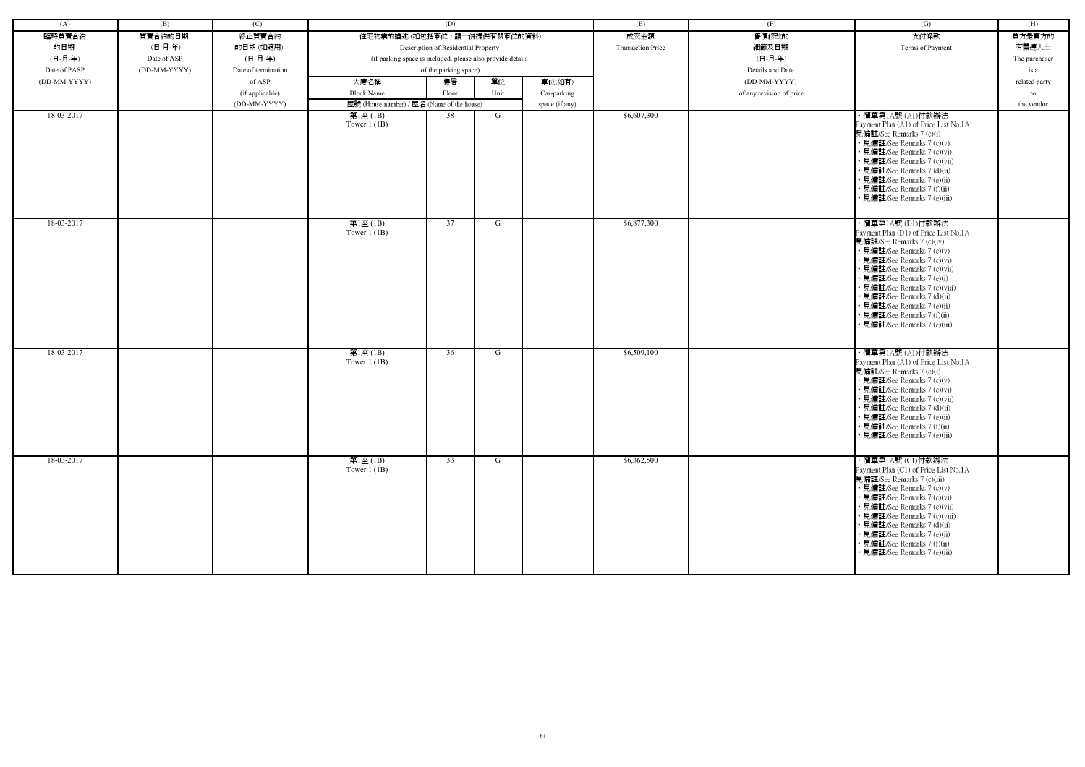| (A)          | (B)          | (C)                 |                                                            | (D)                                 |      |                | (E)                      | (F)                      | (G)                                                                                                                                                                                                                                                                                                                                                                             | (H)           |
|--------------|--------------|---------------------|------------------------------------------------------------|-------------------------------------|------|----------------|--------------------------|--------------------------|---------------------------------------------------------------------------------------------------------------------------------------------------------------------------------------------------------------------------------------------------------------------------------------------------------------------------------------------------------------------------------|---------------|
| 臨時買賣合約       | 買賣合約的日期      | 終止買賣合約              | 住宅物業的描述 (如包括車位,請一併提供有關車位的資料)                               |                                     |      |                | 成交金額                     | 售價修改的                    | 支付條款                                                                                                                                                                                                                                                                                                                                                                            | 買方是賣方的        |
|              | (日-月-年)      |                     |                                                            |                                     |      |                | <b>Transaction Price</b> |                          |                                                                                                                                                                                                                                                                                                                                                                                 | 有關連人士         |
| 的日期          |              | 的日期(如適用)            |                                                            | Description of Residential Property |      |                |                          | 細節及日期                    | Terms of Payment                                                                                                                                                                                                                                                                                                                                                                |               |
| (日-月-年)      | Date of ASP  | (日-月-年)             | (if parking space is included, please also provide details |                                     |      |                |                          | (日-月-年)                  |                                                                                                                                                                                                                                                                                                                                                                                 | The purchaser |
| Date of PASP | (DD-MM-YYYY) | Date of termination |                                                            | of the parking space)               |      |                |                          | Details and Date         |                                                                                                                                                                                                                                                                                                                                                                                 | is a          |
| (DD-MM-YYYY) |              | of ASP              | 大廈名稱                                                       | 樓層                                  | 單位   | 車位(如有)         |                          | (DD-MM-YYYY)             |                                                                                                                                                                                                                                                                                                                                                                                 | related party |
|              |              | (if applicable)     | <b>Block Name</b>                                          | Floor                               | Unit | Car-parking    |                          | of any revision of price |                                                                                                                                                                                                                                                                                                                                                                                 | to            |
|              |              | (DD-MM-YYYY)        | 屋號 (House number) / 屋名 (Name of the house)                 |                                     |      | space (if any) |                          |                          |                                                                                                                                                                                                                                                                                                                                                                                 | the vendor    |
| 18-03-2017   |              |                     | 第1座(1B)<br>Tower $1$ (1B)                                  | 38                                  | G    |                | \$6,607,300              |                          | ・價單第1A號 (A1)付款辦法<br>Payment Plan (A1) of Price List No.1A<br>見備註/See Remarks 7 (c)(i)<br>• 見備註/See Remarks 7 (c)(v)<br>• 見備註/See Remarks 7 (c)(vi)<br>· 見備註/See Remarks 7 (c)(vii)<br>• 見備註/See Remarks 7 (d)(ii)<br>• 見備註/See Remarks 7 (e)(ii)<br>• 見備註/See Remarks 7 (f)(ii)<br>• 見備註/See Remarks 7 (e)(iii)                                                                 |               |
| 18-03-2017   |              |                     | 第1座(1B)<br>Tower $1$ (1B)                                  | 37                                  | G    |                | \$6,877,300              |                          | ・價單第1A號 (D1)付款辦法<br>Payment Plan (D1) of Price List No.1A<br>見備註/See Remarks 7 (c)(iv)<br>• 見備註/See Remarks 7 (c)(v)<br>• 見備註/See Remarks 7 (c)(vi)<br>• 見備註/See Remarks 7 (c)(vii)<br>• 見備註/See Remarks 7 (e)(i)<br>• 見備註/See Remarks 7 (c)(viii)<br>• 見備註/See Remarks 7 (d)(ii)<br>• 見備註/See Remarks 7 (e)(ii)<br>• 見備註/See Remarks 7 (f)(ii)<br>• 見備註/See Remarks 7 (e)(iii) |               |
| 18-03-2017   |              |                     | 第1座(1B)<br>Tower $1$ (1B)                                  | 36                                  | G    |                | \$6,509,100              |                          | ・價單第1A號 (A1)付款辦法<br>Payment Plan (A1) of Price List No.1A<br>見備註/See Remarks 7 (c)(i)<br>• 見備註/See Remarks 7 (c)(v)<br>• 見備註/See Remarks 7 (c)(vi)<br>• 見備註/See Remarks 7 (c)(vii)<br>• 見備註/See Remarks 7 (d)(ii)<br>• 見備註/See Remarks 7 (e)(ii)<br>• 見備註/See Remarks 7 (f)(ii)<br>• 見備註/See Remarks 7 (e)(iii)                                                                 |               |
| 18-03-2017   |              |                     | 第1座(1B)<br>Tower $1$ (1B)                                  | 33                                  | G    |                | \$6,362,500              |                          | ・價單第1A號 (C1)付款辦法<br>Payment Plan (C1) of Price List No.1A<br>見備註/See Remarks 7 (c)(iii)<br>• 見備註/See Remarks 7 (c)(v)<br>• 見備註/See Remarks 7 (c)(vi)<br>• 見備註/See Remarks 7 (c)(vii)<br>• 見備註/See Remarks 7 (c)(viii)<br>• 見備註/See Remarks 7 (d)(ii)<br>• 見備註/See Remarks 7 (e)(ii)<br>• 見備註/See Remarks 7 (f)(ii)<br>• 見備註/See Remarks 7 (e)(iii)                              |               |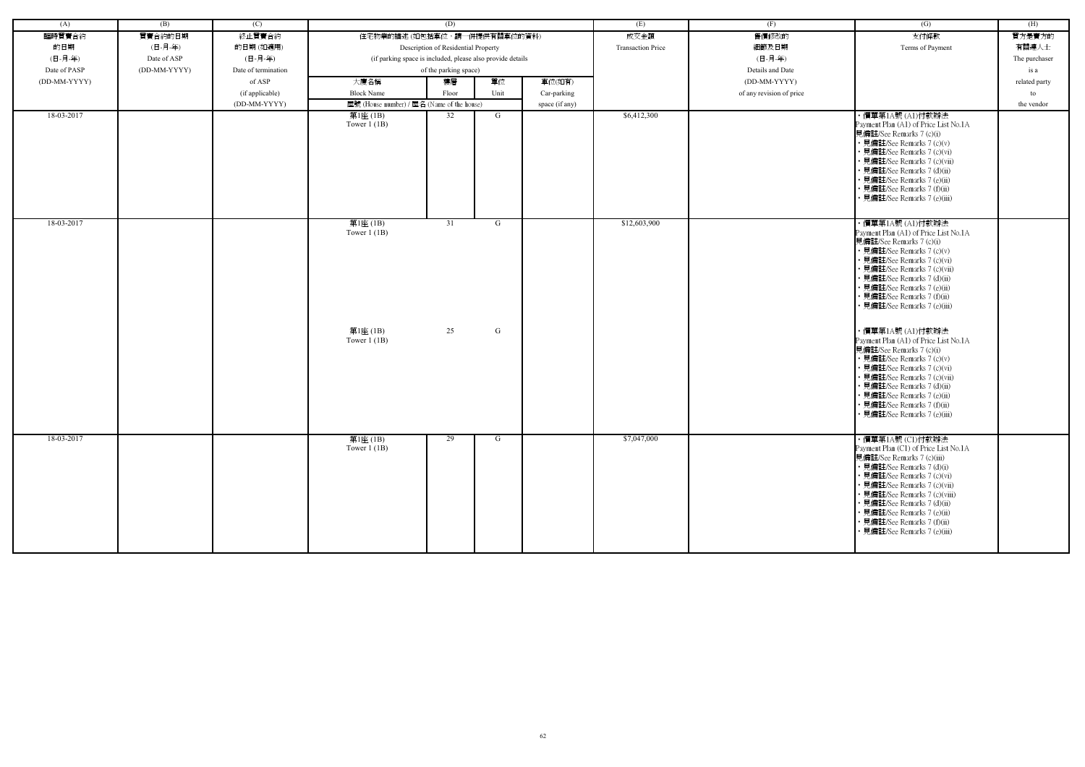| (A)          | (B)          | (C)                 |                                                            | (D)                                 |        |                | (E)                      | (F)                      | (G)                                                                                                                                                                                                                                                                                                                                                                                                                                                                                                                                                                                                                        | (H)           |
|--------------|--------------|---------------------|------------------------------------------------------------|-------------------------------------|--------|----------------|--------------------------|--------------------------|----------------------------------------------------------------------------------------------------------------------------------------------------------------------------------------------------------------------------------------------------------------------------------------------------------------------------------------------------------------------------------------------------------------------------------------------------------------------------------------------------------------------------------------------------------------------------------------------------------------------------|---------------|
| 臨時買賣合約       | 買賣合約的日期      | 終止買賣合約              | 住宅物業的描述 (如包括車位,請一併提供有關車位的資料)                               |                                     |        |                | 成交金額                     | 售價修改的                    | 支付條款                                                                                                                                                                                                                                                                                                                                                                                                                                                                                                                                                                                                                       | 買方是賣方的        |
| 的日期          | (日-月-年)      | 的日期(如適用)            |                                                            | Description of Residential Property |        |                | <b>Transaction Price</b> | 細節及日期                    | Terms of Payment                                                                                                                                                                                                                                                                                                                                                                                                                                                                                                                                                                                                           | 有關連人士         |
| (日-月-年)      | Date of ASP  | (日-月-年)             | (if parking space is included, please also provide details |                                     |        |                |                          | (日-月-年)                  |                                                                                                                                                                                                                                                                                                                                                                                                                                                                                                                                                                                                                            | The purchaser |
| Date of PASP | (DD-MM-YYYY) | Date of termination |                                                            | of the parking space)               |        |                |                          | Details and Date         |                                                                                                                                                                                                                                                                                                                                                                                                                                                                                                                                                                                                                            | is a          |
| (DD-MM-YYYY) |              | of ASP              | 大廈名稱                                                       | 樓層                                  | 單位     | 車位(如有)         |                          | (DD-MM-YYYY)             |                                                                                                                                                                                                                                                                                                                                                                                                                                                                                                                                                                                                                            | related party |
|              |              | (if applicable)     | <b>Block Name</b>                                          | Floor                               | Unit   | Car-parking    |                          | of any revision of price |                                                                                                                                                                                                                                                                                                                                                                                                                                                                                                                                                                                                                            | to            |
|              |              | (DD-MM-YYYY)        | 屋號 (House number) / 屋名 (Name of the house)                 |                                     |        | space (if any) |                          |                          |                                                                                                                                                                                                                                                                                                                                                                                                                                                                                                                                                                                                                            | the vendor    |
| 18-03-2017   |              |                     | 第1座 (1B)<br>Tower $1$ (1B)                                 | 32                                  | G      |                | \$6,412,300              |                          | ・價單第1A號 (A1)付款辦法<br>Payment Plan (A1) of Price List No.1A<br>見備註/See Remarks 7 (c)(i)<br>• 見備註/See Remarks 7 (c)(v)<br>• 見備註/See Remarks 7 (c)(vi)<br>• 見備註/See Remarks 7 (c)(vii)<br>· 見備註/See Remarks 7 (d)(ii)<br>• 見備註/See Remarks 7 (e)(ii)<br>見備註/See Remarks 7 (f)(ii)<br>· 見備註/See Remarks 7 (e)(iii)                                                                                                                                                                                                                                                                                                              |               |
| 18-03-2017   |              |                     | 第1座(1B)<br>Tower $1(1B)$<br>第1座 (1B)<br>Tower $1$ (1B)     | 31<br>25                            | G<br>G |                | \$12,603,900             |                          | ・價單第1A號 (A1)付款辦法<br>Payment Plan (A1) of Price List No.1A<br>見備註/See Remarks 7 (c)(i)<br>• 見備註/See Remarks 7 (c)(v)<br>見備註/See Remarks 7 (c)(vi)<br>· 見備註/See Remarks 7 (c)(vii)<br>• 見備註/See Remarks 7 (d)(ii)<br>• 見備註/See Remarks 7 (e)(ii)<br>見備註/See Remarks 7 (f)(ii)<br>• 見備註/See Remarks 7 (e)(iii)<br>・價單第1A號 (A1)付款辦法<br>Payment Plan (A1) of Price List No.1A<br>見備註/See Remarks 7 (c)(i)<br>• 見備註/See Remarks 7 (c)(v)<br>見備註/See Remarks 7 (c)(vi)<br>• 見備註/See Remarks 7 (c)(vii)<br>• 見備註/See Remarks 7 (d)(ii)<br>見備註/See Remarks 7 (e)(ii)<br>· 見備註/See Remarks 7 (f)(ii)<br>· 見備註/See Remarks 7 (e)(iii) |               |
| 18-03-2017   |              |                     | 第1座(1B)<br>Tower $1$ (1B)                                  | 29                                  | G      |                | \$7,047,000              |                          | ・價單第1A號 (C1)付款辦法<br>Payment Plan (C1) of Price List No.1A<br>見備註/See Remarks 7 (c)(iii)<br>• 見備註/See Remarks 7 (d)(i)<br>• 見備註/See Remarks 7 (c)(vi)<br>• 見備註/See Remarks 7 (c)(vii)<br>• 見備註/See Remarks 7 (c)(viii)<br>• 見備註/See Remarks 7 (d)(ii)<br>• 見備註/See Remarks 7 (e)(ii)<br>• 見備註/See Remarks 7 (f)(ii)<br>· 見備註/See Remarks 7 (e)(iii)                                                                                                                                                                                                                                                                         |               |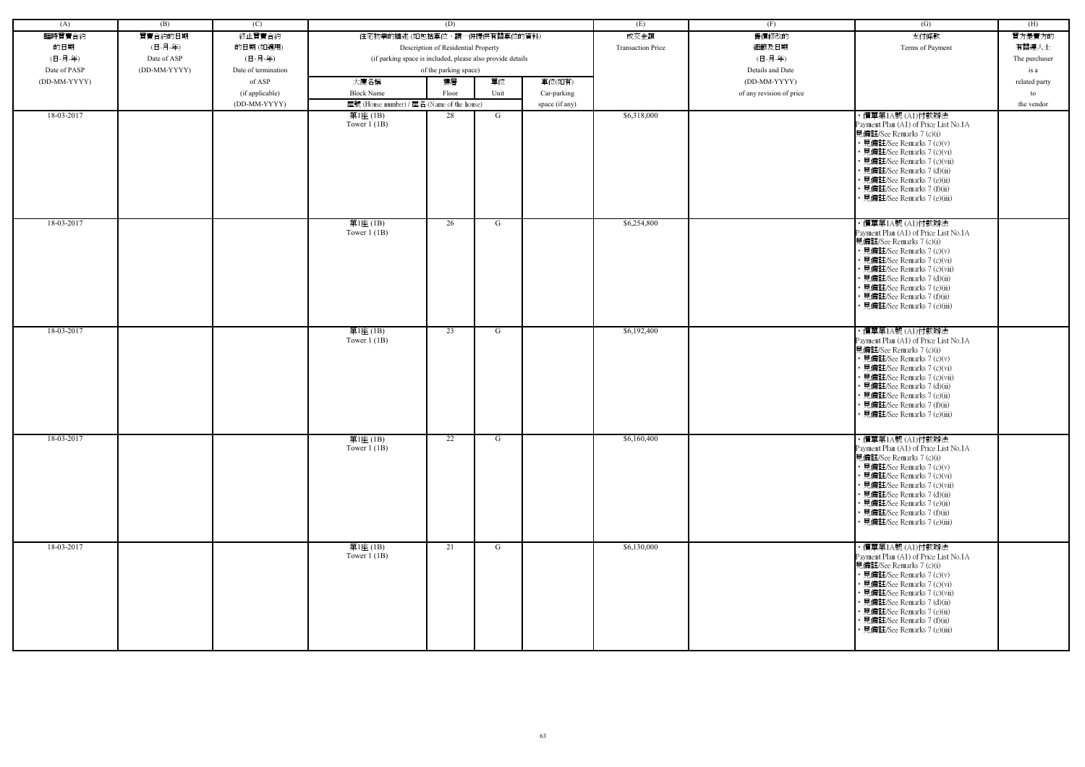| (A)          | (B)          | (C)                 |                                                            | (D)                                 |      |                | (E)                      | (F)                      | (G)                                                                                                                                                                                                                                                                                                             | (H)           |
|--------------|--------------|---------------------|------------------------------------------------------------|-------------------------------------|------|----------------|--------------------------|--------------------------|-----------------------------------------------------------------------------------------------------------------------------------------------------------------------------------------------------------------------------------------------------------------------------------------------------------------|---------------|
| 臨時買賣合約       | 買賣合約的日期      | 終止買賣合約              | 住宅物業的描述 (如包括車位,請一併提供有關車位的資料)                               |                                     |      |                | 成交金額                     | 售價修改的                    | 支付條款                                                                                                                                                                                                                                                                                                            | 買方是賣方的        |
| 的日期          | (日-月-年)      | 的日期(如適用)            |                                                            | Description of Residential Property |      |                | <b>Transaction Price</b> | 細節及日期                    | Terms of Payment                                                                                                                                                                                                                                                                                                | 有關連人士         |
| (日-月-年)      | Date of ASP  | (日-月-年)             | (if parking space is included, please also provide details |                                     |      |                |                          | (日-月-年)                  |                                                                                                                                                                                                                                                                                                                 | The purchaser |
| Date of PASP | (DD-MM-YYYY) | Date of termination |                                                            | of the parking space)               |      |                |                          | Details and Date         |                                                                                                                                                                                                                                                                                                                 | is a          |
| (DD-MM-YYYY) |              | of ASP              | 大廈名稱                                                       | 樓層                                  | 單位   | 車位(如有)         |                          | (DD-MM-YYYY)             |                                                                                                                                                                                                                                                                                                                 | related party |
|              |              | (if applicable)     | <b>Block Name</b>                                          | Floor                               | Unit | Car-parking    |                          | of any revision of price |                                                                                                                                                                                                                                                                                                                 | to            |
|              |              | (DD-MM-YYYY)        | 屋號 (House number) / 屋名 (Name of the house)                 |                                     |      | space (if any) |                          |                          |                                                                                                                                                                                                                                                                                                                 | the vendor    |
| 18-03-2017   |              |                     | 第1座 (1B)                                                   | 28                                  | G    |                | \$6,318,000              |                          | ・價單第1A號 (A1)付款辦法                                                                                                                                                                                                                                                                                                |               |
|              |              |                     | Tower $1$ (1B)                                             |                                     |      |                |                          |                          | Payment Plan (A1) of Price List No.1A<br>見備註/See Remarks 7 (c)(i)<br>• 見備註/See Remarks 7 (c)(v)<br>• 見備註/See Remarks 7 (c)(vi)<br>• 見備註/See Remarks 7 (c)(vii)<br>• 見備註/See Remarks 7 (d)(ii)<br>• 見備註/See Remarks 7 (e)(ii)<br>• 見備註/See Remarks 7 (f)(ii)<br>見備註/See Remarks 7 (e)(iii)                       |               |
| 18-03-2017   |              |                     | 第1座(1B)<br>Tower $1$ (1B)                                  | 26                                  | G    |                | \$6,254,800              |                          | ・價單第1A號 (A1)付款辦法<br>Payment Plan (A1) of Price List No.1A<br>見備註/See Remarks 7 (c)(i)<br>• 見備註/See Remarks 7 (c)(v)<br>• 見備註/See Remarks 7 (c)(vi)<br>• 見備註/See Remarks 7 (c)(vii)<br>• 見備註/See Remarks 7 (d)(ii)<br>· 見備註/See Remarks 7 (e)(ii)<br>• 見備註/See Remarks 7 (f)(ii)<br>• 見備註/See Remarks 7 (e)(iii) |               |
| 18-03-2017   |              |                     | 第1座(1B)<br>Tower $1$ (1B)                                  | 23                                  | G    |                | \$6,192,400              |                          | ・價單第1A號 (A1)付款辦法<br>Payment Plan (A1) of Price List No.1A<br>見備註/See Remarks 7 (c)(i)<br>• 見備註/See Remarks 7 (c)(v)<br>• 見備註/See Remarks 7 (c)(vi)<br>• 見備註/See Remarks 7 (c)(vii)<br>• 見備註/See Remarks 7 (d)(ii)<br>· 見備註/See Remarks 7 (e)(ii)<br>• 見備註/See Remarks 7 (f)(ii)<br>• 見備註/See Remarks 7 (e)(iii) |               |
| 18-03-2017   |              |                     | 第1座(1B)<br>Tower $1$ (1B)                                  | 22                                  | G    |                | \$6,160,400              |                          | ・價單第1A號 (A1)付款辦法<br>Payment Plan (A1) of Price List No.1A<br>見備註/See Remarks 7 (c)(i)<br>• 見備註/See Remarks 7 (c)(v)<br>• 見備註/See Remarks 7 (c)(vi)<br>• 見備註/See Remarks 7 (c)(vii)<br>• 見備註/See Remarks 7 (d)(ii)<br>• 見備註/See Remarks 7 (e)(ii)<br>• 見備註/See Remarks 7 (f)(ii)<br>• 見備註/See Remarks 7 (e)(iii) |               |
| 18-03-2017   |              |                     | 第1座(1B)<br>Tower $1$ (1B)                                  | 21                                  | G    |                | \$6,130,000              |                          | ・價單第1A號 (A1)付款辦法<br>Payment Plan (A1) of Price List No.1A<br>見備註/See Remarks 7 (c)(i)<br>• 見備註/See Remarks 7 (c)(v)<br>• 見備註/See Remarks 7 (c)(vi)<br>• 見備註/See Remarks 7 (c)(vii)<br>• 見備註/See Remarks 7 (d)(ii)<br>• 見備註/See Remarks 7 (e)(ii)<br>• 見備註/See Remarks 7 (f)(ii)<br>• 見備註/See Remarks 7 (e)(iii) |               |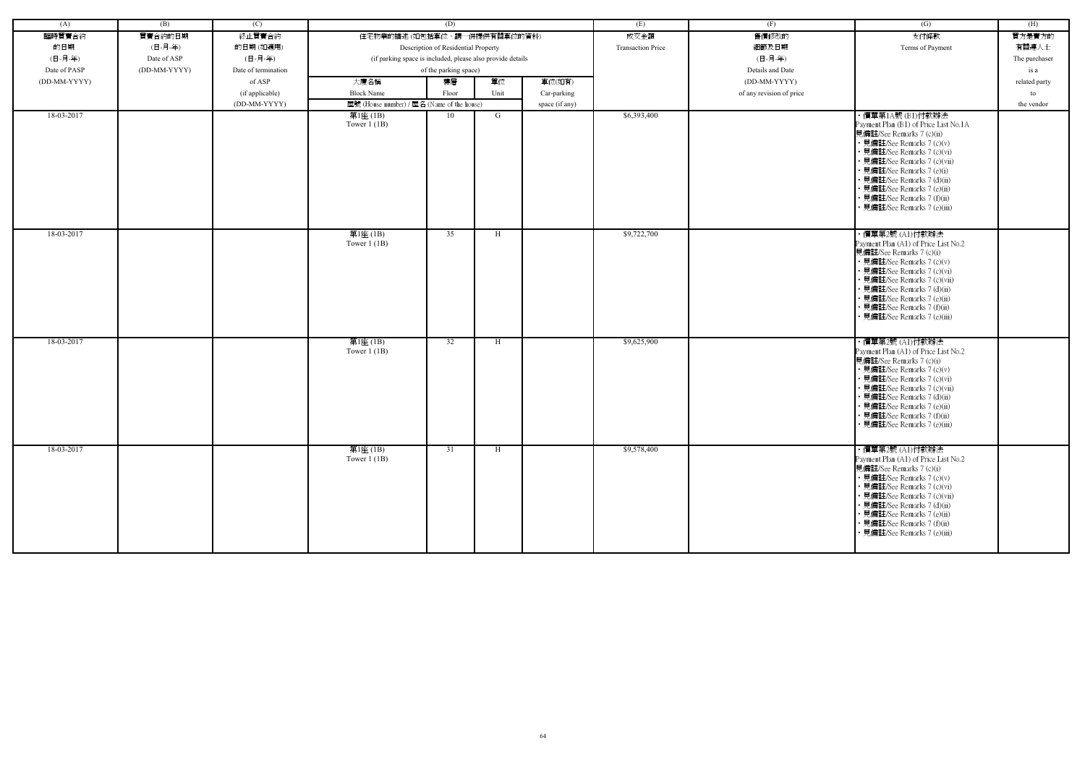| (A)          | (B)          | (C)                 |                                                            | (D)                                 |      |                | (E)                      | (F)                      | $\left( G\right)$                                                                                                                                                                                                                                                                                             | (H)           |
|--------------|--------------|---------------------|------------------------------------------------------------|-------------------------------------|------|----------------|--------------------------|--------------------------|---------------------------------------------------------------------------------------------------------------------------------------------------------------------------------------------------------------------------------------------------------------------------------------------------------------|---------------|
| 臨時買賣合約       | 買賣合約的日期      | 終止買賣合約              | 住宅物業的描述 (如包括車位,請一併提供有關車位的資料)                               |                                     |      |                | 成交金額                     | 售價修改的                    | 支付條款                                                                                                                                                                                                                                                                                                          | 買方是賣方的        |
| 的日期          | (日-月-年)      | 的日期(如適用)            |                                                            | Description of Residential Property |      |                | <b>Transaction Price</b> | 細節及日期                    | Terms of Payment                                                                                                                                                                                                                                                                                              | 有關連人士         |
| (日-月-年)      | Date of ASP  | (日-月-年)             | (if parking space is included, please also provide details |                                     |      |                |                          | (日-月-年)                  |                                                                                                                                                                                                                                                                                                               | The purchaser |
|              |              | Date of termination |                                                            |                                     |      |                |                          |                          |                                                                                                                                                                                                                                                                                                               |               |
| Date of PASP | (DD-MM-YYYY) |                     |                                                            | of the parking space)               |      |                |                          | Details and Date         |                                                                                                                                                                                                                                                                                                               | is a          |
| (DD-MM-YYYY) |              | of ASP              | 大廈名稱                                                       | 樓層                                  | 單位   | 車位(如有)         |                          | (DD-MM-YYYY)             |                                                                                                                                                                                                                                                                                                               | related party |
|              |              | (if applicable)     | <b>Block Name</b>                                          | Floor                               | Unit | Car-parking    |                          | of any revision of price |                                                                                                                                                                                                                                                                                                               | to            |
|              |              | (DD-MM-YYYY)        | 屋號 (House number) / 屋名 (Name of the house)                 |                                     |      | space (if any) |                          |                          |                                                                                                                                                                                                                                                                                                               | the vendor    |
| 18-03-2017   |              |                     | 第1座 (1B)<br>Tower $1(1B)$                                  | 10                                  | G    |                | \$6,393,400              |                          | ・價單第1A號 (B1)付款辦法<br>Payment Plan (B1) of Price List No.1A<br>見備註/See Remarks 7 (c)(ii)<br>• 見備註/See Remarks 7 (c)(v)<br>· 見備註/See Remarks 7 (c)(vi)<br>· 見備註/See Remarks 7 (c)(vii)<br>• 見備註/See Remarks 7 (e)(i)<br>· 見備註/See Remarks 7 (d)(ii)<br>• 見備註/See Remarks 7 (e)(ii)                               |               |
|              |              |                     |                                                            |                                     |      |                |                          |                          | • 見備註/See Remarks 7 (f)(ii)<br>· 見備註/See Remarks 7 (e)(iii)                                                                                                                                                                                                                                                   |               |
| 18-03-2017   |              |                     | 第1座 (1B)<br>Tower $1$ (1B)                                 | $\overline{35}$                     | H    |                | \$9,722,700              |                          | ・價單第2號 (A1)付款辦法<br>Payment Plan (A1) of Price List No.2<br>見備註/See Remarks 7 (c)(i)<br>• 見備註/See Remarks 7 (c)(v)<br>• 見備註/See Remarks 7 (c)(vi)<br>• 見備註/See Remarks 7 (c)(vii)<br>· 見備註/See Remarks 7 (d)(ii)<br>· 見備註/See Remarks 7 (e)(ii)<br>• 見備註/See Remarks 7 (f)(ii)<br>見備註/See Remarks 7 (e)(iii)   |               |
| 18-03-2017   |              |                     | 第1座(1B)<br>Tower $1$ (1B)                                  | 32                                  | H    |                | \$9,625,900              |                          | ・價單第2號 (A1)付款辦法<br>Payment Plan (A1) of Price List No.2<br>見備註/See Remarks 7 (c)(i)<br>• 見備註/See Remarks 7 (c)(v)<br>• 見備註/See Remarks 7 (c)(vi)<br>• 見備註/See Remarks 7 (c)(vii)<br>• 見備註/See Remarks 7 (d)(ii)<br>· 見備註/See Remarks 7 (e)(ii)<br>• 見備註/See Remarks 7 (f)(ii)<br>• 見備註/See Remarks 7 (e)(iii) |               |
| 18-03-2017   |              |                     | 第1座(1B)<br>Tower $1$ (1B)                                  | 31                                  | H    |                | \$9,578,400              |                          | ・價單第2號 (A1)付款辦法<br>Payment Plan (A1) of Price List No.2<br>見備註/See Remarks 7 (c)(i)<br>• 見備註/See Remarks 7 (c)(v)<br>• 見備註/See Remarks 7 (c)(vi)<br>• 見備註/See Remarks 7 (c)(vii)<br>• 見備註/See Remarks 7 (d)(ii)<br>• 見備註/See Remarks 7 (e)(ii)<br>• 見備註/See Remarks 7 (f)(ii)<br>· 見備註/See Remarks 7 (e)(iii) |               |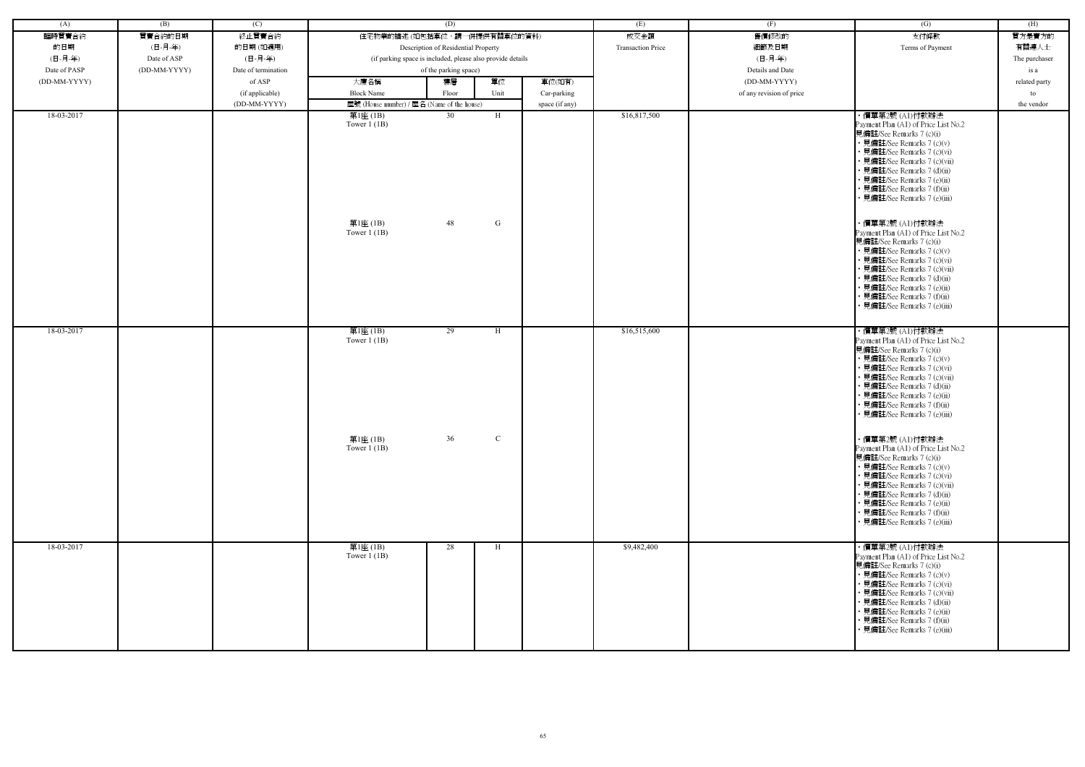| (A)          | (B)          | (C)                 |                                                          | (D)                                                        |               |                | (E)                      | (F)                      | $\overline{(G)}$                                                                                                                                                                                                                                                                                                                                                                                                                                                                                                                                                | (H)           |
|--------------|--------------|---------------------|----------------------------------------------------------|------------------------------------------------------------|---------------|----------------|--------------------------|--------------------------|-----------------------------------------------------------------------------------------------------------------------------------------------------------------------------------------------------------------------------------------------------------------------------------------------------------------------------------------------------------------------------------------------------------------------------------------------------------------------------------------------------------------------------------------------------------------|---------------|
| 臨時買賣合約       | 買賣合約的日期      | 終止買賣合約              | 住宅物業的描述 (如包括車位,請一併提供有關車位的資料)                             |                                                            |               |                | 成交金額                     | 售價修改的                    | 支付條款                                                                                                                                                                                                                                                                                                                                                                                                                                                                                                                                                            | 買方是賣方的        |
| 的日期          | (日-月-年)      | 的日期(如適用)            |                                                          | Description of Residential Property                        |               |                | <b>Transaction Price</b> | 細節及日期                    | Terms of Payment                                                                                                                                                                                                                                                                                                                                                                                                                                                                                                                                                | 有關連人士         |
| (日-月-年)      | Date of ASP  | (日-月-年)             |                                                          | (if parking space is included, please also provide details |               |                |                          | (日-月-年)                  |                                                                                                                                                                                                                                                                                                                                                                                                                                                                                                                                                                 | The purchaser |
| Date of PASP | (DD-MM-YYYY) | Date of termination |                                                          | of the parking space)                                      |               |                |                          | Details and Date         |                                                                                                                                                                                                                                                                                                                                                                                                                                                                                                                                                                 | is a          |
| (DD-MM-YYYY) |              | of ASP              | 大廈名稱                                                     | 樓層                                                         | 單位            | 車位(如有)         |                          | (DD-MM-YYYY)             |                                                                                                                                                                                                                                                                                                                                                                                                                                                                                                                                                                 | related party |
|              |              | (if applicable)     | <b>Block Name</b>                                        | Floor                                                      | Unit          | Car-parking    |                          | of any revision of price |                                                                                                                                                                                                                                                                                                                                                                                                                                                                                                                                                                 | to            |
|              |              | (DD-MM-YYYY)        | 屋號 (House number) / 屋名 (Name of the house)               |                                                            |               | space (if any) |                          |                          |                                                                                                                                                                                                                                                                                                                                                                                                                                                                                                                                                                 | the vendor    |
| 18-03-2017   |              |                     | 第1座 (1B)<br>Tower $1$ (1B)<br>第1座 (1B)<br>Tower $1$ (1B) | 30<br>48                                                   | H<br>G        |                | \$16,817,500             |                          | ・價單第2號 (A1)付款辦法<br>Payment Plan (A1) of Price List No.2<br>見備註/See Remarks 7 (c)(i)<br>• 見備註/See Remarks 7 (c)(v)<br>• 見備註/See Remarks 7 (c)(vi)<br>• 見備註/See Remarks 7 (c)(vii)<br>• 見備註/See Remarks 7 (d)(ii)<br>• 見備註/See Remarks 7 (e)(ii)<br>• 見備註/See Remarks 7 (f)(ii)<br>• 見備註/See Remarks 7 (e)(iii)<br>・價單第2號 (A1)付款辦法<br>Payment Plan (A1) of Price List No.2<br>見備註/See Remarks 7 (c)(i)<br>• 見備註/See Remarks 7 (c)(v)<br>• 見備註/See Remarks 7 (c)(vi)<br>• 見備註/See Remarks 7 (c)(vii)<br>• 見備註/See Remarks 7 (d)(ii)<br>• 見備註/See Remarks 7 (e)(ii) |               |
| 18-03-2017   |              |                     | 第1座(1B)                                                  | 29                                                         | H             |                | \$16,515,600             |                          | • 見備註/See Remarks 7 (f)(ii)<br>見備註/See Remarks 7 (e)(iii)<br>・價單第2號 (A1)付款辦法                                                                                                                                                                                                                                                                                                                                                                                                                                                                                    |               |
|              |              |                     | Tower $1$ (1B)                                           |                                                            |               |                |                          |                          | Payment Plan (A1) of Price List No.2<br>見備註/See Remarks 7 (c)(i)<br>• 見備註/See Remarks 7 (c)(v)<br>• 見備註/See Remarks 7 (c)(vi)<br>• 見備註/See Remarks 7 (c)(vii)<br>• 見備註/See Remarks 7 (d)(ii)<br>• 見備註/See Remarks 7 (e)(ii)<br>· 見備註/See Remarks 7 (f)(ii)<br>• 見備註/See Remarks 7 (e)(iii)                                                                                                                                                                                                                                                                      |               |
|              |              |                     | 第1座 (1B)<br>Tower $1$ (1B)                               | 36                                                         | $\mathcal{C}$ |                |                          |                          | ・價單第2號 (A1)付款辦法<br>Payment Plan (A1) of Price List No.2<br>見備註/See Remarks 7 (c)(i)<br>• 見備註/See Remarks 7 (c)(v)<br>• 見備註/See Remarks 7 (c)(vi)<br>• 見備註/See Remarks 7 (c)(vii)<br>• 見備註/See Remarks 7 (d)(ii)<br>• 見備註/See Remarks 7 (e)(ii)<br>• 見備註/See Remarks 7 (f)(ii)<br>• 見備註/See Remarks 7 (e)(iii)                                                                                                                                                                                                                                                   |               |
| 18-03-2017   |              |                     | 第1座(1B)<br>Tower $1$ (1B)                                | 28                                                         | H             |                | \$9,482,400              |                          | ・價單第2號 (A1)付款辦法<br>Payment Plan (A1) of Price List No.2<br>見備註/See Remarks 7 (c)(i)<br>• 見備註/See Remarks 7 (c)(v)<br>• 見備註/See Remarks 7 (c)(vi)<br>• 見備註/See Remarks 7 (c)(vii)<br>• 見備註/See Remarks 7 (d)(ii)<br>• 見備註/See Remarks 7 (e)(ii)<br>• 見備註/See Remarks 7 (f)(ii)<br>• 見備註/See Remarks 7 (e)(iii)                                                                                                                                                                                                                                                   |               |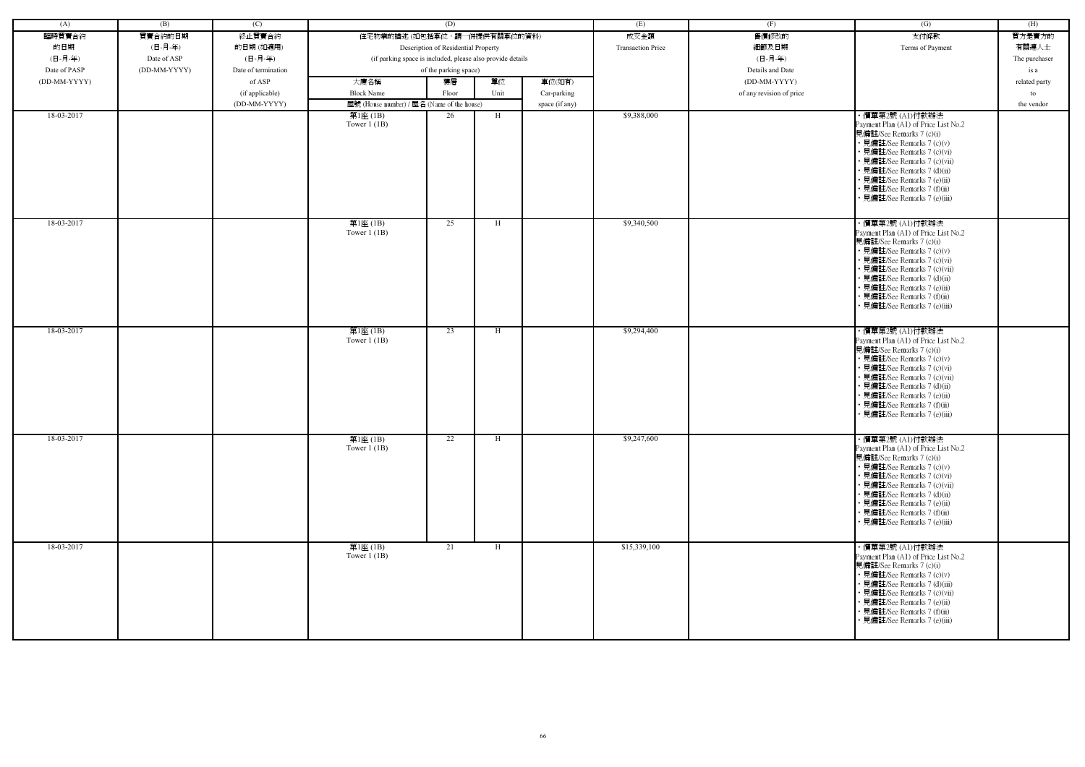| (A)          | (B)          | (C)                 |                                                            | (D)                                 |      |                | (E)                      | (F)                      | (G)                                                                                                                                                                                                                                                                                                            | (H)           |
|--------------|--------------|---------------------|------------------------------------------------------------|-------------------------------------|------|----------------|--------------------------|--------------------------|----------------------------------------------------------------------------------------------------------------------------------------------------------------------------------------------------------------------------------------------------------------------------------------------------------------|---------------|
| 臨時買賣合約       | 買賣合約的日期      | 終止買賣合約              | 住宅物業的描述 (如包括車位,請一併提供有關車位的資料)                               |                                     |      |                | 成交金額                     | 售價修改的                    | 支付條款                                                                                                                                                                                                                                                                                                           | 買方是賣方的        |
| 的日期          | (日-月-年)      | 的日期(如適用)            |                                                            | Description of Residential Property |      |                | <b>Transaction Price</b> | 細節及日期                    | Terms of Payment                                                                                                                                                                                                                                                                                               | 有關連人士         |
| (日-月-年)      | Date of ASP  | (日-月-年)             | (if parking space is included, please also provide details |                                     |      |                |                          | (日-月-年)                  |                                                                                                                                                                                                                                                                                                                |               |
|              |              |                     |                                                            |                                     |      |                |                          |                          |                                                                                                                                                                                                                                                                                                                | The purchaser |
| Date of PASP | (DD-MM-YYYY) | Date of termination |                                                            | of the parking space)               |      |                |                          | Details and Date         |                                                                                                                                                                                                                                                                                                                | is a          |
| (DD-MM-YYYY) |              | of ASP              | 大廈名稱                                                       | 樓層                                  | 單位   | 車位(如有)         |                          | (DD-MM-YYYY)             |                                                                                                                                                                                                                                                                                                                | related party |
|              |              | (if applicable)     | <b>Block Name</b>                                          | Floor                               | Unit | Car-parking    |                          | of any revision of price |                                                                                                                                                                                                                                                                                                                | to            |
|              |              | (DD-MM-YYYY)        | 屋號 (House number) / 屋名 (Name of the house)                 |                                     |      | space (if any) |                          |                          |                                                                                                                                                                                                                                                                                                                | the vendor    |
| 18-03-2017   |              |                     | 第1座 (1B)<br>Tower $1$ (1B)                                 | 26                                  | H    |                | \$9,388,000              |                          | ・價單第2號 (A1)付款辦法<br>Payment Plan (A1) of Price List No.2<br>見備註/See Remarks 7 (c)(i)<br>• 見備註/See Remarks 7 (c)(v)<br>• 見備註/See Remarks 7 (c)(vi)<br>• 見備註/See Remarks 7 (c)(vii)<br>• 見備註/See Remarks 7 (d)(ii)<br>• 見備註/See Remarks 7 (e)(ii)<br>• 見備註/See Remarks 7 (f)(ii)<br>見備註/See Remarks 7 (e)(iii)    |               |
| 18-03-2017   |              |                     | 第1座(1B)<br>Tower $1$ (1B)                                  | 25                                  | H    |                | \$9,340,500              |                          | · 價單第2號 (A1)付款辦法<br>Payment Plan (A1) of Price List No.2<br>見備註/See Remarks 7 (c)(i)<br>• 見備註/See Remarks 7 (c)(v)<br>• 見備註/See Remarks 7 (c)(vi)<br>• 見備註/See Remarks 7 (c)(vii)<br>• 見備註/See Remarks 7 (d)(ii)<br>· 見備註/See Remarks 7 (e)(ii)<br>• 見備註/See Remarks 7 (f)(ii)<br>• 見備註/See Remarks 7 (e)(iii) |               |
| 18-03-2017   |              |                     | 第1座(1B)<br>Tower $1$ (1B)                                  | 23                                  | H    |                | \$9,294,400              |                          | ・價單第2號 (A1)付款辦法<br>Payment Plan (A1) of Price List No.2<br>見備註/See Remarks 7 (c)(i)<br>• 見備註/See Remarks 7 (c)(v)<br>• 見備註/See Remarks 7 (c)(vi)<br>• 見備註/See Remarks 7 (c)(vii)<br>• 見備註/See Remarks 7 (d)(ii)<br>· 見備註/See Remarks 7 (e)(ii)<br>• 見備註/See Remarks 7 (f)(ii)<br>• 見備註/See Remarks 7 (e)(iii)  |               |
| 18-03-2017   |              |                     | 第1座(1B)<br>Tower $1$ (1B)                                  | 22                                  | H    |                | \$9,247,600              |                          | ・價單第2號 (A1)付款辦法<br>Payment Plan (A1) of Price List No.2<br>見備註/See Remarks 7 (c)(i)<br>• 見備註/See Remarks 7 (c)(v)<br>• 見備註/See Remarks 7 (c)(vi)<br>• 見備註/See Remarks 7 (c)(vii)<br>• 見備註/See Remarks 7 (d)(ii)<br>• 見備註/See Remarks 7 (e)(ii)<br>• 見備註/See Remarks 7 (f)(ii)<br>• 見備註/See Remarks 7 (e)(iii)  |               |
| 18-03-2017   |              |                     | 第1座(1B)<br>Tower $1$ (1B)                                  | 21                                  | H    |                | \$15,339,100             |                          | ・價單第2號 (A1)付款辦法<br>Payment Plan (A1) of Price List No.2<br>見備註/See Remarks 7 (c)(i)<br>• 見備註/See Remarks 7 (c)(v)<br>• 見備註/See Remarks 7 (d)(iii)<br>• 見備註/See Remarks 7 (c)(vii)<br>• 見備註/See Remarks 7 (e)(ii)<br>• 見備註/See Remarks 7 (f)(ii)<br>• 見備註/See Remarks 7 (e)(iii)                                |               |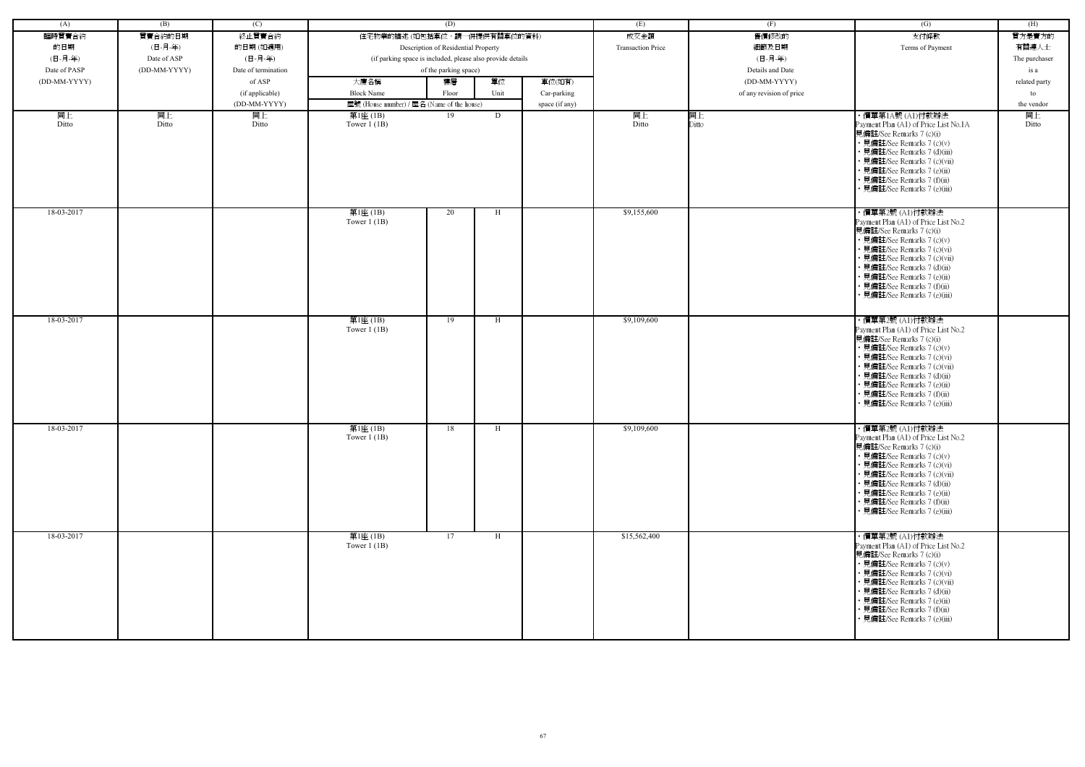| (A)          | (B)          | (C)                 |                                            | (D)                                                        |      |                | (E)                      | (F)                      | (G)                                                                                                                                                                                                                                                                                                           | (H)           |
|--------------|--------------|---------------------|--------------------------------------------|------------------------------------------------------------|------|----------------|--------------------------|--------------------------|---------------------------------------------------------------------------------------------------------------------------------------------------------------------------------------------------------------------------------------------------------------------------------------------------------------|---------------|
| 臨時買賣合約       | 買賣合約的日期      | 終止買賣合約              | 住宅物業的描述 (如包括車位,請一併提供有關車位的資料)               |                                                            |      |                | 成交金額                     | 售價修改的                    | 支付條款                                                                                                                                                                                                                                                                                                          | 買方是賣方的        |
| 的日期          | (日-月-年)      | 的日期(如適用)            |                                            | Description of Residential Property                        |      |                | <b>Transaction Price</b> | 細節及日期                    | Terms of Payment                                                                                                                                                                                                                                                                                              | 有關連人士         |
| (日-月-年)      | Date of ASP  | (日-月-年)             |                                            |                                                            |      |                |                          | (日-月-年)                  |                                                                                                                                                                                                                                                                                                               |               |
|              |              |                     |                                            | (if parking space is included, please also provide details |      |                |                          |                          |                                                                                                                                                                                                                                                                                                               | The purchaser |
| Date of PASP | (DD-MM-YYYY) | Date of termination |                                            | of the parking space)                                      |      |                |                          | Details and Date         |                                                                                                                                                                                                                                                                                                               | is a          |
| (DD-MM-YYYY) |              | of ASP              | 大廈名稱                                       | 樓層                                                         | 單位   | 車位(如有)         |                          | (DD-MM-YYYY)             |                                                                                                                                                                                                                                                                                                               | related party |
|              |              | (if applicable)     | <b>Block Name</b>                          | Floor                                                      | Unit | Car-parking    |                          | of any revision of price |                                                                                                                                                                                                                                                                                                               | to            |
|              |              | (DD-MM-YYYY)        | 屋號 (House number) / 屋名 (Name of the house) |                                                            |      | space (if any) |                          |                          |                                                                                                                                                                                                                                                                                                               | the vendor    |
| 同上<br>Ditto  | 同上<br>Ditto  | 同上<br>Ditto         | 第1座(1B)<br>Tower $1$ (1B)                  | 19                                                         | D    |                | 同上<br>Ditto              | 同上<br>Ditto              | ・價單第1A號 (A1)付款辦法<br>Payment Plan (A1) of Price List No.1A<br>見備註/See Remarks 7 (c)(i)<br>• 見備註/See Remarks 7 (c)(v)<br>• 見備註/See Remarks 7 (d)(iii)<br>• 見備註/See Remarks 7 (c)(vii)<br>• 見備註/See Remarks 7 (e)(ii)<br>• 見備註/See Remarks 7 (f)(ii)<br>• 見備註/See Remarks 7 (e)(iii)                             | 同上<br>Ditto   |
| 18-03-2017   |              |                     | 第1座(1B)<br>Tower $1$ (1B)                  | 20                                                         | H    |                | \$9,155,600              |                          | ・價單第2號 (A1)付款辦法<br>Payment Plan (A1) of Price List No.2<br>見備註/See Remarks 7 (c)(i)<br>• 見備註/See Remarks 7 (c)(v)<br>• 見備註/See Remarks 7 (c)(vi)<br>· 見備註/See Remarks 7 (c)(vii)<br>• 見備註/See Remarks 7 (d)(ii)<br>• 見備註/See Remarks 7 (e)(ii)<br>• 見備註/See Remarks 7 (f)(ii)<br>• 見備註/See Remarks 7 (e)(iii) |               |
| 18-03-2017   |              |                     | 第1座(1B)<br>Tower $1$ (1B)                  | 19                                                         | H    |                | \$9,109,600              |                          | ・價單第2號 (A1)付款辦法<br>Payment Plan (A1) of Price List No.2<br>見備註/See Remarks 7 (c)(i)<br>• 見備註/See Remarks 7 (c)(v)<br>• 見備註/See Remarks 7 (c)(vi)<br>• 見備註/See Remarks 7 (c)(vii)<br>• 見備註/See Remarks 7 (d)(ii)<br>• 見備註/See Remarks 7 (e)(ii)<br>• 見備註/See Remarks 7 (f)(ii)<br>見備註/See Remarks 7 (e)(iii)   |               |
| 18-03-2017   |              |                     | 第1座(1B)<br>Tower $1(1B)$                   | 18                                                         | H    |                | \$9,109,600              |                          | ・價單第2號 (A1)付款辦法<br>Payment Plan (A1) of Price List No.2<br>見備註/See Remarks 7 (c)(i)<br>• 見備註/See Remarks 7 (c)(v)<br>• 見備註/See Remarks 7 (c)(vi)<br>• 見備註/See Remarks 7 (c)(vii)<br>• 見備註/See Remarks 7 (d)(ii)<br>• 見備註/See Remarks 7 (e)(ii)<br>• 見備註/See Remarks 7 (f)(ii)<br>• 見備註/See Remarks 7 (e)(iii) |               |
| 18-03-2017   |              |                     | 第1座(1B)<br>Tower $1$ (1B)                  | 17                                                         | H    |                | \$15,562,400             |                          | ・價單第2號 (A1)付款辦法<br>Payment Plan (A1) of Price List No.2<br>見備註/See Remarks 7 (c)(i)<br>• 見備註/See Remarks 7 (c)(v)<br>• 見備註/See Remarks 7 (c)(vi)<br>• 見備註/See Remarks 7 (c)(vii)<br>• 見備註/See Remarks 7 (d)(ii)<br>• 見備註/See Remarks 7 (e)(ii)<br>• 見備註/See Remarks 7 (f)(ii)<br>• 見備註/See Remarks 7 (e)(iii) |               |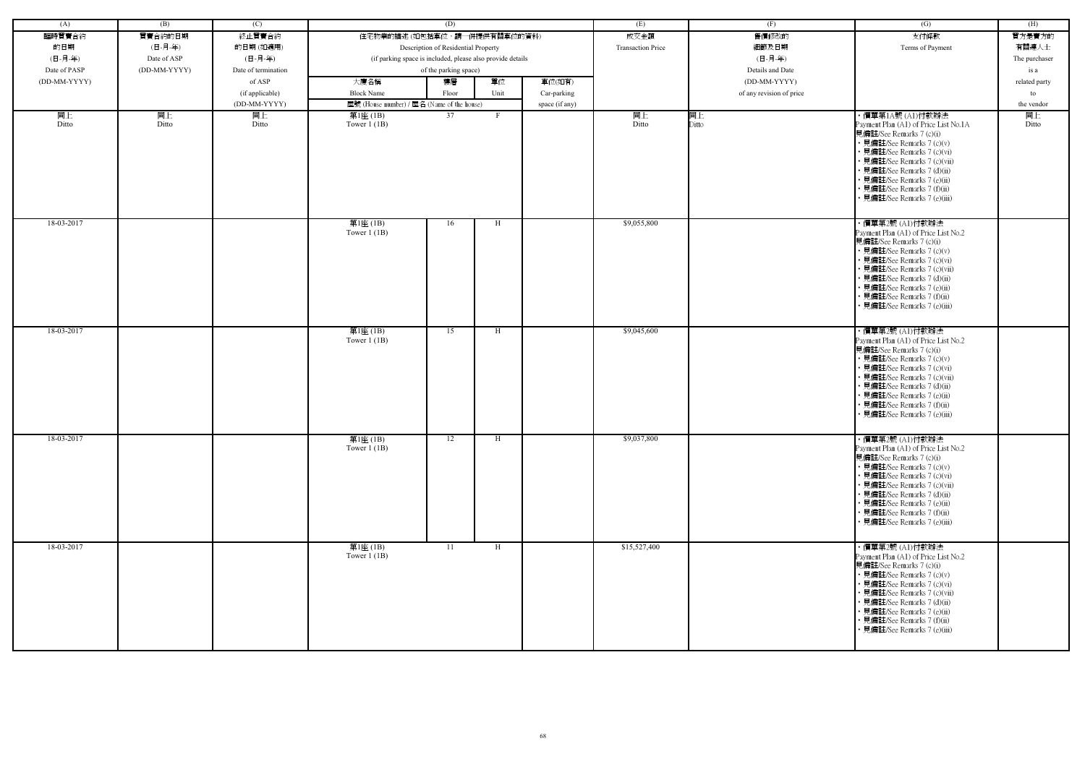| (A)          | (B)          | (C)                 |                                                            | (D)                                 |      |                | (E)                      | (F)                      | (G)                                                                                                                                                                                                                                                                                                           | (H)           |
|--------------|--------------|---------------------|------------------------------------------------------------|-------------------------------------|------|----------------|--------------------------|--------------------------|---------------------------------------------------------------------------------------------------------------------------------------------------------------------------------------------------------------------------------------------------------------------------------------------------------------|---------------|
| 臨時買賣合約       | 買賣合約的日期      | 終止買賣合約              | 住宅物業的描述 (如包括車位,請一併提供有關車位的資料)                               |                                     |      |                | 成交金額                     | 售價修改的                    | 支付條款                                                                                                                                                                                                                                                                                                          | 買方是賣方的        |
| 的日期          | (日-月-年)      | 的日期(如適用)            |                                                            | Description of Residential Property |      |                | <b>Transaction Price</b> | 細節及日期                    | Terms of Payment                                                                                                                                                                                                                                                                                              | 有關連人士         |
| (日-月-年)      | Date of ASP  | (日-月-年)             | (if parking space is included, please also provide details |                                     |      |                |                          | (日-月-年)                  |                                                                                                                                                                                                                                                                                                               | The purchaser |
| Date of PASP | (DD-MM-YYYY) | Date of termination |                                                            | of the parking space)               |      |                |                          | Details and Date         |                                                                                                                                                                                                                                                                                                               | is a          |
| (DD-MM-YYYY) |              | of ASP              | 大廈名稱                                                       | 樓層                                  | 單位   | 車位(如有)         |                          | (DD-MM-YYYY)             |                                                                                                                                                                                                                                                                                                               | related party |
|              |              | (if applicable)     | <b>Block Name</b>                                          | Floor                               | Unit | Car-parking    |                          | of any revision of price |                                                                                                                                                                                                                                                                                                               | to            |
|              |              | (DD-MM-YYYY)        | 屋號 (House number) / 屋名 (Name of the house)                 |                                     |      | space (if any) |                          |                          |                                                                                                                                                                                                                                                                                                               | the vendor    |
| 同上           | 同上           | 同上                  | 第1座 (1B)                                                   | 37                                  | F.   |                | 同上                       | 同上                       | ・價單第1A號 (A1)付款辦法                                                                                                                                                                                                                                                                                              | 同上            |
| Ditto        | Ditto        | Ditto               | Tower $1$ (1B)                                             |                                     |      |                | Ditto                    | Ditto                    | Payment Plan (A1) of Price List No.1A<br>見備註/See Remarks 7 (c)(i)<br>• 見備註/See Remarks 7 (c)(v)<br>• 見備註/See Remarks 7 (c)(vi)<br>• 見備註/See Remarks 7 (c)(vii)<br>• 見備註/See Remarks 7 (d)(ii)<br>• 見備註/See Remarks 7 (e)(ii)<br>• 見備註/See Remarks 7 (f)(ii)<br>• 見備註/See Remarks 7 (e)(iii)                   | Ditto         |
| 18-03-2017   |              |                     | 第1座(1B)<br>Tower $1$ (1B)                                  | 16                                  | H    |                | \$9,055,800              |                          | ・價單第2號 (A1)付款辦法<br>Payment Plan (A1) of Price List No.2<br>見備註/See Remarks 7 (c)(i)<br>• 見備註/See Remarks 7 (c)(v)<br>• 見備註/See Remarks 7 (c)(vi)<br>• 見備註/See Remarks 7 (c)(vii)<br>• 見備註/See Remarks 7 (d)(ii)<br>• 見備註/See Remarks 7 (e)(ii)<br>• 見備註/See Remarks 7 (f)(ii)<br>• 見備註/See Remarks 7 (e)(iii) |               |
| 18-03-2017   |              |                     | 第1座(1B)<br>Tower $1$ (1B)                                  | 15                                  | H    |                | \$9,045,600              |                          | ・價單第2號 (A1)付款辦法<br>Payment Plan (A1) of Price List No.2<br>見備註/See Remarks 7 (c)(i)<br>• 見備註/See Remarks 7 (c)(v)<br>• 見備註/See Remarks 7 (c)(vi)<br>• 見備註/See Remarks 7 (c)(vii)<br>• 見備註/See Remarks 7 (d)(ii)<br>• 見備註/See Remarks 7 (e)(ii)<br>• 見備註/See Remarks 7 (f)(ii)<br>• 見備註/See Remarks 7 (e)(iii) |               |
| 18-03-2017   |              |                     | 第1座(1B)<br>Tower $1$ (1B)                                  | 12                                  | H    |                | \$9,037,800              |                          | ・價單第2號 (A1)付款辦法<br>Payment Plan (A1) of Price List No.2<br>見備註/See Remarks 7 (c)(i)<br>• 見備註/See Remarks 7 (c)(v)<br>• 見備註/See Remarks 7 (c)(vi)<br>• 見備註/See Remarks 7 (c)(vii)<br>• 見備註/See Remarks 7 (d)(ii)<br>• 見備註/See Remarks 7 (e)(ii)<br>• 見備註/See Remarks 7 (f)(ii)<br>• 見備註/See Remarks 7 (e)(iii) |               |
| 18-03-2017   |              |                     | 第1座(1B)<br>Tower $1$ (1B)                                  | 11                                  | H    |                | \$15,527,400             |                          | ・價單第2號 (A1)付款辦法<br>Payment Plan (A1) of Price List No.2<br>見備註/See Remarks 7 (c)(i)<br>• 見備註/See Remarks 7 (c)(v)<br>• 見備註/See Remarks 7 (c)(vi)<br>• 見備註/See Remarks 7 (c)(vii)<br>• 見備註/See Remarks 7 (d)(ii)<br>• 見備註/See Remarks 7 (e)(ii)<br>• 見備註/See Remarks 7 (f)(ii)<br>• 見備註/See Remarks 7 (e)(iii) |               |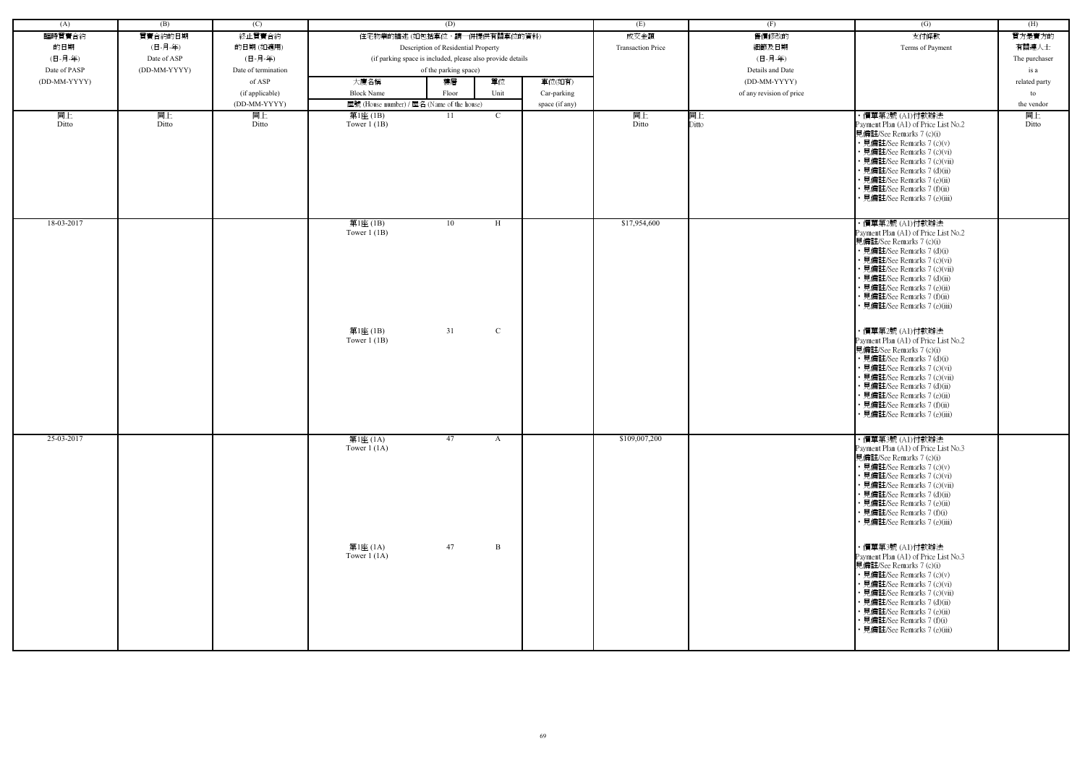| (A)          | (B)          | (C)                 |                                            | (D)                                                        |                | (E)                      | (F)                      | (G)                                                                                                                                                                                                                                                                                                           | (H)           |
|--------------|--------------|---------------------|--------------------------------------------|------------------------------------------------------------|----------------|--------------------------|--------------------------|---------------------------------------------------------------------------------------------------------------------------------------------------------------------------------------------------------------------------------------------------------------------------------------------------------------|---------------|
| 臨時買賣合約       | 買賣合約的日期      | 終止買賣合約              |                                            | 住宅物業的描述 (如包括車位,請一併提供有關車位的資料)                               |                | 成交金額                     | 售價修改的                    | 支付條款                                                                                                                                                                                                                                                                                                          | 買方是賣方的        |
| 的日期          | (日-月-年)      | 的日期(如適用)            |                                            | Description of Residential Property                        |                | <b>Transaction Price</b> | 細節及日期                    | Terms of Payment                                                                                                                                                                                                                                                                                              | 有關連人士         |
| (日-月-年)      | Date of ASP  | (日-月-年)             |                                            | (if parking space is included, please also provide details |                |                          | (日-月-年)                  |                                                                                                                                                                                                                                                                                                               | The purchaser |
| Date of PASP | (DD-MM-YYYY) | Date of termination |                                            | of the parking space)                                      |                |                          | Details and Date         |                                                                                                                                                                                                                                                                                                               | is a          |
| (DD-MM-YYYY) |              | of ASP              | 大廈名稱                                       | 單位<br>樓層                                                   | 車位(如有)         |                          | (DD-MM-YYYY)             |                                                                                                                                                                                                                                                                                                               |               |
|              |              |                     |                                            |                                                            |                |                          |                          |                                                                                                                                                                                                                                                                                                               | related party |
|              |              | (if applicable)     | <b>Block Name</b>                          | Unit<br>Floor                                              | Car-parking    |                          | of any revision of price |                                                                                                                                                                                                                                                                                                               | to            |
|              |              | (DD-MM-YYYY)        | 屋號 (House number) / 屋名 (Name of the house) |                                                            | space (if any) |                          |                          |                                                                                                                                                                                                                                                                                                               | the vendor    |
| 同上<br>Ditto  | 同上<br>Ditto  | 同上<br>Ditto         | 第1座 (1B)<br>Tower $1$ (1B)                 | 11<br>$\mathbf{C}$                                         |                | 同上<br>Ditto              | 同上<br>Ditto              | ・價單第2號 (A1)付款辦法<br>Payment Plan (A1) of Price List No.2<br>見備註/See Remarks 7 (c)(i)<br>• 見備註/See Remarks 7 (c)(v)<br>• 見備註/See Remarks 7 (c)(vi)<br>• 見備註/See Remarks 7 (c)(vii)<br>• 見備註/See Remarks 7 (d)(ii)<br>• 見備註/See Remarks 7 (e)(ii)<br>• 見備註/See Remarks 7 (f)(ii)<br>• 見備註/See Remarks 7 (e)(iii) | 同上<br>Ditto   |
| 18-03-2017   |              |                     | 第1座(1B)<br>Tower $1$ (1B)                  | 10<br>H                                                    |                | \$17,954,600             |                          | ・價單第2號 (A1)付款辦法<br>Payment Plan (A1) of Price List No.2<br>見備註/See Remarks 7 (c)(i)<br>• 見備註/See Remarks 7 (d)(i)<br>• 見備註/See Remarks 7 (c)(vi)<br>• 見備註/See Remarks 7 (c)(vii)<br>• 見備註/See Remarks 7 (d)(ii)<br>• 見備註/See Remarks 7 (e)(ii)<br>• 見備註/See Remarks 7 (f)(ii)<br>• 見備註/See Remarks 7 (e)(iii) |               |
|              |              |                     | 第1座 (1B)<br>Tower $1$ (1B)                 | 31<br>$\mathbf C$                                          |                |                          |                          | ・價單第2號 (A1)付款辦法<br>Payment Plan (A1) of Price List No.2<br>見備註/See Remarks 7 (c)(i)<br>• 見備註/See Remarks 7 (d)(i)<br>• 見備註/See Remarks 7 (c)(vi)<br>• 見備註/See Remarks 7 (c)(vii)<br>• 見備註/See Remarks 7 (d)(ii)<br>• 見備註/See Remarks 7 (e)(ii)<br>• 見備註/See Remarks 7 (f)(ii)<br>• 見備註/See Remarks 7 (e)(iii) |               |
| 25-03-2017   |              |                     | 第1座 (1A)<br>Tower $1(1A)$                  | 47<br>$\mathbf{A}$                                         |                | \$109,007,200            |                          | ・價單第3號 (A1)付款辦法<br>Payment Plan (A1) of Price List No.3<br>見備註/See Remarks 7 (c)(i)<br>• 見備註/See Remarks 7 (c)(v)<br>• 見備註/See Remarks 7 (c)(vi)<br>• 見備註/See Remarks 7 (c)(vii)<br>• 見備註/See Remarks 7 (d)(ii)<br>• 見備註/See Remarks 7 (e)(ii)<br>• 見備註/See Remarks 7 (f)(i)<br>• 見備註/See Remarks 7 (e)(iii)  |               |
|              |              |                     | 第1座 (1A)<br>Tower $1(1A)$                  | 47<br>B                                                    |                |                          |                          | ・價單第3號 (A1)付款辦法<br>Payment Plan (A1) of Price List No.3<br>見備註/See Remarks 7 (c)(i)<br>• 見備註/See Remarks 7 (c)(v)<br>• 見備註/See Remarks 7 (c)(vi)<br>• 見備註/See Remarks 7 (c)(vii)<br>• 見備註/See Remarks 7 (d)(ii)<br>• 見備註/See Remarks 7 (e)(ii)<br>• 見備註/See Remarks 7 (f)(i)<br>• 見備註/See Remarks 7 (e)(iii)  |               |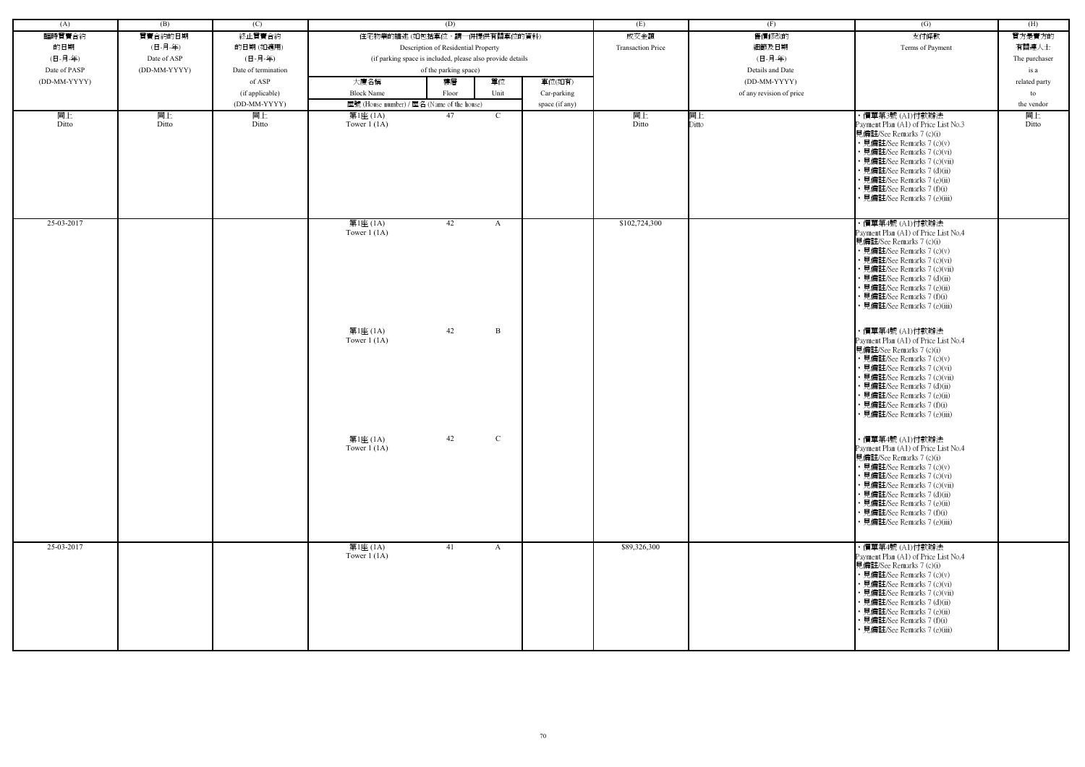| (A)          | (B)          | (C)                 |                           | (D)                                                        |                | (E)                      | (F)                      | (G)                                                                                                                                                                                                                                                                                                           | (H)           |
|--------------|--------------|---------------------|---------------------------|------------------------------------------------------------|----------------|--------------------------|--------------------------|---------------------------------------------------------------------------------------------------------------------------------------------------------------------------------------------------------------------------------------------------------------------------------------------------------------|---------------|
| 臨時買賣合約       | 買賣合約的日期      | 終止買賣合約              |                           | 住宅物業的描述 (如包括車位,請一併提供有關車位的資料)                               |                | 成交金額                     | 售價修改的                    | 支付條款                                                                                                                                                                                                                                                                                                          | 買方是賣方的        |
| 的日期          | (日-月-年)      | 的日期(如適用)            |                           | Description of Residential Property                        |                | <b>Transaction Price</b> | 細節及日期                    | Terms of Payment                                                                                                                                                                                                                                                                                              | 有關連人士         |
| (日-月-年)      | Date of ASP  | (日-月-年)             |                           | (if parking space is included, please also provide details |                |                          | (日-月-年)                  |                                                                                                                                                                                                                                                                                                               | The purchaser |
| Date of PASP | (DD-MM-YYYY) | Date of termination |                           | of the parking space)                                      |                |                          | Details and Date         |                                                                                                                                                                                                                                                                                                               | is a          |
| (DD-MM-YYYY) |              | of ASP              | 大廈名稱                      | 單位<br>樓層                                                   | 車位(如有)         |                          | (DD-MM-YYYY)             |                                                                                                                                                                                                                                                                                                               | related party |
|              |              | (if applicable)     | <b>Block Name</b>         | Unit<br>Floor                                              | Car-parking    |                          | of any revision of price |                                                                                                                                                                                                                                                                                                               | to            |
|              |              | (DD-MM-YYYY)        |                           | 屋號 (House number) / 屋名 (Name of the house)                 | space (if any) |                          |                          |                                                                                                                                                                                                                                                                                                               | the vendor    |
| 同上           | 同上           | 同上                  | 第1座 (1A)                  | 47<br>$\mathcal{C}$                                        |                | 同上                       | 同上                       | ・價單第3號 (A1)付款辦法                                                                                                                                                                                                                                                                                               | 同上            |
| Ditto        | Ditto        | Ditto               | Tower $1(1A)$             |                                                            |                | Ditto                    | Ditto                    | Payment Plan (A1) of Price List No.3<br>見備註/See Remarks 7 (c)(i)<br>• 見備註/See Remarks 7 (c)(v)<br>• 見備註/See Remarks 7 (c)(vi)<br>• 見備註/See Remarks 7 (c)(vii)<br>• 見備註/See Remarks 7 (d)(ii)<br>• 見備註/See Remarks 7 (e)(ii)<br>• 見備註/See Remarks 7 (f)(i)<br>• 見備註/See Remarks 7 (e)(iii)                     | Ditto         |
| 25-03-2017   |              |                     | 第1座 (1A)<br>Tower $1(1A)$ | 42<br>A                                                    |                | \$102,724,300            |                          | · 價單第4號 (A1)付款辦法<br>Payment Plan (A1) of Price List No.4<br>見備註/See Remarks 7 (c)(i)<br>• 見備註/See Remarks 7 (c)(v)<br>• 見備註/See Remarks 7 (c)(vi)<br>• 見備註/See Remarks 7 (c)(vii)<br>• 見備註/See Remarks 7 (d)(ii)<br>• 見備註/See Remarks 7 (e)(ii)<br>• 見備註/See Remarks 7 (f)(i)<br>• 見備註/See Remarks 7 (e)(iii) |               |
|              |              |                     | 第1座 (1A)<br>Tower $1(1A)$ | 42<br>B                                                    |                |                          |                          | ・價單第4號 (A1)付款辦法<br>Payment Plan (A1) of Price List No.4<br>見備註/See Remarks 7 (c)(i)<br>• 見備註/See Remarks 7 (c)(v)<br>• 見備註/See Remarks 7 (c)(vi)<br>• 見備註/See Remarks 7 (c)(vii)<br>• 見備註/See Remarks 7 (d)(ii)<br>• 見備註/See Remarks 7 (e)(ii)<br>• 見備註/See Remarks 7 (f)(i)<br>• 見備註/See Remarks 7 (e)(iii)  |               |
|              |              |                     | 第1座 (1A)<br>Tower $1(1A)$ | $\mathcal{C}$<br>42                                        |                |                          |                          | ・價單第4號 (A1)付款辦法<br>Payment Plan (A1) of Price List No.4<br>見備註/See Remarks 7 (c)(i)<br>• 見備註/See Remarks 7 (c)(v)<br>• 見備註/See Remarks 7 (c)(vi)<br>• 見備註/See Remarks 7 (c)(vii)<br>• 見備註/See Remarks 7 (d)(ii)<br>• 見備註/See Remarks 7 (e)(ii)<br>• 見備註/See Remarks 7 (f)(i)<br>• 見備註/See Remarks 7 (e)(iii)  |               |
| 25-03-2017   |              |                     | 第1座 (1A)<br>Tower $1(1A)$ | 41<br>$\mathbf{A}$                                         |                | \$89,326,300             |                          | ・價單第4號 (A1)付款辦法<br>Payment Plan (A1) of Price List No.4<br>見備註/See Remarks 7 (c)(i)<br>• 見備註/See Remarks 7 (c)(v)<br>• 見備註/See Remarks 7 (c)(vi)<br>• 見備註/See Remarks 7 (c)(vii)<br>• 見備註/See Remarks 7 (d)(ii)<br>• 見備註/See Remarks 7 (e)(ii)<br>• 見備註/See Remarks 7 (f)(i)<br>• 見備註/See Remarks 7 (e)(iii)  |               |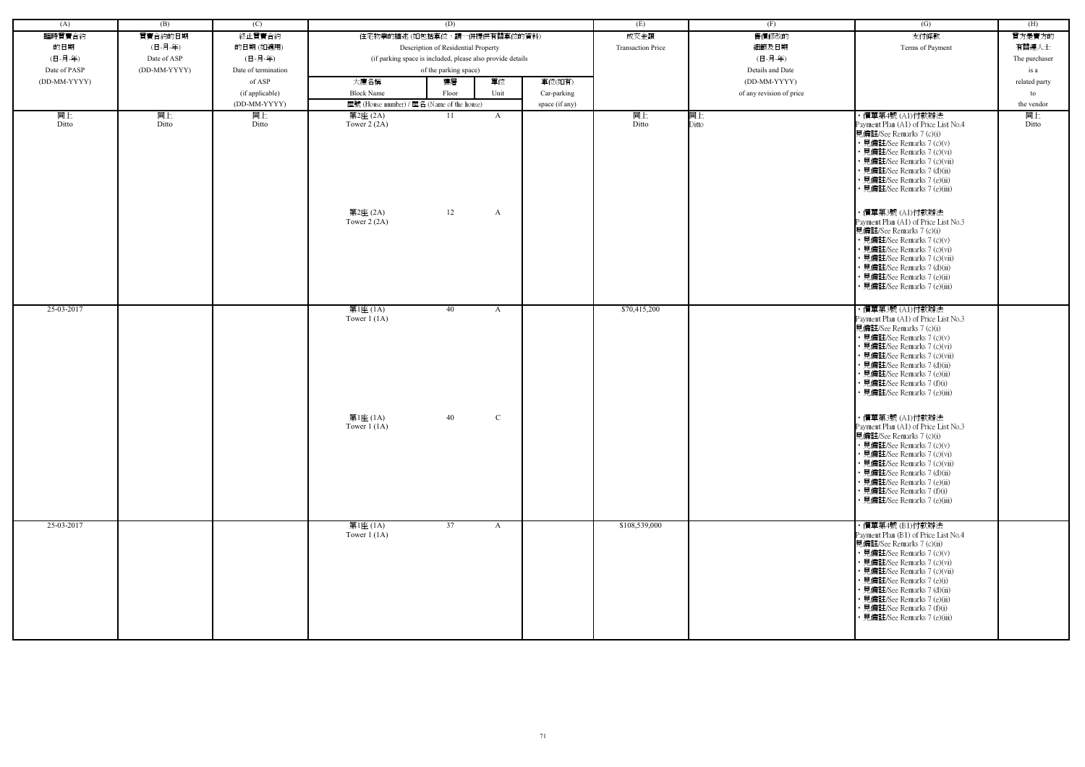| (A)          | (B)          | (C)                 |                                            | (D)                                                        |              |                | (E)                      | (F)                      | (G)                                                                                                                                                                                                                                                                                                                                         | (H)           |
|--------------|--------------|---------------------|--------------------------------------------|------------------------------------------------------------|--------------|----------------|--------------------------|--------------------------|---------------------------------------------------------------------------------------------------------------------------------------------------------------------------------------------------------------------------------------------------------------------------------------------------------------------------------------------|---------------|
| 臨時買賣合約       | 買賣合約的日期      | 終止買賣合約              | 住宅物業的描述 (如包括車位,請一併提供有關車位的資料)               |                                                            |              |                | 成交金額                     | 售價修改的                    | 支付條款                                                                                                                                                                                                                                                                                                                                        | 買方是賣方的        |
| 的日期          | (日-月-年)      | 的日期(如適用)            |                                            | Description of Residential Property                        |              |                | <b>Transaction Price</b> | 細節及日期                    | Terms of Payment                                                                                                                                                                                                                                                                                                                            | 有關連人士         |
| (日-月-年)      | Date of ASP  | (日-月-年)             |                                            | (if parking space is included, please also provide details |              |                |                          | (日-月-年)                  |                                                                                                                                                                                                                                                                                                                                             | The purchaser |
| Date of PASP | (DD-MM-YYYY) | Date of termination |                                            | of the parking space)                                      |              |                |                          | Details and Date         |                                                                                                                                                                                                                                                                                                                                             | is a          |
| (DD-MM-YYYY) |              | of ASP              | 大廈名稱                                       | 樓層                                                         | 單位           | 車位(如有)         |                          | (DD-MM-YYYY)             |                                                                                                                                                                                                                                                                                                                                             | related party |
|              |              | (if applicable)     | <b>Block Name</b>                          | Floor                                                      | Unit         | Car-parking    |                          | of any revision of price |                                                                                                                                                                                                                                                                                                                                             | to            |
|              |              | (DD-MM-YYYY)        | 屋號 (House number) / 屋名 (Name of the house) |                                                            |              | space (if any) |                          |                          |                                                                                                                                                                                                                                                                                                                                             | the vendor    |
| 同上<br>Ditto  | 同上<br>Ditto  | 同上<br>Ditto         | 第2座 (2A)<br>Tower $2(2A)$                  | -11                                                        | A            |                | 同上<br>Ditto              | 同上<br>Ditto              | ・價單第4號 (A1)付款辦法<br>Payment Plan (A1) of Price List No.4<br>見備註/See Remarks 7 (c)(i)<br>• 見備註/See Remarks 7 (c)(v)<br>見備註/See Remarks 7 (c)(vi)<br>· 見備註/See Remarks 7 (c)(vii)<br>見備註/See Remarks 7 (d)(ii)<br>見備註/See Remarks 7 (e)(ii)<br>• 見備註/See Remarks 7 (e)(iii)                                                                    | 同上<br>Ditto   |
|              |              |                     | 第2座 (2A)<br>Tower $2(2A)$                  | 12                                                         | $\mathbf{A}$ |                |                          |                          | ・價單第3號 (A1)付款辦法<br>Payment Plan (A1) of Price List No.3<br>見備註/See Remarks 7 (c)(i)<br>• 見備註/See Remarks 7 (c)(v)<br>• 見備註/See Remarks 7 (c)(vi)<br>見備註/See Remarks 7 (c)(vii)<br>見備註/See Remarks 7 (d)(ii)<br>見備註/See Remarks 7 (e)(ii)<br>見備註/See Remarks 7 (e)(iii)                                                                      |               |
| 25-03-2017   |              |                     | 第1座 (1A)<br>Tower $1(1A)$                  | 40                                                         | A            |                | \$70,415,200             |                          | ・價單第3號 (A1)付款辦法<br>Payment Plan (A1) of Price List No.3<br>見備註/See Remarks 7 (c)(i)<br>• 見備註/See Remarks 7 (c)(v)<br>• 見備註/See Remarks 7 (c)(vi)<br>· 見備註/See Remarks 7 (c)(vii)<br>見備註/See Remarks 7 (d)(ii)<br>· 見備註/See Remarks 7 (e)(ii)<br>見備註/See Remarks 7 (f)(i)<br>見備註/See Remarks 7 (e)(iii)                                      |               |
|              |              |                     | 第1座 (1A)<br>Tower $1$ (1A)                 | 40                                                         | $\mathbf C$  |                |                          |                          | ・價單第3號 (A1)付款辦法<br>Payment Plan (A1) of Price List No.3<br>見備註/See Remarks 7 (c)(i)<br>• 見備註/See Remarks 7 (c)(v)<br>• 見備註/See Remarks 7 (c)(vi)<br>見備註/See Remarks 7 (c)(vii)<br>• 見備註/See Remarks 7 (d)(ii)<br>見備註/See Remarks 7 (e)(ii)<br>見備註/See Remarks 7 (f)(i)<br>• 見備註/See Remarks 7 (e)(iii)                                      |               |
| 25-03-2017   |              |                     | 第1座 (1A)<br>Tower $1(1A)$                  | $\overline{37}$                                            | A            |                | \$108,539,000            |                          | ・價單第4號 (B1)付款辦法<br>Payment Plan (B1) of Price List No.4<br>見備註/See Remarks 7 (c)(ii)<br>• 見備註/See Remarks 7 (c)(v)<br>• 見備註/See Remarks 7 (c)(vi)<br>· 見備註/See Remarks 7 (c)(vii)<br>• 見備註/See Remarks 7 (e)(i)<br>• 見備註/See Remarks 7 (d)(ii)<br>· 見備註/See Remarks 7 (e)(ii)<br>• 見備註/See Remarks 7 (f)(i)<br>· 見備註/See Remarks 7 (e)(iii) |               |

| (G)                                                                                                                                                                                                                                                                                                                                     | (H)           |
|-----------------------------------------------------------------------------------------------------------------------------------------------------------------------------------------------------------------------------------------------------------------------------------------------------------------------------------------|---------------|
| 支付條款                                                                                                                                                                                                                                                                                                                                    | 買方是賣方的        |
| Terms of Payment                                                                                                                                                                                                                                                                                                                        | 有關連人士         |
|                                                                                                                                                                                                                                                                                                                                         | The purchaser |
|                                                                                                                                                                                                                                                                                                                                         | is a          |
|                                                                                                                                                                                                                                                                                                                                         | related party |
|                                                                                                                                                                                                                                                                                                                                         | to            |
|                                                                                                                                                                                                                                                                                                                                         | the vendor    |
| ・價單第4號 (A1)付款辦法<br>Payment Plan (A1) of Price List No.4<br>見備註/See Remarks 7 (c)(i)<br>• 見備註/See Remarks 7 (c)(v)<br>• 見備註/See Remarks 7 (c)(vi)<br>• 見備註/See Remarks 7 (c)(vii)<br>• 見備註/See Remarks 7 (d)(ii)                                                                                                                         | 同上<br>Ditto   |
| • 見備註/See Remarks 7 (e)(ii)<br>• 見備註/See Remarks 7 (e)(iii)<br>・價單第3號 (A1)付款辦法                                                                                                                                                                                                                                                          |               |
| Payment Plan (A1) of Price List No.3<br>見備註/See Remarks 7 (c)(i)<br>• 見備註/See Remarks 7 (c)(v)                                                                                                                                                                                                                                          |               |
| • 見備註/See Remarks 7 (c)(vi)<br>• 見備註/See Remarks 7 (c)(vii)<br>• 見備註/See Remarks 7 (d)(ii)                                                                                                                                                                                                                                              |               |
| • 見備註/See Remarks 7 (e)(ii)<br>• 見備註/See Remarks 7 (e)(iii)                                                                                                                                                                                                                                                                             |               |
| ・價單第3號 (A1)付款辦法<br>Payment Plan (A1) of Price List No.3<br>見備註/See Remarks 7 (c)(i)<br>• 見備註/See Remarks 7 (c)(v)<br>• 見備註/See Remarks 7 (c)(vi)<br>• 見備註/See Remarks 7 (c)(vii)<br>• 見備註/See Remarks 7 (d)(ii)<br>• 見備註/See Remarks 7 (e)(ii)<br>• 見備註/See Remarks 7 (f)(i)<br>• 見備註/See Remarks 7 (e)(iii)                            |               |
| 價單第3號 (A1)付款辦法<br>Payment Plan (A1) of Price List No.3<br>見備註/See Remarks 7 (c)(i)<br>• 見備註/See Remarks 7 (c)(v)<br>見備註/See Remarks 7 (c)(vi)<br>• 見備註/See Remarks 7 (c)(vii)<br>見備註/See Remarks 7 (d)(ii)<br>• 見備註/See Remarks 7 (e)(ii)<br>• 見備註/See Remarks 7 (f)(i)<br>• 見備註/See Remarks 7 (e)(iii)                                 |               |
| ・價單第4號 (B1)付款辦法<br>Payment Plan (B1) of Price List No.4<br>見備註/See Remarks 7 (c)(ii)<br>• 見備註/See Remarks 7 (c)(v)<br>• 見備註/See Remarks 7 (c)(vi)<br>• 見備註/See Remarks 7 (c)(vii)<br>見備註/See Remarks 7 (e)(i)<br>• 見備註/See Remarks 7 (d)(ii)<br>• 見備註/See Remarks 7 (e)(ii)<br>見備註/See Remarks 7 (f)(i)<br>• 見備註/See Remarks 7 (e)(iii) |               |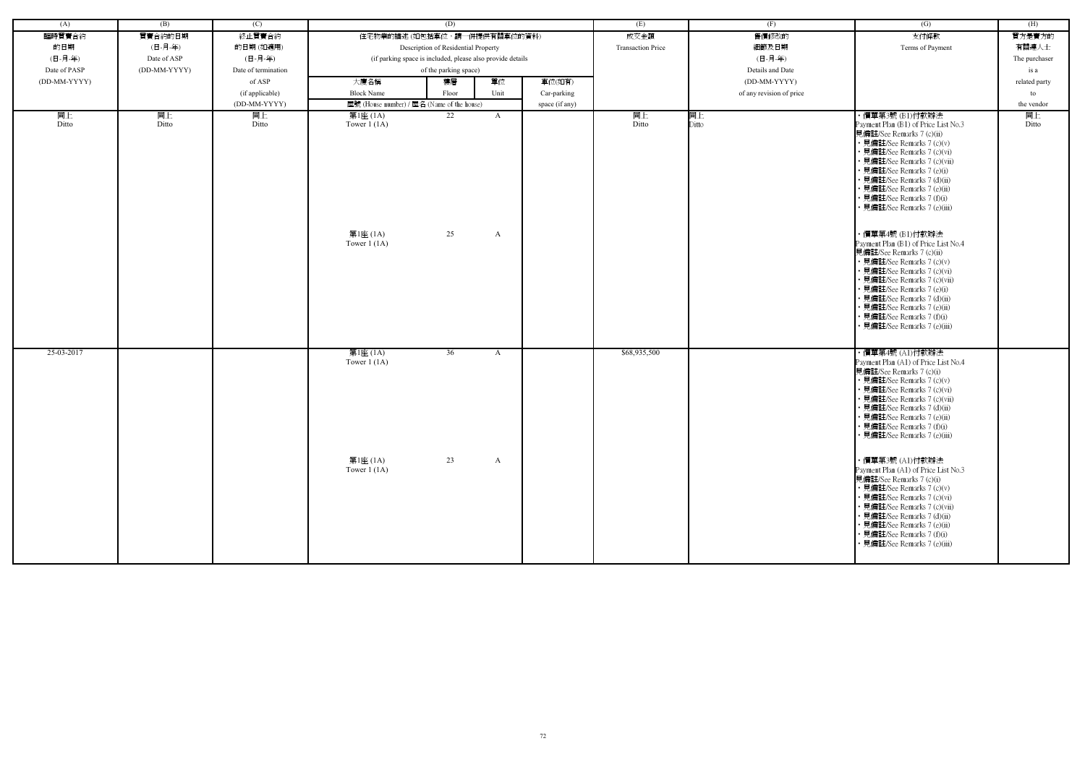| (A)          | (B)          | (C)                 | (D)                                                        |          |                   |                          | (E)              | (F)                      | $\overline{(G)}$                                                                                                                                                                                                                                                                                                                                                                                                                    | (H)           |
|--------------|--------------|---------------------|------------------------------------------------------------|----------|-------------------|--------------------------|------------------|--------------------------|-------------------------------------------------------------------------------------------------------------------------------------------------------------------------------------------------------------------------------------------------------------------------------------------------------------------------------------------------------------------------------------------------------------------------------------|---------------|
| 臨時買賣合約       | 買賣合約的日期      | 終止買賣合約              | 住宅物業的描述 (如包括車位,請一併提供有關車位的資料)                               |          |                   | 成交金額                     | 售價修改的            | 支付條款                     | 買方是賣方的                                                                                                                                                                                                                                                                                                                                                                                                                              |               |
| 的日期          | (日-月-年)      | 的日期(如適用)            | Description of Residential Property                        |          |                   | <b>Transaction Price</b> | 細節及日期            | Terms of Payment         | 有關連人士                                                                                                                                                                                                                                                                                                                                                                                                                               |               |
| (日-月-年)      | Date of ASP  | (日-月-年)             | (if parking space is included, please also provide details |          |                   |                          | (日-月-年)          |                          | The purchaser                                                                                                                                                                                                                                                                                                                                                                                                                       |               |
| Date of PASP | (DD-MM-YYYY) | Date of termination | of the parking space)                                      |          |                   |                          | Details and Date |                          | is a                                                                                                                                                                                                                                                                                                                                                                                                                                |               |
|              |              |                     | 大廈名稱<br>單位<br>樓層<br>車位(如有)                                 |          |                   |                          |                  |                          |                                                                                                                                                                                                                                                                                                                                                                                                                                     |               |
| (DD-MM-YYYY) |              | of ASP              |                                                            |          |                   |                          |                  | (DD-MM-YYYY)             |                                                                                                                                                                                                                                                                                                                                                                                                                                     | related party |
|              |              | (if applicable)     | <b>Block Name</b>                                          | Floor    | Unit              | Car-parking              |                  | of any revision of price |                                                                                                                                                                                                                                                                                                                                                                                                                                     | to            |
|              |              | (DD-MM-YYYY)        | 屋號 (House number) / 屋名 (Name of the house)                 |          |                   | space (if any)           |                  |                          |                                                                                                                                                                                                                                                                                                                                                                                                                                     | the vendor    |
| 同上<br>Ditto  | 同上<br>Ditto  | 同上<br>Ditto         | 第1座 (1A)<br>Tower $1(1A)$<br>第1座 (1A)<br>Tower $1(1A)$     | 22<br>25 | $\mathbf{A}$<br>A |                          | 同上<br>Ditto      | 同上<br>Ditto              | ・價單第3號 (B1)付款辦法<br>Payment Plan (B1) of Price List No.3<br>見備註/See Remarks 7 (c)(ii)<br>• 見備註/See Remarks 7 (c)(v)<br>• 見備註/See Remarks 7 (c)(vi)<br>· 見備註/See Remarks 7 (c)(vii)<br>• 見備註/See Remarks 7 (e)(i)<br>• 見備註/See Remarks 7 (d)(ii)<br>• 見備註/See Remarks 7 (e)(ii)<br>• 見備註/See Remarks 7 (f)(i)<br>· 見備註/See Remarks 7 (e)(iii)<br>・價單第4號 (B1)付款辦法<br>Payment Plan (B1) of Price List No.4<br>見備註/See Remarks 7 (c)(ii) | 同上<br>Ditto   |
|              |              |                     |                                                            |          |                   |                          |                  |                          | • 見備註/See Remarks 7 (c)(v)<br>• 見備註/See Remarks 7 (c)(vi)<br>• 見備註/See Remarks 7 (c)(vii)<br>• 見備註/See Remarks 7 (e)(i)<br>• 見備註/See Remarks 7 (d)(ii)<br>• 見備註/See Remarks 7 (e)(ii)<br>· 見備註/See Remarks 7 (f)(i)<br>• 見備註/See Remarks 7 (e)(iii)                                                                                                                                                                                 |               |
| 25-03-2017   |              |                     | 第1座 (1A)<br>Tower $1(1A)$                                  | 36       | A                 |                          | \$68,935,500     |                          | ・價單第4號 (A1)付款辦法<br>Payment Plan (A1) of Price List No.4<br>見備註/See Remarks 7 (c)(i)<br>• 見備註/See Remarks 7 (c)(v)<br>• 見備註/See Remarks 7 (c)(vi)<br>· 見備註/See Remarks 7 (c)(vii)<br>• 見備註/See Remarks 7 (d)(ii)<br>• 見備註/See Remarks 7 (e)(ii)<br>• 見備註/See Remarks 7 (f)(i)<br>• 見備註/See Remarks 7 (e)(iii)                                                                                                                        |               |
|              |              |                     | 第1座 (1A)<br>Tower $1(1A)$                                  | 23       | A                 |                          |                  |                          | ・價單第3號 (A1)付款辦法<br>Payment Plan (A1) of Price List No.3<br>見備註/See Remarks 7 (c)(i)<br>• 見備註/See Remarks 7 (c)(v)<br>• 見備註/See Remarks 7 (c)(vi)<br>• 見備註/See Remarks 7 (c)(vii)<br>• 見備註/See Remarks 7 (d)(ii)<br>• 見備註/See Remarks 7 (e)(ii)<br>• 見備註/See Remarks 7 (f)(i)<br>• 見備註/See Remarks 7 (e)(iii)                                                                                                                        |               |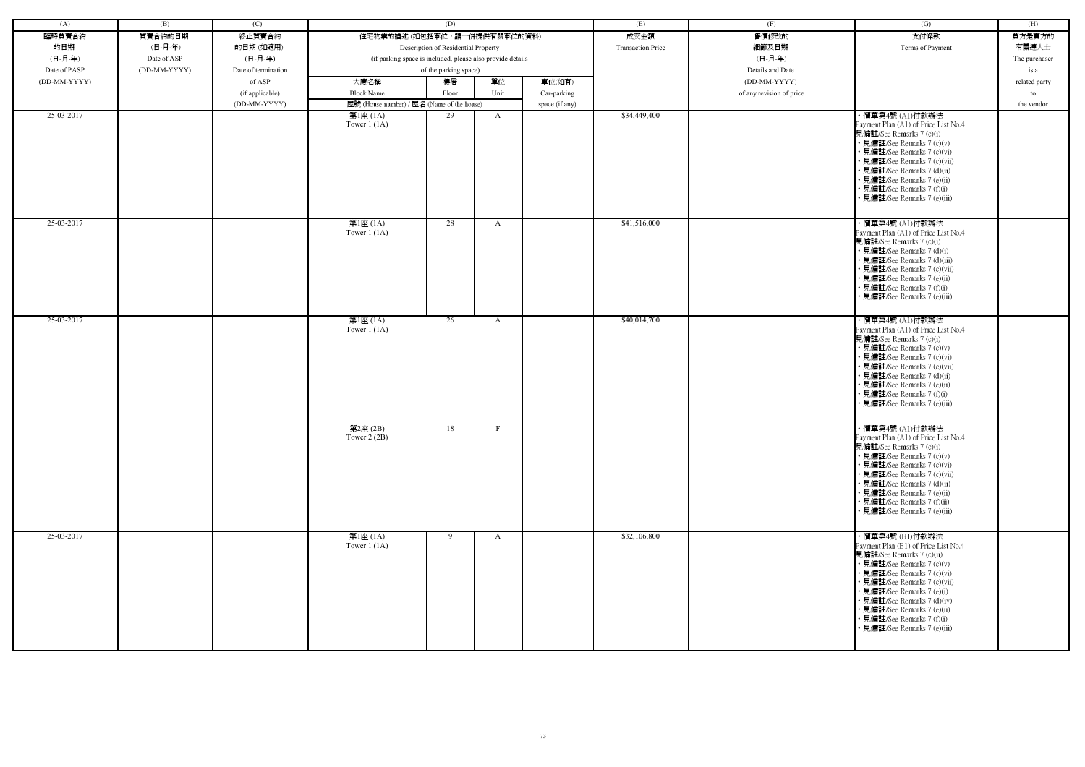| (A)          | (B)          | (C)                 | (D)                                                        |                                     |              | (E)            | (F)                      | $\overline{(G)}$         | (H)                                                                                                                                                                                                                                                                                                                                         |               |
|--------------|--------------|---------------------|------------------------------------------------------------|-------------------------------------|--------------|----------------|--------------------------|--------------------------|---------------------------------------------------------------------------------------------------------------------------------------------------------------------------------------------------------------------------------------------------------------------------------------------------------------------------------------------|---------------|
| 臨時買賣合約       | 買賣合約的日期      | 終止買賣合約              | 住宅物業的描述 (如包括車位,請一併提供有關車位的資料)                               |                                     |              |                | 成交金額                     | 售價修改的                    | 支付條款                                                                                                                                                                                                                                                                                                                                        | 買方是賣方的        |
| 的日期          | (日-月-年)      | 的日期(如適用)            |                                                            | Description of Residential Property |              |                | <b>Transaction Price</b> | 細節及日期                    | Terms of Payment                                                                                                                                                                                                                                                                                                                            | 有關連人士         |
| (日-月-年)      | Date of ASP  | (日-月-年)             | (if parking space is included, please also provide details |                                     |              |                |                          | (日-月-年)                  |                                                                                                                                                                                                                                                                                                                                             | The purchaser |
| Date of PASP | (DD-MM-YYYY) | Date of termination |                                                            | of the parking space)               |              |                |                          | Details and Date         |                                                                                                                                                                                                                                                                                                                                             | is a          |
| (DD-MM-YYYY) |              | of ASP              | 大廈名稱                                                       | 樓層                                  | 單位           | 車位(如有)         |                          | (DD-MM-YYYY)             |                                                                                                                                                                                                                                                                                                                                             | related party |
|              |              | (if applicable)     | <b>Block Name</b>                                          | Floor                               | Unit         | Car-parking    |                          | of any revision of price |                                                                                                                                                                                                                                                                                                                                             | to            |
|              |              | (DD-MM-YYYY)        | 屋號 (House number) / 屋名 (Name of the house)                 |                                     |              | space (if any) |                          |                          |                                                                                                                                                                                                                                                                                                                                             | the vendor    |
| 25-03-2017   |              |                     | 第1座 (1A)<br>Tower $1(1A)$                                  | 29                                  | $\mathbf{A}$ |                | \$34,449,400             |                          | ・價單第4號 (A1)付款辦法<br>Payment Plan (A1) of Price List No.4                                                                                                                                                                                                                                                                                     |               |
|              |              |                     |                                                            |                                     |              |                |                          |                          | 見備註/See Remarks 7 (c)(i)<br>• 見備註/See Remarks 7 (c)(v)<br>• 見備註/See Remarks 7 (c)(vi)<br>• 見備註/See Remarks 7 (c)(vii)<br>• 見備註/See Remarks 7 (d)(ii)<br>• 見備註/See Remarks 7 (e)(ii)<br>• 見備註/See Remarks 7 (f)(i)<br>• 見備註/See Remarks 7 (e)(iii)                                                                                           |               |
| 25-03-2017   |              |                     | 第1座(1A)<br>Tower $1(1A)$                                   | 28                                  | A            |                | \$41,516,000             |                          | ・價單第4號 (A1)付款辦法<br>Payment Plan (A1) of Price List No.4<br>見備註/See Remarks 7 (c)(i)<br>• 見備註/See Remarks 7 (d)(i)<br>• 見備註/See Remarks 7 (d)(iii)<br>• 見備註/See Remarks 7 (c)(vii)<br>• 見備註/See Remarks 7 (e)(ii)<br>• 見備註/See Remarks 7 (f)(i)<br>• 見備註/See Remarks 7 (e)(iii)                                                              |               |
| 25-03-2017   |              |                     | 第1座 (1A)<br>Tower $1(1A)$                                  | 26                                  | A            |                | \$40,014,700             |                          | ・價單第4號 (A1)付款辦法<br>Payment Plan (A1) of Price List No.4<br>見備註/See Remarks 7 (c)(i)<br>• 見備註/See Remarks 7 (c)(v)<br>• 見備註/See Remarks 7 (c)(vi)<br>• 見備註/See Remarks 7 (c)(vii)<br>• 見備註/See Remarks 7 (d)(ii)<br>• 見備註/See Remarks 7 (e)(ii)<br>• 見備註/See Remarks 7 (f)(i)<br>• 見備註/See Remarks 7 (e)(iii)                                |               |
|              |              |                     | 第2座 (2B)<br>Tower $2(2B)$                                  | 18                                  | $\mathbf{F}$ |                |                          |                          | ・價單第4號 (A1)付款辦法<br>Payment Plan (A1) of Price List No.4<br>見備註/See Remarks 7 (c)(i)<br>• 見備註/See Remarks 7 (c)(v)<br>• 見備註/See Remarks 7 (c)(vi)<br>• 見備註/See Remarks 7 (c)(vii)<br>• 見備註/See Remarks 7 (d)(ii)<br>• 見備註/See Remarks 7 (e)(ii)<br>• 見備註/See Remarks 7 (f)(ii)<br>• 見備註/See Remarks 7 (e)(iii)                               |               |
| 25-03-2017   |              |                     | 第1座 (1A)<br>Tower $1(1A)$                                  | 9                                   | $\mathbf{A}$ |                | \$32,106,800             |                          | ・價單第4號 (B1)付款辦法<br>Payment Plan (B1) of Price List No.4<br>見備註/See Remarks 7 (c)(ii)<br>• 見備註/See Remarks 7 (c)(v)<br>• 見備註/See Remarks 7 (c)(vi)<br>• 見備註/See Remarks 7 (c)(vii)<br>• 見備註/See Remarks 7 (e)(i)<br>• 見備註/See Remarks 7 (d)(iv)<br>• 見備註/See Remarks 7 (e)(ii)<br>• 見備註/See Remarks 7 (f)(i)<br>• 見備註/See Remarks 7 (e)(iii) |               |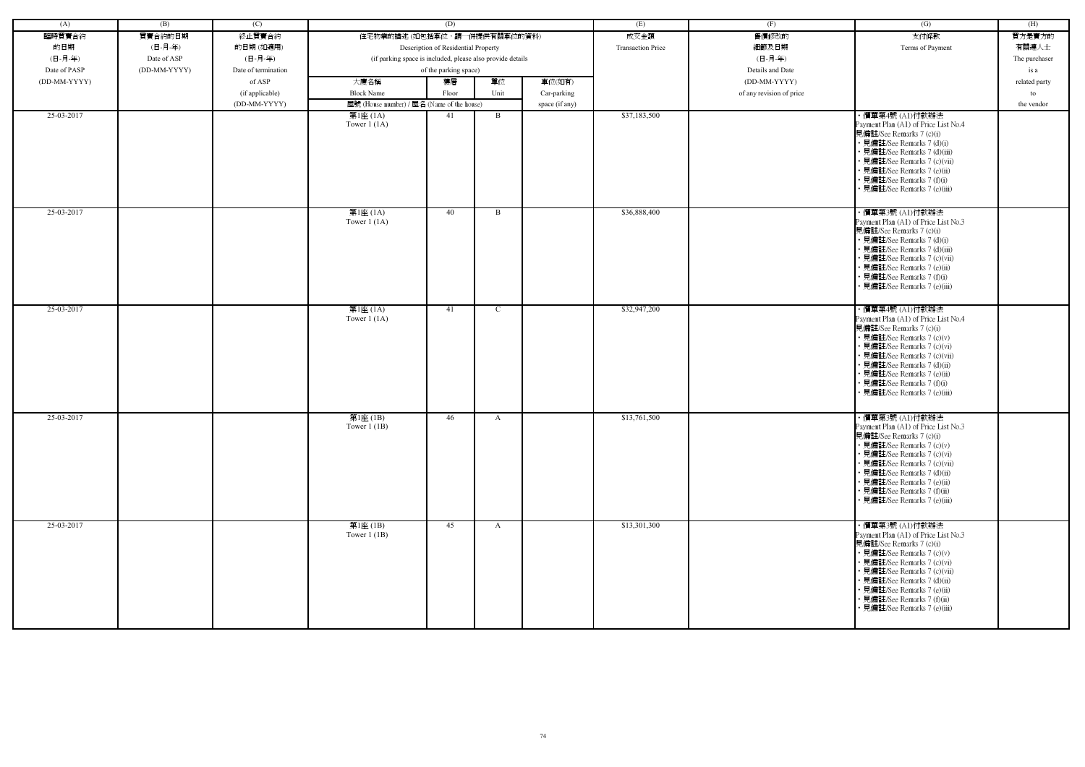| (A)          | (B)          | (C)                 |                                                            | (D)                                 |               |                | (E)                      | (F)                      | (G)                                                                                                                                                                                                                                                                                                            | (H)           |
|--------------|--------------|---------------------|------------------------------------------------------------|-------------------------------------|---------------|----------------|--------------------------|--------------------------|----------------------------------------------------------------------------------------------------------------------------------------------------------------------------------------------------------------------------------------------------------------------------------------------------------------|---------------|
| 臨時買賣合約       | 買賣合約的日期      | 終止買賣合約              | 住宅物業的描述 (如包括車位,請一併提供有關車位的資料)                               |                                     |               |                | 成交金額                     | 售價修改的                    | 支付條款                                                                                                                                                                                                                                                                                                           | 買方是賣方的        |
|              |              |                     |                                                            |                                     |               |                |                          |                          |                                                                                                                                                                                                                                                                                                                |               |
| 的日期          | (日-月-年)      | 的日期(如適用)            |                                                            | Description of Residential Property |               |                | <b>Transaction Price</b> | 細節及日期                    | Terms of Payment                                                                                                                                                                                                                                                                                               | 有關連人士         |
| (日-月-年)      | Date of ASP  | (日-月-年)             | (if parking space is included, please also provide details |                                     |               |                |                          | (日-月-年)                  |                                                                                                                                                                                                                                                                                                                | The purchaser |
| Date of PASP | (DD-MM-YYYY) | Date of termination |                                                            | of the parking space)               |               |                |                          | Details and Date         |                                                                                                                                                                                                                                                                                                                | is a          |
| (DD-MM-YYYY) |              | of ASP              | 大廈名稱                                                       | 樓層                                  | 單位            | 車位(如有)         |                          | (DD-MM-YYYY)             |                                                                                                                                                                                                                                                                                                                | related party |
|              |              | (if applicable)     | <b>Block Name</b>                                          | Floor                               | Unit          | Car-parking    |                          | of any revision of price |                                                                                                                                                                                                                                                                                                                | to            |
|              |              | (DD-MM-YYYY)        | 屋號 (House number) / 屋名 (Name of the house)                 |                                     |               | space (if any) |                          |                          |                                                                                                                                                                                                                                                                                                                | the vendor    |
| 25-03-2017   |              |                     | 第1座 (1A)<br>Tower $1(1A)$                                  | 41                                  | B             |                | \$37,183,500             |                          | ・價單第4號 (Al)付款辦法<br>Payment Plan (A1) of Price List No.4<br>見備註/See Remarks 7 (c)(i)<br>• 見備註/See Remarks 7 (d)(i)<br>• 見備註/See Remarks 7 (d)(iii)<br>• 見備註/See Remarks 7 (c)(vii)<br>• 見備註/See Remarks 7 (e)(ii)<br>• 見備註/See Remarks 7 (f)(i)<br>• 見備註/See Remarks 7 (e)(iii)                                 |               |
| 25-03-2017   |              |                     | 第1座 (1A)<br>Tower $1(1A)$                                  | 40                                  | B             |                | \$36,888,400             |                          | · 價單第3號 (A1)付款辦法<br>Payment Plan (A1) of Price List No.3<br>見備註/See Remarks 7 (c)(i)<br>• 見備註/See Remarks 7 (d)(i)<br>• 見備註/See Remarks 7 (d)(iii)<br>· 見備註/See Remarks 7 (c)(vii)<br>• 見備註/See Remarks 7 (e)(ii)<br>· 見備註/See Remarks 7 (f)(i)<br>見備註/See Remarks 7 (e)(iii)                                  |               |
| 25-03-2017   |              |                     | 第1座 (1A)<br>Tower $1(1A)$                                  | 41                                  | $\mathcal{C}$ |                | \$32,947,200             |                          | · 價單第4號 (A1)付款辦法<br>Payment Plan (A1) of Price List No.4<br>見備註/See Remarks 7 (c)(i)<br>• 見備註/See Remarks 7 (c)(v)<br>• 見備註/See Remarks 7 (c)(vi)<br>• 見備註/See Remarks 7 (c)(vii)<br>• 見備註/See Remarks 7 (d)(ii)<br>• 見備註/See Remarks 7 (e)(ii)<br>• 見備註/See Remarks 7 (f)(i)<br>• 見備註/See Remarks 7 (e)(iii)  |               |
| 25-03-2017   |              |                     | 第1座(1B)<br>Tower $1$ (1B)                                  | 46                                  | A             |                | \$13,761,500             |                          | · 價單第3號 (A1)付款辦法<br>Payment Plan (A1) of Price List No.3<br>見備註/See Remarks 7 (c)(i)<br>• 見備註/See Remarks 7 (c)(v)<br>• 見備註/See Remarks 7 (c)(vi)<br>• 見備註/See Remarks 7 (c)(vii)<br>• 見備註/See Remarks 7 (d)(ii)<br>• 見備註/See Remarks 7 (e)(ii)<br>• 見備註/See Remarks 7 (f)(ii)<br>• 見備註/See Remarks 7 (e)(iii) |               |
| 25-03-2017   |              |                     | 第1座(1B)<br>Tower $1(1B)$                                   | 45                                  | $\mathbf{A}$  |                | \$13,301,300             |                          | ・價單第3號 (A1)付款辦法<br>Payment Plan (A1) of Price List No.3<br>見備註/See Remarks 7 (c)(i)<br>• 見備註/See Remarks 7 (c)(v)<br>• 見備註/See Remarks 7 (c)(vi)<br>· 見備註/See Remarks 7 (c)(vii)<br>• 見備註/See Remarks 7 (d)(ii)<br>• 見備註/See Remarks 7 (e)(ii)<br>· 見備註/See Remarks 7 (f)(ii)<br>• 見備註/See Remarks 7 (e)(iii)  |               |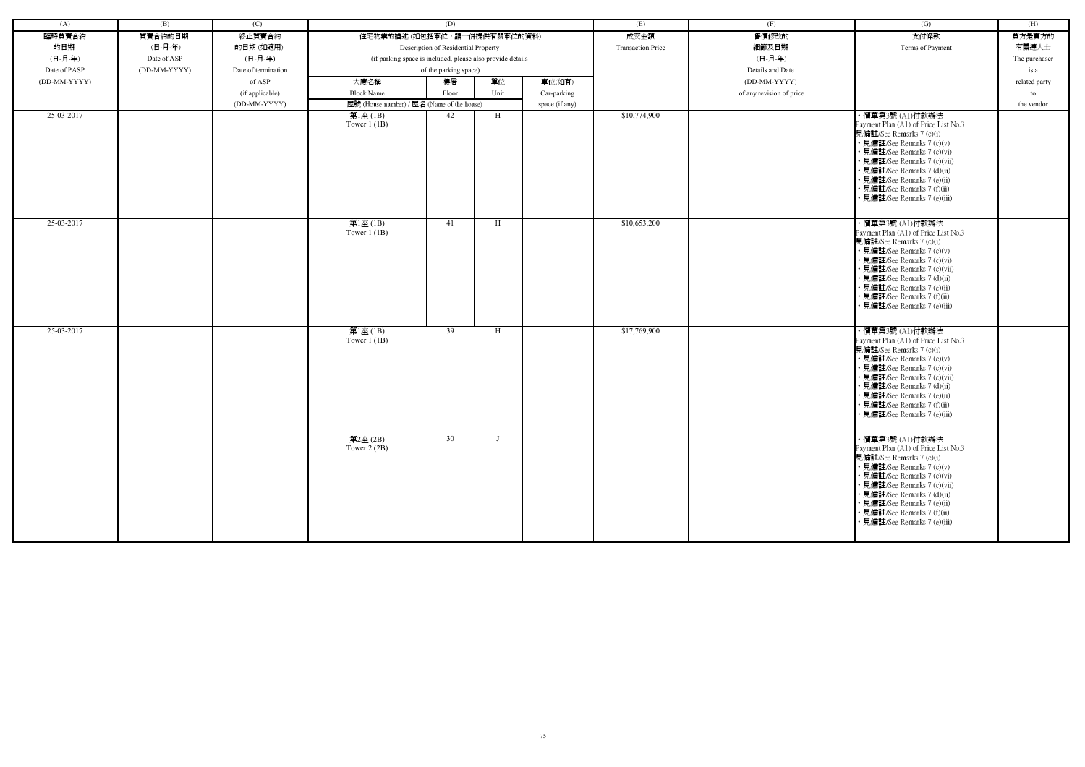| (A)          | (B)          | (C)                 |                                                            | (D)                                 |      |                | (E)                      | (F)                      | (G)                                                                                                                                                                                                                                                                                                           | (H)           |
|--------------|--------------|---------------------|------------------------------------------------------------|-------------------------------------|------|----------------|--------------------------|--------------------------|---------------------------------------------------------------------------------------------------------------------------------------------------------------------------------------------------------------------------------------------------------------------------------------------------------------|---------------|
| 臨時買賣合約       | 買賣合約的日期      | 終止買賣合約              | 住宅物業的描述 (如包括車位,請一併提供有關車位的資料)                               |                                     |      |                | 成交金額                     | 售價修改的                    | 支付條款                                                                                                                                                                                                                                                                                                          | 買方是賣方的        |
| 的日期          | (日-月-年)      | 的日期(如適用)            |                                                            | Description of Residential Property |      |                | <b>Transaction Price</b> | 細節及日期                    | Terms of Payment                                                                                                                                                                                                                                                                                              | 有關連人士         |
| (日-月-年)      | Date of ASP  | (日-月-年)             | (if parking space is included, please also provide details |                                     |      |                |                          | (日-月-年)                  |                                                                                                                                                                                                                                                                                                               | The purchaser |
| Date of PASP | (DD-MM-YYYY) | Date of termination |                                                            | of the parking space)               |      |                |                          | Details and Date         |                                                                                                                                                                                                                                                                                                               | is a          |
| (DD-MM-YYYY) |              | of ASP              | 大廈名稱                                                       | 樓層                                  | 單位   | 車位(如有)         |                          | (DD-MM-YYYY)             |                                                                                                                                                                                                                                                                                                               | related party |
|              |              | (if applicable)     | <b>Block Name</b>                                          | Floor                               | Unit | Car-parking    |                          | of any revision of price |                                                                                                                                                                                                                                                                                                               | to            |
|              |              | (DD-MM-YYYY)        | 屋號 (House number) / 屋名 (Name of the house)                 |                                     |      | space (if any) |                          |                          |                                                                                                                                                                                                                                                                                                               | the vendor    |
| 25-03-2017   |              |                     | 第1座 (1B)<br>Tower $1$ (1B)                                 | 42                                  | H    |                | \$10,774,900             |                          | ・價單第3號 (A1)付款辦法<br>Payment Plan (A1) of Price List No.3<br>見備註/See Remarks 7 (c)(i)<br>• 見備註/See Remarks 7 (c)(v)<br>• 見備註/See Remarks 7 (c)(vi)<br>· 見備註/See Remarks 7 (c)(vii)                                                                                                                              |               |
|              |              |                     |                                                            |                                     |      |                |                          |                          | • 見備註/See Remarks 7 (d)(ii)<br>• 見備註/See Remarks 7 (e)(ii)<br>• 見備註/See Remarks 7 (f)(ii)<br>• 見備註/See Remarks 7 (e)(iii)                                                                                                                                                                                     |               |
| 25-03-2017   |              |                     | 第1座(1B)<br>Tower $1$ (1B)                                  | 41                                  | H    |                | \$10,653,200             |                          | ・價單第3號 (A1)付款辦法<br>Payment Plan (A1) of Price List No.3<br>見備註/See Remarks 7 (c)(i)<br>• 見備註/See Remarks 7 (c)(v)<br>• 見備註/See Remarks 7 (c)(vi)<br>• 見備註/See Remarks 7 (c)(vii)<br>• 見備註/See Remarks 7 (d)(ii)<br>• 見備註/See Remarks 7 (e)(ii)<br>• 見備註/See Remarks 7 (f)(ii)<br>• 見備註/See Remarks 7 (e)(iii) |               |
| 25-03-2017   |              |                     | 第1座(1B)<br>Tower $1$ (1B)                                  | 39                                  | H    |                | \$17,769,900             |                          | ・價單第3號 (A1)付款辦法<br>Payment Plan (A1) of Price List No.3<br>見備註/See Remarks 7 (c)(i)<br>• 見備註/See Remarks 7 (c)(v)<br>• 見備註/See Remarks 7 (c)(vi)<br>• 見備註/See Remarks 7 (c)(vii)<br>• 見備註/See Remarks 7 (d)(ii)<br>• 見備註/See Remarks 7 (e)(ii)<br>• 見備註/See Remarks 7 (f)(ii)<br>• 見備註/See Remarks 7 (e)(iii) |               |
|              |              |                     | 第2座(2B)<br>Tower $2(2B)$                                   | 30                                  |      |                |                          |                          | ・價單第3號 (A1)付款辦法<br>Payment Plan (A1) of Price List No.3<br>見備註/See Remarks 7 (c)(i)<br>• 見備註/See Remarks 7 (c)(v)<br>• 見備註/See Remarks 7 (c)(vi)<br>• 見備註/See Remarks 7 (c)(vii)<br>• 見備註/See Remarks 7 (d)(ii)<br>• 見備註/See Remarks 7 (e)(ii)<br>• 見備註/See Remarks 7 (f)(ii)<br>· 見備註/See Remarks 7 (e)(iii) |               |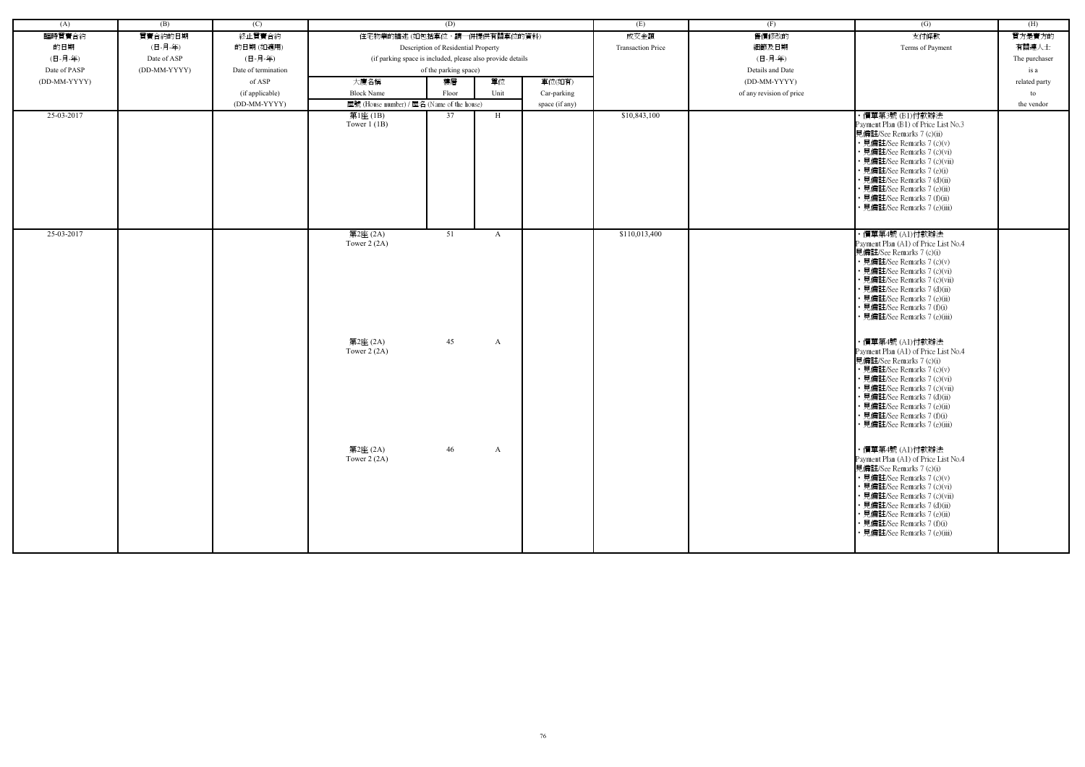| (A)          | (B)          | (C)                 | (D)                                        |                                                            | (E)  | (F)            | (G)                      | (H)                      |                                                                                                                                                                                                                                                                                                                                              |               |
|--------------|--------------|---------------------|--------------------------------------------|------------------------------------------------------------|------|----------------|--------------------------|--------------------------|----------------------------------------------------------------------------------------------------------------------------------------------------------------------------------------------------------------------------------------------------------------------------------------------------------------------------------------------|---------------|
| 臨時買賣合約       | 買賣合約的日期      | 終止買賣合約              | 住宅物業的描述 (如包括車位,請一併提供有關車位的資料)               |                                                            |      |                | 成交金額                     | 售價修改的                    | 支付條款                                                                                                                                                                                                                                                                                                                                         | 買方是賣方的        |
| 的日期          | (日-月-年)      | 的日期(如適用)            |                                            | Description of Residential Property                        |      |                | <b>Transaction Price</b> | 細節及日期                    | Terms of Payment                                                                                                                                                                                                                                                                                                                             | 有關連人士         |
| (日-月-年)      | Date of ASP  | (日-月-年)             |                                            | (if parking space is included, please also provide details |      |                |                          | (日-月-年)                  |                                                                                                                                                                                                                                                                                                                                              | The purchaser |
| Date of PASP | (DD-MM-YYYY) | Date of termination |                                            | of the parking space)                                      |      |                |                          | Details and Date         |                                                                                                                                                                                                                                                                                                                                              | is a          |
|              |              |                     |                                            | 樓層                                                         |      |                |                          |                          |                                                                                                                                                                                                                                                                                                                                              |               |
| (DD-MM-YYYY) |              | of ASP              | 大廈名稱                                       |                                                            | 單位   | 車位(如有)         |                          | (DD-MM-YYYY)             |                                                                                                                                                                                                                                                                                                                                              | related party |
|              |              | (if applicable)     | <b>Block Name</b>                          | Floor                                                      | Unit | Car-parking    |                          | of any revision of price |                                                                                                                                                                                                                                                                                                                                              | to            |
|              |              | (DD-MM-YYYY)        | 屋號 (House number) / 屋名 (Name of the house) |                                                            |      | space (if any) |                          |                          |                                                                                                                                                                                                                                                                                                                                              | the vendor    |
| 25-03-2017   |              |                     | 第1座 (1B)<br>Tower $1$ (1B)                 | 37                                                         | H    |                | \$10,843,100             |                          | ・價單第3號 (B1)付款辦法<br>Payment Plan (B1) of Price List No.3<br>見備註/See Remarks 7 (c)(ii)<br>• 見備註/See Remarks 7 (c)(v)<br>• 見備註/See Remarks 7 (c)(vi)<br>• 見備註/See Remarks 7 (c)(vii)<br>• 見備註/See Remarks 7 (e)(i)<br>• 見備註/See Remarks 7 (d)(ii)<br>• 見備註/See Remarks 7 (e)(ii)<br>• 見備註/See Remarks 7 (f)(ii)<br>• 見備註/See Remarks 7 (e)(iii) |               |
| 25-03-2017   |              |                     | 第2座 (2A)<br>Tower $2(2A)$                  | 51                                                         | A    |                | \$110,013,400            |                          | ・價單第4號 (A1)付款辦法<br>Payment Plan (A1) of Price List No.4<br>見備註/See Remarks 7 (c)(i)<br>• 見備註/See Remarks 7 (c)(v)<br>· 見備註/See Remarks 7 (c)(vi)<br>· 見備註/See Remarks 7 (c)(vii)<br>• 見備註/See Remarks 7 (d)(ii)<br>• 見備註/See Remarks 7 (e)(ii)<br>• 見備註/See Remarks 7 (f)(i)<br>• 見備註/See Remarks 7 (e)(iii)                                 |               |
|              |              |                     | 第2座 (2A)<br>Tower $2(2A)$                  | 45                                                         | A    |                |                          |                          | ・價單第4號 (A1)付款辦法<br>Payment Plan (A1) of Price List No.4<br>見備註/See Remarks 7 (c)(i)<br>• 見備註/See Remarks 7 (c)(v)<br>· 見備註/See Remarks 7 (c)(vi)<br>• 見備註/See Remarks 7 (c)(vii)<br>• 見備註/See Remarks 7 (d)(ii)<br>· 見備註/See Remarks 7 (e)(ii)<br>• 見備註/See Remarks 7 (f)(i)<br>• 見備註/See Remarks 7 (e)(iii)                                 |               |
|              |              |                     | 第2座 (2A)<br>Tower $2(2A)$                  | 46                                                         | A    |                |                          |                          | ・價單第4號 (A1)付款辦法<br>Payment Plan (A1) of Price List No.4<br>見備註/See Remarks 7 (c)(i)<br>• 見備註/See Remarks 7 (c)(v)<br>• 見備註/See Remarks 7 (c)(vi)<br>• 見備註/See Remarks 7 (c)(vii)<br>• 見備註/See Remarks 7 (d)(ii)<br>• 見備註/See Remarks 7 (e)(ii)<br>• 見備註/See Remarks 7 (f)(i)<br>• 見備註/See Remarks 7 (e)(iii)                                 |               |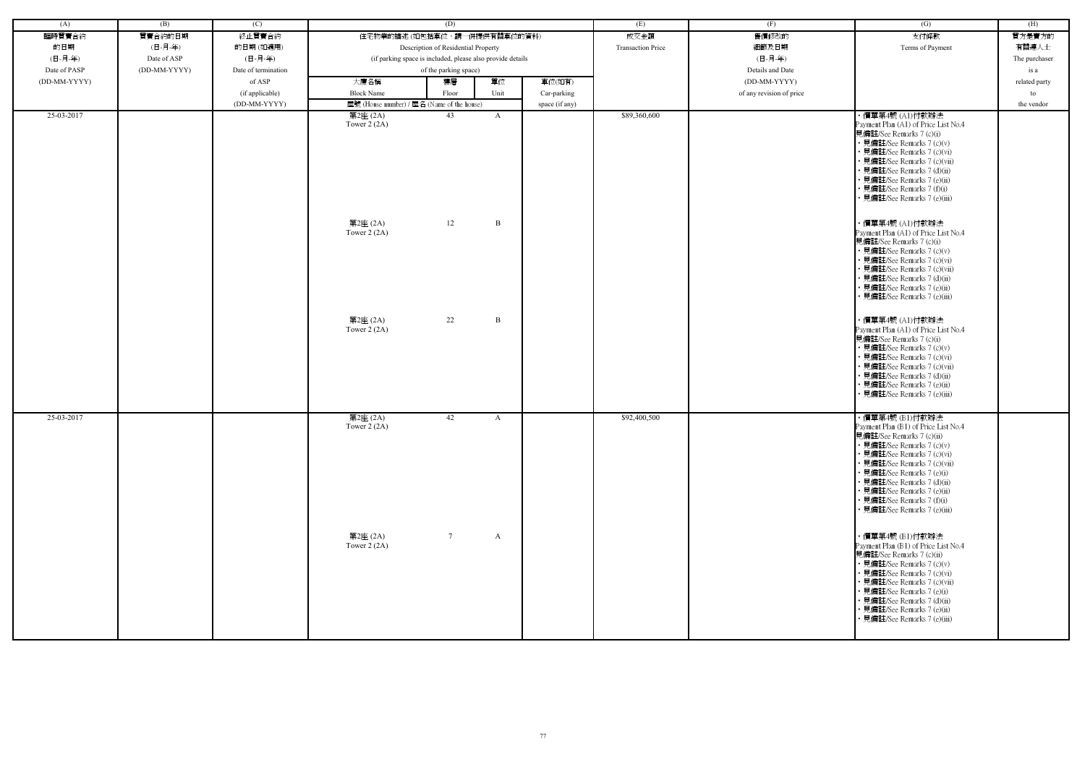| (A)          | (B)          | (C)                 |                                            | (D)                                                        |                | (E)                      | (F)                      | (G)                                                                                                                                                                                                                                                                                                                                         | (H)           |
|--------------|--------------|---------------------|--------------------------------------------|------------------------------------------------------------|----------------|--------------------------|--------------------------|---------------------------------------------------------------------------------------------------------------------------------------------------------------------------------------------------------------------------------------------------------------------------------------------------------------------------------------------|---------------|
| 臨時買賣合約       | 買賣合約的日期      | 終止買賣合約              |                                            | 住宅物業的描述 (如包括車位,請一併提供有關車位的資料)                               |                | 成交金額                     | 售價修改的                    | 支付條款                                                                                                                                                                                                                                                                                                                                        | 買方是賣方的        |
| 的日期          | (日-月-年)      | 的日期(如適用)            |                                            | Description of Residential Property                        |                | <b>Transaction Price</b> | 細節及日期                    | Terms of Payment                                                                                                                                                                                                                                                                                                                            | 有關連人士         |
| (日-月-年)      | Date of ASP  | (日-月-年)             |                                            | (if parking space is included, please also provide details |                |                          | (日-月-年)                  |                                                                                                                                                                                                                                                                                                                                             | The purchaser |
| Date of PASP | (DD-MM-YYYY) | Date of termination |                                            | of the parking space)                                      |                |                          | Details and Date         |                                                                                                                                                                                                                                                                                                                                             | is a          |
| (DD-MM-YYYY) |              | of ASP              | 大廈名稱                                       | 單位<br>樓層                                                   | 車位(如有)         |                          | (DD-MM-YYYY)             |                                                                                                                                                                                                                                                                                                                                             | related party |
|              |              | (if applicable)     | <b>Block Name</b>                          | Unit<br>Floor                                              | Car-parking    |                          | of any revision of price |                                                                                                                                                                                                                                                                                                                                             | to            |
|              |              | (DD-MM-YYYY)        | 屋號 (House number) / 屋名 (Name of the house) |                                                            | space (if any) |                          |                          |                                                                                                                                                                                                                                                                                                                                             | the vendor    |
| 25-03-2017   |              |                     | 第2座 (2A)<br>Tower $2(2A)$                  | 43<br>A                                                    |                | \$89,360,600             |                          | ・價單第4號 (A1)付款辦法<br>Payment Plan (A1) of Price List No.4<br>見備註/See Remarks 7 (c)(i)<br>• 見備註/See Remarks 7 (c)(v)<br>• 見備註/See Remarks 7 (c)(vi)<br>• 見備註/See Remarks 7 (c)(vii)                                                                                                                                                            |               |
|              |              |                     |                                            |                                                            |                |                          |                          | • 見備註/See Remarks 7 (d)(ii)<br>• 見備註/See Remarks 7 (e)(ii)<br>• 見備註/See Remarks 7 (f)(i)<br>• 見備註/See Remarks 7 (e)(iii)                                                                                                                                                                                                                    |               |
|              |              |                     | 第2座 (2A)<br>Tower $2(2A)$                  | 12<br>$\mathbf{B}$                                         |                |                          |                          | ・價單第4號 (A1)付款辦法<br>Payment Plan (A1) of Price List No.4<br>見備註/See Remarks 7 (c)(i)<br>• 見備註/See Remarks 7 (c)(v)<br>• 見備註/See Remarks 7 (c)(vi)<br>• 見備註/See Remarks 7 (c)(vii)<br>• 見備註/See Remarks 7 (d)(ii)<br>• 見備註/See Remarks 7 (e)(ii)<br>• 見備註/See Remarks 7 (e)(iii)                                                              |               |
|              |              |                     | 第2座 (2A)<br>Tower $2(2A)$                  | 22<br>B                                                    |                |                          |                          | ・價單第4號 (A1)付款辦法<br>Payment Plan (A1) of Price List No.4<br>見備註/See Remarks 7 (c)(i)<br>• 見備註/See Remarks 7 (c)(v)<br>• 見備註/See Remarks 7 (c)(vi)<br>• 見備註/See Remarks 7 (c)(vii)<br>• 見備註/See Remarks 7 (d)(ii)<br>• 見備註/See Remarks 7 (e)(ii)<br>· 見備註/See Remarks 7 (e)(iii)                                                              |               |
| 25-03-2017   |              |                     | 第2座 (2A)<br>Tower $2(2A)$                  | 42<br>A                                                    |                | \$92,400,500             |                          | ・價單第4號 (B1)付款辦法<br>Payment Plan (B1) of Price List No.4<br>見備註/See Remarks 7 (c)(ii)<br>• 見備註/See Remarks 7 (c)(v)<br>• 見備註/See Remarks 7 (c)(vi)<br>• 見備註/See Remarks 7 (c)(vii)<br>• 見備註/See Remarks 7 (e)(i)<br>• 見備註/See Remarks 7 (d)(ii)<br>• 見備註/See Remarks 7 (e)(ii)<br>• 見備註/See Remarks 7 (f)(i)<br>• 見備註/See Remarks 7 (e)(iii) |               |
|              |              |                     | 第2座 (2A)<br>Tower $2(2A)$                  | $7\overline{ }$<br>$\mathbf{A}$                            |                |                          |                          | ・價單第4號 (B1)付款辦法<br>Payment Plan (B1) of Price List No.4<br>見備註/See Remarks 7 (c)(ii)<br>• 見備註/See Remarks 7 (c)(v)<br>• 見備註/See Remarks 7 (c)(vi)<br>• 見備註/See Remarks 7 (c)(vii)<br>• 見備註/See Remarks 7 (e)(i)<br>• 見備註/See Remarks 7 (d)(ii)<br>• 見備註/See Remarks 7 (e)(ii)<br>• 見備註/See Remarks 7 (e)(iii)                               |               |

| (G)                                                                                                                                                                                                                                                                                                                                                                                                                                                                                                                                                                                                                                                                                                                                                                                                               | (H)           |
|-------------------------------------------------------------------------------------------------------------------------------------------------------------------------------------------------------------------------------------------------------------------------------------------------------------------------------------------------------------------------------------------------------------------------------------------------------------------------------------------------------------------------------------------------------------------------------------------------------------------------------------------------------------------------------------------------------------------------------------------------------------------------------------------------------------------|---------------|
| 支付條款                                                                                                                                                                                                                                                                                                                                                                                                                                                                                                                                                                                                                                                                                                                                                                                                              | 買方是賣方的        |
| Terms of Payment                                                                                                                                                                                                                                                                                                                                                                                                                                                                                                                                                                                                                                                                                                                                                                                                  | 有關連人士         |
|                                                                                                                                                                                                                                                                                                                                                                                                                                                                                                                                                                                                                                                                                                                                                                                                                   | The purchaser |
|                                                                                                                                                                                                                                                                                                                                                                                                                                                                                                                                                                                                                                                                                                                                                                                                                   | is a          |
|                                                                                                                                                                                                                                                                                                                                                                                                                                                                                                                                                                                                                                                                                                                                                                                                                   | related party |
|                                                                                                                                                                                                                                                                                                                                                                                                                                                                                                                                                                                                                                                                                                                                                                                                                   | to            |
|                                                                                                                                                                                                                                                                                                                                                                                                                                                                                                                                                                                                                                                                                                                                                                                                                   | the vendor    |
| ・價單第4號 (A1)付款辦法<br>Payment Plan (A1) of Price List No.4<br>見備註/See Remarks 7 (c)(i)<br>• 見備註/See Remarks 7 (c)(v)<br>• 見備註/See Remarks 7 (c)(vi)<br>• 見備註/See Remarks 7 (c)(vii)<br>• 見備註/See Remarks 7 (d)(ii)<br>• 見備註/See Remarks 7 (e)(ii)<br>• 見備註/See Remarks 7 (f)(i)<br>• 見備註/See Remarks 7 (e)(iii)<br>・價單第4號 (A1)付款辦法<br>Payment Plan (A1) of Price List No.4<br>見備註/See Remarks 7 (c)(i)<br>• 見備註/See Remarks 7 (c)(v)<br>• 見備註/See Remarks 7 (c)(vi)<br>• 見備註/See Remarks 7 (c)(vii)<br>• 見備註/See Remarks 7 (d)(ii)<br>• 見備註/See Remarks 7 (e)(ii)<br>• 見備註/See Remarks 7 (e)(iii)<br>・價單第4號 (A1)付款辦法<br>Payment Plan (A1) of Price List No.4<br>見備註/See Remarks 7 (c)(i)<br>• 見備註/See Remarks 7 (c)(v)<br>• 見備註/See Remarks 7 (c)(vi)<br>• 見備註/See Remarks 7 (c)(vii)<br>• 見備註/See Remarks 7 (d)(ii) |               |
| • 見備註/See Remarks 7 (e)(ii)<br>• 見備註/See Remarks 7 (e)(iii)<br>・價單第4號 (B1)付款辦法<br>Payment Plan (B1) of Price List No.4<br>見備註/See Remarks 7 (c)(ii)<br>• 見備註/See Remarks 7 (c)(v)<br>• 見備註/See Remarks 7 (c)(vi)<br>• 見備註/See Remarks 7 (c)(vii)<br>• 見備註/See Remarks 7 (e)(i)<br>• 見備註/See Remarks 7 (d)(ii)<br>• 見備註/See Remarks 7 (e)(ii)<br>• 見備註/See Remarks 7 (f)(i)<br>• 見備註/See Remarks 7 (e)(iii)<br>・價單第4號 (B1)付款辦法<br>Payment Plan (B1) of Price List No.4<br>見備註/See Remarks 7 (c)(ii)<br>• 見備註/See Remarks 7 (c)(v)<br>• 見備註/See Remarks 7 (c)(vi)<br>• 見備註/See Remarks 7 (c)(vii)<br>• 見備註/See Remarks 7 (e)(i)<br>• 見備註/See Remarks 7 (d)(ii)<br>• 見備註/See Remarks 7 (e)(ii)<br>• 見備註/See Remarks 7 (e)(iii)                                                                                       |               |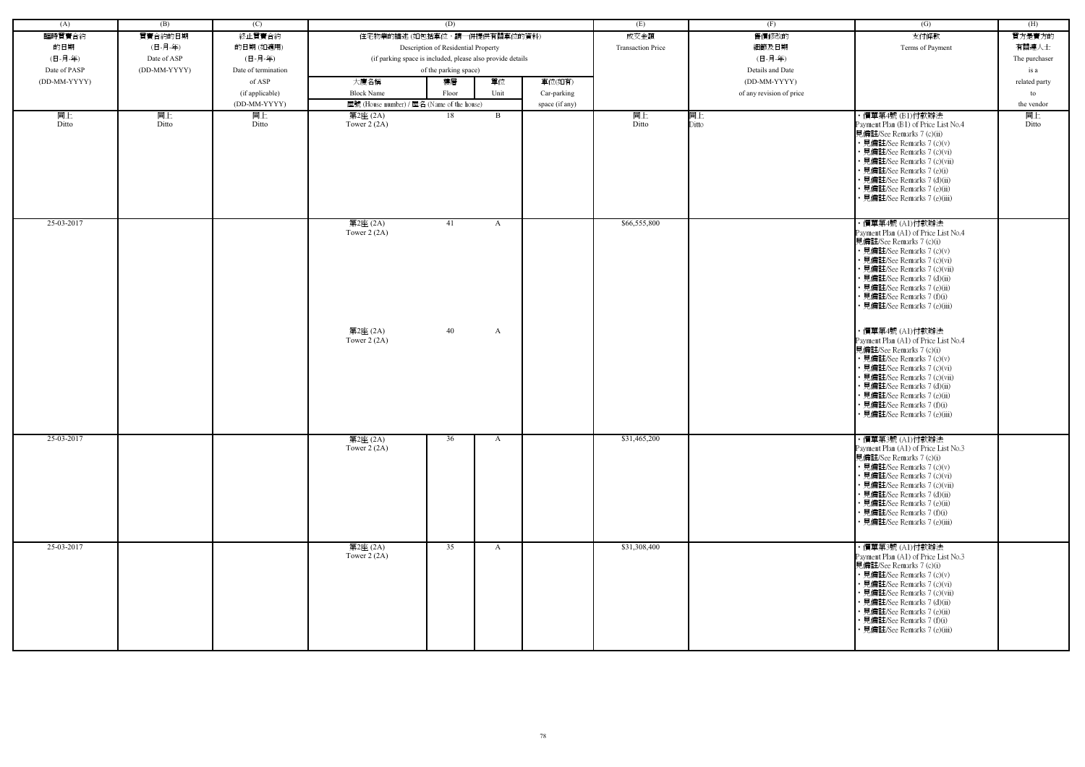| (A)          | (B)          | (C)                 |                                                            | (D)                                 |              |                | (E)                      | (F)                      | (G)                                                                                                                                                                                                                                                                                                           | (H)           |
|--------------|--------------|---------------------|------------------------------------------------------------|-------------------------------------|--------------|----------------|--------------------------|--------------------------|---------------------------------------------------------------------------------------------------------------------------------------------------------------------------------------------------------------------------------------------------------------------------------------------------------------|---------------|
| 臨時買賣合約       | 買賣合約的日期      | 終止買賣合約              | 住宅物業的描述 (如包括車位,請一併提供有關車位的資料)                               |                                     |              |                | 成交金額                     | 售價修改的                    | 支付條款                                                                                                                                                                                                                                                                                                          | 買方是賣方的        |
| 的日期          | (日-月-年)      | 的日期(如適用)            |                                                            | Description of Residential Property |              |                | <b>Transaction Price</b> | 細節及日期                    | Terms of Payment                                                                                                                                                                                                                                                                                              | 有關連人士         |
| (日-月-年)      | Date of ASP  | (日-月-年)             | (if parking space is included, please also provide details |                                     |              |                |                          | (日-月-年)                  |                                                                                                                                                                                                                                                                                                               | The purchaser |
| Date of PASP | (DD-MM-YYYY) | Date of termination |                                                            | of the parking space)               |              |                |                          | Details and Date         |                                                                                                                                                                                                                                                                                                               | is a          |
| (DD-MM-YYYY) |              | of ASP              | 大廈名稱                                                       | 樓層                                  | 單位           | 車位(如有)         |                          | (DD-MM-YYYY)             |                                                                                                                                                                                                                                                                                                               |               |
|              |              |                     |                                                            |                                     |              |                |                          |                          |                                                                                                                                                                                                                                                                                                               | related party |
|              |              | (if applicable)     | <b>Block Name</b>                                          | Floor                               | Unit         | Car-parking    |                          | of any revision of price |                                                                                                                                                                                                                                                                                                               | to            |
|              |              | (DD-MM-YYYY)        | 屋號 (House number) / 屋名 (Name of the house)                 |                                     |              | space (if any) |                          |                          |                                                                                                                                                                                                                                                                                                               | the vendor    |
| 同上<br>Ditto  | 同上<br>Ditto  | 同上<br>Ditto         | 第2座 (2A)<br>Tower $2(2A)$                                  | 18                                  | B            |                | 同上<br>Ditto              | 同上<br>Ditto              | ・價單第4號 (B1)付款辦法<br>Payment Plan (B1) of Price List No.4<br>見備註/See Remarks 7 (c)(ii)<br>• 見備註/See Remarks 7 (c)(v)<br>• 見備註/See Remarks 7 (c)(vi)<br>• 見備註/See Remarks 7 (c)(vii)<br>• 見備註/See Remarks 7 (e)(i)<br>• 見備註/See Remarks 7 (d)(ii)<br>• 見備註/See Remarks 7 (e)(ii)<br>• 見備註/See Remarks 7 (e)(iii) | 同上<br>Ditto   |
| 25-03-2017   |              |                     | 第2座 (2A)<br>Tower $2(2A)$                                  | 41                                  | $\mathbf{A}$ |                | \$66,555,800             |                          | · 價單第4號 (A1)付款辦法<br>Payment Plan (A1) of Price List No.4<br>見備註/See Remarks 7 (c)(i)<br>• 見備註/See Remarks 7 (c)(v)<br>• 見備註/See Remarks 7 (c)(vi)<br>• 見備註/See Remarks 7 (c)(vii)<br>• 見備註/See Remarks 7 (d)(ii)<br>• 見備註/See Remarks 7 (e)(ii)<br>• 見備註/See Remarks 7 (f)(i)<br>• 見備註/See Remarks 7 (e)(iii) |               |
|              |              |                     | 第2座 (2A)<br>Tower $2(2A)$                                  | 40                                  | A            |                |                          |                          | ・價單第4號 (A1)付款辦法<br>Payment Plan (A1) of Price List No.4<br>見備註/See Remarks 7 (c)(i)<br>• 見備註/See Remarks 7 (c)(v)<br>• 見備註/See Remarks 7 (c)(vi)<br>• 見備註/See Remarks 7 (c)(vii)<br>• 見備註/See Remarks 7 (d)(ii)<br>• 見備註/See Remarks 7 (e)(ii)<br>• 見備註/See Remarks 7 (f)(i)<br>• 見備註/See Remarks 7 (e)(iii)  |               |
| 25-03-2017   |              |                     | 第2座 (2A)<br>Tower $2(2A)$                                  | 36                                  | A            |                | \$31,465,200             |                          | ・價單第3號 (A1)付款辦法<br>Payment Plan (A1) of Price List No.3<br>見備註/See Remarks 7 (c)(i)<br>• 見備註/See Remarks 7 (c)(v)<br>• 見備註/See Remarks 7 (c)(vi)<br>• 見備註/See Remarks 7 (c)(vii)<br>• 見備註/See Remarks 7 (d)(ii)<br>• 見備註/See Remarks 7 (e)(ii)<br>• 見備註/See Remarks 7 (f)(i)<br>• 見備註/See Remarks 7 (e)(iii)  |               |
| 25-03-2017   |              |                     | 第2座 (2A)<br>Tower $2(2A)$                                  | 35                                  | $\mathbf{A}$ |                | \$31,308,400             |                          | ・價單第3號 (A1)付款辦法<br>Payment Plan (A1) of Price List No.3<br>見備註/See Remarks 7 (c)(i)<br>• 見備註/See Remarks 7 (c)(v)<br>• 見備註/See Remarks 7 (c)(vi)<br>• 見備註/See Remarks 7 (c)(vii)<br>• 見備註/See Remarks 7 (d)(ii)<br>• 見備註/See Remarks 7 (e)(ii)<br>• 見備註/See Remarks 7 (f)(i)<br>• 見備註/See Remarks 7 (e)(iii)  |               |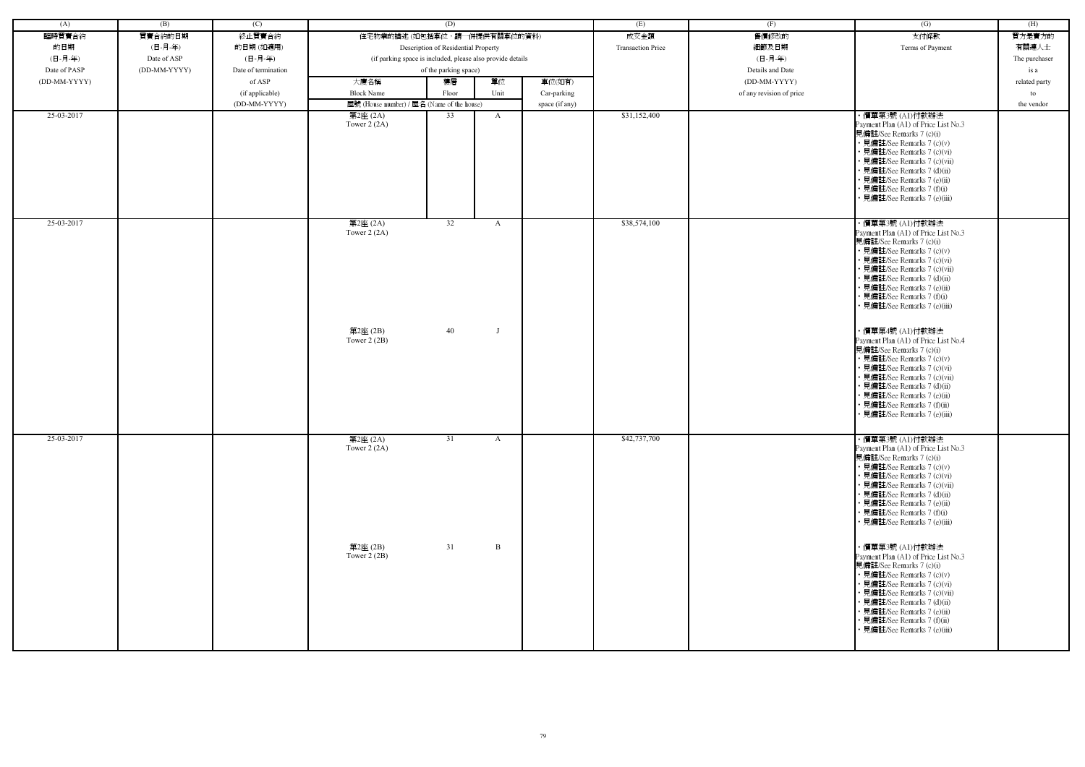| (A)          | (B)          | (C)                 |                                            | (D)                                                        |              |                | (E)                      | (F)                      | (G)                                                                                                                                                                                                                                                                                                           | (H)           |
|--------------|--------------|---------------------|--------------------------------------------|------------------------------------------------------------|--------------|----------------|--------------------------|--------------------------|---------------------------------------------------------------------------------------------------------------------------------------------------------------------------------------------------------------------------------------------------------------------------------------------------------------|---------------|
| 臨時買賣合約       | 買賣合約的日期      | 終止買賣合約              | 住宅物業的描述 (如包括車位,請一併提供有關車位的資料)               |                                                            |              |                | 成交金額                     | 售價修改的                    | 支付條款                                                                                                                                                                                                                                                                                                          | 買方是賣方的        |
| 的日期          | (日-月-年)      | 的日期(如適用)            |                                            | Description of Residential Property                        |              |                | <b>Transaction Price</b> | 細節及日期                    | Terms of Payment                                                                                                                                                                                                                                                                                              | 有關連人士         |
| (日-月-年)      | Date of ASP  | (日-月-年)             |                                            | (if parking space is included, please also provide details |              |                |                          | (日-月-年)                  |                                                                                                                                                                                                                                                                                                               | The purchaser |
|              |              |                     |                                            |                                                            |              |                |                          |                          |                                                                                                                                                                                                                                                                                                               |               |
| Date of PASP | (DD-MM-YYYY) | Date of termination |                                            | of the parking space)                                      |              |                |                          | Details and Date         |                                                                                                                                                                                                                                                                                                               | is a          |
| (DD-MM-YYYY) |              | of ASP              | 大廈名稱                                       | 樓層                                                         | 單位           | 車位(如有)         |                          | (DD-MM-YYYY)             |                                                                                                                                                                                                                                                                                                               | related party |
|              |              | (if applicable)     | <b>Block Name</b>                          | Floor                                                      | Unit         | Car-parking    |                          | of any revision of price |                                                                                                                                                                                                                                                                                                               | to            |
|              |              | (DD-MM-YYYY)        | 屋號 (House number) / 屋名 (Name of the house) |                                                            |              | space (if any) |                          |                          |                                                                                                                                                                                                                                                                                                               | the vendor    |
| 25-03-2017   |              |                     | 第2座 (2A)<br>Tower $2(2A)$                  | 33                                                         | $\mathbf{A}$ |                | \$31,152,400             |                          | ・價單第3號 (A1)付款辦法<br>Payment Plan (A1) of Price List No.3<br>見備註/See Remarks 7 (c)(i)<br>• 見備註/See Remarks 7 (c)(v)<br>• 見備註/See Remarks 7 (c)(vi)<br>• 見備註/See Remarks 7 (c)(vii)<br>• 見備註/See Remarks 7 (d)(ii)<br>• 見備註/See Remarks 7 (e)(ii)<br>• 見備註/See Remarks 7 (f)(i)<br>· 見備註/See Remarks 7 (e)(iii)  |               |
| 25-03-2017   |              |                     | 第2座 (2A)<br>Tower $2(2A)$                  | 32                                                         | A            |                | \$38,574,100             |                          | ・價單第3號 (A1)付款辦法<br>Payment Plan (A1) of Price List No.3<br>見備註/See Remarks 7 (c)(i)<br>• 見備註/See Remarks 7 (c)(v)<br>• 見備註/See Remarks 7 (c)(vi)<br>· 見備註/See Remarks 7 (c)(vii)<br>• 見備註/See Remarks 7 (d)(ii)<br>· 見備註/See Remarks 7 (e)(ii)<br>• 見備註/See Remarks 7 (f)(i)<br>• 見備註/See Remarks 7 (e)(iii)  |               |
|              |              |                     | 第2座(2B)<br>Tower $2(2B)$                   | 40                                                         |              |                |                          |                          | ・價單第4號 (A1)付款辦法<br>Payment Plan (A1) of Price List No.4<br>見備註/See Remarks 7 (c)(i)<br>• 見備註/See Remarks 7 (c)(v)<br>• 見備註/See Remarks 7 (c)(vi)<br>• 見備註/See Remarks 7 (c)(vii)<br>• 見備註/See Remarks 7 (d)(ii)<br>• 見備註/See Remarks 7 (e)(ii)<br>• 見備註/See Remarks 7 (f)(ii)<br>• 見備註/See Remarks 7 (e)(iii) |               |
| 25-03-2017   |              |                     | 第2座 (2A)<br>Tower $2(2A)$                  | 31                                                         | $\mathbf{A}$ |                | \$42,737,700             |                          | · 價單第3號 (A1)付款辦法<br>Payment Plan (A1) of Price List No.3<br>見備註/See Remarks 7 (c)(i)<br>• 見備註/See Remarks 7 (c)(v)<br>• 見備註/See Remarks 7 (c)(vi)<br>• 見備註/See Remarks 7 (c)(vii)<br>• 見備註/See Remarks 7 (d)(ii)<br>• 見備註/See Remarks 7 (e)(ii)<br>• 見備註/See Remarks 7 (f)(i)<br>• 見備註/See Remarks 7 (e)(iii) |               |
|              |              |                     | 第2座 (2B)<br>Tower $2(2B)$                  | 31                                                         | $\mathbf{B}$ |                |                          |                          | ・價單第3號 (A1)付款辦法<br>Payment Plan (A1) of Price List No.3<br>見備註/See Remarks 7 (c)(i)<br>• 見備註/See Remarks 7 (c)(v)<br>• 見備註/See Remarks 7 (c)(vi)<br>• 見備註/See Remarks 7 (c)(vii)<br>• 見備註/See Remarks 7 (d)(ii)<br>• 見備註/See Remarks 7 (e)(ii)<br>• 見備註/See Remarks 7 (f)(ii)<br>• 見備註/See Remarks 7 (e)(iii) |               |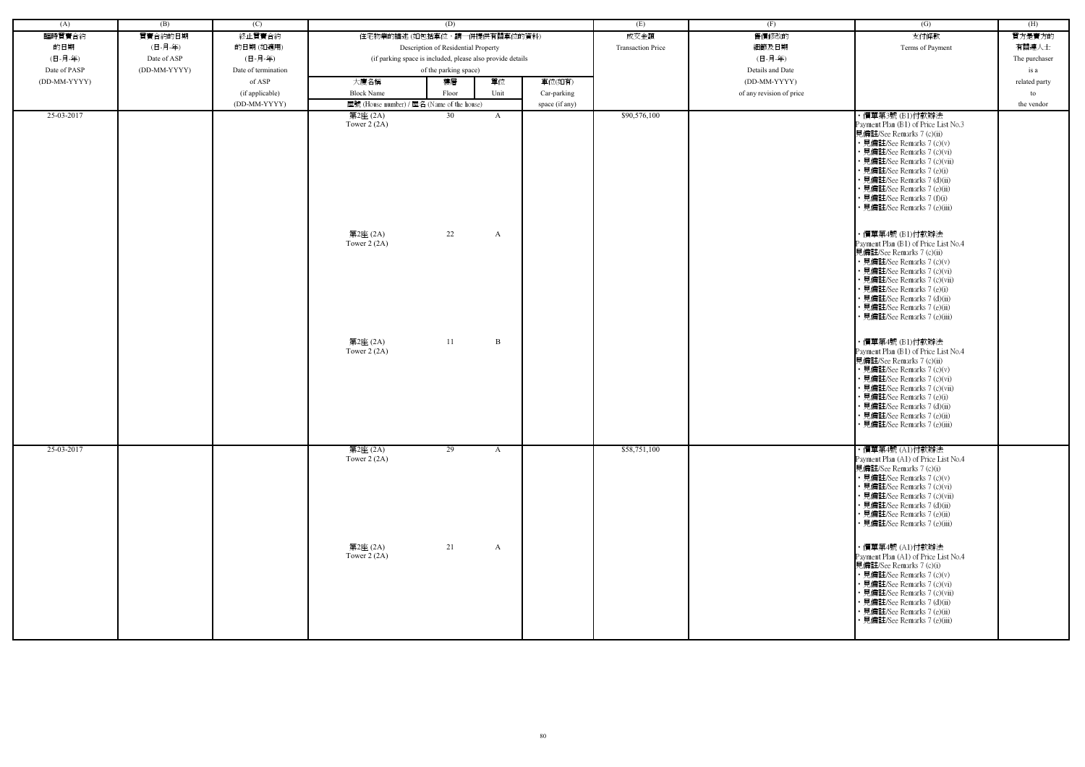| (A)          | (B)          | (C)                 | (D)                                        |                                                            |      | (E)            | (F)                      | $\overline{(G)}$         | (H)                                                                                                                                                                                                                                                                                                                                         |               |
|--------------|--------------|---------------------|--------------------------------------------|------------------------------------------------------------|------|----------------|--------------------------|--------------------------|---------------------------------------------------------------------------------------------------------------------------------------------------------------------------------------------------------------------------------------------------------------------------------------------------------------------------------------------|---------------|
| 臨時買賣合約       | 買賣合約的日期      | 終止買賣合約              |                                            | 住宅物業的描述(如包括車位,請一併提供有關車位的資料)                                |      |                | 成交金額                     | 售價修改的                    | 支付條款                                                                                                                                                                                                                                                                                                                                        | 買方是賣方的        |
| 的日期          | (日-月-年)      | 的日期(如適用)            |                                            | Description of Residential Property                        |      |                | <b>Transaction Price</b> | 細節及日期                    | Terms of Payment                                                                                                                                                                                                                                                                                                                            | 有關連人士         |
| (日-月-年)      | Date of ASP  | (日-月-年)             |                                            | (if parking space is included, please also provide details |      |                |                          | (日-月-年)                  |                                                                                                                                                                                                                                                                                                                                             | The purchaser |
| Date of PASP | (DD-MM-YYYY) | Date of termination |                                            | of the parking space)                                      |      |                |                          | Details and Date         |                                                                                                                                                                                                                                                                                                                                             | is a          |
| (DD-MM-YYYY) |              | of ASP              | 大廈名稱                                       | 樓層                                                         | 單位   | 車位(如有)         |                          | (DD-MM-YYYY)             |                                                                                                                                                                                                                                                                                                                                             | related party |
|              |              | (if applicable)     | <b>Block Name</b>                          | Floor                                                      | Unit | Car-parking    |                          | of any revision of price |                                                                                                                                                                                                                                                                                                                                             | to            |
|              |              | (DD-MM-YYYY)        | 屋號 (House number) / 屋名 (Name of the house) |                                                            |      | space (if any) |                          |                          |                                                                                                                                                                                                                                                                                                                                             | the vendor    |
| 25-03-2017   |              |                     | 第2座 (2A)<br>Tower $2(2A)$                  | 30                                                         | A    |                | \$90,576,100             |                          | ・價單第3號 (B1)付款辦法<br>Payment Plan (B1) of Price List No.3<br>見備註/See Remarks 7 (c)(ii)<br>• 見備註/See Remarks 7 (c)(v)<br>• 見備註/See Remarks 7 (c)(vi)<br>• 見備註/See Remarks 7 (c)(vii)<br>• 見備註/See Remarks 7 (e)(i)<br>· 見備註/See Remarks 7 (d)(ii)<br>· 見備註/See Remarks 7 (e)(ii)<br>• 見備註/See Remarks 7 (f)(i)<br>• 見備註/See Remarks 7 (e)(iii) |               |
|              |              |                     | 第2座 (2A)<br>Tower $2(2A)$                  | 22                                                         | A    |                |                          |                          | ・價單第4號 (B1)付款辦法<br>Payment Plan (B1) of Price List No.4<br>見備註/See Remarks 7 (c)(ii)<br>• 見備註/See Remarks 7 (c)(v)<br>• 見備註/See Remarks 7 (c)(vi)<br>• 見備註/See Remarks 7 (c)(vii)<br>• 見備註/See Remarks 7 (e)(i)<br>• 見備註/See Remarks 7 (d)(ii)<br>• 見備註/See Remarks 7 (e)(ii)<br>• 見備註/See Remarks 7 (e)(iii)                               |               |
|              |              |                     | 第2座 (2A)<br>Tower $2(2A)$                  | 11                                                         | B    |                |                          |                          | ・價單第4號 (B1)付款辦法<br>Payment Plan (B1) of Price List No.4<br>見備註/See Remarks 7 (c)(ii)<br>• 見備註/See Remarks 7 (c)(v)<br>• 見備註/See Remarks 7 (c)(vi)<br>• 見備註/See Remarks 7 (c)(vii)<br>• 見備註/See Remarks 7 (e)(i)<br>· 見備註/See Remarks 7 (d)(ii)<br>· 見備註/See Remarks 7 (e)(ii)<br>• 見備註/See Remarks 7 (e)(iii)                               |               |
| 25-03-2017   |              |                     | 第2座 (2A)<br>Tower $2(2A)$                  | 29                                                         | A    |                | \$58,751,100             |                          | ・價單第4號 (A1)付款辦法<br>Payment Plan (A1) of Price List No.4<br>見備註/See Remarks 7 (c)(i)<br>• 見備註/See Remarks 7 (c)(v)<br>• 見備註/See Remarks 7 (c)(vi)<br>• 見備註/See Remarks 7 (c)(vii)<br>• 見備註/See Remarks 7 (d)(ii)<br>• 見備註/See Remarks 7 (e)(ii)<br>• 見備註/See Remarks 7 (e)(iii)                                                              |               |
|              |              |                     | 第2座 (2A)<br>Tower $2(2A)$                  | 21                                                         | A    |                |                          |                          | ・價單第4號 (A1)付款辦法<br>Payment Plan (A1) of Price List No.4<br>見備註/See Remarks 7 (c)(i)<br>• 見備註/See Remarks 7 (c)(v)<br>• 見備註/See Remarks 7 (c)(vi)<br>• 見備註/See Remarks 7 (c)(vii)<br>• 見備註/See Remarks 7 (d)(ii)<br>• 見備註/See Remarks 7 (e)(ii)<br>• 見備註/See Remarks 7 (e)(iii)                                                              |               |

| (G)                                                                                                                                                                                                                                                                                                                                                                                                                                                                                                                                                                                                                                                                                                                                                                                                                                                                             | (H)           |
|---------------------------------------------------------------------------------------------------------------------------------------------------------------------------------------------------------------------------------------------------------------------------------------------------------------------------------------------------------------------------------------------------------------------------------------------------------------------------------------------------------------------------------------------------------------------------------------------------------------------------------------------------------------------------------------------------------------------------------------------------------------------------------------------------------------------------------------------------------------------------------|---------------|
| 支付條款                                                                                                                                                                                                                                                                                                                                                                                                                                                                                                                                                                                                                                                                                                                                                                                                                                                                            | 買方是賣方的        |
| Terms of Payment                                                                                                                                                                                                                                                                                                                                                                                                                                                                                                                                                                                                                                                                                                                                                                                                                                                                | 有關連人士         |
|                                                                                                                                                                                                                                                                                                                                                                                                                                                                                                                                                                                                                                                                                                                                                                                                                                                                                 | The purchaser |
|                                                                                                                                                                                                                                                                                                                                                                                                                                                                                                                                                                                                                                                                                                                                                                                                                                                                                 | is a          |
|                                                                                                                                                                                                                                                                                                                                                                                                                                                                                                                                                                                                                                                                                                                                                                                                                                                                                 | related party |
|                                                                                                                                                                                                                                                                                                                                                                                                                                                                                                                                                                                                                                                                                                                                                                                                                                                                                 | to            |
|                                                                                                                                                                                                                                                                                                                                                                                                                                                                                                                                                                                                                                                                                                                                                                                                                                                                                 | the vendor    |
| ・價單第3號 (B1)付款辦法<br>Payment Plan (B1) of Price List No.3<br>見備註/See Remarks 7 (c)(ii)<br>• 見備註/See Remarks 7 (c)(v)<br>• 見備註/See Remarks 7 (c)(vi)<br>• 見備註/See Remarks 7 (c)(vii)<br>• 見備註/See Remarks 7 (e)(i)<br>• 見備註/See Remarks 7 (d)(ii)<br>• 見備註/See Remarks 7 (e)(ii)<br>• 見備註/See Remarks 7 (f)(i)<br>• 見備註/See Remarks 7 (e)(iii)<br>・價單第4號 (B1)付款辦法<br>Payment Plan (B1) of Price List No.4<br>見備註/See Remarks 7 (c)(ii)<br>• 見備註/See Remarks 7 (c)(v)<br>• 見備註/See Remarks 7 (c)(vi)<br>• 見備註/See Remarks 7 (c)(vii)<br>• 見備註/See Remarks 7 (e)(i)<br>• 見備註/See Remarks 7 (d)(ii)<br>• 見備註/See Remarks 7 (e)(ii)<br>• 見備註/See Remarks 7 (e)(iii)<br>・價單第4號 (B1)付款辦法<br>Payment Plan (B1) of Price List No.4<br>見備註/See Remarks 7 (c)(ii)<br>• 見備註/See Remarks 7 (c)(v)<br>• 見備註/See Remarks 7 (c)(vi)<br>• 見備註/See Remarks 7 (c)(vii)<br>• 見備註/See Remarks 7 (e)(i) |               |
| • 見備註/See Remarks 7 (e)(ii)<br>• 見備註/See Remarks 7 (e)(iii)<br>・價單第4號 (A1)付款辦法<br>Payment Plan (A1) of Price List No.4<br>見備註/See Remarks 7 (c)(i)<br>• 見備註/See Remarks 7 (c)(v)<br>• 見備註/See Remarks 7 (c)(vi)<br>• 見備註/See Remarks 7 (c)(vii)                                                                                                                                                                                                                                                                                                                                                                                                                                                                                                                                                                                                                                 |               |
| • 見備註/See Remarks 7 (d)(ii)<br>• 見備註/See Remarks 7 (e)(ii)<br>• 見備註/See Remarks 7 (e)(iii)<br>· 價單第4號 (A1)付款辦法<br>Payment Plan (A1) of Price List No.4<br>見備註/See Remarks 7 (c)(i)<br>• 見備註/See Remarks 7 (c)(v)<br>• 見備註/See Remarks 7 (c)(vi)<br>• 見備註/See Remarks 7 (c)(vii)<br>• 見備註/See Remarks 7 (d)(ii)<br>• 見備註/See Remarks 7 (e)(ii)<br>• 見備註/See Remarks 7 (e)(iii)                                                                                                                                                                                                                                                                                                                                                                                                                                                                                                   |               |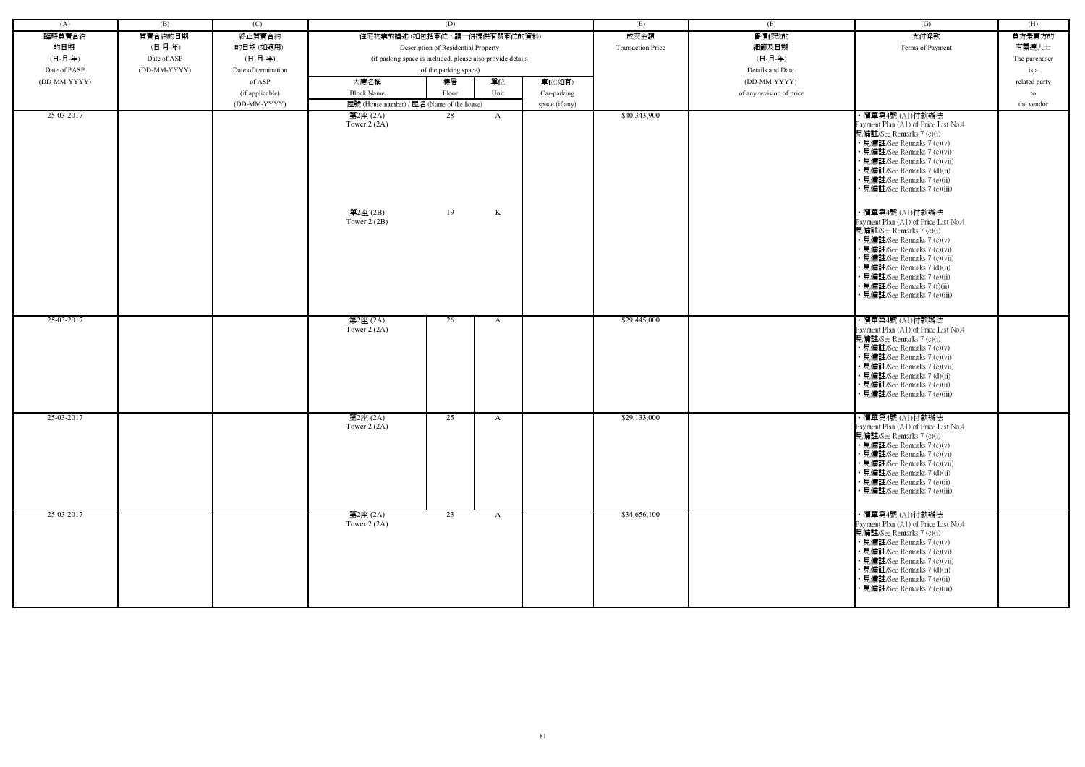| (A)          | (B)          | (C)                 |                                            | (D)                                                        |                | (E)                      | (F)                      | $\overline{(G)}$                                                                                                                                                                                                                                                                                   | (H)           |
|--------------|--------------|---------------------|--------------------------------------------|------------------------------------------------------------|----------------|--------------------------|--------------------------|----------------------------------------------------------------------------------------------------------------------------------------------------------------------------------------------------------------------------------------------------------------------------------------------------|---------------|
| 臨時買賣合約       | 買賣合約的日期      | 終止買賣合約              |                                            | 住宅物業的描述 (如包括車位,請一併提供有關車位的資料)                               |                | 成交金額                     | 售價修改的                    | 支付條款                                                                                                                                                                                                                                                                                               | 買方是賣方的        |
| 的日期          | (日-月-年)      | 的日期(如適用)            |                                            | Description of Residential Property                        |                | <b>Transaction Price</b> | 細節及日期                    | Terms of Payment                                                                                                                                                                                                                                                                                   | 有關連人士         |
| (日-月-年)      | Date of ASP  | (日-月-年)             |                                            | (if parking space is included, please also provide details |                |                          | (日-月-年)                  |                                                                                                                                                                                                                                                                                                    | The purchaser |
| Date of PASP | (DD-MM-YYYY) | Date of termination |                                            | of the parking space)                                      |                |                          | Details and Date         |                                                                                                                                                                                                                                                                                                    | is a          |
| (DD-MM-YYYY) |              | of ASP              | 大廈名稱                                       | 單位<br>樓層                                                   | 車位(如有)         |                          | $(DD-MM-YYYY)$           |                                                                                                                                                                                                                                                                                                    | related party |
|              |              | (if applicable)     | <b>Block Name</b>                          | Unit<br>Floor                                              | Car-parking    |                          | of any revision of price |                                                                                                                                                                                                                                                                                                    | to            |
|              |              | (DD-MM-YYYY)        | 屋號 (House number) / 屋名 (Name of the house) |                                                            | space (if any) |                          |                          |                                                                                                                                                                                                                                                                                                    | the vendor    |
| 25-03-2017   |              |                     | 第2座 (2A)<br>Tower $2(2A)$<br>第2座(2B)       | 28<br>$\mathbf{A}$<br>19<br>K                              |                | \$40,343,900             |                          | ・價單第4號 (A1)付款辦法<br>Payment Plan (A1) of Price List No.4<br>見備註/See Remarks 7 (c)(i)<br>• 見備註/See Remarks 7 (c)(v)<br>• 見備註/See Remarks 7 (c)(vi)<br>• 見備註/See Remarks 7 (c)(vii)<br>· 見備註/See Remarks 7 (d)(ii)<br>• 見備註/See Remarks 7 (e)(ii)<br>• 見備註/See Remarks 7 (e)(iii)<br>· 價單第4號 (A1)付款辦法 |               |
|              |              |                     | Tower $2(2B)$                              |                                                            |                |                          |                          | Payment Plan (A1) of Price List No.4<br>見備註/See Remarks 7 (c)(i)<br>• 見備註/See Remarks 7 (c)(v)<br>• 見備註/See Remarks 7 (c)(vi)<br>• 見備註/See Remarks 7 (c)(vii)<br>• 見備註/See Remarks 7 (d)(ii)<br>• 見備註/See Remarks 7 (e)(ii)<br>• 見備註/See Remarks 7 (f)(ii)<br>· 見備註/See Remarks 7 (e)(iii)         |               |
| 25-03-2017   |              |                     | 第2座 (2A)<br>Tower $2(2A)$                  | 26<br>A                                                    |                | \$29,445,000             |                          | ・價單第4號 (A1)付款辦法<br>Payment Plan (A1) of Price List No.4<br>見備註/See Remarks 7 (c)(i)<br>• 見備註/See Remarks 7 (c)(v)<br>• 見備註/See Remarks 7 (c)(vi)<br>• 見備註/See Remarks 7 (c)(vii)<br>• 見備註/See Remarks 7 (d)(ii)<br>• 見備註/See Remarks 7 (e)(ii)<br>· 見備註/See Remarks 7 (e)(iii)                     |               |
| 25-03-2017   |              |                     | 第2座 (2A)<br>Tower $2(2A)$                  | 25<br>A                                                    |                | \$29,133,000             |                          | ・價單第4號 (A1)付款辦法<br>Payment Plan (A1) of Price List No.4<br>見備註/See Remarks 7 (c)(i)<br>• 見備註/See Remarks 7 (c)(v)<br>• 見備註/See Remarks 7 (c)(vi)<br>• 見備註/See Remarks 7 (c)(vii)<br>• 見備註/See Remarks 7 (d)(ii)<br>• 見備註/See Remarks 7 (e)(ii)<br>• 見備註/See Remarks 7 (e)(iii)                     |               |
| 25-03-2017   |              |                     | 第2座 (2A)<br>Tower $2(2A)$                  | 23<br>$\mathbf{A}$                                         |                | \$34,656,100             |                          | ・價單第4號 (A1)付款辦法<br>Payment Plan (A1) of Price List No.4<br>見備註/See Remarks 7 (c)(i)<br>• 見備註/See Remarks 7 (c)(v)<br>• 見備註/See Remarks 7 (c)(vi)<br>• 見備註/See Remarks 7 (c)(vii)<br>• 見備註/See Remarks 7 (d)(ii)<br>• 見備註/See Remarks 7 (e)(ii)<br>• 見備註/See Remarks 7 (e)(iii)                     |               |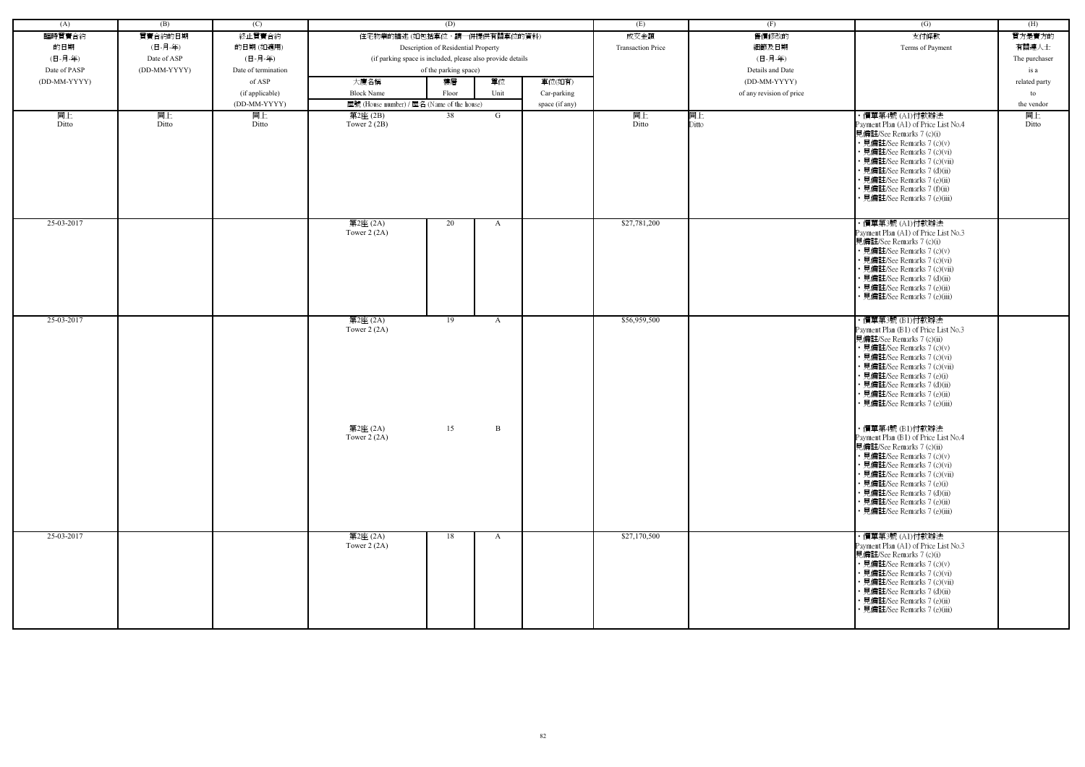| (A)          | (B)          | (C)                 |                                                            | (D)                                 |              |                | (E)                      | (F)                      | $\overline{(G)}$                                                                                                                                                                                                                                                                                              | (H)           |
|--------------|--------------|---------------------|------------------------------------------------------------|-------------------------------------|--------------|----------------|--------------------------|--------------------------|---------------------------------------------------------------------------------------------------------------------------------------------------------------------------------------------------------------------------------------------------------------------------------------------------------------|---------------|
| 臨時買賣合約       | 買賣合約的日期      | 終止買賣合約              | 住宅物業的描述 (如包括車位,請一併提供有關車位的資料)                               |                                     |              |                | 成交金額                     | 售價修改的                    | 支付條款                                                                                                                                                                                                                                                                                                          | 買方是賣方的        |
| 的日期          | (日-月-年)      | 的日期(如適用)            |                                                            | Description of Residential Property |              |                | <b>Transaction Price</b> | 細節及日期                    | Terms of Payment                                                                                                                                                                                                                                                                                              | 有關連人士         |
| (日-月-年)      | Date of ASP  | (日-月-年)             | (if parking space is included, please also provide details |                                     |              |                |                          | (日-月-年)                  |                                                                                                                                                                                                                                                                                                               | The purchaser |
| Date of PASP | (DD-MM-YYYY) | Date of termination |                                                            | of the parking space)               |              |                |                          | Details and Date         |                                                                                                                                                                                                                                                                                                               | is a          |
| (DD-MM-YYYY) |              | of ASP              | 大廈名稱                                                       | 樓層                                  | 單位           | 車位(如有)         |                          | (DD-MM-YYYY)             |                                                                                                                                                                                                                                                                                                               | related party |
|              |              | (if applicable)     | <b>Block Name</b>                                          | Floor                               | Unit         | Car-parking    |                          | of any revision of price |                                                                                                                                                                                                                                                                                                               | to            |
|              |              | (DD-MM-YYYY)        | 屋號 (House number) / 屋名 (Name of the house)                 |                                     |              | space (if any) |                          |                          |                                                                                                                                                                                                                                                                                                               | the vendor    |
| 同上<br>Ditto  | 同上<br>Ditto  | 同上<br>Ditto         | 第2座(2B)<br>Tower $2(2B)$                                   | 38                                  | G            |                | 同上<br>Ditto              | 同上<br>Ditto              | ・價單第4號 (A1)付款辦法<br>Payment Plan (A1) of Price List No.4<br>見備註/See Remarks 7 (c)(i)<br>• 見備註/See Remarks 7 (c)(v)<br>• 見備註/See Remarks 7 (c)(vi)<br>• 見備註/See Remarks 7 (c)(vii)<br>• 見備註/See Remarks 7 (d)(ii)<br>• 見備註/See Remarks 7 (e)(ii)<br>• 見備註/See Remarks 7 (f)(ii)<br>• 見備註/See Remarks 7 (e)(iii) | 同上<br>Ditto   |
| 25-03-2017   |              |                     | 第2座 (2A)<br>Tower $2(2A)$                                  | 20                                  | A            |                | \$27,781,200             |                          | ・價單第3號 (A1)付款辦法<br>Payment Plan (A1) of Price List No.3<br>見備註/See Remarks 7 (c)(i)<br>• 見備註/See Remarks 7 (c)(v)<br>• 見備註/See Remarks 7 (c)(vi)<br>• 見備註/See Remarks 7 (c)(vii)<br>• 見備註/See Remarks 7 (d)(ii)<br>• 見備註/See Remarks 7 (e)(ii)<br>• 見備註/See Remarks 7 (e)(iii)                                |               |
| 25-03-2017   |              |                     | 第2座 (2A)<br>Tower $2(2A)$                                  | 19                                  | A            |                | \$56,959,500             |                          | ・價單第3號 (B1)付款辦法<br>Payment Plan (B1) of Price List No.3<br>見備註/See Remarks 7 (c)(ii)<br>• 見備註/See Remarks 7 (c)(v)<br>• 見備註/See Remarks 7 (c)(vi)<br>• 見備註/See Remarks 7 (c)(vii)<br>• 見備註/See Remarks 7 (e)(i)<br>• 見備註/See Remarks 7 (d)(ii)<br>• 見備註/See Remarks 7 (e)(ii)<br>• 見備註/See Remarks 7 (e)(iii) |               |
|              |              |                     | 第2座 (2A)<br>Tower $2(2A)$                                  | 15                                  | $\mathbf{B}$ |                |                          |                          | ・價單第4號 (B1)付款辦法<br>Payment Plan (B1) of Price List No.4<br>見備註/See Remarks 7 (c)(ii)<br>• 見備註/See Remarks 7 (c)(v)<br>• 見備註/See Remarks 7 (c)(vi)<br>• 見備註/See Remarks 7 (c)(vii)<br>• 見備註/See Remarks 7 (e)(i)<br>• 見備註/See Remarks 7 (d)(ii)<br>• 見備註/See Remarks 7 (e)(ii)<br>• 見備註/See Remarks 7 (e)(iii) |               |
| 25-03-2017   |              |                     | 第2座 (2A)<br>Tower $2(2A)$                                  | 18                                  | $\mathbf{A}$ |                | \$27,170,500             |                          | ・價單第3號 (A1)付款辦法<br>Payment Plan (A1) of Price List No.3<br>見備註/See Remarks 7 (c)(i)<br>• 見備註/See Remarks 7 (c)(v)<br>• 見備註/See Remarks 7 (c)(vi)<br>• 見備註/See Remarks 7 (c)(vii)<br>• 見備註/See Remarks 7 (d)(ii)<br>• 見備註/See Remarks 7 (e)(ii)<br>• 見備註/See Remarks 7 (e)(iii)                                |               |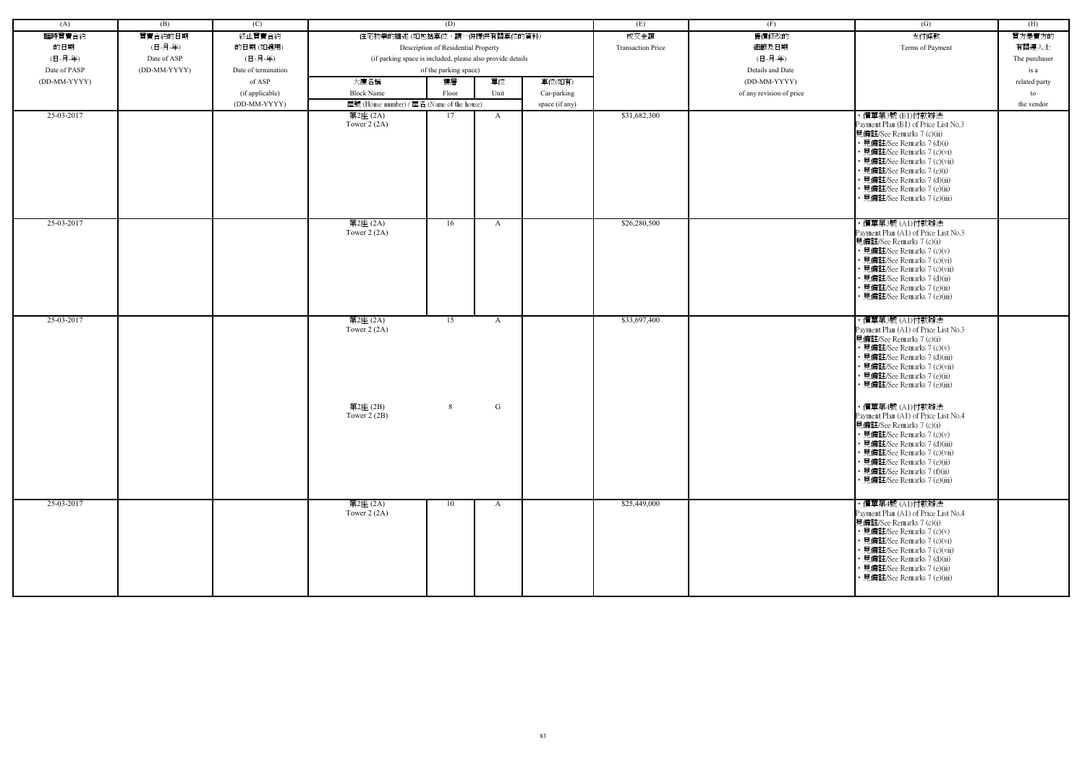| (A)          | (B)          | (C)                 |                                                            | (D)                                 |              |                | (E)                      | (F)                      | (G)                                                                                                                                                                                                                                                                                                           | (H)           |
|--------------|--------------|---------------------|------------------------------------------------------------|-------------------------------------|--------------|----------------|--------------------------|--------------------------|---------------------------------------------------------------------------------------------------------------------------------------------------------------------------------------------------------------------------------------------------------------------------------------------------------------|---------------|
| 臨時買賣合約       | 買賣合約的日期      | 終止買賣合約              | 住宅物業的描述 (如包括車位,請一併提供有關車位的資料)                               |                                     |              |                | 成交金額                     | 售價修改的                    | 支付條款                                                                                                                                                                                                                                                                                                          | 買方是賣方的        |
| 的日期          | (日-月-年)      | 的日期(如適用)            |                                                            | Description of Residential Property |              |                | <b>Transaction Price</b> | 細節及日期                    | Terms of Payment                                                                                                                                                                                                                                                                                              | 有關連人士         |
| (日-月-年)      | Date of ASP  | (日-月-年)             | (if parking space is included, please also provide details |                                     |              |                |                          | (日-月-年)                  |                                                                                                                                                                                                                                                                                                               | The purchaser |
| Date of PASP | (DD-MM-YYYY) | Date of termination |                                                            | of the parking space)               |              |                |                          | Details and Date         |                                                                                                                                                                                                                                                                                                               | is a          |
| (DD-MM-YYYY) |              | of ASP              | 大廈名稱                                                       | 樓層                                  | 單位           | 車位(如有)         |                          | (DD-MM-YYYY)             |                                                                                                                                                                                                                                                                                                               | related party |
|              |              |                     |                                                            |                                     |              |                |                          |                          |                                                                                                                                                                                                                                                                                                               |               |
|              |              | (if applicable)     | <b>Block Name</b>                                          | Floor                               | Unit         | Car-parking    |                          | of any revision of price |                                                                                                                                                                                                                                                                                                               | to            |
|              |              | (DD-MM-YYYY)        | 屋號 (House number) / 屋名 (Name of the house)                 |                                     |              | space (if any) |                          |                          |                                                                                                                                                                                                                                                                                                               | the vendor    |
| 25-03-2017   |              |                     | 第2座 (2A)<br>Tower $2(2A)$                                  | 17                                  | A            |                | \$31,682,300             |                          | ・價單第3號 (B1)付款辦法<br>Payment Plan (B1) of Price List No.3<br>見備註/See Remarks 7 (c)(ii)<br>• 見備註/See Remarks 7 (d)(i)<br>• 見備註/See Remarks 7 (c)(vi)<br>· 見備註/See Remarks 7 (c)(vii)<br>• 見備註/See Remarks 7 (e)(i)<br>· 見備註/See Remarks 7 (d)(ii)<br>• 見備註/See Remarks 7 (e)(ii)<br>· 見備註/See Remarks 7 (e)(iii) |               |
| 25-03-2017   |              |                     | 第2座 (2A)<br>Tower $2(2A)$                                  | 16                                  | A            |                | \$26,280,500             |                          | ・價單第3號 (A1)付款辦法<br>Payment Plan (A1) of Price List No.3<br>見備註/See Remarks 7 (c)(i)<br>• 見備註/See Remarks 7 (c)(v)<br>• 見備註/See Remarks 7 (c)(vi)<br>• 見備註/See Remarks 7 (c)(vii)<br>• 見備註/See Remarks 7 (d)(ii)<br>· 見備註/See Remarks 7 (e)(ii)<br>見備註/See Remarks 7 (e)(iii)                                  |               |
| 25-03-2017   |              |                     | 第2座 (2A)<br>Tower $2(2A)$                                  | 15                                  | A            |                | \$33,697,400             |                          | ・價單第3號 (A1)付款辦法<br>Payment Plan (A1) of Price List No.3<br>見備註/See Remarks 7 (c)(i)<br>• 見備註/See Remarks 7 (c)(v)<br>· 見備註/See Remarks 7 (d)(iii)<br>• 見備註/See Remarks 7 (c)(vii)<br>• 見備註/See Remarks 7 (e)(ii)<br>• 見備註/See Remarks 7 (e)(iii)                                                              |               |
|              |              |                     | 第2座(2B)<br>Tower $2(2B)$                                   | 8                                   | G            |                |                          |                          | ・價單第4號 (A1)付款辦法<br>Payment Plan (A1) of Price List No.4<br>見備註/See Remarks 7 (c)(i)<br>• 見備註/See Remarks 7 (c)(v)<br>• 見備註/See Remarks 7 (d)(iii)<br>• 見備註/See Remarks 7 (c)(vii)<br>• 見備註/See Remarks 7 (e)(ii)<br>• 見備註/See Remarks 7 (f)(ii)<br>• 見備註/See Remarks 7 (e)(iii)                               |               |
| 25-03-2017   |              |                     | 第2座 (2A)<br>Tower $2(2A)$                                  | 10                                  | $\mathbf{A}$ |                | \$25,449,000             |                          | ・價單第4號 (A1)付款辦法<br>Payment Plan (A1) of Price List No.4<br>見備註/See Remarks 7 (c)(i)<br>• 見備註/See Remarks 7 (c)(v)<br>• 見備註/See Remarks 7 (c)(vi)<br>• 見備註/See Remarks 7 (c)(vii)<br>• 見備註/See Remarks 7 (d)(ii)<br>• 見備註/See Remarks 7 (e)(ii)<br>· 見備註/See Remarks 7 (e)(iii)                                |               |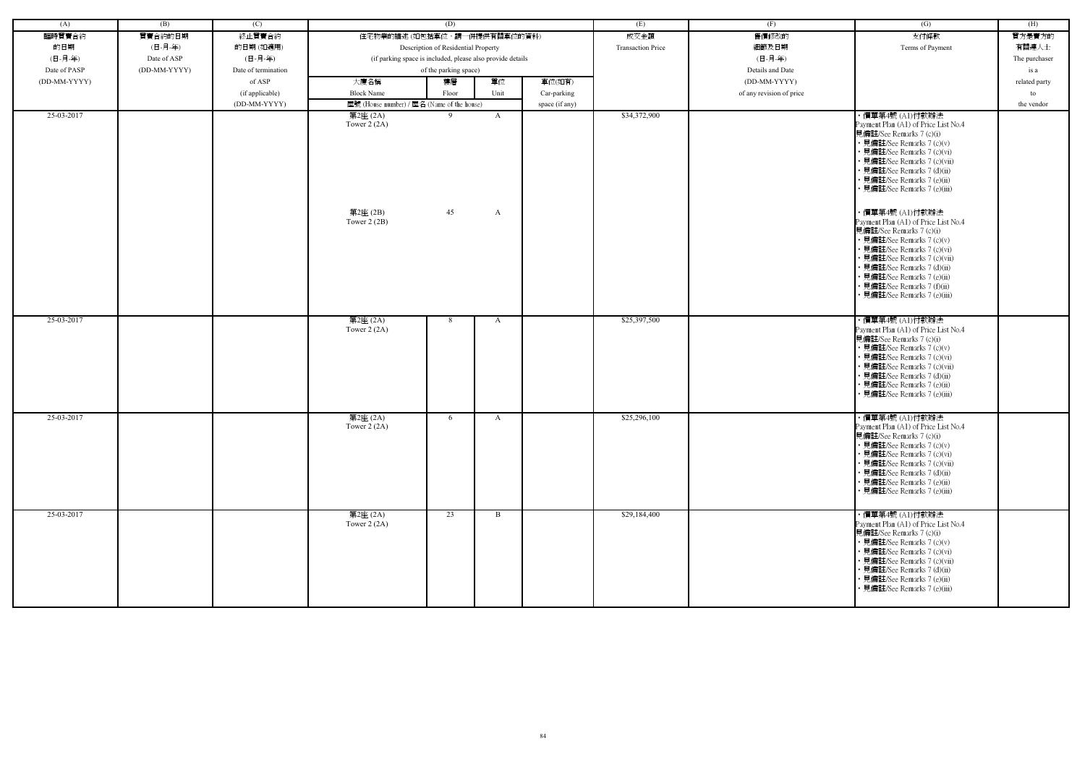| (A)          | (B)          | (C)                 |                                                            | (D)                                 |                   |                | (E)                      | (F)                      | $\overline{(G)}$                                                                                                                                                                                                                                                                                                                                                                                                                                                                                                                                                                                 | (H)           |
|--------------|--------------|---------------------|------------------------------------------------------------|-------------------------------------|-------------------|----------------|--------------------------|--------------------------|--------------------------------------------------------------------------------------------------------------------------------------------------------------------------------------------------------------------------------------------------------------------------------------------------------------------------------------------------------------------------------------------------------------------------------------------------------------------------------------------------------------------------------------------------------------------------------------------------|---------------|
| 臨時買賣合約       | 買賣合約的日期      | 終止買賣合約              | 住宅物業的描述 (如包括車位,請一併提供有關車位的資料)                               |                                     |                   |                | 成交金額                     | 售價修改的                    | 支付條款                                                                                                                                                                                                                                                                                                                                                                                                                                                                                                                                                                                             | 買方是賣方的        |
| 的日期          | (日-月-年)      | 的日期(如適用)            |                                                            | Description of Residential Property |                   |                | <b>Transaction Price</b> | 細節及日期                    | Terms of Payment                                                                                                                                                                                                                                                                                                                                                                                                                                                                                                                                                                                 | 有關連人士         |
| (日-月-年)      | Date of ASP  | (日-月-年)             | (if parking space is included, please also provide details |                                     |                   |                |                          | (日-月-年)                  |                                                                                                                                                                                                                                                                                                                                                                                                                                                                                                                                                                                                  | The purchaser |
| Date of PASP | (DD-MM-YYYY) | Date of termination |                                                            | of the parking space)               |                   |                |                          | Details and Date         |                                                                                                                                                                                                                                                                                                                                                                                                                                                                                                                                                                                                  | is a          |
| (DD-MM-YYYY) |              | of ASP              | 大廈名稱                                                       | 樓層                                  | 單位                | 車位(如有)         |                          | $(DD-MM-YYYY)$           |                                                                                                                                                                                                                                                                                                                                                                                                                                                                                                                                                                                                  | related party |
|              |              | (if applicable)     | <b>Block Name</b>                                          | Floor                               | Unit              | Car-parking    |                          | of any revision of price |                                                                                                                                                                                                                                                                                                                                                                                                                                                                                                                                                                                                  | to            |
|              |              | (DD-MM-YYYY)        | 屋號 (House number) / 屋名 (Name of the house)                 |                                     |                   | space (if any) |                          |                          |                                                                                                                                                                                                                                                                                                                                                                                                                                                                                                                                                                                                  | the vendor    |
| 25-03-2017   |              |                     | 第2座 (2A)<br>Tower $2(2A)$<br>第2座(2B)<br>Tower $2(2B)$      | 9<br>45                             | $\mathbf{A}$<br>A |                | \$34,372,900             |                          | ・價單第4號 (A1)付款辦法<br>Payment Plan (A1) of Price List No.4<br>見備註/See Remarks 7 (c)(i)<br>• 見備註/See Remarks 7 (c)(v)<br>• 見備註/See Remarks 7 (c)(vi)<br>• 見備註/See Remarks 7 (c)(vii)<br>· 見備註/See Remarks 7 (d)(ii)<br>• 見備註/See Remarks 7 (e)(ii)<br>• 見備註/See Remarks 7 (e)(iii)<br>· 價單第4號 (A1)付款辦法<br>Payment Plan (A1) of Price List No.4<br>見備註/See Remarks 7 (c)(i)<br>• 見備註/See Remarks 7 (c)(v)<br>• 見備註/See Remarks 7 (c)(vi)<br>• 見備註/See Remarks 7 (c)(vii)<br>• 見備註/See Remarks 7 (d)(ii)<br>• 見備註/See Remarks 7 (e)(ii)<br>• 見備註/See Remarks 7 (f)(ii)<br>• 見備註/See Remarks 7 (e)(iii) |               |
| 25-03-2017   |              |                     | 第2座 (2A)<br>Tower $2(2A)$                                  | 8                                   | A                 |                | \$25,397,500             |                          | ・價單第4號 (A1)付款辦法<br>Payment Plan (A1) of Price List No.4<br>見備註/See Remarks 7 (c)(i)<br>• 見備註/See Remarks 7 (c)(v)<br>• 見備註/See Remarks 7 (c)(vi)<br>• 見備註/See Remarks 7 (c)(vii)<br>• 見備註/See Remarks 7 (d)(ii)<br>• 見備註/See Remarks 7 (e)(ii)<br>· 見備註/See Remarks 7 (e)(iii)                                                                                                                                                                                                                                                                                                                   |               |
|              |              |                     |                                                            |                                     |                   |                |                          |                          |                                                                                                                                                                                                                                                                                                                                                                                                                                                                                                                                                                                                  |               |
| 25-03-2017   |              |                     | 第2座 (2A)<br>Tower $2(2A)$                                  | 6                                   | A                 |                | \$25,296,100             |                          | ・價單第4號 (A1)付款辦法<br>Payment Plan (A1) of Price List No.4<br>見備註/See Remarks 7 (c)(i)<br>• 見備註/See Remarks 7 (c)(v)<br>• 見備註/See Remarks 7 (c)(vi)<br>• 見備註/See Remarks 7 (c)(vii)<br>• 見備註/See Remarks 7 (d)(ii)<br>• 見備註/See Remarks 7 (e)(ii)<br>• 見備註/See Remarks 7 (e)(iii)                                                                                                                                                                                                                                                                                                                   |               |
| 25-03-2017   |              |                     | 第2座 (2A)<br>Tower $2(2A)$                                  | 23                                  | B                 |                | \$29,184,400             |                          | ・價單第4號 (A1)付款辦法<br>Payment Plan (A1) of Price List No.4<br>見備註/See Remarks 7 (c)(i)<br>• 見備註/See Remarks 7 (c)(v)<br>• 見備註/See Remarks 7 (c)(vi)<br>• 見備註/See Remarks 7 (c)(vii)<br>• 見備註/See Remarks 7 (d)(ii)                                                                                                                                                                                                                                                                                                                                                                                  |               |
|              |              |                     |                                                            |                                     |                   |                |                          |                          | • 見備註/See Remarks 7 (e)(ii)<br>• 見備註/See Remarks 7 (e)(iii)                                                                                                                                                                                                                                                                                                                                                                                                                                                                                                                                      |               |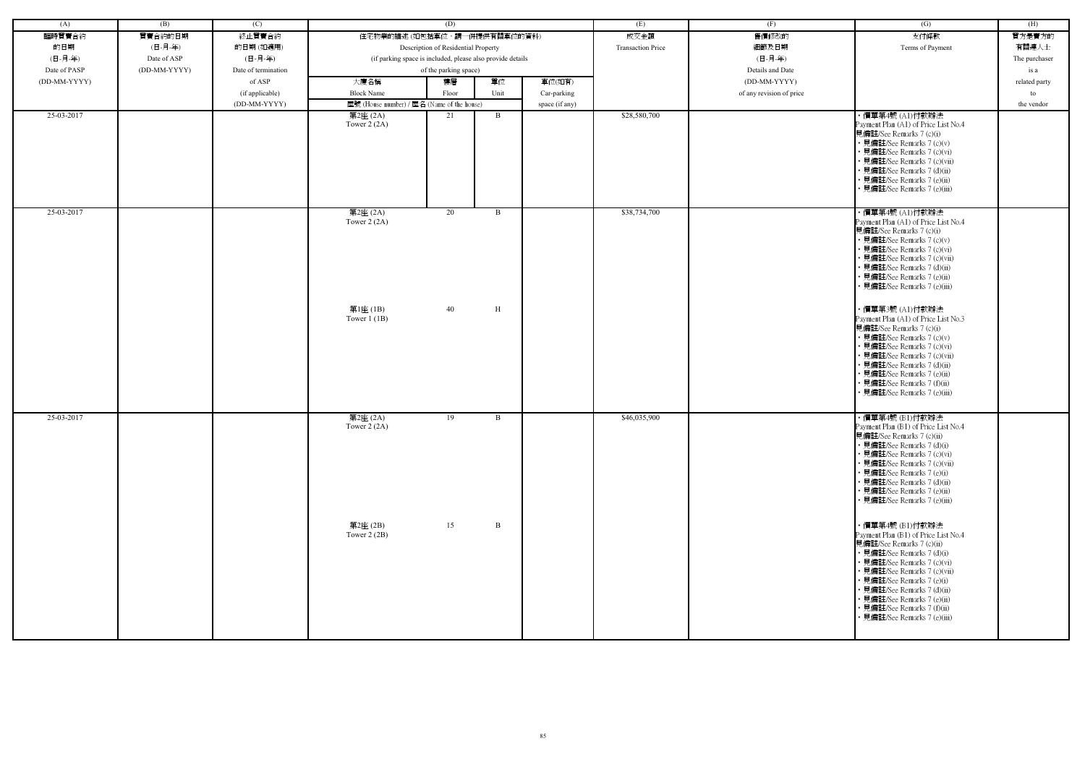| (A)          | (B)          | (C)                 |                                                            | (D)                                 |              |                | (E)                      | (F)                      | $\left( G\right)$                                                                                                                                                                                                                                                                                                                            | (H)           |
|--------------|--------------|---------------------|------------------------------------------------------------|-------------------------------------|--------------|----------------|--------------------------|--------------------------|----------------------------------------------------------------------------------------------------------------------------------------------------------------------------------------------------------------------------------------------------------------------------------------------------------------------------------------------|---------------|
| 臨時買賣合約       | 買賣合約的日期      | 終止買賣合約              | 住宅物業的描述 (如包括車位,請一併提供有關車位的資料)                               |                                     |              |                | 成交金額                     | 售價修改的                    | 支付條款                                                                                                                                                                                                                                                                                                                                         | 買方是賣方的        |
| 的日期          | (日-月-年)      | 的日期(如適用)            |                                                            | Description of Residential Property |              |                | <b>Transaction Price</b> | 細節及日期                    | Terms of Payment                                                                                                                                                                                                                                                                                                                             | 有關連人士         |
| (日-月-年)      | Date of ASP  | (日-月-年)             | (if parking space is included, please also provide details |                                     |              |                |                          | (日-月-年)                  |                                                                                                                                                                                                                                                                                                                                              | The purchaser |
| Date of PASP | (DD-MM-YYYY) | Date of termination |                                                            | of the parking space)               |              |                |                          | Details and Date         |                                                                                                                                                                                                                                                                                                                                              | is a          |
| (DD-MM-YYYY) |              | of ASP              | 大廈名稱                                                       | 樓層                                  | 單位           | 車位(如有)         |                          | (DD-MM-YYYY)             |                                                                                                                                                                                                                                                                                                                                              | related party |
|              |              | (if applicable)     | <b>Block Name</b>                                          | Floor                               | Unit         | Car-parking    |                          | of any revision of price |                                                                                                                                                                                                                                                                                                                                              | to            |
|              |              | (DD-MM-YYYY)        | 屋號 (House number) / 屋名 (Name of the house)                 |                                     |              | space (if any) |                          |                          |                                                                                                                                                                                                                                                                                                                                              | the vendor    |
| 25-03-2017   |              |                     | 第2座 (2A)<br>Tower $2(2A)$                                  | 21                                  | B            |                | \$28,580,700             |                          | ・價單第4號 (A1)付款辦法<br>Payment Plan (A1) of Price List No.4<br>見備註/See Remarks 7 (c)(i)<br>• 見備註/See Remarks 7 (c)(v)<br>• 見備註/See Remarks 7 (c)(vi)<br>• 見備註/See Remarks 7 (c)(vii)<br>• 見備註/See Remarks 7 (d)(ii)<br>• 見備註/See Remarks 7 (e)(ii)<br>· 見備註/See Remarks 7 (e)(iii)                                                               |               |
| 25-03-2017   |              |                     | 第2座 (2A)<br>Tower $2(2A)$                                  | 20                                  | B            |                | \$38,734,700             |                          | ・價單第4號 (A1)付款辦法<br>Payment Plan (A1) of Price List No.4<br>見備註/See Remarks 7 (c)(i)<br>• 見備註/See Remarks 7 (c)(v)<br>• 見備註/See Remarks 7 (c)(vi)<br>• 見備註/See Remarks 7 (c)(vii)<br>• 見備註/See Remarks 7 (d)(ii)<br>• 見備註/See Remarks 7 (e)(ii)<br>• 見備註/See Remarks 7 (e)(iii)                                                               |               |
|              |              |                     | 第1座(1B)<br>Tower $1(1B)$                                   | 40                                  | H            |                |                          |                          | ・價單第3號 (A1)付款辦法<br>Payment Plan (A1) of Price List No.3<br>見備註/See Remarks 7 (c)(i)<br>• 見備註/See Remarks 7 (c)(v)<br>• 見備註/See Remarks 7 (c)(vi)<br>• 見備註/See Remarks 7 (c)(vii)<br>• 見備註/See Remarks 7 (d)(ii)<br>• 見備註/See Remarks 7 (e)(ii)<br>• 見備註/See Remarks 7 (f)(ii)<br>• 見備註/See Remarks 7 (e)(iii)                                |               |
| 25-03-2017   |              |                     | 第2座 (2A)<br>Tower $2(2A)$                                  | 19                                  | B            |                | \$46,035,900             |                          | ・價單第4號 (B1)付款辦法<br>Payment Plan (B1) of Price List No.4<br>見備註/See Remarks 7 (c)(ii)<br>• 見備註/See Remarks 7 (d)(i)<br>• 見備註/See Remarks 7 (c)(vi)<br>• 見備註/See Remarks 7 (c)(vii)<br>• 見備註/See Remarks 7 (e)(i)<br>• 見備註/See Remarks 7 (d)(ii)<br>• 見備註/See Remarks 7 (e)(ii)<br>• 見備註/See Remarks 7 (e)(iii)                                |               |
|              |              |                     | 第2座(2B)<br>Tower $2(2B)$                                   | 15                                  | $\, {\bf B}$ |                |                          |                          | ・價單第4號 (B1)付款辦法<br>Payment Plan (B1) of Price List No.4<br>見備註/See Remarks 7 (c)(ii)<br>• 見備註/See Remarks 7 (d)(i)<br>• 見備註/See Remarks 7 (c)(vi)<br>• 見備註/See Remarks 7 (c)(vii)<br>• 見備註/See Remarks 7 (e)(i)<br>• 見備註/See Remarks 7 (d)(ii)<br>• 見備註/See Remarks 7 (e)(ii)<br>• 見備註/See Remarks 7 (f)(ii)<br>• 見備註/See Remarks 7 (e)(iii) |               |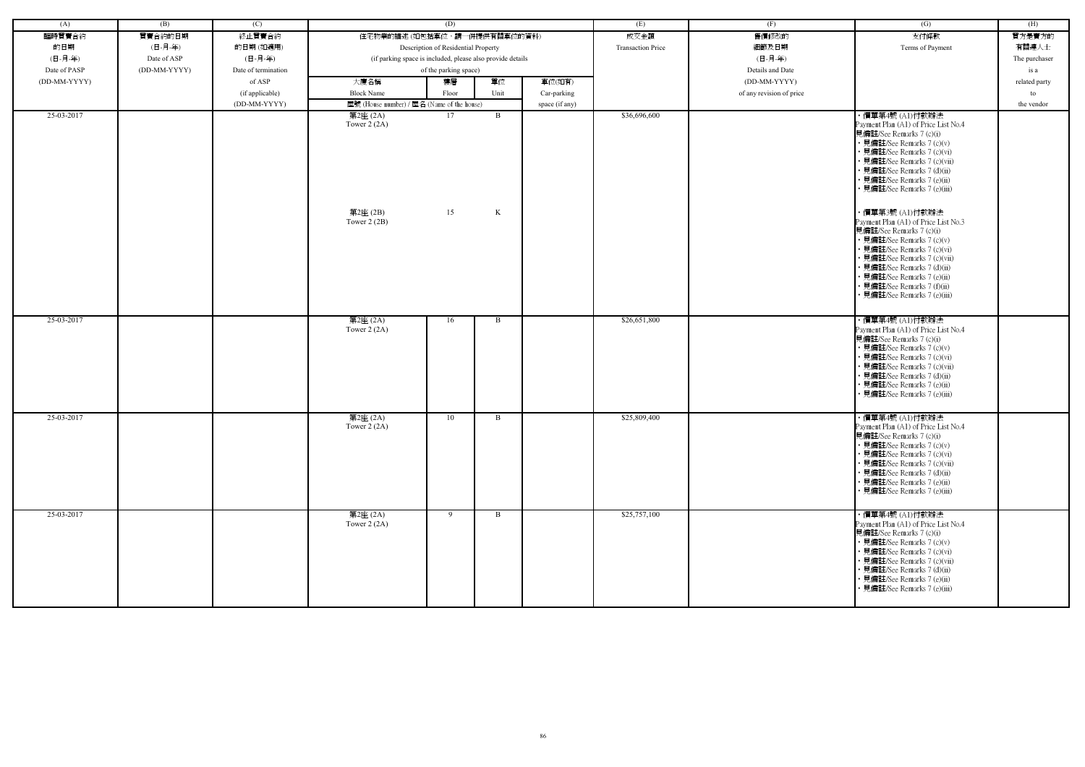| (A)          | (B)          | (C)                 |                                                            | (D)                                 |        |                | (E)                      | (F)                      | $\overline{(G)}$                                                                                                                                                                                                                                                                                                                                                                                                                                                                                                                                                | (H)           |
|--------------|--------------|---------------------|------------------------------------------------------------|-------------------------------------|--------|----------------|--------------------------|--------------------------|-----------------------------------------------------------------------------------------------------------------------------------------------------------------------------------------------------------------------------------------------------------------------------------------------------------------------------------------------------------------------------------------------------------------------------------------------------------------------------------------------------------------------------------------------------------------|---------------|
| 臨時買賣合約       | 買賣合約的日期      | 終止買賣合約              | 住宅物業的描述 (如包括車位,請一併提供有關車位的資料)                               |                                     |        |                | 成交金額                     | 售價修改的                    | 支付條款                                                                                                                                                                                                                                                                                                                                                                                                                                                                                                                                                            | 買方是賣方的        |
| 的日期          | (日-月-年)      | 的日期(如適用)            |                                                            | Description of Residential Property |        |                | <b>Transaction Price</b> | 細節及日期                    | Terms of Payment                                                                                                                                                                                                                                                                                                                                                                                                                                                                                                                                                | 有關連人士         |
| (日-月-年)      | Date of ASP  | (日-月-年)             | (if parking space is included, please also provide details |                                     |        |                |                          | (日-月-年)                  |                                                                                                                                                                                                                                                                                                                                                                                                                                                                                                                                                                 | The purchaser |
| Date of PASP | (DD-MM-YYYY) | Date of termination |                                                            | of the parking space)               |        |                |                          | Details and Date         |                                                                                                                                                                                                                                                                                                                                                                                                                                                                                                                                                                 | is a          |
| (DD-MM-YYYY) |              | of ASP              | 大廈名稱                                                       | 樓層                                  | 單位     | 車位(如有)         |                          | $(DD-MM-YYYY)$           |                                                                                                                                                                                                                                                                                                                                                                                                                                                                                                                                                                 | related party |
|              |              | (if applicable)     | <b>Block Name</b>                                          | Floor                               | Unit   | Car-parking    |                          | of any revision of price |                                                                                                                                                                                                                                                                                                                                                                                                                                                                                                                                                                 | to            |
|              |              | (DD-MM-YYYY)        | 屋號 (House number) / 屋名 (Name of the house)                 |                                     |        | space (if any) |                          |                          |                                                                                                                                                                                                                                                                                                                                                                                                                                                                                                                                                                 | the vendor    |
| 25-03-2017   |              |                     | 第2座 (2A)<br>Tower $2(2A)$<br>第2座(2B)<br>Tower $2(2B)$      | 17<br>15                            | B<br>K |                | \$36,696,600             |                          | ・價單第4號 (A1)付款辦法<br>Payment Plan (A1) of Price List No.4<br>見備註/See Remarks 7 (c)(i)<br>• 見備註/See Remarks 7 (c)(v)<br>• 見備註/See Remarks 7 (c)(vi)<br>• 見備註/See Remarks 7 (c)(vii)<br>· 見備註/See Remarks 7 (d)(ii)<br>• 見備註/See Remarks 7 (e)(ii)<br>• 見備註/See Remarks 7 (e)(iii)<br>・價單第3號 (A1)付款辦法<br>Payment Plan (A1) of Price List No.3<br>見備註/See Remarks 7 (c)(i)<br>• 見備註/See Remarks 7 (c)(v)<br>• 見備註/See Remarks 7 (c)(vi)<br>• 見備註/See Remarks 7 (c)(vii)<br>• 見備註/See Remarks 7 (d)(ii)<br>• 見備註/See Remarks 7 (e)(ii)<br>• 見備註/See Remarks 7 (f)(ii) |               |
| 25-03-2017   |              |                     | 第2座 (2A)<br>Tower $2(2A)$                                  | 16                                  | B      |                | \$26,651,800             |                          | · 見備註/See Remarks 7 (e)(iii)<br>・價單第4號 (A1)付款辦法<br>Payment Plan (A1) of Price List No.4<br>見備註/See Remarks 7 (c)(i)<br>• 見備註/See Remarks 7 (c)(v)<br>• 見備註/See Remarks 7 (c)(vi)<br>• 見備註/See Remarks 7 (c)(vii)<br>• 見備註/See Remarks 7 (d)(ii)<br>• 見備註/See Remarks 7 (e)(ii)<br>· 見備註/See Remarks 7 (e)(iii)                                                                                                                                                                                                                                                  |               |
| 25-03-2017   |              |                     | 第2座 (2A)<br>Tower $2(2A)$                                  | 10                                  | B      |                | \$25,809,400             |                          | ・價單第4號 (A1)付款辦法<br>Payment Plan (A1) of Price List No.4<br>見備註/See Remarks 7 (c)(i)<br>• 見備註/See Remarks 7 (c)(v)<br>• 見備註/See Remarks 7 (c)(vi)<br>• 見備註/See Remarks 7 (c)(vii)<br>• 見備註/See Remarks 7 (d)(ii)<br>• 見備註/See Remarks 7 (e)(ii)<br>• 見備註/See Remarks 7 (e)(iii)                                                                                                                                                                                                                                                                                  |               |
| 25-03-2017   |              |                     | 第2座 (2A)<br>Tower $2(2A)$                                  | 9                                   | B      |                | \$25,757,100             |                          | ・價單第4號 (A1)付款辦法<br>Payment Plan (A1) of Price List No.4<br>見備註/See Remarks 7 (c)(i)<br>• 見備註/See Remarks 7 (c)(v)<br>• 見備註/See Remarks 7 (c)(vi)<br>• 見備註/See Remarks 7 (c)(vii)<br>• 見備註/See Remarks 7 (d)(ii)<br>• 見備註/See Remarks 7 (e)(ii)<br>• 見備註/See Remarks 7 (e)(iii)                                                                                                                                                                                                                                                                                  |               |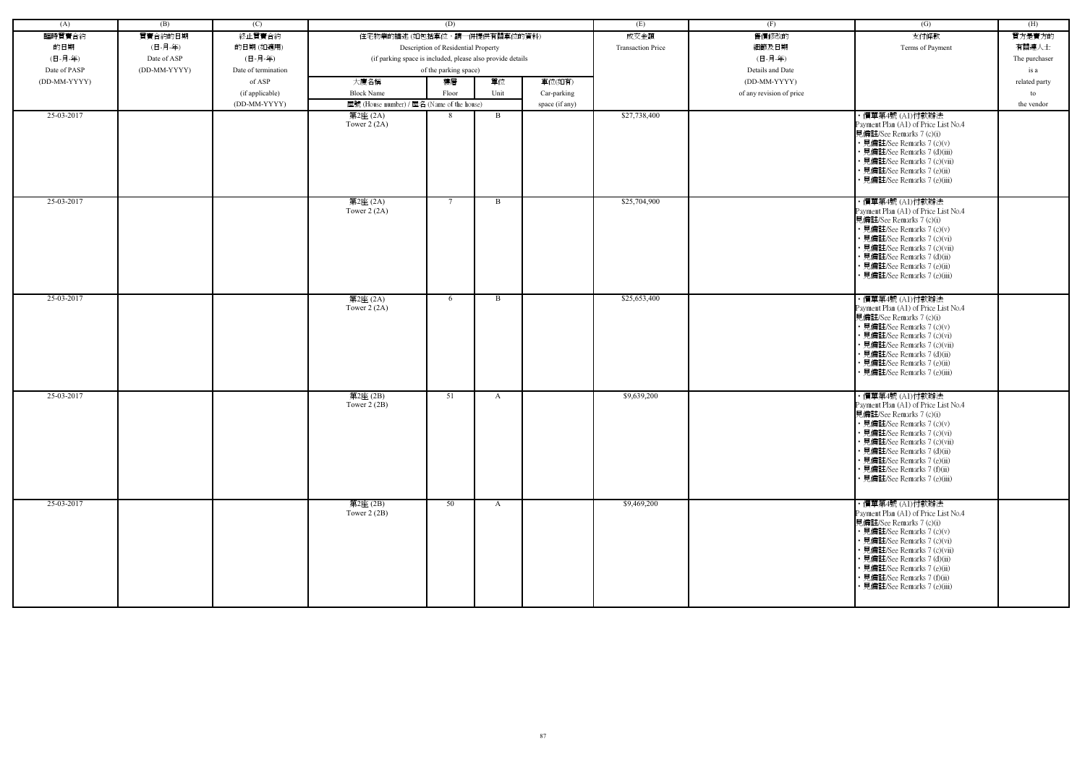| (A)          | (B)          | (C)                 |                                                            | (D)                                 |              |                | (E)                      | (F)                      | (G)                                                                                                                                                                                                                                                                                                         | (H)           |
|--------------|--------------|---------------------|------------------------------------------------------------|-------------------------------------|--------------|----------------|--------------------------|--------------------------|-------------------------------------------------------------------------------------------------------------------------------------------------------------------------------------------------------------------------------------------------------------------------------------------------------------|---------------|
| 臨時買賣合約       | 買賣合約的日期      | 終止買賣合約              | 住宅物業的描述 (如包括車位,請一併提供有關車位的資料)                               |                                     |              |                | 成交金額                     | 售價修改的                    | 支付條款                                                                                                                                                                                                                                                                                                        | 買方是賣方的        |
| 的日期          | (日-月-年)      | 的日期(如適用)            |                                                            | Description of Residential Property |              |                | <b>Transaction Price</b> | 細節及日期                    | Terms of Payment                                                                                                                                                                                                                                                                                            | 有關連人士         |
| (日-月-年)      | Date of ASP  | (日-月-年)             | (if parking space is included, please also provide details |                                     |              |                |                          | (日-月-年)                  |                                                                                                                                                                                                                                                                                                             | The purchaser |
| Date of PASP | (DD-MM-YYYY) | Date of termination |                                                            | of the parking space)               |              |                |                          | Details and Date         |                                                                                                                                                                                                                                                                                                             | is a          |
| (DD-MM-YYYY) |              | of ASP              | 大廈名稱                                                       | 樓層                                  | 單位           | 車位(如有)         |                          | (DD-MM-YYYY)             |                                                                                                                                                                                                                                                                                                             | related party |
|              |              | (if applicable)     | <b>Block Name</b>                                          | Floor                               | Unit         | Car-parking    |                          | of any revision of price |                                                                                                                                                                                                                                                                                                             | to            |
|              |              | (DD-MM-YYYY)        |                                                            |                                     |              |                |                          |                          |                                                                                                                                                                                                                                                                                                             | the vendor    |
| 25-03-2017   |              |                     | 屋號 (House number) / 屋名 (Name of the house)                 | 8                                   | B            | space (if any) | \$27,738,400             |                          | ・價單第4號 (A1)付款辦法                                                                                                                                                                                                                                                                                             |               |
|              |              |                     | 第2座 (2A)<br>Tower $2(2A)$                                  |                                     |              |                |                          |                          | Payment Plan (A1) of Price List No.4<br>見備註/See Remarks 7 (c)(i)<br>• 見備註/See Remarks 7 (c)(v)<br>• 見備註/See Remarks 7 (d)(iii)<br>• 見備註/See Remarks 7 (c)(vii)<br>見備註/See Remarks 7 (e)(ii)<br>· 見備註/See Remarks 7 (e)(iii)                                                                                 |               |
| 25-03-2017   |              |                     | 第2座 (2A)<br>Tower $2(2A)$                                  | -7                                  | B            |                | \$25,704,900             |                          | ・價單第4號 (A1)付款辦法<br>Payment Plan (A1) of Price List No.4<br>見備註/See Remarks 7 (c)(i)<br>• 見備註/See Remarks 7 (c)(v)<br>見備註/See Remarks 7 (c)(vi)<br>見備註/See Remarks 7 (c)(vii)<br>• 見備註/See Remarks 7 (d)(ii)<br>見備註/See Remarks 7 (e)(ii)<br>· 見備註/See Remarks 7 (e)(iii)                                    |               |
| 25-03-2017   |              |                     | 第2座 (2A)<br>Tower $2(2A)$                                  | 6                                   | B            |                | \$25,653,400             |                          | ・價單第4號 (A1)付款辦法<br>Payment Plan (A1) of Price List No.4<br>見備註/See Remarks 7 (c)(i)<br>• 見備註/See Remarks 7 (c)(v)<br>見備註/See Remarks 7 (c)(vi)<br>• 見備註/See Remarks 7 (c)(vii)<br>• 見備註/See Remarks 7 (d)(ii)<br>見備註/See Remarks 7 (e)(ii)<br>· 見備註/See Remarks 7 (e)(iii)                                  |               |
| 25-03-2017   |              |                     | 第2座(2B)<br>Tower $2(2B)$                                   | 51                                  | A            |                | \$9,639,200              |                          | ・價單第4號 (A1)付款辦法<br>Payment Plan (A1) of Price List No.4<br>見備註/See Remarks 7 (c)(i)<br>• 見備註/See Remarks 7 (c)(v)<br>• 見備註/See Remarks 7 (c)(vi)<br>• 見備註/See Remarks 7 (c)(vii)<br>• 見備註/See Remarks 7 (d)(ii)<br>• 見備註/See Remarks 7 (e)(ii)<br>• 見備註/See Remarks 7 (f)(ii)<br>見備註/See Remarks 7 (e)(iii) |               |
| 25-03-2017   |              |                     | 第2座(2B)<br>Tower $2(2B)$                                   | 50                                  | $\mathbf{A}$ |                | \$9,469,200              |                          | ・價單第4號 (A1)付款辦法<br>Payment Plan (A1) of Price List No.4<br>見備註/See Remarks 7 (c)(i)<br>• 見備註/See Remarks 7 (c)(v)<br>• 見備註/See Remarks 7 (c)(vi)<br>• 見備註/See Remarks 7 (c)(vii)<br>• 見備註/See Remarks 7 (d)(ii)<br>• 見備註/See Remarks 7 (e)(ii)<br>• 見備註/See Remarks 7 (f)(ii)<br>見備註/See Remarks 7 (e)(iii) |               |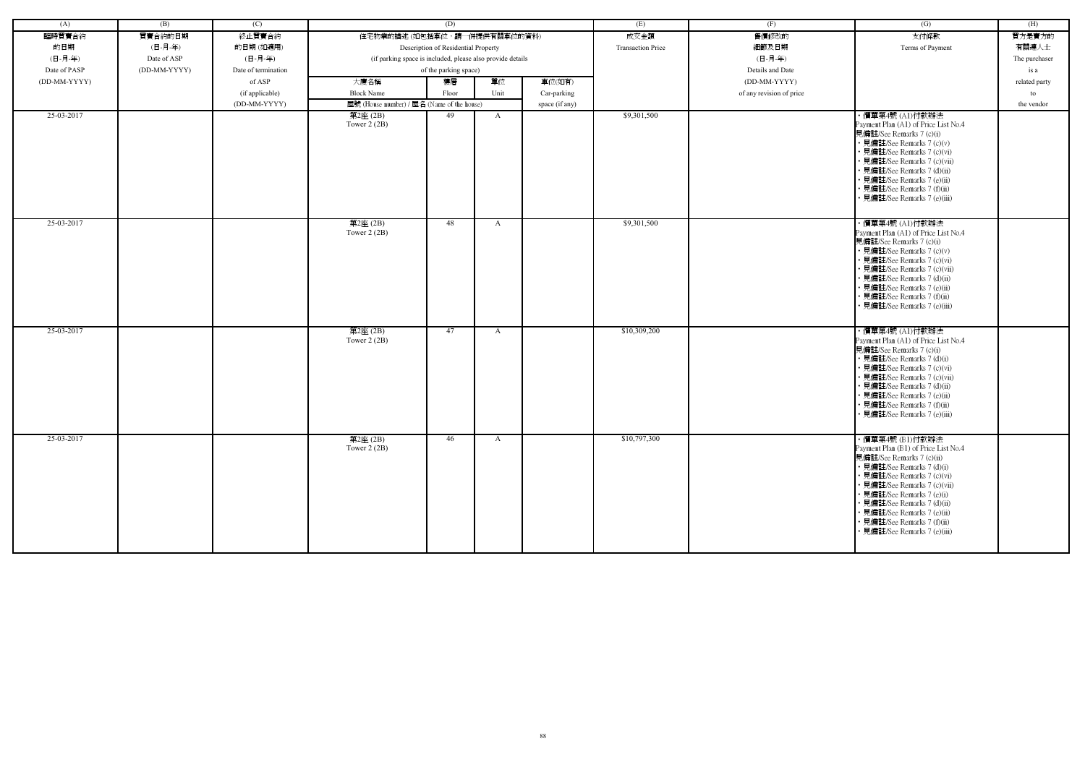| (A)          | (B)          | (C)                 |                                                            | (D)                                 |              |                | (E)                      | (F)                      | (G)                                                                                                                                                                                                                                                                                                                                          | (H)           |
|--------------|--------------|---------------------|------------------------------------------------------------|-------------------------------------|--------------|----------------|--------------------------|--------------------------|----------------------------------------------------------------------------------------------------------------------------------------------------------------------------------------------------------------------------------------------------------------------------------------------------------------------------------------------|---------------|
| 臨時買賣合約       | 買賣合約的日期      | 終止買賣合約              | 住宅物業的描述 (如包括車位,請一併提供有關車位的資料)                               |                                     |              |                | 成交金額                     | 售價修改的                    | 支付條款                                                                                                                                                                                                                                                                                                                                         | 買方是賣方的        |
| 的日期          | (日-月-年)      | 的日期(如適用)            |                                                            | Description of Residential Property |              |                | <b>Transaction Price</b> | 細節及日期                    | Terms of Payment                                                                                                                                                                                                                                                                                                                             | 有關連人士         |
| (日-月-年)      | Date of ASP  | (日-月-年)             | (if parking space is included, please also provide details |                                     |              |                |                          | (日-月-年)                  |                                                                                                                                                                                                                                                                                                                                              | The purchaser |
| Date of PASP | (DD-MM-YYYY) | Date of termination |                                                            | of the parking space)               |              |                |                          | Details and Date         |                                                                                                                                                                                                                                                                                                                                              | is a          |
| (DD-MM-YYYY) |              | of ASP              | 大廈名稱                                                       | 樓層                                  | 單位           | 車位(如有)         |                          | (DD-MM-YYYY)             |                                                                                                                                                                                                                                                                                                                                              | related party |
|              |              |                     | <b>Block Name</b>                                          | Floor                               | Unit         |                |                          |                          |                                                                                                                                                                                                                                                                                                                                              |               |
|              |              | (if applicable)     |                                                            |                                     |              | Car-parking    |                          | of any revision of price |                                                                                                                                                                                                                                                                                                                                              | to            |
| 25-03-2017   |              | (DD-MM-YYYY)        | 屋號 (House number) / 屋名 (Name of the house)                 | 49                                  |              | space (if any) | \$9,301,500              |                          |                                                                                                                                                                                                                                                                                                                                              | the vendor    |
|              |              |                     | 第2座 (2B)<br>Tower $2(2B)$                                  |                                     | A            |                |                          |                          | ・價單第4號 (A1)付款辦法<br>Payment Plan (A1) of Price List No.4<br>見備註/See Remarks 7 (c)(i)<br>• 見備註/See Remarks 7 (c)(v)<br>• 見備註/See Remarks 7 (c)(vi)<br>• 見備註/See Remarks 7 (c)(vii)<br>• 見備註/See Remarks 7 (d)(ii)<br>• 見備註/See Remarks 7 (e)(ii)<br>• 見備註/See Remarks 7 (f)(ii)<br>· 見備註/See Remarks 7 (e)(iii)                                |               |
| 25-03-2017   |              |                     | 第2座(2B)<br>Tower $2(2B)$                                   | 48                                  | A            |                | \$9,301,500              |                          | ・價單第4號 (A1)付款辦法<br>Payment Plan (A1) of Price List No.4<br>見備註/See Remarks 7 (c)(i)<br>• 見備註/See Remarks 7 (c)(v)<br>• 見備註/See Remarks 7 (c)(vi)<br>• 見備註/See Remarks 7 (c)(vii)<br>• 見備註/See Remarks 7 (d)(ii)<br>• 見備註/See Remarks 7 (e)(ii)<br>• 見備註/See Remarks 7 (f)(ii)<br>• 見備註/See Remarks 7 (e)(iii)                                |               |
| 25-03-2017   |              |                     | 第2座(2B)<br>Tower $2(2B)$                                   | 47                                  | $\mathbf{A}$ |                | \$10,309,200             |                          | ・價單第4號 (A1)付款辦法<br>Payment Plan (A1) of Price List No.4<br>見備註/See Remarks 7 (c)(i)<br>• 見備註/See Remarks 7 (d)(i)<br>• 見備註/See Remarks 7 (c)(vi)<br>• 見備註/See Remarks 7 (c)(vii)<br>• 見備註/See Remarks 7 (d)(ii)<br>• 見備註/See Remarks 7 (e)(ii)<br>• 見備註/See Remarks 7 (f)(ii)<br>• 見備註/See Remarks 7 (e)(iii)                                |               |
| 25-03-2017   |              |                     | 第2座(2B)<br>Tower $2(2B)$                                   | 46                                  | A            |                | \$10,797,300             |                          | ·價單第4號 (B1)付款辦法<br>Payment Plan (B1) of Price List No.4<br>見備註/See Remarks 7 (c)(ii)<br>• 見備註/See Remarks 7 (d)(i)<br>• 見備註/See Remarks 7 (c)(vi)<br>• 見備註/See Remarks 7 (c)(vii)<br>• 見備註/See Remarks 7 (e)(i)<br>• 見備註/See Remarks 7 (d)(ii)<br>• 見備註/See Remarks 7 (e)(ii)<br>• 見備註/See Remarks 7 (f)(ii)<br>• 見備註/See Remarks 7 (e)(iii) |               |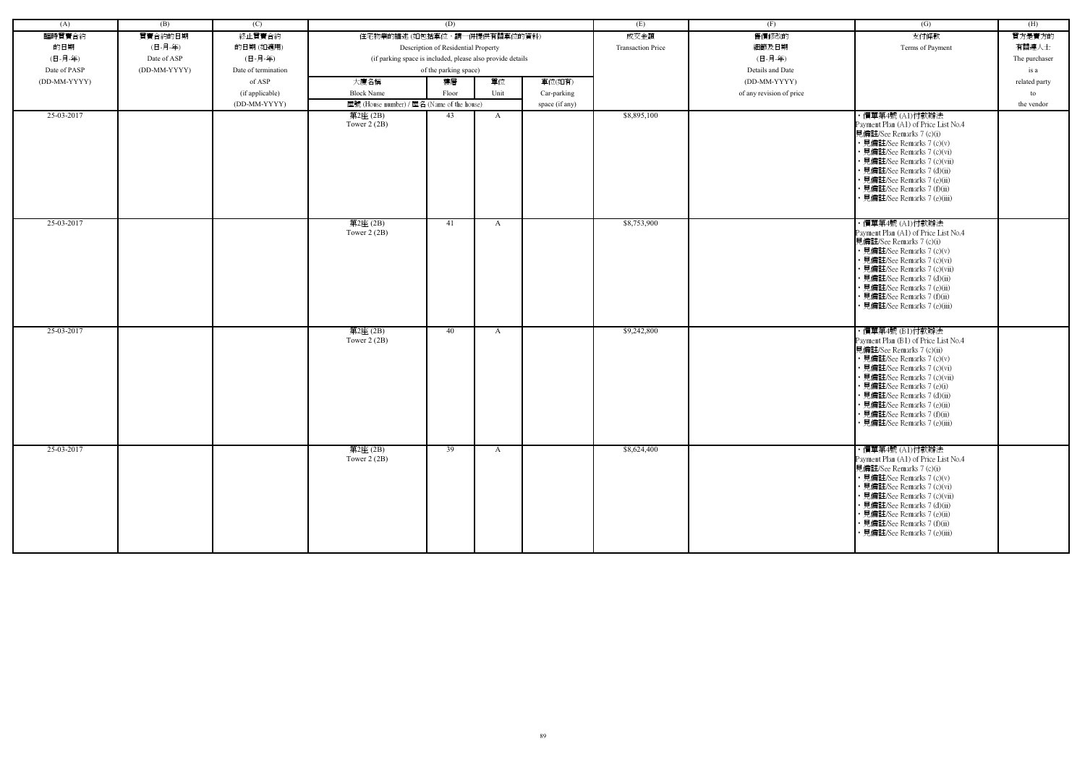| (A)          | (B)          | (C)                 |                                                            | (D)                                 |              |                | (E)                      | (F)                      | (G)                                                                                                                                                                                                                                                                                                                                          | (H)           |
|--------------|--------------|---------------------|------------------------------------------------------------|-------------------------------------|--------------|----------------|--------------------------|--------------------------|----------------------------------------------------------------------------------------------------------------------------------------------------------------------------------------------------------------------------------------------------------------------------------------------------------------------------------------------|---------------|
| 臨時買賣合約       | 買賣合約的日期      | 終止買賣合約              | 住宅物業的描述(如包括車位,請一併提供有關車位的資料)                                |                                     |              |                | 成交金額                     | 售價修改的                    | 支付條款                                                                                                                                                                                                                                                                                                                                         | 買方是賣方的        |
| 的日期          | (日-月-年)      | 的日期(如適用)            |                                                            | Description of Residential Property |              |                | <b>Transaction Price</b> | 細節及日期                    | Terms of Payment                                                                                                                                                                                                                                                                                                                             | 有關連人士         |
| (日-月-年)      | Date of ASP  | (日-月-年)             | (if parking space is included, please also provide details |                                     |              |                |                          | (日-月-年)                  |                                                                                                                                                                                                                                                                                                                                              | The purchaser |
| Date of PASP | (DD-MM-YYYY) | Date of termination |                                                            | of the parking space)               |              |                |                          | Details and Date         |                                                                                                                                                                                                                                                                                                                                              | is a          |
| (DD-MM-YYYY) |              | of ASP              | 大廈名稱                                                       | 樓層                                  | 單位           | 車位(如有)         |                          | (DD-MM-YYYY)             |                                                                                                                                                                                                                                                                                                                                              | related party |
|              |              | (if applicable)     | <b>Block Name</b>                                          | Floor                               | Unit         | Car-parking    |                          | of any revision of price |                                                                                                                                                                                                                                                                                                                                              | to            |
|              |              | (DD-MM-YYYY)        | 屋號 (House number) / 屋名 (Name of the house)                 |                                     |              | space (if any) |                          |                          |                                                                                                                                                                                                                                                                                                                                              | the vendor    |
| 25-03-2017   |              |                     | $\overline*$ 2座 (2B)                                       | 43                                  | A            |                | \$8,895,100              |                          | ・價單第4號 (A1)付款辦法                                                                                                                                                                                                                                                                                                                              |               |
|              |              |                     | Tower $2(2B)$                                              |                                     |              |                |                          |                          | Payment Plan (A1) of Price List No.4<br>見備註/See Remarks 7 (c)(i)<br>• 見備註/See Remarks 7 (c)(v)<br>• 見備註/See Remarks 7 (c)(vi)<br>· 見備註/See Remarks 7 (c)(vii)<br>· 見備註/See Remarks 7 (d)(ii)<br>· 見備註/See Remarks 7 (e)(ii)                                                                                                                  |               |
|              |              |                     |                                                            |                                     |              |                |                          |                          | · 見備註/See Remarks 7 (f)(ii)<br>• 見備註/See Remarks 7 (e)(iii)                                                                                                                                                                                                                                                                                  |               |
| 25-03-2017   |              |                     | 第2座(2B)<br>Tower $2(2B)$                                   | 41                                  | A            |                | \$8,753,900              |                          | ・價單第4號 (A1)付款辦法<br>Payment Plan (A1) of Price List No.4<br>見備註/See Remarks 7 (c)(i)<br>• 見備註/See Remarks 7 (c)(v)<br>· 見備註/See Remarks 7 (c)(vi)<br>· 見備註/See Remarks 7 (c)(vii)<br>• 見備註/See Remarks 7 (d)(ii)<br>· 見備註/See Remarks 7 (e)(ii)<br>· 見備註/See Remarks 7 (f)(ii)<br>· 見備註/See Remarks 7 (e)(iii)                                |               |
| 25-03-2017   |              |                     | 第2座(2B)<br>Tower $2(2B)$                                   | 40                                  | A            |                | \$9,242,800              |                          | ・價單第4號 (B1)付款辦法<br>Payment Plan (B1) of Price List No.4<br>見備註/See Remarks 7 (c)(ii)<br>• 見備註/See Remarks 7 (c)(v)<br>• 見備註/See Remarks 7 (c)(vi)<br>• 見備註/See Remarks 7 (c)(vii)<br>• 見備註/See Remarks 7 (e)(i)<br>· 見備註/See Remarks 7 (d)(ii)<br>· 見備註/See Remarks 7 (e)(ii)<br>· 見備註/See Remarks 7 (f)(ii)<br>· 見備註/See Remarks 7 (e)(iii) |               |
| 25-03-2017   |              |                     | 第2座(2B)<br>Tower $2(2B)$                                   | 39                                  | $\mathbf{A}$ |                | \$8,624,400              |                          | ・價單第4號 (A1)付款辦法<br>Payment Plan (A1) of Price List No.4<br>見備註/See Remarks 7 (c)(i)<br>• 見備註/See Remarks 7 (c)(v)<br>• 見備註/See Remarks 7 (c)(vi)<br>• 見備註/See Remarks 7 (c)(vii)<br>• 見備註/See Remarks 7 (d)(ii)<br>• 見備註/See Remarks 7 (e)(ii)<br>• 見備註/See Remarks 7 (f)(ii)<br>• 見備註/See Remarks 7 (e)(iii)                                |               |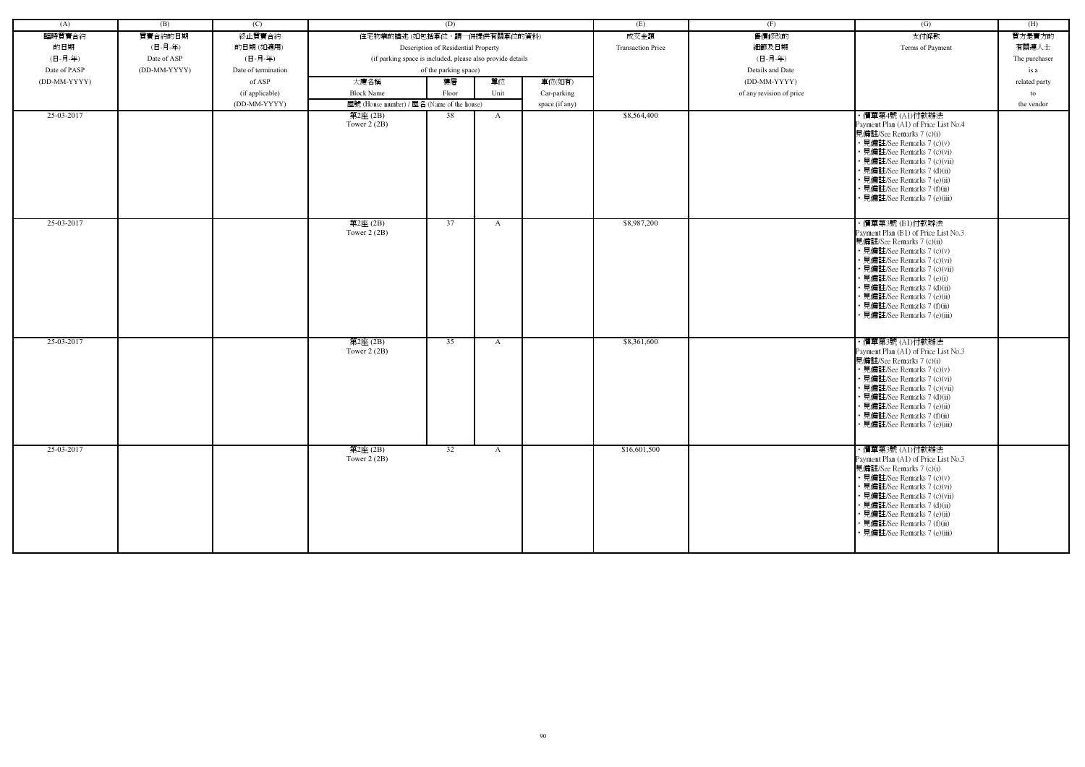| (A)          | (B)          | (C)                 |                                                            | (D)                                 |              |                | (E)                      | (F)                      | (G)                                                         | (H)           |
|--------------|--------------|---------------------|------------------------------------------------------------|-------------------------------------|--------------|----------------|--------------------------|--------------------------|-------------------------------------------------------------|---------------|
| 臨時買賣合約       | 買賣合約的日期      | 終止買賣合約              | 住宅物業的描述 (如包括車位,請一併提供有關車位的資料)                               |                                     |              |                | 成交金額                     | 售價修改的                    | 支付條款                                                        | 買方是賣方的        |
| 的日期          | (日-月-年)      | 的日期(如適用)            |                                                            | Description of Residential Property |              |                | <b>Transaction Price</b> | 細節及日期                    | Terms of Payment                                            | 有關連人士         |
| (日-月-年)      | Date of ASP  | (日-月-年)             | (if parking space is included, please also provide details |                                     |              |                |                          | (日-月-年)                  |                                                             | The purchaser |
| Date of PASP | (DD-MM-YYYY) | Date of termination |                                                            | of the parking space)               |              |                |                          | Details and Date         |                                                             | is a          |
| (DD-MM-YYYY) |              | of ASP              | 大廈名稱                                                       | 樓層                                  | 單位           | 車位(如有)         |                          | (DD-MM-YYYY)             |                                                             | related party |
|              |              | (if applicable)     | <b>Block Name</b>                                          | Floor                               | Unit         | Car-parking    |                          | of any revision of price |                                                             | to            |
|              |              | (DD-MM-YYYY)        | 屋號 (House number) / 屋名 (Name of the house)                 |                                     |              | space (if any) |                          |                          |                                                             | the vendor    |
| 25-03-2017   |              |                     | 第2座 (2B)                                                   | 38                                  | A            |                | \$8,564,400              |                          | ・價單第4號 (A1)付款辦法                                             |               |
|              |              |                     | Tower $2(2B)$                                              |                                     |              |                |                          |                          | Payment Plan (A1) of Price List No.4                        |               |
|              |              |                     |                                                            |                                     |              |                |                          |                          | 見備註/See Remarks 7 (c)(i)                                    |               |
|              |              |                     |                                                            |                                     |              |                |                          |                          | • 見備註/See Remarks 7 (c)(v)                                  |               |
|              |              |                     |                                                            |                                     |              |                |                          |                          | • 見備註/See Remarks 7 (c)(vi)                                 |               |
|              |              |                     |                                                            |                                     |              |                |                          |                          | · 見備註/See Remarks 7 (c)(vii)<br>· 見備註/See Remarks 7 (d)(ii) |               |
|              |              |                     |                                                            |                                     |              |                |                          |                          | • 見備註/See Remarks 7 (e)(ii)                                 |               |
|              |              |                     |                                                            |                                     |              |                |                          |                          | • 見備註/See Remarks 7 (f)(ii)                                 |               |
|              |              |                     |                                                            |                                     |              |                |                          |                          | · 見備註/See Remarks 7 (e)(iii)                                |               |
|              |              |                     |                                                            |                                     |              |                |                          |                          |                                                             |               |
| 25-03-2017   |              |                     | 第2座(2B)                                                    | 37                                  | A            |                | \$8,987,200              |                          | ・價單第3號 (B1)付款辦法                                             |               |
|              |              |                     | Tower $2(2B)$                                              |                                     |              |                |                          |                          | Payment Plan (B1) of Price List No.3                        |               |
|              |              |                     |                                                            |                                     |              |                |                          |                          | 見備註/See Remarks 7 (c)(ii)<br>• 見備註/See Remarks 7 (c)(v)     |               |
|              |              |                     |                                                            |                                     |              |                |                          |                          | · 見備註/See Remarks 7 (c)(vi)                                 |               |
|              |              |                     |                                                            |                                     |              |                |                          |                          | · 見備註/See Remarks 7 (c)(vii)                                |               |
|              |              |                     |                                                            |                                     |              |                |                          |                          | • 見備註/See Remarks 7 (e)(i)                                  |               |
|              |              |                     |                                                            |                                     |              |                |                          |                          | · 見備註/See Remarks 7 (d)(ii)                                 |               |
|              |              |                     |                                                            |                                     |              |                |                          |                          | · 見備註/See Remarks 7 (e)(ii)<br>• 見備註/See Remarks 7 (f)(ii)  |               |
|              |              |                     |                                                            |                                     |              |                |                          |                          | · 見備註/See Remarks 7 (e)(iii)                                |               |
|              |              |                     |                                                            |                                     |              |                |                          |                          |                                                             |               |
| 25-03-2017   |              |                     | 第2座(2B)                                                    | 35                                  | A            |                | \$8,361,600              |                          | ・價單第3號 (A1)付款辦法                                             |               |
|              |              |                     | Tower $2(2B)$                                              |                                     |              |                |                          |                          | Payment Plan (A1) of Price List No.3                        |               |
|              |              |                     |                                                            |                                     |              |                |                          |                          | 見備註/See Remarks 7 (c)(i)                                    |               |
|              |              |                     |                                                            |                                     |              |                |                          |                          | • 見備註/See Remarks 7 (c)(v)                                  |               |
|              |              |                     |                                                            |                                     |              |                |                          |                          | • 見備註/See Remarks 7 (c)(vi)                                 |               |
|              |              |                     |                                                            |                                     |              |                |                          |                          | • 見備註/See Remarks 7 (c)(vii)<br>· 見備註/See Remarks 7 (d)(ii) |               |
|              |              |                     |                                                            |                                     |              |                |                          |                          | · 見備註/See Remarks 7 (e)(ii)                                 |               |
|              |              |                     |                                                            |                                     |              |                |                          |                          | • 見備註/See Remarks 7 (f)(ii)                                 |               |
|              |              |                     |                                                            |                                     |              |                |                          |                          | • 見備註/See Remarks 7 (e)(iii)                                |               |
|              |              |                     |                                                            |                                     |              |                |                          |                          |                                                             |               |
| 25-03-2017   |              |                     | 第2座(2B)                                                    | 32                                  | $\mathbf{A}$ |                | \$16,601,500             |                          | ・價單第3號 (A1)付款辦法                                             |               |
|              |              |                     | Tower $2(2B)$                                              |                                     |              |                |                          |                          | Payment Plan (A1) of Price List No.3                        |               |
|              |              |                     |                                                            |                                     |              |                |                          |                          | 見備註/See Remarks 7 (c)(i)<br>• 見備註/See Remarks 7 (c)(v)      |               |
|              |              |                     |                                                            |                                     |              |                |                          |                          | • 見備註/See Remarks 7 (c)(vi)                                 |               |
|              |              |                     |                                                            |                                     |              |                |                          |                          | • 見備註/See Remarks 7 (c)(vii)                                |               |
|              |              |                     |                                                            |                                     |              |                |                          |                          | • 見備註/See Remarks 7 (d)(ii)                                 |               |
|              |              |                     |                                                            |                                     |              |                |                          |                          | • 見備註/See Remarks 7 (e)(ii)                                 |               |
|              |              |                     |                                                            |                                     |              |                |                          |                          | • 見備註/See Remarks 7 (f)(ii)<br>• 見備註/See Remarks 7 (e)(iii) |               |
|              |              |                     |                                                            |                                     |              |                |                          |                          |                                                             |               |
|              |              |                     |                                                            |                                     |              |                |                          |                          |                                                             |               |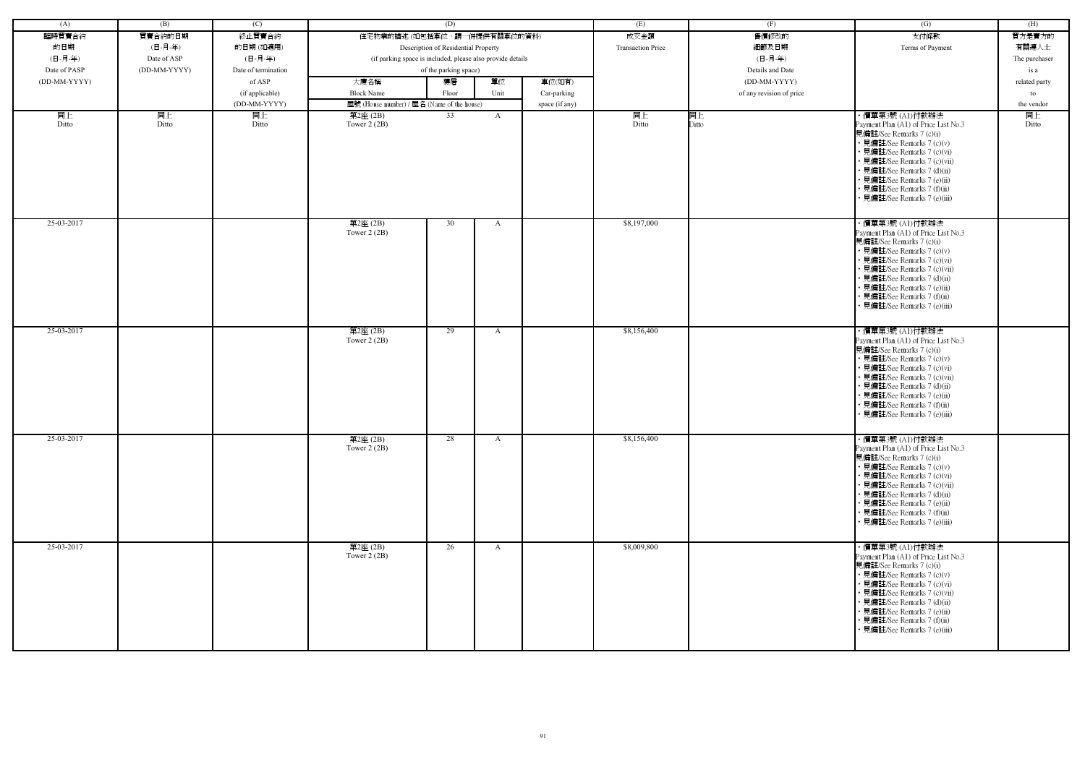| (A)          | (B)          | (C)                 |                                                            | (D)                                 |              |                | (E)                      | (F)                      | (G)                                                                                                                                                                                                                                                                                                           | (H)           |
|--------------|--------------|---------------------|------------------------------------------------------------|-------------------------------------|--------------|----------------|--------------------------|--------------------------|---------------------------------------------------------------------------------------------------------------------------------------------------------------------------------------------------------------------------------------------------------------------------------------------------------------|---------------|
| 臨時買賣合約       | 買賣合約的日期      | 終止買賣合約              | 住宅物業的描述 (如包括車位,請一併提供有關車位的資料)                               |                                     |              |                | 成交金額                     | 售價修改的                    | 支付條款                                                                                                                                                                                                                                                                                                          | 買方是賣方的        |
| 的日期          | (日-月-年)      | 的日期(如適用)            |                                                            | Description of Residential Property |              |                | <b>Transaction Price</b> | 細節及日期                    | Terms of Payment                                                                                                                                                                                                                                                                                              | 有關連人士         |
| (日-月-年)      | Date of ASP  | (日-月-年)             | (if parking space is included, please also provide details |                                     |              |                |                          | (日-月-年)                  |                                                                                                                                                                                                                                                                                                               | The purchaser |
| Date of PASP | (DD-MM-YYYY) | Date of termination |                                                            | of the parking space)               |              |                |                          | Details and Date         |                                                                                                                                                                                                                                                                                                               | is a          |
| (DD-MM-YYYY) |              | of ASP              | 大廈名稱                                                       | 樓層                                  | 單位           | 車位(如有)         |                          | (DD-MM-YYYY)             |                                                                                                                                                                                                                                                                                                               | related party |
|              |              | (if applicable)     | <b>Block Name</b>                                          | Floor                               | Unit         | Car-parking    |                          | of any revision of price |                                                                                                                                                                                                                                                                                                               | to            |
|              |              | (DD-MM-YYYY)        | 屋號 (House number) / 屋名 (Name of the house)                 |                                     |              | space (if any) |                          |                          |                                                                                                                                                                                                                                                                                                               | the vendor    |
| 同上           | 同上           | 同上                  | 第2座(2B)                                                    | 33                                  | $\mathbf{A}$ |                | 同上                       | 同上                       | ・價單第3號 (A1)付款辦法                                                                                                                                                                                                                                                                                               | 同上            |
| Ditto        | Ditto        | Ditto               | Tower $2(2B)$                                              |                                     |              |                | Ditto                    | Ditto                    | Payment Plan (A1) of Price List No.3<br>見備註/See Remarks 7 (c)(i)<br>• 見備註/See Remarks 7 (c)(v)<br>• 見備註/See Remarks 7 (c)(vi)<br>• 見備註/See Remarks 7 (c)(vii)<br>• 見備註/See Remarks 7 (d)(ii)<br>• 見備註/See Remarks 7 (e)(ii)<br>• 見備註/See Remarks 7 (f)(ii)<br>• 見備註/See Remarks 7 (e)(iii)                    | Ditto         |
| 25-03-2017   |              |                     | 第2座(2B)<br>Tower 2 (2B)                                    | 30                                  | A            |                | \$8,197,000              |                          | ・價單第3號 (A1)付款辦法<br>Payment Plan (A1) of Price List No.3<br>見備註/See Remarks 7 (c)(i)<br>• 見備註/See Remarks 7 (c)(v)<br>• 見備註/See Remarks 7 (c)(vi)<br>• 見備註/See Remarks 7 (c)(vii)<br>• 見備註/See Remarks 7 (d)(ii)<br>• 見備註/See Remarks 7 (e)(ii)<br>• 見備註/See Remarks 7 (f)(ii)<br>• 見備註/See Remarks 7 (e)(iii) |               |
| 25-03-2017   |              |                     | 第2座(2B)<br>Tower $2(2B)$                                   | 29                                  | A            |                | \$8,156,400              |                          | ・價單第3號 (A1)付款辦法<br>Payment Plan (A1) of Price List No.3<br>見備註/See Remarks 7 (c)(i)<br>• 見備註/See Remarks 7 (c)(v)<br>• 見備註/See Remarks 7 (c)(vi)<br>• 見備註/See Remarks 7 (c)(vii)<br>• 見備註/See Remarks 7 (d)(ii)<br>• 見備註/See Remarks 7 (e)(ii)<br>• 見備註/See Remarks 7 (f)(ii)<br>• 見備註/See Remarks 7 (e)(iii) |               |
| 25-03-2017   |              |                     | 第2座(2B)<br>Tower $2(2B)$                                   | 28                                  | A            |                | \$8,156,400              |                          | ・價單第3號 (A1)付款辦法<br>Payment Plan (A1) of Price List No.3<br>見備註/See Remarks 7 (c)(i)<br>• 見備註/See Remarks 7 (c)(v)<br>• 見備註/See Remarks 7 (c)(vi)<br>• 見備註/See Remarks 7 (c)(vii)<br>• 見備註/See Remarks 7 (d)(ii)<br>• 見備註/See Remarks 7 (e)(ii)<br>• 見備註/See Remarks 7 (f)(ii)<br>• 見備註/See Remarks 7 (e)(iii) |               |
| 25-03-2017   |              |                     | 第2座(2B)<br>Tower $2(2B)$                                   | 26                                  | $\mathbf{A}$ |                | \$8,009,800              |                          | ・價單第3號 (A1)付款辦法<br>Payment Plan (A1) of Price List No.3<br>見備註/See Remarks 7 (c)(i)<br>• 見備註/See Remarks 7 (c)(v)<br>• 見備註/See Remarks 7 (c)(vi)<br>• 見備註/See Remarks 7 (c)(vii)<br>• 見備註/See Remarks 7 (d)(ii)<br>• 見備註/See Remarks 7 (e)(ii)<br>• 見備註/See Remarks 7 (f)(ii)<br>· 見備註/See Remarks 7 (e)(iii) |               |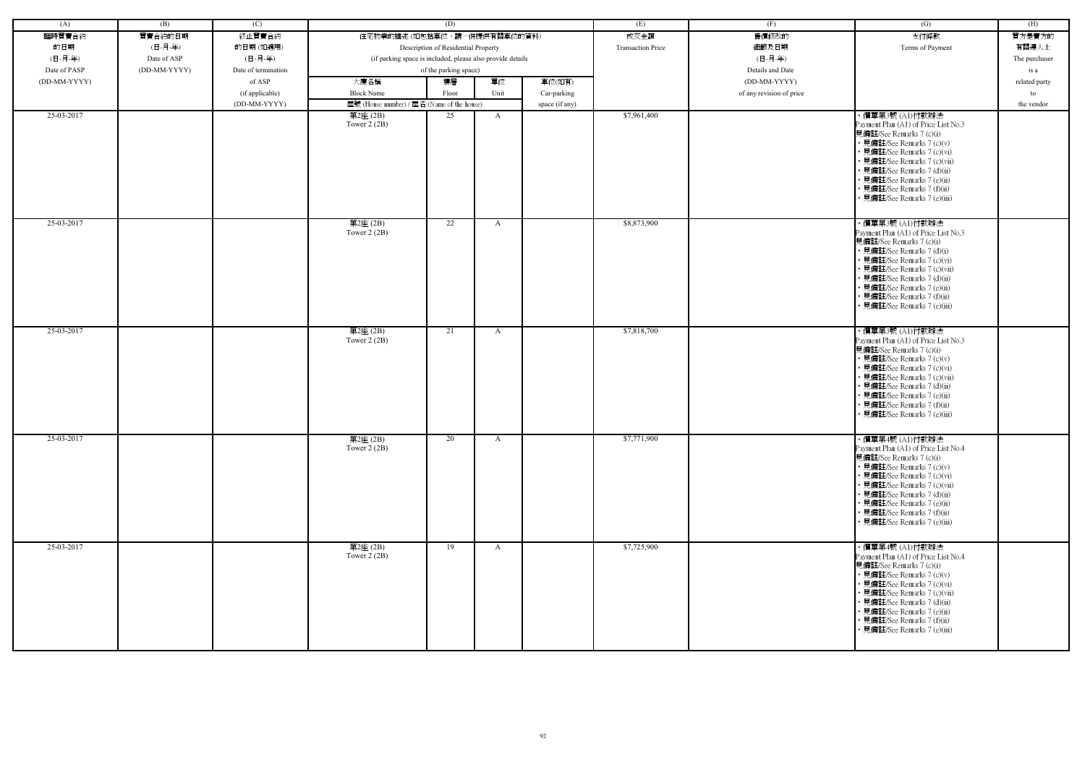| (A)          | (B)          | (C)                 |                                                            | (D)                                 |              |                | (E)                      | (F)                      | (G)                                                                                                                                                                                                                                                                                                           | (H)           |
|--------------|--------------|---------------------|------------------------------------------------------------|-------------------------------------|--------------|----------------|--------------------------|--------------------------|---------------------------------------------------------------------------------------------------------------------------------------------------------------------------------------------------------------------------------------------------------------------------------------------------------------|---------------|
| 臨時買賣合約       | 買賣合約的日期      | 終止買賣合約              | 住宅物業的描述 (如包括車位,請一併提供有關車位的資料)                               |                                     |              |                | 成交金額                     | 售價修改的                    | 支付條款                                                                                                                                                                                                                                                                                                          | 買方是賣方的        |
| 的日期          | (日-月-年)      | 的日期(如適用)            |                                                            | Description of Residential Property |              |                | <b>Transaction Price</b> | 細節及日期                    | Terms of Payment                                                                                                                                                                                                                                                                                              | 有關連人士         |
| (日-月-年)      | Date of ASP  | (日-月-年)             | (if parking space is included, please also provide details |                                     |              |                |                          | (日-月-年)                  |                                                                                                                                                                                                                                                                                                               | The purchaser |
| Date of PASP | (DD-MM-YYYY) | Date of termination |                                                            | of the parking space)               |              |                |                          | Details and Date         |                                                                                                                                                                                                                                                                                                               | is a          |
| (DD-MM-YYYY) |              | of ASP              | 大廈名稱                                                       | 樓層                                  | 單位           | 車位(如有)         |                          | (DD-MM-YYYY)             |                                                                                                                                                                                                                                                                                                               |               |
|              |              |                     |                                                            |                                     |              |                |                          |                          |                                                                                                                                                                                                                                                                                                               | related party |
|              |              | (if applicable)     | <b>Block Name</b>                                          | Floor                               | Unit         | Car-parking    |                          | of any revision of price |                                                                                                                                                                                                                                                                                                               | to            |
| 25-03-2017   |              | (DD-MM-YYYY)        | 屋號 (House number) / 屋名 (Name of the house)                 |                                     |              | space (if any) |                          |                          |                                                                                                                                                                                                                                                                                                               | the vendor    |
|              |              |                     | 第2座 (2B)<br>Tower $2(2B)$                                  | 25                                  | A            |                | \$7,961,400              |                          | ・價單第3號 (A1)付款辦法<br>Payment Plan (A1) of Price List No.3<br>見備註/See Remarks 7 (c)(i)<br>• 見備註/See Remarks 7 (c)(v)<br>• 見備註/See Remarks 7 (c)(vi)<br>• 見備註/See Remarks 7 (c)(vii)<br>• 見備註/See Remarks 7 (d)(ii)<br>• 見備註/See Remarks 7 (e)(ii)<br>• 見備註/See Remarks 7 (f)(ii)<br>· 見備註/See Remarks 7 (e)(iii) |               |
| 25-03-2017   |              |                     | 第2座(2B)<br>Tower $2(2B)$                                   | 22                                  | $\mathbf{A}$ |                | \$8,873,900              |                          | ・價單第3號 (A1)付款辦法<br>Payment Plan (A1) of Price List No.3<br>見備註/See Remarks 7 (c)(i)<br>• 見備註/See Remarks 7 (d)(i)<br>• 見備註/See Remarks 7 (c)(vi)<br>• 見備註/See Remarks 7 (c)(vii)<br>• 見備註/See Remarks 7 (d)(ii)<br>• 見備註/See Remarks 7 (e)(ii)<br>· 見備註/See Remarks 7 (f)(ii)<br>• 見備註/See Remarks 7 (e)(iii) |               |
| 25-03-2017   |              |                     | 第2座(2B)<br>Tower $2(2B)$                                   | 21                                  | $\mathbf{A}$ |                | \$7,818,700              |                          | ・價單第3號 (A1)付款辦法<br>Payment Plan (A1) of Price List No.3<br>見備註/See Remarks 7 (c)(i)<br>• 見備註/See Remarks 7 (c)(v)<br>• 見備註/See Remarks 7 (c)(vi)<br>• 見備註/See Remarks 7 (c)(vii)<br>• 見備註/See Remarks 7 (d)(ii)<br>· 見備註/See Remarks 7 (e)(ii)<br>• 見備註/See Remarks 7 (f)(ii)<br>• 見備註/See Remarks 7 (e)(iii) |               |
| 25-03-2017   |              |                     | 第2座(2B)<br>Tower $2(2B)$                                   | 20                                  | $\mathbf{A}$ |                | \$7,771,900              |                          | ・價單第4號 (A1)付款辦法<br>Payment Plan (A1) of Price List No.4<br>見備註/See Remarks 7 (c)(i)<br>• 見備註/See Remarks 7 (c)(v)<br>• 見備註/See Remarks 7 (c)(vi)<br>• 見備註/See Remarks 7 (c)(vii)<br>• 見備註/See Remarks 7 (d)(ii)<br>• 見備註/See Remarks 7 (e)(ii)<br>• 見備註/See Remarks 7 (f)(ii)<br>• 見備註/See Remarks 7 (e)(iii) |               |
| 25-03-2017   |              |                     | 第2座(2B)<br>Tower $2(2B)$                                   | 19                                  | $\mathbf{A}$ |                | \$7,725,900              |                          | ・價單第4號 (A1)付款辦法<br>Payment Plan (A1) of Price List No.4<br>見備註/See Remarks 7 (c)(i)<br>• 見備註/See Remarks 7 (c)(v)<br>• 見備註/See Remarks 7 (c)(vi)<br>• 見備註/See Remarks 7 (c)(vii)<br>• 見備註/See Remarks 7 (d)(ii)<br>• 見備註/See Remarks 7 (e)(ii)<br>• 見備註/See Remarks 7 (f)(ii)<br>· 見備註/See Remarks 7 (e)(iii) |               |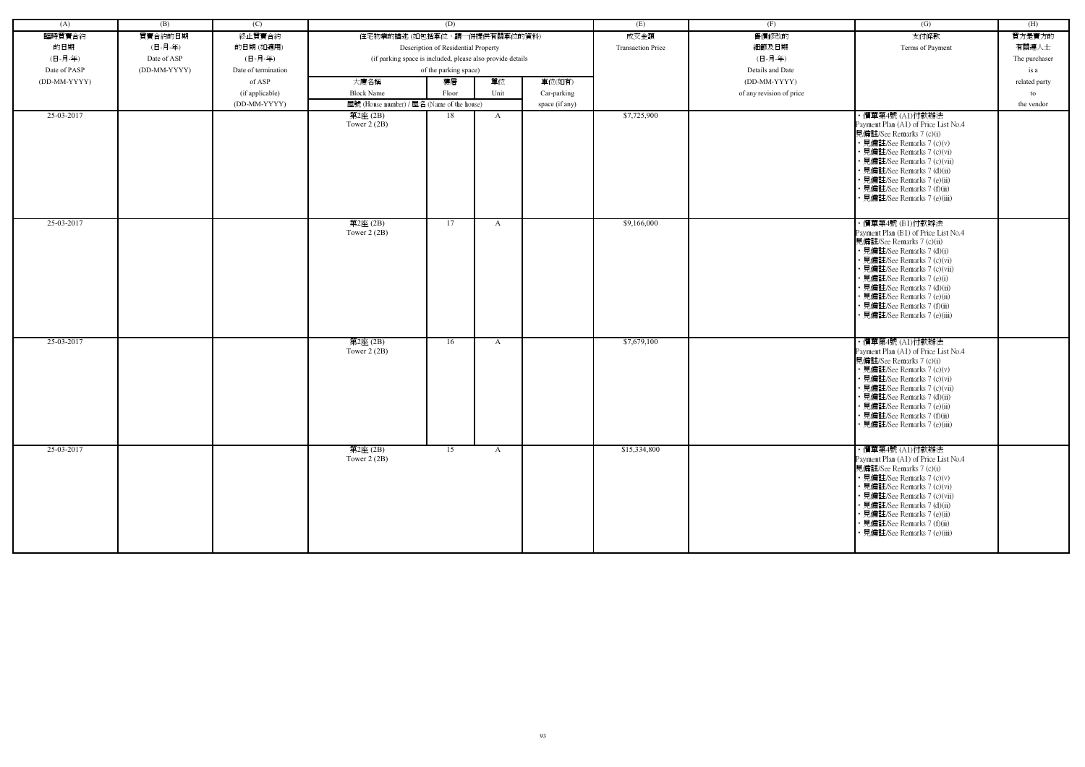| (A)          | (B)          | (C)                 |                                                            | (D)                                 |              |                | (E)                      | (F)                      | (G)                                                                                                                                                                                                                                                                                                           | (H)           |
|--------------|--------------|---------------------|------------------------------------------------------------|-------------------------------------|--------------|----------------|--------------------------|--------------------------|---------------------------------------------------------------------------------------------------------------------------------------------------------------------------------------------------------------------------------------------------------------------------------------------------------------|---------------|
| 臨時買賣合約       | 買賣合約的日期      | 終止買賣合約              | 住宅物業的描述(如包括車位,請一併提供有關車位的資料)                                |                                     |              |                | 成交金額                     | 售價修改的                    | 支付條款                                                                                                                                                                                                                                                                                                          | 買方是賣方的        |
| 的日期          | (日-月-年)      | 的日期(如適用)            |                                                            | Description of Residential Property |              |                | <b>Transaction Price</b> | 細節及日期                    | Terms of Payment                                                                                                                                                                                                                                                                                              | 有關連人士         |
| (日-月-年)      | Date of ASP  | (日-月-年)             | (if parking space is included, please also provide details |                                     |              |                |                          | (日-月-年)                  |                                                                                                                                                                                                                                                                                                               | The purchaser |
| Date of PASP | (DD-MM-YYYY) | Date of termination |                                                            | of the parking space)               |              |                |                          | Details and Date         |                                                                                                                                                                                                                                                                                                               | is a          |
| (DD-MM-YYYY) |              | of ASP              | 大廈名稱                                                       | 樓層                                  | 單位           | 車位(如有)         |                          | (DD-MM-YYYY)             |                                                                                                                                                                                                                                                                                                               | related party |
|              |              |                     | <b>Block Name</b>                                          | Floor                               | Unit         |                |                          |                          |                                                                                                                                                                                                                                                                                                               | to            |
|              |              | (if applicable)     |                                                            |                                     |              | Car-parking    |                          | of any revision of price |                                                                                                                                                                                                                                                                                                               |               |
| 25-03-2017   |              | (DD-MM-YYYY)        | 屋號 (House number) / 屋名 (Name of the house)<br>第2座(2B)      | 18                                  | A            | space (if any) | \$7,725,900              |                          | ・價單第4號 (A1)付款辦法                                                                                                                                                                                                                                                                                               | the vendor    |
|              |              |                     | Tower $2(2B)$                                              |                                     |              |                |                          |                          | Payment Plan (A1) of Price List No.4<br>見備註/See Remarks 7 (c)(i)<br>• 見備註/See Remarks 7 (c)(v)<br>• 見備註/See Remarks 7 (c)(vi)<br>· 見備註/See Remarks 7 (c)(vii)<br>· 見備註/See Remarks 7 (d)(ii)<br>• 見備註/See Remarks 7 (e)(ii)<br>• 見備註/See Remarks 7 (f)(ii)<br>• 見備註/See Remarks 7 (e)(iii)                    |               |
| 25-03-2017   |              |                     | 第2座(2B)<br>Tower $2(2B)$                                   | 17                                  | A            |                | \$9,166,000              |                          | ・價單第4號 (B1)付款辦法<br>Payment Plan (B1) of Price List No.4<br>見備註/See Remarks 7 (c)(ii)<br>• 見備註/See Remarks 7 (d)(i)<br>• 見備註/See Remarks 7 (c)(vi)<br>· 見備註/See Remarks 7 (c)(vii)<br>• 見備註/See Remarks 7 (e)(i)<br>· 見備註/See Remarks 7 (d)(ii)<br>· 見備註/See Remarks 7 (e)(ii)                                 |               |
| 25-03-2017   |              |                     | 第2座(2B)                                                    | 16                                  | A            |                | \$7,679,100              |                          | • 見備註/See Remarks 7 (f)(ii)<br>· 見備註/See Remarks 7 (e)(iii)<br>・價單第4號 (A1)付款辦法                                                                                                                                                                                                                                |               |
|              |              |                     | Tower $2(2B)$                                              |                                     |              |                |                          |                          | Payment Plan (A1) of Price List No.4<br>見備註/See Remarks 7 (c)(i)<br>• 見備註/See Remarks 7 (c)(v)<br>· 見備註/See Remarks 7 (c)(vi)<br>• 見備註/See Remarks 7 (c)(vii)<br>· 見備註/See Remarks 7 (d)(ii)<br>見備註/See Remarks 7 (e)(ii)<br>• 見備註/See Remarks 7 (f)(ii)<br>• 見備註/See Remarks 7 (e)(iii)                      |               |
| 25-03-2017   |              |                     | 第2座(2B)<br>Tower $2(2B)$                                   | 15                                  | $\mathbf{A}$ |                | \$15,334,800             |                          | ・價單第4號 (A1)付款辦法<br>Payment Plan (A1) of Price List No.4<br>見備註/See Remarks 7 (c)(i)<br>• 見備註/See Remarks 7 (c)(v)<br>• 見備註/See Remarks 7 (c)(vi)<br>• 見備註/See Remarks 7 (c)(vii)<br>• 見備註/See Remarks 7 (d)(ii)<br>• 見備註/See Remarks 7 (e)(ii)<br>• 見備註/See Remarks 7 (f)(ii)<br>• 見備註/See Remarks 7 (e)(iii) |               |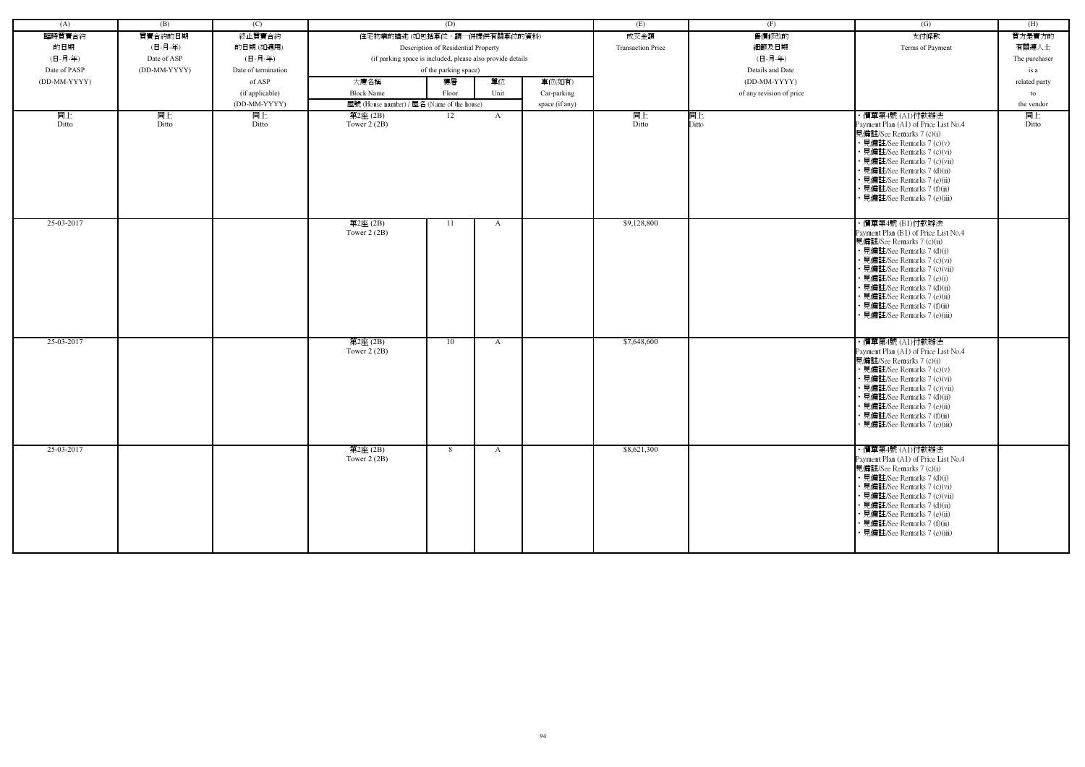| (A)          | (B)          | (C)                 |                                                            | (D)                                 |              |                | (E)                      | (F)                      | (G)                                                                                                                                                                                                                                                                                                           | (H)           |
|--------------|--------------|---------------------|------------------------------------------------------------|-------------------------------------|--------------|----------------|--------------------------|--------------------------|---------------------------------------------------------------------------------------------------------------------------------------------------------------------------------------------------------------------------------------------------------------------------------------------------------------|---------------|
| 臨時買賣合約       | 買賣合約的日期      | 終止買賣合約              | 住宅物業的描述 (如包括車位,請一併提供有關車位的資料)                               |                                     |              |                | 成交金額                     | 售價修改的                    | 支付條款                                                                                                                                                                                                                                                                                                          | 買方是賣方的        |
| 的日期          | (日-月-年)      | 的日期(如適用)            |                                                            | Description of Residential Property |              |                | <b>Transaction Price</b> | 細節及日期                    | Terms of Payment                                                                                                                                                                                                                                                                                              | 有關連人士         |
| (日-月-年)      | Date of ASP  | (日-月-年)             | (if parking space is included, please also provide details |                                     |              |                |                          | (日-月-年)                  |                                                                                                                                                                                                                                                                                                               | The purchaser |
| Date of PASP | (DD-MM-YYYY) | Date of termination |                                                            | of the parking space)               |              |                |                          | Details and Date         |                                                                                                                                                                                                                                                                                                               | is a          |
| (DD-MM-YYYY) |              | of ASP              | 大廈名稱                                                       | 樓層                                  | 單位           | 車位(如有)         |                          | (DD-MM-YYYY)             |                                                                                                                                                                                                                                                                                                               | related party |
|              |              | (if applicable)     | <b>Block Name</b>                                          | Floor                               | Unit         | Car-parking    |                          | of any revision of price |                                                                                                                                                                                                                                                                                                               | to            |
|              |              | (DD-MM-YYYY)        |                                                            |                                     |              |                |                          |                          |                                                                                                                                                                                                                                                                                                               | the vendor    |
| 同上           | 同上           | 同上                  | 屋號 (House number) / 屋名 (Name of the house)<br>第2座 (2B)     | 12                                  | $\mathbf{A}$ | space (if any) | 同上                       | 同上                       | ・價單第4號 (A1)付款辦法                                                                                                                                                                                                                                                                                               | 同上            |
| Ditto        | Ditto        | Ditto               | Tower $2(2B)$                                              |                                     |              |                | Ditto                    | Ditto                    | Payment Plan (A1) of Price List No.4<br>見備註/See Remarks 7 (c)(i)<br>• 見備註/See Remarks 7 (c)(v)<br>• 見備註/See Remarks 7 (c)(vi)<br>· 見備註/See Remarks 7 (c)(vii)<br>· 見備註/See Remarks 7 (d)(ii)<br>• 見備註/See Remarks 7 (e)(ii)<br>• 見備註/See Remarks 7 (f)(ii)<br>· 見備註/See Remarks 7 (e)(iii)                    | Ditto         |
| 25-03-2017   |              |                     | 第2座(2B)<br>Tower $2(2B)$                                   | 11                                  | A            |                | \$9,128,800              |                          | ・價單第4號 (B1)付款辦法<br>Payment Plan (B1) of Price List No.4<br>見備註/See Remarks 7 (c)(ii)                                                                                                                                                                                                                          |               |
|              |              |                     |                                                            |                                     |              |                |                          |                          | • 見備註/See Remarks 7 (d)(i)<br>· 見備註/See Remarks 7 (c)(vi)<br>· 見備註/See Remarks 7 (c)(vii)<br>• 見備註/See Remarks 7 (e)(i)<br>· 見備註/See Remarks 7 (d)(ii)<br>· 見備註/See Remarks 7 (e)(ii)<br>• 見備註/See Remarks 7 (f)(ii)<br>· 見備註/See Remarks 7 (e)(iii)                                                          |               |
| 25-03-2017   |              |                     | 第2座(2B)<br>Tower $2(2B)$                                   | 10                                  | A            |                | \$7,648,600              |                          | ・價單第4號 (A1)付款辦法<br>Payment Plan (A1) of Price List No.4<br>見備註/See Remarks 7 (c)(i)<br>• 見備註/See Remarks 7 (c)(v)<br>• 見備註/See Remarks 7 (c)(vi)<br>• 見備註/See Remarks 7 (c)(vii)<br>· 見備註/See Remarks 7 (d)(ii)<br>• 見備註/See Remarks 7 (e)(ii)<br>• 見備註/See Remarks 7 (f)(ii)<br>• 見備註/See Remarks 7 (e)(iii) |               |
| 25-03-2017   |              |                     | 第2座(2B)<br>Tower $2(2B)$                                   | 8                                   | $\mathbf{A}$ |                | \$8,621,300              |                          | ・價單第4號 (A1)付款辦法<br>Payment Plan (A1) of Price List No.4<br>見備註/See Remarks 7 (c)(i)<br>• 見備註/See Remarks 7 (d)(i)<br>• 見備註/See Remarks 7 (c)(vi)<br>• 見備註/See Remarks 7 (c)(vii)<br>• 見備註/See Remarks 7 (d)(ii)<br>• 見備註/See Remarks 7 (e)(ii)<br>• 見備註/See Remarks 7 (f)(ii)<br>• 見備註/See Remarks 7 (e)(iii) |               |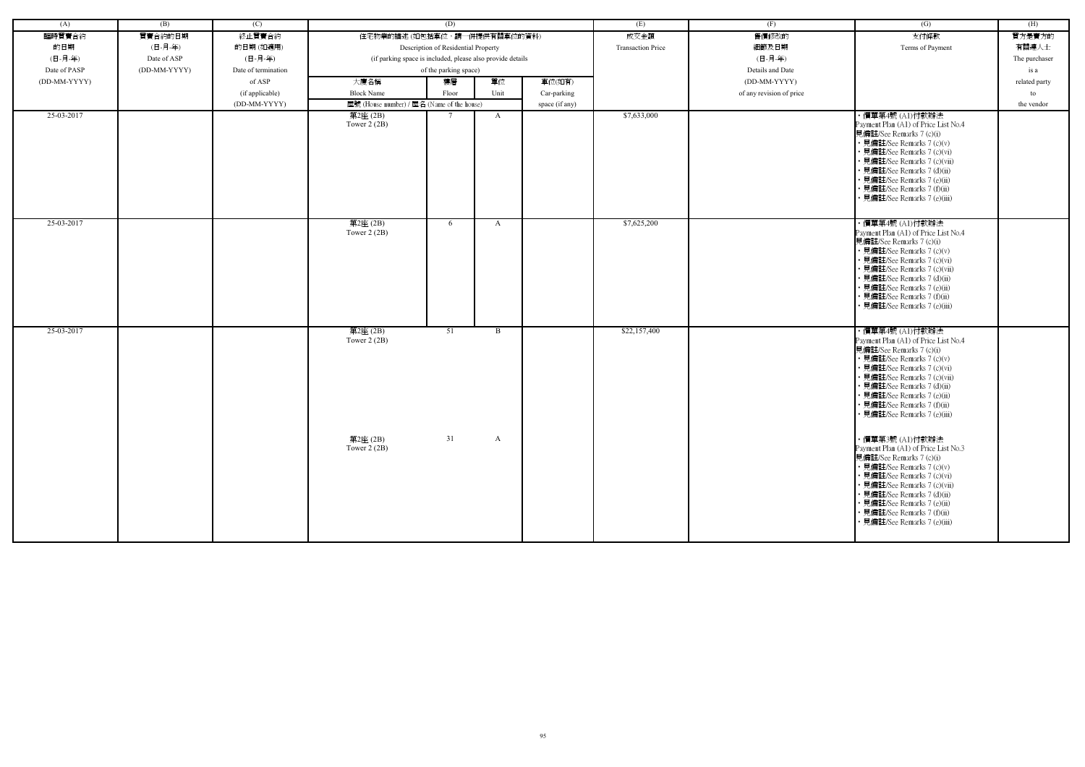| (A)          | (B)          | (C)                 |                                                            | (D)                                 |              |                | (E)                      | (F)                      | (G)                                                                                                                                                                                                                                                                                                           | (H)           |
|--------------|--------------|---------------------|------------------------------------------------------------|-------------------------------------|--------------|----------------|--------------------------|--------------------------|---------------------------------------------------------------------------------------------------------------------------------------------------------------------------------------------------------------------------------------------------------------------------------------------------------------|---------------|
| 臨時買賣合約       | 買賣合約的日期      | 終止買賣合約              | 住宅物業的描述 (如包括車位,請一併提供有關車位的資料)                               |                                     |              |                | 成交金額                     | 售價修改的                    | 支付條款                                                                                                                                                                                                                                                                                                          | 買方是賣方的        |
| 的日期          | (日-月-年)      | 的日期(如適用)            |                                                            | Description of Residential Property |              |                | <b>Transaction Price</b> | 細節及日期                    | Terms of Payment                                                                                                                                                                                                                                                                                              | 有關連人士         |
| (日-月-年)      | Date of ASP  | (日-月-年)             | (if parking space is included, please also provide details |                                     |              |                |                          | (日-月-年)                  |                                                                                                                                                                                                                                                                                                               | The purchaser |
| Date of PASP | (DD-MM-YYYY) | Date of termination |                                                            | of the parking space)               |              |                |                          | Details and Date         |                                                                                                                                                                                                                                                                                                               | is a          |
| (DD-MM-YYYY) |              | of ASP              | 大廈名稱                                                       | 樓層                                  | 單位           | 車位(如有)         |                          | (DD-MM-YYYY)             |                                                                                                                                                                                                                                                                                                               | related party |
|              |              | (if applicable)     | <b>Block Name</b>                                          | Floor                               | Unit         | Car-parking    |                          | of any revision of price |                                                                                                                                                                                                                                                                                                               | to            |
|              |              | (DD-MM-YYYY)        | 屋號 (House number) / 屋名 (Name of the house)                 |                                     |              | space (if any) |                          |                          |                                                                                                                                                                                                                                                                                                               | the vendor    |
| 25-03-2017   |              |                     | 第2座(2B)<br>Tower $2(2B)$                                   | $\tau$                              | $\mathbf{A}$ |                | \$7,633,000              |                          | ・價單第4號 (A1)付款辦法<br>Payment Plan (A1) of Price List No.4<br>見備註/See Remarks 7 (c)(i)<br>• 見備註/See Remarks 7 (c)(v)<br>• 見備註/See Remarks 7 (c)(vi)                                                                                                                                                              |               |
|              |              |                     |                                                            |                                     |              |                |                          |                          | · 見備註/See Remarks 7 (c)(vii)<br>• 見備註/See Remarks 7 (d)(ii)<br>• 見備註/See Remarks 7 (e)(ii)<br>• 見備註/See Remarks 7 (f)(ii)<br>• 見備註/See Remarks 7 (e)(iii)                                                                                                                                                     |               |
| 25-03-2017   |              |                     | 第2座(2B)<br>Tower $2(2B)$                                   | 6                                   | A            |                | \$7,625,200              |                          | ・價單第4號 (A1)付款辦法<br>Payment Plan (A1) of Price List No.4<br>見備註/See Remarks 7 (c)(i)<br>• 見備註/See Remarks 7 (c)(v)<br>• 見備註/See Remarks 7 (c)(vi)<br>• 見備註/See Remarks 7 (c)(vii)<br>• 見備註/See Remarks 7 (d)(ii)<br>• 見備註/See Remarks 7 (e)(ii)<br>• 見備註/See Remarks 7 (f)(ii)<br>• 見備註/See Remarks 7 (e)(iii) |               |
| 25-03-2017   |              |                     | 第2座(2B)<br>Tower $2(2B)$                                   | 51                                  | $\mathbf{B}$ |                | \$22,157,400             |                          | ・價單第4號 (A1)付款辦法<br>Payment Plan (A1) of Price List No.4<br>見備註/See Remarks 7 (c)(i)<br>• 見備註/See Remarks 7 (c)(v)<br>• 見備註/See Remarks 7 (c)(vi)<br>• 見備註/See Remarks 7 (c)(vii)<br>• 見備註/See Remarks 7 (d)(ii)<br>• 見備註/See Remarks 7 (e)(ii)<br>• 見備註/See Remarks 7 (f)(ii)<br>• 見備註/See Remarks 7 (e)(iii) |               |
|              |              |                     | 第2座(2B)<br>Tower $2(2B)$                                   | 31                                  | A            |                |                          |                          | ・價單第3號 (A1)付款辦法<br>Payment Plan (A1) of Price List No.3<br>見備註/See Remarks 7 (c)(i)<br>• 見備註/See Remarks 7 (c)(v)<br>• 見備註/See Remarks 7 (c)(vi)<br>• 見備註/See Remarks 7 (c)(vii)<br>• 見備註/See Remarks 7 (d)(ii)<br>• 見備註/See Remarks 7 (e)(ii)<br>• 見備註/See Remarks 7 (f)(ii)<br>· 見備註/See Remarks 7 (e)(iii) |               |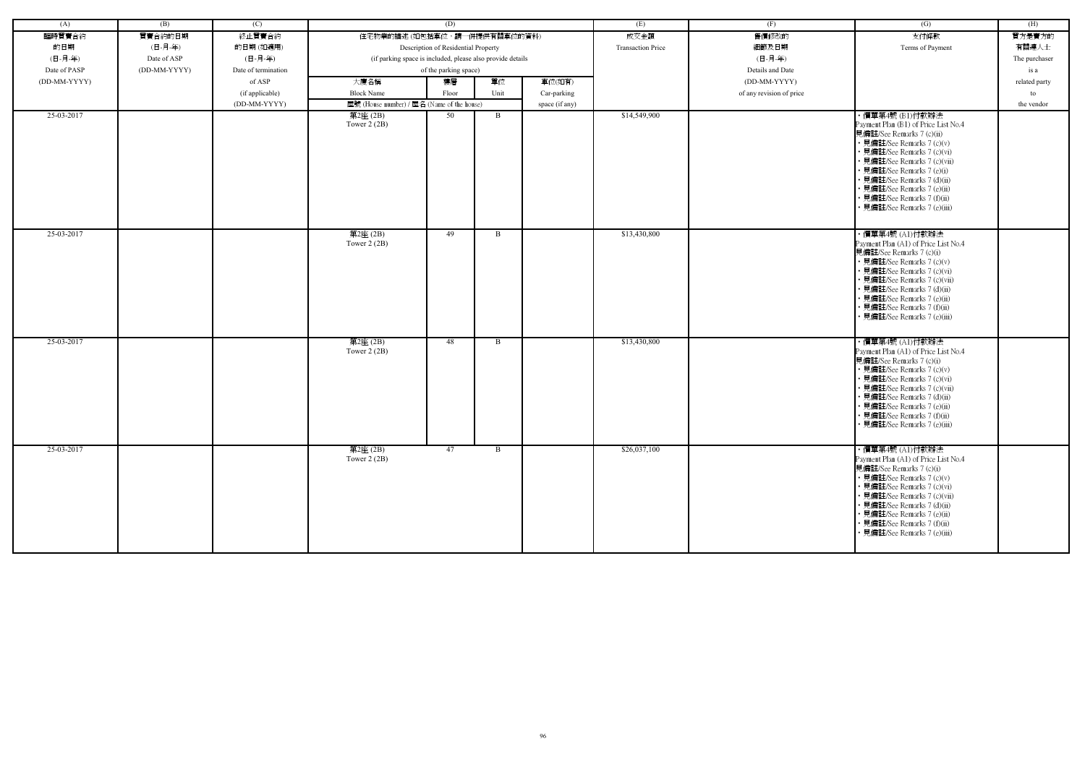| (A)          | (B)          | (C)                 |                                                            | (D)                                 |              |                | (E)                      | (F)                      | (G)                                                                                                                                                                                                                                                                                                                       | (H)           |
|--------------|--------------|---------------------|------------------------------------------------------------|-------------------------------------|--------------|----------------|--------------------------|--------------------------|---------------------------------------------------------------------------------------------------------------------------------------------------------------------------------------------------------------------------------------------------------------------------------------------------------------------------|---------------|
| 臨時買賣合約       | 買賣合約的日期      | 終止買賣合約              | 住宅物業的描述 (如包括車位,請一併提供有關車位的資料)                               |                                     |              |                | 成交金額                     | 售價修改的                    | 支付條款                                                                                                                                                                                                                                                                                                                      | 買方是賣方的        |
| 的日期          | (日-月-年)      | 的日期(如適用)            |                                                            | Description of Residential Property |              |                | <b>Transaction Price</b> | 細節及日期                    | Terms of Payment                                                                                                                                                                                                                                                                                                          | 有關連人士         |
| (日-月-年)      | Date of ASP  | (日-月-年)             | (if parking space is included, please also provide details |                                     |              |                |                          | (日-月-年)                  |                                                                                                                                                                                                                                                                                                                           | The purchaser |
| Date of PASP | (DD-MM-YYYY) | Date of termination |                                                            | of the parking space)               |              |                |                          | Details and Date         |                                                                                                                                                                                                                                                                                                                           | is a          |
| (DD-MM-YYYY) |              | of ASP              | 大廈名稱                                                       | 樓層                                  | 單位           | 車位(如有)         |                          | (DD-MM-YYYY)             |                                                                                                                                                                                                                                                                                                                           | related party |
|              |              |                     | <b>Block Name</b>                                          | Floor                               | Unit         |                |                          | of any revision of price |                                                                                                                                                                                                                                                                                                                           |               |
|              |              | (if applicable)     |                                                            |                                     |              | Car-parking    |                          |                          |                                                                                                                                                                                                                                                                                                                           | to            |
| 25-03-2017   |              | (DD-MM-YYYY)        | 屋號 (House number) / 屋名 (Name of the house)                 | 50                                  | B            | space (if any) | \$14,549,900             |                          | ・價單第4號 (B1)付款辦法                                                                                                                                                                                                                                                                                                           | the vendor    |
|              |              |                     | 第2座(2B)<br>Tower $2(2B)$                                   |                                     |              |                |                          |                          | Payment Plan (B1) of Price List No.4<br>見備註/See Remarks 7 (c)(ii)<br>• 見備註/See Remarks 7 (c)(v)<br>· 見備註/See Remarks 7 (c)(vi)<br>· 見備註/See Remarks 7 (c)(vii)<br>• 見備註/See Remarks 7 (e)(i)<br>• 見備註/See Remarks 7 (d)(ii)<br>• 見備註/See Remarks 7 (e)(ii)<br>• 見備註/See Remarks 7 (f)(ii)<br>· 見備註/See Remarks 7 (e)(iii) |               |
| 25-03-2017   |              |                     | 第2座(2B)<br>Tower $2(2B)$                                   | 49                                  | B            |                | \$13,430,800             |                          | ・價單第4號 (A1)付款辦法<br>Payment Plan (A1) of Price List No.4<br>見備註/See Remarks 7 (c)(i)<br>• 見備註/See Remarks 7 (c)(v)<br>· 見備註/See Remarks 7 (c)(vi)<br>• 見備註/See Remarks 7 (c)(vii)<br>• 見備註/See Remarks 7 (d)(ii)<br>• 見備註/See Remarks 7 (e)(ii)<br>• 見備註/See Remarks 7 (f)(ii)<br>• 見備註/See Remarks 7 (e)(iii)             |               |
| 25-03-2017   |              |                     | 第2座(2B)<br>Tower $2(2B)$                                   | 48                                  | B            |                | \$13,430,800             |                          | ・價單第4號 (A1)付款辦法<br>Payment Plan (A1) of Price List No.4<br>見備註/See Remarks 7 (c)(i)<br>• 見備註/See Remarks 7 (c)(v)<br>• 見備註/See Remarks 7 (c)(vi)<br>• 見備註/See Remarks 7 (c)(vii)<br>• 見備註/See Remarks 7 (d)(ii)<br>· 見備註/See Remarks 7 (e)(ii)<br>• 見備註/See Remarks 7 (f)(ii)<br>• 見備註/See Remarks 7 (e)(iii)             |               |
| 25-03-2017   |              |                     | 第2座(2B)<br>Tower $2(2B)$                                   | 47                                  | $\mathbf{B}$ |                | \$26,037,100             |                          | ・價單第4號 (A1)付款辦法<br>Payment Plan (A1) of Price List No.4<br>見備註/See Remarks 7 (c)(i)<br>• 見備註/See Remarks 7 (c)(v)<br>• 見備註/See Remarks 7 (c)(vi)<br>• 見備註/See Remarks 7 (c)(vii)<br>• 見備註/See Remarks 7 (d)(ii)<br>• 見備註/See Remarks 7 (e)(ii)<br>• 見備註/See Remarks 7 (f)(ii)<br>· 見備註/See Remarks 7 (e)(iii)             |               |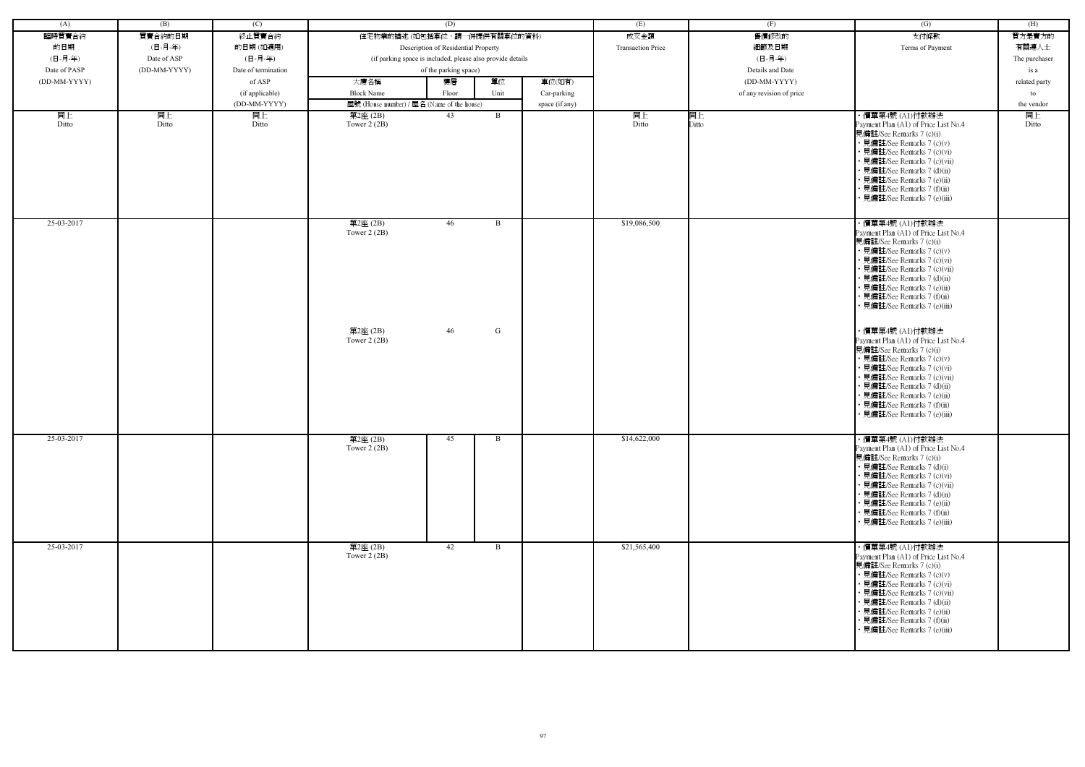| (A)          | (B)          | (C)                 |                                            | (D)                                                        |                | (E)                      | (F)                      | (G)                                                                                                                                                                                                                                                                                                           | (H)           |
|--------------|--------------|---------------------|--------------------------------------------|------------------------------------------------------------|----------------|--------------------------|--------------------------|---------------------------------------------------------------------------------------------------------------------------------------------------------------------------------------------------------------------------------------------------------------------------------------------------------------|---------------|
| 臨時買賣合約       | 買賣合約的日期      | 終止買賣合約              |                                            | 住宅物業的描述 (如包括車位,請一併提供有關車位的資料)                               |                | 成交金額                     | 售價修改的                    | 支付條款                                                                                                                                                                                                                                                                                                          | 買方是賣方的        |
| 的日期          | (日-月-年)      | 的日期(如適用)            |                                            | Description of Residential Property                        |                | <b>Transaction Price</b> | 細節及日期                    | Terms of Payment                                                                                                                                                                                                                                                                                              | 有關連人士         |
| (日-月-年)      | Date of ASP  | (日-月-年)             |                                            | (if parking space is included, please also provide details |                |                          | (日-月-年)                  |                                                                                                                                                                                                                                                                                                               | The purchaser |
| Date of PASP | (DD-MM-YYYY) | Date of termination |                                            | of the parking space)                                      |                |                          | Details and Date         |                                                                                                                                                                                                                                                                                                               | is a          |
| (DD-MM-YYYY) |              | of ASP              | 大廈名稱                                       | 單位<br>樓層                                                   | 車位(如有)         |                          | $(DD-MM-YYYY)$           |                                                                                                                                                                                                                                                                                                               | related party |
|              |              | (if applicable)     | <b>Block Name</b>                          | Unit<br>Floor                                              | Car-parking    |                          | of any revision of price |                                                                                                                                                                                                                                                                                                               | to            |
|              |              | (DD-MM-YYYY)        | 屋號 (House number) / 屋名 (Name of the house) |                                                            | space (if any) |                          |                          |                                                                                                                                                                                                                                                                                                               | the vendor    |
| 同上           | 同上           | 同上                  | 第2座(2B)                                    | 43<br>B                                                    |                | 同上                       | 同上                       | ・價單第4號 (A1)付款辦法                                                                                                                                                                                                                                                                                               | 同上            |
| Ditto        | Ditto        | Ditto               | Tower $2(2B)$                              |                                                            |                | Ditto                    | Ditto                    | Payment Plan (A1) of Price List No.4<br>見備註/See Remarks 7 (c)(i)<br>• 見備註/See Remarks 7 (c)(v)<br>• 見備註/See Remarks 7 (c)(vi)<br>• 見備註/See Remarks 7 (c)(vii)<br>· 見備註/See Remarks 7 (d)(ii)<br>• 見備註/See Remarks 7 (e)(ii)<br>• 見備註/See Remarks 7 (f)(ii)<br>• 見備註/See Remarks 7 (e)(iii)                    | Ditto         |
| 25-03-2017   |              |                     | 第2座(2B)<br>Tower $2(2B)$                   | 46<br>B                                                    |                | \$19,086,500             |                          | ・價單第4號 (A1)付款辦法<br>Payment Plan (A1) of Price List No.4<br>見備註/See Remarks 7 (c)(i)<br>• 見備註/See Remarks 7 (c)(v)<br>• 見備註/See Remarks 7 (c)(vi)<br>• 見備註/See Remarks 7 (c)(vii)<br>• 見備註/See Remarks 7 (d)(ii)<br>• 見備註/See Remarks 7 (e)(ii)<br>• 見備註/See Remarks 7 (f)(ii)<br>• 見備註/See Remarks 7 (e)(iii) |               |
|              |              |                     | 第2座(2B)<br>Tower $2(2B)$                   | 46<br>G                                                    |                |                          |                          | ・價單第4號 (A1)付款辦法<br>Payment Plan (A1) of Price List No.4<br>見備註/See Remarks 7 (c)(i)<br>• 見備註/See Remarks 7 (c)(v)<br>• 見備註/See Remarks 7 (c)(vi)<br>• 見備註/See Remarks 7 (c)(vii)<br>• 見備註/See Remarks 7 (d)(ii)<br>• 見備註/See Remarks 7 (e)(ii)<br>• 見備註/See Remarks 7 (f)(ii)<br>• 見備註/See Remarks 7 (e)(iii) |               |
| 25-03-2017   |              |                     | 第2座(2B)<br>Tower $2(2B)$                   | 45<br>B                                                    |                | \$14,622,000             |                          | ・價單第4號 (A1)付款辦法<br>Payment Plan (A1) of Price List No.4<br>見備註/See Remarks 7 (c)(i)<br>• 見備註/See Remarks 7 (d)(i)<br>• 見備註/See Remarks 7 (c)(vi)<br>• 見備註/See Remarks 7 (c)(vii)<br>• 見備註/See Remarks 7 (d)(ii)<br>• 見備註/See Remarks 7 (e)(ii)<br>• 見備註/See Remarks 7 (f)(ii)<br>• 見備註/See Remarks 7 (e)(iii) |               |
| 25-03-2017   |              |                     | 第2座(2B)<br>Tower $2(2B)$                   | 42<br>B                                                    |                | \$21,565,400             |                          | ・價單第4號 (A1)付款辦法<br>Payment Plan (A1) of Price List No.4<br>見備註/See Remarks 7 (c)(i)<br>• 見備註/See Remarks 7 (c)(v)<br>• 見備註/See Remarks 7 (c)(vi)<br>• 見備註/See Remarks 7 (c)(vii)<br>• 見備註/See Remarks 7 (d)(ii)<br>• 見備註/See Remarks 7 (e)(ii)<br>• 見備註/See Remarks 7 (f)(ii)<br>• 見備註/See Remarks 7 (e)(iii) |               |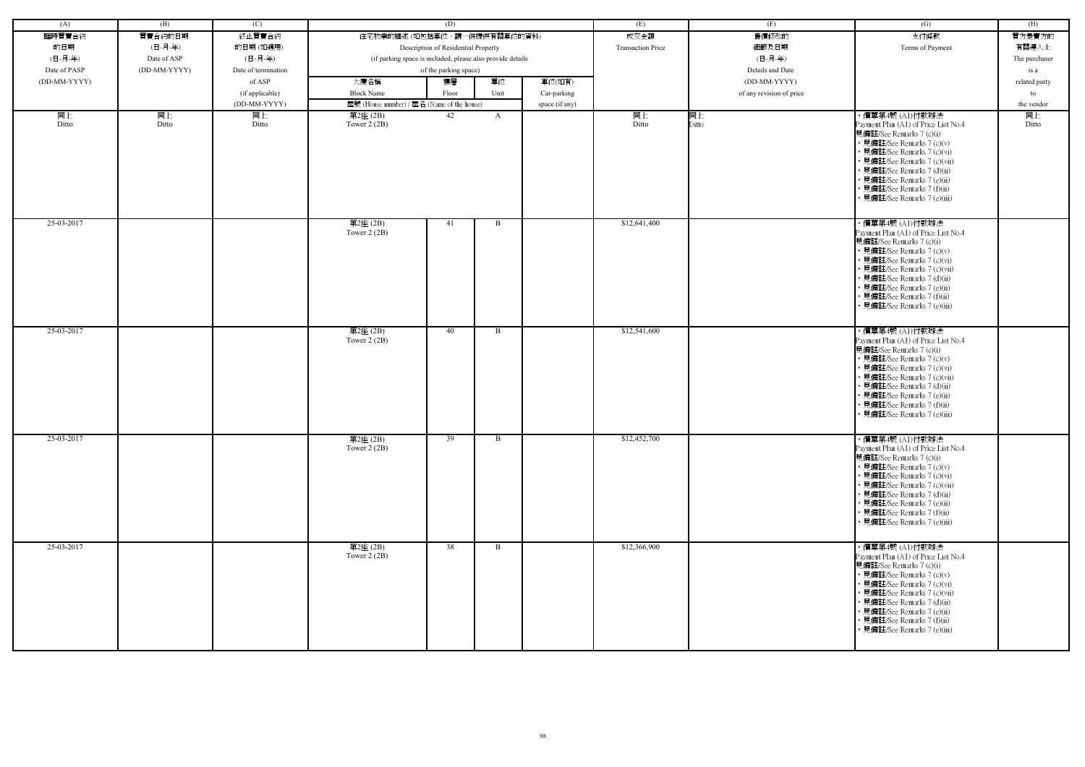| (A)          | (B)          | (C)                 |                                                            | (D)                                 |              |                | (E)                      | (F)                      | (G)                                                                                                                                                                                                                                                                                                           | (H)           |
|--------------|--------------|---------------------|------------------------------------------------------------|-------------------------------------|--------------|----------------|--------------------------|--------------------------|---------------------------------------------------------------------------------------------------------------------------------------------------------------------------------------------------------------------------------------------------------------------------------------------------------------|---------------|
| 臨時買賣合約       | 買賣合約的日期      | 終止買賣合約              | 住宅物業的描述 (如包括車位,請一併提供有關車位的資料)                               |                                     |              |                | 成交金額                     | 售價修改的                    | 支付條款                                                                                                                                                                                                                                                                                                          | 買方是賣方的        |
| 的日期          | (日-月-年)      | 的日期(如適用)            |                                                            | Description of Residential Property |              |                | <b>Transaction Price</b> | 細節及日期                    | Terms of Payment                                                                                                                                                                                                                                                                                              | 有關連人士         |
| (日-月-年)      | Date of ASP  | (日-月-年)             | (if parking space is included, please also provide details |                                     |              |                |                          | (日-月-年)                  |                                                                                                                                                                                                                                                                                                               | The purchaser |
| Date of PASP | (DD-MM-YYYY) | Date of termination |                                                            | of the parking space)               |              |                |                          | Details and Date         |                                                                                                                                                                                                                                                                                                               |               |
|              |              |                     |                                                            |                                     |              |                |                          |                          |                                                                                                                                                                                                                                                                                                               | is a          |
| (DD-MM-YYYY) |              | of ASP              | 大廈名稱                                                       | 樓層                                  | 單位           | 車位(如有)         |                          | (DD-MM-YYYY)             |                                                                                                                                                                                                                                                                                                               | related party |
|              |              | (if applicable)     | <b>Block Name</b>                                          | Floor                               | Unit         | Car-parking    |                          | of any revision of price |                                                                                                                                                                                                                                                                                                               | to            |
|              |              | (DD-MM-YYYY)        | 屋號 (House number) / 屋名 (Name of the house)                 |                                     |              | space (if any) |                          |                          |                                                                                                                                                                                                                                                                                                               | the vendor    |
| 同上<br>Ditto  | 同上<br>Ditto  | 同上<br>Ditto         | 第2座(2B)<br>Tower $2(2B)$                                   | 42                                  | $\mathbf{A}$ |                | 同上<br>Ditto              | 同上<br>Ditto              | ・價單第4號 (A1)付款辦法<br>Payment Plan (A1) of Price List No.4<br>見備註/See Remarks 7 (c)(i)<br>• 見備註/See Remarks 7 (c)(v)<br>• 見備註/See Remarks 7 (c)(vi)<br>• 見備註/See Remarks 7 (c)(vii)<br>• 見備註/See Remarks 7 (d)(ii)<br>• 見備註/See Remarks 7 (e)(ii)<br>• 見備註/See Remarks 7 (f)(ii)<br>• 見備註/See Remarks 7 (e)(iii) | 同上<br>Ditto   |
| 25-03-2017   |              |                     | 第2座(2B)<br>Tower 2 (2B)                                    | 41                                  | $\mathbf{B}$ |                | \$12,641,400             |                          | ・價單第4號 (A1)付款辦法<br>Payment Plan (A1) of Price List No.4<br>見備註/See Remarks 7 (c)(i)<br>• 見備註/See Remarks 7 (c)(v)<br>• 見備註/See Remarks 7 (c)(vi)<br>• 見備註/See Remarks 7 (c)(vii)<br>• 見備註/See Remarks 7 (d)(ii)<br>• 見備註/See Remarks 7 (e)(ii)<br>• 見備註/See Remarks 7 (f)(ii)<br>• 見備註/See Remarks 7 (e)(iii) |               |
| 25-03-2017   |              |                     | 第2座(2B)<br>Tower $2(2B)$                                   | 40                                  | B            |                | \$12,541,600             |                          | ・價單第4號 (A1)付款辦法<br>Payment Plan (A1) of Price List No.4<br>見備註/See Remarks 7 (c)(i)<br>• 見備註/See Remarks 7 (c)(v)<br>• 見備註/See Remarks 7 (c)(vi)<br>• 見備註/See Remarks 7 (c)(vii)<br>• 見備註/See Remarks 7 (d)(ii)<br>• 見備註/See Remarks 7 (e)(ii)<br>• 見備註/See Remarks 7 (f)(ii)<br>• 見備註/See Remarks 7 (e)(iii) |               |
| 25-03-2017   |              |                     | 第2座(2B)<br>Tower $2(2B)$                                   | 39                                  | B            |                | \$12,452,700             |                          | ・價單第4號 (A1)付款辦法<br>Payment Plan (A1) of Price List No.4<br>見備註/See Remarks 7 (c)(i)<br>• 見備註/See Remarks 7 (c)(v)<br>• 見備註/See Remarks 7 (c)(vi)<br>• 見備註/See Remarks 7 (c)(vii)<br>• 見備註/See Remarks 7 (d)(ii)<br>• 見備註/See Remarks 7 (e)(ii)<br>• 見備註/See Remarks 7 (f)(ii)<br>• 見備註/See Remarks 7 (e)(iii) |               |
| 25-03-2017   |              |                     | 第2座(2B)<br>Tower $2(2B)$                                   | 38                                  | B            |                | \$12,366,900             |                          | ・價單第4號 (A1)付款辦法<br>Payment Plan (A1) of Price List No.4<br>見備註/See Remarks 7 (c)(i)<br>• 見備註/See Remarks 7 (c)(v)<br>• 見備註/See Remarks 7 (c)(vi)<br>• 見備註/See Remarks 7 (c)(vii)<br>• 見備註/See Remarks 7 (d)(ii)<br>• 見備註/See Remarks 7 (e)(ii)<br>• 見備註/See Remarks 7 (f)(ii)<br>· 見備註/See Remarks 7 (e)(iii) |               |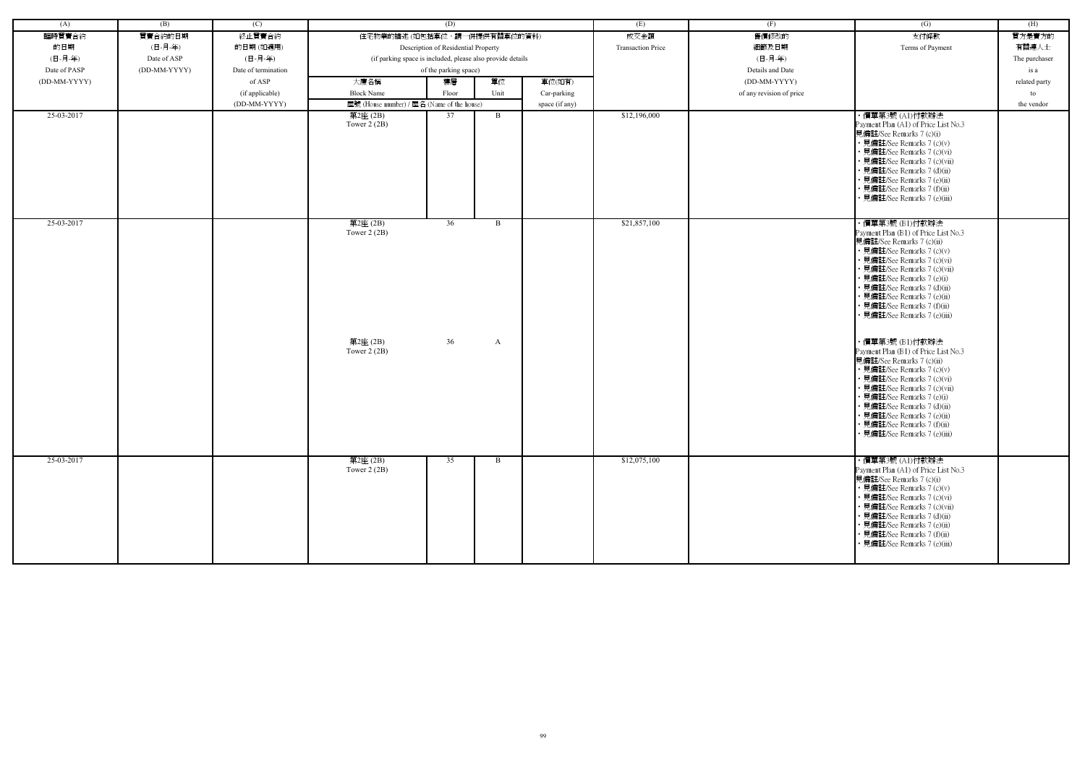| (A)          | (B)          | (C)                 |                                                            | (D)                                 |              |                | (E)                      | (F)                      | (G)                                                                                                                                                                                                                                                                                                                                          | (H)           |
|--------------|--------------|---------------------|------------------------------------------------------------|-------------------------------------|--------------|----------------|--------------------------|--------------------------|----------------------------------------------------------------------------------------------------------------------------------------------------------------------------------------------------------------------------------------------------------------------------------------------------------------------------------------------|---------------|
| 臨時買賣合約       | 買賣合約的日期      | 終止買賣合約              | 住宅物業的描述 (如包括車位,請一併提供有關車位的資料)                               |                                     |              |                | 成交金額                     | 售價修改的                    | 支付條款                                                                                                                                                                                                                                                                                                                                         | 買方是賣方的        |
| 的日期          | (日-月-年)      | 的日期(如適用)            |                                                            | Description of Residential Property |              |                | <b>Transaction Price</b> | 細節及日期                    | Terms of Payment                                                                                                                                                                                                                                                                                                                             | 有關連人士         |
| (日-月-年)      | Date of ASP  | (日-月-年)             | (if parking space is included, please also provide details |                                     |              |                |                          | (日-月-年)                  |                                                                                                                                                                                                                                                                                                                                              | The purchaser |
| Date of PASP | (DD-MM-YYYY) | Date of termination |                                                            | of the parking space)               |              |                |                          | Details and Date         |                                                                                                                                                                                                                                                                                                                                              | is a          |
| (DD-MM-YYYY) |              | of ASP              | 大廈名稱                                                       | 樓層                                  | 單位           | 車位(如有)         |                          | (DD-MM-YYYY)             |                                                                                                                                                                                                                                                                                                                                              | related party |
|              |              | (if applicable)     | <b>Block Name</b>                                          | Floor                               | Unit         | Car-parking    |                          | of any revision of price |                                                                                                                                                                                                                                                                                                                                              | to            |
|              |              | (DD-MM-YYYY)        | 屋號 (House number) / 屋名 (Name of the house)                 |                                     |              | space (if any) |                          |                          |                                                                                                                                                                                                                                                                                                                                              | the vendor    |
| 25-03-2017   |              |                     | 第2座 (2B)                                                   | 37                                  | $\mathbf{B}$ |                | \$12,196,000             |                          | ·價單第3號(Al)付款辦法                                                                                                                                                                                                                                                                                                                               |               |
|              |              |                     | Tower $2(2B)$                                              |                                     |              |                |                          |                          | Payment Plan (A1) of Price List No.3<br>見備註/See Remarks 7 (c)(i)<br>• 見備註/See Remarks 7 (c)(v)<br>• 見備註/See Remarks 7 (c)(vi)<br>· 見備註/See Remarks 7 (c)(vii)<br>· 見備註/See Remarks 7 (d)(ii)<br>• 見備註/See Remarks 7 (e)(ii)<br>· 見備註/See Remarks 7 (f)(ii)<br>見備註/See Remarks 7 (e)(iii)                                                     |               |
| 25-03-2017   |              |                     | 第2座(2B)<br>Tower $2(2B)$                                   | 36                                  | $\mathbf{B}$ |                | \$21,857,100             |                          | ・價單第3號 (B1)付款辦法<br>Payment Plan (B1) of Price List No.3<br>見備註/See Remarks 7 (c)(ii)<br>• 見備註/See Remarks 7 (c)(v)<br>· 見備註/See Remarks 7 (c)(vi)<br>· 見備註/See Remarks 7 (c)(vii)<br>• 見備註/See Remarks 7 (e)(i)<br>· 見備註/See Remarks 7 (d)(ii)<br>• 見備註/See Remarks 7 (e)(ii)<br>• 見備註/See Remarks 7 (f)(ii)<br>· 見備註/See Remarks 7 (e)(iii) |               |
|              |              |                     | 第2座(2B)<br>Tower $2(2B)$                                   | 36                                  | $\mathbf{A}$ |                |                          |                          | ・價單第3號 (B1)付款辦法<br>Payment Plan (B1) of Price List No.3<br>見備註/See Remarks 7 (c)(ii)<br>• 見備註/See Remarks 7 (c)(v)<br>• 見備註/See Remarks 7 (c)(vi)<br>• 見備註/See Remarks 7 (c)(vii)<br>• 見備註/See Remarks 7 (e)(i)<br>· 見備註/See Remarks 7 (d)(ii)<br>• 見備註/See Remarks 7 (e)(ii)<br>• 見備註/See Remarks 7 (f)(ii)<br>• 見備註/See Remarks 7 (e)(iii) |               |
| 25-03-2017   |              |                     | 第2座(2B)<br>Tower $2(2B)$                                   | 35                                  | B            |                | \$12,075,100             |                          | ・價單第3號 (A1)付款辦法<br>Payment Plan (A1) of Price List No.3<br>見備註/See Remarks 7 (c)(i)<br>• 見備註/See Remarks 7 (c)(v)<br>• 見備註/See Remarks 7 (c)(vi)<br>• 見備註/See Remarks 7 (c)(vii)<br>• 見備註/See Remarks 7 (d)(ii)<br>• 見備註/See Remarks 7 (e)(ii)<br>• 見備註/See Remarks 7 (f)(ii)<br>• 見備註/See Remarks 7 (e)(iii)                                |               |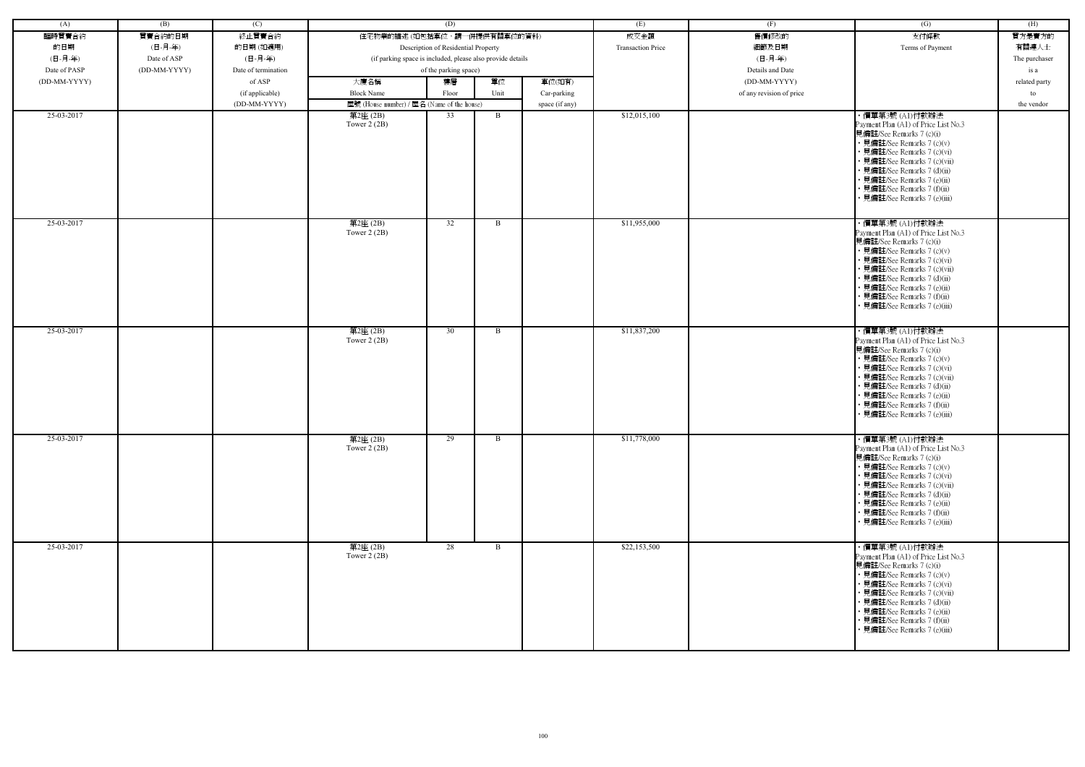| (A)          | (B)          | (C)                 |                                                            | (D)                                 |      |                | (E)                      | (F)                      | (G)                                                                                                                                                                                                                                                                                                            | (H)           |
|--------------|--------------|---------------------|------------------------------------------------------------|-------------------------------------|------|----------------|--------------------------|--------------------------|----------------------------------------------------------------------------------------------------------------------------------------------------------------------------------------------------------------------------------------------------------------------------------------------------------------|---------------|
| 臨時買賣合約       | 買賣合約的日期      | 終止買賣合約              | 住宅物業的描述 (如包括車位,請一併提供有關車位的資料)                               |                                     |      |                | 成交金額                     | 售價修改的                    | 支付條款                                                                                                                                                                                                                                                                                                           | 買方是賣方的        |
| 的日期          | (日-月-年)      | 的日期(如適用)            |                                                            | Description of Residential Property |      |                | <b>Transaction Price</b> | 細節及日期                    | Terms of Payment                                                                                                                                                                                                                                                                                               | 有關連人士         |
| (日-月-年)      | Date of ASP  | (日-月-年)             | (if parking space is included, please also provide details |                                     |      |                |                          | (日-月-年)                  |                                                                                                                                                                                                                                                                                                                | The purchaser |
| Date of PASP | (DD-MM-YYYY) | Date of termination |                                                            | of the parking space)               |      |                |                          | Details and Date         |                                                                                                                                                                                                                                                                                                                |               |
|              |              |                     |                                                            |                                     |      |                |                          |                          |                                                                                                                                                                                                                                                                                                                | is a          |
| (DD-MM-YYYY) |              | of ASP              | 大廈名稱                                                       | 樓層                                  | 單位   | 車位(如有)         |                          | (DD-MM-YYYY)             |                                                                                                                                                                                                                                                                                                                | related party |
|              |              | (if applicable)     | <b>Block Name</b>                                          | Floor                               | Unit | Car-parking    |                          | of any revision of price |                                                                                                                                                                                                                                                                                                                | to            |
|              |              | (DD-MM-YYYY)        | 屋號 (House number) / 屋名 (Name of the house)                 |                                     |      | space (if any) |                          |                          |                                                                                                                                                                                                                                                                                                                | the vendor    |
| 25-03-2017   |              |                     | 第2座 (2B)<br>Tower $2(2B)$                                  | 33                                  | B    |                | \$12,015,100             |                          | ・價單第3號 (A1)付款辦法<br>Payment Plan (A1) of Price List No.3<br>見備註/See Remarks 7 (c)(i)<br>• 見備註/See Remarks 7 (c)(v)<br>• 見備註/See Remarks 7 (c)(vi)<br>• 見備註/See Remarks 7 (c)(vii)<br>• 見備註/See Remarks 7 (d)(ii)<br>• 見備註/See Remarks 7 (e)(ii)<br>• 見備註/See Remarks 7 (f)(ii)<br>見備註/See Remarks 7 (e)(iii)    |               |
| 25-03-2017   |              |                     | 第2座(2B)<br>Tower 2 (2B)                                    | 32                                  | B    |                | \$11,955,000             |                          | ・價單第3號 (A1)付款辦法<br>Payment Plan (A1) of Price List No.3<br>見備註/See Remarks 7 (c)(i)<br>• 見備註/See Remarks 7 (c)(v)<br>• 見備註/See Remarks 7 (c)(vi)<br>• 見備註/See Remarks 7 (c)(vii)<br>• 見備註/See Remarks 7 (d)(ii)<br>· 見備註/See Remarks 7 (e)(ii)<br>• 見備註/See Remarks 7 (f)(ii)<br>• 見備註/See Remarks 7 (e)(iii)  |               |
| 25-03-2017   |              |                     | 第2座(2B)<br>Tower $2(2B)$                                   | 30                                  | B    |                | \$11,837,200             |                          | ・價單第3號 (A1)付款辦法<br>Payment Plan (A1) of Price List No.3<br>見備註/See Remarks 7 (c)(i)<br>• 見備註/See Remarks 7 (c)(v)<br>• 見備註/See Remarks 7 (c)(vi)<br>• 見備註/See Remarks 7 (c)(vii)<br>• 見備註/See Remarks 7 (d)(ii)<br>· 見備註/See Remarks 7 (e)(ii)<br>• 見備註/See Remarks 7 (f)(ii)<br>• 見備註/See Remarks 7 (e)(iii)  |               |
| 25-03-2017   |              |                     | 第2座(2B)<br>Tower $2(2B)$                                   | 29                                  | B    |                | \$11,778,000             |                          | · 價單第3號 (A1)付款辦法<br>Payment Plan (A1) of Price List No.3<br>見備註/See Remarks 7 (c)(i)<br>• 見備註/See Remarks 7 (c)(v)<br>• 見備註/See Remarks 7 (c)(vi)<br>• 見備註/See Remarks 7 (c)(vii)<br>• 見備註/See Remarks 7 (d)(ii)<br>• 見備註/See Remarks 7 (e)(ii)<br>• 見備註/See Remarks 7 (f)(ii)<br>• 見備註/See Remarks 7 (e)(iii) |               |
| 25-03-2017   |              |                     | 第2座(2B)<br>Tower $2(2B)$                                   | 28                                  | B    |                | \$22,153,500             |                          | ・價單第3號 (A1)付款辦法<br>Payment Plan (A1) of Price List No.3<br>見備註/See Remarks 7 (c)(i)<br>• 見備註/See Remarks 7 (c)(v)<br>• 見備註/See Remarks 7 (c)(vi)<br>• 見備註/See Remarks 7 (c)(vii)<br>• 見備註/See Remarks 7 (d)(ii)<br>• 見備註/See Remarks 7 (e)(ii)<br>• 見備註/See Remarks 7 (f)(ii)<br>• 見備註/See Remarks 7 (e)(iii)  |               |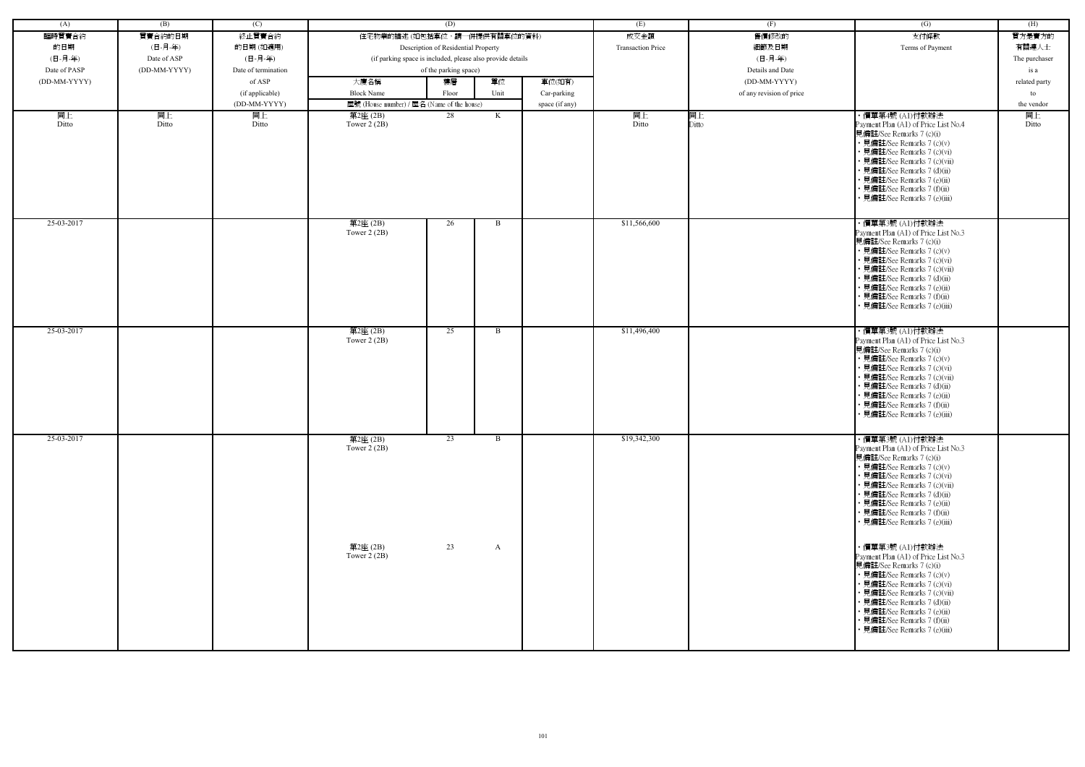| (A)          | (B)          | (C)                 |                                            | (D)                                                        |              |                | (E)                      | (F)                      | (G)                                                                                                                                                                                                                                                                                                           | (H)           |
|--------------|--------------|---------------------|--------------------------------------------|------------------------------------------------------------|--------------|----------------|--------------------------|--------------------------|---------------------------------------------------------------------------------------------------------------------------------------------------------------------------------------------------------------------------------------------------------------------------------------------------------------|---------------|
| 臨時買賣合約       | 買賣合約的日期      | 終止買賣合約              | 住宅物業的描述 (如包括車位,請一併提供有關車位的資料)               |                                                            |              |                | 成交金額                     | 售價修改的                    | 支付條款                                                                                                                                                                                                                                                                                                          | 買方是賣方的        |
|              | (日-月-年)      |                     |                                            |                                                            |              |                | <b>Transaction Price</b> | 細節及日期                    | Terms of Payment                                                                                                                                                                                                                                                                                              | 有關連人士         |
| 的日期          |              | 的日期(如適用)            |                                            | Description of Residential Property                        |              |                |                          |                          |                                                                                                                                                                                                                                                                                                               |               |
| (日-月-年)      | Date of ASP  | (日-月-年)             |                                            | (if parking space is included, please also provide details |              |                |                          | (日-月-年)                  |                                                                                                                                                                                                                                                                                                               | The purchaser |
| Date of PASP | (DD-MM-YYYY) | Date of termination |                                            | of the parking space)                                      |              |                |                          | Details and Date         |                                                                                                                                                                                                                                                                                                               | is a          |
| (DD-MM-YYYY) |              | of ASP              | 大廈名稱                                       | 樓層                                                         | 單位           | 車位(如有)         |                          | (DD-MM-YYYY)             |                                                                                                                                                                                                                                                                                                               | related party |
|              |              | (if applicable)     | <b>Block Name</b>                          | Floor                                                      | Unit         | Car-parking    |                          | of any revision of price |                                                                                                                                                                                                                                                                                                               | to            |
|              |              | (DD-MM-YYYY)        | 屋號 (House number) / 屋名 (Name of the house) |                                                            |              | space (if any) |                          |                          |                                                                                                                                                                                                                                                                                                               | the vendor    |
| 同上           | 同上           | 同上                  | 第2座 (2B)                                   | 28                                                         | K            |                | 同上                       | 同上                       | ・價單第4號 (A1)付款辦法                                                                                                                                                                                                                                                                                               | 同上            |
| Ditto        | Ditto        | Ditto               | Tower $2(2B)$                              |                                                            |              |                | Ditto                    | Ditto                    | Payment Plan (A1) of Price List No.4<br>見備註/See Remarks 7 (c)(i)<br>• 見備註/See Remarks 7 (c)(v)<br>• 見備註/See Remarks 7 (c)(vi)<br>• 見備註/See Remarks 7 (c)(vii)<br>· 見備註/See Remarks 7 (d)(ii)<br>• 見備註/See Remarks 7 (e)(ii)<br>• 見備註/See Remarks 7 (f)(ii)<br>· 見備註/See Remarks 7 (e)(iii)                    | Ditto         |
| 25-03-2017   |              |                     | 第2座(2B)<br>Tower $2(2B)$                   | 26                                                         | $\mathbf{B}$ |                | \$11,566,600             |                          | ・價單第3號 (A1)付款辦法<br>Payment Plan (A1) of Price List No.3<br>見備註/See Remarks 7 (c)(i)<br>• 見備註/See Remarks 7 (c)(v)<br>• 見備註/See Remarks 7 (c)(vi)<br>· 見備註/See Remarks 7 (c)(vii)<br>• 見備註/See Remarks 7 (d)(ii)<br>• 見備註/See Remarks 7 (e)(ii)<br>· 見備註/See Remarks 7 (f)(ii)<br>• 見備註/See Remarks 7 (e)(iii) |               |
| 25-03-2017   |              |                     | 第2座(2B)<br>Tower $2(2B)$                   | 25                                                         | $\mathbf{B}$ |                | \$11,496,400             |                          | ·價單第3號(A1)付款辦法<br>Payment Plan (A1) of Price List No.3<br>見備註/See Remarks 7 (c)(i)<br>• 見備註/See Remarks 7 (c)(v)<br>• 見備註/See Remarks 7 (c)(vi)<br>• 見備註/See Remarks 7 (c)(vii)<br>· 見備註/See Remarks 7 (d)(ii)<br>• 見備註/See Remarks 7 (e)(ii)<br>• 見備註/See Remarks 7 (f)(ii)<br>· 見備註/See Remarks 7 (e)(iii)  |               |
| 25-03-2017   |              |                     | 第2座(2B)<br>Tower $2(2B)$                   | $\overline{23}$                                            | $\mathbf{B}$ |                | \$19,342,300             |                          | ・價單第3號 (A1)付款辦法<br>Payment Plan (A1) of Price List No.3<br>見備註/See Remarks 7 (c)(i)<br>• 見備註/See Remarks 7 (c)(v)<br>• 見備註/See Remarks 7 (c)(vi)<br>• 見備註/See Remarks 7 (c)(vii)<br>• 見備註/See Remarks 7 (d)(ii)<br>• 見備註/See Remarks 7 (e)(ii)<br>• 見備註/See Remarks 7 (f)(ii)<br>• 見備註/See Remarks 7 (e)(iii) |               |
|              |              |                     | 第2座(2B)<br>Tower $2(2B)$                   | 23                                                         | A            |                |                          |                          | ・價單第3號 (A1)付款辦法<br>Payment Plan (A1) of Price List No.3<br>見備註/See Remarks 7 (c)(i)<br>• 見備註/See Remarks 7 (c)(v)<br>• 見備註/See Remarks 7 (c)(vi)<br>• 見備註/See Remarks 7 (c)(vii)<br>• 見備註/See Remarks 7 (d)(ii)<br>• 見備註/See Remarks 7 (e)(ii)<br>• 見備註/See Remarks 7 (f)(ii)<br>• 見備註/See Remarks 7 (e)(iii) |               |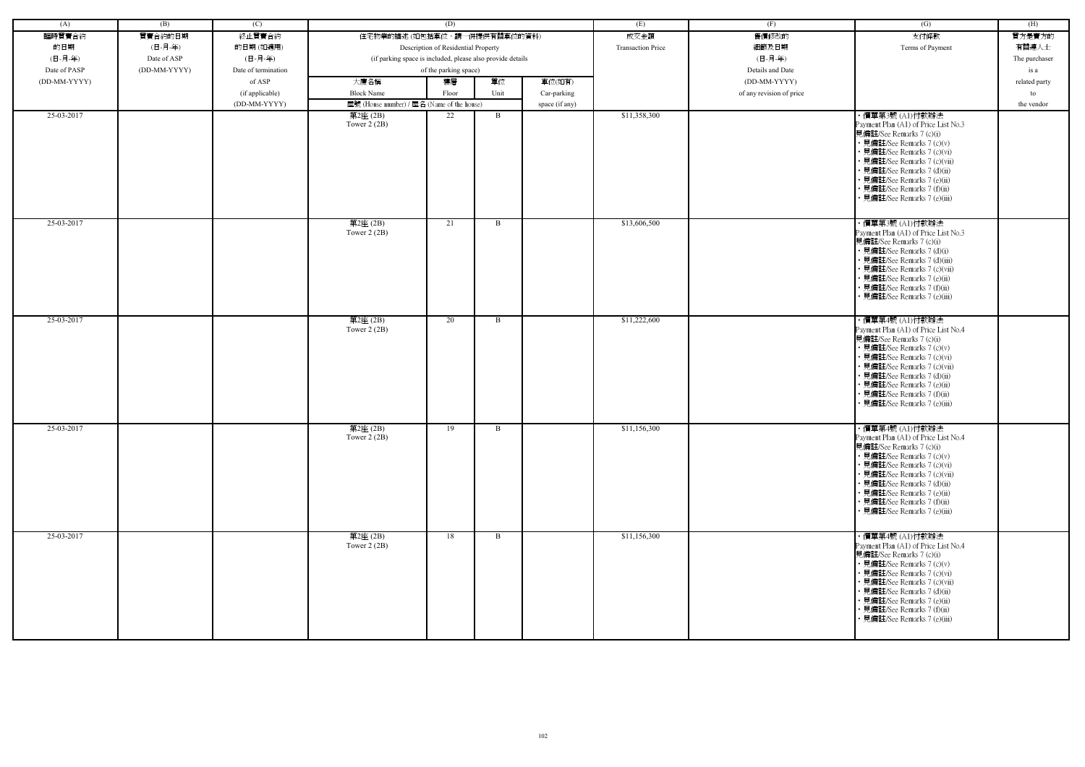| (A)          | (B)          | (C)                 |                                                            | (D)                                 |      |                | (E)                      | (F)                      | (G)                                                                                                                                                                                                                                                                                                           | (H)           |
|--------------|--------------|---------------------|------------------------------------------------------------|-------------------------------------|------|----------------|--------------------------|--------------------------|---------------------------------------------------------------------------------------------------------------------------------------------------------------------------------------------------------------------------------------------------------------------------------------------------------------|---------------|
| 臨時買賣合約       | 買賣合約的日期      | 終止買賣合約              | 住宅物業的描述 (如包括車位,請一併提供有關車位的資料)                               |                                     |      |                | 成交金額                     | 售價修改的                    | 支付條款                                                                                                                                                                                                                                                                                                          | 買方是賣方的        |
| 的日期          | (日-月-年)      | 的日期(如適用)            |                                                            | Description of Residential Property |      |                | <b>Transaction Price</b> | 細節及日期                    | Terms of Payment                                                                                                                                                                                                                                                                                              | 有關連人士         |
| (日-月-年)      | Date of ASP  | (日-月-年)             | (if parking space is included, please also provide details |                                     |      |                |                          | (日-月-年)                  |                                                                                                                                                                                                                                                                                                               | The purchaser |
| Date of PASP | (DD-MM-YYYY) | Date of termination |                                                            | of the parking space)               |      |                |                          | Details and Date         |                                                                                                                                                                                                                                                                                                               | is a          |
| (DD-MM-YYYY) |              | of ASP              | 大廈名稱                                                       | 樓層                                  | 單位   | 車位(如有)         |                          | (DD-MM-YYYY)             |                                                                                                                                                                                                                                                                                                               | related party |
|              |              | (if applicable)     | <b>Block Name</b>                                          | Floor                               | Unit | Car-parking    |                          | of any revision of price |                                                                                                                                                                                                                                                                                                               | to            |
|              |              | (DD-MM-YYYY)        | 屋號 (House number) / 屋名 (Name of the house)                 |                                     |      | space (if any) |                          |                          |                                                                                                                                                                                                                                                                                                               | the vendor    |
| 25-03-2017   |              |                     | 第2座 (2B)<br>Tower $2(2B)$                                  | 22                                  | B    |                | \$11,358,300             |                          | ・價單第3號 (A1)付款辦法<br>Payment Plan (A1) of Price List No.3<br>見備註/See Remarks 7 (c)(i)<br>• 見備註/See Remarks 7 (c)(v)<br>• 見備註/See Remarks 7 (c)(vi)<br>• 見備註/See Remarks 7 (c)(vii)<br>• 見備註/See Remarks 7 (d)(ii)<br>• 見備註/See Remarks 7 (e)(ii)<br>· 見備註/See Remarks 7 (f)(ii)<br>· 見備註/See Remarks 7 (e)(iii) |               |
| 25-03-2017   |              |                     | 第2座(2B)<br>Tower $2(2B)$                                   | 21                                  | B    |                | \$13,606,500             |                          | · 價單第3號 (A1)付款辦法<br>Payment Plan (A1) of Price List No.3<br>見備註/See Remarks 7 (c)(i)<br>• 見備註/See Remarks 7 (d)(i)<br>• 見備註/See Remarks 7 (d)(iii)<br>· 見備註/See Remarks 7 (c)(vii)<br>• 見備註/See Remarks 7 (e)(ii)<br>· 見備註/See Remarks 7 (f)(ii)<br>· 見備註/See Remarks 7 (e)(iii)                              |               |
| 25-03-2017   |              |                     | 第2座(2B)<br>Tower $2(2B)$                                   | 20                                  | B    |                | \$11,222,600             |                          | ・價單第4號 (A1)付款辦法<br>Payment Plan (A1) of Price List No.4<br>見備註/See Remarks 7 (c)(i)<br>• 見備註/See Remarks 7 (c)(v)<br>• 見備註/See Remarks 7 (c)(vi)<br>• 見備註/See Remarks 7 (c)(vii)<br>• 見備註/See Remarks 7 (d)(ii)<br>• 見備註/See Remarks 7 (e)(ii)<br>• 見備註/See Remarks 7 (f)(ii)<br>• 見備註/See Remarks 7 (e)(iii) |               |
| 25-03-2017   |              |                     | 第2座(2B)<br>Tower $2(2B)$                                   | 19                                  | B    |                | \$11,156,300             |                          | ・價單第4號 (A1)付款辦法<br>Payment Plan (A1) of Price List No.4<br>見備註/See Remarks 7 (c)(i)<br>• 見備註/See Remarks 7 (c)(v)<br>• 見備註/See Remarks 7 (c)(vi)<br>• 見備註/See Remarks 7 (c)(vii)<br>• 見備註/See Remarks 7 (d)(ii)<br>• 見備註/See Remarks 7 (e)(ii)<br>• 見備註/See Remarks 7 (f)(ii)<br>• 見備註/See Remarks 7 (e)(iii) |               |
| 25-03-2017   |              |                     | 第2座(2B)<br>Tower $2(2B)$                                   | 18                                  | B    |                | \$11,156,300             |                          | ・價單第4號 (A1)付款辦法<br>Payment Plan (A1) of Price List No.4<br>見備註/See Remarks 7 (c)(i)<br>• 見備註/See Remarks 7 (c)(v)<br>• 見備註/See Remarks 7 (c)(vi)<br>· 見備註/See Remarks 7 (c)(vii)<br>• 見備註/See Remarks 7 (d)(ii)<br>• 見備註/See Remarks 7 (e)(ii)<br>· 見備註/See Remarks 7 (f)(ii)<br>• 見備註/See Remarks 7 (e)(iii) |               |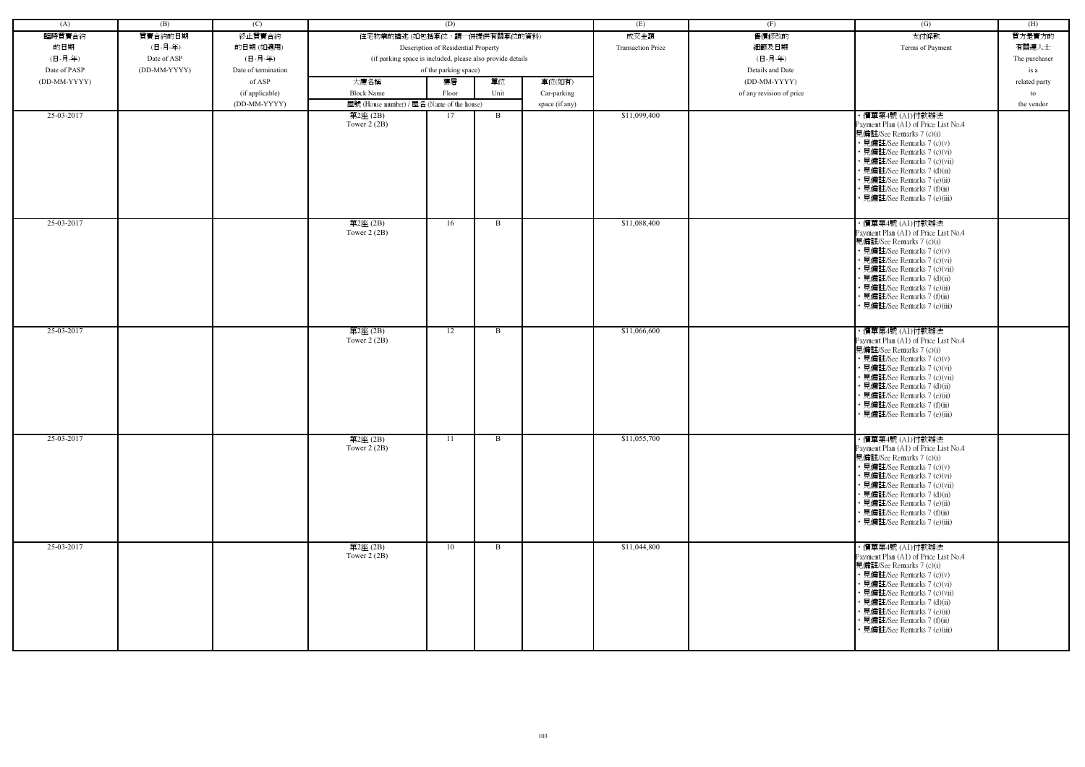| (A)          | (B)          | (C)                 |                                                            | (D)                                 |      |                | (E)                      | (F)                      | (G)                                                                                                                                                                                                                                                                                                            | (H)           |
|--------------|--------------|---------------------|------------------------------------------------------------|-------------------------------------|------|----------------|--------------------------|--------------------------|----------------------------------------------------------------------------------------------------------------------------------------------------------------------------------------------------------------------------------------------------------------------------------------------------------------|---------------|
| 臨時買賣合約       | 買賣合約的日期      | 終止買賣合約              | 住宅物業的描述 (如包括車位,請一併提供有關車位的資料)                               |                                     |      |                | 成交金額                     | 售價修改的                    | 支付條款                                                                                                                                                                                                                                                                                                           | 買方是賣方的        |
| 的日期          | (日-月-年)      | 的日期(如適用)            |                                                            | Description of Residential Property |      |                | <b>Transaction Price</b> | 細節及日期                    | Terms of Payment                                                                                                                                                                                                                                                                                               | 有關連人士         |
| (日-月-年)      | Date of ASP  | (日-月-年)             | (if parking space is included, please also provide details |                                     |      |                |                          | (日-月-年)                  |                                                                                                                                                                                                                                                                                                                | The purchaser |
| Date of PASP | (DD-MM-YYYY) | Date of termination |                                                            | of the parking space)               |      |                |                          | Details and Date         |                                                                                                                                                                                                                                                                                                                | is a          |
| (DD-MM-YYYY) |              | of ASP              | 大廈名稱                                                       | 樓層                                  | 單位   | 車位(如有)         |                          | (DD-MM-YYYY)             |                                                                                                                                                                                                                                                                                                                | related party |
|              |              | (if applicable)     | <b>Block Name</b>                                          | Floor                               | Unit | Car-parking    |                          | of any revision of price |                                                                                                                                                                                                                                                                                                                | to            |
|              |              | (DD-MM-YYYY)        | 屋號 (House number) / 屋名 (Name of the house)                 |                                     |      | space (if any) |                          |                          |                                                                                                                                                                                                                                                                                                                | the vendor    |
| 25-03-2017   |              |                     | 第2座 (2B)                                                   | 17                                  | B    |                | \$11,099,400             |                          | ・價單第4號 (A1)付款辦法                                                                                                                                                                                                                                                                                                |               |
|              |              |                     | Tower $2(2B)$                                              |                                     |      |                |                          |                          | Payment Plan (A1) of Price List No.4<br>見備註/See Remarks 7 (c)(i)<br>• 見備註/See Remarks 7 (c)(v)<br>• 見備註/See Remarks 7 (c)(vi)<br>• 見備註/See Remarks 7 (c)(vii)<br>• 見備註/See Remarks 7 (d)(ii)<br>• 見備註/See Remarks 7 (e)(ii)<br>· 見備註/See Remarks 7 (f)(ii)<br>· 見備註/See Remarks 7 (e)(iii)                     |               |
| 25-03-2017   |              |                     | 第2座(2B)<br>Tower $2(2B)$                                   | 16                                  | B    |                | \$11,088,400             |                          | ・價單第4號 (A1)付款辦法<br>Payment Plan (A1) of Price List No.4<br>見備註/See Remarks 7 (c)(i)<br>• 見備註/See Remarks 7 (c)(v)<br>• 見備註/See Remarks 7 (c)(vi)<br>· 見備註/See Remarks 7 (c)(vii)<br>• 見備註/See Remarks 7 (d)(ii)<br>· 見備註/See Remarks 7 (e)(ii)<br>· 見備註/See Remarks 7 (f)(ii)<br>• 見備註/See Remarks 7 (e)(iii)  |               |
| 25-03-2017   |              |                     | 第2座(2B)<br>Tower $2(2B)$                                   | 12                                  | B    |                | \$11,066,600             |                          | · 價單第4號 (A1)付款辦法<br>Payment Plan (A1) of Price List No.4<br>見備註/See Remarks 7 (c)(i)<br>• 見備註/See Remarks 7 (c)(v)<br>• 見備註/See Remarks 7 (c)(vi)<br>• 見備註/See Remarks 7 (c)(vii)<br>• 見備註/See Remarks 7 (d)(ii)<br>• 見備註/See Remarks 7 (e)(ii)<br>• 見備註/See Remarks 7 (f)(ii)<br>• 見備註/See Remarks 7 (e)(iii) |               |
| 25-03-2017   |              |                     | 第2座(2B)<br>Tower $2(2B)$                                   | 11                                  | B    |                | \$11,055,700             |                          | · 價單第4號 (A1)付款辦法<br>Payment Plan (A1) of Price List No.4<br>見備註/See Remarks 7 (c)(i)<br>• 見備註/See Remarks 7 (c)(v)<br>• 見備註/See Remarks 7 (c)(vi)<br>• 見備註/See Remarks 7 (c)(vii)<br>• 見備註/See Remarks 7 (d)(ii)<br>• 見備註/See Remarks 7 (e)(ii)<br>• 見備註/See Remarks 7 (f)(ii)<br>• 見備註/See Remarks 7 (e)(iii) |               |
| 25-03-2017   |              |                     | 第2座(2B)<br>Tower $2(2B)$                                   | 10                                  | B    |                | \$11,044,800             |                          | ・價單第4號 (A1)付款辦法<br>Payment Plan (A1) of Price List No.4<br>見備註/See Remarks 7 (c)(i)<br>• 見備註/See Remarks 7 (c)(v)<br>• 見備註/See Remarks 7 (c)(vi)<br>• 見備註/See Remarks 7 (c)(vii)<br>• 見備註/See Remarks 7 (d)(ii)<br>• 見備註/See Remarks 7 (e)(ii)<br>• 見備註/See Remarks 7 (f)(ii)<br>• 見備註/See Remarks 7 (e)(iii)  |               |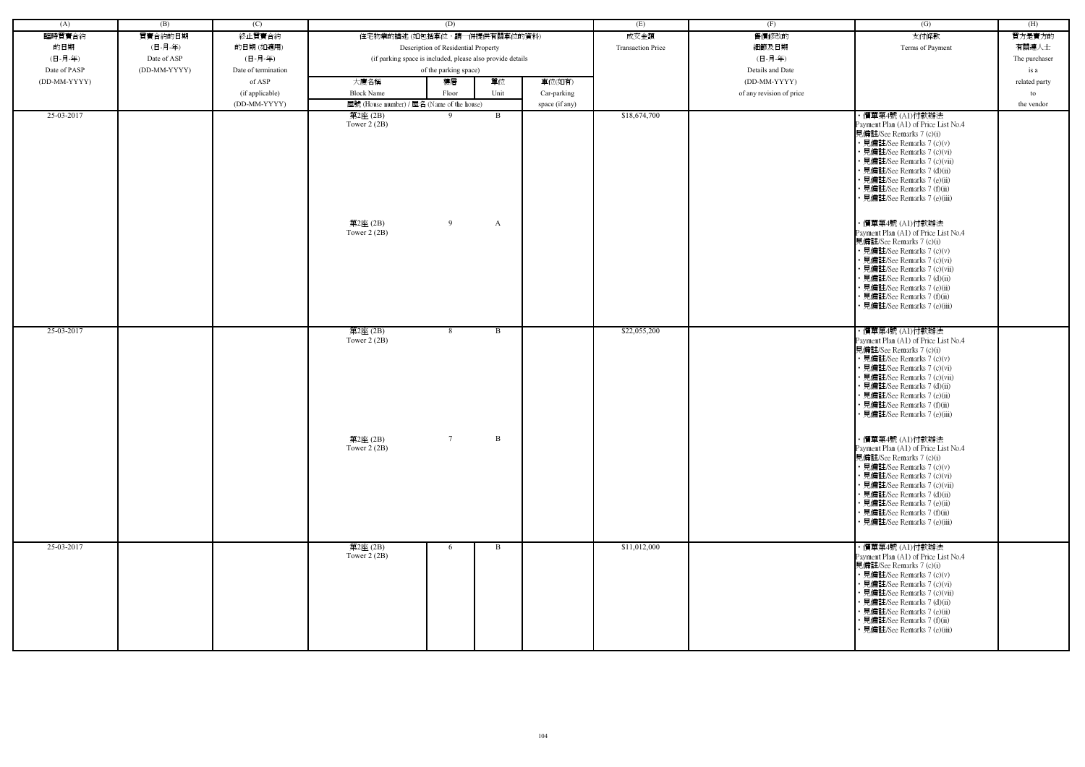| (A)          | (B)          | (C)                 |                                                            | (D)                                 |              |                | (E)                      | (F)                      | $\overline{(G)}$                                                                                                                                                                                                                                                                                                                                                                                                                                                                                                                                                                                                             | (H)           |
|--------------|--------------|---------------------|------------------------------------------------------------|-------------------------------------|--------------|----------------|--------------------------|--------------------------|------------------------------------------------------------------------------------------------------------------------------------------------------------------------------------------------------------------------------------------------------------------------------------------------------------------------------------------------------------------------------------------------------------------------------------------------------------------------------------------------------------------------------------------------------------------------------------------------------------------------------|---------------|
| 臨時買賣合約       | 買賣合約的日期      | 終止買賣合約              | 住宅物業的描述 (如包括車位,請一併提供有關車位的資料)                               |                                     |              |                | 成交金額                     | 售價修改的                    | 支付條款                                                                                                                                                                                                                                                                                                                                                                                                                                                                                                                                                                                                                         | 買方是賣方的        |
| 的日期          | (日-月-年)      | 的日期(如適用)            |                                                            | Description of Residential Property |              |                | <b>Transaction Price</b> | 細節及日期                    | Terms of Payment                                                                                                                                                                                                                                                                                                                                                                                                                                                                                                                                                                                                             | 有關連人士         |
| (日-月-年)      | Date of ASP  | (日-月-年)             | (if parking space is included, please also provide details |                                     |              |                |                          | (日-月-年)                  |                                                                                                                                                                                                                                                                                                                                                                                                                                                                                                                                                                                                                              | The purchaser |
| Date of PASP | (DD-MM-YYYY) | Date of termination |                                                            | of the parking space)               |              |                |                          | Details and Date         |                                                                                                                                                                                                                                                                                                                                                                                                                                                                                                                                                                                                                              | is a          |
| (DD-MM-YYYY) |              | of ASP              | 大廈名稱                                                       | 樓層                                  | 單位           | 車位(如有)         |                          | (DD-MM-YYYY)             |                                                                                                                                                                                                                                                                                                                                                                                                                                                                                                                                                                                                                              | related party |
|              |              | (if applicable)     | <b>Block Name</b>                                          | Floor                               | Unit         | Car-parking    |                          | of any revision of price |                                                                                                                                                                                                                                                                                                                                                                                                                                                                                                                                                                                                                              | to            |
|              |              | (DD-MM-YYYY)        | 屋號 (House number) / 屋名 (Name of the house)                 |                                     |              | space (if any) |                          |                          |                                                                                                                                                                                                                                                                                                                                                                                                                                                                                                                                                                                                                              | the vendor    |
| 25-03-2017   |              |                     | 第2座 (2B)<br>Tower $2(2B)$<br>第2座(2B)<br>Tower $2(2B)$      | 9<br>9                              | B<br>A       |                | \$18,674,700             |                          | ・價單第4號 (A1)付款辦法<br>Payment Plan (A1) of Price List No.4<br>見備註/See Remarks 7 (c)(i)<br>• 見備註/See Remarks 7 (c)(v)<br>• 見備註/See Remarks 7 (c)(vi)<br>• 見備註/See Remarks 7 (c)(vii)<br>• 見備註/See Remarks 7 (d)(ii)<br>• 見備註/See Remarks 7 (e)(ii)<br>• 見備註/See Remarks 7 (f)(ii)<br>• 見備註/See Remarks 7 (e)(iii)<br>・價單第4號 (A1)付款辦法<br>Payment Plan (A1) of Price List No.4<br>見備註/See Remarks 7 (c)(i)<br>• 見備註/See Remarks 7 (c)(v)<br>• 見備註/See Remarks 7 (c)(vi)<br>• 見備註/See Remarks 7 (c)(vii)<br>• 見備註/See Remarks 7 (d)(ii)<br>• 見備註/See Remarks 7 (e)(ii)<br>• 見備註/See Remarks 7 (f)(ii)<br>見備註/See Remarks 7 (e)(iii) |               |
| 25-03-2017   |              |                     | 第2座(2B)<br>Tower 2 (2B)<br>第2座 (2B)<br>Tower $2(2B)$       | 8<br>$7\overline{ }$                | B<br>B       |                | \$22,055,200             |                          | ・價單第4號 (A1)付款辦法<br>Payment Plan (A1) of Price List No.4<br>見備註/See Remarks 7 (c)(i)<br>• 見備註/See Remarks 7 (c)(v)<br>• 見備註/See Remarks 7 (c)(vi)<br>· 見備註/See Remarks 7 (c)(vii)<br>• 見備註/See Remarks 7 (d)(ii)<br>• 見備註/See Remarks 7 (e)(ii)<br>• 見備註/See Remarks 7 (f)(ii)<br>• 見備註/See Remarks 7 (e)(iii)<br>・價單第4號 (A1)付款辦法<br>Payment Plan (A1) of Price List No.4                                                                                                                                                                                                                                                     |               |
|              |              |                     |                                                            |                                     |              |                |                          |                          | 見備註/See Remarks 7 (c)(i)<br>• 見備註/See Remarks 7 (c)(v)<br>• 見備註/See Remarks 7 (c)(vi)<br>• 見備註/See Remarks 7 (c)(vii)<br>• 見備註/See Remarks 7 (d)(ii)<br>• 見備註/See Remarks 7 (e)(ii)<br>• 見備註/See Remarks 7 (f)(ii)<br>• 見備註/See Remarks 7 (e)(iii)                                                                                                                                                                                                                                                                                                                                                                           |               |
| 25-03-2017   |              |                     | 第2座(2B)<br>Tower $2(2B)$                                   | 6                                   | $\mathbf{B}$ |                | \$11,012,000             |                          | ・價單第4號 (A1)付款辦法<br>Payment Plan (A1) of Price List No.4<br>見備註/See Remarks 7 (c)(i)<br>• 見備註/See Remarks 7 (c)(v)<br>• 見備註/See Remarks 7 (c)(vi)<br>• 見備註/See Remarks 7 (c)(vii)<br>• 見備註/See Remarks 7 (d)(ii)<br>• 見備註/See Remarks 7 (e)(ii)<br>• 見備註/See Remarks 7 (f)(ii)<br>• 見備註/See Remarks 7 (e)(iii)                                                                                                                                                                                                                                                                                                                |               |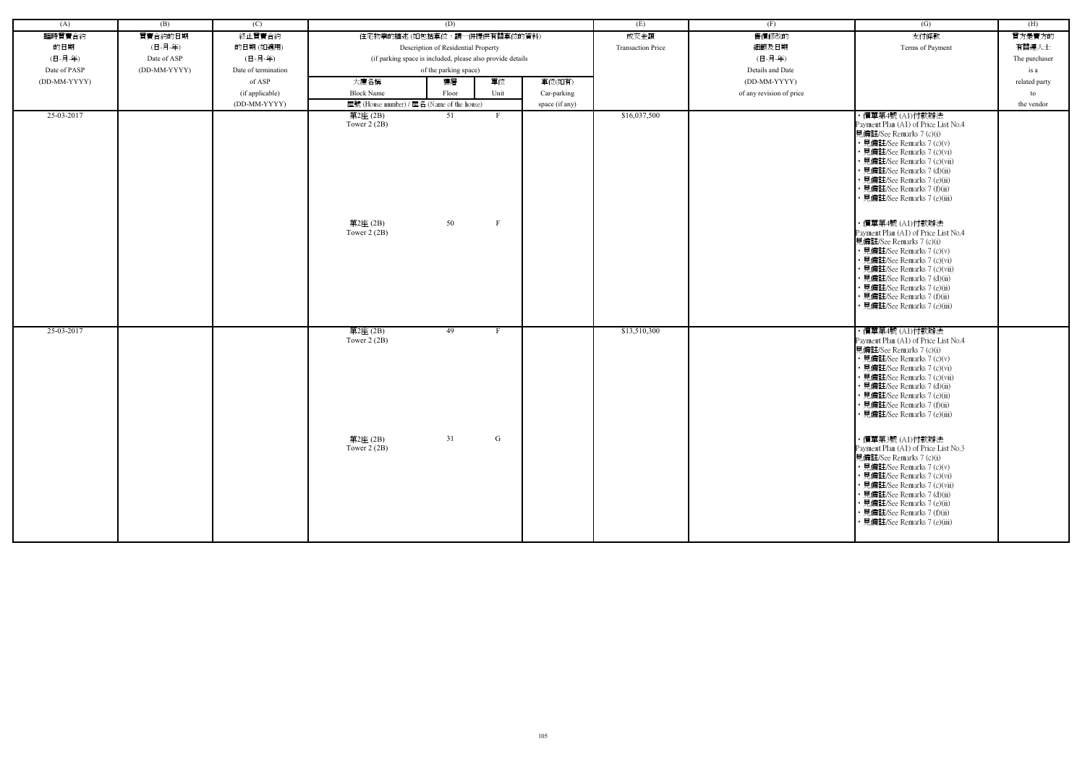| (A)          | (B)          | (C)                 |                                                      | (D)                                                        |                              |                | (E)                      | (F)                      | $\overline{(G)}$                                                                                                                                                                                                                                                                                                                                                         | (H)           |
|--------------|--------------|---------------------|------------------------------------------------------|------------------------------------------------------------|------------------------------|----------------|--------------------------|--------------------------|--------------------------------------------------------------------------------------------------------------------------------------------------------------------------------------------------------------------------------------------------------------------------------------------------------------------------------------------------------------------------|---------------|
| 臨時買賣合約       | 買賣合約的日期      | 終止買賣合約              | 住宅物業的描述 (如包括車位,請一併提供有關車位的資料)                         |                                                            |                              |                | 成交金額                     | 售價修改的                    | 支付條款                                                                                                                                                                                                                                                                                                                                                                     | 買方是賣方的        |
| 的日期          | (日-月-年)      | 的日期(如適用)            |                                                      | Description of Residential Property                        |                              |                | <b>Transaction Price</b> | 細節及日期                    | Terms of Payment                                                                                                                                                                                                                                                                                                                                                         | 有關連人士         |
| (日-月-年)      | Date of ASP  | (日-月-年)             |                                                      | (if parking space is included, please also provide details |                              |                |                          | (日-月-年)                  |                                                                                                                                                                                                                                                                                                                                                                          | The purchaser |
| Date of PASP | (DD-MM-YYYY) | Date of termination |                                                      | of the parking space)                                      |                              |                |                          | Details and Date         |                                                                                                                                                                                                                                                                                                                                                                          | is a          |
| (DD-MM-YYYY) |              | of ASP              | 大廈名稱                                                 | 樓層                                                         | 單位                           | 車位(如有)         |                          | (DD-MM-YYYY)             |                                                                                                                                                                                                                                                                                                                                                                          | related party |
|              |              | (if applicable)     | <b>Block Name</b>                                    | Floor                                                      | Unit                         | Car-parking    |                          | of any revision of price |                                                                                                                                                                                                                                                                                                                                                                          | to            |
|              |              | (DD-MM-YYYY)        | 屋號 (House number) / 屋名 (Name of the house)           |                                                            |                              | space (if any) |                          |                          |                                                                                                                                                                                                                                                                                                                                                                          | the vendor    |
| 25-03-2017   |              |                     | 第2座(2B)<br>Tower $2(2B)$<br>第2座(2B)<br>Tower $2(2B)$ | 51<br>50                                                   | $\mathbf{F}$<br>$\mathbf{F}$ |                | \$16,037,500             |                          | ・價單第4號 (A1)付款辦法<br>Payment Plan (A1) of Price List No.4<br>見備註/See Remarks 7 (c)(i)<br>• 見備註/See Remarks 7 (c)(v)<br>• 見備註/See Remarks 7 (c)(vi)<br>• 見備註/See Remarks 7 (c)(vii)<br>• 見備註/See Remarks 7 (d)(ii)<br>• 見備註/See Remarks 7 (e)(ii)<br>• 見備註/See Remarks 7 (f)(ii)<br>• 見備註/See Remarks 7 (e)(iii)<br>・價單第4號 (A1)付款辦法<br>Payment Plan (A1) of Price List No.4 |               |
|              |              |                     |                                                      |                                                            |                              |                |                          |                          | 見備註/See Remarks 7 (c)(i)<br>• 見備註/See Remarks 7 (c)(v)<br>• 見備註/See Remarks 7 (c)(vi)<br>• 見備註/See Remarks 7 (c)(vii)<br>• 見備註/See Remarks 7 (d)(ii)<br>• 見備註/See Remarks 7 (e)(ii)<br>• 見備註/See Remarks 7 (f)(ii)<br>• 見備註/See Remarks 7 (e)(iii)                                                                                                                       |               |
| 25-03-2017   |              |                     | 第2座(2B)<br>Tower $2(2B)$                             | 49                                                         | $\mathbf{F}$                 |                | \$13,510,300             |                          | ・價單第4號 (A1)付款辦法<br>Payment Plan (A1) of Price List No.4<br>見備註/See Remarks 7 (c)(i)<br>• 見備註/See Remarks 7 (c)(v)<br>• 見備註/See Remarks 7 (c)(vi)<br>• 見備註/See Remarks 7 (c)(vii)<br>• 見備註/See Remarks 7 (d)(ii)<br>• 見備註/See Remarks 7 (e)(ii)<br>· 見備註/See Remarks 7 (f)(ii)<br>· 見備註/See Remarks 7 (e)(iii)                                                            |               |
|              |              |                     | 第2座 (2B)<br>Tower $2(2B)$                            | 31                                                         | G                            |                |                          |                          | ・價單第3號 (A1)付款辦法<br>Payment Plan (A1) of Price List No.3<br>見備註/See Remarks 7 (c)(i)<br>• 見備註/See Remarks 7 (c)(v)<br>• 見備註/See Remarks 7 (c)(vi)<br>• 見備註/See Remarks 7 (c)(vii)<br>• 見備註/See Remarks 7 (d)(ii)<br>• 見備註/See Remarks 7 (e)(ii)<br>• 見備註/See Remarks 7 (f)(ii)<br>• 見備註/See Remarks 7 (e)(iii)                                                            |               |

| (G)                                                                                                                                                                                                                                                                                                                                                                                                                                | (H)           |
|------------------------------------------------------------------------------------------------------------------------------------------------------------------------------------------------------------------------------------------------------------------------------------------------------------------------------------------------------------------------------------------------------------------------------------|---------------|
| 支付條款                                                                                                                                                                                                                                                                                                                                                                                                                               | 買方是賣方的        |
| Terms of Payment                                                                                                                                                                                                                                                                                                                                                                                                                   | 有關連人士         |
|                                                                                                                                                                                                                                                                                                                                                                                                                                    | The purchaser |
|                                                                                                                                                                                                                                                                                                                                                                                                                                    | is a          |
|                                                                                                                                                                                                                                                                                                                                                                                                                                    | related party |
|                                                                                                                                                                                                                                                                                                                                                                                                                                    | to            |
|                                                                                                                                                                                                                                                                                                                                                                                                                                    | the vendor    |
| ・價單第4號 (A1)付款辦法<br>Payment Plan (A1) of Price List No.4<br>見備註/See Remarks 7 (c)(i)<br>• 見備註/See Remarks 7 (c)(v)<br>• 見備註/See Remarks 7 (c)(vi)<br>• 見備註/See Remarks 7 (c)(vii)<br>• 見備註/See Remarks 7 (d)(ii)<br>• 見備註/See Remarks 7 (e)(ii)<br>• 見備註/See Remarks 7 (f)(ii)<br>• 見備註/See Remarks 7 (e)(iii)<br>・價單第4號 (A1)付款辦法<br>Payment Plan (A1) of Price List No.4<br>見備註/See Remarks 7 (c)(i)<br>• 見備註/See Remarks 7 (c)(v) |               |
| • 見備註/See Remarks 7 (c)(vi)<br>• 見備註/See Remarks 7 (c)(vii)<br>• 見備註/See Remarks 7 (d)(ii)<br>• 見備註/See Remarks 7 (e)(ii)<br>• 見備註/See Remarks 7 (f)(ii)<br>• 見備註/See Remarks 7 (e)(iii)                                                                                                                                                                                                                                           |               |
| ・價單第4號 (A1)付款辦法<br>Payment Plan (A1) of Price List No.4<br>見備註/See Remarks 7 (c)(i)<br>• 見備註/See Remarks 7 (c)(v)<br>• 見備註/See Remarks 7 (c)(vi)<br>• 見備註/See Remarks 7 (c)(vii)<br>• 見備註/See Remarks 7 (d)(ii)<br>• 見備註/See Remarks 7 (e)(ii)<br>• 見備註/See Remarks 7 (f)(ii)<br>• 見備註/See Remarks 7 (e)(iii)                                                                                                                      |               |
| ・價單第3號 (A1)付款辦法<br>Payment Plan (A1) of Price List No.3<br>見備註/See Remarks 7 (c)(i)<br>• 見備註/See Remarks 7 (c)(v)<br>• 見備註/See Remarks 7 (c)(vi)<br>• 見備註/See Remarks 7 (c)(vii)<br>• 見備註/See Remarks 7 (d)(ii)<br>• 見備註/See Remarks 7 (e)(ii)<br>• 見備註/See Remarks 7 (f)(ii)<br>• 見備註/See Remarks 7 (e)(iii)                                                                                                                      |               |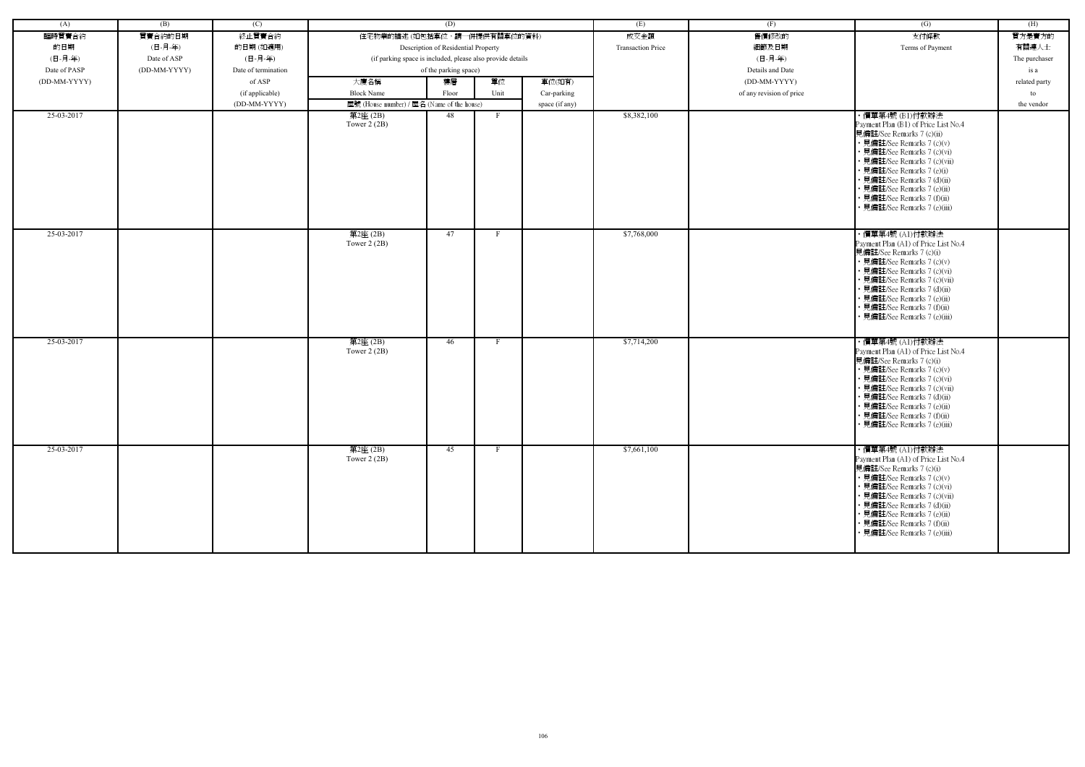| (A)          | (B)          | (C)                 | (D)                                                        |                       |      |                          | (E)         | (F)                      | (G)                                                                                                                                                                                                                                                                                                                       | (H)           |
|--------------|--------------|---------------------|------------------------------------------------------------|-----------------------|------|--------------------------|-------------|--------------------------|---------------------------------------------------------------------------------------------------------------------------------------------------------------------------------------------------------------------------------------------------------------------------------------------------------------------------|---------------|
| 臨時買賣合約       | 買賣合約的日期      | 終止買賣合約              | 住宅物業的描述 (如包括車位,請一併提供有關車位的資料)                               |                       |      | 成交金額                     | 售價修改的       | 支付條款                     | 買方是賣方的                                                                                                                                                                                                                                                                                                                    |               |
| 的日期          | (日-月-年)      | 的日期(如適用)            | Description of Residential Property                        |                       |      | <b>Transaction Price</b> | 細節及日期       | Terms of Payment         | 有關連人士                                                                                                                                                                                                                                                                                                                     |               |
| (日-月-年)      | Date of ASP  | (日-月-年)             | (if parking space is included, please also provide details |                       |      |                          | (日-月-年)     |                          | The purchaser                                                                                                                                                                                                                                                                                                             |               |
| Date of PASP | (DD-MM-YYYY) | Date of termination |                                                            | of the parking space) |      |                          |             | Details and Date         |                                                                                                                                                                                                                                                                                                                           | is a          |
| (DD-MM-YYYY) |              | of ASP              | 大廈名稱                                                       | 樓層                    | 單位   | 車位(如有)                   |             | (DD-MM-YYYY)             |                                                                                                                                                                                                                                                                                                                           | related party |
|              |              | (if applicable)     | <b>Block Name</b>                                          | Floor                 | Unit | Car-parking              |             | of any revision of price |                                                                                                                                                                                                                                                                                                                           | to            |
|              |              | (DD-MM-YYYY)        | 屋號 (House number) / 屋名 (Name of the house)                 |                       |      |                          |             |                          |                                                                                                                                                                                                                                                                                                                           | the vendor    |
| 25-03-2017   |              |                     | 第2座(2B)                                                    | 48                    | - F  | space (if any)           | \$8,382,100 |                          | ・價單第4號 (B1)付款辦法                                                                                                                                                                                                                                                                                                           |               |
|              |              |                     | Tower $2(2B)$                                              |                       |      |                          |             |                          | Payment Plan (B1) of Price List No.4<br>見備註/See Remarks 7 (c)(ii)<br>• 見備註/See Remarks 7 (c)(v)<br>· 見備註/See Remarks 7 (c)(vi)<br>· 見備註/See Remarks 7 (c)(vii)<br>• 見備註/See Remarks 7 (e)(i)<br>• 見備註/See Remarks 7 (d)(ii)<br>• 見備註/See Remarks 7 (e)(ii)<br>• 見備註/See Remarks 7 (f)(ii)<br>· 見備註/See Remarks 7 (e)(iii) |               |
| 25-03-2017   |              |                     | 第2座(2B)<br>Tower $2(2B)$                                   | 47                    | F    |                          | \$7,768,000 |                          | ・價單第4號 (A1)付款辦法<br>Payment Plan (A1) of Price List No.4<br>見備註/See Remarks 7 (c)(i)<br>• 見備註/See Remarks 7 (c)(v)<br>· 見備註/See Remarks 7 (c)(vi)<br>• 見備註/See Remarks 7 (c)(vii)<br>• 見備註/See Remarks 7 (d)(ii)<br>• 見備註/See Remarks 7 (e)(ii)<br>• 見備註/See Remarks 7 (f)(ii)<br>• 見備註/See Remarks 7 (e)(iii)             |               |
| 25-03-2017   |              |                     | 第2座(2B)<br>Tower $2(2B)$                                   | 46                    |      |                          | \$7,714,200 |                          | ・價單第4號 (A1)付款辦法<br>Payment Plan (A1) of Price List No.4<br>見備註/See Remarks 7 (c)(i)<br>• 見備註/See Remarks 7 (c)(v)<br>• 見備註/See Remarks 7 (c)(vi)<br>• 見備註/See Remarks 7 (c)(vii)<br>• 見備註/See Remarks 7 (d)(ii)<br>· 見備註/See Remarks 7 (e)(ii)<br>• 見備註/See Remarks 7 (f)(ii)<br>• 見備註/See Remarks 7 (e)(iii)             |               |
| 25-03-2017   |              |                     | 第2座(2B)<br>Tower $2(2B)$                                   | 45                    | F    |                          | \$7,661,100 |                          | ・價單第4號 (A1)付款辦法<br>Payment Plan (A1) of Price List No.4<br>見備註/See Remarks 7 (c)(i)<br>• 見備註/See Remarks 7 (c)(v)<br>• 見備註/See Remarks 7 (c)(vi)<br>• 見備註/See Remarks 7 (c)(vii)<br>• 見備註/See Remarks 7 (d)(ii)<br>• 見備註/See Remarks 7 (e)(ii)<br>• 見備註/See Remarks 7 (f)(ii)<br>· 見備註/See Remarks 7 (e)(iii)             |               |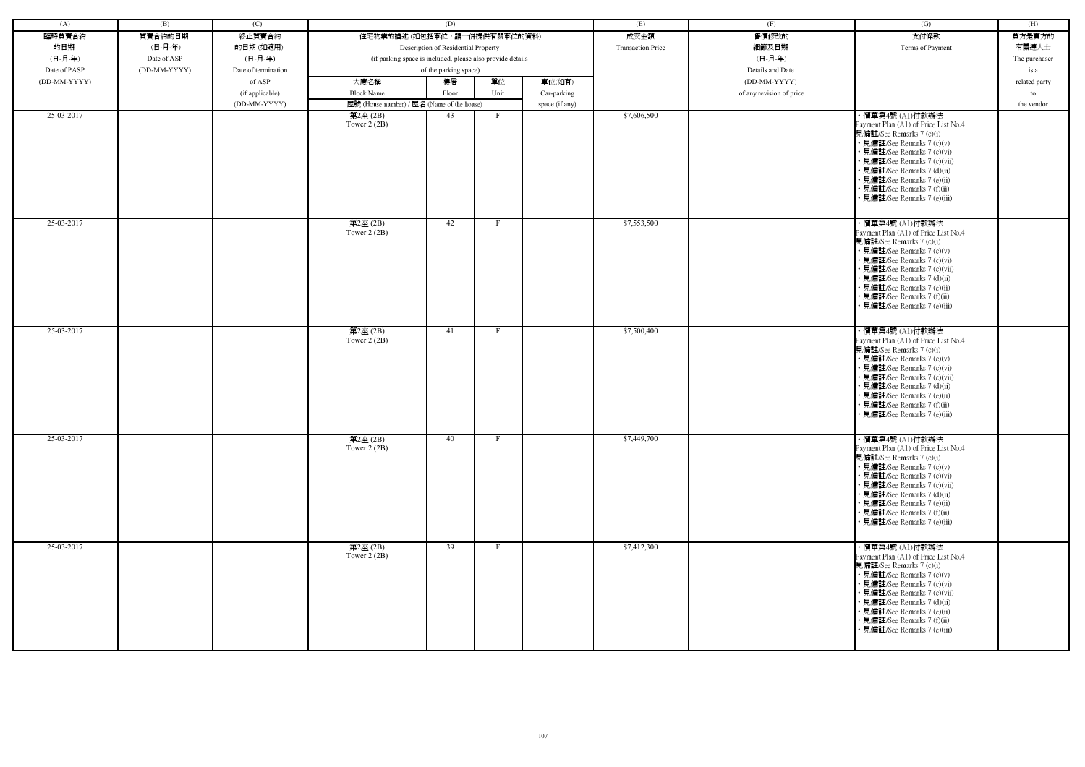| (A)          | (B)          | (C)                 |                                                            | (D)   |      |                          | (E)              | (F)                      | (G)                                                                                                                                                                                                                                                                                                            | (H)           |
|--------------|--------------|---------------------|------------------------------------------------------------|-------|------|--------------------------|------------------|--------------------------|----------------------------------------------------------------------------------------------------------------------------------------------------------------------------------------------------------------------------------------------------------------------------------------------------------------|---------------|
| 臨時買賣合約       | 買賣合約的日期      | 終止買賣合約              | 住宅物業的描述 (如包括車位,請一併提供有關車位的資料)                               |       |      | 成交金額                     | 售價修改的            | 支付條款                     | 買方是賣方的                                                                                                                                                                                                                                                                                                         |               |
| 的日期          | (日-月-年)      | 的日期(如適用)            | Description of Residential Property                        |       |      | <b>Transaction Price</b> | 細節及日期            | Terms of Payment         | 有關連人士                                                                                                                                                                                                                                                                                                          |               |
| (日-月-年)      | Date of ASP  | (日-月-年)             | (if parking space is included, please also provide details |       |      |                          | (日-月-年)          |                          | The purchaser                                                                                                                                                                                                                                                                                                  |               |
| Date of PASP | (DD-MM-YYYY) | Date of termination | of the parking space)                                      |       |      |                          | Details and Date |                          | is a                                                                                                                                                                                                                                                                                                           |               |
| (DD-MM-YYYY) |              | of ASP              | 大廈名稱                                                       | 樓層    | 單位   | 車位(如有)                   |                  | (DD-MM-YYYY)             |                                                                                                                                                                                                                                                                                                                | related party |
|              |              | (if applicable)     | <b>Block Name</b>                                          | Floor | Unit | Car-parking              |                  | of any revision of price |                                                                                                                                                                                                                                                                                                                | to            |
|              |              | (DD-MM-YYYY)        | 屋號 (House number) / 屋名 (Name of the house)                 |       |      | space (if any)           |                  |                          |                                                                                                                                                                                                                                                                                                                | the vendor    |
| 25-03-2017   |              |                     | 第2座 (2B)                                                   | 43    | F    |                          | \$7,606,500      |                          | ・價單第4號 (A1)付款辦法                                                                                                                                                                                                                                                                                                |               |
|              |              |                     | Tower $2(2B)$                                              |       |      |                          |                  |                          | Payment Plan (A1) of Price List No.4<br>見備註/See Remarks 7 (c)(i)<br>• 見備註/See Remarks 7 (c)(v)<br>• 見備註/See Remarks 7 (c)(vi)<br>• 見備註/See Remarks 7 (c)(vii)<br>• 見備註/See Remarks 7 (d)(ii)<br>• 見備註/See Remarks 7 (e)(ii)<br>· 見備註/See Remarks 7 (f)(ii)<br>· 見備註/See Remarks 7 (e)(iii)                     |               |
| 25-03-2017   |              |                     | 第2座(2B)<br>Tower $2(2B)$                                   | 42    | F    |                          | \$7,553,500      |                          | ・價單第4號 (A1)付款辦法<br>Payment Plan (A1) of Price List No.4<br>見備註/See Remarks 7 (c)(i)<br>• 見備註/See Remarks 7 (c)(v)<br>• 見備註/See Remarks 7 (c)(vi)<br>· 見備註/See Remarks 7 (c)(vii)<br>• 見備註/See Remarks 7 (d)(ii)<br>· 見備註/See Remarks 7 (e)(ii)<br>· 見備註/See Remarks 7 (f)(ii)<br>• 見備註/See Remarks 7 (e)(iii)  |               |
| 25-03-2017   |              |                     | 第2座(2B)<br>Tower $2(2B)$                                   | 41    | F    |                          | \$7,500,400      |                          | · 價單第4號 (A1)付款辦法<br>Payment Plan (A1) of Price List No.4<br>見備註/See Remarks 7 (c)(i)<br>• 見備註/See Remarks 7 (c)(v)<br>• 見備註/See Remarks 7 (c)(vi)<br>• 見備註/See Remarks 7 (c)(vii)<br>• 見備註/See Remarks 7 (d)(ii)<br>• 見備註/See Remarks 7 (e)(ii)<br>• 見備註/See Remarks 7 (f)(ii)<br>• 見備註/See Remarks 7 (e)(iii) |               |
| 25-03-2017   |              |                     | 第2座(2B)<br>Tower $2(2B)$                                   | 40    | F    |                          | \$7,449,700      |                          | · 價單第4號 (A1)付款辦法<br>Payment Plan (A1) of Price List No.4<br>見備註/See Remarks 7 (c)(i)<br>• 見備註/See Remarks 7 (c)(v)<br>• 見備註/See Remarks 7 (c)(vi)<br>• 見備註/See Remarks 7 (c)(vii)<br>• 見備註/See Remarks 7 (d)(ii)<br>• 見備註/See Remarks 7 (e)(ii)<br>• 見備註/See Remarks 7 (f)(ii)<br>• 見備註/See Remarks 7 (e)(iii) |               |
| 25-03-2017   |              |                     | 第2座(2B)<br>Tower $2(2B)$                                   | 39    | F    |                          | \$7,412,300      |                          | ・價單第4號 (A1)付款辦法<br>Payment Plan (A1) of Price List No.4<br>見備註/See Remarks 7 (c)(i)<br>• 見備註/See Remarks 7 (c)(v)<br>• 見備註/See Remarks 7 (c)(vi)<br>• 見備註/See Remarks 7 (c)(vii)<br>• 見備註/See Remarks 7 (d)(ii)<br>• 見備註/See Remarks 7 (e)(ii)<br>· 見備註/See Remarks 7 (f)(ii)<br>• 見備註/See Remarks 7 (e)(iii)  |               |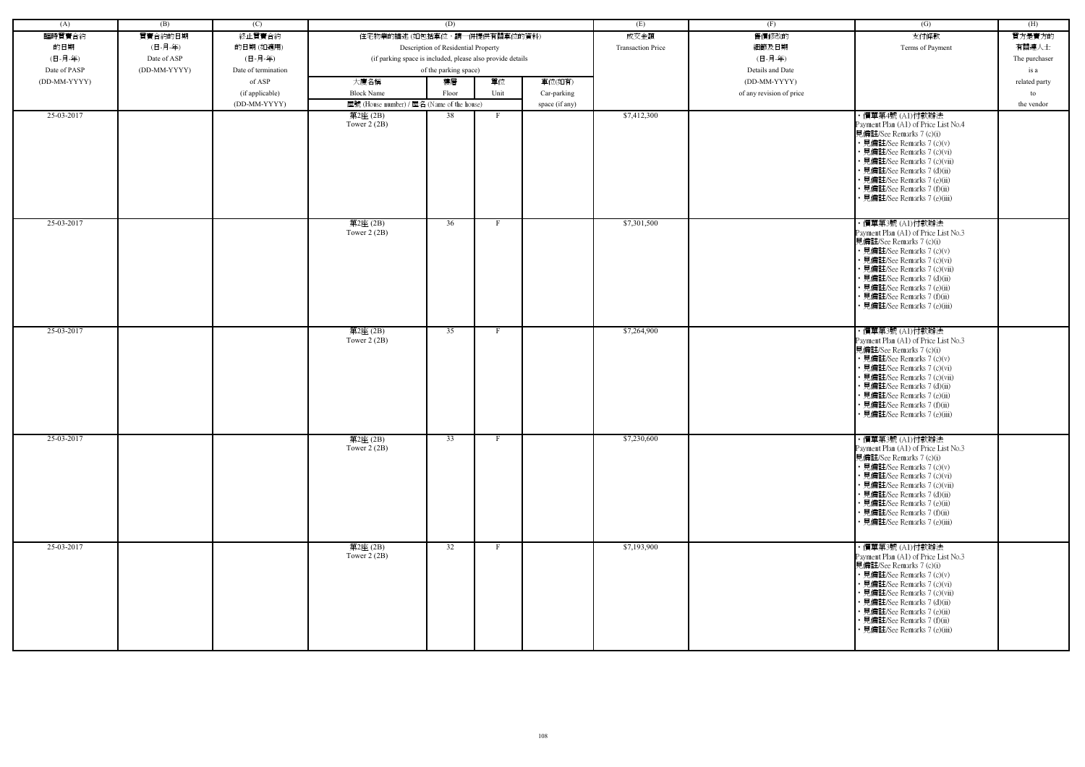| (A)          | (B)          | (C)                 |                                                            | (D)   |              |                          | (E)              | (F)                      | (G)                                                                                                                                                                                                                                                                                                            | (H)           |
|--------------|--------------|---------------------|------------------------------------------------------------|-------|--------------|--------------------------|------------------|--------------------------|----------------------------------------------------------------------------------------------------------------------------------------------------------------------------------------------------------------------------------------------------------------------------------------------------------------|---------------|
| 臨時買賣合約       | 買賣合約的日期      | 終止買賣合約              | 住宅物業的描述 (如包括車位,請一併提供有關車位的資料)                               |       |              | 成交金額                     | 售價修改的            | 支付條款                     | 買方是賣方的                                                                                                                                                                                                                                                                                                         |               |
| 的日期          | (日-月-年)      | 的日期(如適用)            | Description of Residential Property                        |       |              | <b>Transaction Price</b> | 細節及日期            | Terms of Payment         | 有關連人士                                                                                                                                                                                                                                                                                                          |               |
| (日-月-年)      | Date of ASP  | (日-月-年)             | (if parking space is included, please also provide details |       |              |                          | (日-月-年)          |                          | The purchaser                                                                                                                                                                                                                                                                                                  |               |
| Date of PASP | (DD-MM-YYYY) | Date of termination | of the parking space)                                      |       |              |                          | Details and Date |                          | is a                                                                                                                                                                                                                                                                                                           |               |
| (DD-MM-YYYY) |              | of ASP              | 大廈名稱                                                       | 樓層    | 單位           | 車位(如有)                   |                  | (DD-MM-YYYY)             |                                                                                                                                                                                                                                                                                                                | related party |
|              |              | (if applicable)     | <b>Block Name</b>                                          | Floor | Unit         | Car-parking              |                  | of any revision of price |                                                                                                                                                                                                                                                                                                                | to            |
|              |              | (DD-MM-YYYY)        | 屋號 (House number) / 屋名 (Name of the house)                 |       |              | space (if any)           |                  |                          |                                                                                                                                                                                                                                                                                                                | the vendor    |
| 25-03-2017   |              |                     | 第2座(2B)                                                    | 38    | F            |                          | \$7,412,300      |                          | ・價單第4號 (A1)付款辦法                                                                                                                                                                                                                                                                                                |               |
|              |              |                     | Tower $2(2B)$                                              |       |              |                          |                  |                          | Payment Plan (A1) of Price List No.4<br>見備註/See Remarks 7 (c)(i)<br>• 見備註/See Remarks 7 (c)(v)<br>• 見備註/See Remarks 7 (c)(vi)<br>• 見備註/See Remarks 7 (c)(vii)<br>• 見備註/See Remarks 7 (d)(ii)<br>• 見備註/See Remarks 7 (e)(ii)<br>· 見備註/See Remarks 7 (f)(ii)<br>· 見備註/See Remarks 7 (e)(iii)                     |               |
| 25-03-2017   |              |                     | 第2座(2B)<br>Tower $2(2B)$                                   | 36    |              |                          | \$7,301,500      |                          | ・價單第3號 (A1)付款辦法<br>Payment Plan (A1) of Price List No.3<br>見備註/See Remarks 7 (c)(i)<br>• 見備註/See Remarks 7 (c)(v)<br>• 見備註/See Remarks 7 (c)(vi)<br>· 見備註/See Remarks 7 (c)(vii)<br>• 見備註/See Remarks 7 (d)(ii)<br>• 見備註/See Remarks 7 (e)(ii)<br>· 見備註/See Remarks 7 (f)(ii)<br>• 見備註/See Remarks 7 (e)(iii)  |               |
| 25-03-2017   |              |                     | 第2座(2B)<br>Tower $2(2B)$                                   | 35    |              |                          | \$7,264,900      |                          | ・價單第3號 (A1)付款辦法<br>Payment Plan (A1) of Price List No.3<br>見備註/See Remarks 7 (c)(i)<br>• 見備註/See Remarks 7 (c)(v)<br>• 見備註/See Remarks 7 (c)(vi)<br>• 見備註/See Remarks 7 (c)(vii)<br>• 見備註/See Remarks 7 (d)(ii)<br>• 見備註/See Remarks 7 (e)(ii)<br>• 見備註/See Remarks 7 (f)(ii)<br>• 見備註/See Remarks 7 (e)(iii)  |               |
| 25-03-2017   |              |                     | 第2座(2B)<br>Tower $2(2B)$                                   | 33    |              |                          | \$7,230,600      |                          | · 價單第3號 (A1)付款辦法<br>Payment Plan (A1) of Price List No.3<br>見備註/See Remarks 7 (c)(i)<br>• 見備註/See Remarks 7 (c)(v)<br>• 見備註/See Remarks 7 (c)(vi)<br>• 見備註/See Remarks 7 (c)(vii)<br>• 見備註/See Remarks 7 (d)(ii)<br>• 見備註/See Remarks 7 (e)(ii)<br>• 見備註/See Remarks 7 (f)(ii)<br>• 見備註/See Remarks 7 (e)(iii) |               |
| 25-03-2017   |              |                     | 第2座(2B)<br>Tower $2(2B)$                                   | 32    | $\mathbf{F}$ |                          | \$7,193,900      |                          | ・價單第3號 (A1)付款辦法<br>Payment Plan (A1) of Price List No.3<br>見備註/See Remarks 7 (c)(i)<br>• 見備註/See Remarks 7 (c)(v)<br>• 見備註/See Remarks 7 (c)(vi)<br>• 見備註/See Remarks 7 (c)(vii)<br>• 見備註/See Remarks 7 (d)(ii)<br>• 見備註/See Remarks 7 (e)(ii)<br>• 見備註/See Remarks 7 (f)(ii)<br>• 見備註/See Remarks 7 (e)(iii)  |               |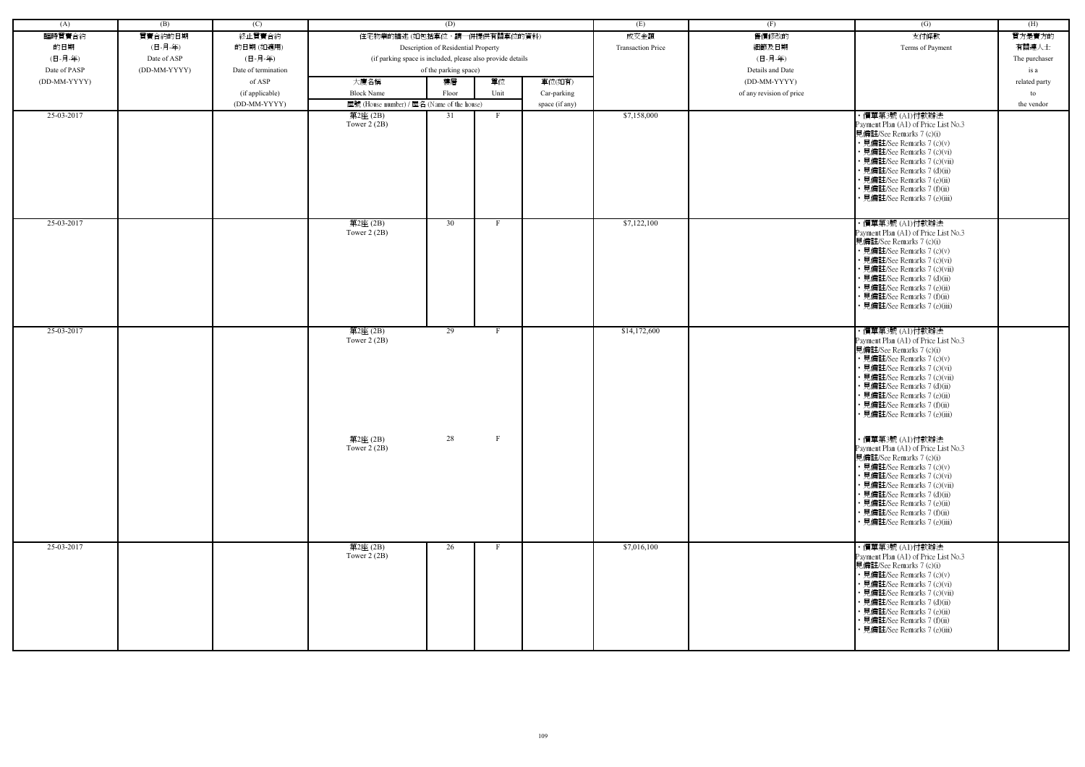| (A)          | (B)          | (C)                 |                                                            | (D)                                 |                   |                | (E)                      | (F)                      | (G)                                                                                                                                                                                                                                                                                                                              | (H)           |
|--------------|--------------|---------------------|------------------------------------------------------------|-------------------------------------|-------------------|----------------|--------------------------|--------------------------|----------------------------------------------------------------------------------------------------------------------------------------------------------------------------------------------------------------------------------------------------------------------------------------------------------------------------------|---------------|
| 臨時買賣合約       | 買賣合約的日期      | 終止買賣合約              | 住宅物業的描述 (如包括車位,請一併提供有關車位的資料)                               |                                     |                   |                | 成交金額                     | 售價修改的                    | 支付條款                                                                                                                                                                                                                                                                                                                             | 買方是賣方的        |
| 的日期          | (日-月-年)      | 的日期(如適用)            |                                                            | Description of Residential Property |                   |                | <b>Transaction Price</b> | 細節及日期                    | Terms of Payment                                                                                                                                                                                                                                                                                                                 | 有關連人士         |
| (日-月-年)      | Date of ASP  | (日-月-年)             | (if parking space is included, please also provide details |                                     |                   |                |                          | (日-月-年)                  |                                                                                                                                                                                                                                                                                                                                  | The purchaser |
| Date of PASP | (DD-MM-YYYY) | Date of termination |                                                            | of the parking space)               |                   |                |                          | Details and Date         |                                                                                                                                                                                                                                                                                                                                  | is a          |
| (DD-MM-YYYY) |              | of ASP              | 大廈名稱                                                       | 樓層                                  | 單位                | 車位(如有)         |                          | (DD-MM-YYYY)             |                                                                                                                                                                                                                                                                                                                                  | related party |
|              |              | (if applicable)     | <b>Block Name</b>                                          | Floor                               | Unit              | Car-parking    |                          | of any revision of price |                                                                                                                                                                                                                                                                                                                                  | to            |
|              |              | (DD-MM-YYYY)        | 屋號 (House number) / 屋名 (Name of the house)                 |                                     |                   | space (if any) |                          |                          |                                                                                                                                                                                                                                                                                                                                  | the vendor    |
| 25-03-2017   |              |                     | $\overline*$ 2座 (2B)                                       | 31                                  | $\mathbf{F}$      |                | \$7,158,000              |                          | ・價單第3號 (A1)付款辦法                                                                                                                                                                                                                                                                                                                  |               |
|              |              |                     | Tower $2(2B)$                                              |                                     |                   |                |                          |                          | Payment Plan (A1) of Price List No.3<br>見備註/See Remarks 7 (c)(i)<br>• 見備註/See Remarks 7 (c)(v)<br>• 見備註/See Remarks 7 (c)(vi)<br>• 見備註/See Remarks 7 (c)(vii)<br>• 見備註/See Remarks 7 (d)(ii)<br>• 見備註/See Remarks 7 (e)(ii)<br>• 見備註/See Remarks 7 (f)(ii)<br>· 見備註/See Remarks 7 (e)(iii)                                       |               |
| 25-03-2017   |              |                     | 第2座(2B)<br>Tower $2(2B)$                                   | 30                                  | $\mathbf{F}$      |                | \$7,122,100              |                          | ・價單第3號 (A1)付款辦法<br>Payment Plan (A1) of Price List No.3<br>見備註/See Remarks 7 (c)(i)<br>• 見備註/See Remarks 7 (c)(v)<br>• 見備註/See Remarks 7 (c)(vi)<br>• 見備註/See Remarks 7 (c)(vii)<br>• 見備註/See Remarks 7 (d)(ii)<br>• 見備註/See Remarks 7 (e)(ii)<br>· 見備註/See Remarks 7 (f)(ii)<br>• 見備註/See Remarks 7 (e)(iii)                    |               |
| 25-03-2017   |              |                     | 第2座(2B)<br>Tower $2(2B)$<br>第2座 (2B)                       | 29<br>28                            | F<br>$\mathbf{F}$ |                | \$14,172,600             |                          | ・價單第3號 (A1)付款辦法<br>Payment Plan (A1) of Price List No.3<br>見備註/See Remarks 7 (c)(i)<br>• 見備註/See Remarks 7 (c)(v)<br>• 見備註/See Remarks 7 (c)(vi)<br>• 見備註/See Remarks 7 (c)(vii)<br>• 見備註/See Remarks 7 (d)(ii)<br>• 見備註/See Remarks 7 (e)(ii)<br>• 見備註/See Remarks 7 (f)(ii)<br>• 見備註/See Remarks 7 (e)(iii)<br>・價單第3號 (A1)付款辦法 |               |
|              |              |                     | Tower $2(2B)$                                              |                                     |                   |                |                          |                          | Payment Plan (A1) of Price List No.3<br>見備註/See Remarks 7 (c)(i)<br>• 見備註/See Remarks 7 (c)(v)<br>• 見備註/See Remarks 7 (c)(vi)<br>• 見備註/See Remarks 7 (c)(vii)<br>• 見備註/See Remarks 7 (d)(ii)<br>• 見備註/See Remarks 7 (e)(ii)<br>• 見備註/See Remarks 7 (f)(ii)<br>• 見備註/See Remarks 7 (e)(iii)                                       |               |
| 25-03-2017   |              |                     | 第2座(2B)<br>Tower $2(2B)$                                   | 26                                  | F                 |                | \$7,016,100              |                          | ・價單第3號 (A1)付款辦法<br>Payment Plan (A1) of Price List No.3<br>見備註/See Remarks 7 (c)(i)<br>• 見備註/See Remarks 7 (c)(v)<br>• 見備註/See Remarks 7 (c)(vi)<br>• 見備註/See Remarks 7 (c)(vii)<br>• 見備註/See Remarks 7 (d)(ii)<br>• 見備註/See Remarks 7 (e)(ii)<br>• 見備註/See Remarks 7 (f)(ii)<br>見備註/See Remarks 7 (e)(iii)                      |               |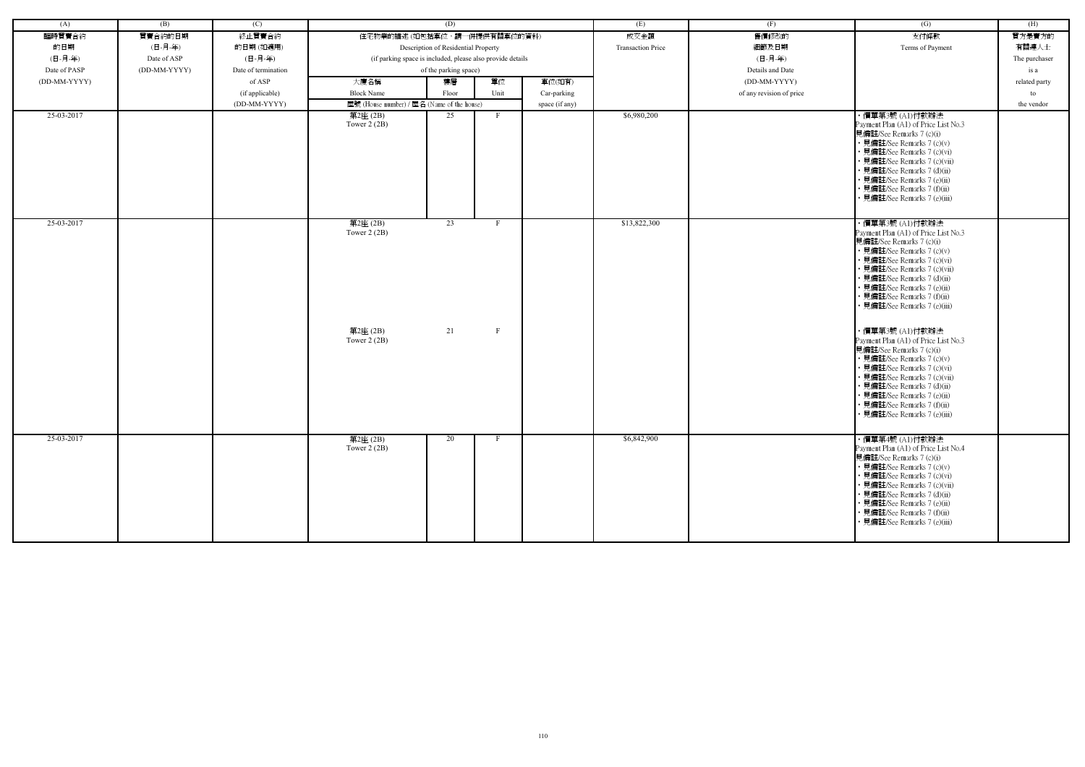| (A)          | (B)          | (C)                 |                                                            | (D)                                 |                   |                | (E)                      | (F)                      | (G)                                                                                                                                                                                                                                                                                                                                                                                                                                | (H)           |
|--------------|--------------|---------------------|------------------------------------------------------------|-------------------------------------|-------------------|----------------|--------------------------|--------------------------|------------------------------------------------------------------------------------------------------------------------------------------------------------------------------------------------------------------------------------------------------------------------------------------------------------------------------------------------------------------------------------------------------------------------------------|---------------|
| 臨時買賣合約       | 買賣合約的日期      | 終止買賣合約              | 住宅物業的描述 (如包括車位,請一併提供有關車位的資料)                               |                                     |                   |                | 成交金額                     | 售價修改的                    | 支付條款                                                                                                                                                                                                                                                                                                                                                                                                                               | 買方是賣方的        |
| 的日期          | (日-月-年)      | 的日期(如適用)            |                                                            | Description of Residential Property |                   |                | <b>Transaction Price</b> | 細節及日期                    | Terms of Payment                                                                                                                                                                                                                                                                                                                                                                                                                   | 有關連人士         |
| (日-月-年)      | Date of ASP  | (日-月-年)             | (if parking space is included, please also provide details |                                     |                   |                |                          | (日-月-年)                  |                                                                                                                                                                                                                                                                                                                                                                                                                                    | The purchaser |
| Date of PASP | (DD-MM-YYYY) | Date of termination |                                                            | of the parking space)               |                   |                |                          | Details and Date         |                                                                                                                                                                                                                                                                                                                                                                                                                                    | is a          |
| (DD-MM-YYYY) |              | of ASP              | 大廈名稱                                                       | 樓層                                  | 單位                | 車位(如有)         |                          | (DD-MM-YYYY)             |                                                                                                                                                                                                                                                                                                                                                                                                                                    | related party |
|              |              | (if applicable)     | <b>Block Name</b>                                          | Floor                               | Unit              | Car-parking    |                          | of any revision of price |                                                                                                                                                                                                                                                                                                                                                                                                                                    | to            |
|              |              | (DD-MM-YYYY)        | 屋號 (House number) / 屋名 (Name of the house)                 |                                     |                   | space (if any) |                          |                          |                                                                                                                                                                                                                                                                                                                                                                                                                                    | the vendor    |
| 25-03-2017   |              |                     | 第2座(2B)<br>Tower $2(2B)$                                   | 25                                  | F                 |                | \$6,980,200              |                          | ·價單第3號(Al)付款辦法<br>Payment Plan (A1) of Price List No.3<br>見備註/See Remarks 7 (c)(i)<br>• 見備註/See Remarks 7 (c)(v)<br>• 見備註/See Remarks 7 (c)(vi)<br>• 見備註/See Remarks 7 (c)(vii)<br>· 見備註/See Remarks 7 (d)(ii)<br>• 見備註/See Remarks 7 (e)(ii)<br>見備註/See Remarks 7 (f)(ii)<br>· 見備註/See Remarks 7 (e)(iii)                                                                                                                         |               |
| 25-03-2017   |              |                     | 第2座(2B)<br>Tower $2(2B)$<br>第2座(2B)<br>Tower $2(2B)$       | 23<br>21                            | F<br>$\mathbf{F}$ |                | \$13,822,300             |                          | ・價單第3號 (A1)付款辦法<br>Payment Plan (A1) of Price List No.3<br>見備註/See Remarks 7 (c)(i)<br>• 見備註/See Remarks 7 (c)(v)<br>• 見備註/See Remarks 7 (c)(vi)<br>• 見備註/See Remarks 7 (c)(vii)<br>• 見備註/See Remarks 7 (d)(ii)<br>• 見備註/See Remarks 7 (e)(ii)<br>• 見備註/See Remarks 7 (f)(ii)<br>• 見備註/See Remarks 7 (e)(iii)<br>・價單第3號 (A1)付款辦法<br>Payment Plan (A1) of Price List No.3<br>見備註/See Remarks 7 (c)(i)<br>• 見備註/See Remarks 7 (c)(v) |               |
|              |              |                     |                                                            |                                     |                   |                |                          |                          | • 見備註/See Remarks 7 (c)(vi)<br>• 見備註/See Remarks 7 (c)(vii)<br>• 見備註/See Remarks 7 (d)(ii)<br>• 見備註/See Remarks 7 (e)(ii)<br>• 見備註/See Remarks 7 (f)(ii)<br>• 見備註/See Remarks 7 (e)(iii)                                                                                                                                                                                                                                           |               |
| 25-03-2017   |              |                     | 第2座(2B)<br>Tower $2(2B)$                                   | 20                                  |                   |                | \$6,842,900              |                          | ・價單第4號 (A1)付款辦法<br>Payment Plan (A1) of Price List No.4<br>見備註/See Remarks 7 (c)(i)<br>• 見備註/See Remarks 7 (c)(v)<br>• 見備註/See Remarks 7 (c)(vi)<br>• 見備註/See Remarks 7 (c)(vii)<br>• 見備註/See Remarks 7 (d)(ii)<br>• 見備註/See Remarks 7 (e)(ii)<br>• 見備註/See Remarks 7 (f)(ii)<br>• 見備註/See Remarks 7 (e)(iii)                                                                                                                      |               |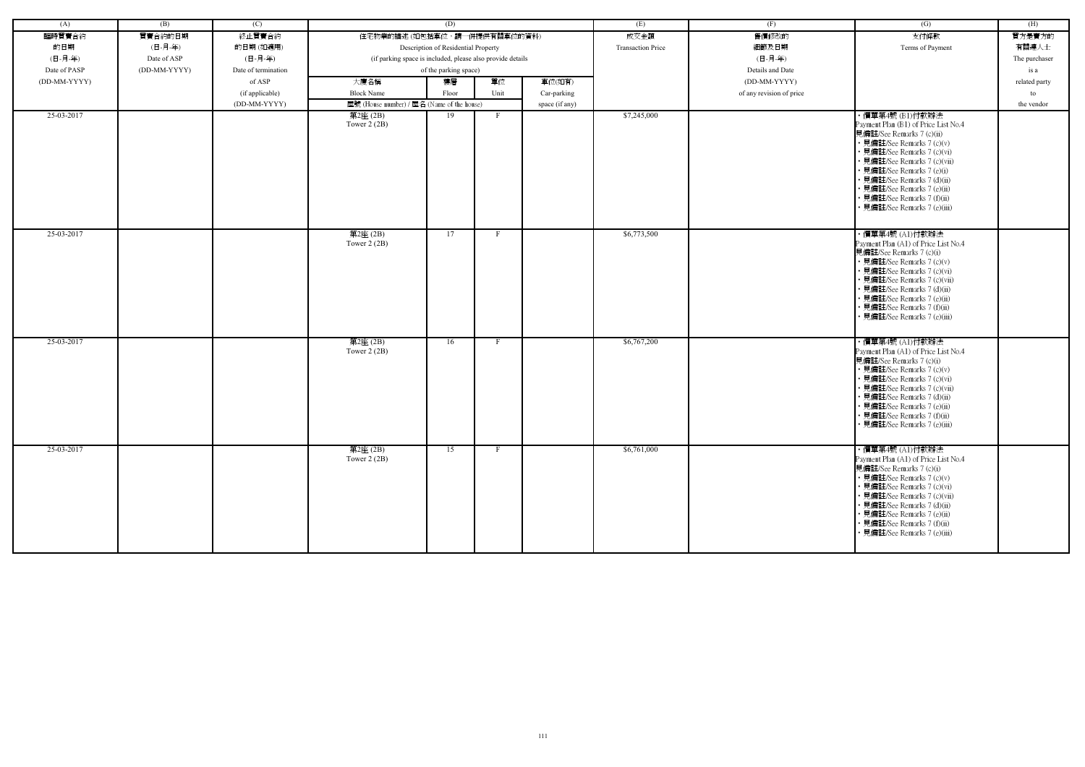| (A)          | (B)          | (C)                 |                                                            | (D)                                 |      |                | (E)                      | (F)                      | (G)                                                                                                                                                                                                                                                                                                                       | (H)           |
|--------------|--------------|---------------------|------------------------------------------------------------|-------------------------------------|------|----------------|--------------------------|--------------------------|---------------------------------------------------------------------------------------------------------------------------------------------------------------------------------------------------------------------------------------------------------------------------------------------------------------------------|---------------|
| 臨時買賣合約       | 買賣合約的日期      | 終止買賣合約              | 住宅物業的描述 (如包括車位,請一併提供有關車位的資料)                               |                                     |      |                | 成交金額                     | 售價修改的                    | 支付條款                                                                                                                                                                                                                                                                                                                      | 買方是賣方的        |
| 的日期          | (日-月-年)      | 的日期(如適用)            |                                                            | Description of Residential Property |      |                | <b>Transaction Price</b> | 細節及日期                    | Terms of Payment                                                                                                                                                                                                                                                                                                          | 有關連人士         |
| (日-月-年)      | Date of ASP  | (日-月-年)             | (if parking space is included, please also provide details |                                     |      |                |                          | (日-月-年)                  |                                                                                                                                                                                                                                                                                                                           | The purchaser |
| Date of PASP | (DD-MM-YYYY) | Date of termination |                                                            | of the parking space)               |      |                |                          | Details and Date         |                                                                                                                                                                                                                                                                                                                           | is a          |
| (DD-MM-YYYY) |              | of ASP              | 大廈名稱                                                       | 樓層                                  | 單位   | 車位(如有)         |                          | (DD-MM-YYYY)             |                                                                                                                                                                                                                                                                                                                           | related party |
|              |              | (if applicable)     | <b>Block Name</b>                                          | Floor                               | Unit | Car-parking    |                          | of any revision of price |                                                                                                                                                                                                                                                                                                                           | to            |
|              |              | (DD-MM-YYYY)        | 屋號 (House number) / 屋名 (Name of the house)                 |                                     |      |                |                          |                          |                                                                                                                                                                                                                                                                                                                           | the vendor    |
| 25-03-2017   |              |                     | 第2座(2B)                                                    | 19                                  | - F  | space (if any) | \$7,245,000              |                          | ・價單第4號 (B1)付款辦法                                                                                                                                                                                                                                                                                                           |               |
|              |              |                     | Tower $2(2B)$                                              |                                     |      |                |                          |                          | Payment Plan (B1) of Price List No.4<br>見備註/See Remarks 7 (c)(ii)<br>• 見備註/See Remarks 7 (c)(v)<br>· 見備註/See Remarks 7 (c)(vi)<br>· 見備註/See Remarks 7 (c)(vii)<br>• 見備註/See Remarks 7 (e)(i)<br>• 見備註/See Remarks 7 (d)(ii)<br>• 見備註/See Remarks 7 (e)(ii)<br>• 見備註/See Remarks 7 (f)(ii)<br>· 見備註/See Remarks 7 (e)(iii) |               |
| 25-03-2017   |              |                     | 第2座(2B)<br>Tower $2(2B)$                                   | 17                                  | F    |                | \$6,773,500              |                          | ・價單第4號 (A1)付款辦法<br>Payment Plan (A1) of Price List No.4<br>見備註/See Remarks 7 (c)(i)<br>• 見備註/See Remarks 7 (c)(v)<br>· 見備註/See Remarks 7 (c)(vi)<br>• 見備註/See Remarks 7 (c)(vii)<br>• 見備註/See Remarks 7 (d)(ii)<br>• 見備註/See Remarks 7 (e)(ii)<br>• 見備註/See Remarks 7 (f)(ii)<br>• 見備註/See Remarks 7 (e)(iii)             |               |
| 25-03-2017   |              |                     | 第2座(2B)<br>Tower $2(2B)$                                   | 16                                  |      |                | \$6,767,200              |                          | ・價單第4號 (A1)付款辦法<br>Payment Plan (A1) of Price List No.4<br>見備註/See Remarks 7 (c)(i)<br>• 見備註/See Remarks 7 (c)(v)<br>• 見備註/See Remarks 7 (c)(vi)<br>• 見備註/See Remarks 7 (c)(vii)<br>• 見備註/See Remarks 7 (d)(ii)<br>· 見備註/See Remarks 7 (e)(ii)<br>• 見備註/See Remarks 7 (f)(ii)<br>• 見備註/See Remarks 7 (e)(iii)             |               |
| 25-03-2017   |              |                     | 第2座(2B)<br>Tower $2(2B)$                                   | 15                                  | F    |                | \$6,761,000              |                          | ・價單第4號 (A1)付款辦法<br>Payment Plan (A1) of Price List No.4<br>見備註/See Remarks 7 (c)(i)<br>• 見備註/See Remarks 7 (c)(v)<br>• 見備註/See Remarks 7 (c)(vi)<br>• 見備註/See Remarks 7 (c)(vii)<br>• 見備註/See Remarks 7 (d)(ii)<br>• 見備註/See Remarks 7 (e)(ii)<br>• 見備註/See Remarks 7 (f)(ii)<br>· 見備註/See Remarks 7 (e)(iii)             |               |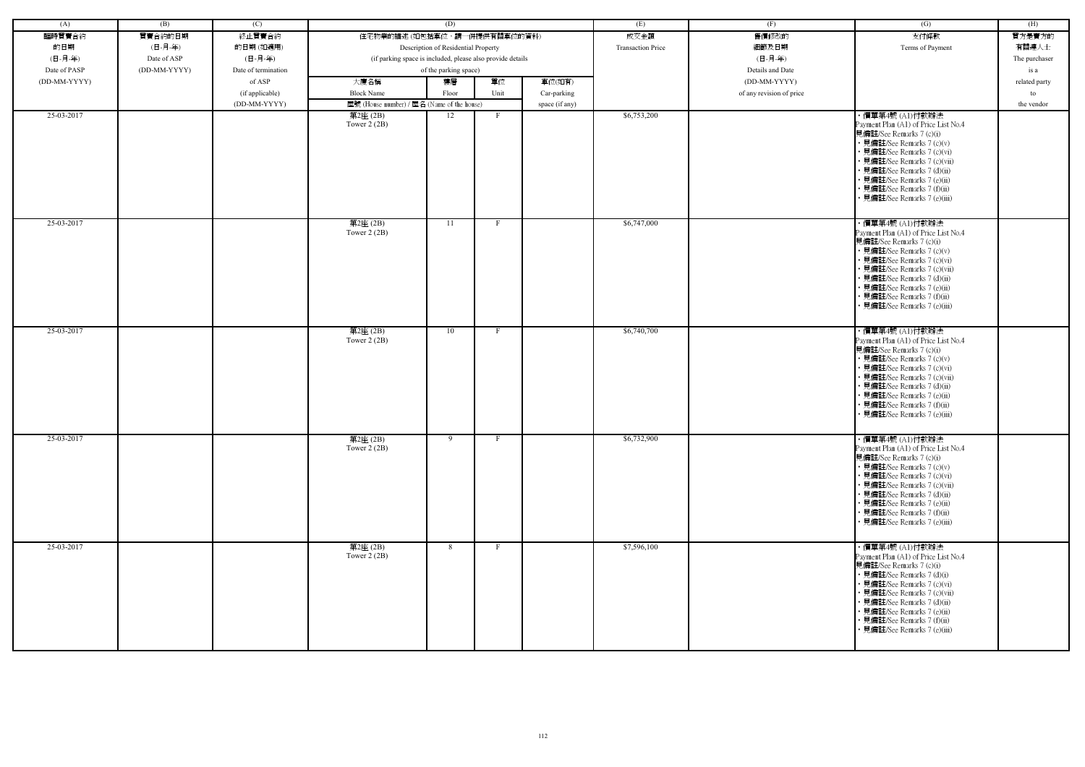| (A)          | (B)          | (C)                 |                                                            | (D)                                 |              |                | (E)                      | (F)                      | (G)                                                                                                                                                                                                                                                                                                           | (H)           |
|--------------|--------------|---------------------|------------------------------------------------------------|-------------------------------------|--------------|----------------|--------------------------|--------------------------|---------------------------------------------------------------------------------------------------------------------------------------------------------------------------------------------------------------------------------------------------------------------------------------------------------------|---------------|
| 臨時買賣合約       | 買賣合約的日期      | 終止買賣合約              | 住宅物業的描述 (如包括車位,請一併提供有關車位的資料)                               |                                     |              |                | 成交金額                     | 售價修改的                    | 支付條款                                                                                                                                                                                                                                                                                                          | 買方是賣方的        |
| 的日期          | (日-月-年)      | 的日期(如適用)            |                                                            | Description of Residential Property |              |                | <b>Transaction Price</b> | 細節及日期                    | Terms of Payment                                                                                                                                                                                                                                                                                              | 有關連人士         |
| (日-月-年)      | Date of ASP  | (日-月-年)             | (if parking space is included, please also provide details |                                     |              |                |                          | (日-月-年)                  |                                                                                                                                                                                                                                                                                                               | The purchaser |
| Date of PASP | (DD-MM-YYYY) | Date of termination |                                                            | of the parking space)               |              |                |                          | Details and Date         |                                                                                                                                                                                                                                                                                                               | is a          |
| (DD-MM-YYYY) |              | of ASP              | 大廈名稱                                                       | 樓層                                  | 單位           | 車位(如有)         |                          | (DD-MM-YYYY)             |                                                                                                                                                                                                                                                                                                               | related party |
|              |              | (if applicable)     | <b>Block Name</b>                                          | Floor                               | Unit         | Car-parking    |                          | of any revision of price |                                                                                                                                                                                                                                                                                                               | to            |
|              |              | (DD-MM-YYYY)        | 屋號 (House number) / 屋名 (Name of the house)                 |                                     |              | space (if any) |                          |                          |                                                                                                                                                                                                                                                                                                               | the vendor    |
| 25-03-2017   |              |                     | 第2座(2B)                                                    | 12                                  | F            |                | \$6,753,200              |                          | ・價單第4號 (A1)付款辦法                                                                                                                                                                                                                                                                                               |               |
|              |              |                     | Tower $2(2B)$                                              |                                     |              |                |                          |                          | Payment Plan (A1) of Price List No.4<br>見備註/See Remarks 7 (c)(i)<br>• 見備註/See Remarks 7 (c)(v)<br>• 見備註/See Remarks 7 (c)(vi)<br>• 見備註/See Remarks 7 (c)(vii)<br>• 見備註/See Remarks 7 (d)(ii)<br>• 見備註/See Remarks 7 (e)(ii)<br>· 見備註/See Remarks 7 (f)(ii)<br>· 見備註/See Remarks 7 (e)(iii)                    |               |
| 25-03-2017   |              |                     | 第2座(2B)<br>Tower $2(2B)$                                   | 11                                  |              |                | \$6,747,000              |                          | ・價單第4號 (A1)付款辦法<br>Payment Plan (A1) of Price List No.4<br>見備註/See Remarks 7 (c)(i)<br>• 見備註/See Remarks 7 (c)(v)<br>• 見備註/See Remarks 7 (c)(vi)<br>· 見備註/See Remarks 7 (c)(vii)<br>• 見備註/See Remarks 7 (d)(ii)<br>• 見備註/See Remarks 7 (e)(ii)<br>· 見備註/See Remarks 7 (f)(ii)<br>• 見備註/See Remarks 7 (e)(iii) |               |
| 25-03-2017   |              |                     | 第2座(2B)<br>Tower $2(2B)$                                   | 10                                  |              |                | \$6,740,700              |                          | ・價單第4號 (A1)付款辦法<br>Payment Plan (A1) of Price List No.4<br>見備註/See Remarks 7 (c)(i)<br>• 見備註/See Remarks 7 (c)(v)<br>• 見備註/See Remarks 7 (c)(vi)<br>• 見備註/See Remarks 7 (c)(vii)<br>• 見備註/See Remarks 7 (d)(ii)<br>• 見備註/See Remarks 7 (e)(ii)<br>• 見備註/See Remarks 7 (f)(ii)<br>• 見備註/See Remarks 7 (e)(iii) |               |
| 25-03-2017   |              |                     | 第2座(2B)<br>Tower $2(2B)$                                   | 9                                   |              |                | \$6,732,900              |                          | ・價單第4號 (A1)付款辦法<br>Payment Plan (A1) of Price List No.4<br>見備註/See Remarks 7 (c)(i)<br>• 見備註/See Remarks 7 (c)(v)<br>• 見備註/See Remarks 7 (c)(vi)<br>• 見備註/See Remarks 7 (c)(vii)<br>• 見備註/See Remarks 7 (d)(ii)<br>• 見備註/See Remarks 7 (e)(ii)<br>• 見備註/See Remarks 7 (f)(ii)<br>• 見備註/See Remarks 7 (e)(iii) |               |
| 25-03-2017   |              |                     | 第2座(2B)<br>Tower $2(2B)$                                   | 8                                   | $\mathbf{F}$ |                | \$7,596,100              |                          | ・價單第4號 (A1)付款辦法<br>Payment Plan (A1) of Price List No.4<br>見備註/See Remarks 7 (c)(i)<br>• 見備註/See Remarks 7 (d)(i)<br>• 見備註/See Remarks 7 (c)(vi)<br>• 見備註/See Remarks 7 (c)(vii)<br>• 見備註/See Remarks 7 (d)(ii)<br>• 見備註/See Remarks 7 (e)(ii)<br>• 見備註/See Remarks 7 (f)(ii)<br>• 見備註/See Remarks 7 (e)(iii) |               |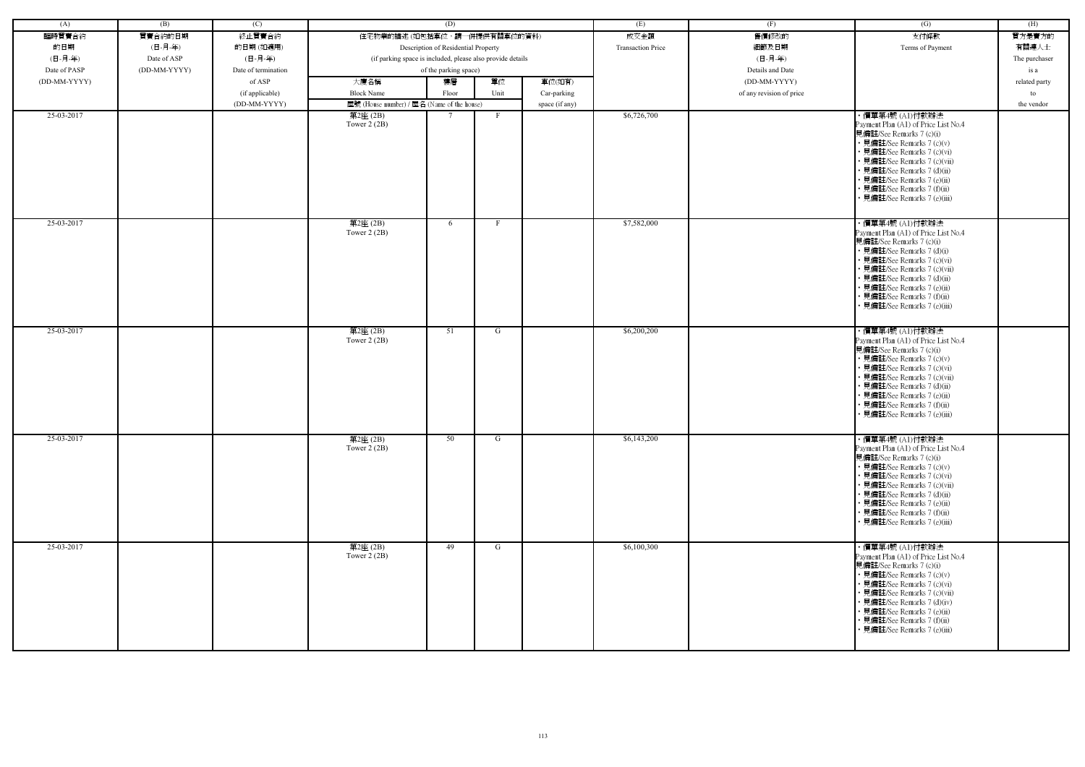| (A)          | (B)          | (C)                 |                                                            | (D)                                 |              |                | (E)                      | (F)                      | (G)                                                                                                                                                                                                                                                                                                           | (H)           |
|--------------|--------------|---------------------|------------------------------------------------------------|-------------------------------------|--------------|----------------|--------------------------|--------------------------|---------------------------------------------------------------------------------------------------------------------------------------------------------------------------------------------------------------------------------------------------------------------------------------------------------------|---------------|
| 臨時買賣合約       | 買賣合約的日期      | 終止買賣合約              | 住宅物業的描述 (如包括車位,請一併提供有關車位的資料)                               |                                     |              |                | 成交金額                     | 售價修改的                    | 支付條款                                                                                                                                                                                                                                                                                                          | 買方是賣方的        |
| 的日期          | (日-月-年)      | 的日期(如適用)            |                                                            | Description of Residential Property |              |                | <b>Transaction Price</b> | 細節及日期                    | Terms of Payment                                                                                                                                                                                                                                                                                              | 有關連人士         |
| (日-月-年)      | Date of ASP  | (日-月-年)             | (if parking space is included, please also provide details |                                     |              |                |                          | (日-月-年)                  |                                                                                                                                                                                                                                                                                                               | The purchaser |
| Date of PASP | (DD-MM-YYYY) | Date of termination |                                                            | of the parking space)               |              |                |                          | Details and Date         |                                                                                                                                                                                                                                                                                                               | is a          |
| (DD-MM-YYYY) |              | of ASP              | 大廈名稱                                                       | 樓層                                  | 單位           | 車位(如有)         |                          | (DD-MM-YYYY)             |                                                                                                                                                                                                                                                                                                               |               |
|              |              |                     |                                                            |                                     |              |                |                          |                          |                                                                                                                                                                                                                                                                                                               | related party |
|              |              | (if applicable)     | <b>Block Name</b>                                          | Floor                               | Unit         | Car-parking    |                          | of any revision of price |                                                                                                                                                                                                                                                                                                               | to            |
|              |              | (DD-MM-YYYY)        | 屋號 (House number) / 屋名 (Name of the house)                 |                                     |              | space (if any) |                          |                          |                                                                                                                                                                                                                                                                                                               | the vendor    |
| 25-03-2017   |              |                     | $\overline*$ 2座 (2B)<br>Tower $2(2B)$                      |                                     | $\mathbf{F}$ |                | \$6,726,700              |                          | ・價單第4號 (A1)付款辦法<br>Payment Plan (A1) of Price List No.4<br>見備註/See Remarks 7 (c)(i)<br>• 見備註/See Remarks 7 (c)(v)<br>• 見備註/See Remarks 7 (c)(vi)<br>• 見備註/See Remarks 7 (c)(vii)<br>• 見備註/See Remarks 7 (d)(ii)<br>• 見備註/See Remarks 7 (e)(ii)<br>• 見備註/See Remarks 7 (f)(ii)<br>· 見備註/See Remarks 7 (e)(iii) |               |
| 25-03-2017   |              |                     | 第2座(2B)<br>Tower $2(2B)$                                   | 6                                   | $\mathbf{F}$ |                | \$7,582,000              |                          | ・價單第4號 (A1)付款辦法<br>Payment Plan (A1) of Price List No.4<br>見備註/See Remarks 7 (c)(i)<br>• 見備註/See Remarks 7 (d)(i)<br>• 見備註/See Remarks 7 (c)(vi)<br>• 見備註/See Remarks 7 (c)(vii)<br>• 見備註/See Remarks 7 (d)(ii)<br>• 見備註/See Remarks 7 (e)(ii)<br>· 見備註/See Remarks 7 (f)(ii)<br>• 見備註/See Remarks 7 (e)(iii) |               |
| 25-03-2017   |              |                     | 第2座(2B)<br>Tower $2(2B)$                                   | 51                                  | G            |                | \$6,200,200              |                          | ・價單第4號 (A1)付款辦法<br>Payment Plan (A1) of Price List No.4<br>見備註/See Remarks 7 (c)(i)<br>• 見備註/See Remarks 7 (c)(v)<br>• 見備註/See Remarks 7 (c)(vi)<br>• 見備註/See Remarks 7 (c)(vii)<br>• 見備註/See Remarks 7 (d)(ii)<br>· 見備註/See Remarks 7 (e)(ii)<br>• 見備註/See Remarks 7 (f)(ii)<br>• 見備註/See Remarks 7 (e)(iii) |               |
| 25-03-2017   |              |                     | 第2座(2B)<br>Tower $2(2B)$                                   | 50                                  | G            |                | \$6,143,200              |                          | ・價單第4號 (A1)付款辦法<br>Payment Plan (A1) of Price List No.4<br>見備註/See Remarks 7 (c)(i)<br>• 見備註/See Remarks 7 (c)(v)<br>• 見備註/See Remarks 7 (c)(vi)<br>• 見備註/See Remarks 7 (c)(vii)<br>• 見備註/See Remarks 7 (d)(ii)<br>• 見備註/See Remarks 7 (e)(ii)<br>• 見備註/See Remarks 7 (f)(ii)<br>• 見備註/See Remarks 7 (e)(iii) |               |
| 25-03-2017   |              |                     | 第2座(2B)<br>Tower $2(2B)$                                   | 49                                  | G            |                | \$6,100,300              |                          | ・價單第4號 (A1)付款辦法<br>Payment Plan (A1) of Price List No.4<br>見備註/See Remarks 7 (c)(i)<br>• 見備註/See Remarks 7 (c)(v)<br>• 見備註/See Remarks 7 (c)(vi)<br>• 見備註/See Remarks 7 (c)(vii)<br>• 見備註/See Remarks 7 (d)(iv)<br>• 見備註/See Remarks 7 (e)(ii)<br>• 見備註/See Remarks 7 (f)(ii)<br>見備註/See Remarks 7 (e)(iii)   |               |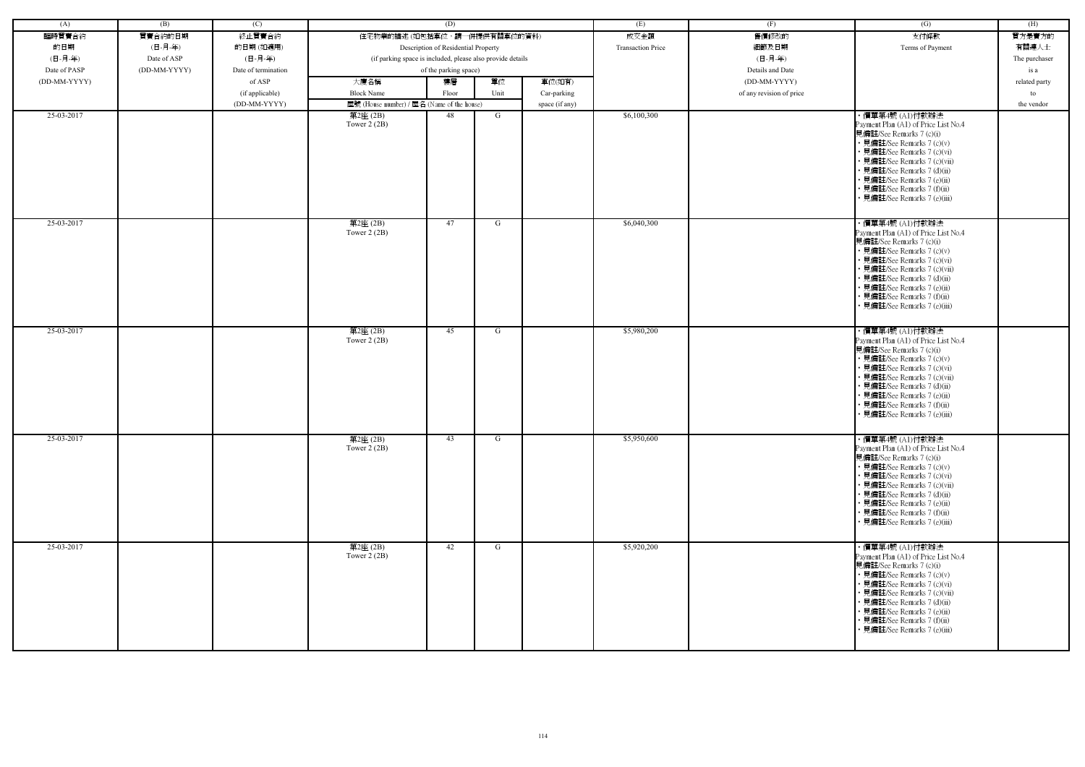| (A)          | (B)          | (C)                 |                                                            | (D)                                 |      |                | (E)                      | (F)                      | (G)                                                                                                                                                                                                                                                                                                           | (H)           |
|--------------|--------------|---------------------|------------------------------------------------------------|-------------------------------------|------|----------------|--------------------------|--------------------------|---------------------------------------------------------------------------------------------------------------------------------------------------------------------------------------------------------------------------------------------------------------------------------------------------------------|---------------|
| 臨時買賣合約       | 買賣合約的日期      | 終止買賣合約              | 住宅物業的描述 (如包括車位,請一併提供有關車位的資料)                               |                                     |      |                | 成交金額                     | 售價修改的                    | 支付條款                                                                                                                                                                                                                                                                                                          | 買方是賣方的        |
| 的日期          | (日-月-年)      | 的日期(如適用)            |                                                            | Description of Residential Property |      |                | <b>Transaction Price</b> | 細節及日期                    | Terms of Payment                                                                                                                                                                                                                                                                                              | 有關連人士         |
| (日-月-年)      | Date of ASP  | (日-月-年)             | (if parking space is included, please also provide details |                                     |      |                |                          | (日-月-年)                  |                                                                                                                                                                                                                                                                                                               | The purchaser |
| Date of PASP | (DD-MM-YYYY) | Date of termination |                                                            | of the parking space)               |      |                |                          | Details and Date         |                                                                                                                                                                                                                                                                                                               | is a          |
| (DD-MM-YYYY) |              | of ASP              | 大廈名稱                                                       | 樓層                                  | 單位   | 車位(如有)         |                          | (DD-MM-YYYY)             |                                                                                                                                                                                                                                                                                                               | related party |
|              |              | (if applicable)     | <b>Block Name</b>                                          | Floor                               | Unit | Car-parking    |                          | of any revision of price |                                                                                                                                                                                                                                                                                                               | to            |
|              |              | (DD-MM-YYYY)        | 屋號 (House number) / 屋名 (Name of the house)                 |                                     |      | space (if any) |                          |                          |                                                                                                                                                                                                                                                                                                               | the vendor    |
| 25-03-2017   |              |                     | 第2座(2B)                                                    | 48                                  | G    |                | \$6,100,300              |                          | ・價單第4號 (A1)付款辦法                                                                                                                                                                                                                                                                                               |               |
|              |              |                     | Tower $2(2B)$                                              |                                     |      |                |                          |                          | Payment Plan (A1) of Price List No.4<br>見備註/See Remarks 7 (c)(i)<br>• 見備註/See Remarks 7 (c)(v)<br>• 見備註/See Remarks 7 (c)(vi)<br>• 見備註/See Remarks 7 (c)(vii)<br>• 見備註/See Remarks 7 (d)(ii)<br>• 見備註/See Remarks 7 (e)(ii)<br>· 見備註/See Remarks 7 (f)(ii)<br>· 見備註/See Remarks 7 (e)(iii)                    |               |
| 25-03-2017   |              |                     | 第2座(2B)<br>Tower $2(2B)$                                   | 47                                  | G    |                | \$6,040,300              |                          | ・價單第4號 (A1)付款辦法<br>Payment Plan (A1) of Price List No.4<br>見備註/See Remarks 7 (c)(i)<br>• 見備註/See Remarks 7 (c)(v)<br>• 見備註/See Remarks 7 (c)(vi)<br>· 見備註/See Remarks 7 (c)(vii)<br>• 見備註/See Remarks 7 (d)(ii)<br>• 見備註/See Remarks 7 (e)(ii)<br>· 見備註/See Remarks 7 (f)(ii)<br>• 見備註/See Remarks 7 (e)(iii) |               |
| 25-03-2017   |              |                     | 第2座(2B)<br>Tower $2(2B)$                                   | 45                                  | G    |                | \$5,980,200              |                          | ・價單第4號 (A1)付款辦法<br>Payment Plan (A1) of Price List No.4<br>見備註/See Remarks 7 (c)(i)<br>• 見備註/See Remarks 7 (c)(v)<br>• 見備註/See Remarks 7 (c)(vi)<br>• 見備註/See Remarks 7 (c)(vii)<br>• 見備註/See Remarks 7 (d)(ii)<br>• 見備註/See Remarks 7 (e)(ii)<br>• 見備註/See Remarks 7 (f)(ii)<br>• 見備註/See Remarks 7 (e)(iii) |               |
| 25-03-2017   |              |                     | 第2座(2B)<br>Tower $2(2B)$                                   | 43                                  | G    |                | \$5,950,600              |                          | ・價單第4號 (A1)付款辦法<br>Payment Plan (A1) of Price List No.4<br>見備註/See Remarks 7 (c)(i)<br>• 見備註/See Remarks 7 (c)(v)<br>• 見備註/See Remarks 7 (c)(vi)<br>• 見備註/See Remarks 7 (c)(vii)<br>• 見備註/See Remarks 7 (d)(ii)<br>• 見備註/See Remarks 7 (e)(ii)<br>• 見備註/See Remarks 7 (f)(ii)<br>• 見備註/See Remarks 7 (e)(iii) |               |
| 25-03-2017   |              |                     | 第2座(2B)<br>Tower $2(2B)$                                   | 42                                  | G    |                | \$5,920,200              |                          | ・價單第4號 (A1)付款辦法<br>Payment Plan (A1) of Price List No.4<br>見備註/See Remarks 7 (c)(i)<br>• 見備註/See Remarks 7 (c)(v)<br>• 見備註/See Remarks 7 (c)(vi)<br>• 見備註/See Remarks 7 (c)(vii)<br>• 見備註/See Remarks 7 (d)(ii)<br>• 見備註/See Remarks 7 (e)(ii)<br>• 見備註/See Remarks 7 (f)(ii)<br>• 見備註/See Remarks 7 (e)(iii) |               |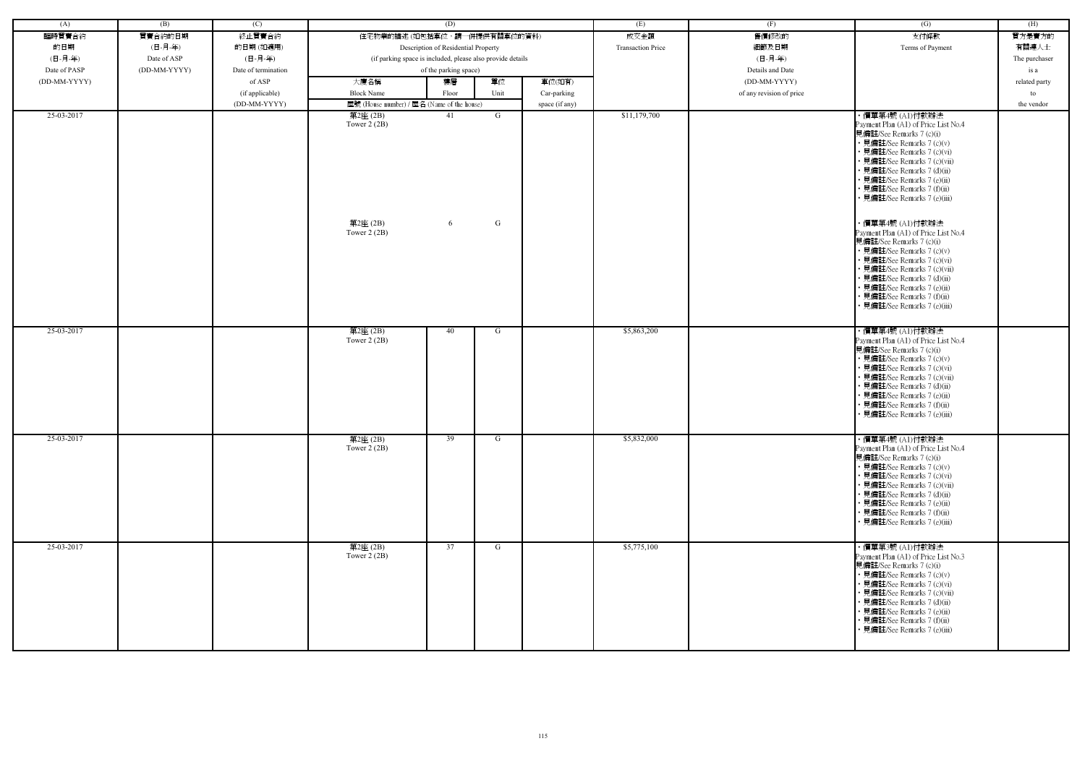| (A)          | (B)          | (C)                 |                                                            | (D)                                 |        |                | (E)                      | (F)                      | $\overline{(G)}$                                                                                                                                                                                                                                                                                                                                                                                                                                                                                                                                                                                                               | (H)           |
|--------------|--------------|---------------------|------------------------------------------------------------|-------------------------------------|--------|----------------|--------------------------|--------------------------|--------------------------------------------------------------------------------------------------------------------------------------------------------------------------------------------------------------------------------------------------------------------------------------------------------------------------------------------------------------------------------------------------------------------------------------------------------------------------------------------------------------------------------------------------------------------------------------------------------------------------------|---------------|
| 臨時買賣合約       | 買賣合約的日期      | 終止買賣合約              | 住宅物業的描述 (如包括車位,請一併提供有關車位的資料)                               |                                     |        |                | 成交金額                     | 售價修改的                    | 支付條款                                                                                                                                                                                                                                                                                                                                                                                                                                                                                                                                                                                                                           | 買方是賣方的        |
| 的日期          | (日-月-年)      | 的日期(如適用)            |                                                            | Description of Residential Property |        |                | <b>Transaction Price</b> | 細節及日期                    | Terms of Payment                                                                                                                                                                                                                                                                                                                                                                                                                                                                                                                                                                                                               | 有關連人士         |
| (日-月-年)      | Date of ASP  | (日-月-年)             | (if parking space is included, please also provide details |                                     |        |                |                          | (日-月-年)                  |                                                                                                                                                                                                                                                                                                                                                                                                                                                                                                                                                                                                                                | The purchaser |
| Date of PASP | (DD-MM-YYYY) | Date of termination |                                                            | of the parking space)               |        |                |                          | Details and Date         |                                                                                                                                                                                                                                                                                                                                                                                                                                                                                                                                                                                                                                | is a          |
| (DD-MM-YYYY) |              | of ASP              | 大廈名稱                                                       | 樓層                                  | 單位     | 車位(如有)         |                          | (DD-MM-YYYY)             |                                                                                                                                                                                                                                                                                                                                                                                                                                                                                                                                                                                                                                | related party |
|              |              | (if applicable)     | <b>Block Name</b>                                          | Floor                               | Unit   | Car-parking    |                          | of any revision of price |                                                                                                                                                                                                                                                                                                                                                                                                                                                                                                                                                                                                                                | to            |
|              |              | (DD-MM-YYYY)        | 屋號 (House number) / 屋名 (Name of the house)                 |                                     |        | space (if any) |                          |                          |                                                                                                                                                                                                                                                                                                                                                                                                                                                                                                                                                                                                                                | the vendor    |
| 25-03-2017   |              |                     | 第2座(2B)<br>Tower $2(2B)$<br>第2座(2B)<br>Tower $2(2B)$       | 41<br>6                             | G<br>G |                | \$11,179,700             |                          | ・價單第4號 (A1)付款辦法<br>Payment Plan (A1) of Price List No.4<br>見備註/See Remarks 7 (c)(i)<br>• 見備註/See Remarks 7 (c)(v)<br>• 見備註/See Remarks 7 (c)(vi)<br>• 見備註/See Remarks 7 (c)(vii)<br>• 見備註/See Remarks 7 (d)(ii)<br>• 見備註/See Remarks 7 (e)(ii)<br>• 見備註/See Remarks 7 (f)(ii)<br>• 見備註/See Remarks 7 (e)(iii)<br>・價單第4號 (A1)付款辦法<br>Payment Plan (A1) of Price List No.4<br>見備註/See Remarks 7 (c)(i)<br>• 見備註/See Remarks 7 (c)(v)<br>• 見備註/See Remarks 7 (c)(vi)<br>• 見備註/See Remarks 7 (c)(vii)<br>· 見備註/See Remarks 7 (d)(ii)<br>• 見備註/See Remarks 7 (e)(ii)<br>• 見備註/See Remarks 7 (f)(ii)<br>• 見備註/See Remarks 7 (e)(iii) |               |
| 25-03-2017   |              |                     | 第2座(2B)<br>Tower $2(2B)$                                   | 40                                  | G      |                | \$5,863,200              |                          | ・價單第4號 (A1)付款辦法<br>Payment Plan (A1) of Price List No.4<br>見備註/See Remarks 7 (c)(i)<br>• 見備註/See Remarks 7 (c)(v)<br>• 見備註/See Remarks 7 (c)(vi)<br>• 見備註/See Remarks 7 (c)(vii)<br>• 見備註/See Remarks 7 (d)(ii)<br>• 見備註/See Remarks 7 (e)(ii)<br>• 見備註/See Remarks 7 (f)(ii)<br>• 見備註/See Remarks 7 (e)(iii)                                                                                                                                                                                                                                                                                                                  |               |
| 25-03-2017   |              |                     | 第2座(2B)<br>Tower $2(2B)$                                   | 39                                  | G      |                | \$5,832,000              |                          | ・價單第4號 (A1)付款辦法<br>Payment Plan (A1) of Price List No.4<br>見備註/See Remarks 7 (c)(i)<br>• 見備註/See Remarks 7 (c)(v)<br>• 見備註/See Remarks 7 (c)(vi)<br>• 見備註/See Remarks 7 (c)(vii)<br>• 見備註/See Remarks 7 (d)(ii)<br>• 見備註/See Remarks 7 (e)(ii)<br>• 見備註/See Remarks 7 (f)(ii)<br>• 見備註/See Remarks 7 (e)(iii)                                                                                                                                                                                                                                                                                                                  |               |
| 25-03-2017   |              |                     | 第2座(2B)<br>Tower $2(2B)$                                   | 37                                  | G      |                | \$5,775,100              |                          | ・價單第3號 (A1)付款辦法<br>Payment Plan (A1) of Price List No.3<br>見備註/See Remarks 7 (c)(i)<br>• 見備註/See Remarks 7 (c)(v)<br>• 見備註/See Remarks 7 (c)(vi)<br>• 見備註/See Remarks 7 (c)(vii)<br>• 見備註/See Remarks 7 (d)(ii)<br>• 見備註/See Remarks 7 (e)(ii)<br>• 見備註/See Remarks 7 (f)(ii)<br>• 見備註/See Remarks 7 (e)(iii)                                                                                                                                                                                                                                                                                                                  |               |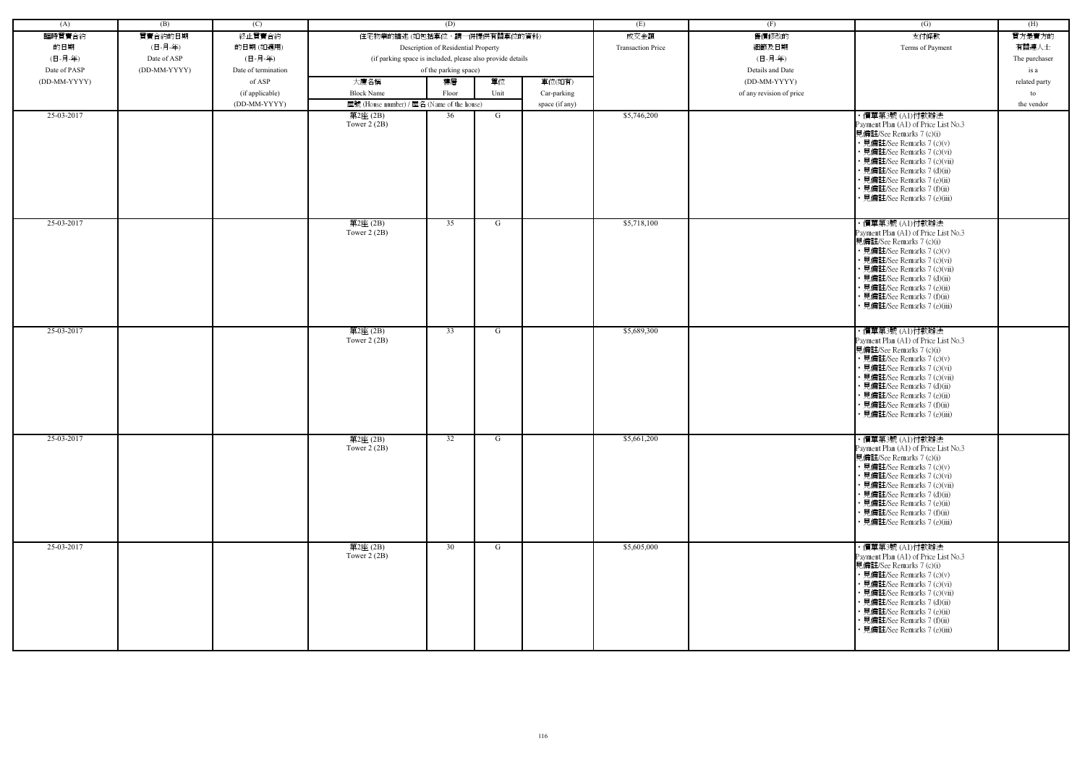| (A)          | (B)          | (C)                 |                                                            | (D)                                 |      |                | (E)                      | (F)                      | (G)                                                                                                                                                                                                                                                                                                            | (H)           |
|--------------|--------------|---------------------|------------------------------------------------------------|-------------------------------------|------|----------------|--------------------------|--------------------------|----------------------------------------------------------------------------------------------------------------------------------------------------------------------------------------------------------------------------------------------------------------------------------------------------------------|---------------|
| 臨時買賣合約       | 買賣合約的日期      | 終止買賣合約              | 住宅物業的描述 (如包括車位,請一併提供有關車位的資料)                               |                                     |      |                | 成交金額                     | 售價修改的                    | 支付條款                                                                                                                                                                                                                                                                                                           | 買方是賣方的        |
| 的日期          | (日-月-年)      | 的日期(如適用)            |                                                            | Description of Residential Property |      |                | <b>Transaction Price</b> | 細節及日期                    | Terms of Payment                                                                                                                                                                                                                                                                                               | 有關連人士         |
| (日-月-年)      | Date of ASP  | (日-月-年)             | (if parking space is included, please also provide details |                                     |      |                |                          | (日-月-年)                  |                                                                                                                                                                                                                                                                                                                | The purchaser |
| Date of PASP | (DD-MM-YYYY) | Date of termination |                                                            | of the parking space)               |      |                |                          | Details and Date         |                                                                                                                                                                                                                                                                                                                |               |
|              |              |                     |                                                            |                                     |      |                |                          |                          |                                                                                                                                                                                                                                                                                                                | is a          |
| (DD-MM-YYYY) |              | of ASP              | 大廈名稱                                                       | 樓層                                  | 單位   | 車位(如有)         |                          | (DD-MM-YYYY)             |                                                                                                                                                                                                                                                                                                                | related party |
|              |              | (if applicable)     | <b>Block Name</b>                                          | Floor                               | Unit | Car-parking    |                          | of any revision of price |                                                                                                                                                                                                                                                                                                                | to            |
|              |              | (DD-MM-YYYY)        | 屋號 (House number) / 屋名 (Name of the house)                 |                                     |      | space (if any) |                          |                          |                                                                                                                                                                                                                                                                                                                | the vendor    |
| 25-03-2017   |              |                     | 第2座 (2B)<br>Tower $2(2B)$                                  | 36                                  | G    |                | \$5,746,200              |                          | ・價單第3號 (A1)付款辦法<br>Payment Plan (A1) of Price List No.3<br>見備註/See Remarks 7 (c)(i)<br>• 見備註/See Remarks 7 (c)(v)<br>• 見備註/See Remarks 7 (c)(vi)<br>• 見備註/See Remarks 7 (c)(vii)<br>• 見備註/See Remarks 7 (d)(ii)<br>• 見備註/See Remarks 7 (e)(ii)<br>• 見備註/See Remarks 7 (f)(ii)<br>見備註/See Remarks 7 (e)(iii)    |               |
| 25-03-2017   |              |                     | 第2座(2B)<br>Tower 2 (2B)                                    | 35                                  | G    |                | \$5,718,100              |                          | ・價單第3號 (A1)付款辦法<br>Payment Plan (A1) of Price List No.3<br>見備註/See Remarks 7 (c)(i)<br>• 見備註/See Remarks 7 (c)(v)<br>• 見備註/See Remarks 7 (c)(vi)<br>• 見備註/See Remarks 7 (c)(vii)<br>• 見備註/See Remarks 7 (d)(ii)<br>· 見備註/See Remarks 7 (e)(ii)<br>· 見備註/See Remarks 7 (f)(ii)<br>• 見備註/See Remarks 7 (e)(iii)  |               |
| 25-03-2017   |              |                     | 第2座(2B)<br>Tower $2(2B)$                                   | 33                                  | G    |                | \$5,689,300              |                          | ・價單第3號 (A1)付款辦法<br>Payment Plan (A1) of Price List No.3<br>見備註/See Remarks 7 (c)(i)<br>• 見備註/See Remarks 7 (c)(v)<br>• 見備註/See Remarks 7 (c)(vi)<br>• 見備註/See Remarks 7 (c)(vii)<br>• 見備註/See Remarks 7 (d)(ii)<br>· 見備註/See Remarks 7 (e)(ii)<br>• 見備註/See Remarks 7 (f)(ii)<br>• 見備註/See Remarks 7 (e)(iii)  |               |
| 25-03-2017   |              |                     | 第2座(2B)<br>Tower $2(2B)$                                   | 32                                  | G    |                | \$5,661,200              |                          | · 價單第3號 (A1)付款辦法<br>Payment Plan (A1) of Price List No.3<br>見備註/See Remarks 7 (c)(i)<br>• 見備註/See Remarks 7 (c)(v)<br>• 見備註/See Remarks 7 (c)(vi)<br>• 見備註/See Remarks 7 (c)(vii)<br>• 見備註/See Remarks 7 (d)(ii)<br>• 見備註/See Remarks 7 (e)(ii)<br>• 見備註/See Remarks 7 (f)(ii)<br>• 見備註/See Remarks 7 (e)(iii) |               |
| 25-03-2017   |              |                     | 第2座(2B)<br>Tower $2(2B)$                                   | 30                                  | G    |                | \$5,605,000              |                          | ・價單第3號 (A1)付款辦法<br>Payment Plan (A1) of Price List No.3<br>見備註/See Remarks 7 (c)(i)<br>• 見備註/See Remarks 7 (c)(v)<br>• 見備註/See Remarks 7 (c)(vi)<br>• 見備註/See Remarks 7 (c)(vii)<br>• 見備註/See Remarks 7 (d)(ii)<br>• 見備註/See Remarks 7 (e)(ii)<br>• 見備註/See Remarks 7 (f)(ii)<br>• 見備註/See Remarks 7 (e)(iii)  |               |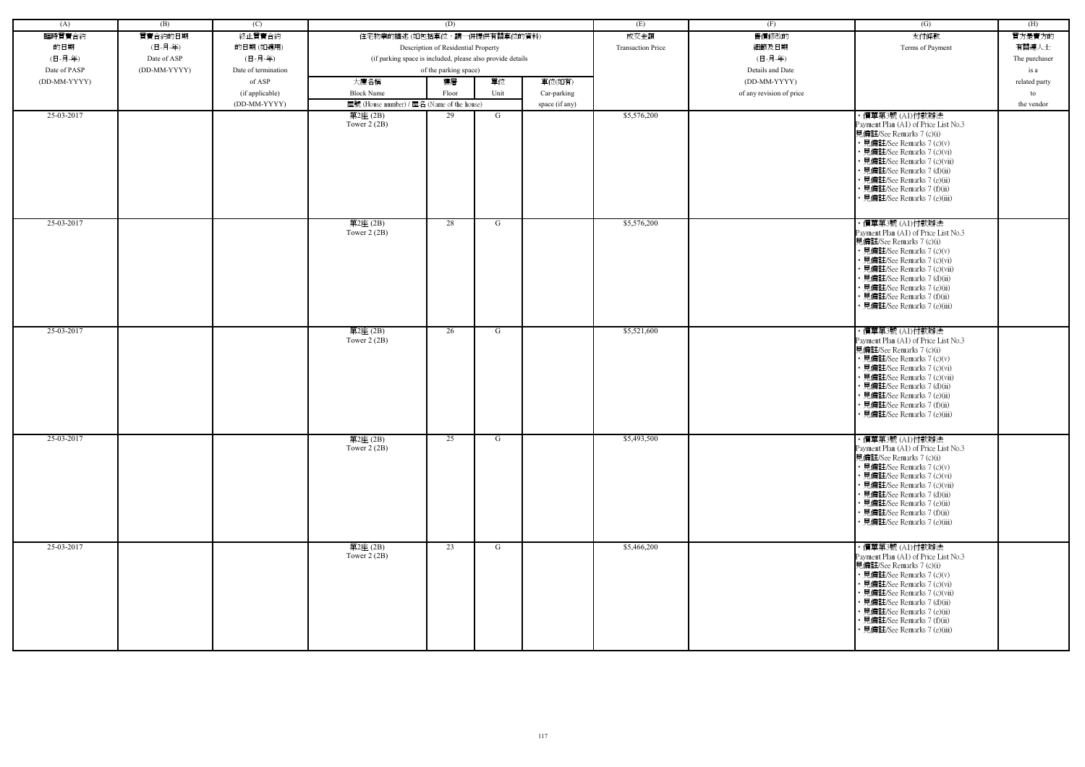| (A)          | (B)          | (C)                 |                                                            | (D)                                 |      |                | (E)                      | (F)                      | (G)                                                                                                                                                                                                                                                                                                            | (H)           |
|--------------|--------------|---------------------|------------------------------------------------------------|-------------------------------------|------|----------------|--------------------------|--------------------------|----------------------------------------------------------------------------------------------------------------------------------------------------------------------------------------------------------------------------------------------------------------------------------------------------------------|---------------|
| 臨時買賣合約       | 買賣合約的日期      | 終止買賣合約              | 住宅物業的描述 (如包括車位,請一併提供有關車位的資料)                               |                                     |      |                | 成交金額                     | 售價修改的                    | 支付條款                                                                                                                                                                                                                                                                                                           | 買方是賣方的        |
| 的日期          | (日-月-年)      | 的日期(如適用)            |                                                            | Description of Residential Property |      |                | <b>Transaction Price</b> | 細節及日期                    | Terms of Payment                                                                                                                                                                                                                                                                                               | 有關連人士         |
| (日-月-年)      | Date of ASP  | (日-月-年)             | (if parking space is included, please also provide details |                                     |      |                |                          | (日-月-年)                  |                                                                                                                                                                                                                                                                                                                | The purchaser |
| Date of PASP | (DD-MM-YYYY) | Date of termination |                                                            | of the parking space)               |      |                |                          | Details and Date         |                                                                                                                                                                                                                                                                                                                |               |
|              |              |                     |                                                            |                                     |      |                |                          |                          |                                                                                                                                                                                                                                                                                                                | is a          |
| (DD-MM-YYYY) |              | of ASP              | 大廈名稱                                                       | 樓層                                  | 單位   | 車位(如有)         |                          | (DD-MM-YYYY)             |                                                                                                                                                                                                                                                                                                                | related party |
|              |              | (if applicable)     | <b>Block Name</b>                                          | Floor                               | Unit | Car-parking    |                          | of any revision of price |                                                                                                                                                                                                                                                                                                                | to            |
|              |              | (DD-MM-YYYY)        | 屋號 (House number) / 屋名 (Name of the house)                 |                                     |      | space (if any) |                          |                          |                                                                                                                                                                                                                                                                                                                | the vendor    |
| 25-03-2017   |              |                     | 第2座 (2B)<br>Tower $2(2B)$                                  | 29                                  | G    |                | \$5,576,200              |                          | ・價單第3號 (A1)付款辦法<br>Payment Plan (A1) of Price List No.3<br>見備註/See Remarks 7 (c)(i)<br>• 見備註/See Remarks 7 (c)(v)<br>• 見備註/See Remarks 7 (c)(vi)<br>• 見備註/See Remarks 7 (c)(vii)<br>• 見備註/See Remarks 7 (d)(ii)<br>• 見備註/See Remarks 7 (e)(ii)<br>• 見備註/See Remarks 7 (f)(ii)<br>見備註/See Remarks 7 (e)(iii)    |               |
| 25-03-2017   |              |                     | 第2座(2B)<br>Tower 2 (2B)                                    | 28                                  | G    |                | \$5,576,200              |                          | ・價單第3號 (A1)付款辦法<br>Payment Plan (A1) of Price List No.3<br>見備註/See Remarks 7 (c)(i)<br>• 見備註/See Remarks 7 (c)(v)<br>• 見備註/See Remarks 7 (c)(vi)<br>• 見備註/See Remarks 7 (c)(vii)<br>• 見備註/See Remarks 7 (d)(ii)<br>· 見備註/See Remarks 7 (e)(ii)<br>· 見備註/See Remarks 7 (f)(ii)<br>• 見備註/See Remarks 7 (e)(iii)  |               |
| 25-03-2017   |              |                     | 第2座(2B)<br>Tower $2(2B)$                                   | 26                                  | G    |                | \$5,521,600              |                          | ・價單第3號 (A1)付款辦法<br>Payment Plan (A1) of Price List No.3<br>見備註/See Remarks 7 (c)(i)<br>• 見備註/See Remarks 7 (c)(v)<br>• 見備註/See Remarks 7 (c)(vi)<br>• 見備註/See Remarks 7 (c)(vii)<br>• 見備註/See Remarks 7 (d)(ii)<br>· 見備註/See Remarks 7 (e)(ii)<br>• 見備註/See Remarks 7 (f)(ii)<br>• 見備註/See Remarks 7 (e)(iii)  |               |
| 25-03-2017   |              |                     | 第2座(2B)<br>Tower $2(2B)$                                   | 25                                  | G    |                | \$5,493,500              |                          | · 價單第3號 (A1)付款辦法<br>Payment Plan (A1) of Price List No.3<br>見備註/See Remarks 7 (c)(i)<br>• 見備註/See Remarks 7 (c)(v)<br>• 見備註/See Remarks 7 (c)(vi)<br>• 見備註/See Remarks 7 (c)(vii)<br>• 見備註/See Remarks 7 (d)(ii)<br>• 見備註/See Remarks 7 (e)(ii)<br>• 見備註/See Remarks 7 (f)(ii)<br>• 見備註/See Remarks 7 (e)(iii) |               |
| 25-03-2017   |              |                     | 第2座(2B)<br>Tower $2(2B)$                                   | 23                                  | G    |                | \$5,466,200              |                          | ・價單第3號 (A1)付款辦法<br>Payment Plan (A1) of Price List No.3<br>見備註/See Remarks 7 (c)(i)<br>• 見備註/See Remarks 7 (c)(v)<br>• 見備註/See Remarks 7 (c)(vi)<br>• 見備註/See Remarks 7 (c)(vii)<br>• 見備註/See Remarks 7 (d)(ii)<br>• 見備註/See Remarks 7 (e)(ii)<br>• 見備註/See Remarks 7 (f)(ii)<br>• 見備註/See Remarks 7 (e)(iii)  |               |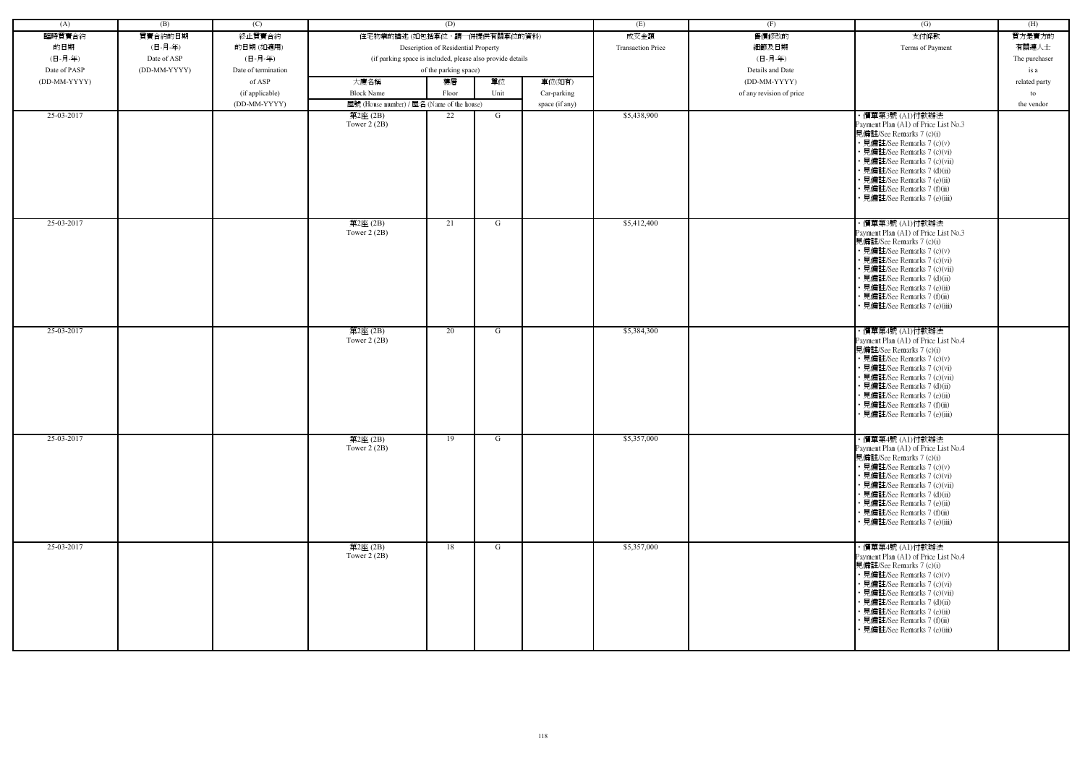| (A)          | (B)          | (C)                 |                                                            | (D)                                 |      |                | (E)                      | (F)                      | (G)                                                                                                                                                                                                                                                                                                           | (H)           |
|--------------|--------------|---------------------|------------------------------------------------------------|-------------------------------------|------|----------------|--------------------------|--------------------------|---------------------------------------------------------------------------------------------------------------------------------------------------------------------------------------------------------------------------------------------------------------------------------------------------------------|---------------|
| 臨時買賣合約       | 買賣合約的日期      | 終止買賣合約              | 住宅物業的描述 (如包括車位,請一併提供有關車位的資料)                               |                                     |      |                | 成交金額                     | 售價修改的                    | 支付條款                                                                                                                                                                                                                                                                                                          | 買方是賣方的        |
| 的日期          | (日-月-年)      | 的日期(如適用)            |                                                            | Description of Residential Property |      |                | <b>Transaction Price</b> | 細節及日期                    | Terms of Payment                                                                                                                                                                                                                                                                                              | 有關連人士         |
| (日-月-年)      | Date of ASP  | (日-月-年)             | (if parking space is included, please also provide details |                                     |      |                |                          | (日-月-年)                  |                                                                                                                                                                                                                                                                                                               | The purchaser |
| Date of PASP | (DD-MM-YYYY) | Date of termination |                                                            | of the parking space)               |      |                |                          | Details and Date         |                                                                                                                                                                                                                                                                                                               |               |
|              |              |                     |                                                            |                                     |      |                |                          |                          |                                                                                                                                                                                                                                                                                                               | is a          |
| (DD-MM-YYYY) |              | of ASP              | 大廈名稱                                                       | 樓層                                  | 單位   | 車位(如有)         |                          | (DD-MM-YYYY)             |                                                                                                                                                                                                                                                                                                               | related party |
|              |              | (if applicable)     | <b>Block Name</b>                                          | Floor                               | Unit | Car-parking    |                          | of any revision of price |                                                                                                                                                                                                                                                                                                               | to            |
|              |              | (DD-MM-YYYY)        | 屋號 (House number) / 屋名 (Name of the house)                 |                                     |      | space (if any) |                          |                          |                                                                                                                                                                                                                                                                                                               | the vendor    |
| 25-03-2017   |              |                     | 第2座 (2B)<br>Tower $2(2B)$                                  | 22                                  | G    |                | \$5,438,900              |                          | ・價單第3號 (A1)付款辦法<br>Payment Plan (A1) of Price List No.3<br>見備註/See Remarks 7 (c)(i)<br>• 見備註/See Remarks 7 (c)(v)<br>• 見備註/See Remarks 7 (c)(vi)<br>• 見備註/See Remarks 7 (c)(vii)<br>• 見備註/See Remarks 7 (d)(ii)<br>• 見備註/See Remarks 7 (e)(ii)<br>• 見備註/See Remarks 7 (f)(ii)<br>見備註/See Remarks 7 (e)(iii)   |               |
| 25-03-2017   |              |                     | 第2座(2B)<br>Tower 2 (2B)                                    | 21                                  | G    |                | \$5,412,400              |                          | ・價單第3號 (A1)付款辦法<br>Payment Plan (A1) of Price List No.3<br>見備註/See Remarks 7 (c)(i)<br>• 見備註/See Remarks 7 (c)(v)<br>• 見備註/See Remarks 7 (c)(vi)<br>• 見備註/See Remarks 7 (c)(vii)<br>• 見備註/See Remarks 7 (d)(ii)<br>· 見備註/See Remarks 7 (e)(ii)<br>• 見備註/See Remarks 7 (f)(ii)<br>• 見備註/See Remarks 7 (e)(iii) |               |
| 25-03-2017   |              |                     | 第2座(2B)<br>Tower $2(2B)$                                   | 20                                  | G    |                | \$5,384,300              |                          | ・價單第4號 (A1)付款辦法<br>Payment Plan (A1) of Price List No.4<br>見備註/See Remarks 7 (c)(i)<br>• 見備註/See Remarks 7 (c)(v)<br>• 見備註/See Remarks 7 (c)(vi)<br>• 見備註/See Remarks 7 (c)(vii)<br>• 見備註/See Remarks 7 (d)(ii)<br>· 見備註/See Remarks 7 (e)(ii)<br>• 見備註/See Remarks 7 (f)(ii)<br>• 見備註/See Remarks 7 (e)(iii) |               |
| 25-03-2017   |              |                     | 第2座(2B)<br>Tower $2(2B)$                                   | 19                                  | G    |                | \$5,357,000              |                          | ・價單第4號 (A1)付款辦法<br>Payment Plan (A1) of Price List No.4<br>見備註/See Remarks 7 (c)(i)<br>• 見備註/See Remarks 7 (c)(v)<br>• 見備註/See Remarks 7 (c)(vi)<br>• 見備註/See Remarks 7 (c)(vii)<br>• 見備註/See Remarks 7 (d)(ii)<br>• 見備註/See Remarks 7 (e)(ii)<br>• 見備註/See Remarks 7 (f)(ii)<br>• 見備註/See Remarks 7 (e)(iii) |               |
| 25-03-2017   |              |                     | 第2座(2B)<br>Tower $2(2B)$                                   | 18                                  | G    |                | \$5,357,000              |                          | ・價單第4號 (A1)付款辦法<br>Payment Plan (A1) of Price List No.4<br>見備註/See Remarks 7 (c)(i)<br>• 見備註/See Remarks 7 (c)(v)<br>• 見備註/See Remarks 7 (c)(vi)<br>• 見備註/See Remarks 7 (c)(vii)<br>• 見備註/See Remarks 7 (d)(ii)<br>• 見備註/See Remarks 7 (e)(ii)<br>• 見備註/See Remarks 7 (f)(ii)<br>• 見備註/See Remarks 7 (e)(iii) |               |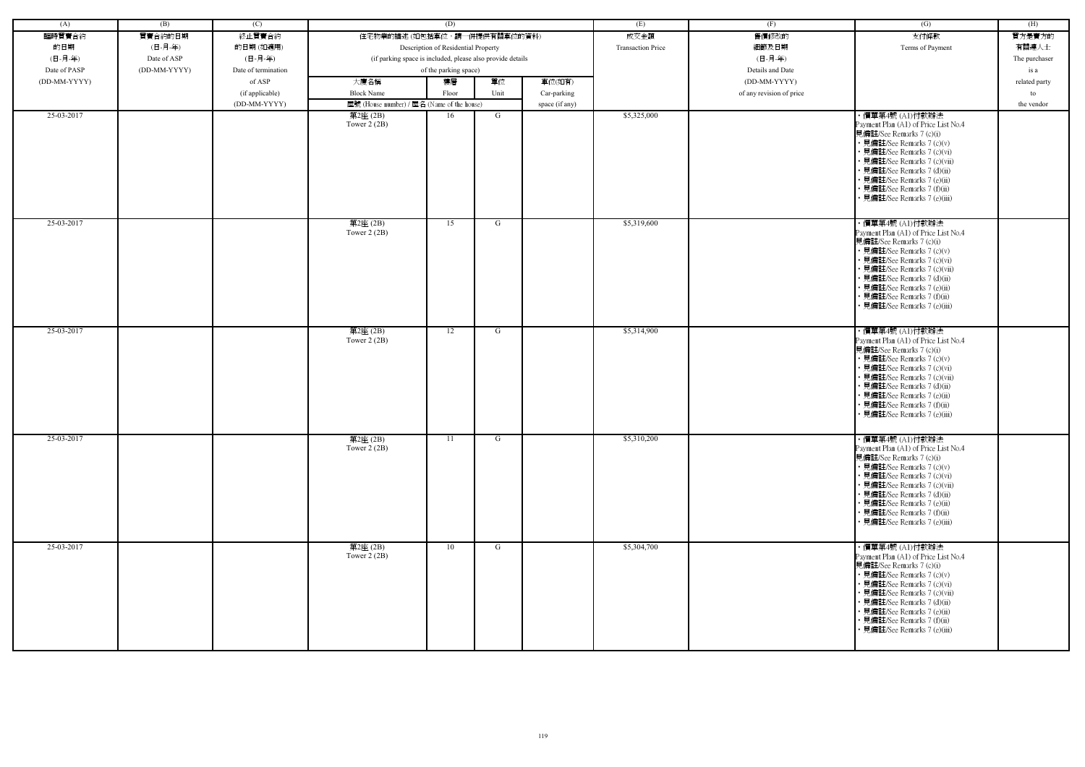| (A)          | (B)          | (C)                 |                                                            | (D)                                 |      |                | (E)                      | (F)                      | (G)                                                                                                                                                                                                                                                                                                           | (H)           |
|--------------|--------------|---------------------|------------------------------------------------------------|-------------------------------------|------|----------------|--------------------------|--------------------------|---------------------------------------------------------------------------------------------------------------------------------------------------------------------------------------------------------------------------------------------------------------------------------------------------------------|---------------|
| 臨時買賣合約       | 買賣合約的日期      | 終止買賣合約              | 住宅物業的描述 (如包括車位,請一併提供有關車位的資料)                               |                                     |      |                | 成交金額                     | 售價修改的                    | 支付條款                                                                                                                                                                                                                                                                                                          | 買方是賣方的        |
| 的日期          | (日-月-年)      | 的日期(如適用)            |                                                            | Description of Residential Property |      |                | <b>Transaction Price</b> | 細節及日期                    | Terms of Payment                                                                                                                                                                                                                                                                                              | 有關連人士         |
| (日-月-年)      | Date of ASP  | (日-月-年)             | (if parking space is included, please also provide details |                                     |      |                |                          | (日-月-年)                  |                                                                                                                                                                                                                                                                                                               | The purchaser |
| Date of PASP | (DD-MM-YYYY) | Date of termination |                                                            | of the parking space)               |      |                |                          | Details and Date         |                                                                                                                                                                                                                                                                                                               | is a          |
| (DD-MM-YYYY) |              | of ASP              | 大廈名稱                                                       | 樓層                                  | 單位   | 車位(如有)         |                          | (DD-MM-YYYY)             |                                                                                                                                                                                                                                                                                                               | related party |
|              |              | (if applicable)     | <b>Block Name</b>                                          | Floor                               | Unit | Car-parking    |                          | of any revision of price |                                                                                                                                                                                                                                                                                                               | to            |
|              |              | (DD-MM-YYYY)        | 屋號 (House number) / 屋名 (Name of the house)                 |                                     |      | space (if any) |                          |                          |                                                                                                                                                                                                                                                                                                               | the vendor    |
| 25-03-2017   |              |                     | 第2座(2B)                                                    | 16                                  | G    |                | \$5,325,000              |                          | ・價單第4號 (A1)付款辦法                                                                                                                                                                                                                                                                                               |               |
|              |              |                     | Tower $2(2B)$                                              |                                     |      |                |                          |                          | Payment Plan (A1) of Price List No.4<br>見備註/See Remarks 7 (c)(i)<br>• 見備註/See Remarks 7 (c)(v)<br>• 見備註/See Remarks 7 (c)(vi)<br>• 見備註/See Remarks 7 (c)(vii)<br>• 見備註/See Remarks 7 (d)(ii)<br>• 見備註/See Remarks 7 (e)(ii)<br>· 見備註/See Remarks 7 (f)(ii)<br>· 見備註/See Remarks 7 (e)(iii)                    |               |
| 25-03-2017   |              |                     | 第2座(2B)<br>Tower $2(2B)$                                   | 15                                  | G    |                | \$5,319,600              |                          | ・價單第4號 (A1)付款辦法<br>Payment Plan (A1) of Price List No.4<br>見備註/See Remarks 7 (c)(i)<br>• 見備註/See Remarks 7 (c)(v)<br>• 見備註/See Remarks 7 (c)(vi)<br>· 見備註/See Remarks 7 (c)(vii)<br>• 見備註/See Remarks 7 (d)(ii)<br>• 見備註/See Remarks 7 (e)(ii)<br>· 見備註/See Remarks 7 (f)(ii)<br>• 見備註/See Remarks 7 (e)(iii) |               |
| 25-03-2017   |              |                     | 第2座(2B)<br>Tower $2(2B)$                                   | 12                                  | G    |                | \$5,314,900              |                          | ・價單第4號 (A1)付款辦法<br>Payment Plan (A1) of Price List No.4<br>見備註/See Remarks 7 (c)(i)<br>• 見備註/See Remarks 7 (c)(v)<br>• 見備註/See Remarks 7 (c)(vi)<br>• 見備註/See Remarks 7 (c)(vii)<br>• 見備註/See Remarks 7 (d)(ii)<br>• 見備註/See Remarks 7 (e)(ii)<br>• 見備註/See Remarks 7 (f)(ii)<br>• 見備註/See Remarks 7 (e)(iii) |               |
| 25-03-2017   |              |                     | 第2座(2B)<br>Tower $2(2B)$                                   | 11                                  | G    |                | \$5,310,200              |                          | ・價單第4號 (A1)付款辦法<br>Payment Plan (A1) of Price List No.4<br>見備註/See Remarks 7 (c)(i)<br>• 見備註/See Remarks 7 (c)(v)<br>• 見備註/See Remarks 7 (c)(vi)<br>• 見備註/See Remarks 7 (c)(vii)<br>• 見備註/See Remarks 7 (d)(ii)<br>• 見備註/See Remarks 7 (e)(ii)<br>• 見備註/See Remarks 7 (f)(ii)<br>• 見備註/See Remarks 7 (e)(iii) |               |
| 25-03-2017   |              |                     | 第2座(2B)<br>Tower $2(2B)$                                   | 10                                  | G    |                | \$5,304,700              |                          | ・價單第4號 (A1)付款辦法<br>Payment Plan (A1) of Price List No.4<br>見備註/See Remarks 7 (c)(i)<br>• 見備註/See Remarks 7 (c)(v)<br>• 見備註/See Remarks 7 (c)(vi)<br>• 見備註/See Remarks 7 (c)(vii)<br>• 見備註/See Remarks 7 (d)(ii)<br>• 見備註/See Remarks 7 (e)(ii)<br>• 見備註/See Remarks 7 (f)(ii)<br>• 見備註/See Remarks 7 (e)(iii) |               |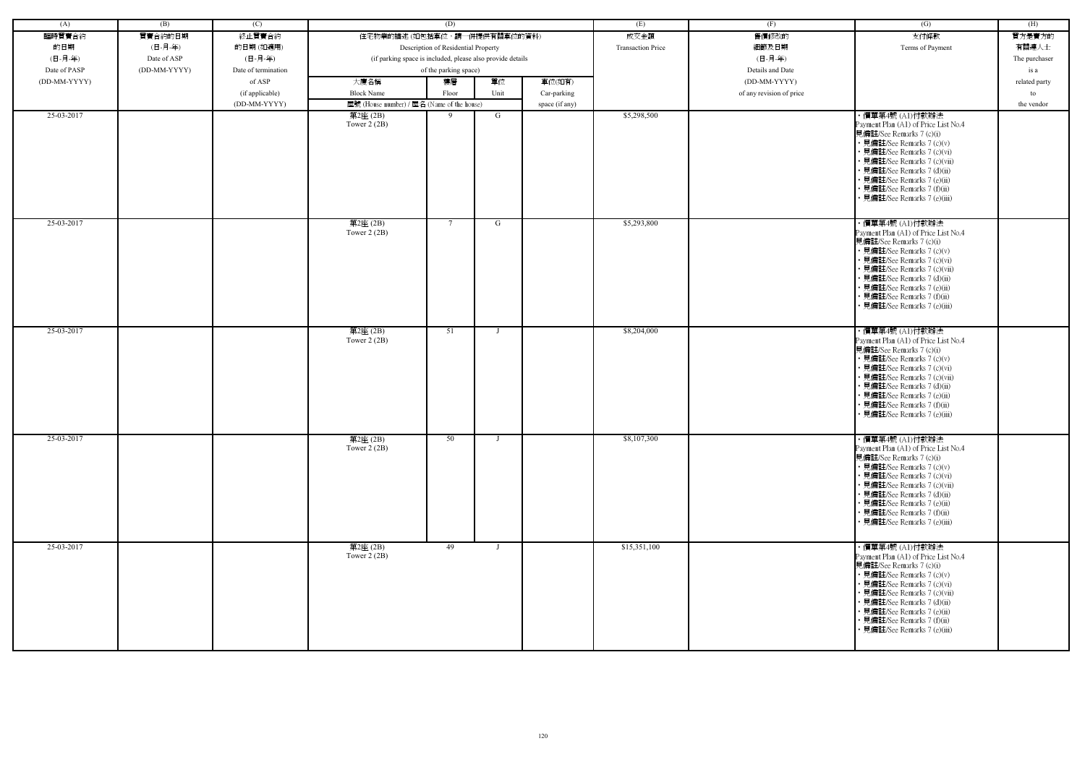| (A)          | (B)          | (C)                 |                                                            | (D)                                 |              |                | (E)                      | (F)                      | (G)                                                                                                                                                                                                                                                                                                           | (H)           |
|--------------|--------------|---------------------|------------------------------------------------------------|-------------------------------------|--------------|----------------|--------------------------|--------------------------|---------------------------------------------------------------------------------------------------------------------------------------------------------------------------------------------------------------------------------------------------------------------------------------------------------------|---------------|
| 臨時買賣合約       | 買賣合約的日期      | 終止買賣合約              | 住宅物業的描述 (如包括車位,請一併提供有關車位的資料)                               |                                     |              |                | 成交金額                     | 售價修改的                    | 支付條款                                                                                                                                                                                                                                                                                                          | 買方是賣方的        |
| 的日期          | (日-月-年)      | 的日期(如適用)            |                                                            | Description of Residential Property |              |                | <b>Transaction Price</b> | 細節及日期                    | Terms of Payment                                                                                                                                                                                                                                                                                              | 有關連人士         |
| (日-月-年)      | Date of ASP  | (日-月-年)             | (if parking space is included, please also provide details |                                     |              |                |                          | (日-月-年)                  |                                                                                                                                                                                                                                                                                                               | The purchaser |
| Date of PASP | (DD-MM-YYYY) | Date of termination |                                                            | of the parking space)               |              |                |                          | Details and Date         |                                                                                                                                                                                                                                                                                                               | is a          |
| (DD-MM-YYYY) |              | of ASP              | 大廈名稱                                                       | 樓層                                  | 單位           | 車位(如有)         |                          | (DD-MM-YYYY)             |                                                                                                                                                                                                                                                                                                               | related party |
|              |              | (if applicable)     | <b>Block Name</b>                                          | Floor                               | Unit         | Car-parking    |                          | of any revision of price |                                                                                                                                                                                                                                                                                                               | to            |
|              |              | (DD-MM-YYYY)        | 屋號 (House number) / 屋名 (Name of the house)                 |                                     |              | space (if any) |                          |                          |                                                                                                                                                                                                                                                                                                               | the vendor    |
| 25-03-2017   |              |                     | 第2座(2B)                                                    | 9                                   | G            |                | \$5,298,500              |                          | ・價單第4號 (A1)付款辦法                                                                                                                                                                                                                                                                                               |               |
|              |              |                     | Tower $2(2B)$                                              |                                     |              |                |                          |                          | Payment Plan (A1) of Price List No.4<br>見備註/See Remarks 7 (c)(i)<br>• 見備註/See Remarks 7 (c)(v)<br>• 見備註/See Remarks 7 (c)(vi)<br>• 見備註/See Remarks 7 (c)(vii)<br>• 見備註/See Remarks 7 (d)(ii)<br>• 見備註/See Remarks 7 (e)(ii)<br>· 見備註/See Remarks 7 (f)(ii)<br>· 見備註/See Remarks 7 (e)(iii)                    |               |
| 25-03-2017   |              |                     | 第2座(2B)<br>Tower $2(2B)$                                   | $7\phantom{.0}$                     | G            |                | \$5,293,800              |                          | ・價單第4號 (A1)付款辦法<br>Payment Plan (A1) of Price List No.4<br>見備註/See Remarks 7 (c)(i)<br>• 見備註/See Remarks 7 (c)(v)<br>• 見備註/See Remarks 7 (c)(vi)<br>· 見備註/See Remarks 7 (c)(vii)<br>• 見備註/See Remarks 7 (d)(ii)<br>• 見備註/See Remarks 7 (e)(ii)<br>· 見備註/See Remarks 7 (f)(ii)<br>• 見備註/See Remarks 7 (e)(iii) |               |
| 25-03-2017   |              |                     | 第2座(2B)<br>Tower $2(2B)$                                   | 51                                  |              |                | \$8,204,000              |                          | ・價單第4號 (A1)付款辦法<br>Payment Plan (A1) of Price List No.4<br>見備註/See Remarks 7 (c)(i)<br>• 見備註/See Remarks 7 (c)(v)<br>• 見備註/See Remarks 7 (c)(vi)<br>• 見備註/See Remarks 7 (c)(vii)<br>• 見備註/See Remarks 7 (d)(ii)<br>• 見備註/See Remarks 7 (e)(ii)<br>• 見備註/See Remarks 7 (f)(ii)<br>• 見備註/See Remarks 7 (e)(iii) |               |
| 25-03-2017   |              |                     | 第2座(2B)<br>Tower $2(2B)$                                   | 50                                  | $\mathbf{I}$ |                | \$8,107,300              |                          | ・價單第4號 (A1)付款辦法<br>Payment Plan (A1) of Price List No.4<br>見備註/See Remarks 7 (c)(i)<br>• 見備註/See Remarks 7 (c)(v)<br>• 見備註/See Remarks 7 (c)(vi)<br>• 見備註/See Remarks 7 (c)(vii)<br>• 見備註/See Remarks 7 (d)(ii)<br>• 見備註/See Remarks 7 (e)(ii)<br>• 見備註/See Remarks 7 (f)(ii)<br>• 見備註/See Remarks 7 (e)(iii) |               |
| 25-03-2017   |              |                     | 第2座(2B)<br>Tower $2(2B)$                                   | 49                                  | $\mathbf{I}$ |                | \$15,351,100             |                          | ・價單第4號 (A1)付款辦法<br>Payment Plan (A1) of Price List No.4<br>見備註/See Remarks 7 (c)(i)<br>• 見備註/See Remarks 7 (c)(v)<br>• 見備註/See Remarks 7 (c)(vi)<br>• 見備註/See Remarks 7 (c)(vii)<br>• 見備註/See Remarks 7 (d)(ii)<br>• 見備註/See Remarks 7 (e)(ii)<br>• 見備註/See Remarks 7 (f)(ii)<br>• 見備註/See Remarks 7 (e)(iii) |               |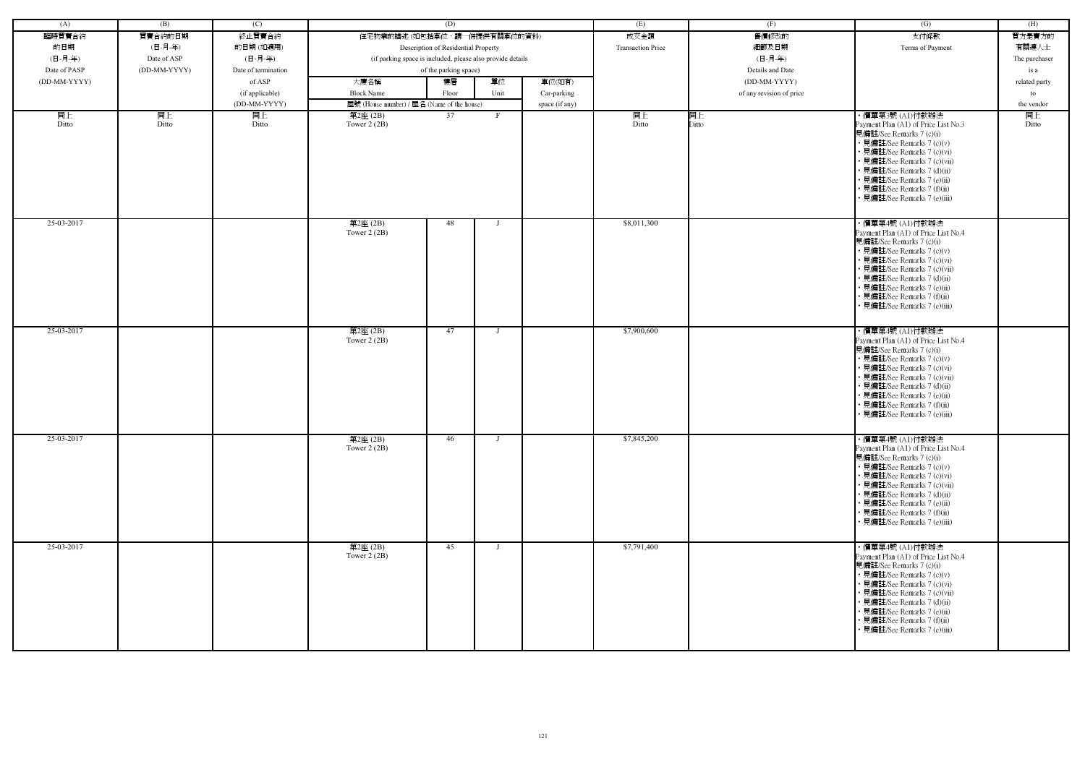| (A)          | (B)          | (C)                 |                                                            | (D)                                 |              |                | (E)                      | (F)                      | (G)                                                                                                                                                                                                                                                                                                           | (H)           |
|--------------|--------------|---------------------|------------------------------------------------------------|-------------------------------------|--------------|----------------|--------------------------|--------------------------|---------------------------------------------------------------------------------------------------------------------------------------------------------------------------------------------------------------------------------------------------------------------------------------------------------------|---------------|
| 臨時買賣合約       | 買賣合約的日期      | 終止買賣合約              | 住宅物業的描述 (如包括車位,請一併提供有關車位的資料)                               |                                     |              |                | 成交金額                     | 售價修改的                    | 支付條款                                                                                                                                                                                                                                                                                                          | 買方是賣方的        |
| 的日期          | (日-月-年)      | 的日期(如適用)            |                                                            | Description of Residential Property |              |                | <b>Transaction Price</b> | 細節及日期                    | Terms of Payment                                                                                                                                                                                                                                                                                              | 有關連人士         |
| (日-月-年)      | Date of ASP  | (日-月-年)             | (if parking space is included, please also provide details |                                     |              |                |                          | (日-月-年)                  |                                                                                                                                                                                                                                                                                                               | The purchaser |
| Date of PASP | (DD-MM-YYYY) | Date of termination |                                                            | of the parking space)               |              |                |                          | Details and Date         |                                                                                                                                                                                                                                                                                                               | is a          |
| (DD-MM-YYYY) |              | of ASP              | 大廈名稱                                                       | 樓層                                  | 單位           | 車位(如有)         |                          | (DD-MM-YYYY)             |                                                                                                                                                                                                                                                                                                               | related party |
|              |              |                     |                                                            |                                     |              |                |                          |                          |                                                                                                                                                                                                                                                                                                               |               |
|              |              | (if applicable)     | <b>Block Name</b>                                          | Floor                               | Unit         | Car-parking    |                          | of any revision of price |                                                                                                                                                                                                                                                                                                               | to            |
|              |              | (DD-MM-YYYY)        | 屋號 (House number) / 屋名 (Name of the house)                 |                                     |              | space (if any) |                          |                          |                                                                                                                                                                                                                                                                                                               | the vendor    |
| 同上<br>Ditto  | 同上<br>Ditto  | 同上<br>Ditto         | 第2座(2B)<br>Tower $2(2B)$                                   | 37                                  | F.           |                | 同上<br>Ditto              | 同上<br>Ditto              | ・價單第3號 (A1)付款辦法<br>Payment Plan (A1) of Price List No.3<br>見備註/See Remarks 7 (c)(i)<br>• 見備註/See Remarks 7 (c)(v)<br>• 見備註/See Remarks 7 (c)(vi)<br>• 見備註/See Remarks 7 (c)(vii)<br>• 見備註/See Remarks 7 (d)(ii)<br>• 見備註/See Remarks 7 (e)(ii)<br>• 見備註/See Remarks 7 (f)(ii)<br>• 見備註/See Remarks 7 (e)(iii) | 同上<br>Ditto   |
| 25-03-2017   |              |                     | 第2座(2B)<br>Tower $2(2B)$                                   | 48                                  |              |                | \$8,011,300              |                          | ・價單第4號 (A1)付款辦法<br>Payment Plan (A1) of Price List No.4<br>見備註/See Remarks 7 (c)(i)<br>• 見備註/See Remarks 7 (c)(v)<br>• 見備註/See Remarks 7 (c)(vi)<br>• 見備註/See Remarks 7 (c)(vii)<br>• 見備註/See Remarks 7 (d)(ii)<br>• 見備註/See Remarks 7 (e)(ii)<br>• 見備註/See Remarks 7 (f)(ii)<br>• 見備註/See Remarks 7 (e)(iii) |               |
| 25-03-2017   |              |                     | 第2座(2B)<br>Tower $2(2B)$                                   | 47                                  |              |                | \$7,900,600              |                          | ・價單第4號 (A1)付款辦法<br>Payment Plan (A1) of Price List No.4<br>見備註/See Remarks 7 (c)(i)<br>• 見備註/See Remarks 7 (c)(v)<br>• 見備註/See Remarks 7 (c)(vi)<br>• 見備註/See Remarks 7 (c)(vii)<br>• 見備註/See Remarks 7 (d)(ii)<br>• 見備註/See Remarks 7 (e)(ii)<br>• 見備註/See Remarks 7 (f)(ii)<br>• 見備註/See Remarks 7 (e)(iii) |               |
| 25-03-2017   |              |                     | 第2座(2B)<br>Tower $2(2B)$                                   | 46                                  | $\mathbf{I}$ |                | \$7,845,200              |                          | ・價單第4號 (A1)付款辦法<br>Payment Plan (A1) of Price List No.4<br>見備註/See Remarks 7 (c)(i)<br>• 見備註/See Remarks 7 (c)(v)<br>• 見備註/See Remarks 7 (c)(vi)<br>• 見備註/See Remarks 7 (c)(vii)<br>• 見備註/See Remarks 7 (d)(ii)<br>• 見備註/See Remarks 7 (e)(ii)<br>• 見備註/See Remarks 7 (f)(ii)<br>• 見備註/See Remarks 7 (e)(iii) |               |
| 25-03-2017   |              |                     | 第2座(2B)<br>Tower $2(2B)$                                   | 45                                  |              |                | \$7,791,400              |                          | ・價單第4號 (A1)付款辦法<br>Payment Plan (A1) of Price List No.4<br>見備註/See Remarks 7 (c)(i)<br>• 見備註/See Remarks 7 (c)(v)<br>• 見備註/See Remarks 7 (c)(vi)<br>• 見備註/See Remarks 7 (c)(vii)<br>• 見備註/See Remarks 7 (d)(ii)<br>• 見備註/See Remarks 7 (e)(ii)<br>• 見備註/See Remarks 7 (f)(ii)<br>· 見備註/See Remarks 7 (e)(iii) |               |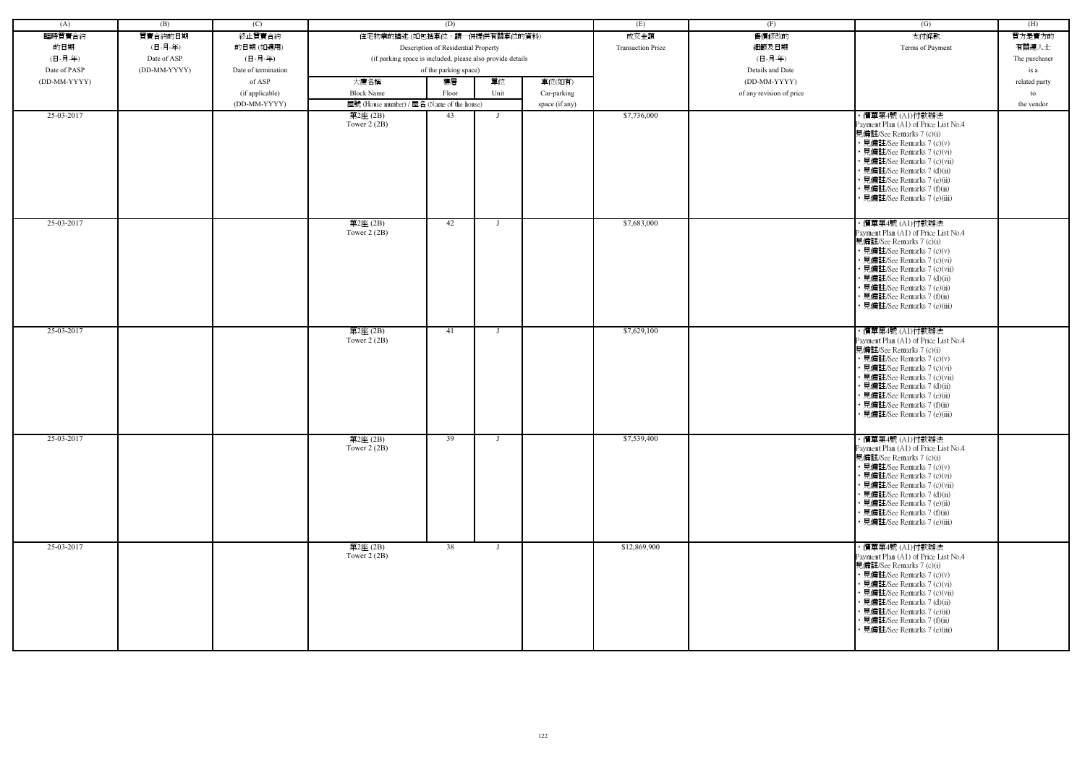| (A)          | (B)          | (C)                 |                                                            | (D)                                 |              |                | (E)                      | (F)                      | (G)                                                                                                                                                                                                                                                                                                           | (H)           |
|--------------|--------------|---------------------|------------------------------------------------------------|-------------------------------------|--------------|----------------|--------------------------|--------------------------|---------------------------------------------------------------------------------------------------------------------------------------------------------------------------------------------------------------------------------------------------------------------------------------------------------------|---------------|
| 臨時買賣合約       | 買賣合約的日期      | 終止買賣合約              | 住宅物業的描述 (如包括車位,請一併提供有關車位的資料)                               |                                     |              |                | 成交金額                     | 售價修改的                    | 支付條款                                                                                                                                                                                                                                                                                                          | 買方是賣方的        |
| 的日期          | (日-月-年)      | 的日期(如適用)            |                                                            | Description of Residential Property |              |                | <b>Transaction Price</b> | 細節及日期                    | Terms of Payment                                                                                                                                                                                                                                                                                              | 有關連人士         |
| (日-月-年)      | Date of ASP  | (日-月-年)             | (if parking space is included, please also provide details |                                     |              |                |                          | (日-月-年)                  |                                                                                                                                                                                                                                                                                                               | The purchaser |
| Date of PASP | (DD-MM-YYYY) | Date of termination |                                                            | of the parking space)               |              |                |                          | Details and Date         |                                                                                                                                                                                                                                                                                                               | is a          |
| (DD-MM-YYYY) |              | of ASP              | 大廈名稱                                                       | 樓層                                  | 單位           | 車位(如有)         |                          | (DD-MM-YYYY)             |                                                                                                                                                                                                                                                                                                               | related party |
|              |              | (if applicable)     | <b>Block Name</b>                                          | Floor                               | Unit         | Car-parking    |                          | of any revision of price |                                                                                                                                                                                                                                                                                                               | to            |
|              |              | (DD-MM-YYYY)        | 屋號 (House number) / 屋名 (Name of the house)                 |                                     |              | space (if any) |                          |                          |                                                                                                                                                                                                                                                                                                               | the vendor    |
| 25-03-2017   |              |                     | 第2座(2B)                                                    | 43                                  | $\mathbf{I}$ |                | \$7,736,000              |                          | ・價單第4號 (A1)付款辦法                                                                                                                                                                                                                                                                                               |               |
|              |              |                     | Tower $2(2B)$                                              |                                     |              |                |                          |                          | Payment Plan (A1) of Price List No.4<br>見備註/See Remarks 7 (c)(i)<br>• 見備註/See Remarks 7 (c)(v)<br>• 見備註/See Remarks 7 (c)(vi)<br>• 見備註/See Remarks 7 (c)(vii)<br>• 見備註/See Remarks 7 (d)(ii)<br>• 見備註/See Remarks 7 (e)(ii)<br>· 見備註/See Remarks 7 (f)(ii)<br>· 見備註/See Remarks 7 (e)(iii)                    |               |
| 25-03-2017   |              |                     | 第2座(2B)<br>Tower $2(2B)$                                   | 42                                  |              |                | \$7,683,000              |                          | ・價單第4號 (A1)付款辦法<br>Payment Plan (A1) of Price List No.4<br>見備註/See Remarks 7 (c)(i)<br>• 見備註/See Remarks 7 (c)(v)<br>• 見備註/See Remarks 7 (c)(vi)<br>· 見備註/See Remarks 7 (c)(vii)<br>• 見備註/See Remarks 7 (d)(ii)<br>• 見備註/See Remarks 7 (e)(ii)<br>· 見備註/See Remarks 7 (f)(ii)<br>• 見備註/See Remarks 7 (e)(iii) |               |
| 25-03-2017   |              |                     | 第2座(2B)<br>Tower $2(2B)$                                   | 41                                  |              |                | \$7,629,100              |                          | ・價單第4號 (A1)付款辦法<br>Payment Plan (A1) of Price List No.4<br>見備註/See Remarks 7 (c)(i)<br>• 見備註/See Remarks 7 (c)(v)<br>• 見備註/See Remarks 7 (c)(vi)<br>• 見備註/See Remarks 7 (c)(vii)<br>• 見備註/See Remarks 7 (d)(ii)<br>• 見備註/See Remarks 7 (e)(ii)<br>• 見備註/See Remarks 7 (f)(ii)<br>• 見備註/See Remarks 7 (e)(iii) |               |
| 25-03-2017   |              |                     | 第2座(2B)<br>Tower $2(2B)$                                   | 39                                  | $\mathbf{I}$ |                | \$7,539,400              |                          | ・價單第4號 (A1)付款辦法<br>Payment Plan (A1) of Price List No.4<br>見備註/See Remarks 7 (c)(i)<br>• 見備註/See Remarks 7 (c)(v)<br>• 見備註/See Remarks 7 (c)(vi)<br>• 見備註/See Remarks 7 (c)(vii)<br>• 見備註/See Remarks 7 (d)(ii)<br>• 見備註/See Remarks 7 (e)(ii)<br>• 見備註/See Remarks 7 (f)(ii)<br>• 見備註/See Remarks 7 (e)(iii) |               |
| 25-03-2017   |              |                     | 第2座(2B)<br>Tower $2(2B)$                                   | 38                                  | $\mathbf{I}$ |                | \$12,869,900             |                          | ・價單第4號 (A1)付款辦法<br>Payment Plan (A1) of Price List No.4<br>見備註/See Remarks 7 (c)(i)<br>• 見備註/See Remarks 7 (c)(v)<br>• 見備註/See Remarks 7 (c)(vi)<br>• 見備註/See Remarks 7 (c)(vii)<br>• 見備註/See Remarks 7 (d)(ii)<br>• 見備註/See Remarks 7 (e)(ii)<br>• 見備註/See Remarks 7 (f)(ii)<br>• 見備註/See Remarks 7 (e)(iii) |               |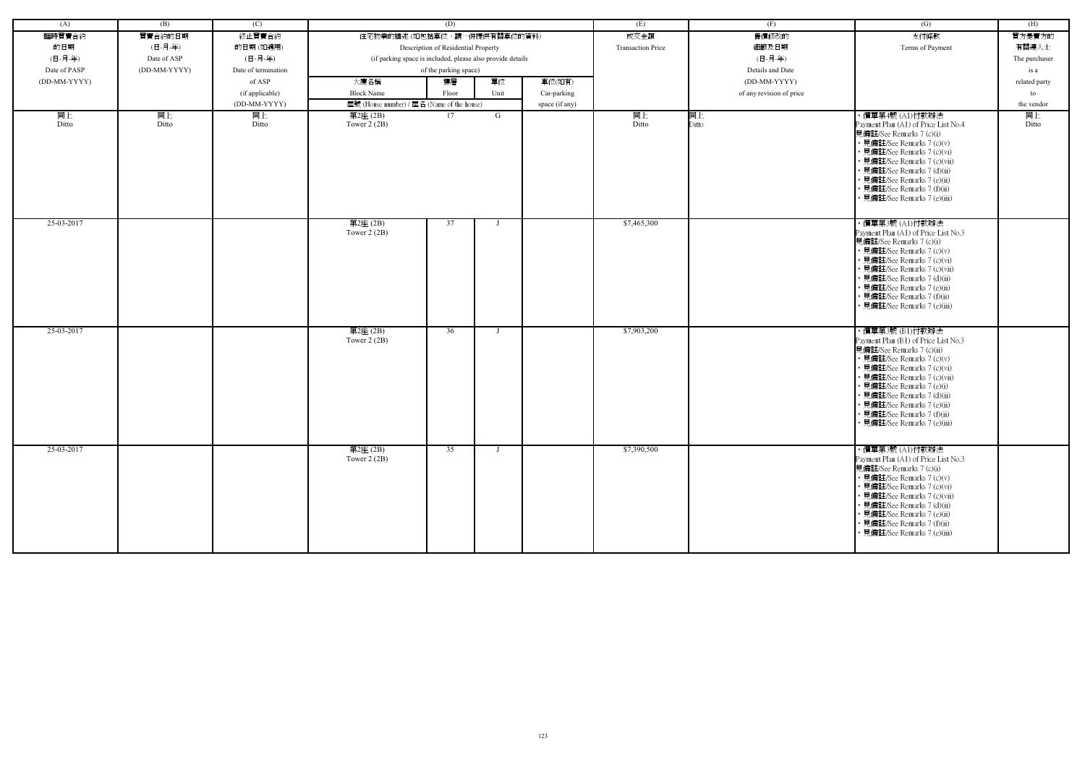| (A)          | (B)          | (C)                 |                                                            | (D)                                 |              |                | (E)                      | (F)                      | (G)                                                        | (H)           |
|--------------|--------------|---------------------|------------------------------------------------------------|-------------------------------------|--------------|----------------|--------------------------|--------------------------|------------------------------------------------------------|---------------|
| 臨時買賣合約       | 買賣合約的日期      | 終止買賣合約              | 住宅物業的描述 (如包括車位,請一併提供有關車位的資料)                               |                                     |              |                | 成交金額                     | 售價修改的                    | 支付條款                                                       | 買方是賣方的        |
| 的日期          | (日-月-年)      | 的日期(如適用)            |                                                            | Description of Residential Property |              |                | <b>Transaction Price</b> | 細節及日期                    | Terms of Payment                                           | 有關連人士         |
| (日-月-年)      | Date of ASP  | (日-月-年)             | (if parking space is included, please also provide details |                                     |              |                |                          | (日-月-年)                  |                                                            | The purchaser |
| Date of PASP | (DD-MM-YYYY) | Date of termination |                                                            | of the parking space)               |              |                |                          | Details and Date         |                                                            | is a          |
| (DD-MM-YYYY) |              | of ASP              | 大廈名稱                                                       | 樓層                                  | 單位           | 車位(如有)         |                          | (DD-MM-YYYY)             |                                                            | related party |
|              |              | (if applicable)     | <b>Block Name</b>                                          | Floor                               | Unit         | Car-parking    |                          | of any revision of price |                                                            | to            |
|              |              | (DD-MM-YYYY)        | 屋號 (House number) / 屋名 (Name of the house)                 |                                     |              | space (if any) |                          |                          |                                                            | the vendor    |
| 同上           | 同上           | 同上                  | 第2座(2B)                                                    | 17                                  | G            |                | 同上                       | 同上                       | ・價單第4號 (A1)付款辦法                                            | 同上            |
| Ditto        | Ditto        | Ditto               | Tower $2(2B)$                                              |                                     |              |                | Ditto                    | Ditto                    | Payment Plan (A1) of Price List No.4                       | Ditto         |
|              |              |                     |                                                            |                                     |              |                |                          |                          | 見備註/See Remarks 7 (c)(i)<br>• 見備註/See Remarks 7 (c)(v)     |               |
|              |              |                     |                                                            |                                     |              |                |                          |                          | • 見備註/See Remarks 7 (c)(vi)                                |               |
|              |              |                     |                                                            |                                     |              |                |                          |                          | · 見備註/See Remarks 7 (c)(vii)                               |               |
|              |              |                     |                                                            |                                     |              |                |                          |                          | • 見備註/See Remarks 7 (d)(ii)<br>• 見備註/See Remarks 7 (e)(ii) |               |
|              |              |                     |                                                            |                                     |              |                |                          |                          | • 見備註/See Remarks 7 (f)(ii)                                |               |
|              |              |                     |                                                            |                                     |              |                |                          |                          | • 見備註/See Remarks 7 (e)(iii)                               |               |
|              |              |                     |                                                            |                                     |              |                |                          |                          |                                                            |               |
| 25-03-2017   |              |                     | 第2座(2B)                                                    | 37                                  |              |                | \$7,465,300              |                          | ・價單第3號 (A1)付款辦法                                            |               |
|              |              |                     | Tower $2(2B)$                                              |                                     |              |                |                          |                          | Payment Plan (A1) of Price List No.3                       |               |
|              |              |                     |                                                            |                                     |              |                |                          |                          | 見備註/See Remarks 7 (c)(i)<br>• 見備註/See Remarks 7 (c)(v)     |               |
|              |              |                     |                                                            |                                     |              |                |                          |                          | • 見備註/See Remarks 7 (c)(vi)                                |               |
|              |              |                     |                                                            |                                     |              |                |                          |                          | • 見備註/See Remarks 7 (c)(vii)                               |               |
|              |              |                     |                                                            |                                     |              |                |                          |                          | • 見備註/See Remarks 7 (d)(ii)                                |               |
|              |              |                     |                                                            |                                     |              |                |                          |                          | • 見備註/See Remarks 7 (e)(ii)<br>• 見備註/See Remarks 7 (f)(ii) |               |
|              |              |                     |                                                            |                                     |              |                |                          |                          | • 見備註/See Remarks 7 (e)(iii)                               |               |
|              |              |                     |                                                            |                                     |              |                |                          |                          |                                                            |               |
| 25-03-2017   |              |                     | 第2座(2B)                                                    | 36                                  |              |                | \$7,903,200              |                          | ・價單第3號 (B1)付款辦法                                            |               |
|              |              |                     | Tower $2(2B)$                                              |                                     |              |                |                          |                          | Payment Plan (B1) of Price List No.3                       |               |
|              |              |                     |                                                            |                                     |              |                |                          |                          | 見備註/See Remarks 7 (c)(ii)                                  |               |
|              |              |                     |                                                            |                                     |              |                |                          |                          | • 見備註/See Remarks 7 (c)(v)<br>• 見備註/See Remarks 7 (c)(vi)  |               |
|              |              |                     |                                                            |                                     |              |                |                          |                          | • 見備註/See Remarks 7 (c)(vii)                               |               |
|              |              |                     |                                                            |                                     |              |                |                          |                          | • 見備註/See Remarks 7 (e)(i)                                 |               |
|              |              |                     |                                                            |                                     |              |                |                          |                          | • 見備註/See Remarks 7 (d)(ii)                                |               |
|              |              |                     |                                                            |                                     |              |                |                          |                          | • 見備註/See Remarks 7 (e)(ii)<br>• 見備註/See Remarks 7 (f)(ii) |               |
|              |              |                     |                                                            |                                     |              |                |                          |                          | 見備註/See Remarks 7 (e)(iii)                                 |               |
|              |              |                     |                                                            |                                     |              |                |                          |                          |                                                            |               |
| 25-03-2017   |              |                     | 第2座(2B)                                                    | 35                                  | $\mathbf{I}$ |                | \$7,390,500              |                          | ・價單第3號 (A1)付款辦法                                            |               |
|              |              |                     | Tower $2(2B)$                                              |                                     |              |                |                          |                          | Payment Plan (A1) of Price List No.3                       |               |
|              |              |                     |                                                            |                                     |              |                |                          |                          | 見備註/See Remarks 7 (c)(i)                                   |               |
|              |              |                     |                                                            |                                     |              |                |                          |                          | • 見備註/See Remarks 7 (c)(v)<br>• 見備註/See Remarks 7 (c)(vi)  |               |
|              |              |                     |                                                            |                                     |              |                |                          |                          | · 見備註/See Remarks 7 (c)(vii)                               |               |
|              |              |                     |                                                            |                                     |              |                |                          |                          | • 見備註/See Remarks 7 (d)(ii)                                |               |
|              |              |                     |                                                            |                                     |              |                |                          |                          | • 見備註/See Remarks 7 (e)(ii)                                |               |
|              |              |                     |                                                            |                                     |              |                |                          |                          | · 見備註/See Remarks 7 (f)(ii)                                |               |
|              |              |                     |                                                            |                                     |              |                |                          |                          | • 見備註/See Remarks 7 (e)(iii)                               |               |
|              |              |                     |                                                            |                                     |              |                |                          |                          |                                                            |               |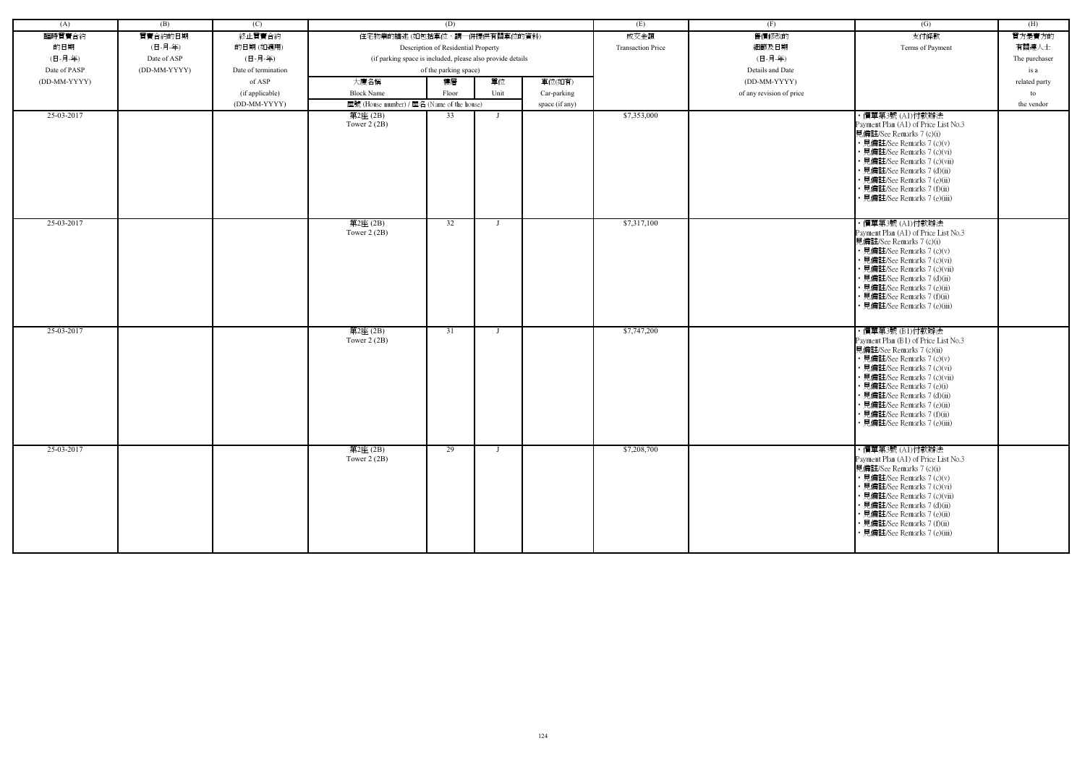| (A)          | (B)          | (C)                 |                                                            | (D)                                 |                |                | (E)                      | (F)                      | (G)                                                              | (H)           |
|--------------|--------------|---------------------|------------------------------------------------------------|-------------------------------------|----------------|----------------|--------------------------|--------------------------|------------------------------------------------------------------|---------------|
| 臨時買賣合約       | 買賣合約的日期      | 終止買賣合約              | 住宅物業的描述 (如包括車位,請一併提供有關車位的資料)                               |                                     |                |                | 成交金額                     | 售價修改的                    | 支付條款                                                             | 買方是賣方的        |
| 的日期          | (日-月-年)      | 的日期(如適用)            |                                                            | Description of Residential Property |                |                | <b>Transaction Price</b> | 細節及日期                    | Terms of Payment                                                 | 有關連人士         |
| (日-月-年)      | Date of ASP  | (日-月-年)             | (if parking space is included, please also provide details |                                     |                |                |                          | (日-月-年)                  |                                                                  | The purchaser |
| Date of PASP | (DD-MM-YYYY) | Date of termination |                                                            | of the parking space)               |                |                |                          | Details and Date         |                                                                  | is a          |
| (DD-MM-YYYY) |              | of ASP              | 大廈名稱                                                       | 樓層                                  | 單位             | 車位(如有)         |                          | (DD-MM-YYYY)             |                                                                  | related party |
|              |              | (if applicable)     | <b>Block Name</b>                                          | Floor                               | Unit           | Car-parking    |                          | of any revision of price |                                                                  | to            |
|              |              | (DD-MM-YYYY)        | 屋號 (House number) / 屋名 (Name of the house)                 |                                     |                | space (if any) |                          |                          |                                                                  | the vendor    |
| 25-03-2017   |              |                     | 第2座(2B)                                                    | 33                                  |                |                | \$7,353,000              |                          | ・價單第3號 (A1)付款辦法                                                  |               |
|              |              |                     | Tower $2(2B)$                                              |                                     |                |                |                          |                          | Payment Plan (A1) of Price List No.3                             |               |
|              |              |                     |                                                            |                                     |                |                |                          |                          | 見備註/See Remarks 7 (c)(i)                                         |               |
|              |              |                     |                                                            |                                     |                |                |                          |                          | • 見備註/See Remarks 7 (c)(v)<br>• 見備註/See Remarks 7 (c)(vi)        |               |
|              |              |                     |                                                            |                                     |                |                |                          |                          | · 見備註/See Remarks 7 (c)(vii)                                     |               |
|              |              |                     |                                                            |                                     |                |                |                          |                          | · 見備註/See Remarks 7 (d)(ii)                                      |               |
|              |              |                     |                                                            |                                     |                |                |                          |                          | · 見備註/See Remarks 7 (e)(ii)                                      |               |
|              |              |                     |                                                            |                                     |                |                |                          |                          | · 見備註/See Remarks 7 (f)(ii)                                      |               |
|              |              |                     |                                                            |                                     |                |                |                          |                          | · 見備註/See Remarks 7 (e)(iii)                                     |               |
|              |              |                     |                                                            |                                     |                |                |                          |                          |                                                                  |               |
| 25-03-2017   |              |                     | 第2座(2B)                                                    | 32                                  |                |                | \$7,317,100              |                          | ・價單第3號 (A1)付款辦法                                                  |               |
|              |              |                     | Tower $2(2B)$                                              |                                     |                |                |                          |                          | Payment Plan (A1) of Price List No.3<br>見備註/See Remarks 7 (c)(i) |               |
|              |              |                     |                                                            |                                     |                |                |                          |                          | • 見備註/See Remarks 7 (c)(v)                                       |               |
|              |              |                     |                                                            |                                     |                |                |                          |                          | · 見備註/See Remarks 7 (c)(vi)                                      |               |
|              |              |                     |                                                            |                                     |                |                |                          |                          | · 見備註/See Remarks 7 (c)(vii)                                     |               |
|              |              |                     |                                                            |                                     |                |                |                          |                          | • 見備註/See Remarks 7 (d)(ii)                                      |               |
|              |              |                     |                                                            |                                     |                |                |                          |                          | · 見備註/See Remarks 7 (e)(ii)<br>· 見備註/See Remarks 7 (f)(ii)       |               |
|              |              |                     |                                                            |                                     |                |                |                          |                          | • 見備註/See Remarks 7 (e)(iii)                                     |               |
|              |              |                     |                                                            |                                     |                |                |                          |                          |                                                                  |               |
| 25-03-2017   |              |                     | 第2座(2B)                                                    | 31                                  |                |                | \$7,747,200              |                          | ・價單第3號 (B1)付款辦法                                                  |               |
|              |              |                     | Tower $2(2B)$                                              |                                     |                |                |                          |                          | Payment Plan (B1) of Price List No.3                             |               |
|              |              |                     |                                                            |                                     |                |                |                          |                          | 見備註/See Remarks 7 (c)(ii)                                        |               |
|              |              |                     |                                                            |                                     |                |                |                          |                          | • 見備註/See Remarks 7 (c)(v)<br>· 見備註/See Remarks 7 (c)(vi)        |               |
|              |              |                     |                                                            |                                     |                |                |                          |                          | • 見備註/See Remarks 7 (c)(vii)                                     |               |
|              |              |                     |                                                            |                                     |                |                |                          |                          | • 見備註/See Remarks 7 (e)(i)                                       |               |
|              |              |                     |                                                            |                                     |                |                |                          |                          | · 見備註/See Remarks 7 (d)(ii)                                      |               |
|              |              |                     |                                                            |                                     |                |                |                          |                          | · 見備註/See Remarks 7 (e)(ii)                                      |               |
|              |              |                     |                                                            |                                     |                |                |                          |                          | • 見備註/See Remarks 7 (f)(ii)<br>見備註/See Remarks 7 (e)(iii)        |               |
|              |              |                     |                                                            |                                     |                |                |                          |                          |                                                                  |               |
| 25-03-2017   |              |                     |                                                            |                                     | $\blacksquare$ |                | \$7,208,700              |                          |                                                                  |               |
|              |              |                     | 第2座(2B)<br>Tower $2(2B)$                                   | 29                                  |                |                |                          |                          | ・價單第3號 (A1)付款辦法<br>Payment Plan (A1) of Price List No.3          |               |
|              |              |                     |                                                            |                                     |                |                |                          |                          | 見備註/See Remarks 7 (c)(i)                                         |               |
|              |              |                     |                                                            |                                     |                |                |                          |                          | • 見備註/See Remarks 7 (c)(v)                                       |               |
|              |              |                     |                                                            |                                     |                |                |                          |                          | • 見備註/See Remarks 7 (c)(vi)                                      |               |
|              |              |                     |                                                            |                                     |                |                |                          |                          | • 見備註/See Remarks 7 (c)(vii)<br>• 見備註/See Remarks 7 (d)(ii)      |               |
|              |              |                     |                                                            |                                     |                |                |                          |                          | • 見備註/See Remarks 7 (e)(ii)                                      |               |
|              |              |                     |                                                            |                                     |                |                |                          |                          | • 見備註/See Remarks 7 (f)(ii)                                      |               |
|              |              |                     |                                                            |                                     |                |                |                          |                          | · 見備註/See Remarks 7 (e)(iii)                                     |               |
|              |              |                     |                                                            |                                     |                |                |                          |                          |                                                                  |               |
|              |              |                     |                                                            |                                     |                |                |                          |                          |                                                                  |               |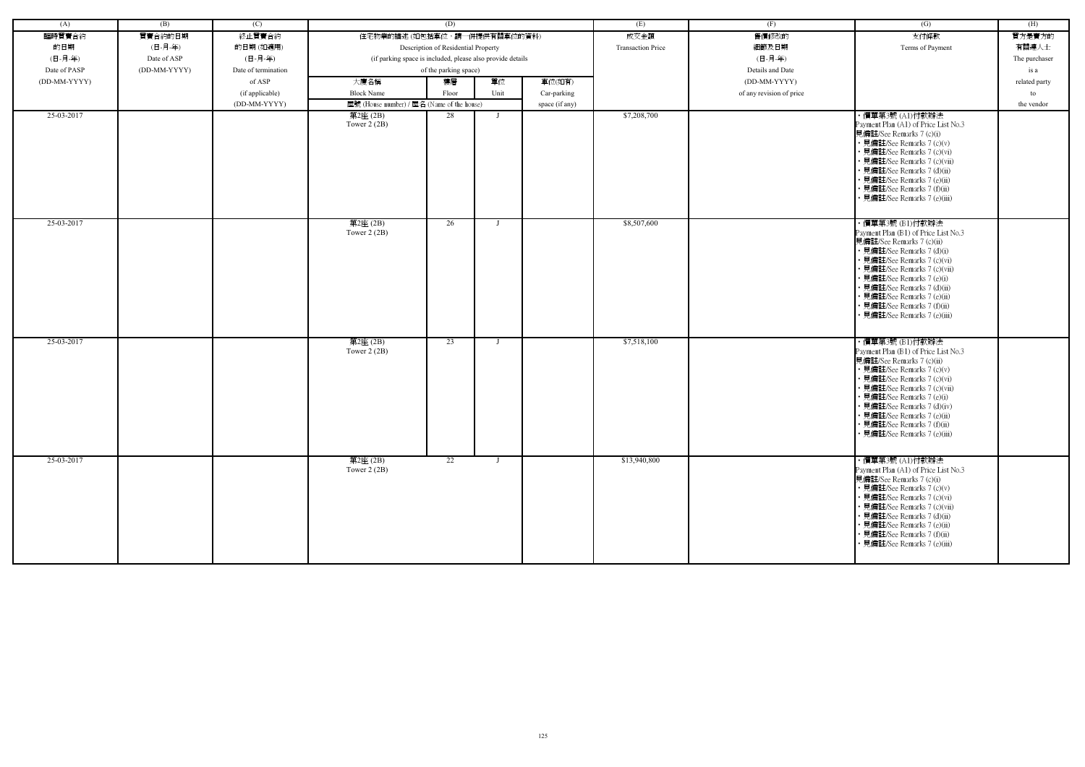| (A)          | (B)          | (C)                 |                                                            | (D)                                 |                |                | (E)                      | (F)                      | (G)                                                                                                                                                                                                                                                                                                                                          | (H)           |
|--------------|--------------|---------------------|------------------------------------------------------------|-------------------------------------|----------------|----------------|--------------------------|--------------------------|----------------------------------------------------------------------------------------------------------------------------------------------------------------------------------------------------------------------------------------------------------------------------------------------------------------------------------------------|---------------|
| 臨時買賣合約       | 買賣合約的日期      | 終止買賣合約              | 住宅物業的描述 (如包括車位,請一併提供有關車位的資料)                               |                                     |                |                | 成交金額                     | 售價修改的                    | 支付條款                                                                                                                                                                                                                                                                                                                                         | 買方是賣方的        |
| 的日期          | (日-月-年)      | 的日期(如適用)            |                                                            | Description of Residential Property |                |                | <b>Transaction Price</b> | 細節及日期                    | Terms of Payment                                                                                                                                                                                                                                                                                                                             | 有關連人士         |
| (日-月-年)      | Date of ASP  | (日-月-年)             | (if parking space is included, please also provide details |                                     |                |                |                          | (日-月-年)                  |                                                                                                                                                                                                                                                                                                                                              | The purchaser |
| Date of PASP | (DD-MM-YYYY) | Date of termination |                                                            | of the parking space)               |                |                |                          | Details and Date         |                                                                                                                                                                                                                                                                                                                                              | is a          |
| (DD-MM-YYYY) |              | of ASP              | 大廈名稱                                                       | 樓層                                  | 單位             | 車位(如有)         |                          | (DD-MM-YYYY)             |                                                                                                                                                                                                                                                                                                                                              | related party |
|              |              | (if applicable)     | <b>Block Name</b>                                          | Floor                               | Unit           | Car-parking    |                          | of any revision of price |                                                                                                                                                                                                                                                                                                                                              | to            |
|              |              | (DD-MM-YYYY)        | 屋號 (House number) / 屋名 (Name of the house)                 |                                     |                | space (if any) |                          |                          |                                                                                                                                                                                                                                                                                                                                              | the vendor    |
| 25-03-2017   |              |                     | 第2座 (2B)                                                   | 28                                  |                |                | \$7,208,700              |                          | ・價單第3號 (A1)付款辦法                                                                                                                                                                                                                                                                                                                              |               |
|              |              |                     | Tower $2(2B)$                                              |                                     |                |                |                          |                          | Payment Plan (A1) of Price List No.3<br>見備註/See Remarks 7 (c)(i)<br>• 見備註/See Remarks 7 (c)(v)<br>• 見備註/See Remarks 7 (c)(vi)<br>• 見備註/See Remarks 7 (c)(vii)<br>• 見備註/See Remarks 7 (d)(ii)<br>• 見備註/See Remarks 7 (e)(ii)<br>• 見備註/See Remarks 7 (f)(ii)<br>· 見備註/See Remarks 7 (e)(iii)                                                   |               |
| 25-03-2017   |              |                     | 第2座(2B)<br>Tower $2(2B)$                                   | 26                                  | $\blacksquare$ |                | \$8,507,600              |                          | ・價單第3號 (B1)付款辦法<br>Payment Plan (B1) of Price List No.3<br>見備註/See Remarks 7 (c)(ii)<br>• 見備註/See Remarks 7 (d)(i)<br>· 見備註/See Remarks 7 (c)(vi)<br>· 見備註/See Remarks 7 (c)(vii)<br>• 見備註/See Remarks 7 (e)(i)<br>· 見備註/See Remarks 7 (d)(ii)<br>· 見備註/See Remarks 7 (e)(ii)<br>• 見備註/See Remarks 7 (f)(ii)<br>· 見備註/See Remarks 7 (e)(iii) |               |
| 25-03-2017   |              |                     | 第2座(2B)<br>Tower $2(2B)$                                   | 23                                  |                |                | \$7,518,100              |                          | ・價單第3號 (B1)付款辦法<br>Payment Plan (B1) of Price List No.3<br>見備註/See Remarks 7 (c)(ii)<br>• 見備註/See Remarks 7 (c)(v)<br>• 見備註/See Remarks 7 (c)(vi)<br>• 見備註/See Remarks 7 (c)(vii)<br>• 見備註/See Remarks 7 (e)(i)<br>• 見備註/See Remarks 7 (d)(iv)<br>• 見備註/See Remarks 7 (e)(ii)<br>• 見備註/See Remarks 7 (f)(ii)<br>• 見備註/See Remarks 7 (e)(iii) |               |
| 25-03-2017   |              |                     | 第2座(2B)<br>Tower $2(2B)$                                   | 22                                  | $\mathbf{I}$   |                | \$13,940,800             |                          | ・價單第3號 (A1)付款辦法<br>Payment Plan (A1) of Price List No.3<br>見備註/See Remarks 7 (c)(i)<br>• 見備註/See Remarks 7 (c)(v)<br>• 見備註/See Remarks 7 (c)(vi)<br>• 見備註/See Remarks 7 (c)(vii)<br>• 見備註/See Remarks 7 (d)(ii)<br>• 見備註/See Remarks 7 (e)(ii)<br>• 見備註/See Remarks 7 (f)(ii)<br>• 見備註/See Remarks 7 (e)(iii)                                |               |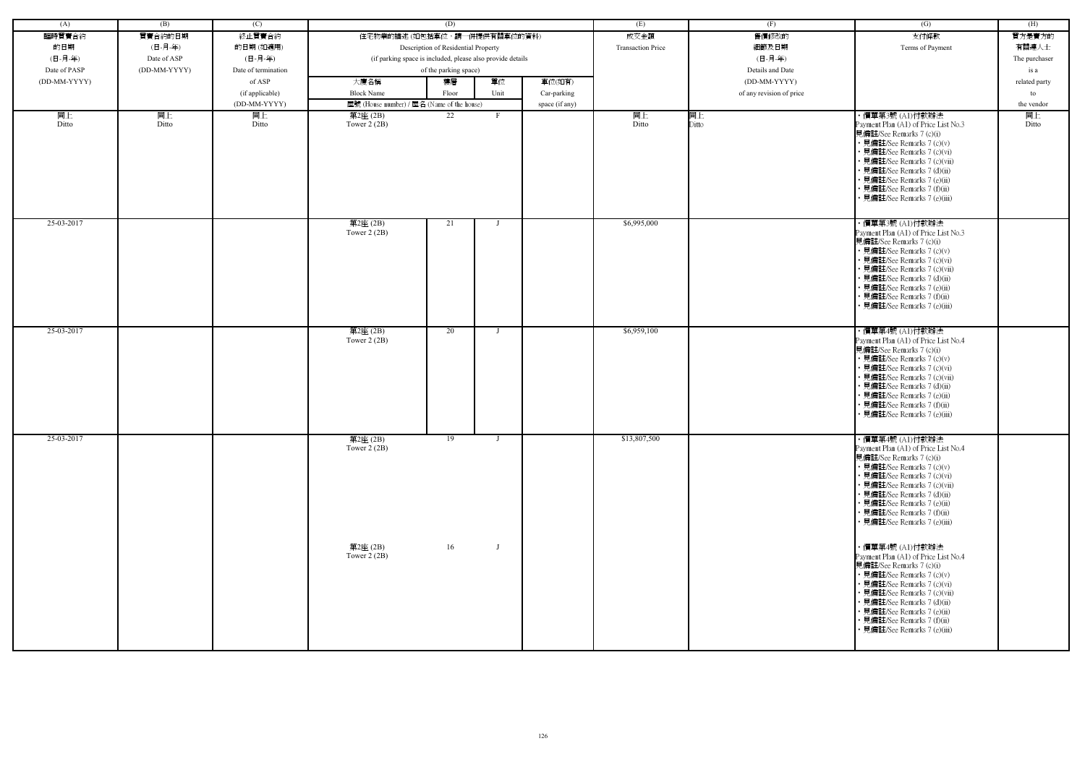| (A)          | (B)          | (C)                 |                                            | (D)                                                        |                |                | (E)                      | (F)                      | (G)                                                                                                                                                                                                                                                                                                           | (H)           |
|--------------|--------------|---------------------|--------------------------------------------|------------------------------------------------------------|----------------|----------------|--------------------------|--------------------------|---------------------------------------------------------------------------------------------------------------------------------------------------------------------------------------------------------------------------------------------------------------------------------------------------------------|---------------|
| 臨時買賣合約       | 買賣合約的日期      | 終止買賣合約              |                                            | 住宅物業的描述 (如包括車位,請一併提供有關車位的資料)                               |                |                | 成交金額                     | 售價修改的                    | 支付條款                                                                                                                                                                                                                                                                                                          | 買方是賣方的        |
|              |              |                     |                                            |                                                            |                |                | <b>Transaction Price</b> |                          |                                                                                                                                                                                                                                                                                                               |               |
| 的日期          | (日-月-年)      | 的日期(如適用)            |                                            | Description of Residential Property                        |                |                |                          | 細節及日期                    | Terms of Payment                                                                                                                                                                                                                                                                                              | 有關連人士         |
| (日-月-年)      | Date of ASP  | (日-月-年)             |                                            | (if parking space is included, please also provide details |                |                |                          | (日-月-年)                  |                                                                                                                                                                                                                                                                                                               | The purchaser |
| Date of PASP | (DD-MM-YYYY) | Date of termination |                                            | of the parking space)                                      |                |                |                          | Details and Date         |                                                                                                                                                                                                                                                                                                               | is a          |
| (DD-MM-YYYY) |              | of ASP              | 大廈名稱                                       | 樓層                                                         | 單位             | 車位(如有)         |                          | (DD-MM-YYYY)             |                                                                                                                                                                                                                                                                                                               | related party |
|              |              | (if applicable)     | <b>Block Name</b>                          | Floor                                                      | Unit           | Car-parking    |                          | of any revision of price |                                                                                                                                                                                                                                                                                                               | to            |
|              |              | (DD-MM-YYYY)        | 屋號 (House number) / 屋名 (Name of the house) |                                                            |                | space (if any) |                          |                          |                                                                                                                                                                                                                                                                                                               | the vendor    |
| 同上           | 同上           | 同上                  | 第2座 (2B)                                   | 22                                                         | F              |                | 同上                       | 同上                       | ・價單第3號 (A1)付款辦法                                                                                                                                                                                                                                                                                               | 同上            |
| Ditto        | Ditto        | Ditto               | Tower $2(2B)$                              |                                                            |                |                | Ditto                    | Ditto                    | Payment Plan (A1) of Price List No.3<br>見備註/See Remarks 7 (c)(i)<br>• 見備註/See Remarks 7 (c)(v)<br>• 見備註/See Remarks 7 (c)(vi)<br>• 見備註/See Remarks 7 (c)(vii)<br>· 見備註/See Remarks 7 (d)(ii)<br>• 見備註/See Remarks 7 (e)(ii)<br>• 見備註/See Remarks 7 (f)(ii)<br>· 見備註/See Remarks 7 (e)(iii)                    | Ditto         |
| 25-03-2017   |              |                     | 第2座(2B)<br>Tower $2(2B)$                   | 21                                                         | $\blacksquare$ |                | \$6,995,000              |                          | ・價單第3號 (A1)付款辦法<br>Payment Plan (A1) of Price List No.3<br>見備註/See Remarks 7 (c)(i)<br>• 見備註/See Remarks 7 (c)(v)<br>• 見備註/See Remarks 7 (c)(vi)<br>· 見備註/See Remarks 7 (c)(vii)<br>• 見備註/See Remarks 7 (d)(ii)<br>• 見備註/See Remarks 7 (e)(ii)<br>· 見備註/See Remarks 7 (f)(ii)<br>• 見備註/See Remarks 7 (e)(iii) |               |
| 25-03-2017   |              |                     | 第2座(2B)<br>Tower $2(2B)$                   | 20                                                         |                |                | \$6,959,100              |                          | ・價單第4號 (A1)付款辦法<br>Payment Plan (A1) of Price List No.4<br>見備註/See Remarks 7 (c)(i)<br>• 見備註/See Remarks 7 (c)(v)<br>• 見備註/See Remarks 7 (c)(vi)<br>• 見備註/See Remarks 7 (c)(vii)<br>• 見備註/See Remarks 7 (d)(ii)<br>· 見備註/See Remarks 7 (e)(ii)<br>• 見備註/See Remarks 7 (f)(ii)<br>· 見備註/See Remarks 7 (e)(iii) |               |
| 25-03-2017   |              |                     | 第2座(2B)<br>Tower $2(2B)$                   | $\overline{19}$                                            | $\mathbf{I}$   |                | \$13,807,500             |                          | ・價單第4號 (A1)付款辦法<br>Payment Plan (A1) of Price List No.4<br>見備註/See Remarks 7 (c)(i)<br>• 見備註/See Remarks 7 (c)(v)<br>• 見備註/See Remarks 7 (c)(vi)<br>• 見備註/See Remarks 7 (c)(vii)<br>• 見備註/See Remarks 7 (d)(ii)<br>• 見備註/See Remarks 7 (e)(ii)<br>• 見備註/See Remarks 7 (f)(ii)<br>• 見備註/See Remarks 7 (e)(iii) |               |
|              |              |                     | 第2座(2B)<br>Tower $2(2B)$                   | 16                                                         |                |                |                          |                          | ・價單第4號 (A1)付款辦法<br>Payment Plan (A1) of Price List No.4<br>見備註/See Remarks 7 (c)(i)<br>• 見備註/See Remarks 7 (c)(v)<br>• 見備註/See Remarks 7 (c)(vi)<br>• 見備註/See Remarks 7 (c)(vii)<br>• 見備註/See Remarks 7 (d)(ii)<br>• 見備註/See Remarks 7 (e)(ii)<br>• 見備註/See Remarks 7 (f)(ii)<br>• 見備註/See Remarks 7 (e)(iii) |               |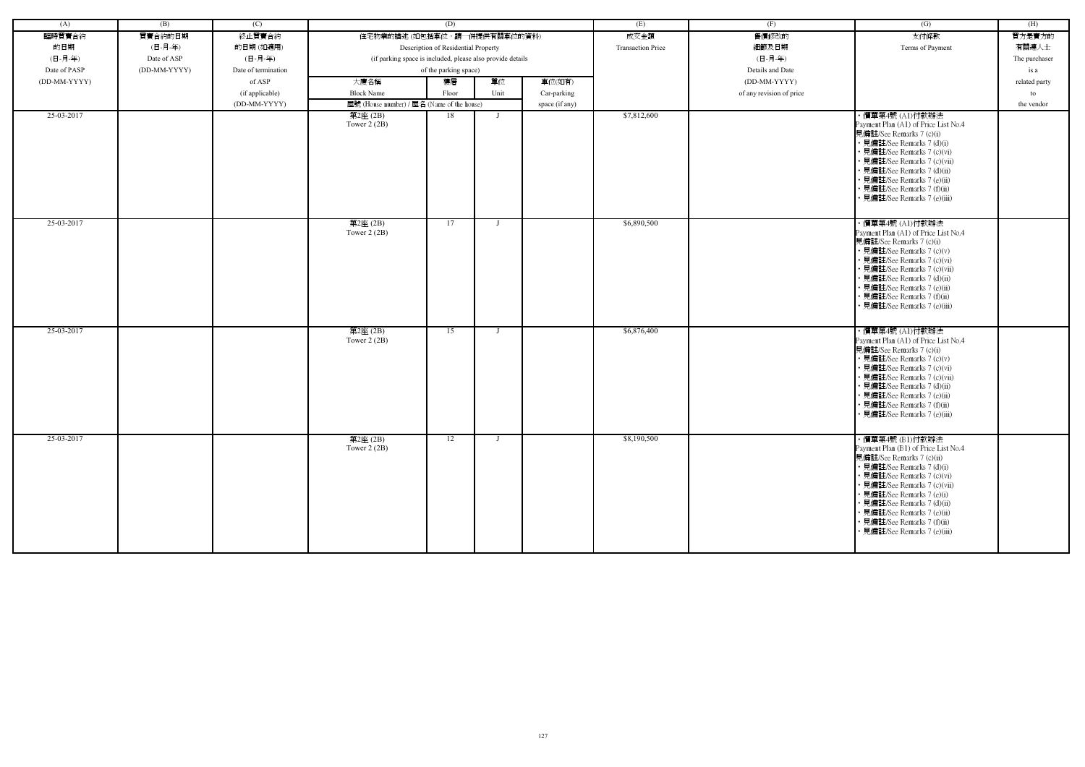| (A)          | (B)          | (C)                 |                                                            | (D)                                 |                |                | (E)                      | (F)                      | (G)                                                                                                                                                                                                                                                                                                                                          | (H)           |
|--------------|--------------|---------------------|------------------------------------------------------------|-------------------------------------|----------------|----------------|--------------------------|--------------------------|----------------------------------------------------------------------------------------------------------------------------------------------------------------------------------------------------------------------------------------------------------------------------------------------------------------------------------------------|---------------|
| 臨時買賣合約       | 買賣合約的日期      | 終止買賣合約              | 住宅物業的描述 (如包括車位,請一併提供有關車位的資料)                               |                                     |                |                | 成交金額                     | 售價修改的                    | 支付條款                                                                                                                                                                                                                                                                                                                                         | 買方是賣方的        |
| 的日期          | (日-月-年)      | 的日期(如適用)            |                                                            | Description of Residential Property |                |                | <b>Transaction Price</b> | 細節及日期                    | Terms of Payment                                                                                                                                                                                                                                                                                                                             | 有關連人士         |
| (日-月-年)      | Date of ASP  | (日-月-年)             | (if parking space is included, please also provide details |                                     |                |                |                          | (日-月-年)                  |                                                                                                                                                                                                                                                                                                                                              | The purchaser |
| Date of PASP | (DD-MM-YYYY) | Date of termination |                                                            | of the parking space)               |                |                |                          | Details and Date         |                                                                                                                                                                                                                                                                                                                                              | is a          |
| (DD-MM-YYYY) |              | of ASP              | 大廈名稱                                                       | 樓層                                  | 單位             | 車位(如有)         |                          | (DD-MM-YYYY)             |                                                                                                                                                                                                                                                                                                                                              | related party |
|              |              |                     | <b>Block Name</b>                                          | Floor                               | Unit           |                |                          |                          |                                                                                                                                                                                                                                                                                                                                              |               |
|              |              | (if applicable)     |                                                            |                                     |                | Car-parking    |                          | of any revision of price |                                                                                                                                                                                                                                                                                                                                              | to            |
| 25-03-2017   |              | (DD-MM-YYYY)        | 屋號 (House number) / 屋名 (Name of the house)                 | 18                                  |                | space (if any) | \$7,812,600              |                          |                                                                                                                                                                                                                                                                                                                                              | the vendor    |
|              |              |                     | 第2座 (2B)<br>Tower $2(2B)$                                  |                                     |                |                |                          |                          | ・價單第4號 (A1)付款辦法<br>Payment Plan (A1) of Price List No.4<br>見備註/See Remarks 7 (c)(i)<br>• 見備註/See Remarks 7 (d)(i)<br>• 見備註/See Remarks 7 (c)(vi)<br>• 見備註/See Remarks 7 (c)(vii)<br>• 見備註/See Remarks 7 (d)(ii)<br>• 見備註/See Remarks 7 (e)(ii)<br>• 見備註/See Remarks 7 (f)(ii)<br>· 見備註/See Remarks 7 (e)(iii)                                |               |
| 25-03-2017   |              |                     | 第2座(2B)<br>Tower $2(2B)$                                   | 17                                  | $\blacksquare$ |                | \$6,890,500              |                          | ・價單第4號 (A1)付款辦法<br>Payment Plan (A1) of Price List No.4<br>見備註/See Remarks 7 (c)(i)<br>• 見備註/See Remarks 7 (c)(v)<br>• 見備註/See Remarks 7 (c)(vi)<br>• 見備註/See Remarks 7 (c)(vii)<br>• 見備註/See Remarks 7 (d)(ii)<br>• 見備註/See Remarks 7 (e)(ii)<br>• 見備註/See Remarks 7 (f)(ii)<br>• 見備註/See Remarks 7 (e)(iii)                                |               |
| 25-03-2017   |              |                     | 第2座(2B)<br>Tower $2(2B)$                                   | 15                                  | - 1            |                | \$6,876,400              |                          | ・價單第4號 (A1)付款辦法<br>Payment Plan (A1) of Price List No.4<br>見備註/See Remarks 7 (c)(i)<br>• 見備註/See Remarks 7 (c)(v)<br>• 見備註/See Remarks 7 (c)(vi)<br>• 見備註/See Remarks 7 (c)(vii)<br>• 見備註/See Remarks 7 (d)(ii)<br>• 見備註/See Remarks 7 (e)(ii)<br>• 見備註/See Remarks 7 (f)(ii)<br>• 見備註/See Remarks 7 (e)(iii)                                |               |
| 25-03-2017   |              |                     | 第2座(2B)<br>Tower $2(2B)$                                   | 12                                  | $\blacksquare$ |                | \$8,190,500              |                          | ·價單第4號 (B1)付款辦法<br>Payment Plan (B1) of Price List No.4<br>見備註/See Remarks 7 (c)(ii)<br>• 見備註/See Remarks 7 (d)(i)<br>• 見備註/See Remarks 7 (c)(vi)<br>• 見備註/See Remarks 7 (c)(vii)<br>• 見備註/See Remarks 7 (e)(i)<br>• 見備註/See Remarks 7 (d)(ii)<br>• 見備註/See Remarks 7 (e)(ii)<br>• 見備註/See Remarks 7 (f)(ii)<br>• 見備註/See Remarks 7 (e)(iii) |               |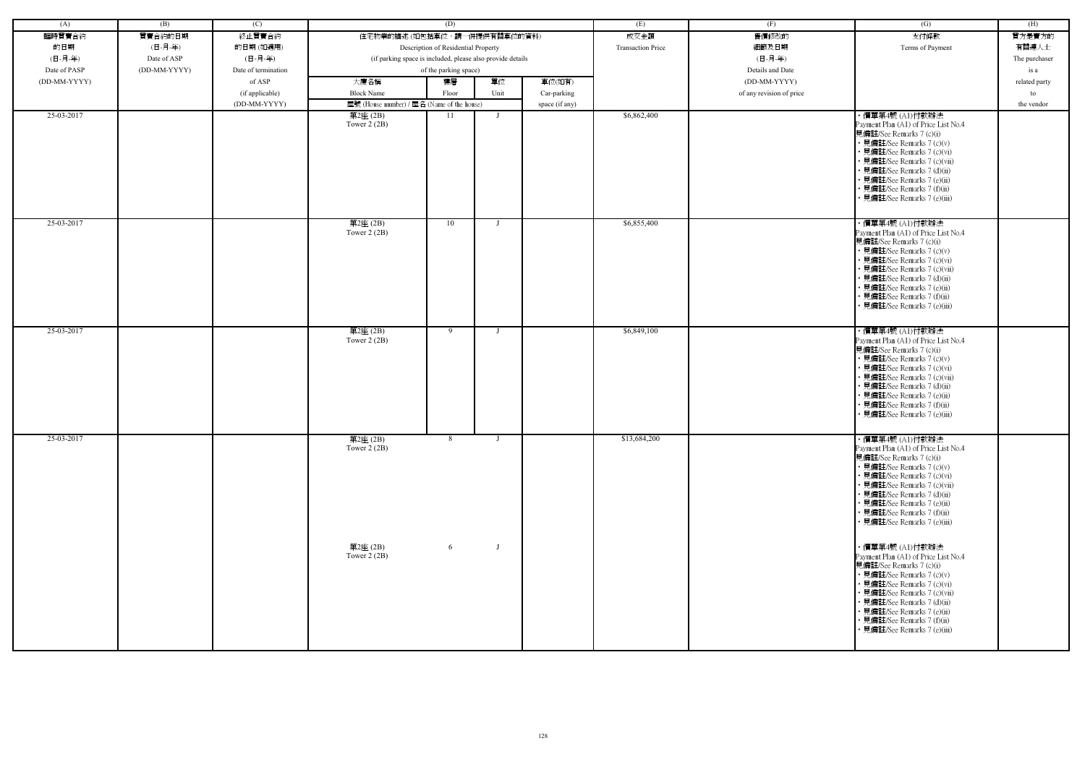| (A)          | (B)          | (C)                 |                                                            | (D)                                 |                |                | (E)                      | (F)                      | (G)                                                                                                                                                                                                                                                                                                           | (H)           |
|--------------|--------------|---------------------|------------------------------------------------------------|-------------------------------------|----------------|----------------|--------------------------|--------------------------|---------------------------------------------------------------------------------------------------------------------------------------------------------------------------------------------------------------------------------------------------------------------------------------------------------------|---------------|
| 臨時買賣合約       | 買賣合約的日期      | 終止買賣合約              | 住宅物業的描述 (如包括車位,請一併提供有關車位的資料)                               |                                     |                |                | 成交金額                     | 售價修改的                    | 支付條款                                                                                                                                                                                                                                                                                                          | 買方是賣方的        |
|              |              |                     |                                                            |                                     |                |                |                          |                          |                                                                                                                                                                                                                                                                                                               |               |
| 的日期          | (日-月-年)      | 的日期(如適用)            |                                                            | Description of Residential Property |                |                | <b>Transaction Price</b> | 細節及日期                    | Terms of Payment                                                                                                                                                                                                                                                                                              | 有關連人士         |
| (日-月-年)      | Date of ASP  | (日-月-年)             | (if parking space is included, please also provide details |                                     |                |                |                          | (日-月-年)                  |                                                                                                                                                                                                                                                                                                               | The purchaser |
| Date of PASP | (DD-MM-YYYY) | Date of termination |                                                            | of the parking space)               |                |                |                          | Details and Date         |                                                                                                                                                                                                                                                                                                               | is a          |
| (DD-MM-YYYY) |              | of ASP              | 大廈名稱                                                       | 樓層                                  | 單位             | 車位(如有)         |                          | (DD-MM-YYYY)             |                                                                                                                                                                                                                                                                                                               | related party |
|              |              | (if applicable)     | <b>Block Name</b>                                          | Floor                               | Unit           | Car-parking    |                          | of any revision of price |                                                                                                                                                                                                                                                                                                               | to            |
|              |              | (DD-MM-YYYY)        | 屋號 (House number) / 屋名 (Name of the house)                 |                                     |                | space (if any) |                          |                          |                                                                                                                                                                                                                                                                                                               | the vendor    |
| 25-03-2017   |              |                     | 第2座 (2B)<br>Tower $2(2B)$                                  | -11                                 | $\blacksquare$ |                | \$6,862,400              |                          | ·價單第4號(Al)付款辦法<br>Payment Plan (A1) of Price List No.4<br>見備註/See Remarks 7 (c)(i)<br>• 見備註/See Remarks 7 (c)(v)<br>• 見備註/See Remarks 7 (c)(vi)<br>• 見備註/See Remarks 7 (c)(vii)<br>· 見備註/See Remarks 7 (d)(ii)<br>• 見備註/See Remarks 7 (e)(ii)<br>· 見備註/See Remarks 7 (f)(ii)<br>• 見備註/See Remarks 7 (e)(iii)  |               |
| 25-03-2017   |              |                     | 第2座(2B)<br>Tower $2(2B)$                                   | 10                                  |                |                | \$6,855,400              |                          | ・價單第4號 (A1)付款辦法<br>Payment Plan (A1) of Price List No.4<br>見備註/See Remarks 7 (c)(i)<br>• 見備註/See Remarks 7 (c)(v)<br>• 見備註/See Remarks 7 (c)(vi)<br>· 見備註/See Remarks 7 (c)(vii)<br>• 見備註/See Remarks 7 (d)(ii)<br>• 見備註/See Remarks 7 (e)(ii)<br>· 見備註/See Remarks 7 (f)(ii)<br>• 見備註/See Remarks 7 (e)(iii) |               |
| 25-03-2017   |              |                     | 第2座(2B)<br>Tower $2(2B)$                                   | 9                                   |                |                | \$6,849,100              |                          | ・價單第4號 (A1)付款辦法<br>Payment Plan (A1) of Price List No.4<br>見備註/See Remarks 7 (c)(i)<br>• 見備註/See Remarks 7 (c)(v)<br>· 見備註/See Remarks 7 (c)(vi)<br>• 見備註/See Remarks 7 (c)(vii)<br>• 見備註/See Remarks 7 (d)(ii)<br>· 見備註/See Remarks 7 (e)(ii)<br>· 見備註/See Remarks 7 (f)(ii)<br>· 見備註/See Remarks 7 (e)(iii) |               |
| 25-03-2017   |              |                     | 第2座(2B)<br>Tower $2(2B)$                                   | 8                                   |                |                | \$13,684,200             |                          | ・價單第4號 (A1)付款辦法<br>Payment Plan (A1) of Price List No.4<br>見備註/See Remarks 7 (c)(i)<br>• 見備註/See Remarks 7 (c)(v)<br>• 見備註/See Remarks 7 (c)(vi)<br>• 見備註/See Remarks 7 (c)(vii)<br>• 見備註/See Remarks 7 (d)(ii)<br>• 見備註/See Remarks 7 (e)(ii)<br>• 見備註/See Remarks 7 (f)(ii)<br>• 見備註/See Remarks 7 (e)(iii) |               |
|              |              |                     | 第2座(2B)<br>Tower $2(2B)$                                   | 6                                   |                |                |                          |                          | ・價單第4號 (A1)付款辦法<br>Payment Plan (A1) of Price List No.4<br>見備註/See Remarks 7 (c)(i)<br>• 見備註/See Remarks 7 (c)(v)<br>• 見備註/See Remarks 7 (c)(vi)<br>• 見備註/See Remarks 7 (c)(vii)<br>• 見備註/See Remarks 7 (d)(ii)<br>• 見備註/See Remarks 7 (e)(ii)<br>• 見備註/See Remarks 7 (f)(ii)<br>• 見備註/See Remarks 7 (e)(iii) |               |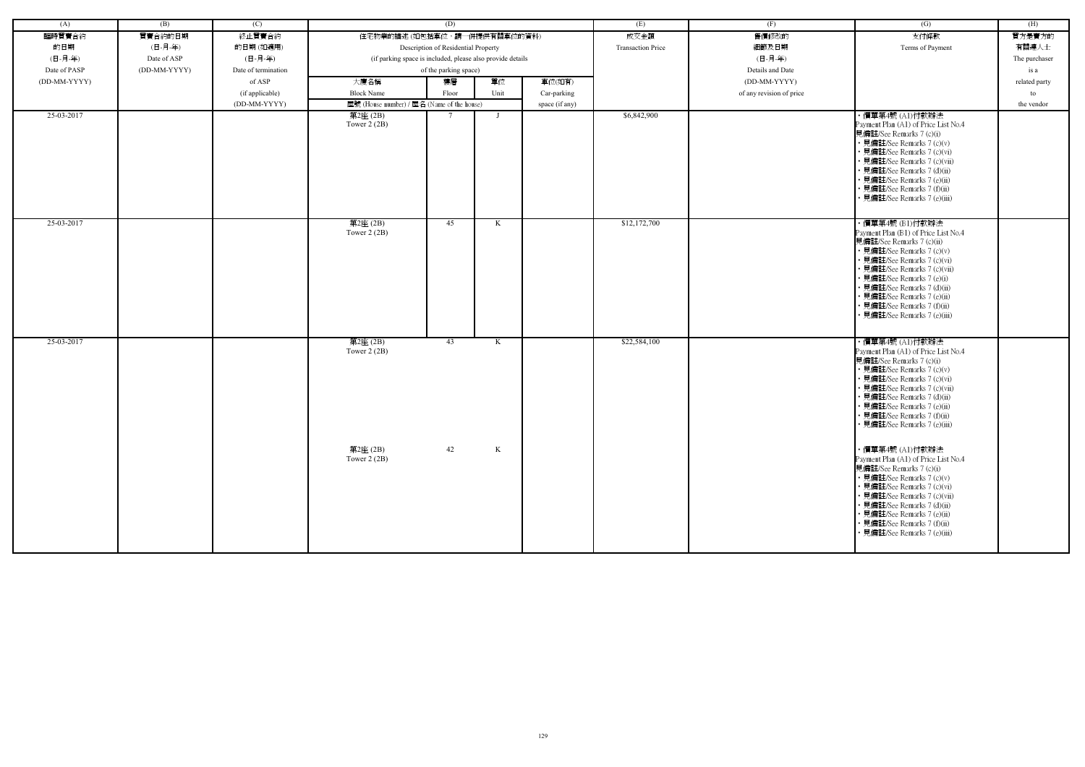| (A)          | (B)          | (C)                 |                                                            | (D)                                 |      |                | (E)                      | (F)                      | (G)                                                              | (H)           |
|--------------|--------------|---------------------|------------------------------------------------------------|-------------------------------------|------|----------------|--------------------------|--------------------------|------------------------------------------------------------------|---------------|
| 臨時買賣合約       | 買賣合約的日期      | 終止買賣合約              | 住宅物業的描述 (如包括車位,請一併提供有關車位的資料)                               |                                     |      |                | 成交金額                     | 售價修改的                    | 支付條款                                                             | 買方是賣方的        |
| 的日期          | (日-月-年)      | 的日期(如適用)            |                                                            | Description of Residential Property |      |                | <b>Transaction Price</b> | 細節及日期                    | Terms of Payment                                                 | 有關連人士         |
| (日-月-年)      | Date of ASP  | (日-月-年)             | (if parking space is included, please also provide details |                                     |      |                |                          | (日-月-年)                  |                                                                  | The purchaser |
| Date of PASP | (DD-MM-YYYY) | Date of termination |                                                            | of the parking space)               |      |                |                          | Details and Date         |                                                                  | is a          |
| (DD-MM-YYYY) |              | of ASP              | 大廈名稱                                                       | 樓層                                  | 單位   | 車位(如有)         |                          | (DD-MM-YYYY)             |                                                                  | related party |
|              |              | (if applicable)     | <b>Block Name</b>                                          | Floor                               | Unit | Car-parking    |                          | of any revision of price |                                                                  | to            |
|              |              | (DD-MM-YYYY)        | 屋號 (House number) / 屋名 (Name of the house)                 |                                     |      | space (if any) |                          |                          |                                                                  | the vendor    |
| 25-03-2017   |              |                     | 第2座(2B)                                                    |                                     |      |                | \$6,842,900              |                          | ・價單第4號 (A1)付款辦法                                                  |               |
|              |              |                     | Tower $2(2B)$                                              |                                     |      |                |                          |                          | Payment Plan (A1) of Price List No.4                             |               |
|              |              |                     |                                                            |                                     |      |                |                          |                          | 見備註/See Remarks 7 (c)(i)                                         |               |
|              |              |                     |                                                            |                                     |      |                |                          |                          | • 見備註/See Remarks 7 (c)(v)                                       |               |
|              |              |                     |                                                            |                                     |      |                |                          |                          | • 見備註/See Remarks 7 (c)(vi)<br>· 見備註/See Remarks 7 (c)(vii)      |               |
|              |              |                     |                                                            |                                     |      |                |                          |                          | • 見備註/See Remarks 7 (d)(ii)                                      |               |
|              |              |                     |                                                            |                                     |      |                |                          |                          | · 見備註/See Remarks 7 (e)(ii)                                      |               |
|              |              |                     |                                                            |                                     |      |                |                          |                          | · 見備註/See Remarks 7 (f)(ii)                                      |               |
|              |              |                     |                                                            |                                     |      |                |                          |                          | · 見備註/See Remarks 7 (e)(iii)                                     |               |
|              |              |                     |                                                            |                                     |      |                |                          |                          |                                                                  |               |
| 25-03-2017   |              |                     | 第2座(2B)                                                    | 45                                  | K    |                | \$12,172,700             |                          | ・價單第4號 (B1)付款辦法                                                  |               |
|              |              |                     | Tower $2(2B)$                                              |                                     |      |                |                          |                          | Payment Plan (B1) of Price List No.4                             |               |
|              |              |                     |                                                            |                                     |      |                |                          |                          | 見備註/See Remarks 7 (c)(ii)                                        |               |
|              |              |                     |                                                            |                                     |      |                |                          |                          | • 見備註/See Remarks 7 (c)(v)<br>• 見備註/See Remarks 7 (c)(vi)        |               |
|              |              |                     |                                                            |                                     |      |                |                          |                          | • 見備註/See Remarks 7 (c)(vii)                                     |               |
|              |              |                     |                                                            |                                     |      |                |                          |                          | • 見備註/See Remarks 7 (e)(i)                                       |               |
|              |              |                     |                                                            |                                     |      |                |                          |                          | · 見備註/See Remarks 7 (d)(ii)                                      |               |
|              |              |                     |                                                            |                                     |      |                |                          |                          | · 見備註/See Remarks 7 (e)(ii)                                      |               |
|              |              |                     |                                                            |                                     |      |                |                          |                          | • 見備註/See Remarks 7 (f)(ii)<br>· 見備註/See Remarks 7 (e)(iii)      |               |
|              |              |                     |                                                            |                                     |      |                |                          |                          |                                                                  |               |
|              |              |                     |                                                            |                                     |      |                |                          |                          |                                                                  |               |
| 25-03-2017   |              |                     | 第2座(2B)                                                    | 43                                  | K    |                | \$22,584,100             |                          | ・價單第4號 (A1)付款辦法                                                  |               |
|              |              |                     | Tower $2(2B)$                                              |                                     |      |                |                          |                          | Payment Plan (A1) of Price List No.4<br>見備註/See Remarks 7 (c)(i) |               |
|              |              |                     |                                                            |                                     |      |                |                          |                          | • 見備註/See Remarks 7 (c)(v)                                       |               |
|              |              |                     |                                                            |                                     |      |                |                          |                          | · 見備註/See Remarks 7 (c)(vi)                                      |               |
|              |              |                     |                                                            |                                     |      |                |                          |                          | • 見備註/See Remarks 7 (c)(vii)                                     |               |
|              |              |                     |                                                            |                                     |      |                |                          |                          | • 見備註/See Remarks 7 (d)(ii)                                      |               |
|              |              |                     |                                                            |                                     |      |                |                          |                          | · 見備註/See Remarks 7 (e)(ii)                                      |               |
|              |              |                     |                                                            |                                     |      |                |                          |                          | • 見備註/See Remarks 7 (f)(ii)<br>• 見備註/See Remarks 7 (e)(iii)      |               |
|              |              |                     |                                                            |                                     |      |                |                          |                          |                                                                  |               |
|              |              |                     |                                                            |                                     |      |                |                          |                          |                                                                  |               |
|              |              |                     | 第2座 (2B)<br>Tower $2(2B)$                                  | 42                                  | K    |                |                          |                          | ・價單第4號 (A1)付款辦法                                                  |               |
|              |              |                     |                                                            |                                     |      |                |                          |                          | Payment Plan (A1) of Price List No.4<br>見備註/See Remarks 7 (c)(i) |               |
|              |              |                     |                                                            |                                     |      |                |                          |                          | • 見備註/See Remarks 7 (c)(v)                                       |               |
|              |              |                     |                                                            |                                     |      |                |                          |                          | • 見備註/See Remarks 7 (c)(vi)                                      |               |
|              |              |                     |                                                            |                                     |      |                |                          |                          | • 見備註/See Remarks 7 (c)(vii)                                     |               |
|              |              |                     |                                                            |                                     |      |                |                          |                          | • 見備註/See Remarks 7 (d)(ii)                                      |               |
|              |              |                     |                                                            |                                     |      |                |                          |                          | • 見備註/See Remarks 7 (e)(ii)<br>• 見備註/See Remarks 7 (f)(ii)       |               |
|              |              |                     |                                                            |                                     |      |                |                          |                          | · 見備註/See Remarks 7 (e)(iii)                                     |               |
|              |              |                     |                                                            |                                     |      |                |                          |                          |                                                                  |               |
|              |              |                     |                                                            |                                     |      |                |                          |                          |                                                                  |               |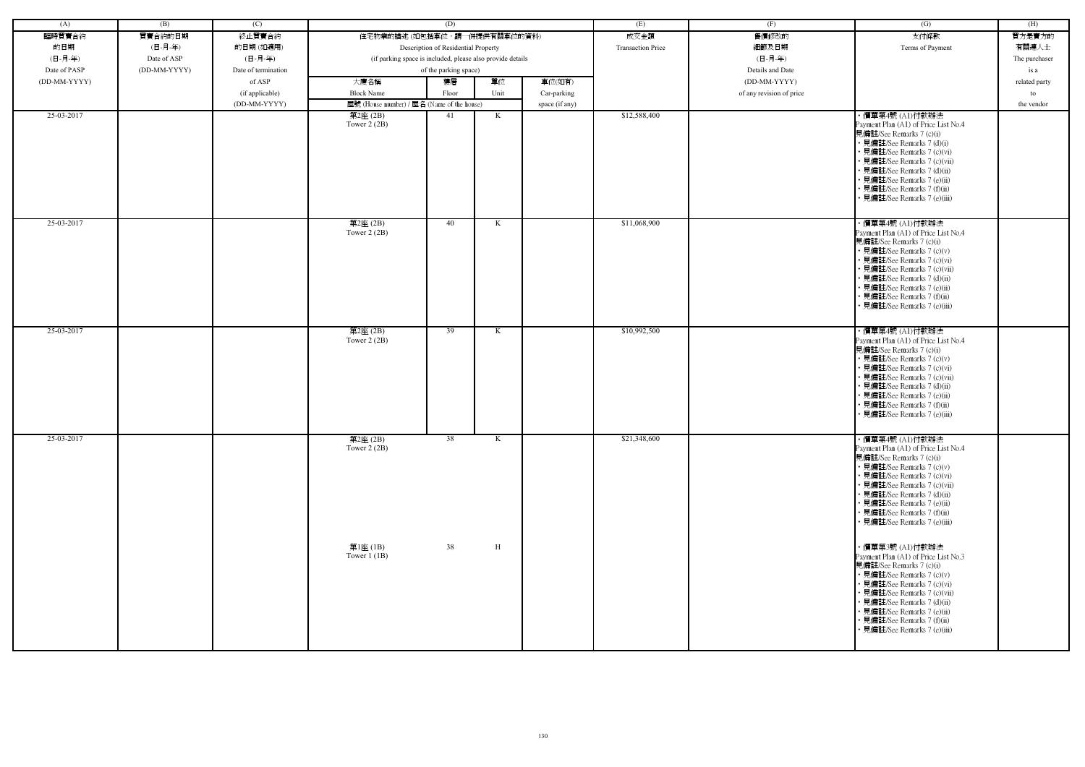| (A)          | (B)          | (C)                 |                                                            | (D)                                 |      |                | (E)                      | (F)                      | (G)                                                                                                                                                                                                                                                                                                           | (H)           |
|--------------|--------------|---------------------|------------------------------------------------------------|-------------------------------------|------|----------------|--------------------------|--------------------------|---------------------------------------------------------------------------------------------------------------------------------------------------------------------------------------------------------------------------------------------------------------------------------------------------------------|---------------|
|              |              |                     |                                                            |                                     |      |                |                          |                          |                                                                                                                                                                                                                                                                                                               |               |
| 臨時買賣合約       | 買賣合約的日期      | 終止買賣合約              | 住宅物業的描述 (如包括車位,請一併提供有關車位的資料)                               |                                     |      |                | 成交金額                     | 售價修改的                    | 支付條款                                                                                                                                                                                                                                                                                                          | 買方是賣方的        |
| 的日期          | (日-月-年)      | 的日期(如適用)            |                                                            | Description of Residential Property |      |                | <b>Transaction Price</b> | 細節及日期                    | Terms of Payment                                                                                                                                                                                                                                                                                              | 有關連人士         |
| (日-月-年)      | Date of ASP  | (日-月-年)             | (if parking space is included, please also provide details |                                     |      |                |                          | (日-月-年)                  |                                                                                                                                                                                                                                                                                                               | The purchaser |
| Date of PASP | (DD-MM-YYYY) | Date of termination |                                                            | of the parking space)               |      |                |                          | Details and Date         |                                                                                                                                                                                                                                                                                                               | is a          |
| (DD-MM-YYYY) |              | of ASP              | 大廈名稱                                                       | 樓層                                  | 單位   | 車位(如有)         |                          | (DD-MM-YYYY)             |                                                                                                                                                                                                                                                                                                               | related party |
|              |              | (if applicable)     | <b>Block Name</b>                                          | Floor                               | Unit | Car-parking    |                          | of any revision of price |                                                                                                                                                                                                                                                                                                               | to            |
|              |              | (DD-MM-YYYY)        | 屋號 (House number) / 屋名 (Name of the house)                 |                                     |      | space (if any) |                          |                          |                                                                                                                                                                                                                                                                                                               | the vendor    |
| 25-03-2017   |              |                     | 第2座 (2B)<br>Tower $2(2B)$                                  | 41                                  | K    |                | \$12,588,400             |                          | ・價單第4號 (A1)付款辦法<br>Payment Plan (A1) of Price List No.4<br>見備註/See Remarks 7 (c)(i)<br>• 見備註/See Remarks 7 (d)(i)<br>• 見備註/See Remarks 7 (c)(vi)<br>• 見備註/See Remarks 7 (c)(vii)<br>• 見備註/See Remarks 7 (d)(ii)                                                                                               |               |
| 25-03-2017   |              |                     | 第2座(2B)                                                    | 40                                  | K    |                | \$11,068,900             |                          | • 見備註/See Remarks 7 (e)(ii)<br>• 見備註/See Remarks 7 (f)(ii)<br>• 見備註/See Remarks 7 (e)(iii)<br>・價單第4號 (A1)付款辦法                                                                                                                                                                                                 |               |
|              |              |                     | Tower $2(2B)$                                              |                                     |      |                |                          |                          | Payment Plan (A1) of Price List No.4<br>見備註/See Remarks 7 (c)(i)<br>• 見備註/See Remarks 7 (c)(v)<br>• 見備註/See Remarks 7 (c)(vi)<br>• 見備註/See Remarks 7 (c)(vii)<br>• 見備註/See Remarks 7 (d)(ii)<br>• 見備註/See Remarks 7 (e)(ii)<br>• 見備註/See Remarks 7 (f)(ii)<br>• 見備註/See Remarks 7 (e)(iii)                    |               |
| 25-03-2017   |              |                     | 第2座(2B)<br>Tower $2(2B)$                                   | 39                                  | K    |                | \$10,992,500             |                          | ・價單第4號 (A1)付款辦法<br>Payment Plan (A1) of Price List No.4<br>見備註/See Remarks 7 (c)(i)<br>• 見備註/See Remarks 7 (c)(v)<br>• 見備註/See Remarks 7 (c)(vi)<br>• 見備註/See Remarks 7 (c)(vii)<br>• 見備註/See Remarks 7 (d)(ii)<br>· 見備註/See Remarks 7 (e)(ii)<br>• 見備註/See Remarks 7 (f)(ii)<br>· 見備註/See Remarks 7 (e)(iii) |               |
| 25-03-2017   |              |                     | 第2座(2B)<br>Tower $2(2B)$                                   | $\overline{38}$                     | K    |                | \$21,348,600             |                          | ・價單第4號 (A1)付款辦法<br>Payment Plan (A1) of Price List No.4<br>見備註/See Remarks 7 (c)(i)<br>• 見備註/See Remarks 7 (c)(v)<br>• 見備註/See Remarks 7 (c)(vi)<br>• 見備註/See Remarks 7 (c)(vii)<br>• 見備註/See Remarks 7 (d)(ii)<br>• 見備註/See Remarks 7 (e)(ii)<br>• 見備註/See Remarks 7 (f)(ii)<br>• 見備註/See Remarks 7 (e)(iii) |               |
|              |              |                     | 第1座 (1B)<br>Tower $1$ (1B)                                 | 38                                  | H    |                |                          |                          | ・價單第3號 (A1)付款辦法<br>Payment Plan (A1) of Price List No.3<br>見備註/See Remarks 7 (c)(i)<br>• 見備註/See Remarks 7 (c)(v)<br>• 見備註/See Remarks 7 (c)(vi)<br>• 見備註/See Remarks 7 (c)(vii)<br>• 見備註/See Remarks 7 (d)(ii)<br>• 見備註/See Remarks 7 (e)(ii)<br>• 見備註/See Remarks 7 (f)(ii)<br>· 見備註/See Remarks 7 (e)(iii) |               |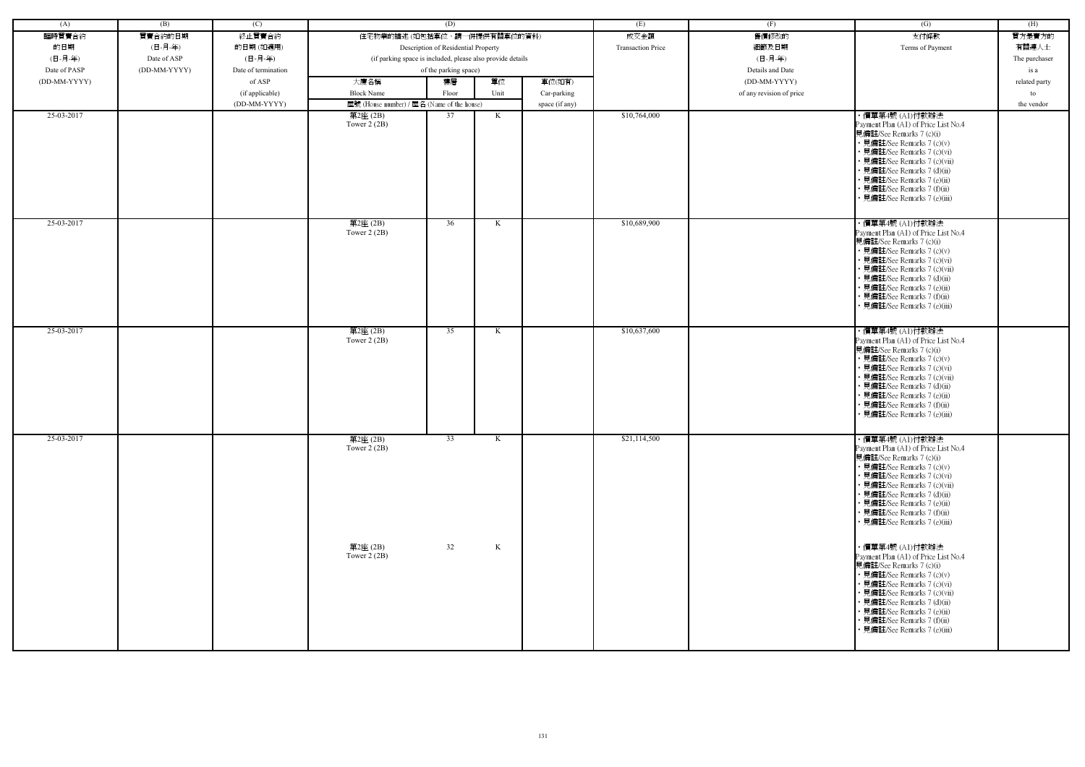| (A)          | (B)          | (C)                 |                                                            | (D)                                 |      |                | (E)                      | (F)                      | (G)                                                                                                                                                                                                                                                                                                           | (H)           |
|--------------|--------------|---------------------|------------------------------------------------------------|-------------------------------------|------|----------------|--------------------------|--------------------------|---------------------------------------------------------------------------------------------------------------------------------------------------------------------------------------------------------------------------------------------------------------------------------------------------------------|---------------|
| 臨時買賣合約       | 買賣合約的日期      | 終止買賣合約              | 住宅物業的描述 (如包括車位,請一併提供有關車位的資料)                               |                                     |      |                | 成交金額                     | 售價修改的                    | 支付條款                                                                                                                                                                                                                                                                                                          | 買方是賣方的        |
|              |              |                     |                                                            |                                     |      |                | <b>Transaction Price</b> |                          |                                                                                                                                                                                                                                                                                                               |               |
| 的日期          | (日-月-年)      | 的日期(如適用)            |                                                            | Description of Residential Property |      |                |                          | 細節及日期                    | Terms of Payment                                                                                                                                                                                                                                                                                              | 有關連人士         |
| (日-月-年)      | Date of ASP  | (日-月-年)             | (if parking space is included, please also provide details |                                     |      |                |                          | (日-月-年)                  |                                                                                                                                                                                                                                                                                                               | The purchaser |
| Date of PASP | (DD-MM-YYYY) | Date of termination |                                                            | of the parking space)               |      |                |                          | Details and Date         |                                                                                                                                                                                                                                                                                                               | is a          |
| (DD-MM-YYYY) |              | of ASP              | 大廈名稱                                                       | 樓層                                  | 單位   | 車位(如有)         |                          | (DD-MM-YYYY)             |                                                                                                                                                                                                                                                                                                               | related party |
|              |              | (if applicable)     | <b>Block Name</b>                                          | Floor                               | Unit | Car-parking    |                          | of any revision of price |                                                                                                                                                                                                                                                                                                               | to            |
|              |              | (DD-MM-YYYY)        | 屋號 (House number) / 屋名 (Name of the house)                 |                                     |      | space (if any) |                          |                          |                                                                                                                                                                                                                                                                                                               | the vendor    |
| 25-03-2017   |              |                     | 第2座 (2B)<br>Tower $2(2B)$                                  | 37                                  | K    |                | \$10,764,000             |                          | ·價單第4號(Al)付款辦法<br>Payment Plan (A1) of Price List No.4<br>見備註/See Remarks 7 (c)(i)<br>• 見備註/See Remarks 7 (c)(v)<br>• 見備註/See Remarks 7 (c)(vi)<br>• 見備註/See Remarks 7 (c)(vii)<br>· 見備註/See Remarks 7 (d)(ii)<br>• 見備註/See Remarks 7 (e)(ii)<br>· 見備註/See Remarks 7 (f)(ii)<br>• 見備註/See Remarks 7 (e)(iii)  |               |
| 25-03-2017   |              |                     | 第2座(2B)<br>Tower $2(2B)$                                   | 36                                  | K    |                | \$10,689,900             |                          | ・價單第4號 (A1)付款辦法<br>Payment Plan (A1) of Price List No.4<br>見備註/See Remarks 7 (c)(i)<br>• 見備註/See Remarks 7 (c)(v)<br>• 見備註/See Remarks 7 (c)(vi)<br>· 見備註/See Remarks 7 (c)(vii)<br>• 見備註/See Remarks 7 (d)(ii)<br>• 見備註/See Remarks 7 (e)(ii)<br>· 見備註/See Remarks 7 (f)(ii)<br>• 見備註/See Remarks 7 (e)(iii) |               |
| 25-03-2017   |              |                     | 第2座(2B)<br>Tower $2(2B)$                                   | 35                                  | K    |                | \$10,637,600             |                          | ・價單第4號 (A1)付款辦法<br>Payment Plan (A1) of Price List No.4<br>見備註/See Remarks 7 (c)(i)<br>• 見備註/See Remarks 7 (c)(v)<br>· 見備註/See Remarks 7 (c)(vi)<br>• 見備註/See Remarks 7 (c)(vii)<br>• 見備註/See Remarks 7 (d)(ii)<br>· 見備註/See Remarks 7 (e)(ii)<br>· 見備註/See Remarks 7 (f)(ii)<br>· 見備註/See Remarks 7 (e)(iii) |               |
| 25-03-2017   |              |                     | 第2座(2B)<br>Tower $2(2B)$                                   | $\overline{33}$                     | K    |                | \$21,114,500             |                          | ・價單第4號 (A1)付款辦法<br>Payment Plan (A1) of Price List No.4<br>見備註/See Remarks 7 (c)(i)<br>• 見備註/See Remarks 7 (c)(v)<br>• 見備註/See Remarks 7 (c)(vi)<br>• 見備註/See Remarks 7 (c)(vii)<br>• 見備註/See Remarks 7 (d)(ii)<br>• 見備註/See Remarks 7 (e)(ii)<br>• 見備註/See Remarks 7 (f)(ii)<br>• 見備註/See Remarks 7 (e)(iii) |               |
|              |              |                     | 第2座 (2B)<br>Tower $2(2B)$                                  | 32                                  | K    |                |                          |                          | ・價單第4號 (A1)付款辦法<br>Payment Plan (A1) of Price List No.4<br>見備註/See Remarks 7 (c)(i)<br>• 見備註/See Remarks 7 (c)(v)<br>• 見備註/See Remarks 7 (c)(vi)<br>• 見備註/See Remarks 7 (c)(vii)<br>• 見備註/See Remarks 7 (d)(ii)<br>• 見備註/See Remarks 7 (e)(ii)<br>• 見備註/See Remarks 7 (f)(ii)<br>• 見備註/See Remarks 7 (e)(iii) |               |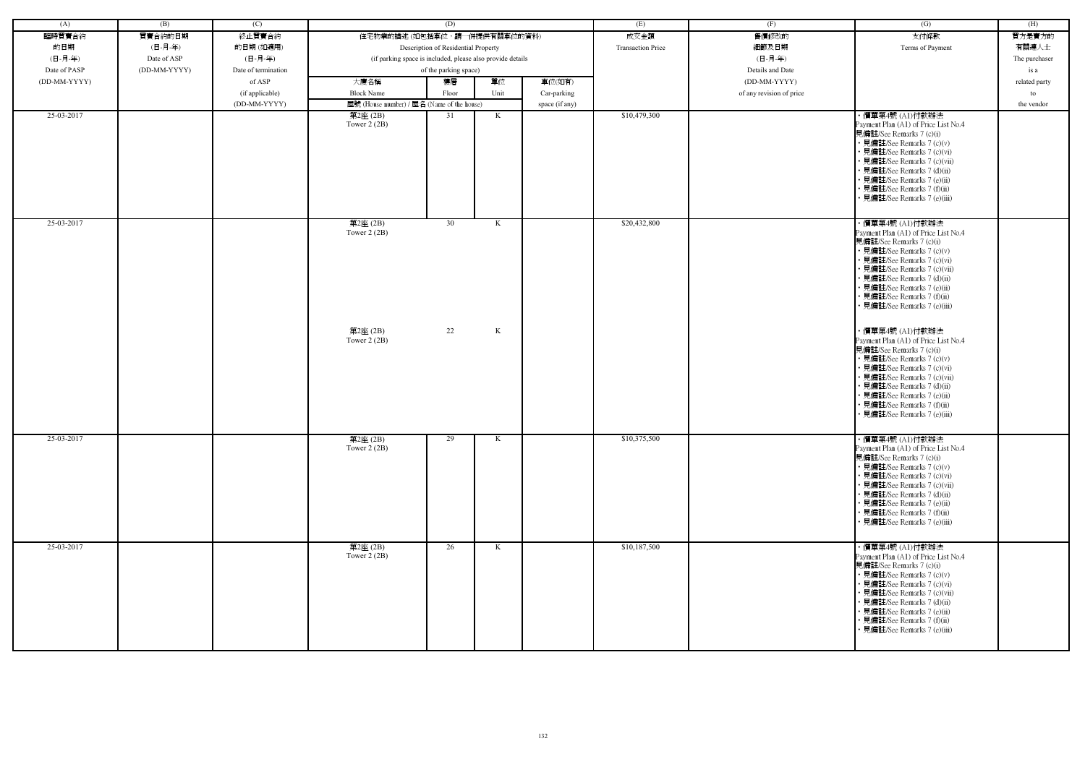| (A)          | (B)          | (C)                 |                                                            | (D)                                 |              |                | (E)                      | (F)                      | $\overline{(G)}$                                                                                                                                                                                                                                                                                              | (H)           |
|--------------|--------------|---------------------|------------------------------------------------------------|-------------------------------------|--------------|----------------|--------------------------|--------------------------|---------------------------------------------------------------------------------------------------------------------------------------------------------------------------------------------------------------------------------------------------------------------------------------------------------------|---------------|
| 臨時買賣合約       | 買賣合約的日期      | 終止買賣合約              | 住宅物業的描述 (如包括車位,請一併提供有關車位的資料)                               |                                     |              |                | 成交金額                     | 售價修改的                    | 支付條款                                                                                                                                                                                                                                                                                                          | 買方是賣方的        |
|              |              |                     |                                                            | Description of Residential Property |              |                | <b>Transaction Price</b> |                          |                                                                                                                                                                                                                                                                                                               |               |
| 的日期          | (日-月-年)      | 的日期(如適用)            |                                                            |                                     |              |                |                          | 細節及日期                    | Terms of Payment                                                                                                                                                                                                                                                                                              | 有關連人士         |
| (日-月-年)      | Date of ASP  | (日-月-年)             | (if parking space is included, please also provide details |                                     |              |                |                          | (日-月-年)                  |                                                                                                                                                                                                                                                                                                               | The purchaser |
| Date of PASP | (DD-MM-YYYY) | Date of termination |                                                            | of the parking space)               |              |                |                          | Details and Date         |                                                                                                                                                                                                                                                                                                               | is a          |
| (DD-MM-YYYY) |              | of ASP              | 大廈名稱                                                       | 樓層                                  | 單位           | 車位(如有)         |                          | (DD-MM-YYYY)             |                                                                                                                                                                                                                                                                                                               | related party |
|              |              | (if applicable)     | <b>Block Name</b>                                          | Floor                               | Unit         | Car-parking    |                          | of any revision of price |                                                                                                                                                                                                                                                                                                               | to            |
|              |              | (DD-MM-YYYY)        | 屋號 (House number) / 屋名 (Name of the house)                 |                                     |              | space (if any) |                          |                          |                                                                                                                                                                                                                                                                                                               | the vendor    |
| 25-03-2017   |              |                     | 第2座(2B)<br>Tower $2(2B)$                                   | 31                                  | K            |                | \$10,479,300             |                          | ・價單第4號 (A1)付款辦法<br>Payment Plan (A1) of Price List No.4<br>見備註/See Remarks 7 (c)(i)<br>• 見備註/See Remarks 7 (c)(v)<br>• 見備註/See Remarks 7 (c)(vi)<br>· 見備註/See Remarks 7 (c)(vii)<br>· 見備註/See Remarks 7 (d)(ii)<br>• 見備註/See Remarks 7 (e)(ii)<br>• 見備註/See Remarks 7 (f)(ii)<br>• 見備註/See Remarks 7 (e)(iii) |               |
| 25-03-2017   |              |                     | 第2座(2B)<br>Tower $2(2B)$                                   | 30                                  | K            |                | \$20,432,800             |                          | ・價單第4號 (A1)付款辦法<br>Payment Plan (A1) of Price List No.4<br>見備註/See Remarks 7 (c)(i)<br>• 見備註/See Remarks 7 (c)(v)<br>• 見備註/See Remarks 7 (c)(vi)<br>• 見備註/See Remarks 7 (c)(vii)<br>• 見備註/See Remarks 7 (d)(ii)<br>• 見備註/See Remarks 7 (e)(ii)<br>• 見備註/See Remarks 7 (f)(ii)<br>• 見備註/See Remarks 7 (e)(iii) |               |
|              |              |                     | 第2座(2B)<br>Tower $2(2B)$                                   | 22                                  | $\mathbf{K}$ |                |                          |                          | ・價單第4號 (A1)付款辦法<br>Payment Plan (A1) of Price List No.4<br>見備註/See Remarks 7 (c)(i)<br>• 見備註/See Remarks 7 (c)(v)<br>• 見備註/See Remarks 7 (c)(vi)<br>• 見備註/See Remarks 7 (c)(vii)<br>• 見備註/See Remarks 7 (d)(ii)<br>• 見備註/See Remarks 7 (e)(ii)<br>· 見備註/See Remarks 7 (f)(ii)<br>• 見備註/See Remarks 7 (e)(iii) |               |
| 25-03-2017   |              |                     | 第2座(2B)<br>Tower $2(2B)$                                   | 29                                  | K            |                | \$10,375,500             |                          | ・價單第4號 (A1)付款辦法<br>Payment Plan (A1) of Price List No.4<br>見備註/See Remarks 7 (c)(i)<br>• 見備註/See Remarks 7 (c)(v)<br>• 見備註/See Remarks 7 (c)(vi)<br>• 見備註/See Remarks 7 (c)(vii)<br>• 見備註/See Remarks 7 (d)(ii)<br>• 見備註/See Remarks 7 (e)(ii)<br>• 見備註/See Remarks 7 (f)(ii)<br>• 見備註/See Remarks 7 (e)(iii) |               |
| 25-03-2017   |              |                     | 第2座(2B)<br>Tower $2(2B)$                                   | 26                                  | K            |                | \$10,187,500             |                          | ・價單第4號 (A1)付款辦法<br>Payment Plan (A1) of Price List No.4<br>見備註/See Remarks 7 (c)(i)<br>• 見備註/See Remarks 7 (c)(v)<br>• 見備註/See Remarks 7 (c)(vi)<br>• 見備註/See Remarks 7 (c)(vii)<br>• 見備註/See Remarks 7 (d)(ii)<br>• 見備註/See Remarks 7 (e)(ii)<br>• 見備註/See Remarks 7 (f)(ii)<br>• 見備註/See Remarks 7 (e)(iii) |               |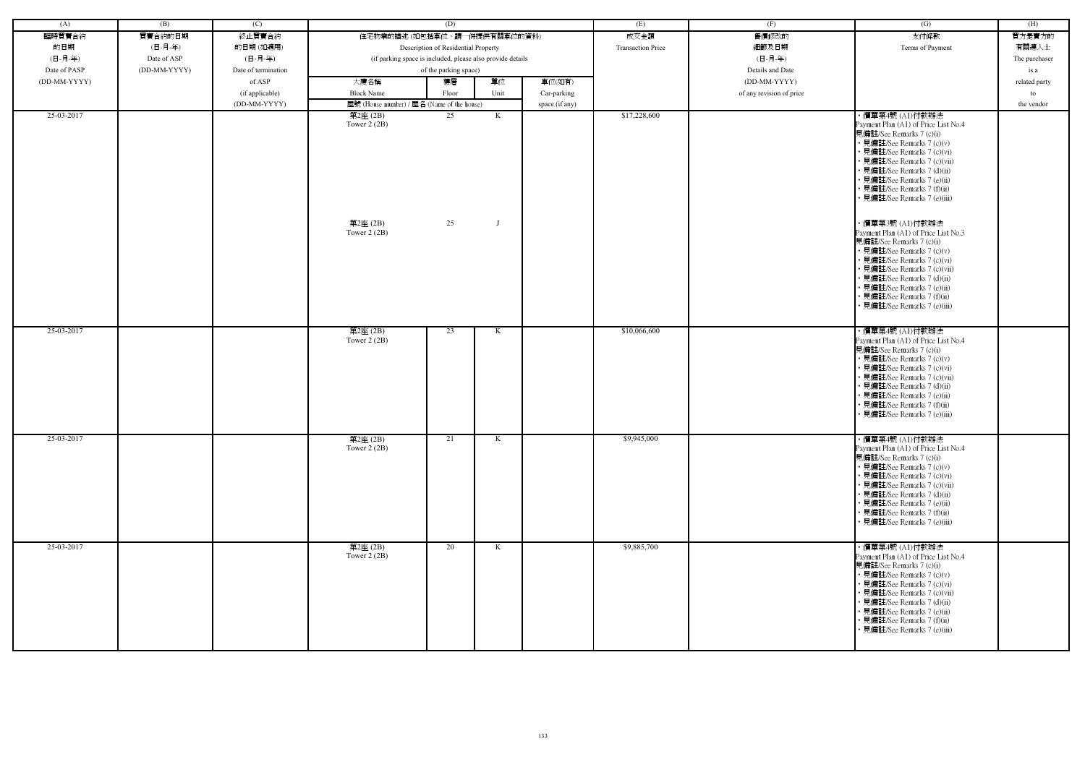| (A)          | (B)          | (C)                 |                                                            | (D)                                 |      |                | (E)                      | (F)                      | $\overline{(G)}$                                                                                                                                                                                                                                                                                                                                                                                                                                                                                                                                                                                                               | (H)           |
|--------------|--------------|---------------------|------------------------------------------------------------|-------------------------------------|------|----------------|--------------------------|--------------------------|--------------------------------------------------------------------------------------------------------------------------------------------------------------------------------------------------------------------------------------------------------------------------------------------------------------------------------------------------------------------------------------------------------------------------------------------------------------------------------------------------------------------------------------------------------------------------------------------------------------------------------|---------------|
| 臨時買賣合約       | 買賣合約的日期      | 終止買賣合約              | 住宅物業的描述 (如包括車位,請一併提供有關車位的資料)                               |                                     |      |                | 成交金額                     | 售價修改的                    | 支付條款                                                                                                                                                                                                                                                                                                                                                                                                                                                                                                                                                                                                                           | 買方是賣方的        |
| 的日期          | (日-月-年)      | 的日期(如適用)            |                                                            | Description of Residential Property |      |                | <b>Transaction Price</b> | 細節及日期                    | Terms of Payment                                                                                                                                                                                                                                                                                                                                                                                                                                                                                                                                                                                                               | 有關連人士         |
| (日-月-年)      | Date of ASP  | (日-月-年)             | (if parking space is included, please also provide details |                                     |      |                | (日-月-年)                  |                          | The purchaser                                                                                                                                                                                                                                                                                                                                                                                                                                                                                                                                                                                                                  |               |
| Date of PASP | (DD-MM-YYYY) | Date of termination | of the parking space)                                      |                                     |      |                | Details and Date         |                          | is a                                                                                                                                                                                                                                                                                                                                                                                                                                                                                                                                                                                                                           |               |
| (DD-MM-YYYY) |              | of ASP              | 大廈名稱                                                       | 樓層                                  | 單位   | 車位(如有)         |                          | (DD-MM-YYYY)             |                                                                                                                                                                                                                                                                                                                                                                                                                                                                                                                                                                                                                                | related party |
|              |              | (if applicable)     | <b>Block Name</b>                                          | Floor                               | Unit | Car-parking    |                          | of any revision of price |                                                                                                                                                                                                                                                                                                                                                                                                                                                                                                                                                                                                                                | to            |
|              |              | (DD-MM-YYYY)        | 屋號 (House number) / 屋名 (Name of the house)                 |                                     |      | space (if any) |                          |                          |                                                                                                                                                                                                                                                                                                                                                                                                                                                                                                                                                                                                                                | the vendor    |
| 25-03-2017   |              |                     | 第2座(2B)<br>Tower $2(2B)$<br>第2座(2B)<br>Tower $2(2B)$       | 25<br>25                            | K    |                | \$17,228,600             |                          | ・價單第4號 (A1)付款辦法<br>Payment Plan (A1) of Price List No.4<br>見備註/See Remarks 7 (c)(i)<br>• 見備註/See Remarks 7 (c)(v)<br>• 見備註/See Remarks 7 (c)(vi)<br>• 見備註/See Remarks 7 (c)(vii)<br>• 見備註/See Remarks 7 (d)(ii)<br>• 見備註/See Remarks 7 (e)(ii)<br>• 見備註/See Remarks 7 (f)(ii)<br>• 見備註/See Remarks 7 (e)(iii)<br>・價單第3號 (A1)付款辦法<br>Payment Plan (A1) of Price List No.3<br>見備註/See Remarks 7 (c)(i)<br>• 見備註/See Remarks 7 (c)(v)<br>• 見備註/See Remarks 7 (c)(vi)<br>• 見備註/See Remarks 7 (c)(vii)<br>• 見備註/See Remarks 7 (d)(ii)<br>• 見備註/See Remarks 7 (e)(ii)<br>• 見備註/See Remarks 7 (f)(ii)<br>• 見備註/See Remarks 7 (e)(iii) |               |
| 25-03-2017   |              |                     | 第2座(2B)<br>Tower $2(2B)$                                   | 23                                  | K    |                | \$10,066,600             |                          | ・價單第4號 (A1)付款辦法<br>Payment Plan (A1) of Price List No.4<br>見備註/See Remarks 7 (c)(i)<br>• 見備註/See Remarks 7 (c)(v)<br>• 見備註/See Remarks 7 (c)(vi)<br>• 見備註/See Remarks 7 (c)(vii)<br>• 見備註/See Remarks 7 (d)(ii)<br>• 見備註/See Remarks 7 (e)(ii)<br>• 見備註/See Remarks 7 (f)(ii)<br>• 見備註/See Remarks 7 (e)(iii)                                                                                                                                                                                                                                                                                                                  |               |
| 25-03-2017   |              |                     | 第2座(2B)<br>Tower $2(2B)$                                   | 21                                  | K    |                | \$9,945,000              |                          | ・價單第4號 (A1)付款辦法<br>Payment Plan (A1) of Price List No.4<br>見備註/See Remarks 7 (c)(i)<br>• 見備註/See Remarks 7 (c)(v)<br>• 見備註/See Remarks 7 (c)(vi)<br>• 見備註/See Remarks 7 (c)(vii)<br>• 見備註/See Remarks 7 (d)(ii)<br>• 見備註/See Remarks 7 (e)(ii)<br>• 見備註/See Remarks 7 (f)(ii)<br>• 見備註/See Remarks 7 (e)(iii)                                                                                                                                                                                                                                                                                                                  |               |
| 25-03-2017   |              |                     | 第2座(2B)<br>Tower $2(2B)$                                   | 20                                  | K    |                | \$9,885,700              |                          | ・價單第4號 (A1)付款辦法<br>Payment Plan (A1) of Price List No.4<br>見備註/See Remarks 7 (c)(i)<br>• 見備註/See Remarks 7 (c)(v)<br>• 見備註/See Remarks 7 (c)(vi)<br>• 見備註/See Remarks 7 (c)(vii)<br>• 見備註/See Remarks 7 (d)(ii)<br>• 見備註/See Remarks 7 (e)(ii)<br>• 見備註/See Remarks 7 (f)(ii)<br>• 見備註/See Remarks 7 (e)(iii)                                                                                                                                                                                                                                                                                                                  |               |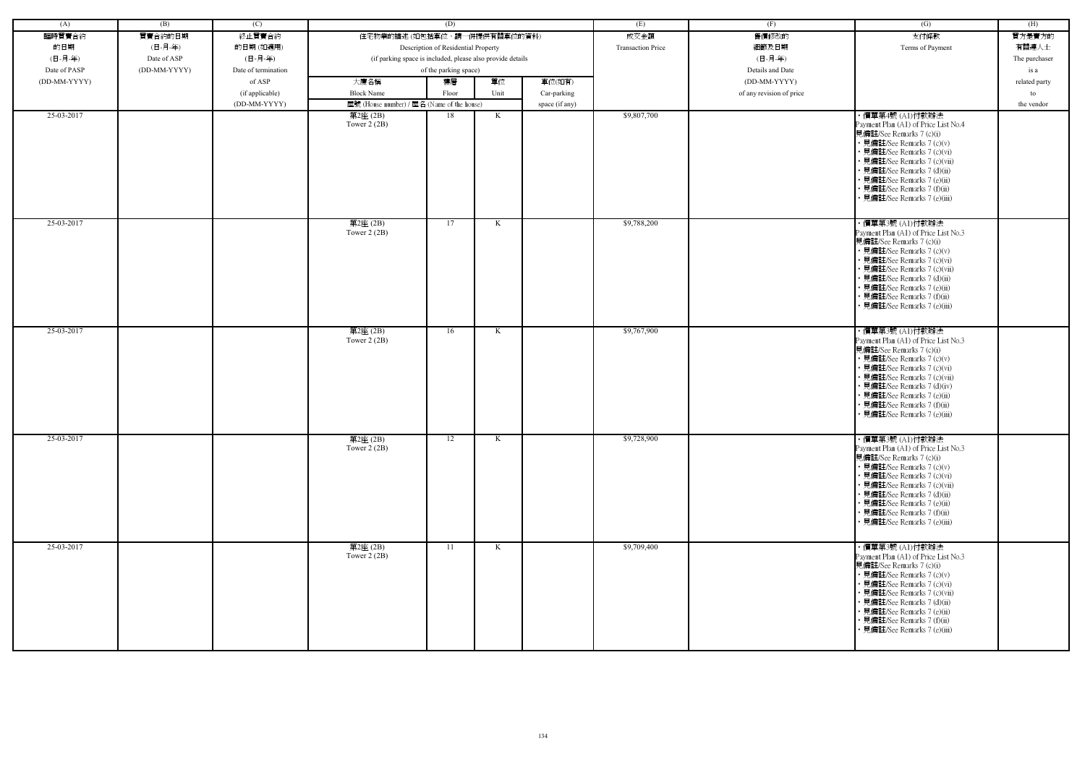| (A)          | (B)          | (C)                 |                                                            | (D)                          |      |                          | (E)              | (F)                      | (G)                                                                                                                                                                                                                                                                                                            | (H)           |
|--------------|--------------|---------------------|------------------------------------------------------------|------------------------------|------|--------------------------|------------------|--------------------------|----------------------------------------------------------------------------------------------------------------------------------------------------------------------------------------------------------------------------------------------------------------------------------------------------------------|---------------|
| 臨時買賣合約       | 買賣合約的日期      | 終止買賣合約              |                                                            | 住宅物業的描述 (如包括車位,請一併提供有關車位的資料) |      |                          | 成交金額             | 售價修改的                    | 支付條款                                                                                                                                                                                                                                                                                                           | 買方是賣方的        |
| 的日期          | (日-月-年)      | 的日期(如適用)            | Description of Residential Property                        |                              |      | <b>Transaction Price</b> | 細節及日期            | Terms of Payment         | 有關連人士                                                                                                                                                                                                                                                                                                          |               |
| (日-月-年)      | Date of ASP  | (日-月-年)             | (if parking space is included, please also provide details |                              |      |                          | (日-月-年)          |                          | The purchaser                                                                                                                                                                                                                                                                                                  |               |
| Date of PASP | (DD-MM-YYYY) | Date of termination | of the parking space)                                      |                              |      |                          | Details and Date |                          | is a                                                                                                                                                                                                                                                                                                           |               |
| (DD-MM-YYYY) |              | of ASP              | 大廈名稱                                                       | 樓層                           | 單位   | 車位(如有)                   |                  | (DD-MM-YYYY)             |                                                                                                                                                                                                                                                                                                                | related party |
|              |              | (if applicable)     | <b>Block Name</b>                                          | Floor                        | Unit | Car-parking              |                  | of any revision of price |                                                                                                                                                                                                                                                                                                                | to            |
|              |              | (DD-MM-YYYY)        | 屋號 (House number) / 屋名 (Name of the house)                 |                              |      | space (if any)           |                  |                          |                                                                                                                                                                                                                                                                                                                | the vendor    |
| 25-03-2017   |              |                     | 第2座(2B)                                                    | 18                           | K    |                          | \$9,807,700      |                          | ・價單第4號 (A1)付款辦法                                                                                                                                                                                                                                                                                                |               |
|              |              |                     | Tower $2(2B)$                                              |                              |      |                          |                  |                          | Payment Plan (A1) of Price List No.4<br>見備註/See Remarks 7 (c)(i)<br>• 見備註/See Remarks 7 (c)(v)<br>• 見備註/See Remarks 7 (c)(vi)<br>• 見備註/See Remarks 7 (c)(vii)<br>• 見備註/See Remarks 7 (d)(ii)<br>• 見備註/See Remarks 7 (e)(ii)<br>· 見備註/See Remarks 7 (f)(ii)<br>· 見備註/See Remarks 7 (e)(iii)                     |               |
| 25-03-2017   |              |                     | 第2座(2B)<br>Tower $2(2B)$                                   | 17                           | K    |                          | \$9,788,200      |                          | ・價單第3號 (A1)付款辦法<br>Payment Plan (A1) of Price List No.3<br>見備註/See Remarks 7 (c)(i)<br>• 見備註/See Remarks 7 (c)(v)<br>• 見備註/See Remarks 7 (c)(vi)<br>· 見備註/See Remarks 7 (c)(vii)<br>• 見備註/See Remarks 7 (d)(ii)<br>• 見備註/See Remarks 7 (e)(ii)<br>· 見備註/See Remarks 7 (f)(ii)<br>• 見備註/See Remarks 7 (e)(iii)  |               |
| 25-03-2017   |              |                     | 第2座(2B)<br>Tower $2(2B)$                                   | 16                           | K    |                          | \$9,767,900      |                          | ・價單第3號 (A1)付款辦法<br>Payment Plan (A1) of Price List No.3<br>見備註/See Remarks 7 (c)(i)<br>• 見備註/See Remarks 7 (c)(v)<br>• 見備註/See Remarks 7 (c)(vi)<br>• 見備註/See Remarks 7 (c)(vii)<br>• 見備註/See Remarks 7 (d)(iv)<br>• 見備註/See Remarks 7 (e)(ii)<br>• 見備註/See Remarks 7 (f)(ii)<br>• 見備註/See Remarks 7 (e)(iii)  |               |
| 25-03-2017   |              |                     | 第2座(2B)<br>Tower $2(2B)$                                   | 12                           | K    |                          | \$9,728,900      |                          | · 價單第3號 (A1)付款辦法<br>Payment Plan (A1) of Price List No.3<br>見備註/See Remarks 7 (c)(i)<br>• 見備註/See Remarks 7 (c)(v)<br>• 見備註/See Remarks 7 (c)(vi)<br>• 見備註/See Remarks 7 (c)(vii)<br>• 見備註/See Remarks 7 (d)(ii)<br>• 見備註/See Remarks 7 (e)(ii)<br>• 見備註/See Remarks 7 (f)(ii)<br>• 見備註/See Remarks 7 (e)(iii) |               |
| 25-03-2017   |              |                     | 第2座(2B)<br>Tower $2(2B)$                                   | 11                           | K    |                          | \$9,709,400      |                          | ・價單第3號 (A1)付款辦法<br>Payment Plan (A1) of Price List No.3<br>見備註/See Remarks 7 (c)(i)<br>• 見備註/See Remarks 7 (c)(v)<br>• 見備註/See Remarks 7 (c)(vi)<br>• 見備註/See Remarks 7 (c)(vii)<br>• 見備註/See Remarks 7 (d)(ii)<br>• 見備註/See Remarks 7 (e)(ii)<br>• 見備註/See Remarks 7 (f)(ii)<br>• 見備註/See Remarks 7 (e)(iii)  |               |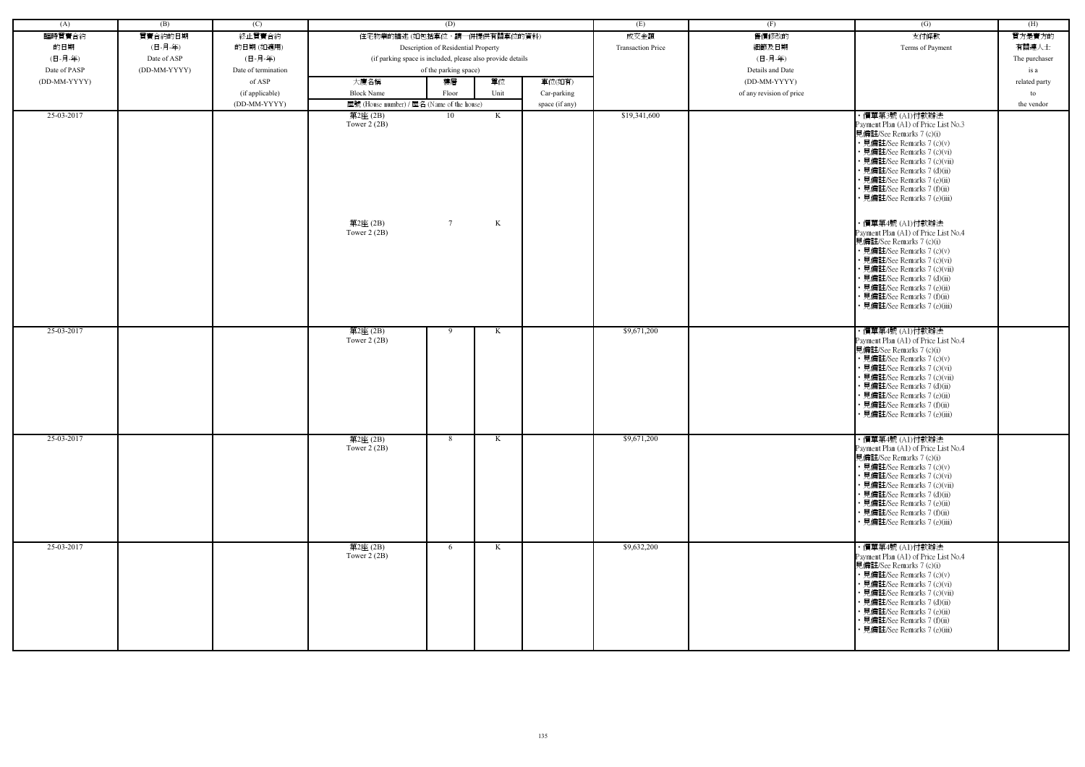| (A)          | (B)          | (C)                 | (D)                                                        |                       |        |                          | (E)              | (F)                      | $\overline{(G)}$                                                                                                                                                                                                                                                                                                                                                                                                                                                                                                                                                                                                             | (H)           |
|--------------|--------------|---------------------|------------------------------------------------------------|-----------------------|--------|--------------------------|------------------|--------------------------|------------------------------------------------------------------------------------------------------------------------------------------------------------------------------------------------------------------------------------------------------------------------------------------------------------------------------------------------------------------------------------------------------------------------------------------------------------------------------------------------------------------------------------------------------------------------------------------------------------------------------|---------------|
| 臨時買賣合約       | 買賣合約的日期      | 終止買賣合約              | 住宅物業的描述 (如包括車位,請一併提供有關車位的資料)                               |                       |        | 成交金額                     | 售價修改的            | 支付條款                     | 買方是賣方的                                                                                                                                                                                                                                                                                                                                                                                                                                                                                                                                                                                                                       |               |
| 的日期          | (日-月-年)      | 的日期(如適用)            | Description of Residential Property                        |                       |        | <b>Transaction Price</b> | 細節及日期            | Terms of Payment         | 有關連人士                                                                                                                                                                                                                                                                                                                                                                                                                                                                                                                                                                                                                        |               |
| (日-月-年)      | Date of ASP  | (日-月-年)             | (if parking space is included, please also provide details |                       |        |                          | (日-月-年)          |                          | The purchaser                                                                                                                                                                                                                                                                                                                                                                                                                                                                                                                                                                                                                |               |
| Date of PASP | (DD-MM-YYYY) | Date of termination | of the parking space)                                      |                       |        |                          | Details and Date |                          | is a                                                                                                                                                                                                                                                                                                                                                                                                                                                                                                                                                                                                                         |               |
| (DD-MM-YYYY) |              | of ASP              | 大廈名稱                                                       | 樓層                    | 單位     | 車位(如有)                   |                  | (DD-MM-YYYY)             |                                                                                                                                                                                                                                                                                                                                                                                                                                                                                                                                                                                                                              | related party |
|              |              | (if applicable)     | <b>Block Name</b>                                          | Floor                 | Unit   | Car-parking              |                  | of any revision of price |                                                                                                                                                                                                                                                                                                                                                                                                                                                                                                                                                                                                                              | to            |
|              |              | (DD-MM-YYYY)        | 屋號 (House number) / 屋名 (Name of the house)                 |                       |        | space (if any)           |                  |                          |                                                                                                                                                                                                                                                                                                                                                                                                                                                                                                                                                                                                                              | the vendor    |
| 25-03-2017   |              |                     | 第2座(2B)<br>Tower $2(2B)$<br>第2座(2B)<br>Tower $2(2B)$       | 10<br>$7\overline{ }$ | K<br>K |                          | \$19,341,600     |                          | ・價單第3號 (A1)付款辦法<br>Payment Plan (A1) of Price List No.3<br>見備註/See Remarks 7 (c)(i)<br>• 見備註/See Remarks 7 (c)(v)<br>• 見備註/See Remarks 7 (c)(vi)<br>• 見備註/See Remarks 7 (c)(vii)<br>• 見備註/See Remarks 7 (d)(ii)<br>• 見備註/See Remarks 7 (e)(ii)<br>• 見備註/See Remarks 7 (f)(ii)<br>• 見備註/See Remarks 7 (e)(iii)<br>・價單第4號 (A1)付款辦法<br>Payment Plan (A1) of Price List No.4<br>見備註/See Remarks 7 (c)(i)<br>• 見備註/See Remarks 7 (c)(v)<br>• 見備註/See Remarks 7 (c)(vi)<br>• 見備註/See Remarks 7 (c)(vii)<br>• 見備註/See Remarks 7 (d)(ii)<br>• 見備註/See Remarks 7 (e)(ii)<br>• 見備註/See Remarks 7 (f)(ii)<br>見備註/See Remarks 7 (e)(iii) |               |
| 25-03-2017   |              |                     | 第2座(2B)<br>Tower $2(2B)$                                   | 9                     | K      |                          | \$9,671,200      |                          | ・價單第4號 (A1)付款辦法<br>Payment Plan (A1) of Price List No.4<br>見備註/See Remarks 7 (c)(i)<br>• 見備註/See Remarks 7 (c)(v)<br>• 見備註/See Remarks 7 (c)(vi)<br>· 見備註/See Remarks 7 (c)(vii)<br>• 見備註/See Remarks 7 (d)(ii)<br>• 見備註/See Remarks 7 (e)(ii)<br>· 見備註/See Remarks 7 (f)(ii)<br>• 見備註/See Remarks 7 (e)(iii)                                                                                                                                                                                                                                                                                                                |               |
| 25-03-2017   |              |                     | 第2座(2B)<br>Tower $2(2B)$                                   | 8                     | K      |                          | \$9,671,200      |                          | ・價單第4號 (A1)付款辦法<br>Payment Plan (A1) of Price List No.4<br>見備註/See Remarks 7 (c)(i)<br>• 見備註/See Remarks 7 (c)(v)<br>• 見備註/See Remarks 7 (c)(vi)<br>• 見備註/See Remarks 7 (c)(vii)<br>• 見備註/See Remarks 7 (d)(ii)<br>• 見備註/See Remarks 7 (e)(ii)<br>• 見備註/See Remarks 7 (f)(ii)<br>• 見備註/See Remarks 7 (e)(iii)                                                                                                                                                                                                                                                                                                                |               |
| 25-03-2017   |              |                     | 第2座(2B)<br>Tower $2(2B)$                                   | 6                     | K      |                          | \$9,632,200      |                          | ・價單第4號 (A1)付款辦法<br>Payment Plan (A1) of Price List No.4<br>見備註/See Remarks 7 (c)(i)<br>• 見備註/See Remarks 7 (c)(v)<br>• 見備註/See Remarks 7 (c)(vi)<br>• 見備註/See Remarks 7 (c)(vii)<br>• 見備註/See Remarks 7 (d)(ii)<br>• 見備註/See Remarks 7 (e)(ii)<br>• 見備註/See Remarks 7 (f)(ii)<br>• 見備註/See Remarks 7 (e)(iii)                                                                                                                                                                                                                                                                                                                |               |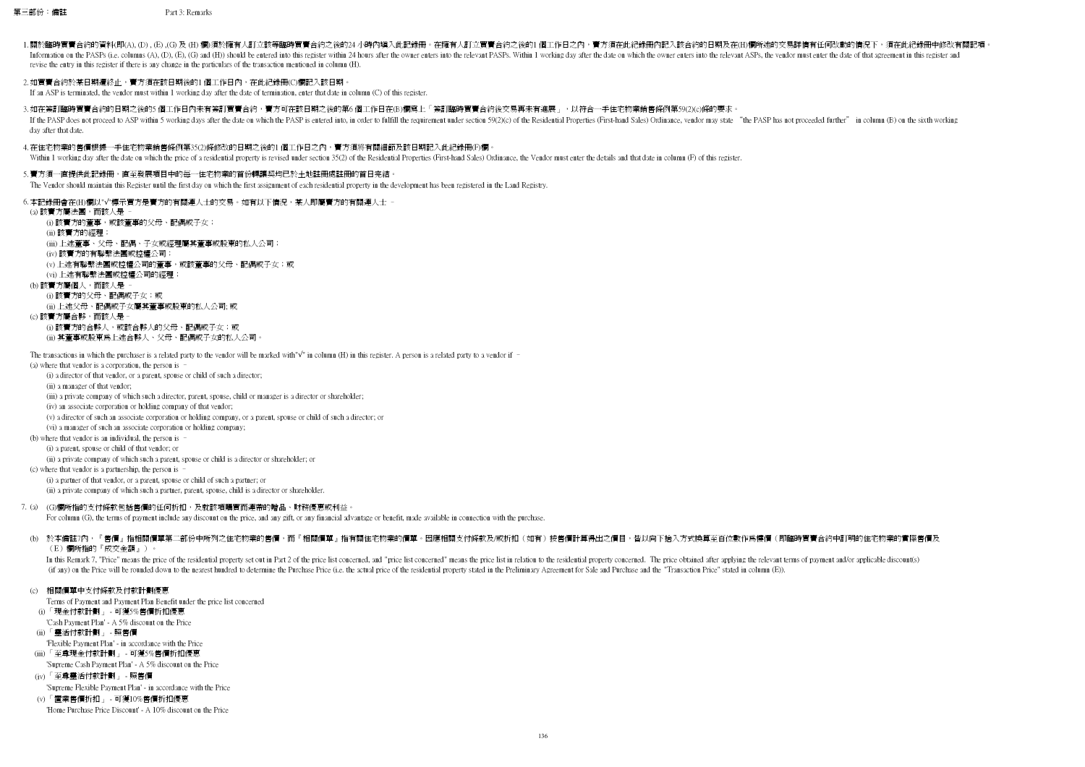第三部份:備註 Part 3: Remarks

- 1.關於臨時買賣合約的資料(即(A), (D) ,(E) ,(G) 及 (H) 欄)須於擁有人訂立該等臨時買賣合約之後的24 小時內填入此記錄冊。在擁有人訂立買賣合約之後的1個工作日之內,賣方須在此紀錄冊內記入該合約的日期及在(H)欄所述的交易詳情有任何改動的情況下,須在此紀錄冊中修改有關記項。 Information on the PASPs (i.e. columns (A), (D), (E), (G) and (H)) should be entered into this register within 24 hours after the owner enters into the relevant PASPs. Within 1 working day after the date on which the owner revise the entry in this register if there is any change in the particulars of the transaction mentioned in column (H).
- 2.如買賣合約於某日期遭終止,賣方須在該日期後的1 個工作日內,在此紀錄冊(C)欄記入該日期。

If an ASP is terminated, the vendor must within 1 working day after the date of termination, enter that date in column (C) of this register.

3.如在簽訂臨時買賣合約的日期之後的5 個工作日內未有簽訂買賣合約,賣方可在該日期之後的第6 個工作日在(B)欄寫上「簽訂臨時買賣合約後交易再未有進展 」,以符合一手住宅物業銷售條例第59(2)(c)條的要求。 If the PASP does not proceed to ASP within 5 working days after the date on which the PASP is entered into, in order to fulfill the requirement under section 59(2)(c) of the Residential Properties (First-hand Sales) Ordina day after that date.

4.在住宅物業的售價根據一手住宅物業銷售條例第35(2)條修改的日期之後的1 個工作日之內,賣方須將有關細節及該日期記入此紀錄冊(F)欄。 Within 1 working day after the date on which the price of a residential property is revised under section 35(2) of the Residential Properties (First-hand Sales) Ordinance, the Vendor must enter the details and that date in

- 5. 賣方須一直提供此記錄冊,直至發展項目中的每一住宅物業的首份轉讓契均已於土地註冊處註冊的首日完結。
- The Vendor should maintain this Register until the first day on which the first assignment of each residential property in the development has been registered in the Land Registry.

6.本記錄冊會在(H)欄以"√"標示買方是賣方的有關連人士的交易。如有以下情況,某人即屬賣方的有關連人士 −

(a) where that vendor is a corporation, the person is –

(i) a director of that vendor, or a parent, spouse or child of such a director;

(ii) a manager of that vendor;

(iii) a private company of which such a director, parent, spouse, child or manager is a director or shareholder;

(iv) an associate corporation or holding company of that vendor;

(v) a director of such an associate corporation or holding company, or a parent, spouse or child of such a director; or

(vi) a manager of such an associate corporation or holding company;

(b) where that vendor is an individual, the person is –

(i) a parent, spouse or child of that vendor; or

(ii) a private company of which such a parent, spouse or child is a director or shareholder; or

(c) where that vendor is a partnership, the person is –

(i) a partner of that vendor, or a parent, spouse or child of such a partner; or

(ii) a private company of which such a partner, parent, spouse, child is a director or shareholder.

For column (G), the terms of payment include any discount on the price, and any gift, or any financial advantage or benefit, made available in connection with the purchase.

(b) 於本備註7內,『售價』指相關價單第二部份中所列之住宅物業的售價,而『相關價單』指有關住宅物業的價單。因應相關支付條款及/或折扣(如有)按售價計算得出之價目,皆以向下捨入方式換算至百位數作爲樓價(即臨時買賣合約中訂明的住宅物業的實際售價及 (E)欄所指的『成交金額』)。

In this Remark 7, "Price" means the price of the residential property set out in Part 2 of the price list concerned, and "price list concerned" means the price list in relation to the residential property concerned. The pr (if any) on the Price will be rounded down to the nearest hundred to determine the Purchase Price (i.e. the actual price of the residential property stated in the Preliminary Agreement for Sale and Purchase and the "Transa

## (c) 相關價單中支付條款及付款計劃優惠

Terms of Payment and Payment Plan Benefit under the price list concerned

- 'Cash Payment Plan' A 5% discount on the Price
- (ii) 「靈活付款計劃」 照售價
- 'Flexible Payment Plan' in accordance with the Price
- (iii) 「至尊現金付款計劃」 可獲5%售價折扣優惠 'Supreme Cash Payment Plan' - A 5% discount on the Price
- (iv) 「至尊靈活付款計劃」 照售價
- 'Supreme Flexible Payment Plan' in accordance with the Price
- (v) 「置業售價折扣」 可獲10%售價折扣優惠
- 'Home Purchase Price Discount' A 10% discount on the Price

7. (a) (G)欄所指的支付條款包括售價的任何折扣,及就該項購買而連帶的贈品、財務優惠或利益。

(i) 「現金付款計劃」 - 可獲5%售價折扣優惠

(a) 該賣方屬法團,而該人是 – (i) 該賣方的董事,或該董事的父母、配偶或子女; (ii) 該賣方的經理; (iii) 上述董事、父母、配偶、子女或經理屬其董事或股東的私人公司; (iv) 該賣方的有聯繫法團或控權公司; (v) 上述有聯繫法團或控權公司的董事,或該董事的父母、配偶或子女;或 (vi) 上述有聯繫法團或控權公司的經理; (b) 該賣方屬個人,而該人是 – (i) 該賣方的父母、配偶或子女;或

(ii) 上述父母、配偶或子女屬其董事或股東的私人公司; 或 (c) 該賣方屬合夥,而該人是– (i) 該賣方的合夥人,或該合夥人的父母、配偶或子女;或 (ii) 其董事或股東為上述合夥人、父母、配偶或子女的私人公司。

The transactions in which the purchaser is a related party to the vendor will be marked with" $\sqrt{ }$ " in column (H) in this register. A person is a related party to a vendor if –